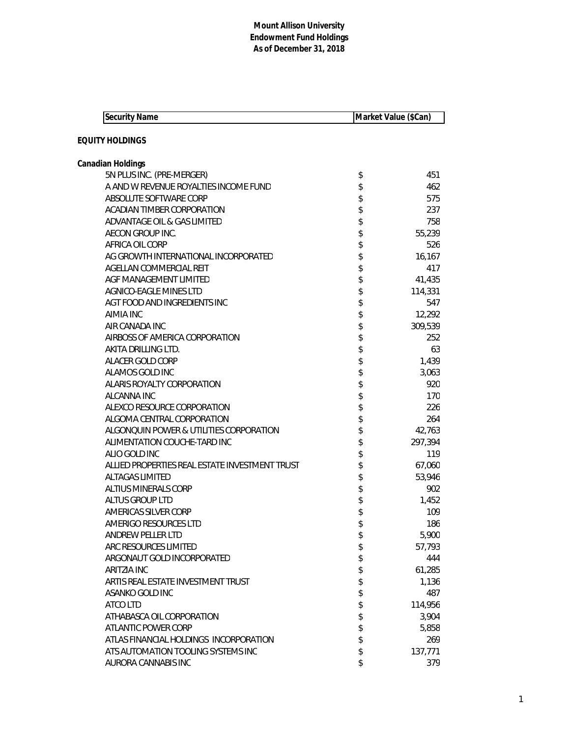| <b>Security Name</b>                           | Market Value (\$Can) |                 |
|------------------------------------------------|----------------------|-----------------|
|                                                |                      |                 |
| <b>EQUITY HOLDINGS</b>                         |                      |                 |
| Canadian Holdings                              |                      |                 |
| 5N PLUS INC. (PRE-MERGER)                      | \$                   | 451             |
| A AND W REVENUE ROYALTIES INCOME FUND          | \$                   | 462             |
| ABSOLUTE SOFTWARE CORP                         | \$                   | 575             |
| <b>ACADIAN TIMBER CORPORATION</b>              | \$                   | 237             |
| ADVANTAGE OIL & GAS LIMITED                    | \$                   | 758             |
| AECON GROUP INC.                               | \$                   | 55,239          |
| AFRICA OIL CORP                                | \$                   | 526             |
| AG GROWTH INTERNATIONAL INCORPORATED           | \$                   | 16,167          |
| AGELLAN COMMERCIAL REIT                        |                      | 417             |
| AGF MANAGEMENT LIMITED                         | \$                   | 41,435          |
| <b>AGNICO-EAGLE MINES LTD</b>                  | \$                   | 114,331         |
| AGT FOOD AND INGREDIENTS INC                   | \$                   | 547             |
| AIMIA INC                                      | \$                   | 12,292          |
| AIR CANADA INC                                 | \$                   | 309,539         |
| AIRBOSS OF AMERICA CORPORATION                 | \$                   | 252             |
| AKITA DRILLING LTD.                            | \$                   | 63              |
| ALACER GOLD CORP                               | \$                   | 1,439           |
| ALAMOS GOLD INC                                | \$                   | 3,063           |
| ALARIS ROYALTY CORPORATION                     | \$                   | 920             |
| ALCANNA INC                                    | \$                   | 170             |
| ALEXCO RESOURCE CORPORATION                    | \$                   | 226             |
| ALGOMA CENTRAL CORPORATION                     | \$                   | 264             |
| ALGONQUIN POWER & UTILITIES CORPORATION        | \$                   | 42,763          |
| ALIMENTATION COUCHE-TARD INC                   | \$                   | 297,394         |
| ALIO GOLD INC                                  | \$                   | 119             |
| ALLIED PROPERTIES REAL ESTATE INVESTMENT TRUST | \$                   | 67,060          |
| <b>ALTAGAS LIMITED</b>                         | \$                   | 53,946          |
| <b>ALTIUS MINERALS CORP</b>                    | \$                   | 902             |
| ALTUS GROUP LTD                                | \$                   | 1,452           |
| AMERICAS SILVER CORP                           | \$<br>\$             | 109             |
| AMERIGO RESOURCES LTD                          |                      | 186             |
| ANDREW PELLER LTD<br>ARC RESOURCES LIMITED     | \$                   | 5,900<br>57,793 |
| ARGONAUT GOLD INCORPORATED                     | \$                   | 444             |
| <b>ARITZIA INC</b>                             | \$                   | 61,285          |
| ARTIS REAL ESTATE INVESTMENT TRUST             | \$<br>\$             | 1,136           |
| ASANKO GOLD INC                                | \$                   | 487             |
| ATCO LTD                                       | \$                   | 114,956         |
| ATHABASCA OIL CORPORATION                      | \$                   | 3,904           |
| ATLANTIC POWER CORP                            | \$                   | 5,858           |
| ATLAS FINANCIAL HOLDINGS INCORPORATION         | \$                   | 269             |
| ATS AUTOMATION TOOLING SYSTEMS INC             | \$                   | 137,771         |
| AURORA CANNABIS INC                            | \$                   | 379             |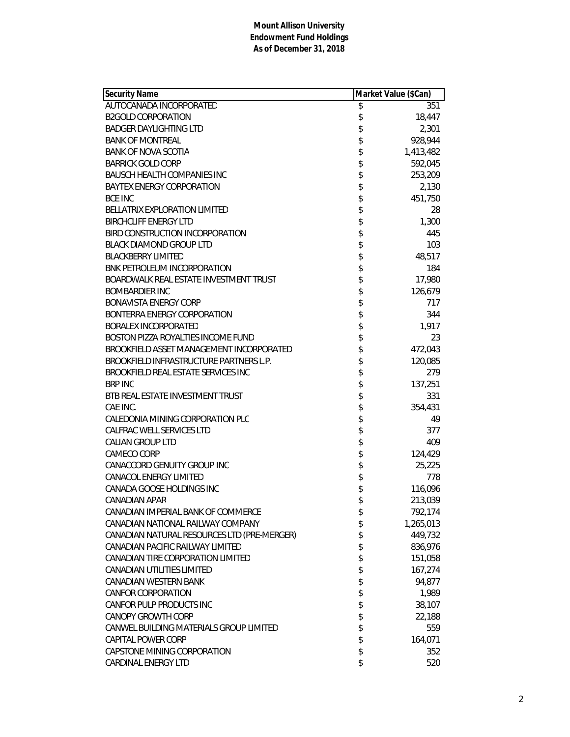| <b>Security Name</b>                        | Market Value (\$Can) |           |
|---------------------------------------------|----------------------|-----------|
| AUTOCANADA INCORPORATED                     | \$                   | 351       |
| <b>B2GOLD CORPORATION</b>                   | \$                   | 18,447    |
| <b>BADGER DAYLIGHTING LTD</b>               | \$                   | 2,301     |
| <b>BANK OF MONTREAL</b>                     | \$                   | 928,944   |
| <b>BANK OF NOVA SCOTIA</b>                  | \$                   | 1,413,482 |
| <b>BARRICK GOLD CORP</b>                    | \$                   | 592,045   |
| <b>BAUSCH HEALTH COMPANIES INC</b>          | \$                   | 253,209   |
| <b>BAYTEX ENERGY CORPORATION</b>            | \$                   | 2,130     |
| <b>BCE INC</b>                              | \$                   | 451,750   |
| <b>BELLATRIX EXPLORATION LIMITED</b>        | \$                   | 28        |
| <b>BIRCHCLIFF ENERGY LTD</b>                | \$<br>\$             | 1,300     |
| BIRD CONSTRUCTION INCORPORATION             |                      | 445       |
| <b>BLACK DIAMOND GROUP LTD</b>              | \$                   | 103       |
| <b>BLACKBERRY LIMITED</b>                   | \$                   | 48,517    |
| BNK PETROLEUM INCORPORATION                 | \$                   | 184       |
| BOARDWALK REAL ESTATE INVESTMENT TRUST      | \$                   | 17,980    |
| <b>BOMBARDIER INC</b>                       | \$                   | 126,679   |
| <b>BONAVISTA ENERGY CORP</b>                | \$                   | 717       |
| BONTERRA ENERGY CORPORATION                 | \$                   | 344       |
| <b>BORALEX INCORPORATED</b>                 | \$                   | 1,917     |
| BOSTON PIZZA ROYALTIES INCOME FUND          |                      | 23        |
| BROOKFIELD ASSET MANAGEMENT INCORPORATED    | \$                   | 472,043   |
| BROOKFIELD INFRASTRUCTURE PARTNERS L.P.     | \$                   | 120,085   |
| BROOKFIELD REAL ESTATE SERVICES INC         | \$                   | 279       |
| <b>BRP INC</b>                              | \$                   | 137,251   |
| BTB REAL ESTATE INVESTMENT TRUST            | \$                   | 331       |
| CAE INC.                                    | \$                   | 354,431   |
| CALEDONIA MINING CORPORATION PLC            | \$                   | 49        |
| CALFRAC WELL SERVICES LTD                   | \$                   | 377       |
| <b>CALIAN GROUP LTD</b>                     | \$                   | 409       |
| CAMECO CORP                                 | \$                   | 124,429   |
| CANACCORD GENUITY GROUP INC                 | \$                   | 25,225    |
| <b>CANACOL ENERGY LIMITED</b>               | \$                   | 778       |
| CANADA GOOSE HOLDINGS INC                   | \$                   | 116,096   |
| CANADIAN APAR                               | \$                   | 213,039   |
| CANADIAN IMPERIAL BANK OF COMMERCE          | \$                   | 792,174   |
| CANADIAN NATIONAL RAILWAY COMPANY           | \$                   | 1,265,013 |
| CANADIAN NATURAL RESOURCES LTD (PRE-MERGER) | \$                   | 449,732   |
| CANADIAN PACIFIC RAILWAY LIMITED            | \$                   | 836,976   |
| CANADIAN TIRE CORPORATION LIMITED           | \$                   | 151,058   |
| CANADIAN UTILITIES LIMITED                  | \$                   | 167,274   |
| CANADIAN WESTERN BANK                       | \$                   | 94,877    |
| <b>CANFOR CORPORATION</b>                   | \$                   | 1,989     |
| CANFOR PULP PRODUCTS INC                    | \$                   | 38,107    |
| <b>CANOPY GROWTH CORP</b>                   | \$                   | 22,188    |
| CANWEL BUILDING MATERIALS GROUP LIMITED     | \$                   | 559       |
| <b>CAPITAL POWER CORP</b>                   | \$                   | 164,071   |
| CAPSTONE MINING CORPORATION                 | \$                   | 352       |
| CARDINAL ENERGY LTD                         | \$                   | 520       |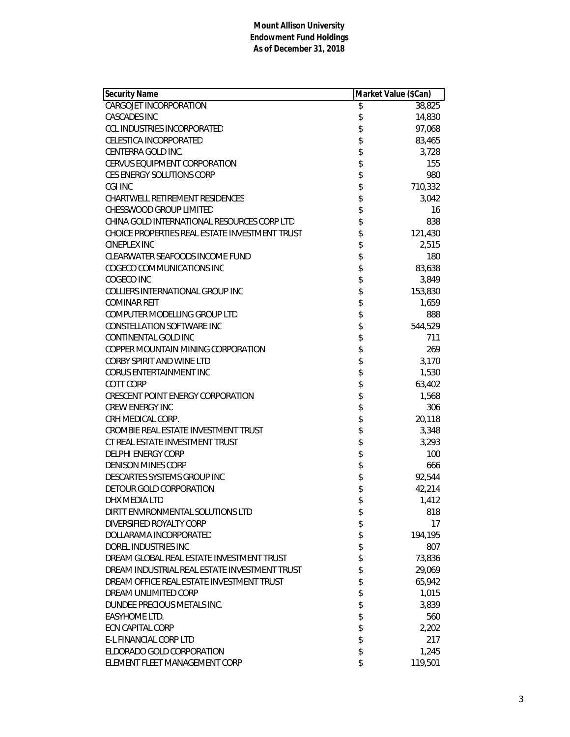| Security Name                                  | Market Value (\$Can) |         |
|------------------------------------------------|----------------------|---------|
| CARGOJET INCORPORATION                         | \$                   | 38,825  |
| <b>CASCADES INC</b>                            | \$                   | 14,830  |
| <b>CCL INDUSTRIES INCORPORATED</b>             | \$                   | 97,068  |
| <b>CELESTICA INCORPORATED</b>                  | \$                   | 83,465  |
| CENTERRA GOLD INC.                             | \$                   | 3,728   |
| CERVUS EQUIPMENT CORPORATION                   | \$                   | 155     |
| CES ENERGY SOLUTIONS CORP                      |                      | 980     |
| CGI INC                                        | \$\$\$\$             | 710,332 |
| CHARTWELL RETIREMENT RESIDENCES                |                      | 3,042   |
| CHESSWOOD GROUP LIMITED                        |                      | 16      |
| CHINA GOLD INTERNATIONAL RESOURCES CORP LTD    | \$                   | 838     |
| CHOICE PROPERTIES REAL ESTATE INVESTMENT TRUST | \$                   | 121,430 |
| CINEPLEX INC                                   | \$                   | 2,515   |
| CLEARWATER SEAFOODS INCOME FUND                |                      | 180     |
| COGECO COMMUNICATIONS INC                      | \$                   | 83,638  |
| COGECO INC                                     | \$                   | 3,849   |
| COLLIERS INTERNATIONAL GROUP INC               | \$                   | 153,830 |
| <b>COMINAR REIT</b>                            | \$                   | 1,659   |
| COMPUTER MODELLING GROUP LTD                   | \$                   | 888     |
| CONSTELLATION SOFTWARE INC                     | \$                   | 544,529 |
| CONTINENTAL GOLD INC                           | \$                   | 711     |
| COPPER MOUNTAIN MINING CORPORATION             | \$                   | 269     |
| CORBY SPIRIT AND WINE LTD                      | \$                   | 3,170   |
| <b>CORUS ENTERTAINMENT INC</b>                 | \$                   | 1,530   |
| COTT CORP                                      | \$                   | 63,402  |
| <b>CRESCENT POINT ENERGY CORPORATION</b>       | \$                   | 1,568   |
| <b>CREW ENERGY INC</b>                         | \$                   | 306     |
| CRH MEDICAL CORP.                              | \$                   | 20,118  |
| CROMBIE REAL ESTATE INVESTMENT TRUST           | \$                   | 3,348   |
| CT REAL ESTATE INVESTMENT TRUST                | \$                   | 3,293   |
| <b>DELPHI ENERGY CORP</b>                      | \$                   | 100     |
| <b>DENISON MINES CORP</b>                      | \$                   | 666     |
| DESCARTES SYSTEMS GROUP INC                    |                      | 92,544  |
| DETOUR GOLD CORPORATION                        | \$                   | 42,214  |
| DHX MEDIA LTD                                  | \$                   | 1,412   |
| DIRTT ENVIRONMENTAL SOLUTIONS LTD              | \$                   | 818     |
| DIVERSIFIED ROYALTY CORP                       | \$                   | 17      |
| DOLLARAMA INCORPORATED                         | \$                   | 194,195 |
| DOREL INDUSTRIES INC                           | \$                   | 807     |
| DREAM GLOBAL REAL ESTATE INVESTMENT TRUST      | \$                   | 73,836  |
| DREAM INDUSTRIAL REAL ESTATE INVESTMENT TRUST  | \$                   | 29,069  |
| DREAM OFFICE REAL ESTATE INVESTMENT TRUST      | \$                   | 65,942  |
| DREAM UNLIMITED CORP                           | \$                   | 1,015   |
| DUNDEE PRECIOUS METALS INC.                    | \$                   | 3,839   |
| EASYHOME LTD.                                  | \$\$                 | 560     |
| <b>ECN CAPITAL CORP</b>                        |                      | 2,202   |
| E-L FINANCIAL CORP LTD                         |                      | 217     |
| ELDORADO GOLD CORPORATION                      | \$                   | 1,245   |
| ELEMENT FLEET MANAGEMENT CORP                  | \$                   | 119,501 |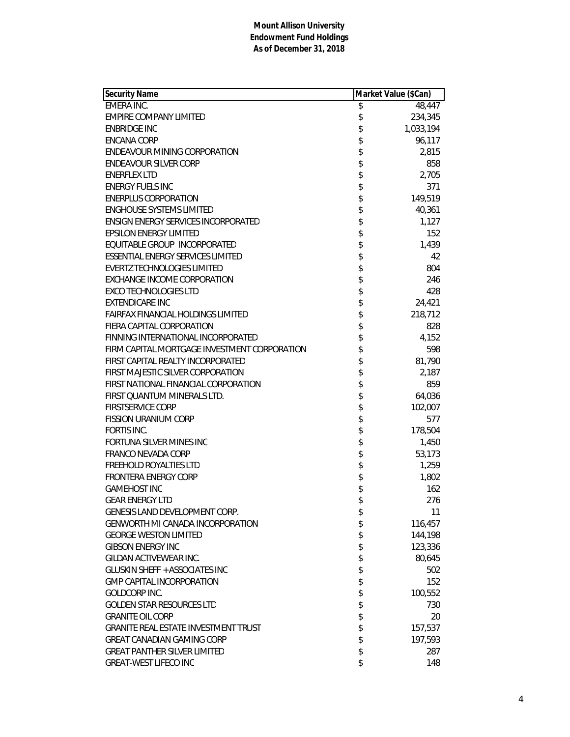| <b>Security Name</b>                         | Market Value (\$Can) |           |
|----------------------------------------------|----------------------|-----------|
| EMERA INC.                                   | \$                   | 48,447    |
| <b>EMPIRE COMPANY LIMITED</b>                | \$                   | 234,345   |
| <b>ENBRIDGE INC</b>                          | \$                   | 1,033,194 |
| <b>ENCANA CORP</b>                           | \$                   | 96,117    |
| <b>ENDEAVOUR MINING CORPORATION</b>          | \$                   | 2,815     |
| <b>ENDEAVOUR SILVER CORP</b>                 |                      | 858       |
| <b>ENERFLEX LTD</b>                          | \$<br>\$             | 2,705     |
| <b>ENERGY FUELS INC</b>                      |                      | 371       |
| <b>ENERPLUS CORPORATION</b>                  |                      | 149,519   |
| <b>ENGHOUSE SYSTEMS LIMITED</b>              |                      | 40,361    |
| <b>ENSIGN ENERGY SERVICES INCORPORATED</b>   |                      | 1,127     |
| <b>EPSILON ENERGY LIMITED</b>                |                      | 152       |
| EQUITABLE GROUP INCORPORATED                 |                      | 1,439     |
| <b>ESSENTIAL ENERGY SERVICES LIMITED</b>     |                      | 42        |
| <b>EVERTZ TECHNOLOGIES LIMITED</b>           | おおまままま               | 804       |
| <b>EXCHANGE INCOME CORPORATION</b>           | \$                   | 246       |
| <b>EXCO TECHNOLOGIES LTD</b>                 |                      | 428       |
| <b>EXTENDICARE INC</b>                       | \$<br>\$             | 24,421    |
| <b>FAIRFAX FINANCIAL HOLDINGS LIMITED</b>    |                      | 218,712   |
| FIERA CAPITAL CORPORATION                    | \$                   | 828       |
| FINNING INTERNATIONAL INCORPORATED           | \$                   | 4,152     |
| FIRM CAPITAL MORTGAGE INVESTMENT CORPORATION | \$                   | 598       |
| FIRST CAPITAL REALTY INCORPORATED            |                      | 81,790    |
| FIRST MAJESTIC SILVER CORPORATION            | \$\$\$\$             | 2,187     |
| FIRST NATIONAL FINANCIAL CORPORATION         |                      | 859       |
| FIRST QUANTUM MINERALS LTD.                  |                      | 64,036    |
| <b>FIRSTSERVICE CORP</b>                     | \$                   | 102,007   |
| <b>FISSION URANIUM CORP</b>                  |                      | 577       |
| FORTIS INC.                                  | \$                   | 178,504   |
| FORTUNA SILVER MINES INC                     | \$                   | 1,450     |
| <b>FRANCO NEVADA CORP</b>                    |                      | 53,173    |
| FREEHOLD ROYALTIES LTD                       | \$<br>\$             | 1,259     |
| <b>FRONTERA ENERGY CORP</b>                  |                      | 1,802     |
| <b>GAMEHOST INC</b>                          | \$                   | 162       |
| <b>GEAR ENERGY LTD</b>                       | \$                   | 276       |
| GENESIS LAND DEVELOPMENT CORP.               | \$                   | 11        |
| <b>GENWORTH MI CANADA INCORPORATION</b>      | \$                   | 116,457   |
| <b>GEORGE WESTON LIMITED</b>                 | \$                   | 144,198   |
| <b>GIBSON ENERGY INC</b>                     | \$                   | 123,336   |
| GILDAN ACTIVEWEAR INC.                       | \$                   | 80,645    |
| <b>GLUSKIN SHEFF + ASSOCIATES INC</b>        | \$                   | 502       |
| <b>GMP CAPITAL INCORPORATION</b>             | \$<br>\$             | 152       |
| <b>GOLDCORP INC.</b>                         |                      | 100,552   |
| <b>GOLDEN STAR RESOURCES LTD</b>             | \$                   | 730       |
| <b>GRANITE OIL CORP</b>                      | \$                   | 20        |
| <b>GRANITE REAL ESTATE INVESTMENT TRUST</b>  | \$                   | 157,537   |
| <b>GREAT CANADIAN GAMING CORP</b>            | \$                   | 197,593   |
| <b>GREAT PANTHER SILVER LIMITED</b>          | \$                   | 287       |
| <b>GREAT-WEST LIFECO INC</b>                 | \$                   | 148       |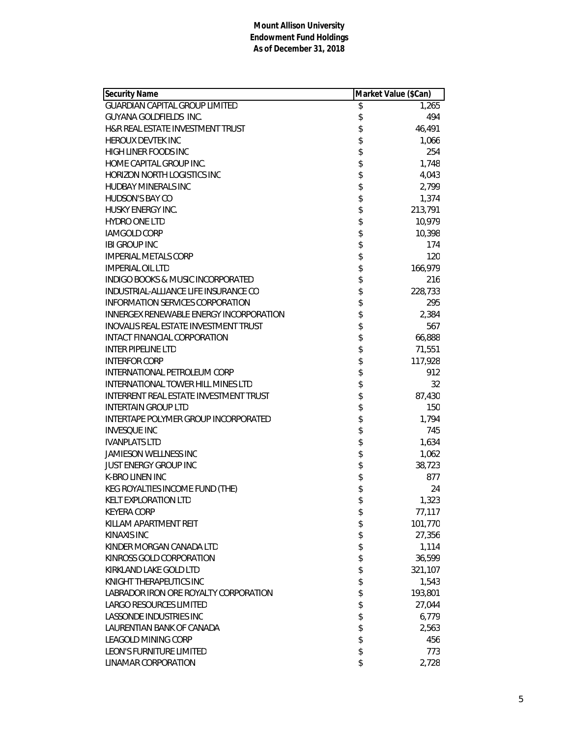| <b>Security Name</b>                         | Market Value (\$Can) |         |
|----------------------------------------------|----------------------|---------|
| <b>GUARDIAN CAPITAL GROUP LIMITED</b>        | \$                   | 1,265   |
| <b>GUYANA GOLDFIELDS INC.</b>                | \$                   | 494     |
| H&R REAL ESTATE INVESTMENT TRUST             | \$                   | 46,491  |
| <b>HEROUX DEVTEK INC</b>                     |                      | 1,066   |
| HIGH LINER FOODS INC                         | \$\$\$\$\$           | 254     |
| HOME CAPITAL GROUP INC.                      |                      | 1,748   |
| <b>HORIZON NORTH LOGISTICS INC</b>           |                      | 4,043   |
| <b>HUDBAY MINERALS INC</b>                   |                      | 2,799   |
| HUDSON'S BAY CO                              |                      | 1,374   |
| HUSKY ENERGY INC.                            |                      | 213,791 |
| <b>HYDRO ONE LTD</b>                         | \$\$\$\$\$\$         | 10,979  |
| <b>IAMGOLD CORP</b>                          |                      | 10,398  |
| <b>IBI GROUP INC</b>                         |                      | 174     |
| <b>IMPERIAL METALS CORP</b>                  |                      | 120     |
| <b>IMPERIAL OIL LTD</b>                      | \$                   | 166,979 |
| <b>INDIGO BOOKS &amp; MUSIC INCORPORATED</b> |                      | 216     |
| INDUSTRIAL-ALLIANCE LIFE INSURANCE CO        | \$                   | 228,733 |
| INFORMATION SERVICES CORPORATION             |                      | 295     |
| INNERGEX RENEWABLE ENERGY INCORPORATION      | \$                   | 2,384   |
| <b>INOVALIS REAL ESTATE INVESTMENT TRUST</b> | \$                   | 567     |
| INTACT FINANCIAL CORPORATION                 | \$                   | 66,888  |
| <b>INTER PIPELINE LTD</b>                    | \$                   | 71,551  |
| <b>INTERFOR CORP</b>                         |                      | 117,928 |
| INTERNATIONAL PETROLEUM CORP                 |                      | 912     |
| <b>INTERNATIONAL TOWER HILL MINES LTD</b>    | \$\$\$\$             | 32      |
| INTERRENT REAL ESTATE INVESTMENT TRUST       |                      | 87,430  |
| <b>INTERTAIN GROUP LTD</b>                   | \$                   | 150     |
| INTERTAPE POLYMER GROUP INCORPORATED         | \$                   | 1,794   |
| <b>INVESQUE INC</b>                          |                      | 745     |
| <b>IVANPLATS LTD</b>                         | \$                   | 1,634   |
| <b>JAMIESON WELLNESS INC</b>                 |                      | 1,062   |
| <b>JUST ENERGY GROUP INC</b>                 | \$\$                 | 38,723  |
| <b>K-BRO LINEN INC</b>                       |                      | 877     |
| KEG ROYALTIES INCOME FUND (THE)              | \$                   | 24      |
| KELT EXPLORATION LTD                         | \$                   | 1,323   |
| <b>KEYERA CORP</b>                           | \$                   | 77,117  |
| KILLAM APARTMENT REIT                        | \$                   | 101,770 |
| <b>KINAXIS INC</b>                           | \$                   | 27,356  |
| KINDER MORGAN CANADA LTD                     | \$                   | 1,114   |
| KINROSS GOLD CORPORATION                     | \$                   | 36,599  |
| KIRKLAND LAKE GOLD LTD                       | \$                   | 321,107 |
| KNIGHT THERAPEUTICS INC                      | \$                   | 1,543   |
| LABRADOR IRON ORE ROYALTY CORPORATION        | \$                   | 193,801 |
| LARGO RESOURCES LIMITED                      | \$                   | 27,044  |
| LASSONDE INDUSTRIES INC                      | \$                   | 6,779   |
| LAURENTIAN BANK OF CANADA                    | \$                   | 2,563   |
| LEAGOLD MINING CORP                          | \$                   | 456     |
| LEON'S FURNITURE LIMITED                     | \$                   | 773     |
| LINAMAR CORPORATION                          | \$                   | 2,728   |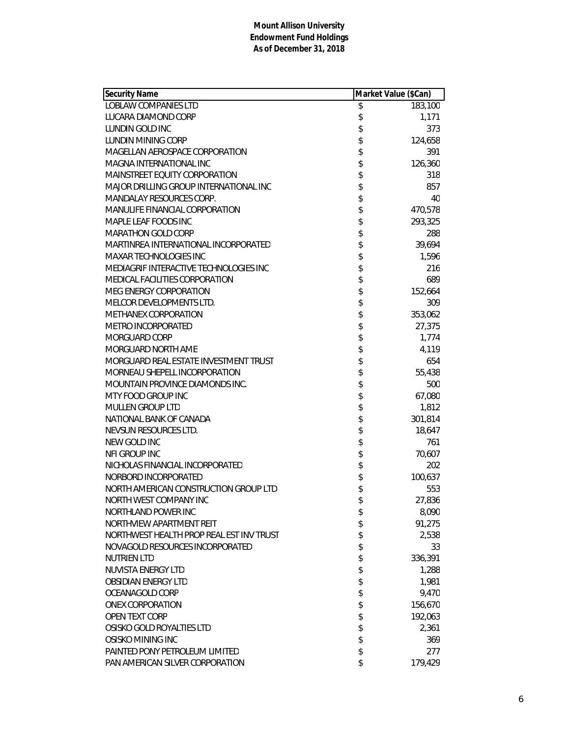| <b>Security Name</b>                     | Market Value (\$Can) |         |
|------------------------------------------|----------------------|---------|
| <b>LOBLAW COMPANIES LTD</b>              | \$                   | 183,100 |
| LUCARA DIAMOND CORP                      | \$                   | 1,171   |
| LUNDIN GOLD INC                          | \$                   | 373     |
| LUNDIN MINING CORP                       | \$                   | 124,658 |
| MAGELLAN AEROSPACE CORPORATION           | \$                   | 391     |
| MAGNA INTERNATIONAL INC                  | \$                   | 126,360 |
| MAINSTREET EQUITY CORPORATION            | \$                   | 318     |
| MAJOR DRILLING GROUP INTERNATIONAL INC   | \$                   | 857     |
| <b>MANDALAY RESOURCES CORP.</b>          | \$                   | 40      |
| MANULIFE FINANCIAL CORPORATION           | \$                   | 470,578 |
| MAPLE LEAF FOODS INC                     | \$                   | 293,325 |
| <b>MARATHON GOLD CORP</b>                | \$                   | 288     |
| MARTINREA INTERNATIONAL INCORPORATED     | \$                   | 39,694  |
| <b>MAXAR TECHNOLOGIES INC</b>            | \$                   | 1,596   |
| MEDIAGRIF INTERACTIVE TECHNOLOGIES INC   | \$                   | 216     |
| MEDICAL FACILITIES CORPORATION           | \$                   | 689     |
| <b>MEG ENERGY CORPORATION</b>            | \$                   | 152,664 |
| MELCOR DEVELOPMENTS LTD.                 | \$                   | 309     |
| <b>METHANEX CORPORATION</b>              | \$                   | 353,062 |
| METRO INCORPORATED                       | \$                   | 27,375  |
| MORGUARD CORP                            | \$                   | 1,774   |
| MORGUARD NORTH AME                       | \$                   | 4,119   |
| MORGUARD REAL ESTATE INVESTMENT TRUST    |                      | 654     |
| MORNEAU SHEPELL INCORPORATION            | \$\$                 | 55,438  |
| MOUNTAIN PROVINCE DIAMONDS INC.          |                      | 500     |
| MTY FOOD GROUP INC                       | \$                   | 67,080  |
| MULLEN GROUP LTD                         | \$                   | 1,812   |
| NATIONAL BANK OF CANADA                  | \$                   | 301,814 |
| NEVSUN RESOURCES LTD.                    | \$                   | 18,647  |
| NEW GOLD INC                             | \$                   | 761     |
| NFI GROUP INC                            | \$                   | 70,607  |
| NICHOLAS FINANCIAL INCORPORATED          | \$                   | 202     |
| NORBORD INCORPORATED                     | \$                   | 100,637 |
| NORTH AMERICAN CONSTRUCTION GROUP LTD    | \$                   | 553     |
| NORTH WEST COMPANY INC                   | \$                   | 27,836  |
| NORTHLAND POWER INC                      | \$                   | 8,090   |
| NORTHVIEW APARTMENT REIT                 | \$                   | 91,275  |
| NORTHWEST HEALTH PROP REAL EST INV TRUST | \$                   | 2,538   |
| NOVAGOLD RESOURCES INCORPORATED          | \$                   | 33      |
| <b>NUTRIEN LTD</b>                       | \$                   | 336,391 |
| <b>NUVISTA ENERGY LTD</b>                | \$                   | 1,288   |
| <b>OBSIDIAN ENERGY LTD</b>               | \$                   | 1,981   |
| OCEANAGOLD CORP                          | \$                   | 9,470   |
| <b>ONEX CORPORATION</b>                  | \$                   | 156,670 |
| <b>OPEN TEXT CORP</b>                    | \$                   | 192,063 |
| OSISKO GOLD ROYALTIES LTD                | \$                   | 2,361   |
| OSISKO MINING INC                        | \$                   | 369     |
| PAINTED PONY PETROLEUM LIMITED           | \$                   | 277     |
| PAN AMERICAN SILVER CORPORATION          | \$                   | 179,429 |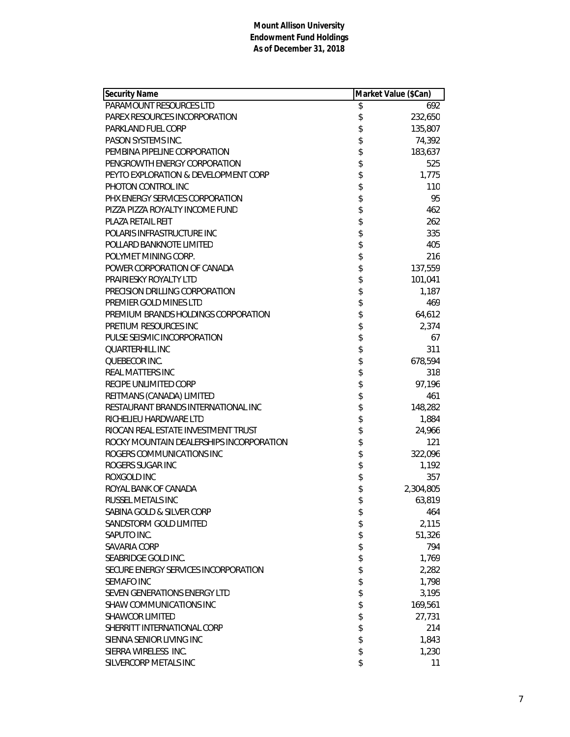| <b>Security Name</b>                     | Market Value (\$Can) |           |
|------------------------------------------|----------------------|-----------|
| PARAMOUNT RESOURCES LTD                  | \$                   | 692       |
| PAREX RESOURCES INCORPORATION            | \$                   | 232,650   |
| <b>PARKLAND FUEL CORP</b>                | \$                   | 135,807   |
| PASON SYSTEMS INC.                       | \$                   | 74,392    |
| PEMBINA PIPELINE CORPORATION             | \$                   | 183,637   |
| PENGROWTH ENERGY CORPORATION             | \$                   | 525       |
| PEYTO EXPLORATION & DEVELOPMENT CORP     | \$                   | 1,775     |
| PHOTON CONTROL INC                       | \$                   | 110       |
| PHX ENERGY SERVICES CORPORATION          | \$                   | 95        |
| PIZZA PIZZA ROYALTY INCOME FUND          | \$                   | 462       |
| <b>PLAZA RETAIL REIT</b>                 | \$                   | 262       |
| POLARIS INFRASTRUCTURE INC               | \$<br>\$             | 335       |
| POLLARD BANKNOTE LIMITED                 |                      | 405       |
| POLYMET MINING CORP.                     | \$                   | 216       |
| POWER CORPORATION OF CANADA              | \$                   | 137,559   |
| PRAIRIESKY ROYALTY LTD                   | \$                   | 101,041   |
| PRECISION DRILLING CORPORATION           | \$                   | 1,187     |
| PREMIER GOLD MINES LTD                   |                      | 469       |
| PREMIUM BRANDS HOLDINGS CORPORATION      | \$                   | 64,612    |
| PRETIUM RESOURCES INC                    | \$                   | 2,374     |
| PULSE SEISMIC INCORPORATION              | \$                   | 67        |
| <b>QUARTERHILL INC</b>                   | \$                   | 311       |
| QUEBECOR INC.                            | \$                   | 678,594   |
| REAL MATTERS INC                         |                      | 318       |
| RECIPE UNLIMITED CORP                    | \$\$                 | 97,196    |
| REITMANS (CANADA) LIMITED                |                      | 461       |
| RESTAURANT BRANDS INTERNATIONAL INC      | \$                   | 148,282   |
| RICHELIEU HARDWARE LTD                   | \$                   | 1,884     |
| RIOCAN REAL ESTATE INVESTMENT TRUST      | \$                   | 24,966    |
| ROCKY MOUNTAIN DEALERSHIPS INCORPORATION | \$                   | 121       |
| ROGERS COMMUNICATIONS INC                | \$                   | 322,096   |
| ROGERS SUGAR INC                         | \$                   | 1,192     |
| ROXGOLD INC                              | \$                   | 357       |
| ROYAL BANK OF CANADA                     | \$                   | 2,304,805 |
| RUSSEL METALS INC                        | \$                   | 63,819    |
| SABINA GOLD & SILVER CORP                | \$                   | 464       |
| SANDSTORM GOLD LIMITED                   | \$                   | 2,115     |
| SAPUTO INC.                              | \$                   | 51,326    |
| SAVARIA CORP                             | \$                   | 794       |
| SEABRIDGE GOLD INC.                      | \$                   | 1,769     |
| SECURE ENERGY SERVICES INCORPORATION     | \$                   | 2,282     |
| <b>SEMAFO INC</b>                        | \$                   | 1,798     |
| SEVEN GENERATIONS ENERGY LTD             | \$                   | 3,195     |
| SHAW COMMUNICATIONS INC                  | \$                   | 169,561   |
| <b>SHAWCOR LIMITED</b>                   | \$                   | 27,731    |
| SHERRITT INTERNATIONAL CORP              | \$                   | 214       |
| SIENNA SENIOR LIVING INC                 | \$                   | 1,843     |
| SIERRA WIRELESS INC.                     | \$                   | 1,230     |
| SILVERCORP METALS INC                    | \$                   | 11        |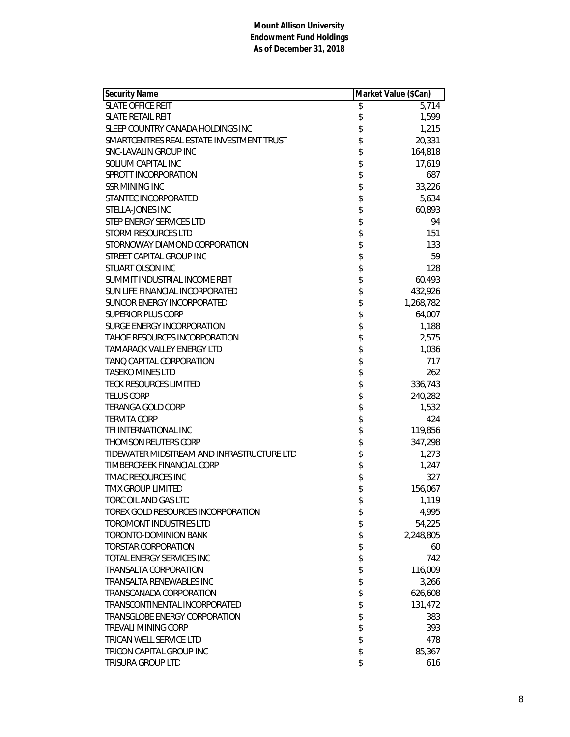| <b>Security Name</b>                       | Market Value (\$Can) |           |
|--------------------------------------------|----------------------|-----------|
| <b>SLATE OFFICE REIT</b>                   | \$                   | 5,714     |
| <b>SLATE RETAIL REIT</b>                   | \$                   | 1,599     |
| SLEEP COUNTRY CANADA HOLDINGS INC          | \$                   | 1,215     |
| SMARTCENTRES REAL ESTATE INVESTMENT TRUST  | \$                   | 20,331    |
| SNC-LAVALIN GROUP INC                      | \$                   | 164,818   |
| SOLIUM CAPITAL INC                         | \$                   | 17,619    |
| SPROTT INCORPORATION                       | \$                   | 687       |
| <b>SSR MINING INC</b>                      | \$                   | 33,226    |
| STANTEC INCORPORATED                       | \$                   | 5,634     |
| STELLA-JONES INC                           | \$                   | 60,893    |
| STEP ENERGY SERVICES LTD                   | \$                   | 94        |
| <b>STORM RESOURCES LTD</b>                 | \$                   | 151       |
| STORNOWAY DIAMOND CORPORATION              | \$<br>\$             | 133       |
| STREET CAPITAL GROUP INC                   |                      | 59        |
| <b>STUART OLSON INC</b>                    | \$                   | 128       |
| SUMMIT INDUSTRIAL INCOME REIT              | \$                   | 60,493    |
| SUN LIFE FINANCIAL INCORPORATED            | \$                   | 432,926   |
| SUNCOR ENERGY INCORPORATED                 | \$                   | 1,268,782 |
| <b>SUPERIOR PLUS CORP</b>                  | \$                   | 64,007    |
| SURGE ENERGY INCORPORATION                 | \$                   | 1,188     |
| TAHOE RESOURCES INCORPORATION              | \$                   | 2,575     |
| <b>TAMARACK VALLEY ENERGY LTD</b>          | \$                   | 1,036     |
| TANQ CAPITAL CORPORATION                   | \$                   | 717       |
| <b>TASEKO MINES LTD</b>                    |                      | 262       |
| <b>TECK RESOURCES LIMITED</b>              | \$                   | 336,743   |
| <b>TELUS CORP</b>                          | \$                   | 240,282   |
| <b>TERANGA GOLD CORP</b>                   | \$                   | 1,532     |
| <b>TERVITA CORP</b>                        | \$                   | 424       |
| TFI INTERNATIONAL INC                      | \$                   | 119,856   |
| THOMSON REUTERS CORP                       | \$                   | 347,298   |
| TIDEWATER MIDSTREAM AND INFRASTRUCTURE LTD | \$                   | 1,273     |
| TIMBERCREEK FINANCIAL CORP                 | \$                   | 1,247     |
| <b>TMAC RESOURCES INC</b>                  | \$                   | 327       |
| <b>TMX GROUP LIMITED</b>                   | \$                   | 156,067   |
| TORC OIL AND GAS LTD                       | \$                   | 1,119     |
| TOREX GOLD RESOURCES INCORPORATION         | \$                   | 4,995     |
| <b>TOROMONT INDUSTRIES LTD</b>             | \$                   | 54,225    |
| TORONTO-DOMINION BANK                      | \$                   | 2,248,805 |
| <b>TORSTAR CORPORATION</b>                 | \$                   | 60        |
| TOTAL ENERGY SERVICES INC                  | \$                   | 742       |
| TRANSALTA CORPORATION                      | \$                   | 116,009   |
| TRANSALTA RENEWABLES INC                   | \$                   | 3,266     |
| TRANSCANADA CORPORATION                    | \$                   | 626,608   |
| TRANSCONTINENTAL INCORPORATED              | \$                   | 131,472   |
| TRANSGLOBE ENERGY CORPORATION              | \$                   | 383       |
| TREVALI MINING CORP                        | \$                   | 393       |
| TRICAN WELL SERVICE LTD                    | \$                   | 478       |
| TRICON CAPITAL GROUP INC                   | \$                   | 85,367    |
| TRISURA GROUP LTD                          | \$                   | 616       |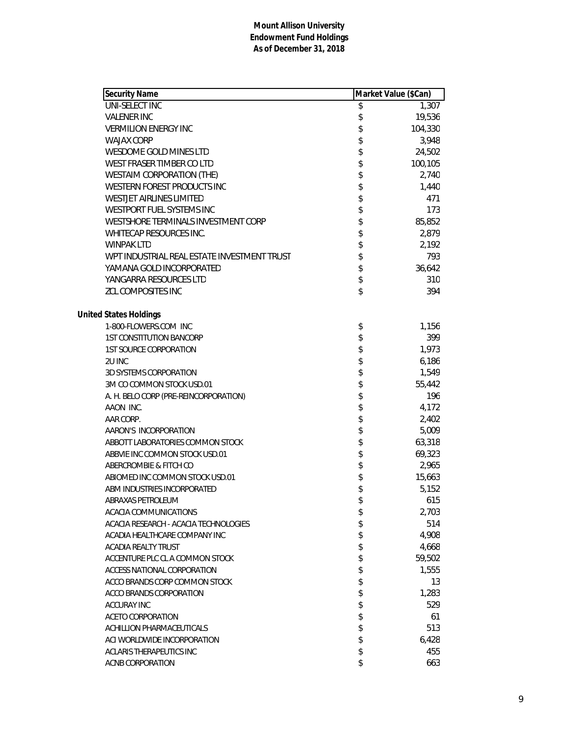| Security Name                               | Market Value (\$Can) |
|---------------------------------------------|----------------------|
| UNI-SELECT INC                              | \$<br>1,307          |
| <b>VALENER INC</b>                          | \$<br>19,536         |
| <b>VERMILION ENERGY INC</b>                 | \$<br>104,330        |
| <b>WAJAX CORP</b>                           | \$<br>3,948          |
| WESDOME GOLD MINES LTD                      | \$<br>24,502         |
| WEST FRASER TIMBER CO LTD                   | \$<br>100,105        |
| <b>WESTAIM CORPORATION (THE)</b>            | \$<br>2,740          |
| WESTERN FOREST PRODUCTS INC                 | \$<br>1,440          |
| <b>WESTJET AIRLINES LIMITED</b>             | \$<br>471            |
| WESTPORT FUEL SYSTEMS INC                   | \$<br>173            |
| WESTSHORE TERMINALS INVESTMENT CORP         | \$<br>85,852         |
| WHITECAP RESOURCES INC.                     | \$<br>2,879          |
| <b>WINPAK LTD</b>                           | \$<br>2,192          |
| WPT INDUSTRIAL REAL ESTATE INVESTMENT TRUST | \$<br>793            |
| YAMANA GOLD INCORPORATED                    | \$<br>36,642         |
| YANGARRA RESOURCES LTD                      | \$<br>310            |
| <b>ZCL COMPOSITES INC</b>                   | \$<br>394            |
|                                             |                      |
| <b>United States Holdings</b>               |                      |
| 1-800-FLOWERS.COM INC                       | \$<br>1,156          |
| <b>1ST CONSTITUTION BANCORP</b>             | \$<br>399            |
| <b>1ST SOURCE CORPORATION</b>               | \$<br>1,973          |
| 2U INC                                      | \$<br>6,186          |
| <b>3D SYSTEMS CORPORATION</b>               | \$<br>1,549          |
| 3M CO COMMON STOCK USD.01                   | \$<br>55,442         |
| A. H. BELO CORP (PRE-REINCORPORATION)       | \$<br>196            |
| AAON INC.                                   | \$<br>4,172          |
| AAR CORP.                                   | \$<br>2,402          |
| AARON'S INCORPORATION                       | \$<br>5,009          |
| ABBOTT LABORATORIES COMMON STOCK            | \$<br>63,318         |
| ABBVIE INC COMMON STOCK USD.01              | \$<br>69,323         |
| ABERCROMBIE & FITCH CO                      | \$<br>2,965          |
| ABIOMED INC COMMON STOCK USD.01             | \$<br>15,663         |
| ABM INDUSTRIES INCORPORATED                 | \$<br>5,152          |
| <b>ABRAXAS PETROLEUM</b>                    | \$<br>615            |
| ACACIA COMMUNICATIONS                       | \$<br>2,703          |
| ACACIA RESEARCH - ACACIA TECHNOLOGIES       | \$<br>514            |
| ACADIA HEALTHCARE COMPANY INC               | \$<br>4,908          |
| ACADIA REALTY TRUST                         | \$<br>4,668          |
| ACCENTURE PLC CL A COMMON STOCK             | \$<br>59,502         |
| ACCESS NATIONAL CORPORATION                 | \$<br>1,555          |
| ACCO BRANDS CORP COMMON STOCK               | \$<br>13             |
| ACCO BRANDS CORPORATION                     | \$<br>1,283          |
| <b>ACCURAY INC</b>                          | \$<br>529            |
| ACETO CORPORATION                           | \$<br>61             |
| ACHILLION PHARMACEUTICALS                   | \$<br>513            |
| ACI WORLDWIDE INCORPORATION                 | \$<br>6,428          |
| ACLARIS THERAPEUTICS INC                    | \$<br>455            |
| ACNB CORPORATION                            | \$<br>663            |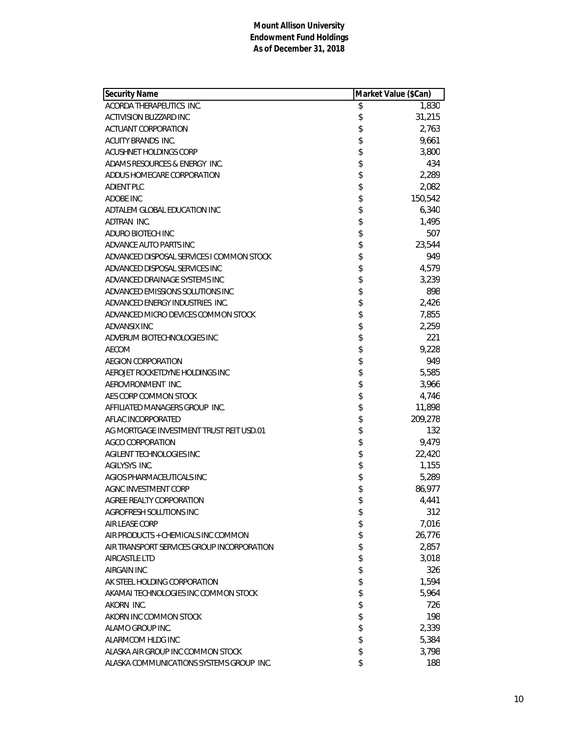| <b>Security Name</b>                       | Market Value (\$Can) |         |
|--------------------------------------------|----------------------|---------|
| ACORDA THERAPEUTICS INC.                   | \$                   | 1,830   |
| <b>ACTIVISION BLIZZARD INC</b>             | \$                   | 31,215  |
| ACTUANT CORPORATION                        | \$                   | 2,763   |
| ACUITY BRANDS INC.                         | \$                   | 9,661   |
| ACUSHNET HOLDINGS CORP                     | \$                   | 3,800   |
| ADAMS RESOURCES & ENERGY INC.              | \$                   | 434     |
| ADDUS HOMECARE CORPORATION                 | \$                   | 2,289   |
| <b>ADIENT PLC</b>                          | \$                   | 2,082   |
| <b>ADOBE INC</b>                           | \$                   | 150,542 |
| ADTALEM GLOBAL EDUCATION INC               | \$                   | 6,340   |
| ADTRAN INC.                                | \$                   | 1,495   |
| ADURO BIOTECH INC                          | \$                   | 507     |
| ADVANCE AUTO PARTS INC                     | \$                   | 23,544  |
| ADVANCED DISPOSAL SERVICES I COMMON STOCK  | \$                   | 949     |
| ADVANCED DISPOSAL SERVICES INC             | \$                   | 4,579   |
| ADVANCED DRAINAGE SYSTEMS INC              | \$                   | 3,239   |
| ADVANCED EMISSIONS SOLUTIONS INC           | \$                   | 898     |
| ADVANCED ENERGY INDUSTRIES INC.            | \$                   | 2,426   |
| ADVANCED MICRO DEVICES COMMON STOCK        | \$                   | 7,855   |
| ADVANSIX INC                               | \$                   | 2,259   |
| ADVERUM BIOTECHNOLOGIES INC                | \$                   | 221     |
| AECOM                                      | \$                   | 9,228   |
| <b>AEGION CORPORATION</b>                  | \$                   | 949     |
| AEROJET ROCKETDYNE HOLDINGS INC            | \$                   | 5,585   |
| AEROVIRONMENT INC.                         | \$                   | 3,966   |
| AES CORP COMMON STOCK                      | \$                   | 4,746   |
| AFFILIATED MANAGERS GROUP INC.             | \$                   | 11,898  |
| AFLAC INCORPORATED                         | \$                   | 209,278 |
| AG MORTGAGE INVESTMENT TRUST REIT USD.01   | \$                   | 132     |
| <b>AGCO CORPORATION</b>                    | \$                   | 9,479   |
| AGILENT TECHNOLOGIES INC                   | \$                   | 22,420  |
| AGILYSYS INC.                              | \$                   | 1,155   |
| AGIOS PHARMACEUTICALS INC                  | \$                   | 5,289   |
| AGNC INVESTMENT CORP                       | \$                   | 86,977  |
| AGREE REALTY CORPORATION                   | \$                   | 4,441   |
| AGROFRESH SOLUTIONS INC                    | \$                   | 312     |
| <b>AIR LEASE CORP</b>                      | \$                   | 7,016   |
| AIR PRODUCTS + CHEMICALS INC COMMON        | \$                   | 26,776  |
| AIR TRANSPORT SERVICES GROUP INCORPORATION | \$                   | 2,857   |
| <b>AIRCASTLE LTD</b>                       | \$                   | 3,018   |
| AIRGAIN INC                                | \$                   | 326     |
| AK STEEL HOLDING CORPORATION               | \$                   | 1,594   |
| AKAMAI TECHNOLOGIES INC COMMON STOCK       | \$                   | 5,964   |
| AKORN INC.                                 | \$                   | 726     |
| AKORN INC COMMON STOCK                     | \$                   | 198     |
| ALAMO GROUP INC.                           | \$                   | 2,339   |
| ALARMCOM HLDG INC                          | \$                   | 5,384   |
| ALASKA AIR GROUP INC COMMON STOCK          | \$                   | 3,798   |
| ALASKA COMMUNICATIONS SYSTEMS GROUP INC.   | \$                   | 188     |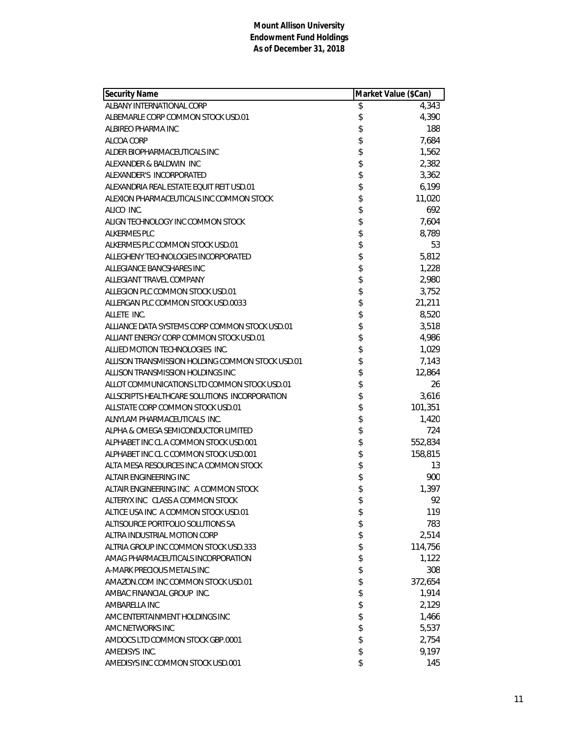| <b>Security Name</b>                             | Market Value (\$Can) |         |
|--------------------------------------------------|----------------------|---------|
| ALBANY INTERNATIONAL CORP                        | \$                   | 4,343   |
| ALBEMARLE CORP COMMON STOCK USD.01               | \$                   | 4,390   |
| ALBIREO PHARMA INC                               | \$                   | 188     |
| ALCOA CORP                                       | \$                   | 7,684   |
| ALDER BIOPHARMACEUTICALS INC                     | \$                   | 1,562   |
| ALEXANDER & BALDWIN INC                          | \$                   | 2,382   |
| ALEXANDER'S INCORPORATED                         | \$                   | 3,362   |
| ALEXANDRIA REAL ESTATE EQUIT REIT USD.01         | \$                   | 6,199   |
| ALEXION PHARMACEUTICALS INC COMMON STOCK         | \$                   | 11,020  |
| ALICO INC.                                       | \$                   | 692     |
| ALIGN TECHNOLOGY INC COMMON STOCK                | \$                   | 7,604   |
| <b>ALKERMES PLC</b>                              | \$                   | 8,789   |
| ALKERMES PLC COMMON STOCK USD.01                 | \$                   | 53      |
| ALLEGHENY TECHNOLOGIES INCORPORATED              | \$                   | 5,812   |
| ALLEGIANCE BANCSHARES INC                        | \$                   | 1,228   |
| ALLEGIANT TRAVEL COMPANY                         | \$                   | 2,980   |
| ALLEGION PLC COMMON STOCK USD.01                 | \$                   | 3,752   |
| ALLERGAN PLC COMMON STOCK USD.0033               | \$                   | 21,211  |
| ALLETE INC.                                      | \$                   | 8,520   |
| ALLIANCE DATA SYSTEMS CORP COMMON STOCK USD.01   | \$                   | 3,518   |
| ALLIANT ENERGY CORP COMMON STOCK USD.01          | \$                   | 4,986   |
| ALLIED MOTION TECHNOLOGIES INC.                  | \$                   | 1,029   |
| ALLISON TRANSMISSION HOLDING COMMON STOCK USD.01 | \$                   | 7,143   |
| ALLISON TRANSMISSION HOLDINGS INC                | \$                   | 12,864  |
| ALLOT COMMUNICATIONS LTD COMMON STOCK USD.01     | \$                   | 26      |
| ALLSCRIPTS HEALTHCARE SOLUTIONS INCORPORATION    | \$                   | 3,616   |
| ALLSTATE CORP COMMON STOCK USD.01                | \$                   | 101,351 |
| ALNYLAM PHARMACEUTICALS INC.                     | \$                   | 1,420   |
| ALPHA & OMEGA SEMICONDUCTOR LIMITED              | \$                   | 724     |
| ALPHABET INC CL A COMMON STOCK USD.001           | \$                   | 552,834 |
| ALPHABET INC CL C COMMON STOCK USD.001           | \$                   | 158,815 |
| ALTA MESA RESOURCES INC A COMMON STOCK           | \$                   | 13      |
| ALTAIR ENGINEERING INC                           | \$                   | 900     |
| ALTAIR ENGINEERING INC A COMMON STOCK            | \$                   | 1,397   |
| ALTERYX INC CLASS A COMMON STOCK                 | \$                   | 92      |
| ALTICE USA INC A COMMON STOCK USD.01             | \$                   | 119     |
| ALTISOURCE PORTFOLIO SOLUTIONS SA                | \$                   | 783     |
| ALTRA INDUSTRIAL MOTION CORP                     | \$                   | 2,514   |
| ALTRIA GROUP INC COMMON STOCK USD.333            | \$                   | 114,756 |
| AMAG PHARMACEUTICALS INCORPORATION               | \$                   | 1,122   |
| A-MARK PRECIOUS METALS INC                       | \$                   | 308     |
| AMAZON.COM INC COMMON STOCK USD.01               | \$                   | 372,654 |
| AMBAC FINANCIAL GROUP INC.                       | \$                   | 1,914   |
| AMBARELLA INC                                    | \$                   | 2,129   |
| AMC ENTERTAINMENT HOLDINGS INC                   | \$                   | 1,466   |
| AMC NETWORKS INC                                 | \$                   | 5,537   |
| AMDOCS LTD COMMON STOCK GBP.0001                 | \$                   | 2,754   |
| AMEDISYS INC.                                    | \$                   | 9,197   |
| AMEDISYS INC COMMON STOCK USD.001                | \$                   | 145     |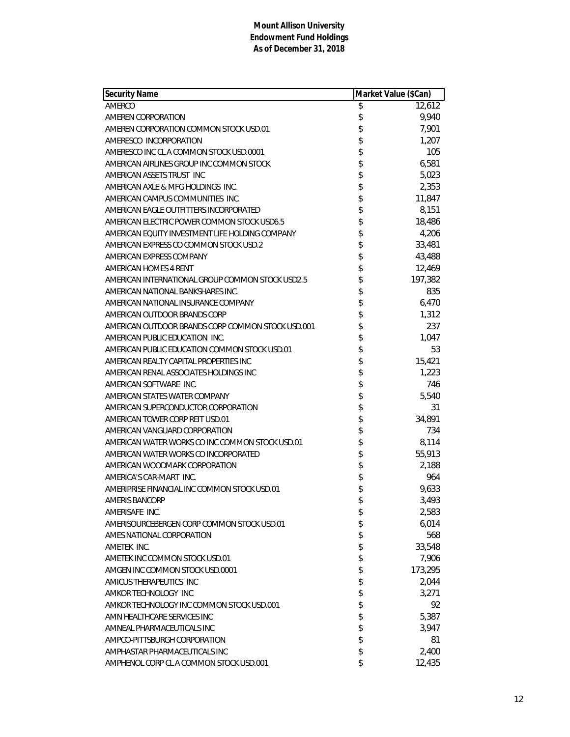| <b>Security Name</b>                              | Market Value (\$Can) |         |
|---------------------------------------------------|----------------------|---------|
| AMERCO                                            | \$                   | 12,612  |
| AMEREN CORPORATION                                | \$                   | 9,940   |
| AMEREN CORPORATION COMMON STOCK USD.01            | \$                   | 7,901   |
| AMERESCO INCORPORATION                            | \$                   | 1,207   |
| AMERESCO INC CL A COMMON STOCK USD.0001           | \$                   | 105     |
| AMERICAN AIRLINES GROUP INC COMMON STOCK          | \$                   | 6,581   |
| AMERICAN ASSETS TRUST INC                         | \$                   | 5,023   |
| AMERICAN AXLE & MFG HOLDINGS INC.                 | \$                   | 2,353   |
| AMERICAN CAMPUS COMMUNITIES INC.                  | \$                   | 11,847  |
| AMERICAN EAGLE OUTFITTERS INCORPORATED            | \$                   | 8,151   |
| AMERICAN ELECTRIC POWER COMMON STOCK USD6.5       | \$                   | 18,486  |
| AMERICAN EQUITY INVESTMENT LIFE HOLDING COMPANY   | \$                   | 4,206   |
| AMERICAN EXPRESS CO COMMON STOCK USD.2            | \$                   | 33,481  |
| AMERICAN EXPRESS COMPANY                          | \$                   | 43,488  |
| AMERICAN HOMES 4 RENT                             | \$                   | 12,469  |
| AMERICAN INTERNATIONAL GROUP COMMON STOCK USD2.5  | \$                   | 197,382 |
| AMERICAN NATIONAL BANKSHARES INC.                 | \$                   | 835     |
| AMERICAN NATIONAL INSURANCE COMPANY               | \$                   | 6,470   |
| AMERICAN OUTDOOR BRANDS CORP                      | \$                   | 1,312   |
| AMERICAN OUTDOOR BRANDS CORP COMMON STOCK USD.001 | \$                   | 237     |
| AMERICAN PUBLIC EDUCATION INC.                    | \$                   | 1,047   |
| AMERICAN PUBLIC EDUCATION COMMON STOCK USD.01     | \$                   | 53      |
| AMERICAN REALTY CAPITAL PROPERTIES INC            | \$                   | 15,421  |
| AMERICAN RENAL ASSOCIATES HOLDINGS INC            | \$                   | 1,223   |
| AMERICAN SOFTWARE INC.                            | \$                   | 746     |
| AMERICAN STATES WATER COMPANY                     | \$                   | 5,540   |
| AMERICAN SUPERCONDUCTOR CORPORATION               | \$                   | 31      |
| AMERICAN TOWER CORP REIT USD.01                   | \$                   | 34,891  |
| AMERICAN VANGUARD CORPORATION                     | \$                   | 734     |
| AMERICAN WATER WORKS CO INC COMMON STOCK USD.01   | \$                   | 8,114   |
| AMERICAN WATER WORKS CO INCORPORATED              | \$                   | 55,913  |
| AMERICAN WOODMARK CORPORATION                     | \$                   | 2,188   |
| AMERICA'S CAR-MART INC.                           | \$                   | 964     |
| AMERIPRISE FINANCIAL INC COMMON STOCK USD.01      | \$                   | 9,633   |
| <b>AMERIS BANCORP</b>                             | \$                   | 3.493   |
| AMERISAFE INC.                                    | \$                   | 2,583   |
| AMERISOURCEBERGEN CORP COMMON STOCK USD.01        | \$                   | 6,014   |
| AMES NATIONAL CORPORATION                         | \$                   | 568     |
| AMETEK INC.                                       | \$                   | 33,548  |
| AMETEK INC COMMON STOCK USD.01                    | \$                   | 7,906   |
| AMGEN INC COMMON STOCK USD.0001                   | \$                   | 173,295 |
| AMICUS THERAPEUTICS INC                           | \$                   | 2,044   |
| AMKOR TECHNOLOGY INC                              | \$                   | 3,271   |
| AMKOR TECHNOLOGY INC COMMON STOCK USD.001         | \$                   | 92      |
| AMN HEALTHCARE SERVICES INC                       | \$                   | 5,387   |
| AMNEAL PHARMACEUTICALS INC                        | \$                   | 3,947   |
| AMPCO-PITTSBURGH CORPORATION                      | \$                   | 81      |
| AMPHASTAR PHARMACEUTICALS INC                     | \$                   | 2,400   |
| AMPHENOL CORP CL A COMMON STOCK USD.001           | \$                   | 12,435  |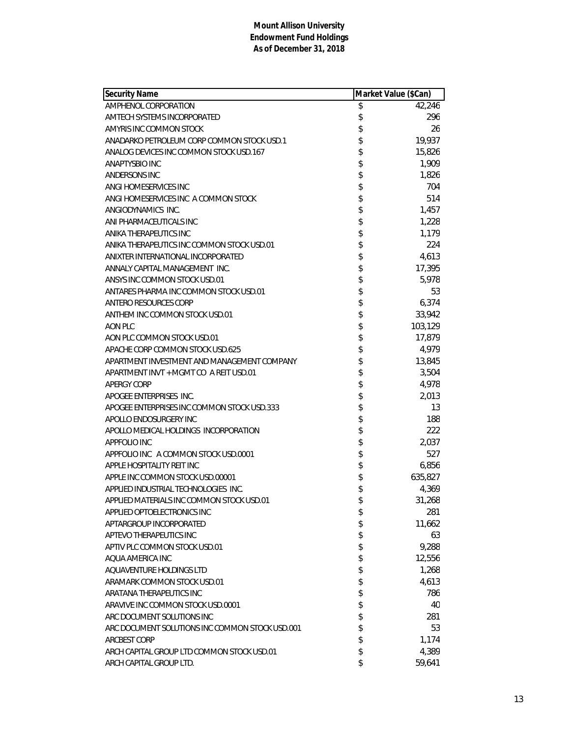| <b>Security Name</b>                            | Market Value (\$Can) |         |
|-------------------------------------------------|----------------------|---------|
| AMPHENOL CORPORATION                            | \$                   | 42,246  |
| AMTECH SYSTEMS INCORPORATED                     | \$                   | 296     |
| AMYRIS INC COMMON STOCK                         | \$                   | 26      |
| ANADARKO PETROLEUM CORP COMMON STOCK USD.1      | \$                   | 19,937  |
| ANALOG DEVICES INC COMMON STOCK USD.167         | \$                   | 15,826  |
| ANAPTYSBIO INC                                  | \$                   | 1,909   |
| ANDERSONS INC                                   | \$                   | 1,826   |
| ANGI HOMESERVICES INC                           | \$                   | 704     |
| ANGI HOMESERVICES INC A COMMON STOCK            | \$                   | 514     |
| ANGIODYNAMICS INC.                              | \$                   | 1,457   |
| ANI PHARMACEUTICALS INC                         | \$                   | 1,228   |
| ANIKA THERAPEUTICS INC                          | \$                   | 1,179   |
| ANIKA THERAPEUTICS INC COMMON STOCK USD.01      | \$                   | 224     |
| ANIXTER INTERNATIONAL INCORPORATED              | \$                   | 4,613   |
| ANNALY CAPITAL MANAGEMENT INC.                  | \$                   | 17,395  |
| ANSYS INC COMMON STOCK USD.01                   | \$                   | 5,978   |
| ANTARES PHARMA INC COMMON STOCK USD.01          | \$                   | 53      |
| ANTERO RESOURCES CORP                           | \$                   | 6,374   |
| ANTHEM INC COMMON STOCK USD.01                  | \$                   | 33,942  |
| AON PLC                                         | \$                   | 103,129 |
| AON PLC COMMON STOCK USD.01                     | \$                   | 17,879  |
| APACHE CORP COMMON STOCK USD.625                | \$                   | 4,979   |
| APARTMENT INVESTMENT AND MANAGEMENT COMPANY     | \$                   | 13,845  |
| APARTMENT INVT + MGMT CO A REIT USD.01          | \$                   | 3,504   |
| <b>APERGY CORP</b>                              | \$                   | 4,978   |
| APOGEE ENTERPRISES INC.                         | \$                   | 2,013   |
| APOGEE ENTERPRISES INC COMMON STOCK USD.333     | \$                   | 13      |
| APOLLO ENDOSURGERY INC                          | \$                   | 188     |
| APOLLO MEDICAL HOLDINGS INCORPORATION           | \$                   | 222     |
| APPFOLIO INC                                    | \$                   | 2,037   |
| APPFOLIO INC A COMMON STOCK USD.0001            | \$                   | 527     |
| APPLE HOSPITALITY REIT INC                      | \$                   | 6,856   |
| APPLE INC COMMON STOCK USD 00001                | \$                   | 635,827 |
| APPLIED INDUSTRIAL TECHNOLOGIES INC.            | \$                   | 4,369   |
| APPLIED MATERIALS INC COMMON STOCK USD.01       | \$                   | 31,268  |
| APPLIED OPTOELECTRONICS INC                     | \$                   | 281     |
| APTARGROUP INCORPORATED                         | \$                   | 11,662  |
| APTEVO THERAPEUTICS INC                         | \$                   | 63      |
| APTIV PLC COMMON STOCK USD.01                   | \$                   | 9,288   |
| AQUA AMERICA INC                                | \$                   | 12,556  |
| AOUAVENTURE HOLDINGS LTD                        | \$                   | 1,268   |
| ARAMARK COMMON STOCK USD.01                     | \$                   | 4,613   |
| ARATANA THERAPEUTICS INC                        | \$                   | 786     |
| ARAVIVE INC COMMON STOCK USD.0001               | \$                   | 40      |
| ARC DOCUMENT SOLUTIONS INC                      | \$                   | 281     |
| ARC DOCUMENT SOLUTIONS INC COMMON STOCK USD.001 | \$                   | 53      |
| <b>ARCBEST CORP</b>                             | \$                   | 1,174   |
| ARCH CAPITAL GROUP LTD COMMON STOCK USD.01      | \$                   | 4,389   |
| ARCH CAPITAL GROUP LTD.                         | \$                   | 59,641  |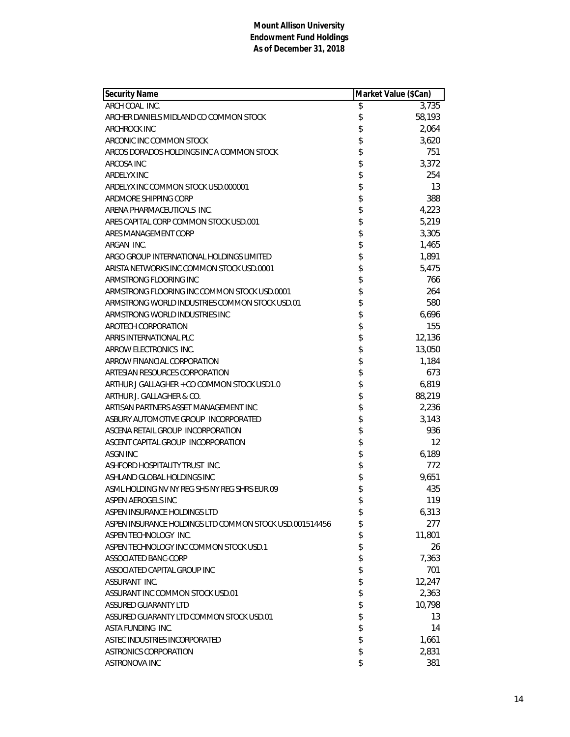| <b>Security Name</b>                                    | Market Value (\$Can) |        |
|---------------------------------------------------------|----------------------|--------|
| ARCH COAL INC.                                          | \$                   | 3,735  |
| ARCHER DANIELS MIDLAND CO COMMON STOCK                  | \$                   | 58,193 |
| <b>ARCHROCK INC</b>                                     | \$                   | 2,064  |
| ARCONIC INC COMMON STOCK                                | \$                   | 3,620  |
| ARCOS DORADOS HOLDINGS INC A COMMON STOCK               | \$                   | 751    |
| ARCOSA INC                                              | \$                   | 3,372  |
| <b>ARDELYX INC</b>                                      | \$                   | 254    |
| ARDELYX INC COMMON STOCK USD.000001                     | \$                   | 13     |
| ARDMORE SHIPPING CORP                                   | \$                   | 388    |
| ARENA PHARMACEUTICALS INC.                              | \$                   | 4,223  |
| ARES CAPITAL CORP COMMON STOCK USD.001                  | \$                   | 5,219  |
| ARES MANAGEMENT CORP                                    | \$                   | 3,305  |
| ARGAN INC.                                              | \$                   | 1,465  |
| ARGO GROUP INTERNATIONAL HOLDINGS LIMITED               | \$                   | 1,891  |
| ARISTA NETWORKS INC COMMON STOCK USD.0001               | \$                   | 5,475  |
| ARMSTRONG FLOORING INC                                  | \$                   | 766    |
| ARMSTRONG FLOORING INC COMMON STOCK USD.0001            | \$                   | 264    |
| ARMSTRONG WORLD INDUSTRIES COMMON STOCK USD.01          | \$                   | 580    |
| ARMSTRONG WORLD INDUSTRIES INC                          | \$                   | 6,696  |
| AROTECH CORPORATION                                     | \$                   | 155    |
| ARRIS INTERNATIONAL PLC                                 | \$                   | 12,136 |
| ARROW ELECTRONICS INC.                                  | \$                   | 13,050 |
| ARROW FINANCIAL CORPORATION                             | \$                   | 1,184  |
| ARTESIAN RESOURCES CORPORATION                          | \$                   | 673    |
| ARTHUR J GALLAGHER + CO COMMON STOCK USD1.0             | \$                   | 6,819  |
| ARTHUR J. GALLAGHER & CO.                               | \$                   | 88,219 |
| ARTISAN PARTNERS ASSET MANAGEMENT INC                   | \$                   | 2,236  |
| ASBURY AUTOMOTIVE GROUP INCORPORATED                    | \$                   | 3,143  |
| ASCENA RETAIL GROUP INCORPORATION                       | \$                   | 936    |
| ASCENT CAPITAL GROUP INCORPORATION                      | \$                   | 12     |
| ASGN INC                                                | \$                   | 6,189  |
| ASHFORD HOSPITALITY TRUST INC.                          | \$                   | 772    |
| ASHLAND GLOBAL HOLDINGS INC                             | \$                   | 9.651  |
| ASML HOLDING NV NY REG SHS NY REG SHRS EUR.09           | \$                   | 435    |
| ASPEN AEROGELS INC                                      | \$                   | 119    |
| ASPEN INSURANCE HOLDINGS LTD                            | \$                   | 6,313  |
| ASPEN INSURANCE HOLDINGS LTD COMMON STOCK USD.001514456 | \$                   | 277    |
| ASPEN TECHNOLOGY INC.                                   | \$                   | 11,801 |
| ASPEN TECHNOLOGY INC COMMON STOCK USD.1                 | \$                   | 26     |
| ASSOCIATED BANC-CORP                                    | \$                   | 7,363  |
| ASSOCIATED CAPITAL GROUP INC                            | \$                   | 701    |
| ASSURANT INC.                                           | \$                   | 12,247 |
| ASSURANT INC COMMON STOCK USD.01                        | \$                   | 2,363  |
| ASSURED GUARANTY LTD                                    | \$                   | 10,798 |
| ASSURED GUARANTY LTD COMMON STOCK USD.01                | \$                   | 13     |
| ASTA FUNDING INC.                                       | \$                   | 14     |
| ASTEC INDUSTRIES INCORPORATED                           | \$                   | 1,661  |
| <b>ASTRONICS CORPORATION</b>                            | \$                   | 2,831  |
| ASTRONOVA INC                                           | \$                   | 381    |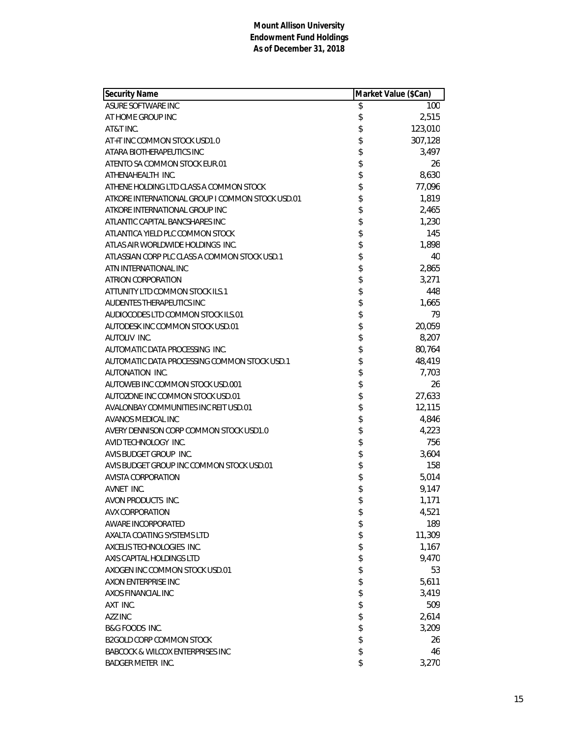| Security Name                                    | Market Value (\$Can) |         |
|--------------------------------------------------|----------------------|---------|
| ASURE SOFTWARE INC                               | \$                   | 100     |
| AT HOME GROUP INC                                | \$                   | 2,515   |
| AT&T INC.                                        | \$                   | 123,010 |
| AT+T INC COMMON STOCK USD1.0                     | \$                   | 307,128 |
| ATARA BIOTHERAPEUTICS INC                        | \$                   | 3,497   |
| ATENTO SA COMMON STOCK EUR.01                    | \$                   | 26      |
| ATHENAHEALTH INC.                                | \$                   | 8,630   |
| ATHENE HOLDING LTD CLASS A COMMON STOCK          | \$                   | 77,096  |
| ATKORE INTERNATIONAL GROUP I COMMON STOCK USD.01 | \$                   | 1,819   |
| ATKORE INTERNATIONAL GROUP INC                   | \$                   | 2,465   |
| ATLANTIC CAPITAL BANCSHARES INC                  | \$                   | 1,230   |
| ATLANTICA YIELD PLC COMMON STOCK                 | \$                   | 145     |
| ATLAS AIR WORLDWIDE HOLDINGS INC.                | \$                   | 1,898   |
| ATLASSIAN CORP PLC CLASS A COMMON STOCK USD.1    | \$                   | 40      |
| ATN INTERNATIONAL INC                            | \$                   | 2,865   |
| ATRION CORPORATION                               | \$                   | 3,271   |
| ATTUNITY LTD COMMON STOCK ILS.1                  | \$                   | 448     |
| AUDENTES THERAPEUTICS INC                        | \$                   | 1,665   |
| AUDIOCODES LTD COMMON STOCK ILS.01               | \$                   | 79      |
| AUTODESK INC COMMON STOCK USD.01                 | \$                   | 20,059  |
| <b>AUTOLIV INC.</b>                              | \$                   | 8,207   |
| AUTOMATIC DATA PROCESSING INC.                   | \$                   | 80,764  |
| AUTOMATIC DATA PROCESSING COMMON STOCK USD.1     | \$                   | 48,419  |
| AUTONATION INC.                                  | \$                   | 7,703   |
| AUTOWEB INC COMMON STOCK USD.001                 | \$                   | 26      |
| AUTOZONE INC COMMON STOCK USD.01                 | \$                   | 27,633  |
| AVALONBAY COMMUNITIES INC REIT USD.01            | \$                   | 12,115  |
| AVANOS MEDICAL INC                               | \$                   | 4,846   |
| AVERY DENNISON CORP COMMON STOCK USD1.0          | \$                   | 4,223   |
| AVID TECHNOLOGY INC.                             | \$                   | 756     |
| AVIS BUDGET GROUP INC.                           | \$                   | 3,604   |
| AVIS BUDGET GROUP INC COMMON STOCK USD.01        | \$                   | 158     |
| AVISTA CORPORATION                               | \$                   | 5,014   |
| AVNET INC.                                       | \$                   | 9,147   |
| AVON PRODUCTS INC.                               | \$                   | 1,171   |
| <b>AVX CORPORATION</b>                           | \$                   | 4,521   |
| AWARE INCORPORATED                               | \$                   | 189     |
| AXALTA COATING SYSTEMS LTD                       | \$                   | 11,309  |
| AXCELIS TECHNOLOGIES INC.                        | \$                   | 1,167   |
| AXIS CAPITAL HOLDINGS LTD                        | \$                   | 9,470   |
| AXOGEN INC COMMON STOCK USD.01                   | \$                   | 53      |
| AXON ENTERPRISE INC                              | \$                   | 5,611   |
| AXOS FINANCIAL INC                               | \$                   | 3,419   |
| AXT INC.                                         | \$                   | 509     |
| AZZ INC                                          | \$                   | 2,614   |
| <b>B&amp;G FOODS INC.</b>                        | \$                   | 3,209   |
| <b>B2GOLD CORP COMMON STOCK</b>                  | \$                   | 26      |
| <b>BABCOCK &amp; WILCOX ENTERPRISES INC</b>      | \$                   | 46      |
| <b>BADGER METER INC.</b>                         | \$                   | 3,270   |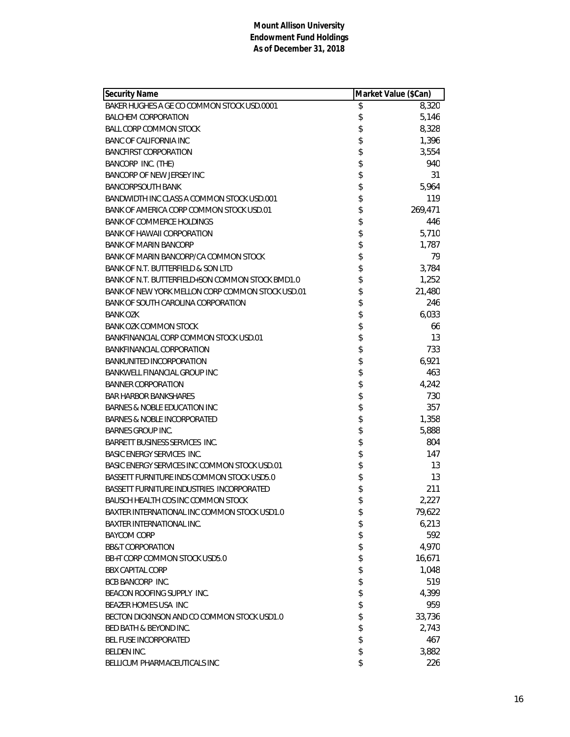| <b>Security Name</b>                             | Market Value (\$Can) |         |
|--------------------------------------------------|----------------------|---------|
| BAKER HUGHES A GE CO COMMON STOCK USD.0001       | \$                   | 8,320   |
| <b>BALCHEM CORPORATION</b>                       | \$                   | 5,146   |
| <b>BALL CORP COMMON STOCK</b>                    | \$                   | 8,328   |
| <b>BANC OF CALIFORNIA INC</b>                    | \$                   | 1,396   |
| <b>BANCFIRST CORPORATION</b>                     | \$                   | 3,554   |
| BANCORP INC. (THE)                               | \$                   | 940     |
| BANCORP OF NEW JERSEY INC                        | \$                   | 31      |
| <b>BANCORPSOUTH BANK</b>                         | \$                   | 5,964   |
| BANDWIDTH INC CLASS A COMMON STOCK USD.001       | \$                   | 119     |
| BANK OF AMERICA CORP COMMON STOCK USD.01         | \$                   | 269,471 |
| <b>BANK OF COMMERCE HOLDINGS</b>                 | \$                   | 446     |
| <b>BANK OF HAWAII CORPORATION</b>                | \$                   | 5,710   |
| <b>BANK OF MARIN BANCORP</b>                     | \$                   | 1,787   |
| BANK OF MARIN BANCORP/CA COMMON STOCK            | \$                   | 79      |
| BANK OF N.T. BUTTERFIELD & SON LTD               | \$                   | 3,784   |
| BANK OF N.T. BUTTERFIELD+SON COMMON STOCK BMD1.0 | \$                   | 1,252   |
| BANK OF NEW YORK MELLON CORP COMMON STOCK USD.01 | \$                   | 21,480  |
| BANK OF SOUTH CAROLINA CORPORATION               | \$                   | 246     |
| <b>BANK OZK</b>                                  | \$                   | 6,033   |
| <b>BANK OZK COMMON STOCK</b>                     | \$                   | 66      |
| BANKFINANCIAL CORP COMMON STOCK USD.01           | \$                   | 13      |
| <b>BANKFINANCIAL CORPORATION</b>                 | \$                   | 733     |
| <b>BANKUNITED INCORPORATION</b>                  | \$                   | 6,921   |
| <b>BANKWELL FINANCIAL GROUP INC</b>              | \$                   | 463     |
| <b>BANNER CORPORATION</b>                        | \$                   | 4,242   |
| <b>BAR HARBOR BANKSHARES</b>                     | \$                   | 730     |
| BARNES & NOBLE EDUCATION INC                     | \$                   | 357     |
| <b>BARNES &amp; NOBLE INCORPORATED</b>           | \$                   | 1,358   |
| <b>BARNES GROUP INC.</b>                         | \$                   | 5,888   |
| <b>BARRETT BUSINESS SERVICES INC.</b>            | \$                   | 804     |
| <b>BASIC ENERGY SERVICES INC.</b>                | \$                   | 147     |
| BASIC ENERGY SERVICES INC COMMON STOCK USD.01    | \$                   | 13      |
| BASSETT FURNITURE INDS COMMON STOCK USD5.0       | \$                   | 13      |
| BASSETT FURNITURE INDUSTRIES INCORPORATED        | \$                   | 211     |
| BAUSCH HEALTH COS INC COMMON STOCK               | \$                   | 2,227   |
| BAXTER INTERNATIONAL INC COMMON STOCK USD1.0     | \$                   | 79,622  |
| <b>BAXTER INTERNATIONAL INC.</b>                 | \$                   | 6,213   |
| <b>BAYCOM CORP</b>                               | \$                   | 592     |
| <b>BB&amp;T CORPORATION</b>                      | \$                   | 4,970   |
| BB+T CORP COMMON STOCK USD5.0                    | \$                   | 16,671  |
| <b>BBX CAPITAL CORP</b>                          | \$                   | 1,048   |
| <b>BCB BANCORP INC.</b>                          | \$                   | 519     |
| BEACON ROOFING SUPPLY INC.                       | \$                   | 4,399   |
| BEAZER HOMES USA INC                             | \$                   | 959     |
| BECTON DICKINSON AND CO COMMON STOCK USD1.0      | \$                   | 33,736  |
| BED BATH & BEYOND INC.                           | \$                   | 2,743   |
| BEL FUSE INCORPORATED                            | \$                   | 467     |
| BELDEN INC.                                      | \$                   | 3,882   |
| BELLICUM PHARMACEUTICALS INC                     | \$                   | 226     |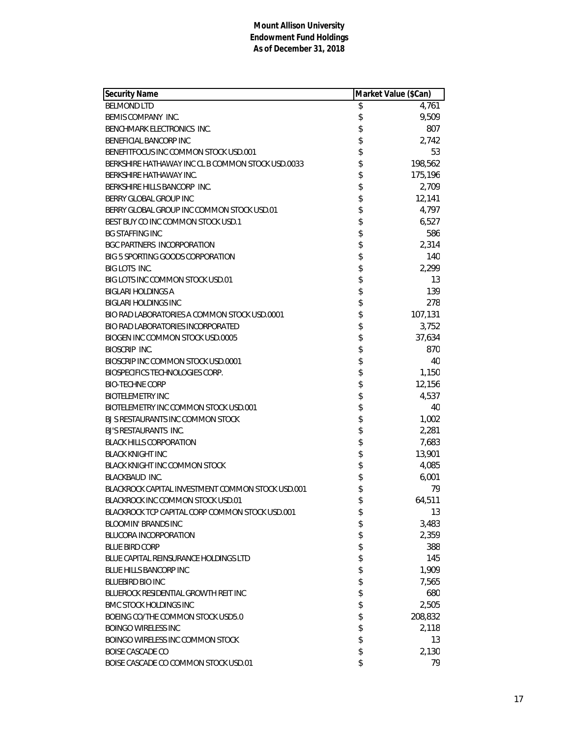| Security Name                                     | Market Value (\$Can) |         |
|---------------------------------------------------|----------------------|---------|
| <b>BELMOND LTD</b>                                | \$                   | 4,761   |
| BEMIS COMPANY INC.                                | \$                   | 9,509   |
| BENCHMARK ELECTRONICS INC.                        | \$                   | 807     |
| <b>BENEFICIAL BANCORP INC</b>                     | \$                   | 2,742   |
| BENEFITFOCUS INC COMMON STOCK USD.001             | \$                   | 53      |
| BERKSHIRE HATHAWAY INC CL B COMMON STOCK USD.0033 | \$                   | 198,562 |
| BERKSHIRE HATHAWAY INC.                           | \$                   | 175,196 |
| BERKSHIRE HILLS BANCORP INC.                      | \$                   | 2,709   |
| BERRY GLOBAL GROUP INC                            | \$                   | 12,141  |
| BERRY GLOBAL GROUP INC COMMON STOCK USD.01        | \$                   | 4,797   |
| BEST BUY CO INC COMMON STOCK USD.1                | \$                   | 6,527   |
| <b>BG STAFFING INC</b>                            | \$                   | 586     |
| <b>BGC PARTNERS INCORPORATION</b>                 | \$                   | 2,314   |
| BIG 5 SPORTING GOODS CORPORATION                  | \$                   | 140     |
| <b>BIG LOTS INC.</b>                              | \$                   | 2,299   |
| BIG LOTS INC COMMON STOCK USD.01                  | \$                   | 13      |
| <b>BIGLARI HOLDINGS A</b>                         | \$                   | 139     |
| <b>BIGLARI HOLDINGS INC</b>                       |                      | 278     |
| BIO RAD LABORATORIES A COMMON STOCK USD.0001      | \$<br>\$             | 107,131 |
| BIO RAD LABORATORIES INCORPORATED                 | \$                   | 3,752   |
| BIOGEN INC COMMON STOCK USD.0005                  | \$                   | 37,634  |
| <b>BIOSCRIP INC.</b>                              | \$                   | 870     |
| BIOSCRIP INC COMMON STOCK USD.0001                | \$                   | 40      |
| BIOSPECIFICS TECHNOLOGIES CORP.                   | \$                   | 1,150   |
| <b>BIO-TECHNE CORP</b>                            | \$                   | 12,156  |
| <b>BIOTELEMETRY INC</b>                           | \$                   | 4,537   |
| BIOTELEMETRY INC COMMON STOCK USD.001             |                      | 40      |
| BJ S RESTAURANTS INC COMMON STOCK                 | \$                   | 1,002   |
| BJ'S RESTAURANTS INC.                             | \$                   | 2,281   |
| <b>BLACK HILLS CORPORATION</b>                    | \$                   | 7,683   |
| <b>BLACK KNIGHT INC</b>                           | \$                   | 13,901  |
| BLACK KNIGHT INC COMMON STOCK                     | \$                   | 4,085   |
| <b>BLACKBAUD INC.</b>                             | \$                   | 6,001   |
| BLACKROCK CAPITAL INVESTMENT COMMON STOCK USD.001 | \$                   | 79      |
| BLACKROCK INC COMMON STOCK USD.01                 | \$                   | 64,511  |
| BLACKROCK TCP CAPITAL CORP COMMON STOCK USD.001   | \$                   | 13      |
| <b>BLOOMIN' BRANDS INC</b>                        | \$                   | 3,483   |
| <b>BLUCORA INCORPORATION</b>                      | \$                   | 2,359   |
| <b>BLUE BIRD CORP</b>                             | \$                   | 388     |
| BLUE CAPITAL REINSURANCE HOLDINGS LTD             | \$                   | 145     |
| <b>BLUE HILLS BANCORP INC</b>                     | \$                   | 1,909   |
| BLUEBIRD BIO INC                                  | \$                   | 7,565   |
| BLUEROCK RESIDENTIAL GROWTH REIT INC              | \$                   | 680     |
| <b>BMC STOCK HOLDINGS INC</b>                     | \$                   | 2,505   |
| BOEING CO/THE COMMON STOCK USD5.0                 | \$                   | 208,832 |
| <b>BOINGO WIRELESS INC</b>                        | \$                   | 2,118   |
| BOINGO WIRELESS INC COMMON STOCK                  | \$                   | 13      |
| <b>BOISE CASCADE CO</b>                           | \$                   | 2,130   |
| BOISE CASCADE CO COMMON STOCK USD.01              | \$                   | 79      |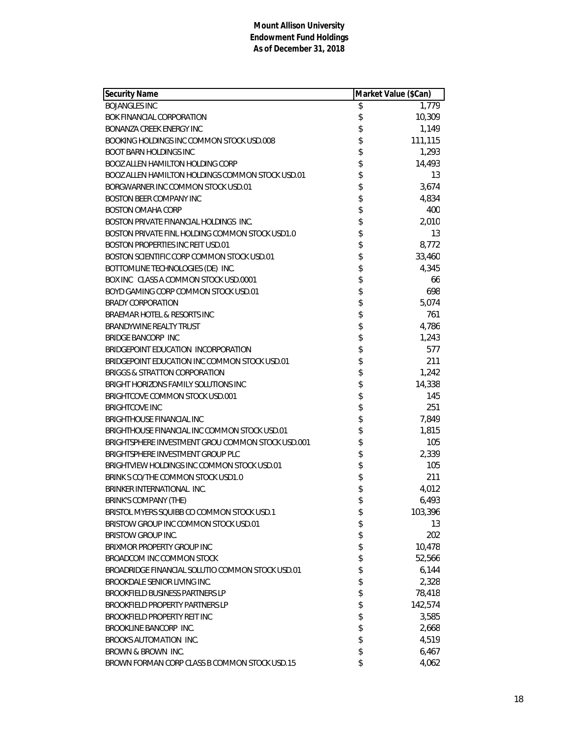| Security Name                                     | Market Value (\$Can) |         |
|---------------------------------------------------|----------------------|---------|
| <b>BOJANGLES INC</b>                              | \$                   | 1,779   |
| BOK FINANCIAL CORPORATION                         | \$                   | 10,309  |
| BONANZA CREEK ENERGY INC                          | \$                   | 1,149   |
| BOOKING HOLDINGS INC COMMON STOCK USD.008         |                      | 111,115 |
| <b>BOOT BARN HOLDINGS INC</b>                     | \$                   | 1,293   |
| BOOZ ALLEN HAMILTON HOLDING CORP                  | \$                   | 14,493  |
| BOOZ ALLEN HAMILTON HOLDINGS COMMON STOCK USD.01  | \$                   | 13      |
| BORGWARNER INC COMMON STOCK USD.01                | \$                   | 3,674   |
| <b>BOSTON BEER COMPANY INC</b>                    | \$                   | 4,834   |
| <b>BOSTON OMAHA CORP</b>                          | \$\$                 | 400     |
| BOSTON PRIVATE FINANCIAL HOLDINGS INC.            |                      | 2,010   |
| BOSTON PRIVATE FINL HOLDING COMMON STOCK USD1.0   |                      | 13      |
| <b>BOSTON PROPERTIES INC REIT USD.01</b>          |                      | 8,772   |
| BOSTON SCIENTIFIC CORP COMMON STOCK USD.01        | \$\$                 | 33,460  |
| BOTTOMLINE TECHNOLOGIES (DE) INC.                 |                      | 4,345   |
| BOX INC CLASS A COMMON STOCK USD.0001             |                      | 66      |
| BOYD GAMING CORP COMMON STOCK USD.01              | \$                   | 698     |
| <b>BRADY CORPORATION</b>                          | \$                   | 5,074   |
| BRAEMAR HOTEL & RESORTS INC                       | \$                   | 761     |
| BRANDYWINE REALTY TRUST                           | \$                   | 4,786   |
| <b>BRIDGE BANCORP INC</b>                         | \$                   | 1,243   |
| BRIDGEPOINT EDUCATION INCORPORATION               | \$                   | 577     |
| BRIDGEPOINT EDUCATION INC COMMON STOCK USD.01     | \$                   | 211     |
| <b>BRIGGS &amp; STRATTON CORPORATION</b>          | \$                   | 1,242   |
| BRIGHT HORIZONS FAMILY SOLUTIONS INC              | \$                   | 14,338  |
| BRIGHTCOVE COMMON STOCK USD.001                   | \$                   | 145     |
| <b>BRIGHTCOVE INC</b>                             | \$                   | 251     |
| BRIGHTHOUSE FINANCIAL INC                         |                      | 7,849   |
| BRIGHTHOUSE FINANCIAL INC COMMON STOCK USD.01     | \$                   | 1,815   |
| BRIGHTSPHERE INVESTMENT GROU COMMON STOCK USD.001 | \$                   | 105     |
| BRIGHTSPHERE INVESTMENT GROUP PLC                 | \$                   | 2,339   |
| BRIGHTVIEW HOLDINGS INC COMMON STOCK USD.01       | \$                   | 105     |
| BRINK S CO/THE COMMON STOCK USD1.0                | \$                   | 211     |
| BRINKER INTERNATIONAL INC.                        | \$                   | 4,012   |
| BRINK'S COMPANY (THE)                             | \$                   | 6,493   |
| BRISTOL MYERS SQUIBB CO COMMON STOCK USD.1        | \$                   | 103,396 |
| BRISTOW GROUP INC COMMON STOCK USD.01             | \$                   | 13      |
| <b>BRISTOW GROUP INC.</b>                         | \$                   | 202     |
| BRIXMOR PROPERTY GROUP INC                        | \$                   | 10,478  |
| BROADCOM INC COMMON STOCK                         | \$                   | 52,566  |
| BROADRIDGE FINANCIAL SOLUTIO COMMON STOCK USD.01  |                      | 6,144   |
| BROOKDALE SENIOR LIVING INC.                      | \$<br>\$             | 2,328   |
| BROOKFIELD BUSINESS PARTNERS LP                   | \$                   | 78,418  |
| <b>BROOKFIELD PROPERTY PARTNERS LP</b>            | \$                   | 142,574 |
| <b>BROOKFIELD PROPERTY REIT INC</b>               | \$                   | 3,585   |
| BROOKLINE BANCORP INC.                            | \$                   | 2,668   |
| BROOKS AUTOMATION INC.                            | \$                   | 4,519   |
| BROWN & BROWN INC.                                | \$                   | 6,467   |
| BROWN FORMAN CORP CLASS B COMMON STOCK USD.15     | \$                   | 4,062   |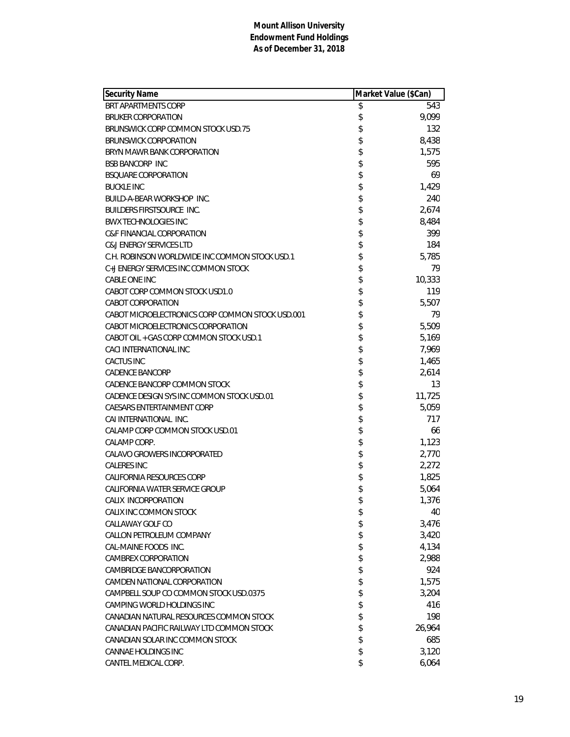| <b>Security Name</b>                             | Market Value (\$Can) |        |
|--------------------------------------------------|----------------------|--------|
| BRT APARTMENTS CORP                              | \$                   | 543    |
| <b>BRUKER CORPORATION</b>                        | \$                   | 9,099  |
| BRUNSWICK CORP COMMON STOCK USD.75               | \$                   | 132    |
| <b>BRUNSWICK CORPORATION</b>                     | \$                   | 8,438  |
| BRYN MAWR BANK CORPORATION                       | \$                   | 1,575  |
| <b>BSB BANCORP INC</b>                           | \$                   | 595    |
| <b>BSQUARE CORPORATION</b>                       | \$                   | 69     |
| <b>BUCKLE INC</b>                                | \$                   | 1,429  |
| BUILD-A-BEAR WORKSHOP INC.                       | \$                   | 240    |
| <b>BUILDERS FIRSTSOURCE INC.</b>                 | \$                   | 2,674  |
| <b>BWX TECHNOLOGIES INC</b>                      | \$                   | 8,484  |
| <b>C&amp;F FINANCIAL CORPORATION</b>             | \$                   | 399    |
| <b>C&amp;J ENERGY SERVICES LTD</b>               | \$                   | 184    |
| C.H. ROBINSON WORLDWIDE INC COMMON STOCK USD.1   | \$                   | 5,785  |
| C+J ENERGY SERVICES INC COMMON STOCK             | \$                   | 79     |
| <b>CABLE ONE INC</b>                             | \$                   | 10,333 |
| CABOT CORP COMMON STOCK USD1.0                   | \$                   | 119    |
| CABOT CORPORATION                                | \$                   | 5,507  |
| CABOT MICROELECTRONICS CORP COMMON STOCK USD.001 | \$                   | 79     |
| CABOT MICROELECTRONICS CORPORATION               | \$                   | 5,509  |
| CABOT OIL + GAS CORP COMMON STOCK USD.1          | \$                   | 5,169  |
| CACI INTERNATIONAL INC                           | \$                   | 7,969  |
| <b>CACTUS INC</b>                                | \$                   | 1,465  |
| <b>CADENCE BANCORP</b>                           | \$                   | 2,614  |
| CADENCE BANCORP COMMON STOCK                     | \$                   | 13     |
| CADENCE DESIGN SYS INC COMMON STOCK USD.01       | \$                   | 11,725 |
| CAESARS ENTERTAINMENT CORP                       | \$                   | 5,059  |
| CAI INTERNATIONAL INC.                           | \$                   | 717    |
| CALAMP CORP COMMON STOCK USD.01                  | \$                   | 66     |
| CALAMP CORP.                                     | \$                   | 1,123  |
| CALAVO GROWERS INCORPORATED                      | \$                   | 2,770  |
| <b>CALERES INC</b>                               | \$                   | 2,272  |
| CALIFORNIA RESOURCES CORP                        | \$                   | 1,825  |
| CALIFORNIA WATER SERVICE GROUP                   | \$                   | 5,064  |
| CALIX INCORPORATION                              | \$                   | 1,376  |
| CALIX INC COMMON STOCK                           | \$                   | 40     |
| CALLAWAY GOLF CO                                 | \$                   | 3,476  |
| CALLON PETROLEUM COMPANY                         | \$                   | 3,420  |
| CAL-MAINE FOODS INC.                             | \$                   | 4,134  |
| <b>CAMBREX CORPORATION</b>                       | \$                   | 2,988  |
| <b>CAMBRIDGE BANCORPORATION</b>                  | \$                   | 924    |
| CAMDEN NATIONAL CORPORATION                      | \$                   | 1,575  |
| CAMPBELL SOUP CO COMMON STOCK USD.0375           | \$                   | 3,204  |
| CAMPING WORLD HOLDINGS INC                       | \$                   | 416    |
| CANADIAN NATURAL RESOURCES COMMON STOCK          | \$                   | 198    |
| CANADIAN PACIFIC RAILWAY LTD COMMON STOCK        | \$                   | 26,964 |
| CANADIAN SOLAR INC COMMON STOCK                  | \$                   | 685    |
| CANNAE HOLDINGS INC                              | \$                   | 3,120  |
| CANTEL MEDICAL CORP.                             | \$                   | 6,064  |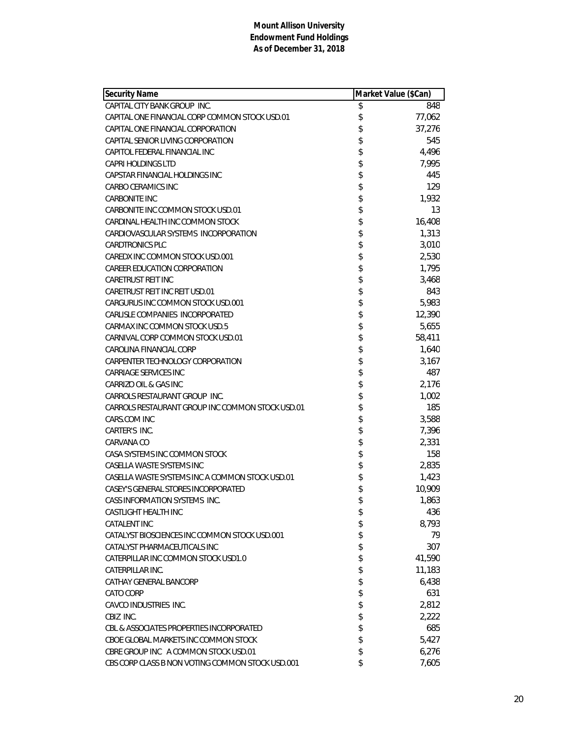| <b>Security Name</b>                             | Market Value (\$Can) |        |
|--------------------------------------------------|----------------------|--------|
| CAPITAL CITY BANK GROUP INC.                     | \$                   | 848    |
| CAPITAL ONE FINANCIAL CORP COMMON STOCK USD.01   | \$                   | 77,062 |
| CAPITAL ONE FINANCIAL CORPORATION                | \$                   | 37,276 |
| CAPITAL SENIOR LIVING CORPORATION                | \$                   | 545    |
| CAPITOL FEDERAL FINANCIAL INC                    | \$                   | 4,496  |
| <b>CAPRI HOLDINGS LTD</b>                        | \$                   | 7,995  |
| CAPSTAR FINANCIAL HOLDINGS INC                   | \$                   | 445    |
| CARBO CERAMICS INC                               | \$                   | 129    |
| <b>CARBONITE INC</b>                             | \$                   | 1,932  |
| CARBONITE INC COMMON STOCK USD.01                | \$                   | 13     |
| CARDINAL HEALTH INC COMMON STOCK                 | \$                   | 16,408 |
| CARDIOVASCULAR SYSTEMS INCORPORATION             | \$                   | 1,313  |
| <b>CARDTRONICS PLC</b>                           | \$                   | 3,010  |
| CAREDX INC COMMON STOCK USD.001                  | \$                   | 2,530  |
| CAREER EDUCATION CORPORATION                     | \$                   | 1,795  |
| <b>CARETRUST REIT INC</b>                        | \$                   | 3,468  |
| CARETRUST REIT INC REIT USD.01                   | \$                   | 843    |
| CARGURUS INC COMMON STOCK USD.001                | \$                   | 5,983  |
| CARLISLE COMPANIES INCORPORATED                  | \$                   | 12,390 |
| CARMAX INC COMMON STOCK USD.5                    | \$                   | 5,655  |
| CARNIVAL CORP COMMON STOCK USD.01                | \$                   | 58,411 |
| CAROLINA FINANCIAL CORP                          | \$                   | 1,640  |
| CARPENTER TECHNOLOGY CORPORATION                 | \$                   | 3,167  |
| CARRIAGE SERVICES INC                            | \$                   | 487    |
| CARRIZO OIL & GAS INC                            | \$                   | 2,176  |
| CARROLS RESTAURANT GROUP INC.                    | \$                   | 1,002  |
| CARROLS RESTAURANT GROUP INC COMMON STOCK USD.01 | \$                   | 185    |
| CARS.COM INC                                     | \$                   | 3,588  |
| CARTER'S INC.                                    | \$                   | 7,396  |
| CARVANA CO                                       | \$                   | 2,331  |
| CASA SYSTEMS INC COMMON STOCK                    | \$                   | 158    |
| CASELLA WASTE SYSTEMS INC                        | \$                   | 2,835  |
| CASELLA WASTE SYSTEMS INC A COMMON STOCK USD.01  | \$                   | 1,423  |
| CASEY'S GENERAL STORES INCORPORATED              | \$                   | 10,909 |
| CASS INFORMATION SYSTEMS INC.                    | \$                   | 1,863  |
| CASTLIGHT HEALTH INC                             | \$                   | 436    |
| <b>CATALENT INC</b>                              | \$                   | 8,793  |
| CATALYST BIOSCIENCES INC COMMON STOCK USD.001    | \$                   | 79     |
| CATALYST PHARMACEUTICALS INC                     | \$                   | 307    |
| CATERPILLAR INC COMMON STOCK USD1.0              | \$                   | 41,590 |
| CATERPILLAR INC.                                 | \$                   | 11,183 |
| CATHAY GENERAL BANCORP                           | \$                   | 6,438  |
| CATO CORP                                        | \$                   | 631    |
| CAVCO INDUSTRIES INC.                            | \$                   | 2,812  |
| CBIZ INC.                                        | \$                   | 2,222  |
| CBL & ASSOCIATES PROPERTIES INCORPORATED         | \$                   | 685    |
| CBOE GLOBAL MARKETS INC COMMON STOCK             | \$                   | 5,427  |
| CBRE GROUP INC A COMMON STOCK USD.01             | \$                   | 6,276  |
| CBS CORP CLASS B NON VOTING COMMON STOCK USD.001 | \$                   | 7,605  |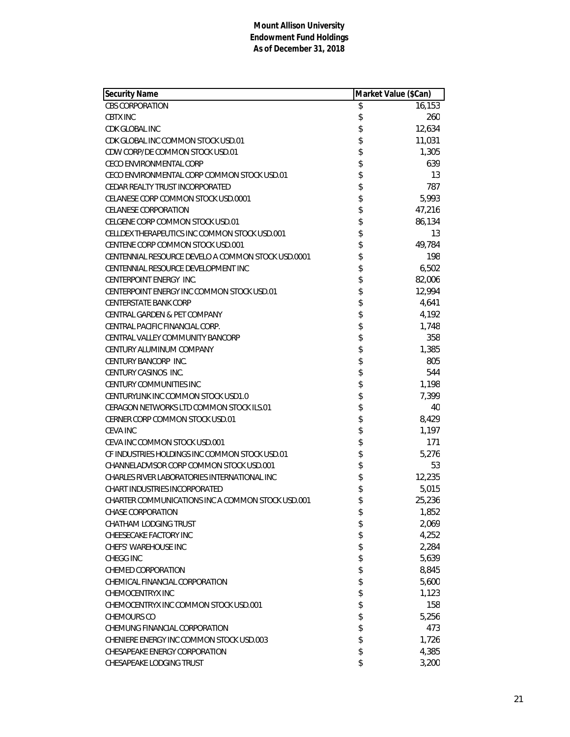| <b>Security Name</b>                               | Market Value (\$Can) |        |
|----------------------------------------------------|----------------------|--------|
| <b>CBS CORPORATION</b>                             | \$                   | 16,153 |
| <b>CBTX INC</b>                                    | \$                   | 260    |
| CDK GLOBAL INC                                     | \$                   | 12,634 |
| CDK GLOBAL INC COMMON STOCK USD.01                 | \$                   | 11,031 |
| CDW CORP/DE COMMON STOCK USD.01                    | \$                   | 1,305  |
| <b>CECO ENVIRONMENTAL CORP</b>                     | \$                   | 639    |
| CECO ENVIRONMENTAL CORP COMMON STOCK USD.01        | \$                   | 13     |
| CEDAR REALTY TRUST INCORPORATED                    | \$                   | 787    |
| CELANESE CORP COMMON STOCK USD.0001                | \$                   | 5,993  |
| <b>CELANESE CORPORATION</b>                        | \$                   | 47,216 |
| CELGENE CORP COMMON STOCK USD.01                   | \$                   | 86,134 |
| CELLDEX THERAPEUTICS INC COMMON STOCK USD.001      | \$                   | 13     |
| CENTENE CORP COMMON STOCK USD.001                  | \$                   | 49,784 |
| CENTENNIAL RESOURCE DEVELO A COMMON STOCK USD.0001 | \$                   | 198    |
| CENTENNIAL RESOURCE DEVELOPMENT INC                | \$                   | 6,502  |
| CENTERPOINT ENERGY INC.                            | \$                   | 82,006 |
| CENTERPOINT ENERGY INC COMMON STOCK USD.01         | \$                   | 12,994 |
| <b>CENTERSTATE BANK CORP</b>                       | \$                   | 4,641  |
| CENTRAL GARDEN & PET COMPANY                       | \$                   | 4,192  |
| CENTRAL PACIFIC FINANCIAL CORP.                    | \$                   | 1,748  |
| CENTRAL VALLEY COMMUNITY BANCORP                   | \$                   | 358    |
| CENTURY ALUMINUM COMPANY                           | \$                   | 1,385  |
| CENTURY BANCORP INC.                               | \$                   | 805    |
| CENTURY CASINOS INC.                               | \$                   | 544    |
| CENTURY COMMUNITIES INC                            | \$                   | 1,198  |
| CENTURYLINK INC COMMON STOCK USD1.0                | \$                   | 7,399  |
| CERAGON NETWORKS LTD COMMON STOCK ILS.01           | \$                   | 40     |
| CERNER CORP COMMON STOCK USD.01                    | \$                   | 8,429  |
| <b>CEVA INC</b>                                    | \$                   | 1,197  |
| CEVA INC COMMON STOCK USD.001                      | \$                   | 171    |
| CF INDUSTRIES HOLDINGS INC COMMON STOCK USD.01     | \$                   | 5,276  |
| CHANNELADVISOR CORP COMMON STOCK USD.001           | \$                   | 53     |
| CHARLES RIVER LABORATORIES INTERNATIONAL INC       | \$                   | 12,235 |
| <b>CHART INDUSTRIES INCORPORATED</b>               | \$                   | 5,015  |
| CHARTER COMMUNICATIONS INC A COMMON STOCK USD.001  | \$                   | 25,236 |
| CHASE CORPORATION                                  | \$                   | 1,852  |
| CHATHAM LODGING TRUST                              | \$                   | 2,069  |
| CHEESECAKE FACTORY INC                             | \$                   | 4,252  |
| <b>CHEFS' WAREHOUSE INC</b>                        | \$                   | 2,284  |
| <b>CHEGG INC</b>                                   | \$                   | 5,639  |
| CHEMED CORPORATION                                 | \$                   | 8,845  |
| CHEMICAL FINANCIAL CORPORATION                     | \$                   | 5,600  |
| CHEMOCENTRYX INC                                   | \$                   | 1,123  |
| CHEMOCENTRYX INC COMMON STOCK USD.001              | \$                   | 158    |
| CHEMOURS CO                                        | \$                   | 5,256  |
| CHEMUNG FINANCIAL CORPORATION                      | \$                   | 473    |
| CHENIERE ENERGY INC COMMON STOCK USD.003           | \$                   | 1,726  |
| CHESAPEAKE ENERGY CORPORATION                      | \$                   | 4,385  |
| CHESAPEAKE LODGING TRUST                           | \$                   | 3,200  |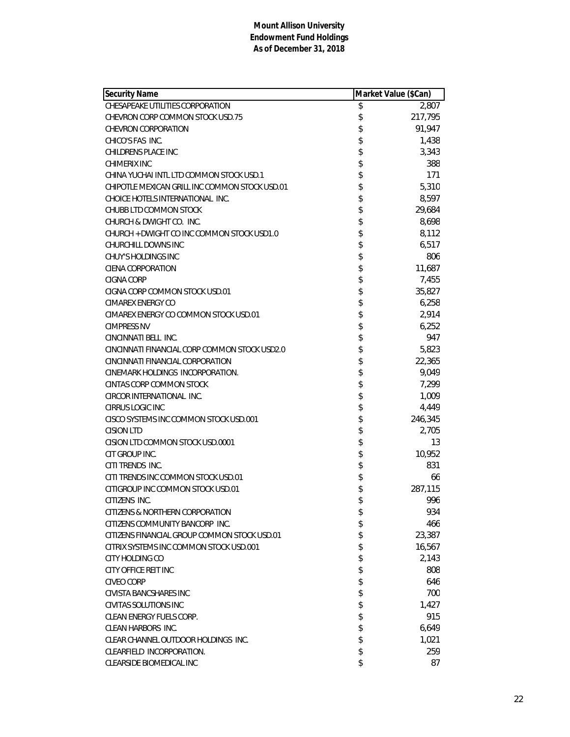| Security Name                                  | Market Value (\$Can) |         |
|------------------------------------------------|----------------------|---------|
| CHESAPEAKE UTILITIES CORPORATION               | \$                   | 2,807   |
| CHEVRON CORP COMMON STOCK USD.75               | \$                   | 217,795 |
| <b>CHEVRON CORPORATION</b>                     | \$                   | 91,947  |
| CHICO'S FAS INC.                               | \$                   | 1,438   |
| CHILDRENS PLACE INC                            | \$                   | 3,343   |
| CHIMERIX INC                                   | \$                   | 388     |
| CHINA YUCHAI INTL LTD COMMON STOCK USD.1       | \$                   | 171     |
| CHIPOTLE MEXICAN GRILL INC COMMON STOCK USD.01 | \$                   | 5,310   |
| CHOICE HOTELS INTERNATIONAL INC.               | \$                   | 8,597   |
| CHUBB LTD COMMON STOCK                         | \$                   | 29,684  |
| CHURCH & DWIGHT CO. INC.                       | \$                   | 8,698   |
| CHURCH + DWIGHT CO INC COMMON STOCK USD1.0     | \$                   | 8,112   |
| CHURCHILL DOWNS INC                            | \$                   | 6,517   |
| CHUY'S HOLDINGS INC                            | \$                   | 806     |
| CIENA CORPORATION                              | \$                   | 11,687  |
| CIGNA CORP                                     | \$                   | 7,455   |
| CIGNA CORP COMMON STOCK USD.01                 | \$                   | 35,827  |
| CIMAREX ENERGY CO                              | \$                   | 6,258   |
| CIMAREX ENERGY CO COMMON STOCK USD.01          | \$                   | 2,914   |
| <b>CIMPRESS NV</b>                             | \$                   | 6,252   |
| CINCINNATI BELL INC.                           | \$                   | 947     |
| CINCINNATI FINANCIAL CORP COMMON STOCK USD2.0  | \$                   | 5,823   |
| CINCINNATI FINANCIAL CORPORATION               | \$                   | 22,365  |
| CINEMARK HOLDINGS INCORPORATION.               | \$                   | 9,049   |
| CINTAS CORP COMMON STOCK                       | \$                   | 7,299   |
| CIRCOR INTERNATIONAL INC.                      | \$                   | 1,009   |
| CIRRUS LOGIC INC                               | \$                   | 4,449   |
| CISCO SYSTEMS INC COMMON STOCK USD.001         | \$                   | 246,345 |
| <b>CISION LTD</b>                              | \$                   | 2,705   |
| CISION LTD COMMON STOCK USD.0001               | \$                   | 13      |
| CIT GROUP INC.                                 | \$                   | 10,952  |
| CITI TRENDS INC.                               | \$                   | 831     |
| CITI TRENDS INC COMMON STOCK USD.01            | \$                   | 66      |
| CITIGROUP INC COMMON STOCK USD.01              | \$                   | 287,115 |
| CITIZENS INC.                                  | \$                   | 996     |
| CITIZENS & NORTHERN CORPORATION                | \$                   | 934     |
| CITIZENS COMMUNITY BANCORP INC.                | \$                   | 466     |
| CITIZENS FINANCIAL GROUP COMMON STOCK USD.01   | \$                   | 23,387  |
| CITRIX SYSTEMS INC COMMON STOCK USD.001        | \$                   | 16,567  |
| CITY HOLDING CO                                | \$                   | 2,143   |
| <b>CITY OFFICE REIT INC</b>                    | \$                   | 808     |
| <b>CIVEO CORP</b>                              | \$                   | 646     |
| CIVISTA BANCSHARES INC                         | \$                   | 700     |
| CIVITAS SOLUTIONS INC                          | \$                   | 1,427   |
| CLEAN ENERGY FUELS CORP.                       | \$                   | 915     |
| CLEAN HARBORS INC.                             | \$                   | 6,649   |
| CLEAR CHANNEL OUTDOOR HOLDINGS INC.            | \$                   | 1,021   |
| CLEARFIELD INCORPORATION.                      | \$                   | 259     |
| CLEARSIDE BIOMEDICAL INC                       | \$                   | 87      |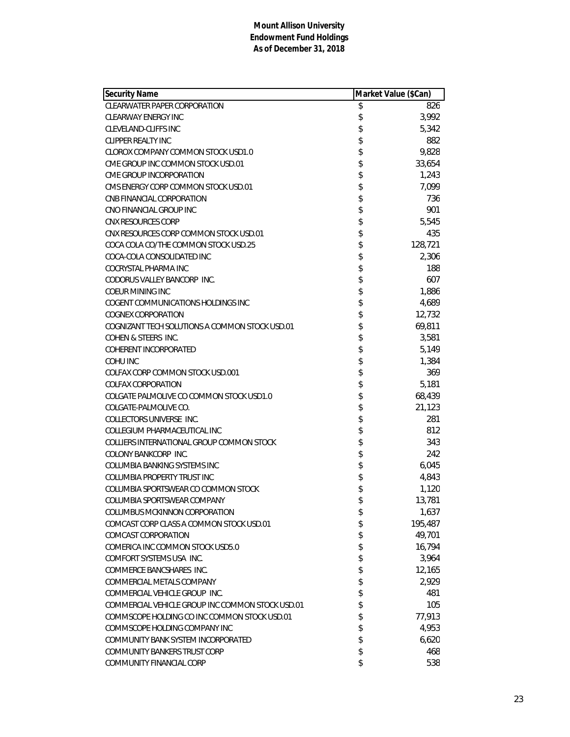| <b>Security Name</b>                             | Market Value (\$Can) |         |
|--------------------------------------------------|----------------------|---------|
| <b>CLEARWATER PAPER CORPORATION</b>              | \$                   | 826     |
| <b>CLEARWAY ENERGY INC</b>                       | \$                   | 3,992   |
| <b>CLEVELAND-CLIFFS INC</b>                      | \$                   | 5,342   |
| <b>CLIPPER REALTY INC</b>                        | \$                   | 882     |
| CLOROX COMPANY COMMON STOCK USD1.0               | \$                   | 9,828   |
| CME GROUP INC COMMON STOCK USD.01                | \$                   | 33,654  |
| CME GROUP INCORPORATION                          | \$                   | 1,243   |
| CMS ENERGY CORP COMMON STOCK USD.01              | \$                   | 7,099   |
| CNB FINANCIAL CORPORATION                        | \$                   | 736     |
| CNO FINANCIAL GROUP INC                          | \$                   | 901     |
| <b>CNX RESOURCES CORP</b>                        | \$                   | 5,545   |
| CNX RESOURCES CORP COMMON STOCK USD.01           | \$                   | 435     |
| COCA COLA CO/THE COMMON STOCK USD.25             | \$                   | 128,721 |
| COCA-COLA CONSOLIDATED INC                       | \$                   | 2,306   |
| COCRYSTAL PHARMA INC                             | \$                   | 188     |
| CODORUS VALLEY BANCORP INC.                      | \$                   | 607     |
| COEUR MINING INC                                 | \$                   | 1,886   |
| COGENT COMMUNICATIONS HOLDINGS INC               | \$                   | 4,689   |
| COGNEX CORPORATION                               | \$                   | 12,732  |
| COGNIZANT TECH SOLUTIONS A COMMON STOCK USD.01   | \$                   | 69,811  |
| COHEN & STEERS INC.                              | \$                   | 3,581   |
| <b>COHERENT INCORPORATED</b>                     | \$                   | 5,149   |
| COHU INC                                         | \$                   | 1,384   |
| COLFAX CORP COMMON STOCK USD.001                 | \$                   | 369     |
| <b>COLFAX CORPORATION</b>                        | \$                   | 5,181   |
| COLGATE PALMOLIVE CO COMMON STOCK USD1.0         | \$                   | 68,439  |
| COLGATE-PALMOLIVE CO.                            | \$                   | 21,123  |
| <b>COLLECTORS UNIVERSE INC.</b>                  | \$                   | 281     |
| COLLEGIUM PHARMACEUTICAL INC                     | \$                   | 812     |
| COLLIERS INTERNATIONAL GROUP COMMON STOCK        | \$                   | 343     |
| COLONY BANKCORP INC.                             | \$                   | 242     |
| COLUMBIA BANKING SYSTEMS INC                     | \$                   | 6,045   |
| COLUMBIA PROPERTY TRUST INC                      | \$                   | 4,843   |
| COLUMBIA SPORTSWEAR CO COMMON STOCK              | \$                   | 1,120   |
| COLUMBIA SPORTSWEAR COMPANY                      | \$                   | 13,781  |
| COLUMBUS MCKINNON CORPORATION                    | \$                   | 1,637   |
| COMCAST CORP CLASS A COMMON STOCK USD.01         | \$                   | 195,487 |
| COMCAST CORPORATION                              | \$                   | 49,701  |
| COMERICA INC COMMON STOCK USD5.0                 | \$                   | 16,794  |
| COMFORT SYSTEMS USA INC.                         | \$                   | 3,964   |
| COMMERCE BANCSHARES INC.                         | \$                   | 12,165  |
| COMMERCIAL METALS COMPANY                        | \$                   | 2,929   |
| COMMERCIAL VEHICLE GROUP INC.                    | \$                   | 481     |
| COMMERCIAL VEHICLE GROUP INC COMMON STOCK USD.01 | \$                   | 105     |
| COMMSCOPE HOLDING CO INC COMMON STOCK USD.01     | \$                   | 77,913  |
| COMMSCOPE HOLDING COMPANY INC                    | \$                   | 4,953   |
| COMMUNITY BANK SYSTEM INCORPORATED               | \$                   | 6,620   |
| <b>COMMUNITY BANKERS TRUST CORP</b>              | \$                   | 468     |
| COMMUNITY FINANCIAL CORP                         | \$                   | 538     |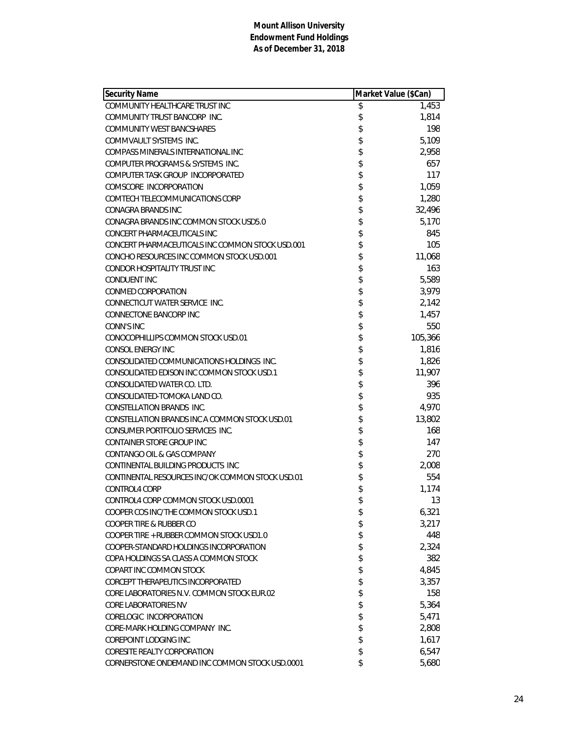| <b>Security Name</b>                             | Market Value (\$Can) |         |
|--------------------------------------------------|----------------------|---------|
| COMMUNITY HEALTHCARE TRUST INC                   | \$                   | 1,453   |
| COMMUNITY TRUST BANCORP INC.                     | \$                   | 1,814   |
| <b>COMMUNITY WEST BANCSHARES</b>                 | \$                   | 198     |
| COMMVAULT SYSTEMS INC.                           | \$                   | 5,109   |
| COMPASS MINERALS INTERNATIONAL INC               | \$                   | 2,958   |
| COMPUTER PROGRAMS & SYSTEMS INC.                 | \$                   | 657     |
| COMPUTER TASK GROUP INCORPORATED                 | \$                   | 117     |
| COMSCORE INCORPORATION                           | \$                   | 1,059   |
| COMTECH TELECOMMUNICATIONS CORP                  | \$                   | 1,280   |
| <b>CONAGRA BRANDS INC</b>                        | \$                   | 32,496  |
| CONAGRA BRANDS INC COMMON STOCK USD5.0           | \$                   | 5,170   |
| CONCERT PHARMACEUTICALS INC                      | \$                   | 845     |
| CONCERT PHARMACEUTICALS INC COMMON STOCK USD.001 | \$                   | 105     |
| CONCHO RESOURCES INC COMMON STOCK USD.001        | \$                   | 11,068  |
| CONDOR HOSPITALITY TRUST INC                     | \$                   | 163     |
| <b>CONDUENT INC</b>                              | \$                   | 5,589   |
| CONMED CORPORATION                               | \$                   | 3,979   |
| CONNECTICUT WATER SERVICE INC.                   | \$                   | 2,142   |
| CONNECTONE BANCORP INC                           | \$                   | 1,457   |
| <b>CONN'S INC</b>                                | \$                   | 550     |
| CONOCOPHILLIPS COMMON STOCK USD.01               | \$                   | 105,366 |
| CONSOL ENERGY INC                                | \$                   | 1,816   |
| CONSOLIDATED COMMUNICATIONS HOLDINGS INC.        | \$                   | 1,826   |
| CONSOLIDATED EDISON INC COMMON STOCK USD.1       | \$                   | 11,907  |
| CONSOLIDATED WATER CO. LTD.                      | \$                   | 396     |
| CONSOLIDATED-TOMOKA LAND CO.                     | \$                   | 935     |
| CONSTELLATION BRANDS INC.                        | \$                   | 4,970   |
| CONSTELLATION BRANDS INC A COMMON STOCK USD.01   | \$                   | 13,802  |
| CONSUMER PORTFOLIO SERVICES INC.                 | \$                   | 168     |
| CONTAINER STORE GROUP INC                        | \$                   | 147     |
| CONTANGO OIL & GAS COMPANY                       | \$                   | 270     |
| CONTINENTAL BUILDING PRODUCTS INC                | \$                   | 2,008   |
| CONTINENTAL RESOURCES INC/OK COMMON STOCK USD.01 | \$                   | 554     |
| <b>CONTROL4 CORP</b>                             | \$                   | 1,174   |
| CONTROL4 CORP COMMON STOCK USD.0001              | \$                   | 13      |
| COOPER COS INC/THE COMMON STOCK USD.1            | \$                   | 6,321   |
| COOPER TIRE & RUBBER CO                          | \$                   | 3,217   |
| COOPER TIRE + RUBBER COMMON STOCK USD1.0         | \$                   | 448     |
| COOPER-STANDARD HOLDINGS INCORPORATION           | \$                   | 2,324   |
| COPA HOLDINGS SA CLASS A COMMON STOCK            | \$                   | 382     |
| COPART INC COMMON STOCK                          | \$                   | 4,845   |
| CORCEPT THERAPEUTICS INCORPORATED                | \$                   | 3,357   |
| CORE LABORATORIES N.V. COMMON STOCK EUR 02       | \$                   | 158     |
| <b>CORE LABORATORIES NV</b>                      | \$                   | 5,364   |
| CORELOGIC INCORPORATION                          | \$                   | 5,471   |
| CORE-MARK HOLDING COMPANY INC.                   | \$                   | 2,808   |
| COREPOINT LODGING INC                            | \$                   | 1,617   |
| <b>CORESITE REALTY CORPORATION</b>               | \$                   | 6,547   |
| CORNERSTONE ONDEMAND INC COMMON STOCK USD.0001   | \$                   | 5,680   |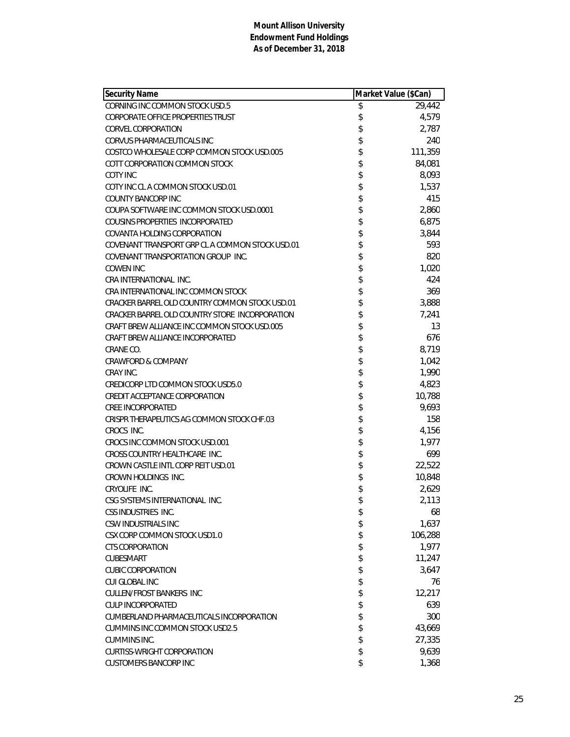| Security Name                                   | Market Value (\$Can) |         |
|-------------------------------------------------|----------------------|---------|
| CORNING INC COMMON STOCK USD.5                  | \$                   | 29,442  |
| <b>CORPORATE OFFICE PROPERTIES TRUST</b>        | \$                   | 4,579   |
| <b>CORVEL CORPORATION</b>                       | \$                   | 2,787   |
| CORVUS PHARMACEUTICALS INC                      | \$                   | 240     |
| COSTCO WHOLESALE CORP COMMON STOCK USD.005      | \$                   | 111,359 |
| COTT CORPORATION COMMON STOCK                   | \$                   | 84,081  |
| <b>COTY INC</b>                                 | \$                   | 8,093   |
| COTY INC CL A COMMON STOCK USD.01               | \$                   | 1,537   |
| <b>COUNTY BANCORP INC</b>                       | \$                   | 415     |
| COUPA SOFTWARE INC COMMON STOCK USD.0001        | \$                   | 2,860   |
| COUSINS PROPERTIES INCORPORATED                 | \$                   | 6,875   |
| <b>COVANTA HOLDING CORPORATION</b>              | \$                   | 3,844   |
| COVENANT TRANSPORT GRP CL A COMMON STOCK USD.01 | \$                   | 593     |
| COVENANT TRANSPORTATION GROUP INC.              | \$                   | 820     |
| <b>COWEN INC</b>                                | \$                   | 1,020   |
| CRA INTERNATIONAL INC.                          | \$                   | 424     |
| CRA INTERNATIONAL INC COMMON STOCK              | \$                   | 369     |
| CRACKER BARREL OLD COUNTRY COMMON STOCK USD.01  | \$                   | 3,888   |
| CRACKER BARREL OLD COUNTRY STORE INCORPORATION  | \$                   | 7,241   |
| CRAFT BREW ALLIANCE INC COMMON STOCK USD.005    | \$                   | 13      |
| CRAFT BREW ALLIANCE INCORPORATED                | \$                   | 676     |
| CRANE CO.                                       | \$                   | 8,719   |
| <b>CRAWFORD &amp; COMPANY</b>                   | \$                   | 1,042   |
| CRAY INC.                                       | \$                   | 1,990   |
| CREDICORP LTD COMMON STOCK USD5.0               | \$                   | 4,823   |
| CREDIT ACCEPTANCE CORPORATION                   | \$                   | 10,788  |
| <b><i>CREE INCORPORATED</i></b>                 | \$                   | 9,693   |
| CRISPR THERAPEUTICS AG COMMON STOCK CHF.03      | \$                   | 158     |
| CROCS INC.                                      | \$                   | 4,156   |
| CROCS INC COMMON STOCK USD.001                  | \$                   | 1,977   |
| CROSS COUNTRY HEALTHCARE INC.                   | \$                   | 699     |
| CROWN CASTLE INTL CORP REIT USD.01              | \$                   | 22,522  |
| CROWN HOLDINGS INC.                             | \$                   | 10,848  |
| CRYOLIFE INC.                                   | \$                   | 2,629   |
| CSG SYSTEMS INTERNATIONAL INC.                  | \$                   | 2,113   |
| CSS INDUSTRIES INC.                             | \$                   | 68      |
| CSW INDUSTRIALS INC                             | \$                   | 1,637   |
| CSX CORP COMMON STOCK USD1.0                    | \$                   | 106,288 |
| <b>CTS CORPORATION</b>                          | \$                   | 1,977   |
| CUBESMART                                       | \$                   | 11,247  |
| <b>CUBIC CORPORATION</b>                        | \$                   | 3,647   |
| CUI GLOBAL INC                                  | \$                   | 76      |
| <b>CULLEN/FROST BANKERS INC</b>                 | \$                   | 12,217  |
| <b>CULP INCORPORATED</b>                        | \$                   | 639     |
| CUMBERLAND PHARMACEUTICALS INCORPORATION        | \$                   | 300     |
| <b>CUMMINS INC COMMON STOCK USD2.5</b>          | \$                   | 43,669  |
| CUMMINS INC.                                    | \$                   | 27,335  |
| <b>CURTISS-WRIGHT CORPORATION</b>               | \$                   | 9,639   |
| <b>CUSTOMERS BANCORP INC</b>                    | \$                   | 1,368   |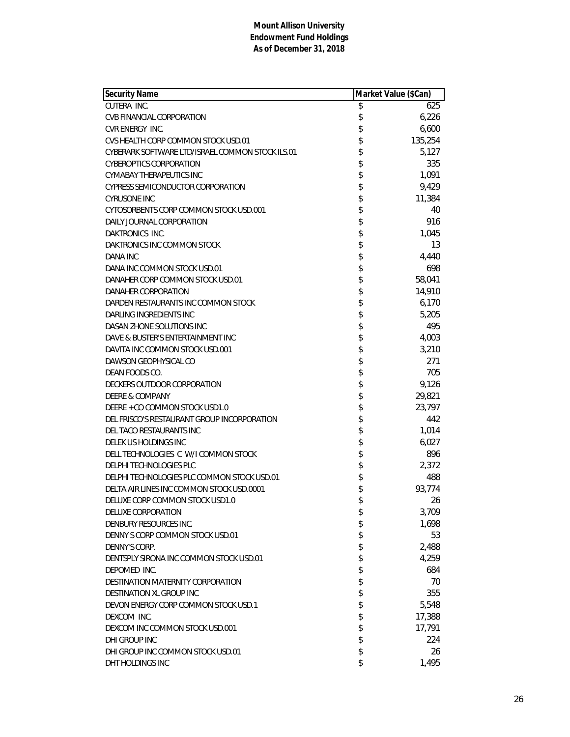| <b>Security Name</b>                             | Market Value (\$Can) |         |
|--------------------------------------------------|----------------------|---------|
| CUTERA INC.                                      | \$                   | 625     |
| <b>CVB FINANCIAL CORPORATION</b>                 | \$                   | 6,226   |
| CVR ENERGY INC.                                  | \$                   | 6,600   |
| CVS HEALTH CORP COMMON STOCK USD.01              | \$                   | 135,254 |
| CYBERARK SOFTWARE LTD/ISRAEL COMMON STOCK ILS.01 | \$                   | 5,127   |
| <b>CYBEROPTICS CORPORATION</b>                   | \$                   | 335     |
| CYMABAY THERAPEUTICS INC                         | \$                   | 1,091   |
| <b>CYPRESS SEMICONDUCTOR CORPORATION</b>         | \$                   | 9,429   |
| <b>CYRUSONE INC</b>                              | \$                   | 11,384  |
| CYTOSORBENTS CORP COMMON STOCK USD.001           | \$                   | 40      |
| DAILY JOURNAL CORPORATION                        | \$                   | 916     |
| DAKTRONICS INC.                                  | \$                   | 1,045   |
| DAKTRONICS INC COMMON STOCK                      | \$                   | 13      |
| DANA INC                                         | \$                   | 4,440   |
| DANA INC COMMON STOCK USD.01                     | \$                   | 698     |
| DANAHER CORP COMMON STOCK USD.01                 | \$                   | 58,041  |
| DANAHER CORPORATION                              | \$                   | 14,910  |
| DARDEN RESTAURANTS INC COMMON STOCK              | \$                   | 6,170   |
| DARLING INGREDIENTS INC                          | \$                   | 5,205   |
| DASAN ZHONE SOLUTIONS INC                        | \$                   | 495     |
| DAVE & BUSTER'S ENTERTAINMENT INC                | \$                   | 4,003   |
| DAVITA INC COMMON STOCK USD.001                  | \$                   | 3,210   |
| DAWSON GEOPHYSICAL CO                            | \$                   | 271     |
| DEAN FOODS CO.                                   | \$                   | 705     |
| DECKERS OUTDOOR CORPORATION                      | \$                   | 9,126   |
| <b>DEERE &amp; COMPANY</b>                       | \$                   | 29,821  |
| DEERE + CO COMMON STOCK USD1.0                   | \$                   | 23,797  |
| DEL FRISCO'S RESTAURANT GROUP INCORPORATION      | \$                   | 442     |
| DEL TACO RESTAURANTS INC                         | \$                   | 1,014   |
| DELEK US HOLDINGS INC                            | \$                   | 6,027   |
| DELL TECHNOLOGIES C W/I COMMON STOCK             | \$                   | 896     |
| DELPHI TECHNOLOGIES PLC                          | \$                   | 2,372   |
| DELPHI TECHNOLOGIES PLC COMMON STOCK USD.01      | \$                   | 488     |
| DELTA AIR LINES INC COMMON STOCK USD.0001        | \$                   | 93,774  |
| DELUXE CORP COMMON STOCK USD1.0                  | \$                   | 26      |
| DELUXE CORPORATION                               | \$                   | 3,709   |
| DENBURY RESOURCES INC.                           | \$                   | 1,698   |
| DENNY S CORP COMMON STOCK USD.01                 | \$                   | 53      |
| DENNY'S CORP.                                    | \$                   | 2,488   |
| DENTSPLY SIRONA INC COMMON STOCK USD.01          | \$                   | 4,259   |
| DEPOMED INC.                                     | \$                   | 684     |
| DESTINATION MATERNITY CORPORATION                | \$                   | 70      |
| DESTINATION XL GROUP INC                         | \$                   | 355     |
| DEVON ENERGY CORP COMMON STOCK USD.1             | \$                   | 5,548   |
| DEXCOM INC.                                      | \$                   | 17,388  |
| DEXCOM INC COMMON STOCK USD.001                  | \$                   | 17,791  |
| DHI GROUP INC                                    | \$                   | 224     |
| DHI GROUP INC COMMON STOCK USD.01                | \$                   | 26      |
| DHT HOLDINGS INC                                 | \$                   | 1,495   |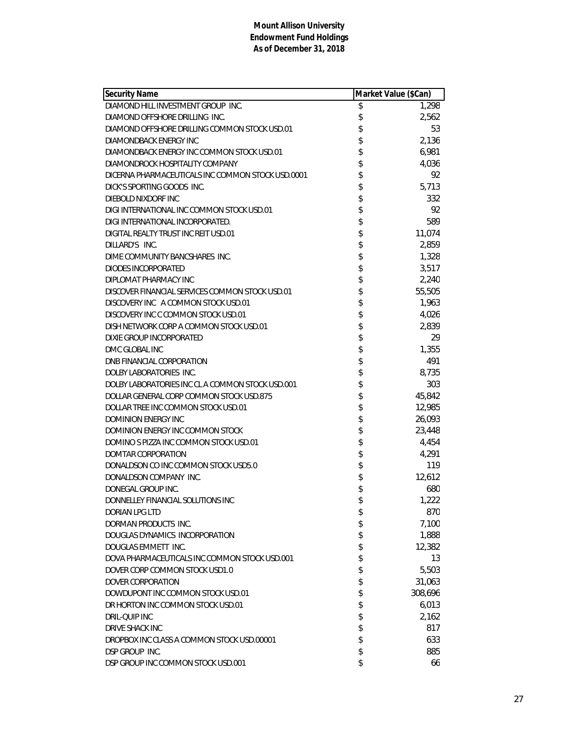| <b>Security Name</b>                              | Market Value (\$Can) |         |
|---------------------------------------------------|----------------------|---------|
| DIAMOND HILL INVESTMENT GROUP INC.                | \$                   | 1,298   |
| DIAMOND OFFSHORE DRILLING INC.                    | \$                   | 2,562   |
| DIAMOND OFFSHORE DRILLING COMMON STOCK USD.01     |                      | 53      |
| DIAMONDBACK ENERGY INC                            | \$\$\$\$\$           | 2,136   |
| DIAMONDBACK ENERGY INC COMMON STOCK USD.01        |                      | 6,981   |
| DIAMONDROCK HOSPITALITY COMPANY                   |                      | 4,036   |
| DICERNA PHARMACEUTICALS INC COMMON STOCK USD.0001 |                      | 92      |
| DICK'S SPORTING GOODS INC.                        | \$                   | 5,713   |
| DIEBOLD NIXDORF INC                               | \$                   | 332     |
| DIGI INTERNATIONAL INC COMMON STOCK USD.01        | \$                   | 92      |
| DIGI INTERNATIONAL INCORPORATED.                  | \$                   | 589     |
| DIGITAL REALTY TRUST INC REIT USD.01              |                      | 11,074  |
| DILLARD'S INC.                                    | \$                   | 2,859   |
| DIME COMMUNITY BANCSHARES INC.                    | \$                   | 1,328   |
| DIODES INCORPORATED                               | \$                   | 3,517   |
| DIPLOMAT PHARMACY INC                             |                      | 2,240   |
| DISCOVER FINANCIAL SERVICES COMMON STOCK USD.01   |                      | 55,505  |
| DISCOVERY INC A COMMON STOCK USD.01               |                      | 1,963   |
| DISCOVERY INC C COMMON STOCK USD.01               | \$\$\$\$\$           | 4,026   |
| DISH NETWORK CORP A COMMON STOCK USD.01           |                      | 2,839   |
| DIXIE GROUP INCORPORATED                          | \$                   | 29      |
| DMC GLOBAL INC                                    | \$                   | 1,355   |
| DNB FINANCIAL CORPORATION                         |                      | 491     |
| DOLBY LABORATORIES INC.                           |                      | 8,735   |
| DOLBY LABORATORIES INC CL A COMMON STOCK USD.001  | \$\$\$               | 303     |
| DOLLAR GENERAL CORP COMMON STOCK USD.875          |                      | 45,842  |
| DOLLAR TREE INC COMMON STOCK USD.01               | \$                   | 12,985  |
| <b>DOMINION ENERGY INC</b>                        |                      | 26,093  |
| DOMINION ENERGY INC COMMON STOCK                  |                      | 23,448  |
| DOMINO S PIZZA INC COMMON STOCK USD.01            | \$\$\$\$\$           | 4,454   |
| DOMTAR CORPORATION                                |                      | 4,291   |
| DONALDSON CO INC COMMON STOCK USD5.0              |                      | 119     |
| DONALDSON COMPANY INC.                            | \$                   | 12,612  |
| DONEGAL GROUP INC.                                | \$                   | 680     |
| DONNELLEY FINANCIAL SOLUTIONS INC                 | \$                   | 1,222   |
| <b>DORIAN LPG LTD</b>                             | \$                   | 870     |
| DORMAN PRODUCTS INC.                              | \$                   | 7,100   |
| DOUGLAS DYNAMICS INCORPORATION                    | \$                   | 1,888   |
| DOUGLAS EMMETT INC.                               | \$                   | 12,382  |
| DOVA PHARMACEUTICALS INC COMMON STOCK USD.001     | \$                   | 13      |
| DOVER CORP COMMON STOCK USD1.0                    | \$                   | 5,503   |
| DOVER CORPORATION                                 | \$                   | 31,063  |
| DOWDUPONT INC COMMON STOCK USD.01                 | \$                   | 308,696 |
| DR HORTON INC COMMON STOCK USD.01                 | \$                   | 6,013   |
| DRIL-QUIP INC                                     | \$                   | 2,162   |
| DRIVE SHACK INC                                   | \$                   | 817     |
| DROPBOX INC CLASS A COMMON STOCK USD.00001        | \$                   | 633     |
| DSP GROUP INC.                                    | \$                   | 885     |
| DSP GROUP INC COMMON STOCK USD.001                | \$                   | 66      |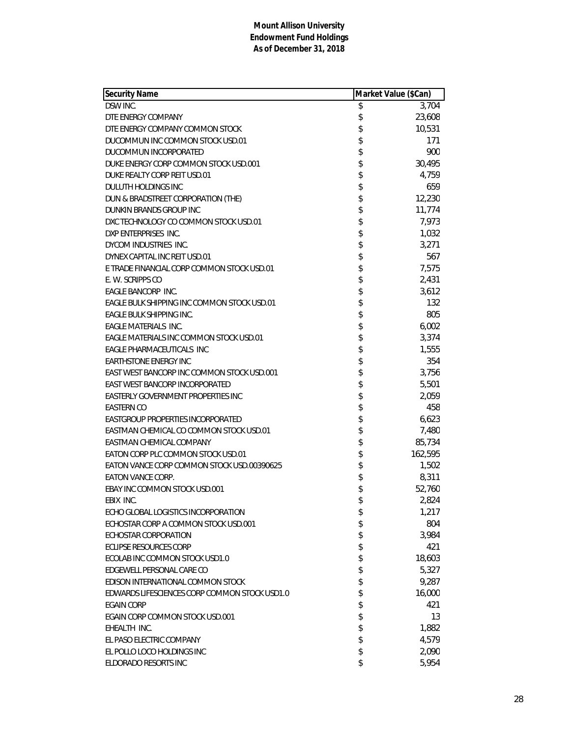| <b>Security Name</b>                          | Market Value (\$Can) |         |
|-----------------------------------------------|----------------------|---------|
| DSW INC.                                      | \$                   | 3,704   |
| DTE ENERGY COMPANY                            | \$                   | 23,608  |
| DTE ENERGY COMPANY COMMON STOCK               | \$                   | 10,531  |
| DUCOMMUN INC COMMON STOCK USD.01              | \$                   | 171     |
| DUCOMMUN INCORPORATED                         | \$                   | 900     |
| DUKE ENERGY CORP COMMON STOCK USD.001         | \$                   | 30,495  |
| DUKE REALTY CORP REIT USD.01                  | \$                   | 4,759   |
| DULUTH HOLDINGS INC                           | \$                   | 659     |
| DUN & BRADSTREET CORPORATION (THE)            | \$                   | 12,230  |
| DUNKIN BRANDS GROUP INC                       | \$                   | 11,774  |
| DXC TECHNOLOGY CO COMMON STOCK USD.01         | \$                   | 7,973   |
| DXP ENTERPRISES INC.                          | \$                   | 1,032   |
| DYCOM INDUSTRIES INC.                         | \$                   | 3,271   |
| DYNEX CAPITAL INC REIT USD.01                 | \$                   | 567     |
| E TRADE FINANCIAL CORP COMMON STOCK USD.01    | \$                   | 7,575   |
| E. W. SCRIPPS CO                              | \$                   | 2,431   |
| EAGLE BANCORP INC.                            | \$                   | 3,612   |
| EAGLE BULK SHIPPING INC COMMON STOCK USD.01   | \$                   | 132     |
| EAGLE BULK SHIPPING INC.                      | \$                   | 805     |
| EAGLE MATERIALS INC.                          | \$                   | 6,002   |
| EAGLE MATERIALS INC COMMON STOCK USD.01       | \$                   | 3,374   |
| EAGLE PHARMACEUTICALS INC                     | \$                   | 1,555   |
| <b>EARTHSTONE ENERGY INC</b>                  | \$                   | 354     |
| EAST WEST BANCORP INC COMMON STOCK USD.001    | \$                   | 3,756   |
| EAST WEST BANCORP INCORPORATED                | \$                   | 5,501   |
| EASTERLY GOVERNMENT PROPERTIES INC            | \$                   | 2,059   |
| <b>EASTERN CO</b>                             | \$                   | 458     |
| EASTGROUP PROPERTIES INCORPORATED             | \$                   | 6,623   |
| EASTMAN CHEMICAL CO COMMON STOCK USD.01       | \$                   | 7,480   |
| EASTMAN CHEMICAL COMPANY                      | \$                   | 85,734  |
| EATON CORP PLC COMMON STOCK USD.01            | \$                   | 162,595 |
| EATON VANCE CORP COMMON STOCK USD.00390625    | \$                   | 1,502   |
| <b>EATON VANCE CORP.</b>                      | \$                   | 8,311   |
| EBAY INC COMMON STOCK USD.001                 | \$                   | 52,760  |
| EBIX INC.                                     | \$                   | 2,824   |
| ECHO GLOBAL LOGISTICS INCORPORATION           | \$                   | 1,217   |
| ECHOSTAR CORP A COMMON STOCK USD.001          | \$                   | 804     |
| ECHOSTAR CORPORATION                          | \$                   | 3,984   |
| <b>ECLIPSE RESOURCES CORP</b>                 | \$                   | 421     |
| ECOLAB INC COMMON STOCK USD1.0                | \$                   | 18,603  |
| EDGEWELL PERSONAL CARE CO                     | \$                   | 5,327   |
| EDISON INTERNATIONAL COMMON STOCK             | \$                   | 9,287   |
| EDWARDS LIFESCIENCES CORP COMMON STOCK USD1.0 | \$                   | 16,000  |
| <b>EGAIN CORP</b>                             | \$                   | 421     |
| EGAIN CORP COMMON STOCK USD.001               | \$                   | 13      |
| EHEALTH INC.                                  | \$                   | 1,882   |
| EL PASO ELECTRIC COMPANY                      | \$                   | 4,579   |
| EL POLLO LOCO HOLDINGS INC                    | \$                   | 2,090   |
| ELDORADO RESORTS INC                          | \$                   | 5,954   |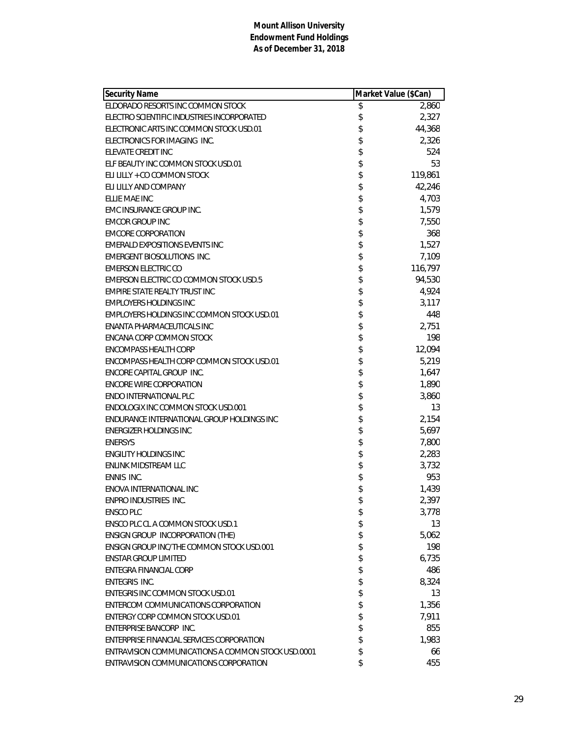| <b>Security Name</b>                               | Market Value (\$Can) |         |
|----------------------------------------------------|----------------------|---------|
| ELDORADO RESORTS INC COMMON STOCK                  | \$                   | 2,860   |
| ELECTRO SCIENTIFIC INDUSTRIES INCORPORATED         | \$                   | 2,327   |
| ELECTRONIC ARTS INC COMMON STOCK USD.01            | \$                   | 44,368  |
| ELECTRONICS FOR IMAGING INC.                       | \$                   | 2,326   |
| ELEVATE CREDIT INC                                 | \$                   | 524     |
| ELF BEAUTY INC COMMON STOCK USD.01                 | \$                   | 53      |
| ELI LILLY + CO COMMON STOCK                        | \$                   | 119,861 |
| ELI LILLY AND COMPANY                              | \$                   | 42,246  |
| ELLIE MAE INC                                      | \$                   | 4,703   |
| EMC INSURANCE GROUP INC.                           | \$                   | 1,579   |
| <b>EMCOR GROUP INC</b>                             | \$                   | 7,550   |
| <b>EMCORE CORPORATION</b>                          | \$                   | 368     |
| <b>EMERALD EXPOSITIONS EVENTS INC</b>              | \$                   | 1,527   |
| <b>EMERGENT BIOSOLUTIONS INC.</b>                  | \$                   | 7,109   |
| <b>EMERSON ELECTRIC CO</b>                         | \$                   | 116,797 |
| EMERSON ELECTRIC CO COMMON STOCK USD.5             | \$                   | 94,530  |
| EMPIRE STATE REALTY TRUST INC                      | \$                   | 4,924   |
| <b>EMPLOYERS HOLDINGS INC</b>                      | \$                   | 3,117   |
| EMPLOYERS HOLDINGS INC COMMON STOCK USD.01         | \$                   | 448     |
| ENANTA PHARMACEUTICALS INC                         | \$                   | 2,751   |
| ENCANA CORP COMMON STOCK                           | \$                   | 198     |
| <b>ENCOMPASS HEALTH CORP</b>                       | \$                   | 12,094  |
| ENCOMPASS HEALTH CORP COMMON STOCK USD.01          | \$                   | 5,219   |
| ENCORE CAPITAL GROUP INC.                          | \$                   | 1,647   |
| <b>ENCORE WIRE CORPORATION</b>                     | \$                   | 1,890   |
| ENDO INTERNATIONAL PLC                             | \$                   | 3,860   |
| ENDOLOGIX INC COMMON STOCK USD.001                 | \$                   | 13      |
| ENDURANCE INTERNATIONAL GROUP HOLDINGS INC         | \$                   | 2,154   |
| <b>ENERGIZER HOLDINGS INC</b>                      | \$                   | 5,697   |
| <b>ENERSYS</b>                                     | \$                   | 7,800   |
| <b>ENGILITY HOLDINGS INC</b>                       | \$                   | 2,283   |
| ENLINK MIDSTREAM LLC                               | \$                   | 3,732   |
| ENNIS INC.                                         | \$                   | 953     |
| ENOVA INTERNATIONAL INC                            | \$                   | 1,439   |
| ENPRO INDUSTRIES INC.                              | \$                   | 2,397   |
| ENSCO PLC                                          | \$                   | 3,778   |
| ENSCO PLC CL A COMMON STOCK USD.1                  | \$                   | 13      |
| <b>ENSIGN GROUP INCORPORATION (THE)</b>            | \$                   | 5,062   |
| ENSIGN GROUP INC/THE COMMON STOCK USD.001          | \$                   | 198     |
| <b>ENSTAR GROUP LIMITED</b>                        | \$                   | 6,735   |
| <b>ENTEGRA FINANCIAL CORP</b>                      | \$                   | 486     |
| ENTEGRIS INC.                                      | \$                   | 8,324   |
| ENTEGRIS INC COMMON STOCK USD.01                   | \$                   | 13      |
| ENTERCOM COMMUNICATIONS CORPORATION                | \$                   | 1,356   |
| ENTERGY CORP COMMON STOCK USD.01                   | \$                   | 7,911   |
| ENTERPRISE BANCORP INC.                            | \$                   | 855     |
| ENTERPRISE FINANCIAL SERVICES CORPORATION          | \$                   | 1,983   |
| ENTRAVISION COMMUNICATIONS A COMMON STOCK USD.0001 | \$                   | 66      |
| ENTRAVISION COMMUNICATIONS CORPORATION             | \$                   | 455     |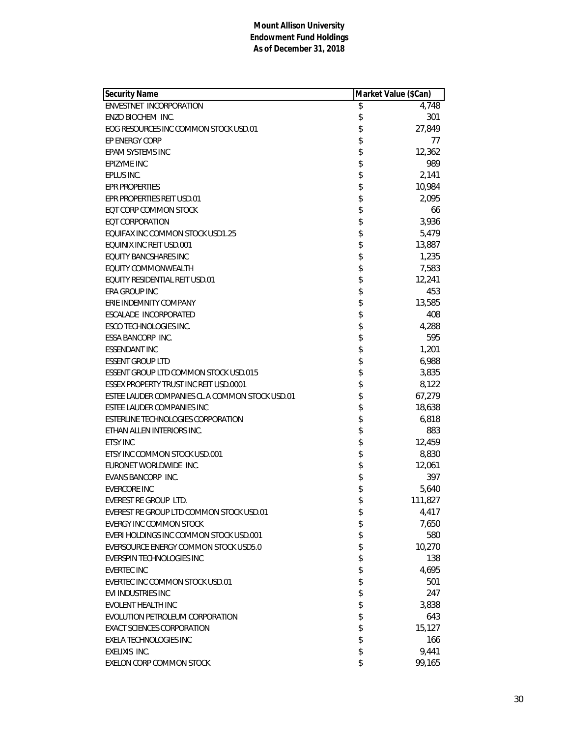| Security Name                                   | Market Value (\$Can) |         |
|-------------------------------------------------|----------------------|---------|
| ENVESTNET INCORPORATION                         | \$                   | 4,748   |
| ENZO BIOCHEM INC.                               | \$                   | 301     |
| EOG RESOURCES INC COMMON STOCK USD.01           | \$                   | 27,849  |
| EP ENERGY CORP                                  | \$                   | 77      |
| EPAM SYSTEMS INC                                | \$                   | 12,362  |
| EPIZYME INC                                     | \$                   | 989     |
| EPLUS INC.                                      | \$                   | 2,141   |
| <b>EPR PROPERTIES</b>                           | \$                   | 10,984  |
| EPR PROPERTIES REIT USD.01                      | \$                   | 2,095   |
| <b>EOT CORP COMMON STOCK</b>                    | \$                   | 66      |
| <b>EQT CORPORATION</b>                          | \$                   | 3,936   |
| EQUIFAX INC COMMON STOCK USD1.25                | \$                   | 5,479   |
| EQUINIX INC REIT USD.001                        | \$                   | 13,887  |
| <b>EQUITY BANCSHARES INC</b>                    | \$                   | 1,235   |
| EQUITY COMMONWEALTH                             | \$                   | 7,583   |
| EQUITY RESIDENTIAL REIT USD.01                  | \$                   | 12,241  |
| ERA GROUP INC                                   | \$                   | 453     |
| ERIE INDEMNITY COMPANY                          | \$                   | 13,585  |
| ESCALADE INCORPORATED                           | \$                   | 408     |
| <b>ESCO TECHNOLOGIES INC.</b>                   | \$                   | 4,288   |
| <b>ESSA BANCORP INC.</b>                        | \$                   | 595     |
| <b>ESSENDANT INC</b>                            | \$                   | 1,201   |
| <b>ESSENT GROUP LTD</b>                         | \$                   | 6,988   |
| <b>ESSENT GROUP LTD COMMON STOCK USD.015</b>    | \$                   | 3,835   |
| <b>ESSEX PROPERTY TRUST INC REIT USD.0001</b>   | \$                   | 8,122   |
| ESTEE LAUDER COMPANIES CL A COMMON STOCK USD.01 | \$                   | 67,279  |
| ESTEE LAUDER COMPANIES INC                      | \$                   | 18,638  |
| ESTERLINE TECHNOLOGIES CORPORATION              | \$                   | 6,818   |
| ETHAN ALLEN INTERIORS INC.                      | \$                   | 883     |
| <b>ETSY INC</b>                                 | \$                   | 12,459  |
| ETSY INC COMMON STOCK USD.001                   | \$                   | 8,830   |
| EURONET WORLDWIDE INC.                          | \$                   | 12,061  |
| EVANS BANCORP INC.                              | \$                   | 397     |
| <b>EVERCORE INC</b>                             | \$                   | 5,640   |
| EVEREST RE GROUP LTD.                           | \$                   | 111,827 |
| EVEREST RE GROUP LTD COMMON STOCK USD.01        | \$                   | 4,417   |
| <b>EVERGY INC COMMON STOCK</b>                  | \$                   | 7,650   |
| EVERI HOLDINGS INC COMMON STOCK USD.001         | \$                   | 580     |
| EVERSOURCE ENERGY COMMON STOCK USD5.0           | \$                   | 10,270  |
| EVERSPIN TECHNOLOGIES INC                       | \$                   | 138     |
| <b>EVERTEC INC</b>                              | \$                   | 4,695   |
| EVERTEC INC COMMON STOCK USD.01                 | \$                   | 501     |
| EVI INDUSTRIES INC                              | \$                   | 247     |
| EVOLENT HEALTH INC                              | \$                   | 3,838   |
| EVOLUTION PETROLEUM CORPORATION                 | \$                   | 643     |
| <b>EXACT SCIENCES CORPORATION</b>               | \$                   | 15,127  |
| <b>EXELA TECHNOLOGIES INC</b>                   | \$                   | 166     |
| <b>EXELIXIS INC.</b>                            | \$                   | 9,441   |
| EXELON CORP COMMON STOCK                        | \$                   | 99,165  |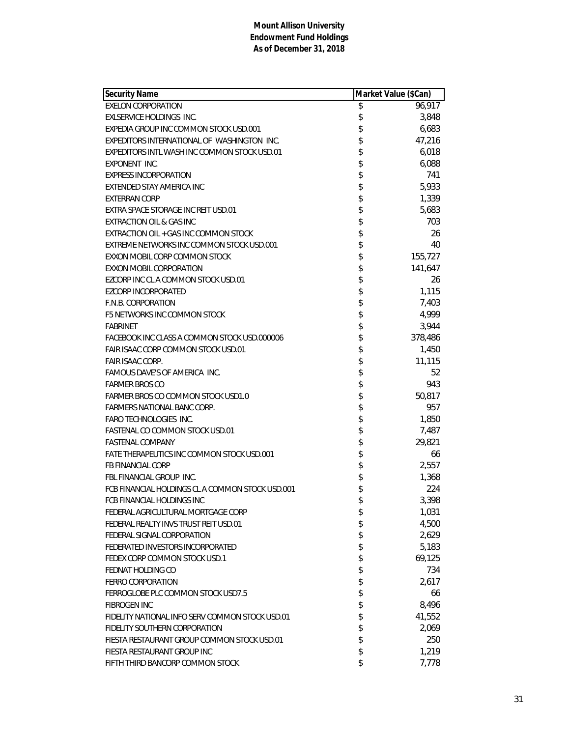| <b>Security Name</b>                             | Market Value (\$Can) |         |
|--------------------------------------------------|----------------------|---------|
| <b>EXELON CORPORATION</b>                        | \$                   | 96,917  |
| EXLSERVICE HOLDINGS INC.                         | \$                   | 3,848   |
| EXPEDIA GROUP INC COMMON STOCK USD.001           | \$                   | 6,683   |
| EXPEDITORS INTERNATIONAL OF WASHINGTON INC.      | \$                   | 47,216  |
| EXPEDITORS INTL WASH INC COMMON STOCK USD.01     | \$                   | 6,018   |
| EXPONENT INC.                                    | \$                   | 6,088   |
| <b>EXPRESS INCORPORATION</b>                     | \$                   | 741     |
| EXTENDED STAY AMERICA INC                        | \$                   | 5,933   |
| <b>EXTERRAN CORP</b>                             | \$                   | 1,339   |
| EXTRA SPACE STORAGE INC REIT USD.01              | \$                   | 5,683   |
| <b>EXTRACTION OIL &amp; GAS INC</b>              | \$                   | 703     |
| EXTRACTION OIL + GAS INC COMMON STOCK            | \$                   | 26      |
| EXTREME NETWORKS INC COMMON STOCK USD.001        | \$                   | 40      |
| EXXON MOBIL CORP COMMON STOCK                    | \$                   | 155,727 |
| EXXON MOBIL CORPORATION                          | \$                   | 141,647 |
| EZCORP INC CL A COMMON STOCK USD.01              | \$                   | 26      |
| <b>EZCORP INCORPORATED</b>                       | \$                   | 1,115   |
| F.N.B. CORPORATION                               | \$                   | 7,403   |
| F5 NETWORKS INC COMMON STOCK                     | \$                   | 4,999   |
| <b>FABRINET</b>                                  | \$                   | 3,944   |
| FACEBOOK INC CLASS A COMMON STOCK USD.000006     | \$                   | 378,486 |
| FAIR ISAAC CORP COMMON STOCK USD.01              | \$                   | 1,450   |
| <b>FAIR ISAAC CORP.</b>                          | \$                   | 11,115  |
| FAMOUS DAVE'S OF AMERICA INC.                    | \$                   | 52      |
| <b>FARMER BROS CO</b>                            | \$                   | 943     |
| <b>FARMER BROS CO COMMON STOCK USD1.0</b>        | \$                   | 50,817  |
| FARMERS NATIONAL BANC CORP.                      | \$                   | 957     |
| <b>FARO TECHNOLOGIES INC.</b>                    | \$                   | 1,850   |
| FASTENAL CO COMMON STOCK USD.01                  | \$                   | 7,487   |
| <b>FASTENAL COMPANY</b>                          | \$                   | 29,821  |
| FATE THERAPEUTICS INC COMMON STOCK USD.001       | \$                   | 66      |
| <b>FB FINANCIAL CORP</b>                         | \$                   | 2,557   |
| FBL FINANCIAL GROUP INC.                         | \$                   | 1,368   |
| FCB FINANCIAL HOLDINGS CL A COMMON STOCK USD.001 | \$                   | 224     |
| FCB FINANCIAL HOLDINGS INC                       | \$                   | 3,398   |
| FEDERAL AGRICULTURAL MORTGAGE CORP               | \$                   | 1,031   |
| FEDERAL REALTY INVS TRUST REIT USD.01            | \$                   | 4,500   |
| FEDERAL SIGNAL CORPORATION                       | \$                   | 2,629   |
| FEDERATED INVESTORS INCORPORATED                 | \$                   | 5,183   |
| FEDEX CORP COMMON STOCK USD.1                    | \$                   | 69,125  |
| FEDNAT HOLDING CO                                | \$                   | 734     |
| <b>FERRO CORPORATION</b>                         | \$                   | 2,617   |
| FERROGLOBE PLC COMMON STOCK USD7.5               | \$                   | 66      |
| <b>FIBROGEN INC</b>                              | \$                   | 8,496   |
| FIDELITY NATIONAL INFO SERV COMMON STOCK USD.01  | \$                   | 41,552  |
| FIDELITY SOUTHERN CORPORATION                    | \$                   | 2,069   |
| FIESTA RESTAURANT GROUP COMMON STOCK USD.01      | \$                   | 250     |
| FIESTA RESTAURANT GROUP INC                      | \$                   | 1,219   |
| FIFTH THIRD BANCORP COMMON STOCK                 | \$                   | 7,778   |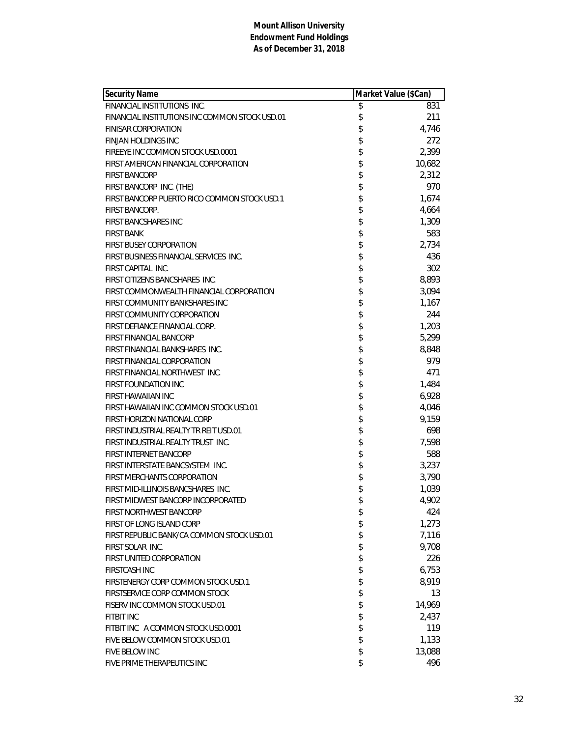| <b>Security Name</b>                           | Market Value (\$Can) |
|------------------------------------------------|----------------------|
| FINANCIAL INSTITUTIONS INC.                    | \$<br>831            |
| FINANCIAL INSTITUTIONS INC COMMON STOCK USD.01 | \$<br>211            |
| <b>FINISAR CORPORATION</b>                     | \$<br>4,746          |
| <b>FINJAN HOLDINGS INC</b>                     | \$<br>272            |
| FIREEYE INC COMMON STOCK USD.0001              | \$<br>2,399          |
| FIRST AMERICAN FINANCIAL CORPORATION           | \$<br>10,682         |
| <b>FIRST BANCORP</b>                           | \$<br>2,312          |
| FIRST BANCORP INC. (THE)                       | \$<br>970            |
| FIRST BANCORP PUERTO RICO COMMON STOCK USD.1   | \$<br>1,674          |
| FIRST BANCORP.                                 | \$<br>4,664          |
| <b>FIRST BANCSHARES INC</b>                    | \$<br>1,309          |
| <b>FIRST BANK</b>                              | \$<br>583            |
| <b>FIRST BUSEY CORPORATION</b>                 | \$<br>2,734          |
| FIRST BUSINESS FINANCIAL SERVICES INC.         | \$<br>436            |
| FIRST CAPITAL INC.                             | \$<br>302            |
| FIRST CITIZENS BANCSHARES INC.                 | \$<br>8,893          |
| FIRST COMMONWEALTH FINANCIAL CORPORATION       | \$<br>3,094          |
| FIRST COMMUNITY BANKSHARES INC                 | \$<br>1,167          |
| FIRST COMMUNITY CORPORATION                    | \$<br>244            |
| FIRST DEFIANCE FINANCIAL CORP.                 | \$<br>1,203          |
| <b>FIRST FINANCIAL BANCORP</b>                 | \$<br>5,299          |
| FIRST FINANCIAL BANKSHARES INC.                | \$<br>8,848          |
| FIRST FINANCIAL CORPORATION                    | \$<br>979            |
| FIRST FINANCIAL NORTHWEST INC.                 | \$<br>471            |
| <b>FIRST FOUNDATION INC</b>                    | \$<br>1,484          |
| FIRST HAWAIIAN INC                             | \$<br>6,928          |
| FIRST HAWAIIAN INC COMMON STOCK USD.01         | \$<br>4,046          |
| FIRST HORIZON NATIONAL CORP                    | \$<br>9,159          |
| FIRST INDUSTRIAL REALTY TR REIT USD.01         | \$<br>698            |
| FIRST INDUSTRIAL REALTY TRUST INC.             | \$<br>7,598          |
| FIRST INTERNET BANCORP                         | \$<br>588            |
| FIRST INTERSTATE BANCSYSTEM INC.               | \$<br>3,237          |
| <b>FIRST MERCHANTS CORPORATION</b>             | \$<br>3,790          |
| FIRST MID-ILLINOIS BANCSHARES INC.             | \$<br>1,039          |
| FIRST MIDWEST BANCORP INCORPORATED             | \$<br>4,902          |
| <b>FIRST NORTHWEST BANCORP</b>                 | \$<br>424            |
| FIRST OF LONG ISLAND CORP                      | \$<br>1,273          |
| FIRST REPUBLIC BANK/CA COMMON STOCK USD.01     | \$<br>7,116          |
| FIRST SOLAR INC.                               | \$<br>9,708          |
| FIRST UNITED CORPORATION                       | \$<br>226            |
| <b>FIRSTCASH INC</b>                           | \$<br>6,753          |
| FIRSTENERGY CORP COMMON STOCK USD.1            | \$<br>8,919          |
| FIRSTSERVICE CORP COMMON STOCK                 | \$<br>13             |
| FISERV INC COMMON STOCK USD.01                 | \$<br>14,969         |
| <b>FITBIT INC</b>                              | \$<br>2,437          |
| FITBIT INC A COMMON STOCK USD.0001             | \$<br>119            |
| FIVE BELOW COMMON STOCK USD.01                 | \$<br>1,133          |
| FIVE BELOW INC                                 | \$<br>13,088         |
| FIVE PRIME THERAPEUTICS INC                    | \$<br>496            |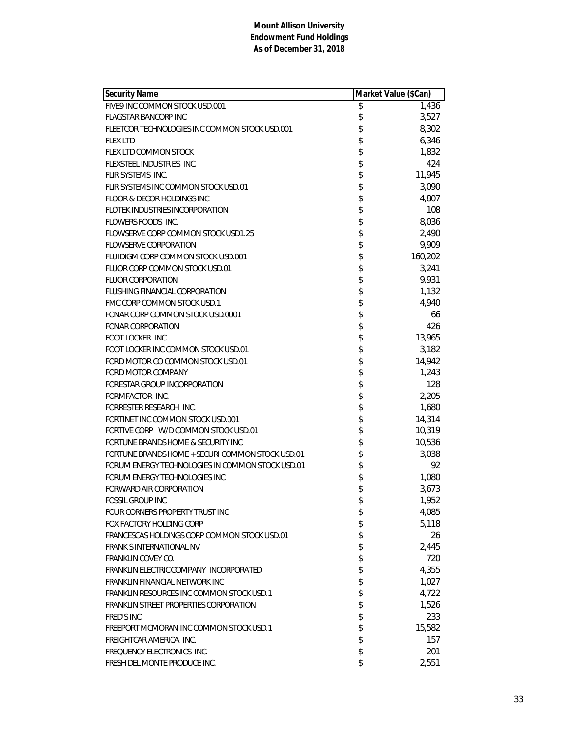| <b>Security Name</b>                             | Market Value (\$Can) |         |
|--------------------------------------------------|----------------------|---------|
| FIVE9 INC COMMON STOCK USD.001                   | \$                   | 1,436   |
| <b>FLAGSTAR BANCORP INC</b>                      | \$                   | 3,527   |
| FLEETCOR TECHNOLOGIES INC COMMON STOCK USD.001   | \$                   | 8,302   |
| <b>FLEX LTD</b>                                  | \$                   | 6,346   |
| FLEX LTD COMMON STOCK                            | \$                   | 1,832   |
| FLEXSTEEL INDUSTRIES INC.                        | \$                   | 424     |
| FLIR SYSTEMS INC.                                | \$                   | 11,945  |
| FLIR SYSTEMS INC COMMON STOCK USD.01             | \$                   | 3,090   |
| FLOOR & DECOR HOLDINGS INC                       | \$                   | 4,807   |
| FLOTEK INDUSTRIES INCORPORATION                  | \$                   | 108     |
| FLOWERS FOODS INC.                               | \$                   | 8,036   |
| FLOWSERVE CORP COMMON STOCK USD1.25              | \$                   | 2,490   |
| <b>FLOWSERVE CORPORATION</b>                     | \$                   | 9,909   |
| FLUIDIGM CORP COMMON STOCK USD.001               | \$                   | 160,202 |
| FLUOR CORP COMMON STOCK USD.01                   | \$                   | 3,241   |
| <b>FLUOR CORPORATION</b>                         | \$                   | 9,931   |
| FLUSHING FINANCIAL CORPORATION                   | \$                   | 1,132   |
| FMC CORP COMMON STOCK USD.1                      | \$                   | 4,940   |
| FONAR CORP COMMON STOCK USD.0001                 | \$                   | 66      |
| <b>FONAR CORPORATION</b>                         | \$                   | 426     |
| <b>FOOT LOCKER INC</b>                           | \$                   | 13,965  |
| FOOT LOCKER INC COMMON STOCK USD.01              | \$                   | 3,182   |
| FORD MOTOR CO COMMON STOCK USD.01                | \$                   | 14,942  |
| FORD MOTOR COMPANY                               | \$                   | 1,243   |
| FORESTAR GROUP INCORPORATION                     | \$                   | 128     |
| FORMFACTOR INC.                                  | \$                   | 2,205   |
| FORRESTER RESEARCH INC.                          | \$                   | 1,680   |
| FORTINET INC COMMON STOCK USD.001                | \$                   | 14,314  |
| FORTIVE CORP W/D COMMON STOCK USD.01             | \$                   | 10,319  |
| FORTUNE BRANDS HOME & SECURITY INC               | \$                   | 10,536  |
| FORTUNE BRANDS HOME + SECURI COMMON STOCK USD.01 | \$                   | 3,038   |
| FORUM ENERGY TECHNOLOGIES IN COMMON STOCK USD.01 | \$                   | 92      |
| FORUM ENERGY TECHNOLOGIES INC                    | \$                   | 1,080   |
| <b>FORWARD AIR CORPORATION</b>                   | \$                   | 3,673   |
| FOSSIL GROUP INC                                 | \$                   | 1,952   |
| FOUR CORNERS PROPERTY TRUST INC                  | \$                   | 4,085   |
| FOX FACTORY HOLDING CORP                         | \$                   | 5,118   |
| FRANCESCAS HOLDINGS CORP COMMON STOCK USD.01     | \$                   | 26      |
| <b>FRANK SINTERNATIONAL NV</b>                   | \$                   | 2,445   |
| <b>FRANKLIN COVEY CO.</b>                        | \$                   | 720     |
| FRANKLIN ELECTRIC COMPANY INCORPORATED           | \$                   | 4,355   |
| FRANKLIN FINANCIAL NETWORK INC                   | \$                   | 1,027   |
| FRANKLIN RESOURCES INC COMMON STOCK USD.1        | \$                   | 4,722   |
| FRANKLIN STREET PROPERTIES CORPORATION           | \$                   | 1,526   |
| <b>FRED'S INC</b>                                | \$                   | 233     |
| FREEPORT MCMORAN INC COMMON STOCK USD.1          | \$                   | 15,582  |
| FREIGHTCAR AMERICA INC.                          | \$                   | 157     |
| FREQUENCY ELECTRONICS INC.                       | \$                   | 201     |
| FRESH DEL MONTE PRODUCE INC.                     | \$                   | 2,551   |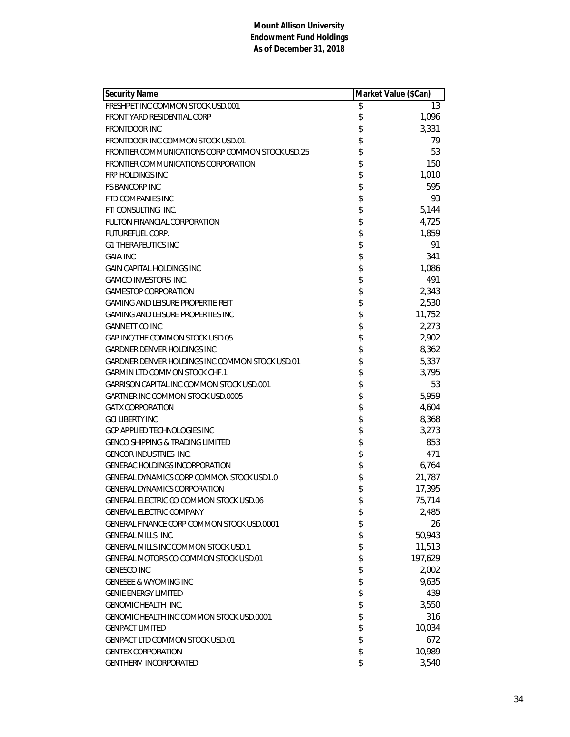| <b>Security Name</b>                             | Market Value (\$Can) |         |
|--------------------------------------------------|----------------------|---------|
| FRESHPET INC COMMON STOCK USD.001                | \$                   | 13      |
| FRONT YARD RESIDENTIAL CORP                      | \$                   | 1,096   |
| <b>FRONTDOOR INC</b>                             | \$                   | 3,331   |
| FRONTDOOR INC COMMON STOCK USD.01                | \$                   | 79      |
| FRONTIER COMMUNICATIONS CORP COMMON STOCK USD.25 | \$                   | 53      |
| FRONTIER COMMUNICATIONS CORPORATION              | \$                   | 150     |
| <b>FRP HOLDINGS INC</b>                          | \$                   | 1,010   |
| <b>FS BANCORP INC</b>                            | \$                   | 595     |
| <b>FTD COMPANIES INC</b>                         | \$                   | 93      |
| FTI CONSULTING INC.                              |                      | 5,144   |
| FULTON FINANCIAL CORPORATION                     | \$\$                 | 4,725   |
| <b>FUTUREFUEL CORP.</b>                          |                      | 1,859   |
| <b>G1 THERAPEUTICS INC</b>                       | \$                   | 91      |
| <b>GAIA INC</b>                                  | \$                   | 341     |
| <b>GAIN CAPITAL HOLDINGS INC</b>                 | \$                   | 1,086   |
| <b>GAMCO INVESTORS INC.</b>                      | \$                   | 491     |
| <b>GAMESTOP CORPORATION</b>                      |                      | 2,343   |
| <b>GAMING AND LEISURE PROPERTIE REIT</b>         | \$\$                 | 2,530   |
| GAMING AND LEISURE PROPERTIES INC                |                      | 11,752  |
| <b>GANNETT CO INC</b>                            | \$                   | 2,273   |
| GAP INC/THE COMMON STOCK USD.05                  | \$                   | 2,902   |
| GARDNER DENVER HOLDINGS INC                      | \$                   | 8,362   |
| GARDNER DENVER HOLDINGS INC COMMON STOCK USD.01  |                      | 5,337   |
| <b>GARMIN LTD COMMON STOCK CHF.1</b>             | \$<br>\$             | 3,795   |
| <b>GARRISON CAPITAL INC COMMON STOCK USD.001</b> | \$                   | 53      |
| GARTNER INC COMMON STOCK USD.0005                | \$                   | 5,959   |
| <b>GATX CORPORATION</b>                          | \$                   | 4,604   |
| <b>GCI LIBERTY INC</b>                           | \$                   | 8,368   |
| GCP APPLIED TECHNOLOGIES INC                     |                      | 3,273   |
| <b>GENCO SHIPPING &amp; TRADING LIMITED</b>      | \$                   | 853     |
| <b>GENCOR INDUSTRIES INC.</b>                    | \$                   | 471     |
| <b>GENERAC HOLDINGS INCORPORATION</b>            | \$                   | 6,764   |
| GENERAL DYNAMICS CORP COMMON STOCK USD1.0        | \$                   | 21,787  |
| GENERAL DYNAMICS CORPORATION                     | \$                   | 17,395  |
| GENERAL ELECTRIC CO COMMON STOCK USD.06          | \$                   | 75,714  |
| <b>GENERAL ELECTRIC COMPANY</b>                  | \$                   | 2,485   |
| GENERAL FINANCE CORP COMMON STOCK USD.0001       | \$                   | 26      |
| <b>GENERAL MILLS INC.</b>                        | \$                   | 50,943  |
| GENERAL MILLS INC COMMON STOCK USD.1             | \$                   | 11,513  |
| GENERAL MOTORS CO COMMON STOCK USD.01            | \$                   | 197,629 |
| <b>GENESCO INC</b>                               | \$                   | 2,002   |
| <b>GENESEE &amp; WYOMING INC</b>                 |                      | 9,635   |
| <b>GENIE ENERGY LIMITED</b>                      | \$<br>\$             | 439     |
| <b>GENOMIC HEALTH INC.</b>                       |                      | 3,550   |
| GENOMIC HEALTH INC COMMON STOCK USD.0001         | \$                   | 316     |
| <b>GENPACT LIMITED</b>                           | \$                   | 10,034  |
| <b>GENPACT LTD COMMON STOCK USD.01</b>           | \$                   | 672     |
| <b>GENTEX CORPORATION</b>                        | \$                   | 10,989  |
| GENTHERM INCORPORATED                            | \$                   | 3,540   |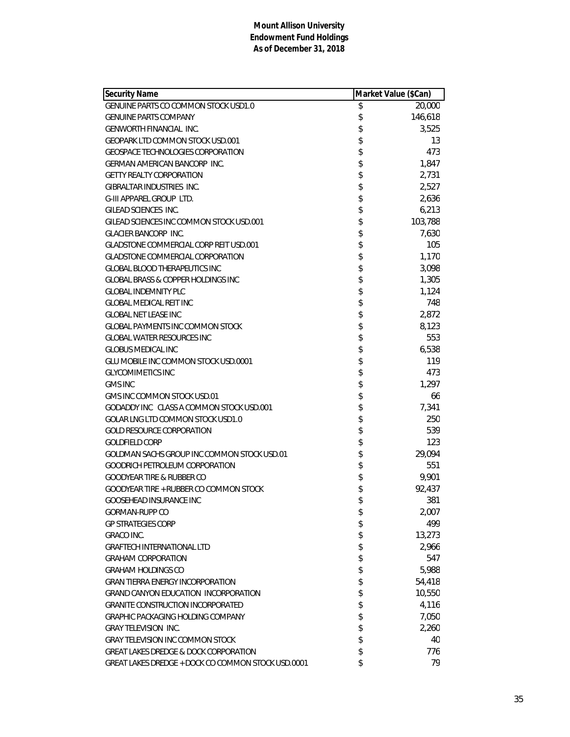| <b>Security Name</b>                               | Market Value (\$Can) |         |
|----------------------------------------------------|----------------------|---------|
| <b>GENUINE PARTS CO COMMON STOCK USD1.0</b>        | \$                   | 20,000  |
| <b>GENUINE PARTS COMPANY</b>                       | \$                   | 146,618 |
| <b>GENWORTH FINANCIAL INC.</b>                     | \$                   | 3,525   |
| <b>GEOPARK LTD COMMON STOCK USD.001</b>            | \$                   | 13      |
| <b>GEOSPACE TECHNOLOGIES CORPORATION</b>           | \$                   | 473     |
| <b>GERMAN AMERICAN BANCORP INC.</b>                | \$                   | 1,847   |
| <b>GETTY REALTY CORPORATION</b>                    | \$                   | 2,731   |
| GIBRALTAR INDUSTRIES INC.                          | \$                   | 2,527   |
| <b>G-III APPAREL GROUP LTD.</b>                    | \$                   | 2,636   |
| GILEAD SCIENCES INC.                               | \$                   | 6,213   |
| GILEAD SCIENCES INC COMMON STOCK USD.001           | \$                   | 103,788 |
| <b>GLACIER BANCORP INC.</b>                        | \$                   | 7,630   |
| <b>GLADSTONE COMMERCIAL CORP REIT USD.001</b>      | \$                   | 105     |
| <b>GLADSTONE COMMERCIAL CORPORATION</b>            | \$                   | 1,170   |
| <b>GLOBAL BLOOD THERAPEUTICS INC</b>               | \$                   | 3,098   |
| <b>GLOBAL BRASS &amp; COPPER HOLDINGS INC</b>      | \$                   | 1,305   |
| <b>GLOBAL INDEMNITY PLC</b>                        | \$                   | 1,124   |
| <b>GLOBAL MEDICAL REIT INC</b>                     | \$                   | 748     |
| <b>GLOBAL NET LEASE INC</b>                        | \$                   | 2,872   |
| <b>GLOBAL PAYMENTS INC COMMON STOCK</b>            | \$                   | 8,123   |
| <b>GLOBAL WATER RESOURCES INC</b>                  | \$                   | 553     |
| <b>GLOBUS MEDICAL INC</b>                          | \$                   | 6,538   |
| GLU MOBILE INC COMMON STOCK USD.0001               | \$                   | 119     |
| <b>GLYCOMIMETICS INC</b>                           | \$                   | 473     |
| <b>GMS INC</b>                                     | \$                   | 1,297   |
| GMS INC COMMON STOCK USD.01                        | \$                   | 66      |
| GODADDY INC CLASS A COMMON STOCK USD.001           | \$                   | 7,341   |
| GOLAR LNG LTD COMMON STOCK USD1.0                  | \$                   | 250     |
| <b>GOLD RESOURCE CORPORATION</b>                   | \$                   | 539     |
| <b>GOLDFIELD CORP</b>                              | \$                   | 123     |
| GOLDMAN SACHS GROUP INC COMMON STOCK USD.01        | \$                   | 29,094  |
| GOODRICH PETROLEUM CORPORATION                     | \$                   | 551     |
| <b>GOODYEAR TIRE &amp; RUBBER CO</b>               | \$                   | 9,901   |
| GOODYEAR TIRE + RUBBER CO COMMON STOCK             | \$                   | 92,437  |
| GOOSEHEAD INSURANCE INC                            | \$                   | 381     |
| GORMAN-RUPP CO                                     | \$                   | 2,007   |
| <b>GP STRATEGIES CORP</b>                          | \$                   | 499     |
| <b>GRACO INC.</b>                                  | \$                   | 13,273  |
| <b>GRAFTECH INTERNATIONAL LTD</b>                  | \$                   | 2,966   |
| <b>GRAHAM CORPORATION</b>                          | \$                   | 547     |
| <b>GRAHAM HOLDINGS CO</b>                          | \$                   | 5,988   |
| <b>GRAN TIERRA ENERGY INCORPORATION</b>            | \$                   | 54,418  |
| <b>GRAND CANYON EDUCATION INCORPORATION</b>        | \$                   | 10,550  |
| <b>GRANITE CONSTRUCTION INCORPORATED</b>           | \$                   | 4,116   |
| GRAPHIC PACKAGING HOLDING COMPANY                  | \$                   | 7,050   |
| <b>GRAY TELEVISION INC.</b>                        | \$                   | 2,260   |
| <b>GRAY TELEVISION INC COMMON STOCK</b>            | \$                   | 40      |
| <b>GREAT LAKES DREDGE &amp; DOCK CORPORATION</b>   | \$                   | 776     |
| GREAT LAKES DREDGE + DOCK CO COMMON STOCK USD.0001 | \$                   | 79      |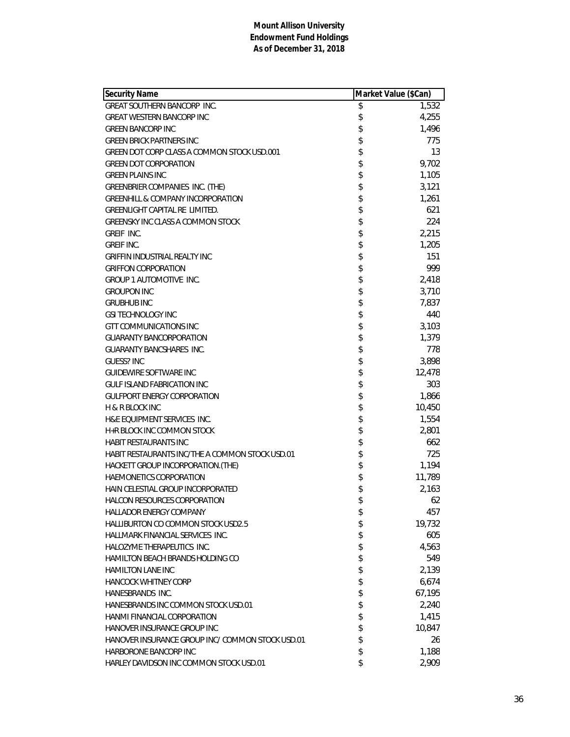| <b>Security Name</b>                             | Market Value (\$Can) |        |
|--------------------------------------------------|----------------------|--------|
| <b>GREAT SOUTHERN BANCORP INC.</b>               | \$                   | 1,532  |
| <b>GREAT WESTERN BANCORP INC</b>                 | \$                   | 4,255  |
| <b>GREEN BANCORP INC</b>                         | \$                   | 1,496  |
| <b>GREEN BRICK PARTNERS INC</b>                  | \$                   | 775    |
| GREEN DOT CORP CLASS A COMMON STOCK USD.001      | \$                   | 13     |
| <b>GREEN DOT CORPORATION</b>                     | \$                   | 9,702  |
| <b>GREEN PLAINS INC</b>                          | \$                   | 1,105  |
| GREENBRIER COMPANIES INC. (THE)                  | \$                   | 3,121  |
| <b>GREENHILL &amp; COMPANY INCORPORATION</b>     | \$                   | 1,261  |
| <b>GREENLIGHT CAPITAL RE LIMITED.</b>            | \$                   | 621    |
| <b>GREENSKY INC CLASS A COMMON STOCK</b>         | \$                   | 224    |
| GREIF INC.                                       | \$                   | 2,215  |
| <b>GREIF INC.</b>                                | \$                   | 1,205  |
| <b>GRIFFIN INDUSTRIAL REALTY INC</b>             | \$                   | 151    |
| <b>GRIFFON CORPORATION</b>                       | \$                   | 999    |
| <b>GROUP 1 AUTOMOTIVE INC.</b>                   | \$                   | 2,418  |
| <b>GROUPON INC</b>                               | \$                   | 3,710  |
| <b>GRUBHUB INC</b>                               | \$                   | 7,837  |
| <b>GSI TECHNOLOGY INC</b>                        | \$                   | 440    |
| <b>GTT COMMUNICATIONS INC</b>                    | \$                   | 3,103  |
| <b>GUARANTY BANCORPORATION</b>                   | \$                   | 1,379  |
| <b>GUARANTY BANCSHARES INC.</b>                  | \$                   | 778    |
| <b>GUESS? INC</b>                                | \$                   | 3,898  |
| GUIDEWIRE SOFTWARE INC                           | \$                   | 12,478 |
| <b>GULF ISLAND FABRICATION INC</b>               | \$                   | 303    |
| <b>GULFPORT ENERGY CORPORATION</b>               | \$                   | 1,866  |
| <b>H &amp; R BLOCK INC</b>                       | \$                   | 10,450 |
| H&E EQUIPMENT SERVICES INC.                      | \$                   | 1,554  |
| H+R BLOCK INC COMMON STOCK                       | \$                   | 2,801  |
| <b>HABIT RESTAURANTS INC</b>                     | \$                   | 662    |
| HABIT RESTAURANTS INC/THE A COMMON STOCK USD.01  | \$                   | 725    |
| HACKETT GROUP INCORPORATION.(THE)                | \$                   | 1,194  |
| HAEMONETICS CORPORATION                          | \$                   | 11,789 |
| HAIN CELESTIAL GROUP INCORPORATED                | \$                   | 2,163  |
| HALCON RESOURCES CORPORATION                     | \$                   | 62     |
| <b>HALLADOR ENERGY COMPANY</b>                   | \$                   | 457    |
| <b>HALLIBURTON CO COMMON STOCK USD2.5</b>        | \$                   | 19,732 |
| HALLMARK FINANCIAL SERVICES INC.                 | \$                   | 605    |
| HALOZYME THERAPEUTICS INC.                       | \$                   | 4,563  |
| <b>HAMILTON BEACH BRANDS HOLDING CO</b>          | \$                   | 549    |
| <b>HAMILTON LANE INC</b>                         | \$                   | 2,139  |
| <b>HANCOCK WHITNEY CORP</b>                      | \$                   | 6,674  |
| HANESBRANDS INC.                                 | \$                   | 67,195 |
| HANESBRANDS INC COMMON STOCK USD.01              | \$                   | 2,240  |
| HANMI FINANCIAL CORPORATION                      | \$                   | 1,415  |
| HANOVER INSURANCE GROUP INC                      | \$                   | 10,847 |
| HANOVER INSURANCE GROUP INC/ COMMON STOCK USD.01 | \$                   | 26     |
| HARBORONE BANCORP INC                            | \$                   | 1,188  |
| HARLEY DAVIDSON INC COMMON STOCK USD.01          | \$                   | 2,909  |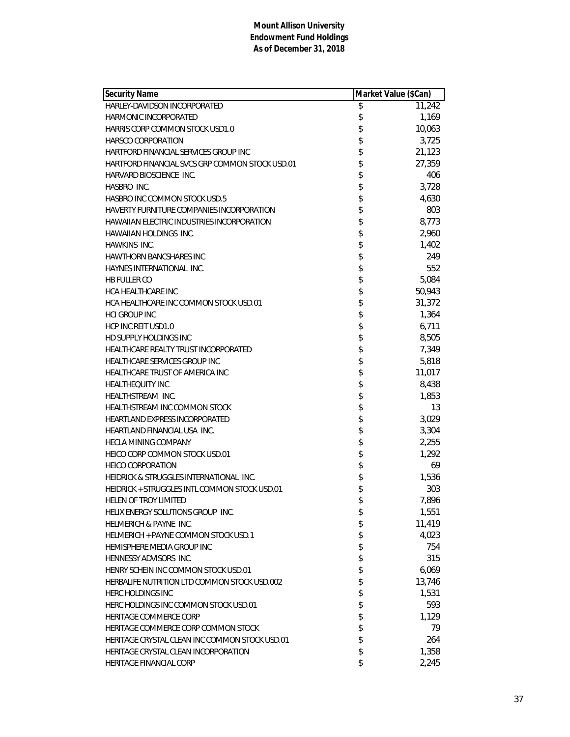| <b>Security Name</b>                              | Market Value (\$Can) |        |
|---------------------------------------------------|----------------------|--------|
| HARLEY-DAVIDSON INCORPORATED                      | \$                   | 11,242 |
| HARMONIC INCORPORATED                             | \$                   | 1,169  |
| HARRIS CORP COMMON STOCK USD1.0                   | \$                   | 10,063 |
| <b>HARSCO CORPORATION</b>                         | \$                   | 3,725  |
| HARTFORD FINANCIAL SERVICES GROUP INC             | \$                   | 21,123 |
| HARTFORD FINANCIAL SVCS GRP COMMON STOCK USD.01   | \$                   | 27,359 |
| HARVARD BIOSCIENCE INC.                           | \$                   | 406    |
| HASBRO INC.                                       | \$                   | 3,728  |
| <b>HASBRO INC COMMON STOCK USD.5</b>              | \$                   | 4,630  |
| HAVERTY FURNITURE COMPANIES INCORPORATION         | \$                   | 803    |
| <b>HAWAIIAN ELECTRIC INDUSTRIES INCORPORATION</b> | \$                   | 8,773  |
| <b>HAWAIIAN HOLDINGS INC.</b>                     | \$                   | 2,960  |
| HAWKINS INC.                                      | \$                   | 1,402  |
| <b>HAWTHORN BANCSHARES INC</b>                    | \$                   | 249    |
| HAYNES INTERNATIONAL INC.                         | \$                   | 552    |
| <b>HB FULLER CO</b>                               | \$                   | 5,084  |
| <b>HCA HEALTHCARE INC</b>                         | \$                   | 50,943 |
| HCA HEALTHCARE INC COMMON STOCK USD.01            | \$                   | 31,372 |
| <b>HCI GROUP INC</b>                              | \$                   | 1,364  |
| HCP INC REIT USD1.0                               | \$                   | 6,711  |
| HD SUPPLY HOLDINGS INC                            | \$                   | 8,505  |
| HEALTHCARE REALTY TRUST INCORPORATED              | \$                   | 7,349  |
| HEALTHCARE SERVICES GROUP INC                     | \$                   | 5,818  |
| HEALTHCARE TRUST OF AMERICA INC                   | \$                   | 11,017 |
| <b>HEALTHEQUITY INC</b>                           | \$                   | 8,438  |
| HEALTHSTREAM INC.                                 | \$                   | 1,853  |
| HEALTHSTREAM INC COMMON STOCK                     | \$                   | 13     |
| <b>HEARTLAND EXPRESS INCORPORATED</b>             | \$                   | 3,029  |
| HEARTLAND FINANCIAL USA INC.                      | \$                   | 3,304  |
| <b>HECLA MINING COMPANY</b>                       | \$                   | 2,255  |
| HEICO CORP COMMON STOCK USD.01                    | \$                   | 1,292  |
| <b>HEICO CORPORATION</b>                          | \$                   | 69     |
| HEIDRICK & STRUGGLES INTERNATIONAL INC.           | \$                   | 1,536  |
| HEIDRICK + STRUGGLES INTL COMMON STOCK USD.01     | \$                   | 303    |
| HELEN OF TROY LIMITED                             | \$                   | 7,896  |
| HELIX ENERGY SOLUTIONS GROUP INC.                 | \$                   | 1,551  |
| HELMERICH & PAYNE INC.                            | \$                   | 11,419 |
| HELMERICH + PAYNE COMMON STOCK USD.1              | \$                   | 4,023  |
| HEMISPHERE MEDIA GROUP INC                        | \$                   | 754    |
| HENNESSY ADVISORS INC.                            | \$                   | 315    |
| HENRY SCHEIN INC COMMON STOCK USD.01              | \$                   | 6,069  |
| HERBALIFE NUTRITION LTD COMMON STOCK USD.002      | \$                   | 13,746 |
| <b>HERC HOLDINGS INC</b>                          | \$                   | 1,531  |
| HERC HOLDINGS INC COMMON STOCK USD.01             | \$                   | 593    |
| HERITAGE COMMERCE CORP                            | \$                   | 1,129  |
| HERITAGE COMMERCE CORP COMMON STOCK               | \$                   | 79     |
| HERITAGE CRYSTAL CLEAN INC COMMON STOCK USD.01    | \$                   | 264    |
| HERITAGE CRYSTAL CLEAN INCORPORATION              | \$                   | 1,358  |
| HERITAGE FINANCIAL CORP                           | \$                   | 2,245  |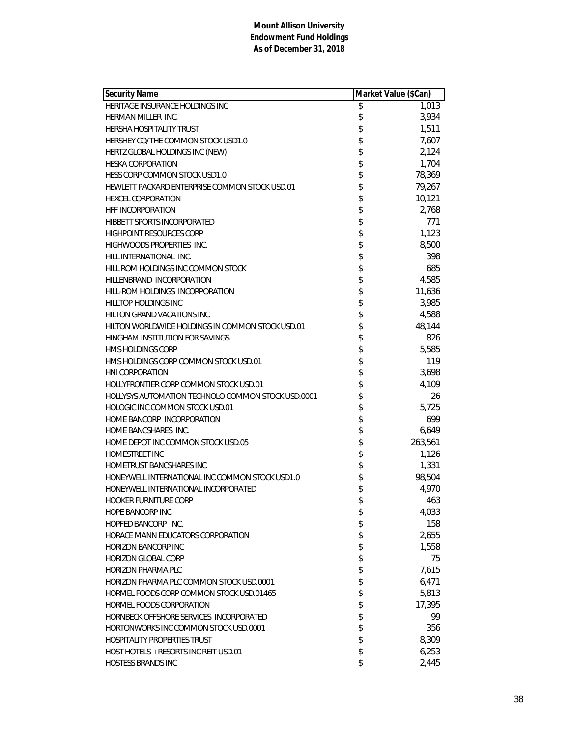| <b>Security Name</b>                                      | Market Value (\$Can) |         |
|-----------------------------------------------------------|----------------------|---------|
| HERITAGE INSURANCE HOLDINGS INC                           | \$                   | 1,013   |
| HERMAN MILLER INC.                                        | \$                   | 3,934   |
| <b>HERSHA HOSPITALITY TRUST</b>                           | \$                   | 1,511   |
| HERSHEY CO/THE COMMON STOCK USD1.0                        | \$                   | 7,607   |
| HERTZ GLOBAL HOLDINGS INC (NEW)                           | \$                   | 2,124   |
| <b>HESKA CORPORATION</b>                                  | \$                   | 1,704   |
| HESS CORP COMMON STOCK USD1.0                             | \$                   | 78,369  |
| HEWLETT PACKARD ENTERPRISE COMMON STOCK USD.01            | \$                   | 79,267  |
| <b>HEXCEL CORPORATION</b>                                 | \$                   | 10,121  |
| <b>HFF INCORPORATION</b>                                  | \$                   | 2,768   |
| <b>HIBBETT SPORTS INCORPORATED</b>                        | \$                   | 771     |
| <b>HIGHPOINT RESOURCES CORP</b>                           | \$                   | 1,123   |
| HIGHWOODS PROPERTIES INC.                                 | \$                   | 8,500   |
| HILL INTERNATIONAL INC.                                   | \$                   | 398     |
| HILL ROM HOLDINGS INC COMMON STOCK                        | \$                   | 685     |
| HILLENBRAND INCORPORATION                                 | \$                   | 4,585   |
| HILL-ROM HOLDINGS INCORPORATION                           | \$                   | 11,636  |
| <b>HILLTOP HOLDINGS INC</b>                               | \$                   | 3,985   |
| HILTON GRAND VACATIONS INC                                | \$                   | 4,588   |
| HILTON WORLDWIDE HOLDINGS IN COMMON STOCK USD.01          | \$                   | 48,144  |
| HINGHAM INSTITUTION FOR SAVINGS                           | \$                   | 826     |
| <b>HMS HOLDINGS CORP</b>                                  | \$                   | 5,585   |
| HMS HOLDINGS CORP COMMON STOCK USD.01                     | \$                   | 119     |
| <b>HNI CORPORATION</b>                                    | \$                   | 3,698   |
| HOLLYFRONTIER CORP COMMON STOCK USD.01                    | \$                   | 4,109   |
| <b>HOLLYSYS AUTOMATION TECHNOLO COMMON STOCK USD.0001</b> | \$                   | 26      |
| HOLOGIC INC COMMON STOCK USD.01                           | \$                   | 5,725   |
| HOME BANCORP INCORPORATION                                | \$                   | 699     |
| HOME BANCSHARES INC.                                      | \$                   | 6,649   |
| HOME DEPOT INC COMMON STOCK USD.05                        | \$                   | 263,561 |
| <b>HOMESTREET INC</b>                                     | \$                   | 1,126   |
| <b>HOMETRUST BANCSHARES INC</b>                           | \$                   | 1,331   |
| HONEYWELL INTERNATIONAL INC COMMON STOCK USD1.0           | \$                   | 98,504  |
| HONEYWELL INTERNATIONAL INCORPORATED                      | \$                   | 4,970   |
| HOOKER FURNITURE CORP                                     | \$                   | 463     |
| <b>HOPE BANCORP INC</b>                                   | \$                   | 4,033   |
| HOPFED BANCORP INC.                                       | \$                   | 158     |
| HORACE MANN EDUCATORS CORPORATION                         | \$                   | 2,655   |
| <b>HORIZON BANCORP INC</b>                                | \$                   | 1,558   |
| <b>HORIZON GLOBAL CORP</b>                                | \$                   | 75      |
| <b>HORIZON PHARMA PLC</b>                                 | \$                   | 7,615   |
| HORIZON PHARMA PLC COMMON STOCK USD.0001                  | \$                   | 6,471   |
| HORMEL FOODS CORP COMMON STOCK USD.01465                  | \$                   | 5,813   |
| HORMEL FOODS CORPORATION                                  | \$                   | 17,395  |
| HORNBECK OFFSHORE SERVICES INCORPORATED                   | \$                   | 99      |
| HORTONWORKS INC COMMON STOCK USD.0001                     | \$                   | 356     |
| <b>HOSPITALITY PROPERTIES TRUST</b>                       | \$                   | 8,309   |
| HOST HOTELS + RESORTS INC REIT USD.01                     | \$                   | 6,253   |
| HOSTESS BRANDS INC                                        | \$                   | 2,445   |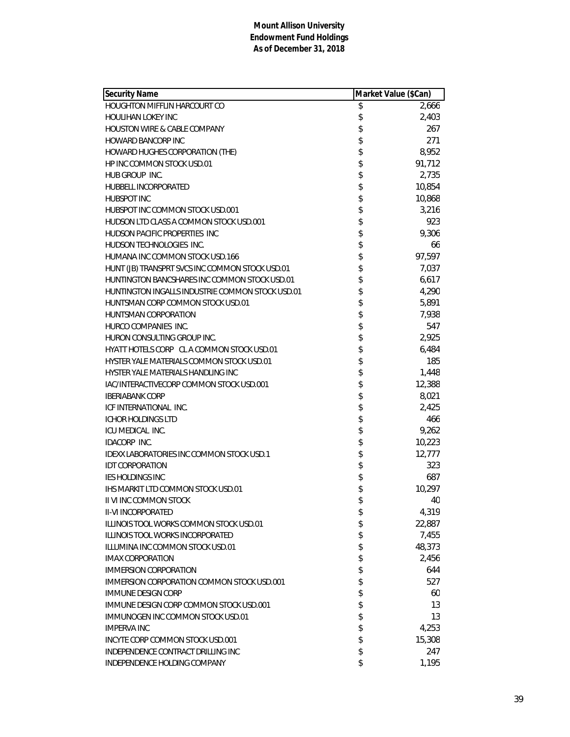| Security Name                                    | Market Value (\$Can) |        |
|--------------------------------------------------|----------------------|--------|
| HOUGHTON MIFFLIN HARCOURT CO                     | \$                   | 2,666  |
| HOULIHAN LOKEY INC                               | \$                   | 2,403  |
| <b>HOUSTON WIRE &amp; CABLE COMPANY</b>          | \$                   | 267    |
| <b>HOWARD BANCORP INC</b>                        | \$                   | 271    |
| HOWARD HUGHES CORPORATION (THE)                  | \$                   | 8,952  |
| <b>HP INC COMMON STOCK USD.01</b>                | \$                   | 91,712 |
| HUB GROUP INC.                                   | \$                   | 2,735  |
| HUBBELL INCORPORATED                             | \$                   | 10,854 |
| <b>HUBSPOT INC</b>                               | \$                   | 10,868 |
| HUBSPOT INC COMMON STOCK USD.001                 | \$                   | 3,216  |
| HUDSON LTD CLASS A COMMON STOCK USD.001          | \$                   | 923    |
| HUDSON PACIFIC PROPERTIES INC                    | \$                   | 9,306  |
| HUDSON TECHNOLOGIES INC.                         | \$                   | 66     |
| HUMANA INC COMMON STOCK USD.166                  | \$                   | 97,597 |
| HUNT (JB) TRANSPRT SVCS INC COMMON STOCK USD.01  | \$                   | 7,037  |
| HUNTINGTON BANCSHARES INC COMMON STOCK USD.01    | \$                   | 6,617  |
| HUNTINGTON INGALLS INDUSTRIE COMMON STOCK USD.01 | \$                   | 4,290  |
| HUNTSMAN CORP COMMON STOCK USD.01                | \$                   | 5,891  |
| <b>HUNTSMAN CORPORATION</b>                      | \$                   | 7,938  |
| HURCO COMPANIES INC.                             | \$                   | 547    |
| HURON CONSULTING GROUP INC.                      | \$                   | 2,925  |
| HYATT HOTELS CORP CL A COMMON STOCK USD.01       | \$                   | 6,484  |
| HYSTER YALE MATERIALS COMMON STOCK USD.01        | \$                   | 185    |
| HYSTER YALE MATERIALS HANDLING INC               | \$                   | 1,448  |
| IAC/INTERACTIVECORP COMMON STOCK USD.001         | \$                   | 12,388 |
| <b>IBERIABANK CORP</b>                           | \$                   | 8,021  |
| ICF INTERNATIONAL INC.                           | \$                   | 2,425  |
| <b>ICHOR HOLDINGS LTD</b>                        | \$                   | 466    |
| ICU MEDICAL INC.                                 | \$                   | 9,262  |
| <b>IDACORP INC.</b>                              | \$                   | 10,223 |
| IDEXX LABORATORIES INC COMMON STOCK USD.1        | \$                   | 12,777 |
| <b>IDT CORPORATION</b>                           | \$                   | 323    |
| <b>IES HOLDINGS INC</b>                          | \$                   | 687    |
| <b>IHS MARKIT LTD COMMON STOCK USD.01</b>        | \$                   | 10,297 |
| II VI INC COMMON STOCK                           | \$                   | 40     |
| II-VI INCORPORATED                               | \$                   | 4,319  |
| ILLINOIS TOOL WORKS COMMON STOCK USD.01          | \$                   | 22,887 |
| <b>ILLINOIS TOOL WORKS INCORPORATED</b>          | \$                   | 7,455  |
| ILLUMINA INC COMMON STOCK USD.01                 | \$                   | 48,373 |
| <b>IMAX CORPORATION</b>                          | \$                   | 2,456  |
| <b>IMMERSION CORPORATION</b>                     | \$                   | 644    |
| IMMERSION CORPORATION COMMON STOCK USD.001       | \$                   | 527    |
| <b>IMMUNE DESIGN CORP</b>                        | \$                   | 60     |
| IMMUNE DESIGN CORP COMMON STOCK USD.001          | \$                   | 13     |
| <b>IMMUNOGEN INC COMMON STOCK USD.01</b>         | \$                   | 13     |
| <b>IMPERVA INC</b>                               | \$                   | 4,253  |
| INCYTE CORP COMMON STOCK USD.001                 | \$                   | 15,308 |
| INDEPENDENCE CONTRACT DRILLING INC               | \$                   | 247    |
| INDEPENDENCE HOLDING COMPANY                     | \$                   | 1,195  |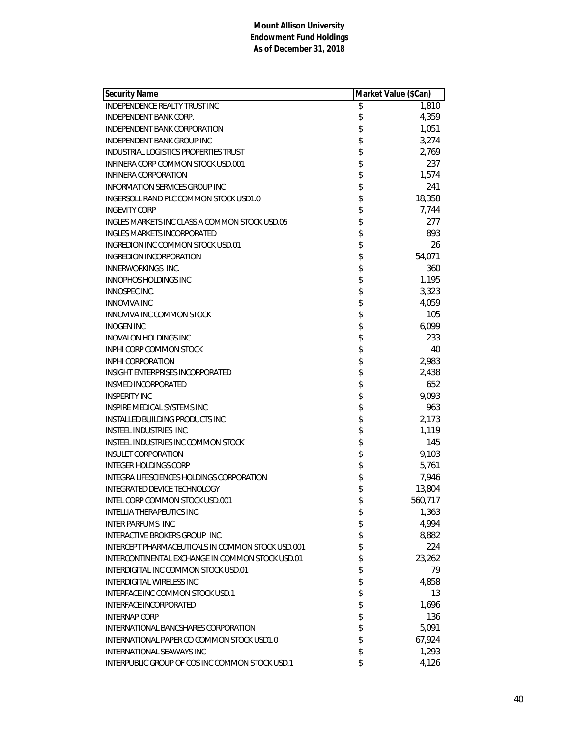| <b>Security Name</b>                              | Market Value (\$Can) |         |
|---------------------------------------------------|----------------------|---------|
| <b>INDEPENDENCE REALTY TRUST INC</b>              | \$                   | 1,810   |
| <b>INDEPENDENT BANK CORP.</b>                     | \$                   | 4,359   |
| INDEPENDENT BANK CORPORATION                      | \$                   | 1,051   |
| INDEPENDENT BANK GROUP INC                        | \$                   | 3,274   |
| INDUSTRIAL LOGISTICS PROPERTIES TRUST             | \$                   | 2,769   |
| INFINERA CORP COMMON STOCK USD.001                | \$                   | 237     |
| INFINERA CORPORATION                              | \$                   | 1,574   |
| INFORMATION SERVICES GROUP INC                    | \$                   | 241     |
| INGERSOLL RAND PLC COMMON STOCK USD1.0            | \$                   | 18,358  |
| <b>INGEVITY CORP</b>                              | \$                   | 7,744   |
| INGLES MARKETS INC CLASS A COMMON STOCK USD.05    | \$                   | 277     |
| <b>INGLES MARKETS INCORPORATED</b>                | \$                   | 893     |
| <b>INGREDION INC COMMON STOCK USD.01</b>          | \$                   | 26      |
| <b>INGREDION INCORPORATION</b>                    | \$                   | 54,071  |
| <b>INNERWORKINGS INC.</b>                         | \$                   | 360     |
| <b>INNOPHOS HOLDINGS INC</b>                      | \$                   | 1,195   |
| <b>INNOSPEC INC.</b>                              | \$                   | 3,323   |
| <b>INNOVIVA INC</b>                               | \$                   | 4,059   |
| INNOVIVA INC COMMON STOCK                         | \$                   | 105     |
| <b>INOGEN INC</b>                                 | \$                   | 6,099   |
| <b>INOVALON HOLDINGS INC</b>                      | \$                   | 233     |
| INPHI CORP COMMON STOCK                           | \$                   | 40      |
| <b>INPHI CORPORATION</b>                          | \$                   | 2,983   |
| INSIGHT ENTERPRISES INCORPORATED                  | \$                   | 2,438   |
| <b>INSMED INCORPORATED</b>                        | \$                   | 652     |
| <b>INSPERITY INC</b>                              | \$                   | 9,093   |
| <b>INSPIRE MEDICAL SYSTEMS INC</b>                | \$                   | 963     |
| <b>INSTALLED BUILDING PRODUCTS INC</b>            | \$                   | 2,173   |
| INSTEEL INDUSTRIES INC.                           | \$                   | 1,119   |
| INSTEEL INDUSTRIES INC COMMON STOCK               | \$                   | 145     |
| <b>INSULET CORPORATION</b>                        | \$                   | 9,103   |
| <b>INTEGER HOLDINGS CORP</b>                      | \$                   | 5,761   |
| INTEGRA LIFESCIENCES HOLDINGS CORPORATION         | \$                   | 7,946   |
| <b>INTEGRATED DEVICE TECHNOLOGY</b>               | \$                   | 13,804  |
| INTEL CORP COMMON STOCK USD.001                   | \$                   | 560,717 |
| <b>INTELLIA THERAPEUTICS INC</b>                  | \$                   | 1,363   |
| <b>INTER PARFUMS INC.</b>                         | \$                   | 4,994   |
| INTERACTIVE BROKERS GROUP INC.                    | \$                   | 8,882   |
| INTERCEPT PHARMACEUTICALS IN COMMON STOCK USD.001 | \$                   | 224     |
| INTERCONTINENTAL EXCHANGE IN COMMON STOCK USD.01  | \$                   | 23,262  |
| INTERDIGITAL INC COMMON STOCK USD.01              | \$                   | 79      |
| INTERDIGITAL WIRELESS INC                         | \$                   | 4,858   |
| INTERFACE INC COMMON STOCK USD.1                  | \$                   | 13      |
| INTERFACE INCORPORATED                            | \$                   | 1,696   |
| <b>INTERNAP CORP</b>                              | \$                   | 136     |
| INTERNATIONAL BANCSHARES CORPORATION              | \$                   | 5,091   |
| INTERNATIONAL PAPER CO COMMON STOCK USD1.0        | \$                   | 67,924  |
| <b>INTERNATIONAL SEAWAYS INC</b>                  | \$                   | 1,293   |
| INTERPUBLIC GROUP OF COS INC COMMON STOCK USD.1   | \$                   | 4,126   |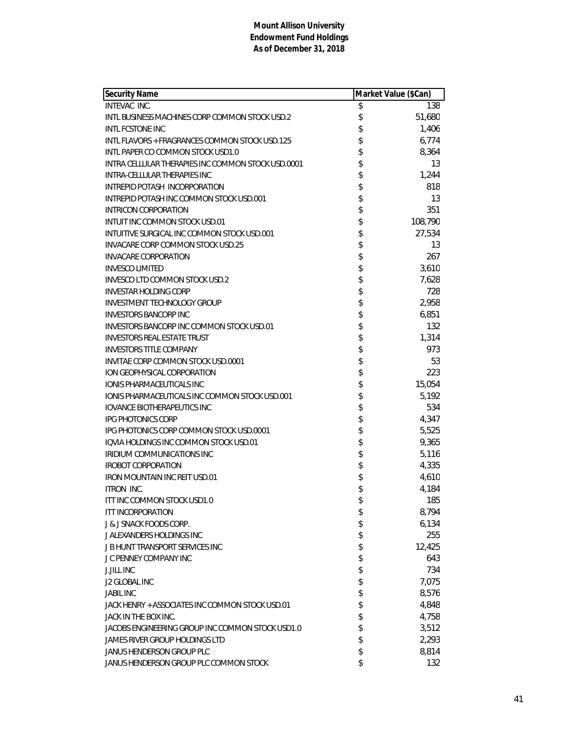| <b>Security Name</b>                               | Market Value (\$Can) |         |
|----------------------------------------------------|----------------------|---------|
| INTEVAC INC.                                       | \$                   | 138     |
| INTL BUSINESS MACHINES CORP COMMON STOCK USD.2     | \$                   | 51,680  |
| <b>INTL FCSTONE INC</b>                            | \$                   | 1,406   |
| INTL FLAVORS + FRAGRANCES COMMON STOCK USD.125     | \$                   | 6,774   |
| INTL PAPER CO COMMON STOCK USD1.0                  |                      | 8,364   |
| INTRA CELLULAR THERAPIES INC COMMON STOCK USD.0001 | \$<br>\$             | 13      |
| INTRA-CELLULAR THERAPIES INC                       | \$                   | 1,244   |
| INTREPID POTASH INCORPORATION                      | \$                   | 818     |
| INTREPID POTASH INC COMMON STOCK USD.001           | \$                   | 13      |
| INTRICON CORPORATION                               | \$                   | 351     |
| INTUIT INC COMMON STOCK USD.01                     | \$                   | 108,790 |
| INTUITIVE SURGICAL INC COMMON STOCK USD.001        |                      | 27,534  |
| INVACARE CORP COMMON STOCK USD.25                  | \$                   | 13      |
| <b>INVACARE CORPORATION</b>                        | \$                   | 267     |
| <b>INVESCO LIMITED</b>                             | \$                   | 3,610   |
| <b>INVESCO LTD COMMON STOCK USD.2</b>              |                      | 7,628   |
| <b>INVESTAR HOLDING CORP</b>                       | \$\$\$\$             | 728     |
| <b>INVESTMENT TECHNOLOGY GROUP</b>                 |                      | 2,958   |
| <b>INVESTORS BANCORP INC</b>                       |                      | 6,851   |
| INVESTORS BANCORP INC COMMON STOCK USD.01          | \$                   | 132     |
| <b>INVESTORS REAL ESTATE TRUST</b>                 | \$                   | 1,314   |
| <b>INVESTORS TITLE COMPANY</b>                     | \$                   | 973     |
| INVITAE CORP COMMON STOCK USD.0001                 |                      | 53      |
| ION GEOPHYSICAL CORPORATION                        | \$\$\$\$             | 223     |
| IONIS PHARMACEUTICALS INC                          |                      | 15,054  |
| IONIS PHARMACEUTICALS INC COMMON STOCK USD.001     |                      | 5,192   |
| <b>IOVANCE BIOTHERAPEUTICS INC</b>                 | \$                   | 534     |
| <b>IPG PHOTONICS CORP</b>                          |                      | 4,347   |
| IPG PHOTONICS CORP COMMON STOCK USD.0001           |                      | 5,525   |
| IQVIA HOLDINGS INC COMMON STOCK USD.01             | \$\$\$\$\$           | 9,365   |
| <b>IRIDIUM COMMUNICATIONS INC</b>                  |                      | 5,116   |
| <b>IROBOT CORPORATION</b>                          |                      | 4,335   |
| <b>IRON MOUNTAIN INC REIT USD.01</b>               | \$                   | 4,610   |
| <b>ITRON INC.</b>                                  | \$                   | 4,184   |
| ITT INC COMMON STOCK USD1.0                        | \$                   | 185     |
| <b>ITT INCORPORATION</b>                           | \$                   | 8,794   |
| J & J SNACK FOODS CORP.                            | \$                   | 6,134   |
| J ALEXANDERS HOLDINGS INC                          | \$                   | 255     |
| <b>J B HUNT TRANSPORT SERVICES INC</b>             | \$                   | 12,425  |
| J C PENNEY COMPANY INC                             | \$                   | 643     |
| <b>J.JILL INC</b>                                  |                      | 734     |
| <b>J2 GLOBAL INC</b>                               | \$\$                 | 7,075   |
| <b>JABIL INC</b>                                   |                      | 8,576   |
| JACK HENRY + ASSOCIATES INC COMMON STOCK USD.01    | \$                   | 4,848   |
| JACK IN THE BOX INC.                               | \$                   | 4,758   |
| JACOBS ENGINEERING GROUP INC COMMON STOCK USD1.0   | \$                   | 3,512   |
| JAMES RIVER GROUP HOLDINGS LTD                     | \$                   | 2,293   |
| <b>JANUS HENDERSON GROUP PLC</b>                   | \$                   | 8,814   |
| JANUS HENDERSON GROUP PLC COMMON STOCK             | \$                   | 132     |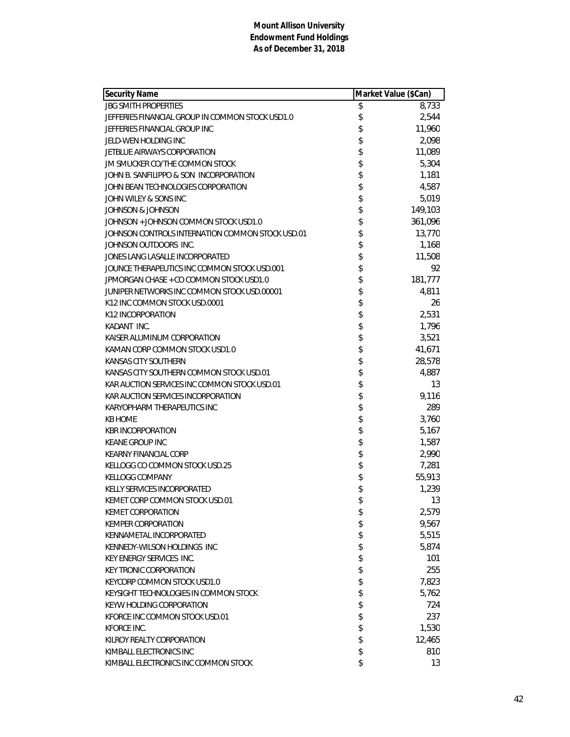| <b>Security Name</b>                             | Market Value (\$Can) |         |
|--------------------------------------------------|----------------------|---------|
| <b>JBG SMITH PROPERTIES</b>                      | \$                   | 8,733   |
| JEFFERIES FINANCIAL GROUP IN COMMON STOCK USD1.0 | \$                   | 2,544   |
| JEFFERIES FINANCIAL GROUP INC                    | \$                   | 11,960  |
| JELD-WEN HOLDING INC                             | \$                   | 2,098   |
| JETBLUE AIRWAYS CORPORATION                      | \$                   | 11,089  |
| JM SMUCKER CO/THE COMMON STOCK                   |                      | 5,304   |
| JOHN B. SANFILIPPO & SON INCORPORATION           | \$\$                 | 1,181   |
| JOHN BEAN TECHNOLOGIES CORPORATION               |                      | 4,587   |
| JOHN WILEY & SONS INC                            | \$                   | 5,019   |
| JOHNSON & JOHNSON                                | \$                   | 149,103 |
| JOHNSON + JOHNSON COMMON STOCK USD1.0            | \$                   | 361,096 |
| JOHNSON CONTROLS INTERNATION COMMON STOCK USD.01 | \$                   | 13,770  |
| JOHNSON OUTDOORS INC.                            | \$                   | 1,168   |
| JONES LANG LASALLE INCORPORATED                  |                      | 11,508  |
| JOUNCE THERAPEUTICS INC COMMON STOCK USD.001     | \$                   | 92      |
| JPMORGAN CHASE + CO COMMON STOCK USD1.0          |                      | 181,777 |
| JUNIPER NETWORKS INC COMMON STOCK USD.00001      | \$                   | 4,811   |
| K12 INC COMMON STOCK USD.0001                    |                      | 26      |
| K12 INCORPORATION                                | \$                   | 2,531   |
| KADANT INC.                                      | \$\$                 | 1,796   |
| KAISER ALUMINUM CORPORATION                      |                      | 3,521   |
| KAMAN CORP COMMON STOCK USD1.0                   |                      | 41,671  |
| KANSAS CITY SOUTHERN                             | \$                   | 28,578  |
| KANSAS CITY SOUTHERN COMMON STOCK USD.01         | \$                   | 4,887   |
| KAR AUCTION SERVICES INC COMMON STOCK USD.01     | \$                   | 13      |
| KAR AUCTION SERVICES INCORPORATION               | \$                   | 9,116   |
| KARYOPHARM THERAPEUTICS INC                      | \$                   | 289     |
| <b>KB HOME</b>                                   | \$                   | 3,760   |
| <b>KBR INCORPORATION</b>                         | \$                   | 5,167   |
| <b>KEANE GROUP INC</b>                           | \$                   | 1,587   |
| <b>KEARNY FINANCIAL CORP</b>                     |                      | 2,990   |
| KELLOGG CO COMMON STOCK USD.25                   | \$\$                 | 7,281   |
| <b>KELLOGG COMPANY</b>                           |                      | 55,913  |
| KELLY SERVICES INCORPORATED                      | \$                   | 1,239   |
| KEMET CORP COMMON STOCK USD.01                   | \$                   | 13      |
| <b>KEMET CORPORATION</b>                         | \$                   | 2,579   |
| <b>KEMPER CORPORATION</b>                        | \$                   | 9,567   |
| KENNAMETAL INCORPORATED                          | \$<br>\$             | 5,515   |
| KENNEDY-WILSON HOLDINGS INC                      |                      | 5,874   |
| <b>KEY ENERGY SERVICES INC.</b>                  | \$                   | 101     |
| <b>KEY TRONIC CORPORATION</b>                    | \$                   | 255     |
| KEYCORP COMMON STOCK USD1.0                      | \$                   | 7,823   |
| KEYSIGHT TECHNOLOGIES IN COMMON STOCK            | \$                   | 5,762   |
| KEYW HOLDING CORPORATION                         | \$                   | 724     |
| KFORCE INC COMMON STOCK USD.01                   | \$                   | 237     |
| <b>KFORCE INC.</b>                               | \$                   | 1,530   |
| KILROY REALTY CORPORATION                        | \$                   | 12,465  |
| KIMBALL ELECTRONICS INC                          | \$                   | 810     |
| KIMBALL ELECTRONICS INC COMMON STOCK             | \$                   | 13      |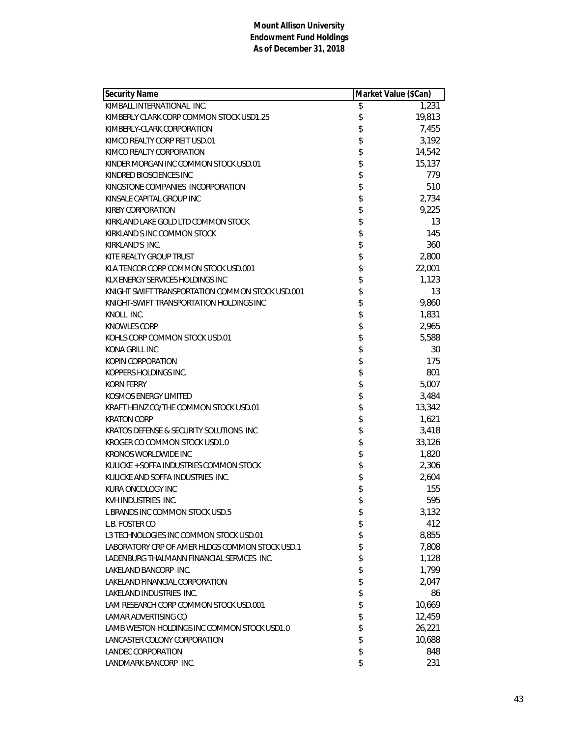| <b>Security Name</b>                             | Market Value (\$Can) |        |
|--------------------------------------------------|----------------------|--------|
| KIMBALL INTERNATIONAL INC.                       | \$                   | 1,231  |
| KIMBERLY CLARK CORP COMMON STOCK USD1.25         | \$                   | 19,813 |
| KIMBERLY-CLARK CORPORATION                       | \$                   | 7,455  |
| KIMCO REALTY CORP REIT USD.01                    | \$                   | 3,192  |
| KIMCO REALTY CORPORATION                         | \$                   | 14,542 |
| KINDER MORGAN INC COMMON STOCK USD.01            | \$                   | 15,137 |
| KINDRED BIOSCIENCES INC                          | \$                   | 779    |
| KINGSTONE COMPANIES INCORPORATION                | \$                   | 510    |
| KINSALE CAPITAL GROUP INC                        | \$                   | 2,734  |
| <b>KIRBY CORPORATION</b>                         | \$                   | 9,225  |
| KIRKLAND LAKE GOLD LTD COMMON STOCK              | \$                   | 13     |
| KIRKLAND S INC COMMON STOCK                      | \$                   | 145    |
| KIRKLAND'S INC.                                  | \$                   | 360    |
| KITE REALTY GROUP TRUST                          | \$                   | 2,800  |
| KLA TENCOR CORP COMMON STOCK USD.001             | \$                   | 22,001 |
| KLX ENERGY SERVICES HOLDINGS INC                 | \$                   | 1,123  |
| KNIGHT SWIFT TRANSPORTATION COMMON STOCK USD.001 | \$                   | 13     |
| KNIGHT-SWIFT TRANSPORTATION HOLDINGS INC         | \$                   | 9,860  |
| KNOLL INC.                                       | \$                   | 1,831  |
| <b>KNOWLES CORP</b>                              | \$                   | 2,965  |
| KOHLS CORP COMMON STOCK USD.01                   | \$                   | 5,588  |
| KONA GRILL INC                                   | \$                   | 30     |
| KOPIN CORPORATION                                | \$                   | 175    |
| KOPPERS HOLDINGS INC.                            | \$                   | 801    |
| <b>KORN FERRY</b>                                | \$                   | 5,007  |
| <b>KOSMOS ENERGY LIMITED</b>                     | \$                   | 3,484  |
| KRAFT HEINZ CO/THE COMMON STOCK USD.01           | \$                   | 13,342 |
| <b>KRATON CORP</b>                               | \$                   | 1,621  |
| KRATOS DEFENSE & SECURITY SOLUTIONS INC          | \$                   | 3,418  |
| KROGER CO COMMON STOCK USD1.0                    | \$                   | 33,126 |
| <b>KRONOS WORLDWIDE INC</b>                      | \$                   | 1,820  |
| KULICKE + SOFFA INDUSTRIES COMMON STOCK          | \$                   | 2,306  |
| KULICKE AND SOFFA INDUSTRIES INC.                | \$                   | 2,604  |
| KURA ONCOLOGY INC                                | \$                   | 155    |
| KVH INDUSTRIES INC.                              | \$                   | 595    |
| L BRANDS INC COMMON STOCK USD.5                  | \$                   | 3,132  |
| L.B. FOSTER CO                                   | \$                   | 412    |
| L3 TECHNOLOGIES INC COMMON STOCK USD.01          | \$                   | 8,855  |
| LABORATORY CRP OF AMER HLDGS COMMON STOCK USD.1  | \$                   | 7,808  |
| LADENBURG THALMANN FINANCIAL SERVICES INC.       | \$                   | 1,128  |
| LAKELAND BANCORP INC.                            | \$                   | 1,799  |
| LAKELAND FINANCIAL CORPORATION                   | \$                   | 2,047  |
| LAKELAND INDUSTRIES INC.                         | \$                   | 86     |
| LAM RESEARCH CORP COMMON STOCK USD.001           | \$                   | 10,669 |
| LAMAR ADVERTISING CO                             | \$                   | 12,459 |
| LAMB WESTON HOLDINGS INC COMMON STOCK USD1.0     | \$                   | 26,221 |
| LANCASTER COLONY CORPORATION                     | \$                   | 10,688 |
| LANDEC CORPORATION                               | \$                   | 848    |
| LANDMARK BANCORP INC.                            | \$                   | 231    |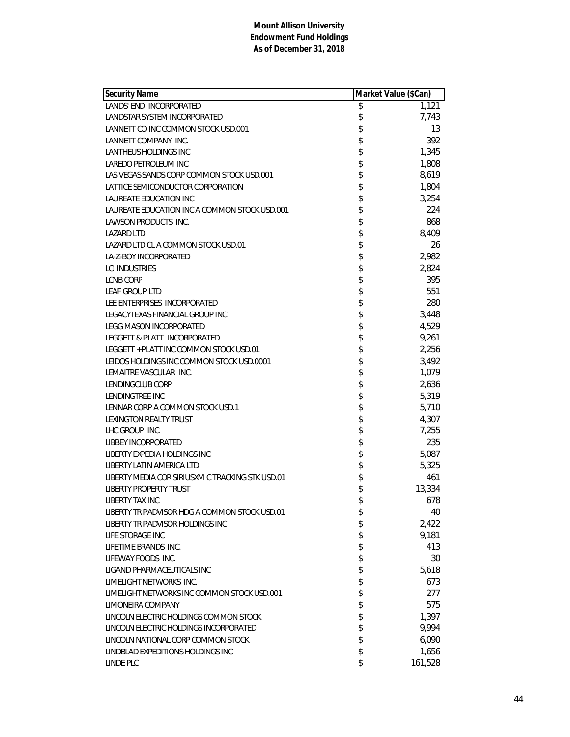| <b>Security Name</b>                             | Market Value (\$Can) |         |
|--------------------------------------------------|----------------------|---------|
| LANDS' END INCORPORATED                          | \$                   | 1,121   |
| LANDSTAR SYSTEM INCORPORATED                     | \$                   | 7,743   |
| LANNETT CO INC COMMON STOCK USD.001              | \$                   | 13      |
| LANNETT COMPANY INC.                             | \$                   | 392     |
| LANTHEUS HOLDINGS INC                            | \$                   | 1,345   |
| LAREDO PETROLEUM INC                             | \$                   | 1,808   |
| LAS VEGAS SANDS CORP COMMON STOCK USD.001        | \$                   | 8,619   |
| LATTICE SEMICONDUCTOR CORPORATION                | \$                   | 1,804   |
| <b>LAUREATE EDUCATION INC</b>                    | \$                   | 3,254   |
| LAUREATE EDUCATION INC A COMMON STOCK USD.001    | \$                   | 224     |
| LAWSON PRODUCTS INC.                             | \$                   | 868     |
| <b>LAZARD LTD</b>                                | \$                   | 8,409   |
| LAZARD LTD CL A COMMON STOCK USD.01              | \$                   | 26      |
| LA-Z-BOY INCORPORATED                            | \$                   | 2,982   |
| <b>LCI INDUSTRIES</b>                            | \$                   | 2,824   |
| <b>LCNB CORP</b>                                 | \$                   | 395     |
| <b>LEAF GROUP LTD</b>                            | \$                   | 551     |
| LEE ENTERPRISES INCORPORATED                     | \$                   | 280     |
| LEGACYTEXAS FINANCIAL GROUP INC                  | \$                   | 3,448   |
| <b>LEGG MASON INCORPORATED</b>                   | \$                   | 4,529   |
| LEGGETT & PLATT INCORPORATED                     | \$                   | 9,261   |
| LEGGETT + PLATT INC COMMON STOCK USD.01          | \$                   | 2,256   |
| LEIDOS HOLDINGS INC COMMON STOCK USD.0001        | \$                   | 3,492   |
| LEMAITRE VASCULAR INC.                           | \$                   | 1,079   |
| LENDINGCLUB CORP                                 | \$                   | 2,636   |
| LENDINGTREE INC                                  | \$                   | 5,319   |
| LENNAR CORP A COMMON STOCK USD.1                 | \$                   | 5,710   |
| LEXINGTON REALTY TRUST                           | \$                   | 4,307   |
| LHC GROUP INC.                                   | \$                   | 7,255   |
| LIBBEY INCORPORATED                              | \$                   | 235     |
| LIBERTY EXPEDIA HOLDINGS INC                     | \$                   | 5,087   |
| LIBERTY LATIN AMERICA LTD                        | \$                   | 5,325   |
| LIBERTY MEDIA COR SIRIUSXM C TRACKING STK USD.01 | \$                   | 461     |
| <b>LIBERTY PROPERTY TRUST</b>                    | \$                   | 13,334  |
| <b>LIBERTY TAX INC</b>                           | \$                   | 678     |
| LIBERTY TRIPADVISOR HDG A COMMON STOCK USD.01    | \$                   | 40      |
| LIBERTY TRIPADVISOR HOLDINGS INC                 | \$                   | 2,422   |
| LIFE STORAGE INC                                 | \$                   | 9,181   |
| LIFETIME BRANDS INC.                             | \$                   | 413     |
| LIFEWAY FOODS INC.                               | \$                   | 30      |
| LIGAND PHARMACEUTICALS INC                       | \$                   | 5,618   |
| LIMELIGHT NETWORKS INC.                          | \$                   | 673     |
| LIMELIGHT NETWORKS INC COMMON STOCK USD.001      | \$                   | 277     |
| LIMONEIRA COMPANY                                | \$                   | 575     |
| LINCOLN ELECTRIC HOLDINGS COMMON STOCK           | \$                   | 1,397   |
| LINCOLN ELECTRIC HOLDINGS INCORPORATED           | \$                   | 9,994   |
| LINCOLN NATIONAL CORP COMMON STOCK               | \$                   | 6,090   |
| LINDBLAD EXPEDITIONS HOLDINGS INC                | \$                   | 1,656   |
| <b>LINDE PLC</b>                                 | \$                   | 161,528 |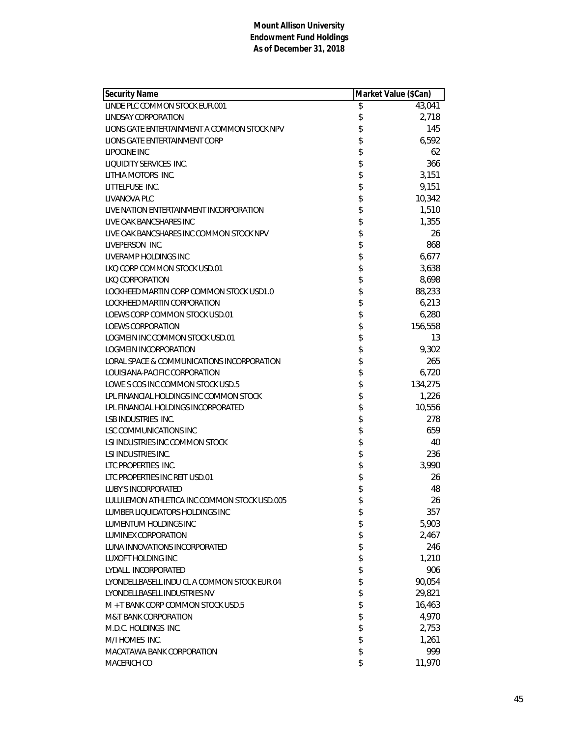| <b>Security Name</b>                         | Market Value (\$Can) |
|----------------------------------------------|----------------------|
| LINDE PLC COMMON STOCK EUR.001               | \$<br>43,041         |
| LINDSAY CORPORATION                          | \$<br>2,718          |
| LIONS GATE ENTERTAINMENT A COMMON STOCK NPV  | \$<br>145            |
| LIONS GATE ENTERTAINMENT CORP                | \$<br>6,592          |
| LIPOCINE INC                                 | \$<br>62             |
| LIQUIDITY SERVICES INC.                      | \$<br>366            |
| LITHIA MOTORS INC.                           | \$<br>3,151          |
| LITTELFUSE INC.                              | \$<br>9,151          |
| LIVANOVA PLC                                 | \$<br>10,342         |
| LIVE NATION ENTERTAINMENT INCORPORATION      | \$<br>1,510          |
| LIVE OAK BANCSHARES INC                      | \$<br>1,355          |
| LIVE OAK BANCSHARES INC COMMON STOCK NPV     | \$<br>26             |
| LIVEPERSON INC.                              | \$<br>868            |
| LIVERAMP HOLDINGS INC                        | \$<br>6,677          |
| LKQ CORP COMMON STOCK USD.01                 | \$<br>3,638          |
| <b>LKO CORPORATION</b>                       | \$<br>8,698          |
| LOCKHEED MARTIN CORP COMMON STOCK USD1.0     | \$<br>88,233         |
| LOCKHEED MARTIN CORPORATION                  | \$<br>6,213          |
| LOEWS CORP COMMON STOCK USD.01               | \$<br>6,280          |
| <b>LOEWS CORPORATION</b>                     | \$<br>156,558        |
| LOGMEIN INC COMMON STOCK USD.01              | \$<br>13             |
| LOGMEIN INCORPORATION                        | \$<br>9,302          |
| LORAL SPACE & COMMUNICATIONS INCORPORATION   | \$<br>265            |
| LOUISIANA-PACIFIC CORPORATION                | \$<br>6,720          |
| LOWE S COS INC COMMON STOCK USD.5            | \$<br>134,275        |
| LPL FINANCIAL HOLDINGS INC COMMON STOCK      | \$<br>1,226          |
| LPL FINANCIAL HOLDINGS INCORPORATED          | \$<br>10,556         |
| <b>LSB INDUSTRIES INC.</b>                   | \$<br>278            |
| LSC COMMUNICATIONS INC                       | \$<br>659            |
| LSI INDUSTRIES INC COMMON STOCK              | \$<br>40             |
| LSI INDUSTRIES INC.                          | \$<br>236            |
| LTC PROPERTIES INC.                          | \$<br>3,990          |
| LTC PROPERTIES INC REIT USD.01               | \$<br>26             |
| <b>LUBY'S INCORPORATED</b>                   | \$<br>48             |
| LULULEMON ATHLETICA INC COMMON STOCK USD.005 | \$<br>26             |
| LUMBER LIQUIDATORS HOLDINGS INC              | \$<br>357            |
| LUMENTUM HOLDINGS INC                        | \$<br>5,903          |
| <b>LUMINEX CORPORATION</b>                   | \$<br>2,467          |
| LUNA INNOVATIONS INCORPORATED                | \$<br>246            |
| LUXOFT HOLDING INC                           | \$<br>1,210          |
| LYDALL INCORPORATED                          | \$<br>906            |
| LYONDELLBASELL INDU CL A COMMON STOCK EUR.04 | \$<br>90,054         |
| LYONDELLBASELL INDUSTRIES NV                 | \$<br>29,821         |
| M + T BANK CORP COMMON STOCK USD.5           | \$<br>16,463         |
| <b>M&amp;T BANK CORPORATION</b>              | \$<br>4,970          |
| M.D.C. HOLDINGS INC.                         | \$<br>2,753          |
| M/I HOMES INC.                               | \$<br>1,261          |
| MACATAWA BANK CORPORATION                    | \$<br>999            |
| MACERICH CO                                  | \$<br>11,970         |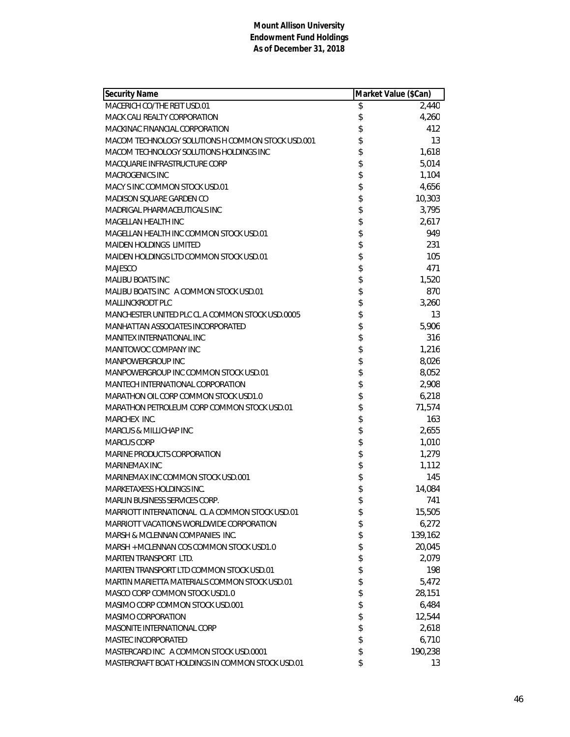| <b>Security Name</b>                              | Market Value (\$Can) |         |
|---------------------------------------------------|----------------------|---------|
| MACERICH CO/THE REIT USD.01                       | \$                   | 2,440   |
| MACK CALI REALTY CORPORATION                      | \$                   | 4,260   |
| MACKINAC FINANCIAL CORPORATION                    | \$                   | 412     |
| MACOM TECHNOLOGY SOLUTIONS H COMMON STOCK USD.001 | \$                   | 13      |
| MACOM TECHNOLOGY SOLUTIONS HOLDINGS INC           | \$                   | 1,618   |
| MACQUARIE INFRASTRUCTURE CORP                     | \$                   | 5,014   |
| <b>MACROGENICS INC</b>                            | \$                   | 1,104   |
| MACY S INC COMMON STOCK USD.01                    | \$                   | 4,656   |
| MADISON SQUARE GARDEN CO                          | \$                   | 10,303  |
| MADRIGAL PHARMACEUTICALS INC                      | \$                   | 3,795   |
| MAGELLAN HEALTH INC                               | \$                   | 2,617   |
| MAGELLAN HEALTH INC COMMON STOCK USD.01           | \$                   | 949     |
| <b>MAIDEN HOLDINGS LIMITED</b>                    | \$                   | 231     |
| MAIDEN HOLDINGS LTD COMMON STOCK USD.01           | \$                   | 105     |
| <b>MAJESCO</b>                                    | \$                   | 471     |
| <b>MALIBU BOATS INC</b>                           | \$                   | 1,520   |
| MALIBU BOATS INC A COMMON STOCK USD.01            | \$                   | 870     |
| MALLINCKRODT PLC                                  | \$                   | 3,260   |
| MANCHESTER UNITED PLC CL A COMMON STOCK USD.0005  | \$                   | 13      |
| MANHATTAN ASSOCIATES INCORPORATED                 | \$                   | 5,906   |
| <b>MANITEX INTERNATIONAL INC</b>                  | \$                   | 316     |
| MANITOWOC COMPANY INC                             | \$                   | 1,216   |
| MANPOWERGROUP INC                                 | \$                   | 8,026   |
| MANPOWERGROUP INC COMMON STOCK USD.01             | \$                   | 8,052   |
| MANTECH INTERNATIONAL CORPORATION                 | \$                   | 2,908   |
| MARATHON OIL CORP COMMON STOCK USD1.0             | \$                   | 6,218   |
| MARATHON PETROLEUM CORP COMMON STOCK USD.01       | \$                   | 71,574  |
| MARCHEX INC.                                      | \$                   | 163     |
| MARCUS & MILLICHAP INC                            | \$                   | 2,655   |
| <b>MARCUS CORP</b>                                | \$                   | 1,010   |
| <b>MARINE PRODUCTS CORPORATION</b>                | \$                   | 1,279   |
| MARINEMAX INC                                     | \$                   | 1,112   |
| MARINEMAX INC COMMON STOCK USD.001                | \$                   | 145     |
| <b>MARKETAXESS HOLDINGS INC.</b>                  | \$                   | 14,084  |
| MARLIN BUSINESS SERVICES CORP.                    | \$                   | 741     |
| MARRIOTT INTERNATIONAL CLA COMMON STOCK USD.01    | \$                   | 15,505  |
| MARRIOTT VACATIONS WORLDWIDE CORPORATION          | \$                   | 6,272   |
| MARSH & MCLENNAN COMPANIES INC.                   | \$                   | 139,162 |
| MARSH + MCLENNAN COS COMMON STOCK USD1.0          | \$                   | 20,045  |
| <b>MARTEN TRANSPORT LTD.</b>                      | \$                   | 2,079   |
| MARTEN TRANSPORT LTD COMMON STOCK USD.01          | \$                   | 198     |
| MARTIN MARIETTA MATERIALS COMMON STOCK USD.01     | \$                   | 5,472   |
| MASCO CORP COMMON STOCK USD1.0                    | \$                   | 28,151  |
| MASIMO CORP COMMON STOCK USD.001                  | \$                   | 6,484   |
| <b>MASIMO CORPORATION</b>                         | \$                   | 12,544  |
| MASONITE INTERNATIONAL CORP                       | \$                   | 2,618   |
| MASTEC INCORPORATED                               | \$                   | 6,710   |
| MASTERCARD INC A COMMON STOCK USD.0001            | \$                   | 190,238 |
| MASTERCRAFT BOAT HOLDINGS IN COMMON STOCK USD.01  | \$                   | 13      |
|                                                   |                      |         |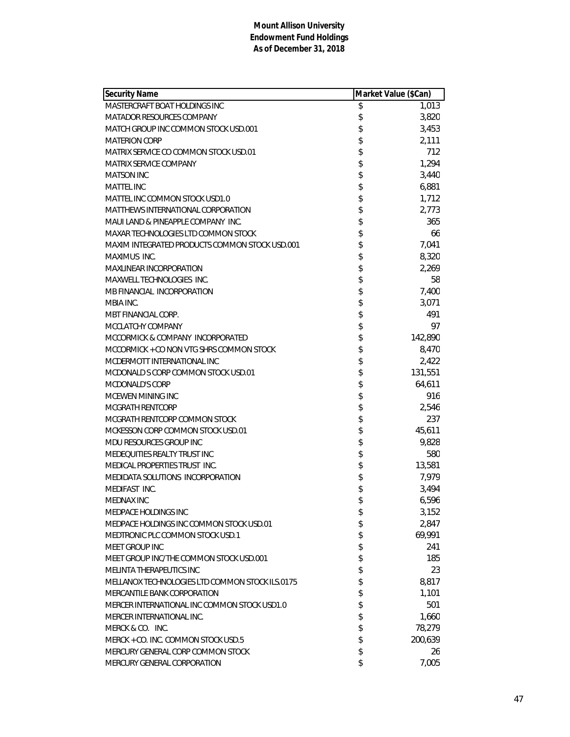| <b>Security Name</b>                            | Market Value (\$Can) |         |
|-------------------------------------------------|----------------------|---------|
| MASTERCRAFT BOAT HOLDINGS INC                   | \$                   | 1,013   |
| MATADOR RESOURCES COMPANY                       | \$                   | 3,820   |
| MATCH GROUP INC COMMON STOCK USD.001            | \$                   | 3,453   |
| <b>MATERION CORP</b>                            | \$                   | 2,111   |
| MATRIX SERVICE CO COMMON STOCK USD.01           | \$                   | 712     |
| <b>MATRIX SERVICE COMPANY</b>                   | \$                   | 1,294   |
| <b>MATSON INC</b>                               | \$                   | 3,440   |
| <b>MATTEL INC</b>                               | \$                   | 6,881   |
| MATTEL INC COMMON STOCK USD1.0                  | \$                   | 1,712   |
| MATTHEWS INTERNATIONAL CORPORATION              | \$                   | 2,773   |
| MAUI LAND & PINEAPPLE COMPANY INC.              | \$                   | 365     |
| MAXAR TECHNOLOGIES LTD COMMON STOCK             | \$                   | 66      |
| MAXIM INTEGRATED PRODUCTS COMMON STOCK USD.001  | \$                   | 7,041   |
| MAXIMUS INC.                                    | \$                   | 8,320   |
| MAXLINEAR INCORPORATION                         | \$                   | 2,269   |
| MAXWELL TECHNOLOGIES INC.                       | \$                   | 58      |
| MB FINANCIAL INCORPORATION                      | \$                   | 7,400   |
| MBIA INC.                                       | \$                   | 3,071   |
| MBT FINANCIAL CORP.                             | \$                   | 491     |
| MCCLATCHY COMPANY                               | \$                   | 97      |
| MCCORMICK & COMPANY INCORPORATED                | \$                   | 142,890 |
| MCCORMICK + CO NON VTG SHRS COMMON STOCK        | \$                   | 8,470   |
| MCDERMOTT INTERNATIONAL INC                     | \$                   | 2,422   |
| MCDONALD S CORP COMMON STOCK USD.01             | \$                   | 131,551 |
| <b>MCDONALD'S CORP</b>                          | \$                   | 64,611  |
| MCEWEN MINING INC                               | \$                   | 916     |
| MCGRATH RENTCORP                                | \$                   | 2,546   |
| MCGRATH RENTCORP COMMON STOCK                   | \$                   | 237     |
| MCKESSON CORP COMMON STOCK USD.01               | \$                   | 45,611  |
| MDU RESOURCES GROUP INC                         | \$                   | 9,828   |
| MEDEQUITIES REALTY TRUST INC                    | \$                   | 580     |
| MEDICAL PROPERTIES TRUST INC.                   | \$                   | 13,581  |
| MEDIDATA SOLUTIONS INCORPORATION                | \$                   | 7,979   |
| MEDIFAST INC.                                   | \$                   | 3,494   |
| MEDNAX INC                                      | \$                   | 6,596   |
| MEDPACE HOLDINGS INC                            | \$                   | 3,152   |
| MEDPACE HOLDINGS INC COMMON STOCK USD.01        | \$                   | 2,847   |
| MEDTRONIC PLC COMMON STOCK USD.1                | \$                   | 69,991  |
| MEET GROUP INC                                  | \$                   | 241     |
| MEET GROUP INC/THE COMMON STOCK USD.001         | \$                   | 185     |
| MELINTA THERAPEUTICS INC                        | \$                   | 23      |
| MELLANOX TECHNOLOGIES LTD COMMON STOCK ILS.0175 | \$                   | 8,817   |
| <b>MERCANTILE BANK CORPORATION</b>              | \$                   | 1,101   |
| MERCER INTERNATIONAL INC COMMON STOCK USD1.0    | \$                   | 501     |
| MERCER INTERNATIONAL INC.                       | \$                   | 1,660   |
| MERCK & CO. INC.                                | \$                   | 78,279  |
| MERCK + CO. INC. COMMON STOCK USD.5             | \$                   | 200,639 |
| MERCURY GENERAL CORP COMMON STOCK               | \$                   | 26      |
| MERCURY GENERAL CORPORATION                     | \$                   | 7,005   |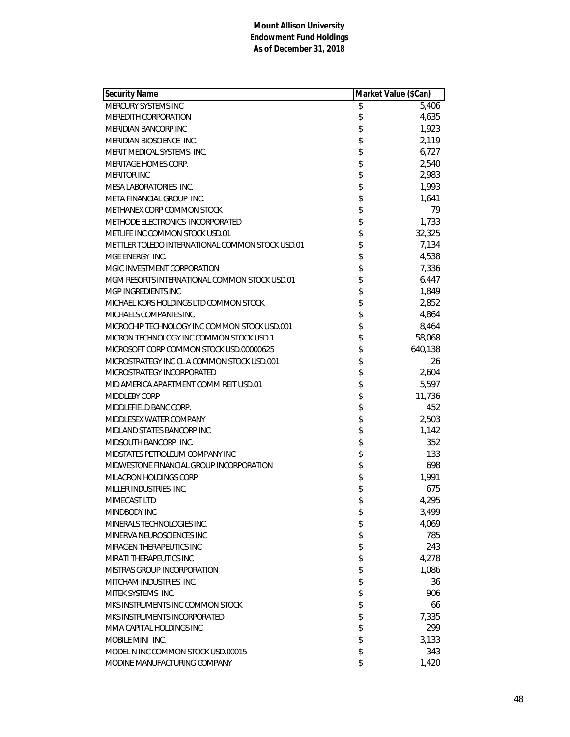| <b>Security Name</b>                             | Market Value (\$Can) |         |
|--------------------------------------------------|----------------------|---------|
| MERCURY SYSTEMS INC                              | \$                   | 5,406   |
| MEREDITH CORPORATION                             | \$                   | 4,635   |
| <b>MERIDIAN BANCORP INC</b>                      | \$                   | 1,923   |
| MERIDIAN BIOSCIENCE INC.                         | \$                   | 2,119   |
| MERIT MEDICAL SYSTEMS INC.                       | \$                   | 6,727   |
| MERITAGE HOMES CORP.                             | \$                   | 2,540   |
| <b>MERITOR INC</b>                               | \$                   | 2,983   |
| MESA LABORATORIES INC.                           | \$                   | 1,993   |
| META FINANCIAL GROUP INC.                        | \$                   | 1,641   |
| METHANEX CORP COMMON STOCK                       | \$                   | 79      |
| METHODE ELECTRONICS INCORPORATED                 | \$                   | 1,733   |
| METLIFE INC COMMON STOCK USD.01                  | \$                   | 32,325  |
| METTLER TOLEDO INTERNATIONAL COMMON STOCK USD.01 | \$                   | 7,134   |
| MGE ENERGY INC.                                  | \$                   | 4,538   |
| MGIC INVESTMENT CORPORATION                      | \$                   | 7,336   |
| MGM RESORTS INTERNATIONAL COMMON STOCK USD.01    | \$                   | 6,447   |
| MGP INGREDIENTS INC                              | \$                   | 1,849   |
| MICHAEL KORS HOLDINGS LTD COMMON STOCK           | \$                   | 2,852   |
| MICHAELS COMPANIES INC                           | \$                   | 4,864   |
| MICROCHIP TECHNOLOGY INC COMMON STOCK USD.001    | \$                   | 8,464   |
| MICRON TECHNOLOGY INC COMMON STOCK USD.1         | \$                   | 58,068  |
| MICROSOFT CORP COMMON STOCK USD.00000625         | \$                   | 640,138 |
| MICROSTRATEGY INC CL A COMMON STOCK USD.001      | \$                   | 26      |
| MICROSTRATEGY INCORPORATED                       | \$                   | 2,604   |
| MID AMERICA APARTMENT COMM REIT USD.01           | \$                   | 5,597   |
| <b>MIDDLEBY CORP</b>                             | \$                   | 11,736  |
| MIDDLEFIELD BANC CORP.                           | \$                   | 452     |
| MIDDLESEX WATER COMPANY                          | \$                   | 2,503   |
| MIDLAND STATES BANCORP INC                       | \$                   | 1,142   |
| MIDSOUTH BANCORP INC.                            | \$                   | 352     |
| MIDSTATES PETROLEUM COMPANY INC                  | \$                   | 133     |
| MIDWESTONE FINANCIAL GROUP INCORPORATION         | \$                   | 698     |
| MILACRON HOLDINGS CORP                           | \$                   | 1,991   |
| MILLER INDUSTRIES INC.                           | \$                   | 675     |
| MIMECAST LTD                                     | \$                   | 4,295   |
| MINDBODY INC                                     | \$                   | 3,499   |
| MINERALS TECHNOLOGIES INC.                       | \$                   | 4,069   |
| MINERVA NEUROSCIENCES INC                        | \$                   | 785     |
| MIRAGEN THERAPEUTICS INC                         | \$                   | 243     |
| MIRATI THERAPEUTICS INC                          | \$                   | 4,278   |
| <b>MISTRAS GROUP INCORPORATION</b>               | \$                   | 1,086   |
| MITCHAM INDUSTRIES INC.                          | \$                   | 36      |
| MITEK SYSTEMS INC.                               | \$                   | 906     |
| MKS INSTRUMENTS INC COMMON STOCK                 | \$                   | 66      |
| MKS INSTRUMENTS INCORPORATED                     | \$                   | 7,335   |
| MMA CAPITAL HOLDINGS INC                         | \$                   | 299     |
| MOBILE MINI INC.                                 | \$                   | 3,133   |
| MODEL N INC COMMON STOCK USD.00015               | \$                   | 343     |
| MODINE MANUFACTURING COMPANY                     | \$                   | 1,420   |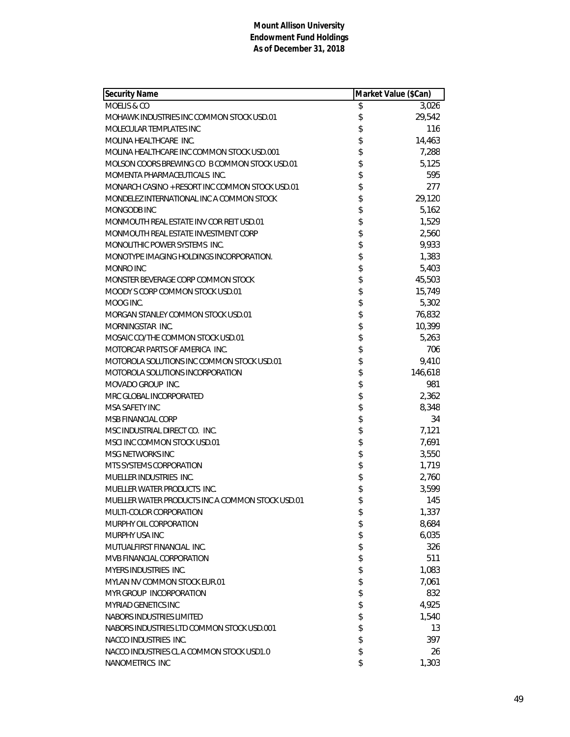| Security Name                                    | Market Value (\$Can) |         |
|--------------------------------------------------|----------------------|---------|
| MOELIS & CO                                      | \$                   | 3,026   |
| MOHAWK INDUSTRIES INC COMMON STOCK USD.01        | \$                   | 29,542  |
| MOLECULAR TEMPLATES INC                          | \$                   | 116     |
| MOLINA HEALTHCARE INC.                           | \$                   | 14,463  |
| MOLINA HEALTHCARE INC COMMON STOCK USD.001       | \$                   | 7,288   |
| MOLSON COORS BREWING CO B COMMON STOCK USD.01    | \$                   | 5,125   |
| MOMENTA PHARMACEUTICALS INC.                     | \$                   | 595     |
| MONARCH CASINO + RESORT INC COMMON STOCK USD.01  | \$                   | 277     |
| MONDELEZ INTERNATIONAL INC A COMMON STOCK        | \$                   | 29,120  |
| MONGODB INC                                      | \$                   | 5,162   |
| MONMOUTH REAL ESTATE INV COR REIT USD.01         | \$                   | 1,529   |
| MONMOUTH REAL ESTATE INVESTMENT CORP             | \$                   | 2,560   |
| MONOLITHIC POWER SYSTEMS INC.                    | \$                   | 9,933   |
| MONOTYPE IMAGING HOLDINGS INCORPORATION.         | \$                   | 1,383   |
| MONRO INC                                        | \$                   | 5,403   |
| MONSTER BEVERAGE CORP COMMON STOCK               | \$                   | 45,503  |
| MOODY S CORP COMMON STOCK USD.01                 | \$                   | 15,749  |
| MOOG INC.                                        | \$                   | 5,302   |
| MORGAN STANLEY COMMON STOCK USD.01               | \$                   | 76,832  |
| MORNINGSTAR INC.                                 | \$                   | 10,399  |
| MOSAIC CO/THE COMMON STOCK USD.01                | \$                   | 5,263   |
| MOTORCAR PARTS OF AMERICA INC.                   | \$                   | 706     |
| MOTOROLA SOLUTIONS INC COMMON STOCK USD.01       | \$                   | 9,410   |
| MOTOROLA SOLUTIONS INCORPORATION                 | \$                   | 146,618 |
| MOVADO GROUP INC.                                | \$                   | 981     |
| MRC GLOBAL INCORPORATED                          | \$                   | 2,362   |
| MSA SAFETY INC                                   | \$                   | 8,348   |
| MSB FINANCIAL CORP                               | \$                   | 34      |
| MSC INDUSTRIAL DIRECT CO. INC.                   | \$                   | 7,121   |
| MSCI INC COMMON STOCK USD.01                     | \$                   | 7,691   |
| MSG NETWORKS INC                                 | \$                   | 3,550   |
| MTS SYSTEMS CORPORATION                          | \$                   | 1,719   |
| MUELLER INDUSTRIES INC.                          | \$                   | 2,760   |
| MUELLER WATER PRODUCTS INC.                      | \$                   | 3,599   |
| MUELLER WATER PRODUCTS INC A COMMON STOCK USD.01 | \$                   | 145     |
| MULTI-COLOR CORPORATION                          | \$                   | 1,337   |
| MURPHY OIL CORPORATION                           | \$                   | 8,684   |
| MURPHY USA INC                                   | \$                   | 6,035   |
| MUTUALFIRST FINANCIAL INC.                       | \$                   | 326     |
| MVB FINANCIAL CORPORATION                        | \$                   | 511     |
| MYERS INDUSTRIES INC.                            | \$                   | 1,083   |
| MYLAN NV COMMON STOCK EUR.01                     | \$                   | 7,061   |
| MYR GROUP INCORPORATION                          | \$                   | 832     |
| <b>MYRIAD GENETICS INC</b>                       | \$                   | 4,925   |
| NABORS INDUSTRIES LIMITED                        | \$                   | 1,540   |
| NABORS INDUSTRIES LTD COMMON STOCK USD.001       | \$                   | 13      |
| NACCO INDUSTRIES INC.                            | \$                   | 397     |
| NACCO INDUSTRIES CL A COMMON STOCK USD1.0        | \$                   | 26      |
| NANOMETRICS INC                                  | \$                   | 1,303   |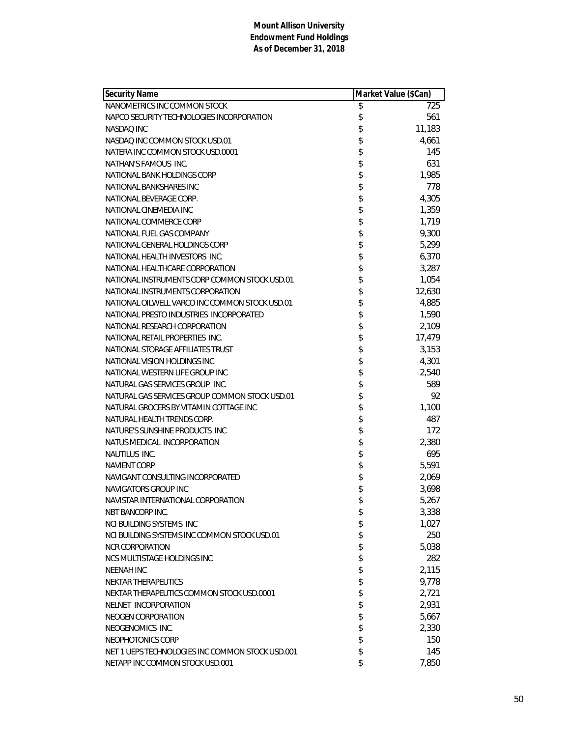| <b>Security Name</b>                             | Market Value (\$Can) |        |
|--------------------------------------------------|----------------------|--------|
| NANOMETRICS INC COMMON STOCK                     | \$                   | 725    |
| NAPCO SECURITY TECHNOLOGIES INCORPORATION        | \$                   | 561    |
| NASDAQ INC                                       | \$                   | 11,183 |
| NASDAQ INC COMMON STOCK USD.01                   | \$                   | 4,661  |
| NATERA INC COMMON STOCK USD.0001                 | \$                   | 145    |
| NATHAN'S FAMOUS INC.                             | \$                   | 631    |
| NATIONAL BANK HOLDINGS CORP                      | \$                   | 1,985  |
| NATIONAL BANKSHARES INC                          | \$                   | 778    |
| NATIONAL BEVERAGE CORP.                          | \$                   | 4,305  |
| NATIONAL CINEMEDIA INC                           | \$                   | 1,359  |
| NATIONAL COMMERCE CORP                           | \$                   | 1,719  |
| NATIONAL FUEL GAS COMPANY                        | \$                   | 9,300  |
| NATIONAL GENERAL HOLDINGS CORP                   | \$                   | 5,299  |
| NATIONAL HEALTH INVESTORS INC.                   | \$                   | 6,370  |
| NATIONAL HEALTHCARE CORPORATION                  | \$                   | 3,287  |
| NATIONAL INSTRUMENTS CORP COMMON STOCK USD.01    | \$                   | 1,054  |
| NATIONAL INSTRUMENTS CORPORATION                 | \$                   | 12,630 |
| NATIONAL OILWELL VARCO INC COMMON STOCK USD.01   | \$                   | 4,885  |
| NATIONAL PRESTO INDUSTRIES INCORPORATED          | \$                   | 1,590  |
| NATIONAL RESEARCH CORPORATION                    | \$                   | 2,109  |
| NATIONAL RETAIL PROPERTIES INC.                  | \$                   | 17,479 |
| NATIONAL STORAGE AFFILIATES TRUST                | \$                   | 3,153  |
| NATIONAL VISION HOLDINGS INC                     | \$                   | 4,301  |
| NATIONAL WESTERN LIFE GROUP INC                  | \$                   | 2,540  |
| NATURAL GAS SERVICES GROUP INC.                  | \$                   | 589    |
| NATURAL GAS SERVICES GROUP COMMON STOCK USD.01   | \$                   | 92     |
| NATURAL GROCERS BY VITAMIN COTTAGE INC           | \$                   | 1,100  |
| NATURAL HEALTH TRENDS CORP.                      | \$                   | 487    |
| NATURE'S SUNSHINE PRODUCTS INC                   | \$                   | 172    |
| NATUS MEDICAL INCORPORATION                      | \$                   | 2,380  |
| NAUTILUS INC.                                    | \$                   | 695    |
| <b>NAVIENT CORP</b>                              | \$                   | 5,591  |
| NAVIGANT CONSULTING INCORPORATED                 | \$                   | 2,069  |
| <b>NAVIGATORS GROUP INC</b>                      | \$                   | 3,698  |
| NAVISTAR INTERNATIONAL CORPORATION               | \$                   | 5,267  |
| NBT BANCORP INC.                                 | \$                   | 3,338  |
| <b>NCI BUILDING SYSTEMS INC</b>                  | \$                   | 1,027  |
| NCI BUILDING SYSTEMS INC COMMON STOCK USD.01     | \$                   | 250    |
| <b>NCR CORPORATION</b>                           | \$                   | 5,038  |
| NCS MULTISTAGE HOLDINGS INC                      | \$                   | 282    |
| <b>NEENAH INC</b>                                | \$                   | 2,115  |
| NEKTAR THERAPEUTICS                              | \$                   | 9,778  |
| NEKTAR THERAPEUTICS COMMON STOCK USD.0001        | \$                   | 2,721  |
| NELNET INCORPORATION                             | \$                   | 2,931  |
| NEOGEN CORPORATION                               | \$                   | 5,667  |
| NEOGENOMICS INC.                                 | \$                   | 2,330  |
| NEOPHOTONICS CORP                                | \$                   | 150    |
| NET 1 UEPS TECHNOLOGIES INC COMMON STOCK USD.001 | \$                   | 145    |
| NETAPP INC COMMON STOCK USD.001                  | \$                   | 7,850  |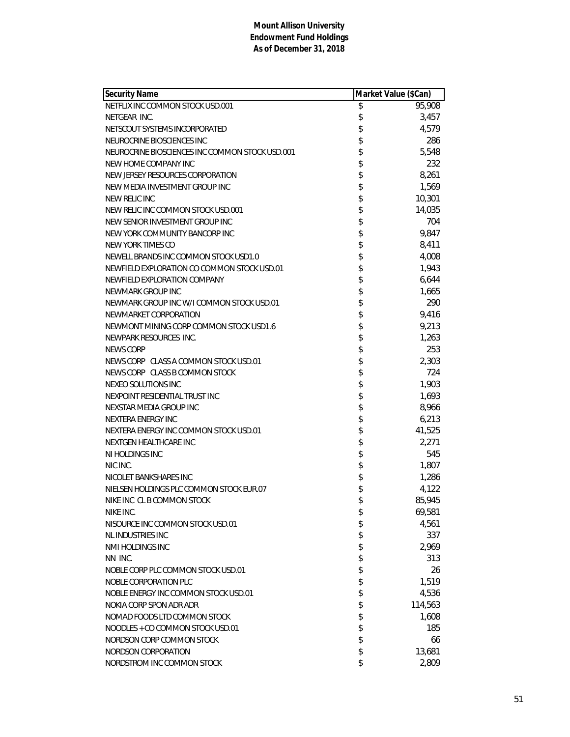| Security Name                                   | Market Value (\$Can) |         |
|-------------------------------------------------|----------------------|---------|
| NETFLIX INC COMMON STOCK USD.001                | \$                   | 95,908  |
| NETGEAR INC.                                    | \$                   | 3,457   |
| NETSCOUT SYSTEMS INCORPORATED                   | \$                   | 4,579   |
| NEUROCRINE BIOSCIENCES INC                      | \$                   | 286     |
| NEUROCRINE BIOSCIENCES INC COMMON STOCK USD.001 | \$                   | 5,548   |
| NEW HOME COMPANY INC                            | \$                   | 232     |
| NEW JERSEY RESOURCES CORPORATION                | \$                   | 8,261   |
| NEW MEDIA INVESTMENT GROUP INC                  | \$                   | 1,569   |
| NEW RELIC INC                                   | \$                   | 10,301  |
| NEW RELIC INC COMMON STOCK USD.001              | \$                   | 14,035  |
| NEW SENIOR INVESTMENT GROUP INC                 | \$                   | 704     |
| NEW YORK COMMUNITY BANCORP INC                  | \$                   | 9,847   |
| NEW YORK TIMES CO                               | \$                   | 8,411   |
| NEWELL BRANDS INC COMMON STOCK USD1.0           | \$                   | 4,008   |
| NEWFIELD EXPLORATION CO COMMON STOCK USD.01     | \$                   | 1,943   |
| NEWFIELD EXPLORATION COMPANY                    | \$                   | 6,644   |
| NEWMARK GROUP INC                               | \$                   | 1,665   |
| NEWMARK GROUP INC W/I COMMON STOCK USD.01       | \$                   | 290     |
| NEWMARKET CORPORATION                           | \$                   | 9,416   |
| NEWMONT MINING CORP COMMON STOCK USD1.6         | \$                   | 9,213   |
| NEWPARK RESOURCES INC.                          | \$                   | 1,263   |
| <b>NEWS CORP</b>                                | \$                   | 253     |
| NEWS CORP CLASS A COMMON STOCK USD.01           | \$                   | 2,303   |
| NEWS CORP CLASS B COMMON STOCK                  | \$                   | 724     |
| NEXEO SOLUTIONS INC                             | \$                   | 1,903   |
| NEXPOINT RESIDENTIAL TRUST INC                  | \$                   | 1,693   |
| NEXSTAR MEDIA GROUP INC                         | \$                   | 8,966   |
| NEXTERA ENERGY INC                              | \$                   | 6,213   |
| NEXTERA ENERGY INC COMMON STOCK USD.01          | \$                   | 41,525  |
| NEXTGEN HEALTHCARE INC                          | \$                   | 2,271   |
| NI HOLDINGS INC                                 | \$                   | 545     |
| NIC INC.                                        | \$                   | 1,807   |
| NICOLET BANKSHARES INC                          | \$                   | 1,286   |
| NIELSEN HOLDINGS PLC COMMON STOCK EUR.07        | \$                   | 4,122   |
| NIKE INC CL B COMMON STOCK                      | \$                   | 85,945  |
| NIKE INC.                                       | \$                   | 69,581  |
| NISOURCE INC COMMON STOCK USD.01                | \$                   | 4,561   |
| NL INDUSTRIES INC                               | \$                   | 337     |
| NMI HOLDINGS INC                                | \$                   | 2,969   |
| NN INC.                                         | \$                   | 313     |
| NOBLE CORP PLC COMMON STOCK USD.01              | \$                   | 26      |
| NOBLE CORPORATION PLC                           | \$                   | 1,519   |
| NOBLE ENERGY INC COMMON STOCK USD.01            | \$                   | 4,536   |
| NOKIA CORP SPON ADR ADR                         | \$                   | 114,563 |
| NOMAD FOODS LTD COMMON STOCK                    | \$                   | 1,608   |
| NOODLES + CO COMMON STOCK USD.01                | \$                   | 185     |
| NORDSON CORP COMMON STOCK                       | \$                   | 66      |
| NORDSON CORPORATION                             | \$                   | 13,681  |
| NORDSTROM INC COMMON STOCK                      | \$                   | 2,809   |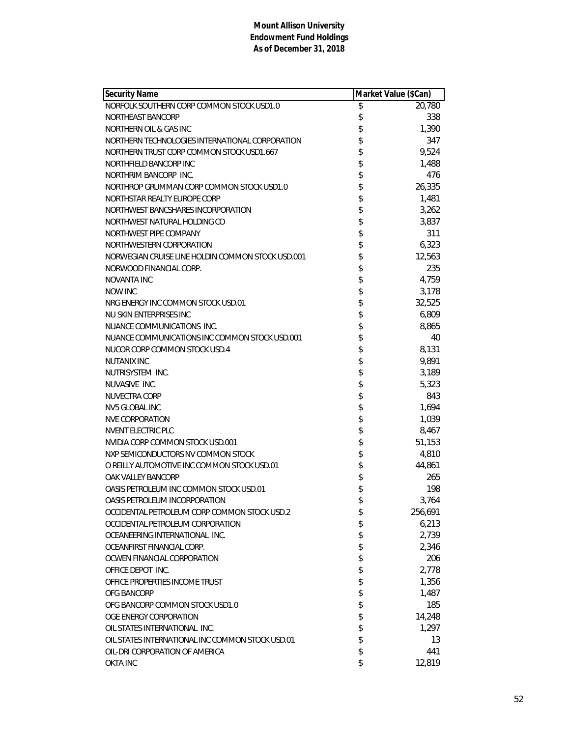| <b>Security Name</b>                              | Market Value (\$Can) |         |
|---------------------------------------------------|----------------------|---------|
| NORFOLK SOUTHERN CORP COMMON STOCK USD1.0         | \$                   | 20,780  |
| NORTHEAST BANCORP                                 | \$                   | 338     |
| NORTHERN OIL & GAS INC                            | \$                   | 1,390   |
| NORTHERN TECHNOLOGIES INTERNATIONAL CORPORATION   | \$                   | 347     |
| NORTHERN TRUST CORP COMMON STOCK USD1.667         | \$                   | 9,524   |
| NORTHFIELD BANCORP INC                            | \$                   | 1,488   |
| NORTHRIM BANCORP INC.                             | \$                   | 476     |
| NORTHROP GRUMMAN CORP COMMON STOCK USD1.0         | \$                   | 26,335  |
| NORTHSTAR REALTY EUROPE CORP                      | \$                   | 1,481   |
| NORTHWEST BANCSHARES INCORPORATION                | \$                   | 3,262   |
| NORTHWEST NATURAL HOLDING CO                      | \$                   | 3,837   |
| NORTHWEST PIPE COMPANY                            | \$                   | 311     |
| NORTHWESTERN CORPORATION                          | \$                   | 6,323   |
| NORWEGIAN CRUISE LINE HOLDIN COMMON STOCK USD.001 | \$                   | 12,563  |
| NORWOOD FINANCIAL CORP.                           | \$                   | 235     |
| NOVANTA INC                                       | \$                   | 4,759   |
| <b>NOW INC</b>                                    | \$                   | 3,178   |
| NRG ENERGY INC COMMON STOCK USD.01                | \$                   | 32,525  |
| NU SKIN ENTERPRISES INC                           | \$                   | 6,809   |
| NUANCE COMMUNICATIONS INC.                        | \$                   | 8,865   |
| NUANCE COMMUNICATIONS INC COMMON STOCK USD.001    | \$                   | 40      |
| NUCOR CORP COMMON STOCK USD.4                     | \$                   | 8,131   |
| <b>NUTANIX INC</b>                                | \$                   | 9,891   |
| NUTRISYSTEM INC.                                  | \$                   | 3,189   |
| NUVASIVE INC.                                     | \$                   | 5,323   |
| NUVECTRA CORP                                     | \$                   | 843     |
| <b>NV5 GLOBAL INC</b>                             | \$                   | 1,694   |
| <b>NVE CORPORATION</b>                            | \$                   | 1,039   |
| NVENT ELECTRIC PLC                                | \$                   | 8,467   |
| NVIDIA CORP COMMON STOCK USD.001                  | \$                   | 51,153  |
| NXP SEMICONDUCTORS NV COMMON STOCK                | \$                   | 4,810   |
| O REILLY AUTOMOTIVE INC COMMON STOCK USD.01       | \$                   | 44,861  |
| OAK VALLEY BANCORP                                | \$                   | 265     |
| OASIS PETROLEUM INC COMMON STOCK USD.01           | \$                   | 198     |
| OASIS PETROLEUM INCORPORATION                     | \$                   | 3,764   |
| OCCIDENTAL PETROLEUM CORP COMMON STOCK USD.2      | \$                   | 256,691 |
| OCCIDENTAL PETROLEUM CORPORATION                  | \$                   | 6,213   |
| OCEANEERING INTERNATIONAL INC.                    | \$                   | 2,739   |
| OCEANFIRST FINANCIAL CORP.                        | \$                   | 2,346   |
| OCWEN FINANCIAL CORPORATION                       | \$                   | 206     |
| OFFICE DEPOT INC.                                 | \$                   | 2,778   |
| OFFICE PROPERTIES INCOME TRUST                    | \$                   | 1,356   |
| OFG BANCORP                                       | \$                   | 1,487   |
| OFG BANCORP COMMON STOCK USD1.0                   | \$                   | 185     |
| OGE ENERGY CORPORATION                            | \$                   | 14,248  |
| OIL STATES INTERNATIONAL INC.                     | \$                   | 1,297   |
| OIL STATES INTERNATIONAL INC COMMON STOCK USD.01  | \$                   | 13      |
| OIL-DRI CORPORATION OF AMERICA                    | \$                   | 441     |
| <b>OKTA INC</b>                                   | \$                   | 12,819  |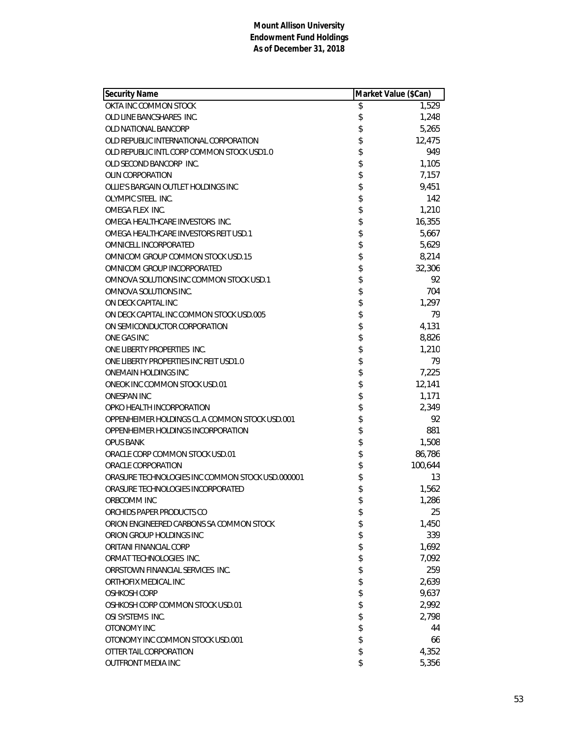| Security Name                                    | Market Value (\$Can) |         |
|--------------------------------------------------|----------------------|---------|
| OKTA INC COMMON STOCK                            | \$                   | 1,529   |
| OLD LINE BANCSHARES INC.                         | \$                   | 1,248   |
| OLD NATIONAL BANCORP                             | \$                   | 5,265   |
| OLD REPUBLIC INTERNATIONAL CORPORATION           | \$                   | 12,475  |
| OLD REPUBLIC INTL CORP COMMON STOCK USD1.0       | \$                   | 949     |
| OLD SECOND BANCORP INC.                          | \$                   | 1,105   |
| <b>OLIN CORPORATION</b>                          | \$                   | 7,157   |
| OLLIE'S BARGAIN OUTLET HOLDINGS INC              | \$                   | 9,451   |
| OLYMPIC STEEL INC.                               | \$                   | 142     |
| OMEGA FLEX INC.                                  | \$                   | 1,210   |
| OMEGA HEALTHCARE INVESTORS INC.                  | \$                   | 16,355  |
| OMEGA HEALTHCARE INVESTORS REIT USD.1            | \$                   | 5,667   |
| OMNICELL INCORPORATED                            | \$                   | 5,629   |
| OMNICOM GROUP COMMON STOCK USD.15                | \$                   | 8,214   |
| OMNICOM GROUP INCORPORATED                       | \$                   | 32,306  |
| OMNOVA SOLUTIONS INC COMMON STOCK USD.1          | \$                   | 92      |
| OMNOVA SOLUTIONS INC.                            | \$                   | 704     |
| ON DECK CAPITAL INC                              | \$                   | 1,297   |
| ON DECK CAPITAL INC COMMON STOCK USD.005         | \$                   | 79      |
| ON SEMICONDUCTOR CORPORATION                     | \$                   | 4,131   |
| ONE GAS INC                                      | \$                   | 8,826   |
| ONE LIBERTY PROPERTIES INC.                      | \$                   | 1,210   |
| ONE LIBERTY PROPERTIES INC REIT USD1.0           | \$                   | 79      |
| ONEMAIN HOLDINGS INC                             | \$                   | 7,225   |
| ONEOK INC COMMON STOCK USD.01                    | \$                   | 12,141  |
| ONESPAN INC                                      | \$                   | 1,171   |
| OPKO HEALTH INCORPORATION                        | \$                   | 2,349   |
| OPPENHEIMER HOLDINGS CL A COMMON STOCK USD.001   | \$                   | 92      |
| OPPENHEIMER HOLDINGS INCORPORATION               | \$                   | 881     |
| <b>OPUS BANK</b>                                 | \$                   | 1,508   |
| ORACLE CORP COMMON STOCK USD.01                  | \$                   | 86,786  |
| ORACLE CORPORATION                               | \$                   | 100,644 |
| ORASURE TECHNOLOGIES INC COMMON STOCK USD.000001 | \$                   | 13      |
| ORASURE TECHNOLOGIES INCORPORATED                | \$                   | 1,562   |
| ORBCOMM INC                                      | \$                   | 1,286   |
| ORCHIDS PAPER PRODUCTS CO                        | \$                   | 25      |
| ORION ENGINEERED CARBONS SA COMMON STOCK         | \$                   | 1,450   |
| ORION GROUP HOLDINGS INC                         | \$                   | 339     |
| <b>ORITANI FINANCIAL CORP</b>                    | \$                   | 1,692   |
| ORMAT TECHNOLOGIES INC.                          | \$                   | 7,092   |
| ORRSTOWN FINANCIAL SERVICES INC.                 | \$                   | 259     |
| ORTHOFIX MEDICAL INC                             | \$                   | 2,639   |
| OSHKOSH CORP                                     | \$                   | 9,637   |
| OSHKOSH CORP COMMON STOCK USD.01                 | \$                   | 2,992   |
| OSI SYSTEMS INC.                                 | \$                   | 2,798   |
| OTONOMY INC                                      | \$                   | 44      |
| OTONOMY INC COMMON STOCK USD.001                 | \$                   | 66      |
| OTTER TAIL CORPORATION                           | \$                   | 4,352   |
| OUTFRONT MEDIA INC                               | \$                   | 5,356   |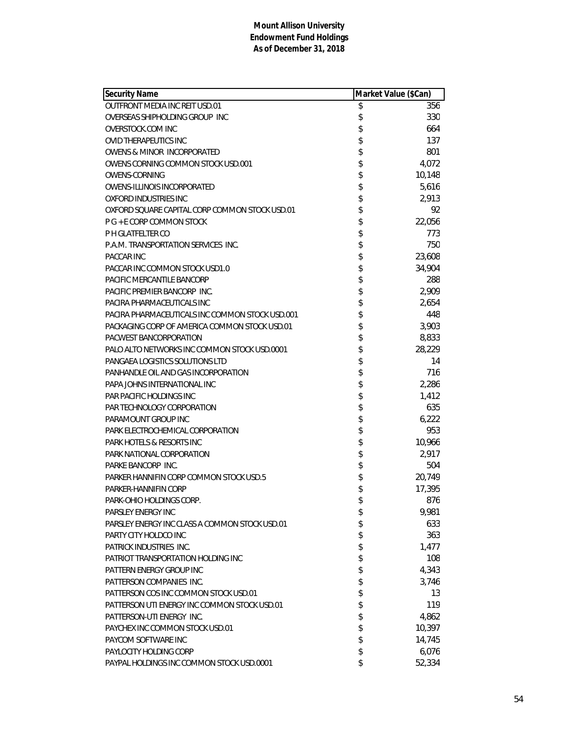| Security Name                                   | Market Value (\$Can) |        |
|-------------------------------------------------|----------------------|--------|
| <b>OUTFRONT MEDIA INC REIT USD.01</b>           | \$                   | 356    |
| OVERSEAS SHIPHOLDING GROUP INC                  | \$                   | 330    |
| OVERSTOCK.COM INC                               | \$                   | 664    |
| <b>OVID THERAPEUTICS INC</b>                    | \$                   | 137    |
| OWENS & MINOR INCORPORATED                      | \$                   | 801    |
| OWENS CORNING COMMON STOCK USD.001              | \$                   | 4,072  |
| <b>OWENS-CORNING</b>                            | \$                   | 10,148 |
| OWENS-ILLINOIS INCORPORATED                     | \$                   | 5,616  |
| OXFORD INDUSTRIES INC                           | \$                   | 2,913  |
| OXFORD SQUARE CAPITAL CORP COMMON STOCK USD.01  | \$                   | 92     |
| P G + E CORP COMMON STOCK                       | \$                   | 22,056 |
| P H GLATFELTER CO                               | \$                   | 773    |
| P.A.M. TRANSPORTATION SERVICES INC.             | \$                   | 750    |
| <b>PACCAR INC</b>                               | \$                   | 23,608 |
| PACCAR INC COMMON STOCK USD1.0                  | \$                   | 34,904 |
| PACIFIC MERCANTILE BANCORP                      | \$                   | 288    |
| PACIFIC PREMIER BANCORP INC.                    | \$                   | 2,909  |
| PACIRA PHARMACEUTICALS INC                      | \$                   | 2,654  |
| PACIRA PHARMACEUTICALS INC COMMON STOCK USD.001 | \$                   | 448    |
| PACKAGING CORP OF AMERICA COMMON STOCK USD.01   | \$                   | 3,903  |
| PACWEST BANCORPORATION                          | \$                   | 8,833  |
| PALO ALTO NETWORKS INC COMMON STOCK USD.0001    | \$                   | 28,229 |
| PANGAEA LOGISTICS SOLUTIONS LTD                 | \$                   | 14     |
| PANHANDLE OIL AND GAS INCORPORATION             | \$                   | 716    |
| PAPA JOHNS INTERNATIONAL INC                    | \$                   | 2,286  |
| PAR PACIFIC HOLDINGS INC                        | \$                   | 1,412  |
| PAR TECHNOLOGY CORPORATION                      | \$                   | 635    |
| PARAMOUNT GROUP INC                             | \$                   | 6,222  |
| PARK ELECTROCHEMICAL CORPORATION                | \$                   | 953    |
| PARK HOTELS & RESORTS INC                       | \$                   | 10,966 |
| PARK NATIONAL CORPORATION                       | \$                   | 2,917  |
| PARKE BANCORP INC.                              | \$                   | 504    |
| PARKER HANNIFIN CORP COMMON STOCK USD.5         | \$                   | 20,749 |
| PARKER-HANNIFIN CORP                            | \$                   | 17,395 |
| PARK-OHIO HOLDINGS CORP.                        | \$                   | 876    |
| PARSLEY ENERGY INC                              | \$                   | 9,981  |
| PARSLEY ENERGY INC CLASS A COMMON STOCK USD.01  | \$                   | 633    |
| PARTY CITY HOLDCO INC                           | \$                   | 363    |
| PATRICK INDUSTRIES INC.                         | \$                   | 1,477  |
| PATRIOT TRANSPORTATION HOLDING INC              | \$                   | 108    |
| PATTERN ENERGY GROUP INC                        | \$                   | 4,343  |
| PATTERSON COMPANIES INC.                        | \$                   | 3,746  |
| PATTERSON COS INC COMMON STOCK USD.01           | \$                   | 13     |
| PATTERSON UTI ENERGY INC COMMON STOCK USD.01    | \$                   | 119    |
| PATTERSON-UTI ENERGY INC.                       | \$                   | 4,862  |
| PAYCHEX INC COMMON STOCK USD.01                 | \$                   | 10,397 |
| PAYCOM SOFTWARE INC                             | \$                   | 14,745 |
| PAYLOCITY HOLDING CORP                          | \$                   | 6,076  |
| PAYPAL HOLDINGS INC COMMON STOCK USD.0001       | \$                   | 52,334 |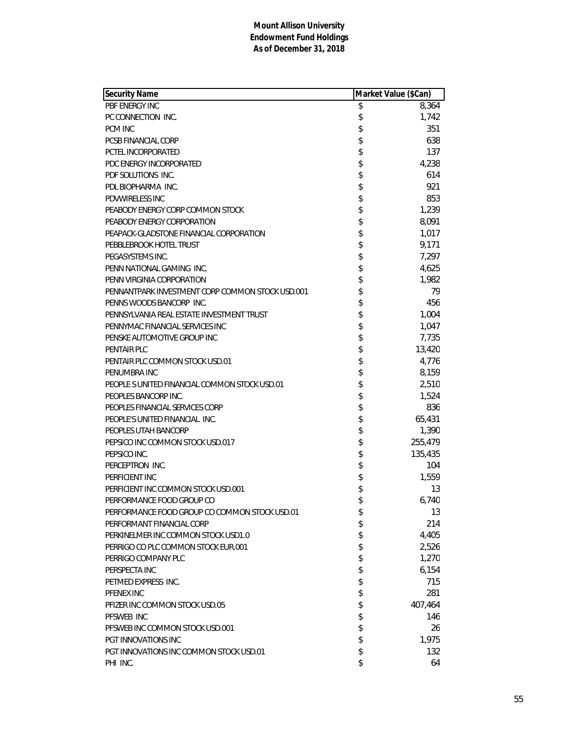| <b>Security Name</b>                             | Market Value (\$Can) |         |
|--------------------------------------------------|----------------------|---------|
| PBF ENERGY INC                                   | \$                   | 8,364   |
| PC CONNECTION INC.                               | \$                   | 1,742   |
| <b>PCM INC</b>                                   | \$                   | 351     |
| PCSB FINANCIAL CORP                              | \$                   | 638     |
| PCTEL INCORPORATED                               | \$                   | 137     |
| PDC ENERGY INCORPORATED                          | \$                   | 4,238   |
| PDF SOLUTIONS INC.                               | \$                   | 614     |
| PDL BIOPHARMA INC.                               | \$                   | 921     |
| <b>PDVWIRELESS INC</b>                           | \$                   | 853     |
| PEABODY ENERGY CORP COMMON STOCK                 | \$                   | 1,239   |
| PEABODY ENERGY CORPORATION                       | \$                   | 8,091   |
| PEAPACK-GLADSTONE FINANCIAL CORPORATION          | \$                   | 1,017   |
| PEBBLEBROOK HOTEL TRUST                          | \$                   | 9,171   |
| PEGASYSTEMS INC.                                 | \$                   | 7,297   |
| PENN NATIONAL GAMING INC.                        | \$                   | 4,625   |
| PENN VIRGINIA CORPORATION                        | \$                   | 1,982   |
| PENNANTPARK INVESTMENT CORP COMMON STOCK USD.001 | \$                   | 79      |
| PENNS WOODS BANCORP INC.                         | \$                   | 456     |
| PENNSYLVANIA REAL ESTATE INVESTMENT TRUST        | \$                   | 1,004   |
| PENNYMAC FINANCIAL SERVICES INC                  | \$                   | 1,047   |
| PENSKE AUTOMOTIVE GROUP INC                      | \$                   | 7,735   |
| <b>PENTAIR PLC</b>                               | \$                   | 13,420  |
| PENTAIR PLC COMMON STOCK USD.01                  | \$                   | 4,776   |
| PENUMBRA INC                                     | \$                   | 8,159   |
| PEOPLE S UNITED FINANCIAL COMMON STOCK USD.01    | \$                   | 2,510   |
| PEOPLES BANCORP INC.                             | \$                   | 1,524   |
| PEOPLES FINANCIAL SERVICES CORP                  | \$                   | 836     |
| PEOPLE'S UNITED FINANCIAL INC.                   | \$                   | 65,431  |
| PEOPLES UTAH BANCORP                             | \$                   | 1,390   |
| PEPSICO INC COMMON STOCK USD.017                 | \$                   | 255,479 |
| PEPSICO INC.                                     | \$                   | 135,435 |
| PERCEPTRON INC.                                  | \$                   | 104     |
| PERFICIENT INC                                   | \$                   | 1,559   |
| PERFICIENT INC COMMON STOCK USD.001              | \$                   | 13      |
| PERFORMANCE FOOD GROUP CO                        | \$                   | 6,740   |
| PERFORMANCE FOOD GROUP CO COMMON STOCK USD.01    | \$                   | 13      |
| PERFORMANT FINANCIAL CORP                        | \$                   | 214     |
| PERKINELMER INC COMMON STOCK USD1.0              | \$                   | 4,405   |
| PERRIGO CO PLC COMMON STOCK EUR.001              | \$                   | 2,526   |
| PERRIGO COMPANY PLC                              | \$                   | 1,270   |
| PERSPECTA INC                                    | \$                   | 6,154   |
| PETMED EXPRESS INC.                              | \$                   | 715     |
| PFENEX INC                                       | \$                   | 281     |
| PFIZER INC COMMON STOCK USD.05                   | \$                   | 407,464 |
| PFSWEB INC                                       | \$                   | 146     |
| PFSWEB INC COMMON STOCK USD.001                  | \$                   | 26      |
| <b>PGT INNOVATIONS INC</b>                       | \$                   | 1,975   |
| PGT INNOVATIONS INC COMMON STOCK USD.01          | \$                   | 132     |
| PHI INC.                                         | \$                   | 64      |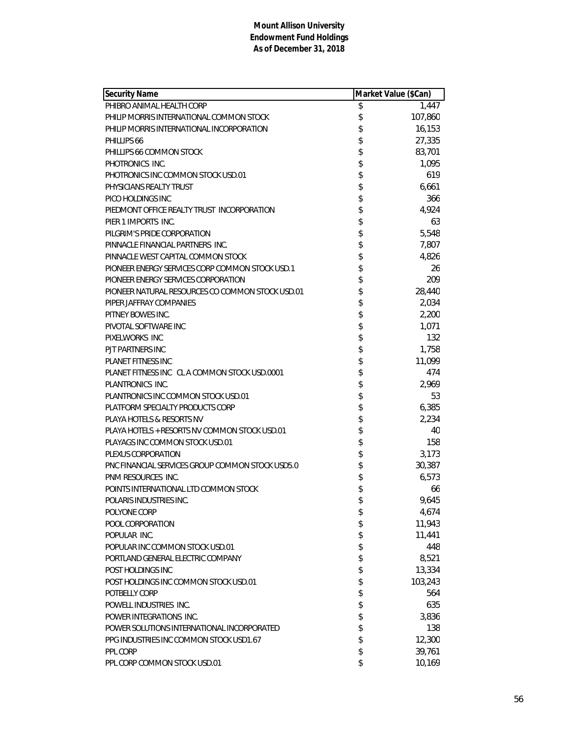| <b>Security Name</b>                             | Market Value (\$Can) |         |
|--------------------------------------------------|----------------------|---------|
| PHIBRO ANIMAL HEALTH CORP                        | \$                   | 1,447   |
| PHILIP MORRIS INTERNATIONAL COMMON STOCK         | \$                   | 107,860 |
| PHILIP MORRIS INTERNATIONAL INCORPORATION        | \$                   | 16,153  |
| PHILLIPS 66                                      | \$                   | 27,335  |
| PHILLIPS 66 COMMON STOCK                         | \$                   | 83,701  |
| PHOTRONICS INC.                                  | \$                   | 1,095   |
| PHOTRONICS INC COMMON STOCK USD.01               | \$                   | 619     |
| PHYSICIANS REALTY TRUST                          | \$                   | 6,661   |
| PICO HOLDINGS INC                                | \$                   | 366     |
| PIEDMONT OFFICE REALTY TRUST INCORPORATION       | \$                   | 4,924   |
| PIER 1 IMPORTS INC.                              | \$                   | 63      |
| PILGRIM'S PRIDE CORPORATION                      | \$                   | 5,548   |
| PINNACLE FINANCIAL PARTNERS INC.                 | \$                   | 7,807   |
| PINNACLE WEST CAPITAL COMMON STOCK               | \$                   | 4,826   |
| PIONEER ENERGY SERVICES CORP COMMON STOCK USD.1  | \$                   | 26      |
| PIONEER ENERGY SERVICES CORPORATION              | \$                   | 209     |
| PIONEER NATURAL RESOURCES CO COMMON STOCK USD.01 | \$                   | 28,440  |
| PIPER JAFFRAY COMPANIES                          | \$                   | 2,034   |
| PITNEY BOWES INC.                                | \$                   | 2,200   |
| PIVOTAL SOFTWARE INC                             | \$                   | 1,071   |
| PIXELWORKS INC                                   | \$                   | 132     |
| PJT PARTNERS INC                                 | \$                   | 1,758   |
| PLANET FITNESS INC                               | \$                   | 11,099  |
| PLANET FITNESS INC CL A COMMON STOCK USD.0001    | \$                   | 474     |
| PLANTRONICS INC.                                 | \$                   | 2,969   |
| PLANTRONICS INC COMMON STOCK USD.01              | \$                   | 53      |
| PLATFORM SPECIALTY PRODUCTS CORP                 | \$                   | 6,385   |
| PLAYA HOTELS & RESORTS NV                        | \$                   | 2,234   |
| PLAYA HOTELS + RESORTS NV COMMON STOCK USD.01    | \$                   | 40      |
| PLAYAGS INC COMMON STOCK USD.01                  | \$                   | 158     |
| PLEXUS CORPORATION                               | \$                   | 3,173   |
| PNC FINANCIAL SERVICES GROUP COMMON STOCK USD5.0 | \$                   | 30,387  |
| <b>PNM RESOURCES INC.</b>                        | \$                   | 6,573   |
| POINTS INTERNATIONAL LTD COMMON STOCK            | \$                   | 66      |
| POLARIS INDUSTRIES INC.                          | \$                   | 9,645   |
| POLYONE CORP                                     | \$                   | 4,674   |
| POOL CORPORATION                                 | \$                   | 11,943  |
| POPULAR INC.                                     | \$                   | 11,441  |
| POPULAR INC COMMON STOCK USD.01                  | \$                   | 448     |
| PORTLAND GENERAL ELECTRIC COMPANY                | \$                   | 8,521   |
| POST HOLDINGS INC                                | \$                   | 13,334  |
| POST HOLDINGS INC COMMON STOCK USD.01            | \$                   | 103,243 |
| POTBELLY CORP                                    | \$                   | 564     |
| POWELL INDUSTRIES INC.                           | \$                   | 635     |
| POWER INTEGRATIONS INC.                          | \$                   | 3,836   |
| POWER SOLUTIONS INTERNATIONAL INCORPORATED       | \$                   | 138     |
| PPG INDUSTRIES INC COMMON STOCK USD1.67          | \$                   | 12,300  |
| PPL CORP                                         | \$                   | 39,761  |
| PPL CORP COMMON STOCK USD.01                     | \$                   | 10,169  |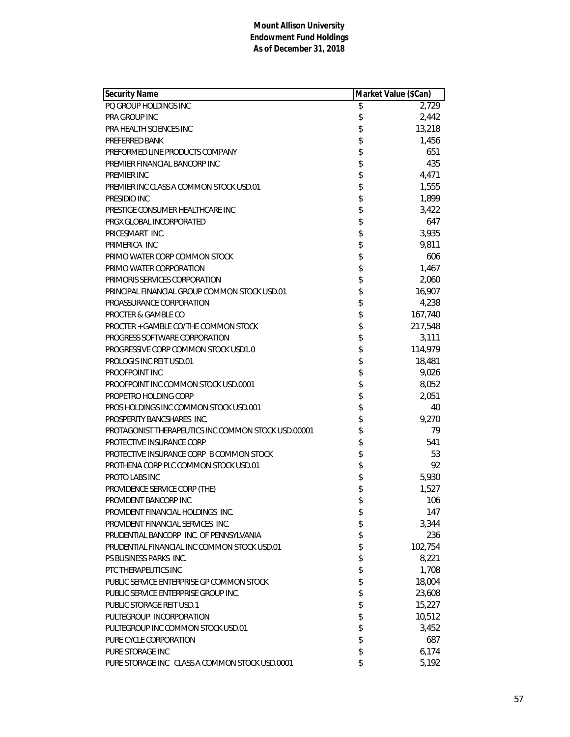| Security Name                                       | Market Value (\$Can) |         |
|-----------------------------------------------------|----------------------|---------|
| PO GROUP HOLDINGS INC                               | \$                   | 2,729   |
| <b>PRA GROUP INC</b>                                | \$                   | 2,442   |
| PRA HEALTH SCIENCES INC                             | \$                   | 13,218  |
| PREFERRED BANK                                      | \$                   | 1,456   |
| PREFORMED LINE PRODUCTS COMPANY                     | \$                   | 651     |
| PREMIER FINANCIAL BANCORP INC                       | \$                   | 435     |
| PREMIER INC                                         | \$                   | 4,471   |
| PREMIER INC CLASS A COMMON STOCK USD.01             | \$                   | 1,555   |
| PRESIDIO INC                                        | \$                   | 1,899   |
| PRESTIGE CONSUMER HEALTHCARE INC                    | \$                   | 3,422   |
| PRGX GLOBAL INCORPORATED                            | \$                   | 647     |
| PRICESMART INC.                                     | \$                   | 3,935   |
| PRIMERICA INC                                       | \$                   | 9,811   |
| PRIMO WATER CORP COMMON STOCK                       | \$                   | 606     |
| PRIMO WATER CORPORATION                             | \$                   | 1,467   |
| PRIMORIS SERVICES CORPORATION                       | \$                   | 2,060   |
| PRINCIPAL FINANCIAL GROUP COMMON STOCK USD.01       | \$                   | 16,907  |
| PROASSURANCE CORPORATION                            | \$                   | 4,238   |
| PROCTER & GAMBLE CO                                 | \$                   | 167,740 |
| PROCTER + GAMBLE CO/THE COMMON STOCK                | \$                   | 217,548 |
| PROGRESS SOFTWARE CORPORATION                       | \$                   | 3,111   |
| PROGRESSIVE CORP COMMON STOCK USD1.0                | \$                   | 114,979 |
| PROLOGIS INC REIT USD.01                            | \$                   | 18,481  |
| PROOFPOINT INC                                      | \$                   | 9,026   |
| PROOFPOINT INC COMMON STOCK USD.0001                | \$                   | 8,052   |
| PROPETRO HOLDING CORP                               | \$                   | 2,051   |
| PROS HOLDINGS INC COMMON STOCK USD.001              | \$                   | 40      |
| PROSPERITY BANCSHARES INC.                          | \$                   | 9,270   |
| PROTAGONIST THERAPEUTICS INC COMMON STOCK USD.00001 | \$                   | 79      |
| PROTECTIVE INSURANCE CORP                           | \$                   | 541     |
| PROTECTIVE INSURANCE CORP B COMMON STOCK            | \$                   | 53      |
| PROTHENA CORP PLC COMMON STOCK USD.01               | \$                   | 92      |
| PROTO LABS INC                                      | \$                   | 5,930   |
| PROVIDENCE SERVICE CORP (THE)                       | \$                   | 1,527   |
| PROVIDENT BANCORP INC                               | \$                   | 106     |
| PROVIDENT FINANCIAL HOLDINGS INC.                   | \$                   | 147     |
| PROVIDENT FINANCIAL SERVICES INC.                   | \$                   | 3,344   |
| PRUDENTIAL BANCORP INC. OF PENNSYLVANIA             | \$                   | 236     |
| PRUDENTIAL FINANCIAL INC COMMON STOCK USD.01        | \$                   | 102,754 |
| PS BUSINESS PARKS INC.                              | \$                   | 8,221   |
| PTC THERAPEUTICS INC                                | \$                   | 1,708   |
| PUBLIC SERVICE ENTERPRISE GP COMMON STOCK           | \$                   | 18,004  |
| PUBLIC SERVICE ENTERPRISE GROUP INC.                | \$                   | 23,608  |
| PUBLIC STORAGE REIT USD.1                           | \$                   | 15,227  |
| PULTEGROUP INCORPORATION                            | \$                   | 10,512  |
| PULTEGROUP INC COMMON STOCK USD.01                  | \$                   | 3,452   |
| PURE CYCLE CORPORATION                              | \$                   | 687     |
| PURE STORAGE INC                                    | \$                   | 6,174   |
| PURE STORAGE INC CLASS A COMMON STOCK USD.0001      | \$                   | 5,192   |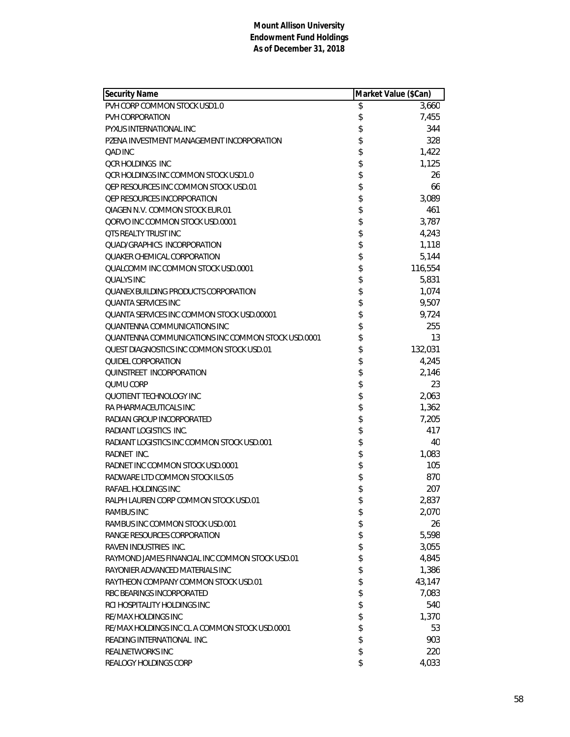| <b>Security Name</b>                               | Market Value (\$Can) |         |
|----------------------------------------------------|----------------------|---------|
| PVH CORP COMMON STOCK USD1.0                       | \$                   | 3,660   |
| PVH CORPORATION                                    | \$                   | 7,455   |
| PYXUS INTERNATIONAL INC                            | \$                   | 344     |
| PZENA INVESTMENT MANAGEMENT INCORPORATION          | \$                   | 328     |
| OAD INC                                            | \$                   | 1,422   |
| <b>OCR HOLDINGS INC</b>                            | \$                   | 1,125   |
| OCR HOLDINGS INC COMMON STOCK USD1.0               | \$                   | 26      |
| OEP RESOURCES INC COMMON STOCK USD.01              | \$                   | 66      |
| <b>QEP RESOURCES INCORPORATION</b>                 | \$                   | 3,089   |
| QIAGEN N.V. COMMON STOCK EUR.01                    | \$                   | 461     |
| QORVO INC COMMON STOCK USD.0001                    | \$                   | 3,787   |
| <b>QTS REALTY TRUST INC</b>                        | \$                   | 4,243   |
| <b>QUAD/GRAPHICS INCORPORATION</b>                 | \$                   | 1,118   |
| <b>QUAKER CHEMICAL CORPORATION</b>                 | \$                   | 5,144   |
| QUALCOMM INC COMMON STOCK USD.0001                 | \$                   | 116,554 |
| <b>QUALYS INC</b>                                  | \$                   | 5,831   |
| QUANEX BUILDING PRODUCTS CORPORATION               | \$                   | 1,074   |
| <b>QUANTA SERVICES INC</b>                         | \$                   | 9,507   |
| OUANTA SERVICES INC COMMON STOCK USD 00001         | \$                   | 9,724   |
| QUANTENNA COMMUNICATIONS INC                       | \$                   | 255     |
| QUANTENNA COMMUNICATIONS INC COMMON STOCK USD.0001 | \$                   | 13      |
| OUEST DIAGNOSTICS INC COMMON STOCK USD.01          | \$                   | 132,031 |
| QUIDEL CORPORATION                                 | \$                   | 4,245   |
| QUINSTREET INCORPORATION                           | \$                   | 2,146   |
| <b>QUMU CORP</b>                                   | \$                   | 23      |
| QUOTIENT TECHNOLOGY INC                            | \$                   | 2,063   |
| RA PHARMACEUTICALS INC                             | \$                   | 1,362   |
| RADIAN GROUP INCORPORATED                          | \$                   | 7,205   |
| RADIANT LOGISTICS INC.                             | \$                   | 417     |
| RADIANT LOGISTICS INC COMMON STOCK USD.001         | \$                   | 40      |
| RADNET INC.                                        | \$                   | 1,083   |
| RADNET INC COMMON STOCK USD.0001                   | \$                   | 105     |
| RADWARE LTD COMMON STOCK ILS.05                    | \$                   | 870     |
| RAFAEL HOLDINGS INC                                | \$                   | 207     |
| RALPH LAUREN CORP COMMON STOCK USD.01              | \$                   | 2,837   |
| RAMBUS INC                                         | \$                   | 2,070   |
| RAMBUS INC COMMON STOCK USD.001                    | \$                   | 26      |
| RANGE RESOURCES CORPORATION                        | \$                   | 5,598   |
| RAVEN INDUSTRIES INC.                              | \$                   | 3,055   |
| RAYMOND JAMES FINANCIAL INC COMMON STOCK USD.01    | \$                   | 4,845   |
| RAYONIER ADVANCED MATERIALS INC                    | \$                   | 1,386   |
| RAYTHEON COMPANY COMMON STOCK USD.01               | \$                   | 43,147  |
| RBC BEARINGS INCORPORATED                          | \$                   | 7,083   |
| RCI HOSPITALITY HOLDINGS INC                       | \$                   | 540     |
| RE/MAX HOLDINGS INC                                | \$                   | 1,370   |
| RE/MAX HOLDINGS INC CL A COMMON STOCK USD.0001     | \$                   | 53      |
| READING INTERNATIONAL INC.                         | \$                   | 903     |
| <b>REALNETWORKS INC</b>                            | \$                   | 220     |
| REALOGY HOLDINGS CORP                              | \$                   | 4,033   |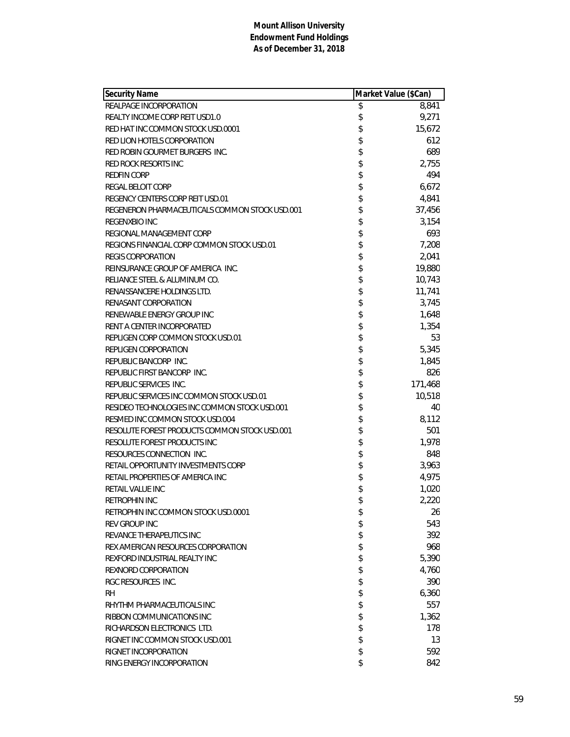| <b>Security Name</b>                           | Market Value (\$Can) |         |
|------------------------------------------------|----------------------|---------|
| REALPAGE INCORPORATION                         | \$                   | 8,841   |
| REALTY INCOME CORP REIT USD1.0                 | \$                   | 9,271   |
| RED HAT INC COMMON STOCK USD.0001              | \$                   | 15,672  |
| RED LION HOTELS CORPORATION                    | \$                   | 612     |
| RED ROBIN GOURMET BURGERS INC.                 | \$                   | 689     |
| RED ROCK RESORTS INC                           | \$                   | 2,755   |
| <b>REDFIN CORP</b>                             | \$                   | 494     |
| REGAL BELOIT CORP                              | \$                   | 6,672   |
| REGENCY CENTERS CORP REIT USD.01               | \$                   | 4,841   |
| REGENERON PHARMACEUTICALS COMMON STOCK USD.001 | \$                   | 37,456  |
| <b>REGENXBIO INC</b>                           | \$                   | 3,154   |
| REGIONAL MANAGEMENT CORP                       | \$                   | 693     |
| REGIONS FINANCIAL CORP COMMON STOCK USD.01     | \$                   | 7,208   |
| <b>REGIS CORPORATION</b>                       | \$                   | 2,041   |
| REINSURANCE GROUP OF AMERICA INC.              | \$                   | 19,880  |
| RELIANCE STEEL & ALUMINUM CO.                  | \$                   | 10,743  |
| RENAISSANCERE HOLDINGS LTD.                    | \$                   | 11,741  |
| RENASANT CORPORATION                           | \$                   | 3,745   |
| RENEWABLE ENERGY GROUP INC                     | \$                   | 1,648   |
| RENT A CENTER INCORPORATED                     | \$                   | 1,354   |
| REPLIGEN CORP COMMON STOCK USD.01              | \$                   | 53      |
| REPLIGEN CORPORATION                           | \$                   | 5,345   |
| REPUBLIC BANCORP INC.                          | \$                   | 1,845   |
| REPUBLIC FIRST BANCORP INC.                    | \$                   | 826     |
| REPUBLIC SERVICES INC.                         | \$                   | 171,468 |
| REPUBLIC SERVICES INC COMMON STOCK USD.01      | \$                   | 10,518  |
| RESIDEO TECHNOLOGIES INC COMMON STOCK USD.001  | \$                   | 40      |
| RESMED INC COMMON STOCK USD.004                | \$                   | 8,112   |
| RESOLUTE FOREST PRODUCTS COMMON STOCK USD.001  | \$                   | 501     |
| RESOLUTE FOREST PRODUCTS INC                   | \$                   | 1,978   |
| RESOURCES CONNECTION INC.                      | \$                   | 848     |
| RETAIL OPPORTUNITY INVESTMENTS CORP            | \$                   | 3,963   |
| RETAIL PROPERTIES OF AMERICA INC               | \$                   | 4,975   |
| RETAIL VALUE INC                               | \$                   | 1,020   |
| RETROPHIN INC                                  | \$                   | 2,220   |
| RETROPHIN INC COMMON STOCK USD.0001            | \$                   | 26      |
| <b>REV GROUP INC</b>                           | \$                   | 543     |
| REVANCE THERAPEUTICS INC                       | \$                   | 392     |
| REX AMERICAN RESOURCES CORPORATION             | \$                   | 968     |
| REXFORD INDUSTRIAL REALTY INC                  | \$                   | 5,390   |
| REXNORD CORPORATION                            | \$                   | 4,760   |
| RGC RESOURCES INC.                             | \$                   | 390     |
| <b>RH</b>                                      | \$                   | 6,360   |
| RHYTHM PHARMACEUTICALS INC                     | \$                   | 557     |
| RIBBON COMMUNICATIONS INC                      | \$                   | 1,362   |
| RICHARDSON ELECTRONICS LTD.                    | \$                   | 178     |
| RIGNET INC COMMON STOCK USD.001                | \$                   | 13      |
| RIGNET INCORPORATION                           | \$                   | 592     |
| RING ENERGY INCORPORATION                      | \$                   | 842     |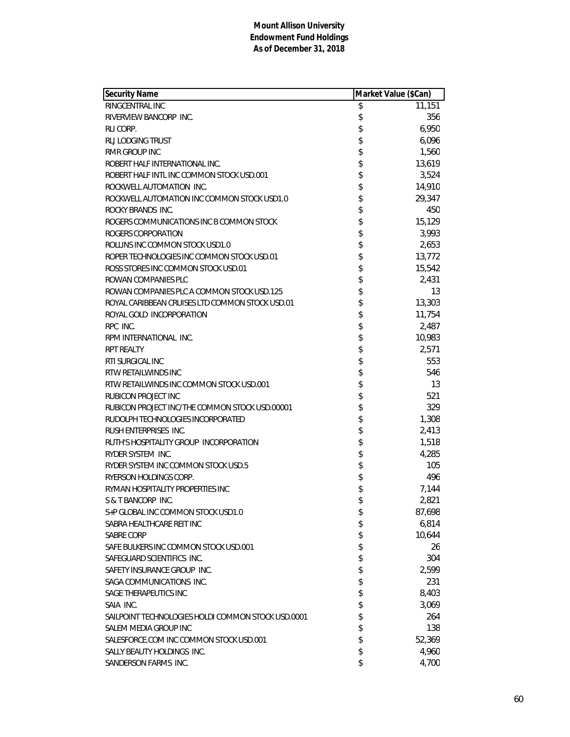| <b>Security Name</b>                               | Market Value (\$Can) |        |
|----------------------------------------------------|----------------------|--------|
| RINGCENTRAL INC                                    | \$                   | 11,151 |
| RIVERVIEW BANCORP INC.                             | \$                   | 356    |
| RLI CORP.                                          | \$                   | 6,950  |
| RLJ LODGING TRUST                                  | \$                   | 6,096  |
| <b>RMR GROUP INC</b>                               | \$                   | 1,560  |
| ROBERT HALF INTERNATIONAL INC.                     | \$                   | 13,619 |
| ROBERT HALF INTL INC COMMON STOCK USD.001          | \$                   | 3,524  |
| ROCKWELL AUTOMATION INC.                           | \$                   | 14,910 |
| ROCKWELL AUTOMATION INC COMMON STOCK USD1.0        | \$                   | 29,347 |
| ROCKY BRANDS INC.                                  | \$                   | 450    |
| ROGERS COMMUNICATIONS INC B COMMON STOCK           | \$                   | 15,129 |
| ROGERS CORPORATION                                 | \$                   | 3,993  |
| ROLLINS INC COMMON STOCK USD1.0                    | \$                   | 2,653  |
| ROPER TECHNOLOGIES INC COMMON STOCK USD.01         | \$                   | 13,772 |
| ROSS STORES INC COMMON STOCK USD.01                | \$                   | 15,542 |
| ROWAN COMPANIES PLC                                | \$                   | 2,431  |
| ROWAN COMPANIES PLC A COMMON STOCK USD.125         | \$                   | 13     |
| ROYAL CARIBBEAN CRUISES LTD COMMON STOCK USD.01    | \$                   | 13,303 |
| ROYAL GOLD INCORPORATION                           | \$                   | 11,754 |
| RPC INC.                                           | \$                   | 2,487  |
| RPM INTERNATIONAL INC.                             | \$                   | 10,983 |
| <b>RPT REALTY</b>                                  | \$                   | 2,571  |
| RTI SURGICAL INC                                   | \$                   | 553    |
| RTW RETAILWINDS INC                                | \$                   | 546    |
| RTW RETAILWINDS INC COMMON STOCK USD.001           | \$                   | 13     |
| RUBICON PROJECT INC                                | \$                   | 521    |
| RUBICON PROJECT INC/THE COMMON STOCK USD.00001     | \$                   | 329    |
| RUDOLPH TECHNOLOGIES INCORPORATED                  | \$                   | 1,308  |
| RUSH ENTERPRISES INC.                              | \$                   | 2,413  |
| RUTH'S HOSPITALITY GROUP INCORPORATION             | \$                   | 1,518  |
| RYDER SYSTEM INC.                                  | \$                   | 4,285  |
| RYDER SYSTEM INC COMMON STOCK USD.5                | \$                   | 105    |
| RYERSON HOLDINGS CORP.                             | \$                   | 496    |
| RYMAN HOSPITALITY PROPERTIES INC                   | \$                   | 7,144  |
| S & T BANCORP INC.                                 | \$                   | 2,821  |
| S+P GLOBAL INC COMMON STOCK USD1.0                 | \$                   | 87,698 |
| SABRA HEALTHCARE REIT INC                          | \$                   | 6,814  |
| SABRE CORP                                         | \$                   | 10,644 |
| SAFE BULKERS INC COMMON STOCK USD.001              | \$                   | 26     |
| SAFEGUARD SCIENTIFICS INC.                         | \$                   | 304    |
| SAFETY INSURANCE GROUP INC.                        | \$                   | 2,599  |
| SAGA COMMUNICATIONS INC.                           | \$                   | 231    |
| SAGE THERAPEUTICS INC                              | \$                   | 8,403  |
| SAIA INC.                                          | \$                   | 3,069  |
| SAILPOINT TECHNOLOGIES HOLDI COMMON STOCK USD.0001 | \$                   | 264    |
| SALEM MEDIA GROUP INC                              | \$                   | 138    |
| SALESFORCE.COM INC COMMON STOCK USD.001            | \$                   | 52,369 |
| SALLY BEAUTY HOLDINGS INC.                         | \$                   | 4,960  |
| SANDERSON FARMS INC.                               | \$                   | 4,700  |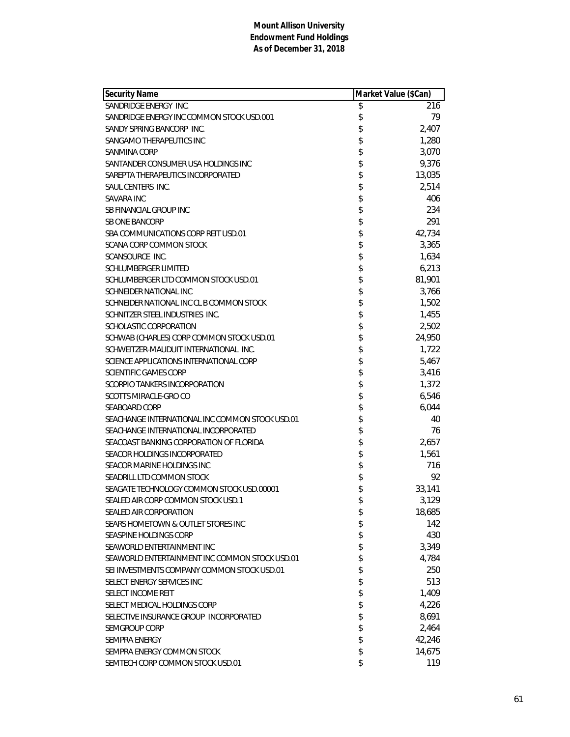| <b>Security Name</b>                            | Market Value (\$Can) |        |
|-------------------------------------------------|----------------------|--------|
| SANDRIDGE ENERGY INC.                           | \$                   | 216    |
| SANDRIDGE ENERGY INC COMMON STOCK USD.001       | \$                   | 79     |
| SANDY SPRING BANCORP INC.                       | \$                   | 2,407  |
| SANGAMO THERAPEUTICS INC                        | \$                   | 1,280  |
| SANMINA CORP                                    | \$                   | 3,070  |
| SANTANDER CONSUMER USA HOLDINGS INC             | \$                   | 9,376  |
| SAREPTA THERAPEUTICS INCORPORATED               | \$                   | 13,035 |
| SAUL CENTERS INC.                               | \$                   | 2,514  |
| SAVARA INC                                      | \$                   | 406    |
| <b>SB FINANCIAL GROUP INC</b>                   | \$                   | 234    |
| <b>SB ONE BANCORP</b>                           | \$                   | 291    |
| SBA COMMUNICATIONS CORP REIT USD.01             | \$                   | 42,734 |
| SCANA CORP COMMON STOCK                         | \$                   | 3,365  |
| SCANSOURCE INC.                                 | \$                   | 1,634  |
| SCHLUMBERGER LIMITED                            | \$                   | 6,213  |
| SCHLUMBERGER LTD COMMON STOCK USD.01            | \$                   | 81,901 |
| SCHNEIDER NATIONAL INC                          | \$                   | 3,766  |
| SCHNEIDER NATIONAL INC CL B COMMON STOCK        | \$                   | 1,502  |
| SCHNITZER STEEL INDUSTRIES INC.                 | \$                   | 1,455  |
| SCHOLASTIC CORPORATION                          | \$                   | 2,502  |
| SCHWAB (CHARLES) CORP COMMON STOCK USD.01       | \$                   | 24,950 |
| SCHWEITZER-MAUDUIT INTERNATIONAL INC.           | \$                   | 1,722  |
| SCIENCE APPLICATIONS INTERNATIONAL CORP         | \$                   | 5,467  |
| <b>SCIENTIFIC GAMES CORP</b>                    | \$                   | 3,416  |
| SCORPIO TANKERS INCORPORATION                   | \$                   | 1,372  |
| SCOTTS MIRACLE-GRO CO                           | \$                   | 6,546  |
| <b>SEABOARD CORP</b>                            | \$                   | 6,044  |
| SEACHANGE INTERNATIONAL INC COMMON STOCK USD.01 | \$                   | 40     |
| SEACHANGE INTERNATIONAL INCORPORATED            | \$                   | 76     |
| SEACOAST BANKING CORPORATION OF FLORIDA         | \$                   | 2,657  |
| SEACOR HOLDINGS INCORPORATED                    | \$                   | 1,561  |
| SEACOR MARINE HOLDINGS INC                      | \$                   | 716    |
| SEADRILL LTD COMMON STOCK                       | \$                   | 92     |
| SEAGATE TECHNOLOGY COMMON STOCK USD.00001       | \$                   | 33,141 |
| SEALED AIR CORP COMMON STOCK USD.1              | \$                   | 3,129  |
| SEALED AIR CORPORATION                          | \$                   | 18,685 |
| SEARS HOMETOWN & OUTLET STORES INC              | \$                   | 142    |
| SEASPINE HOLDINGS CORP                          | \$                   | 430    |
| SEAWORLD ENTERTAINMENT INC                      | \$                   | 3,349  |
| SEAWORLD ENTERTAINMENT INC COMMON STOCK USD.01  | \$                   | 4,784  |
| SEI INVESTMENTS COMPANY COMMON STOCK USD.01     | \$                   | 250    |
| SELECT ENERGY SERVICES INC                      | \$                   | 513    |
| SELECT INCOME REIT                              | \$                   | 1,409  |
| SELECT MEDICAL HOLDINGS CORP                    | \$                   | 4,226  |
| SELECTIVE INSURANCE GROUP INCORPORATED          | \$                   | 8,691  |
| SEMGROUP CORP                                   | \$                   | 2,464  |
| <b>SEMPRA ENERGY</b>                            | \$                   | 42,246 |
| SEMPRA ENERGY COMMON STOCK                      | \$                   | 14,675 |
| SEMTECH CORP COMMON STOCK USD.01                | \$                   | 119    |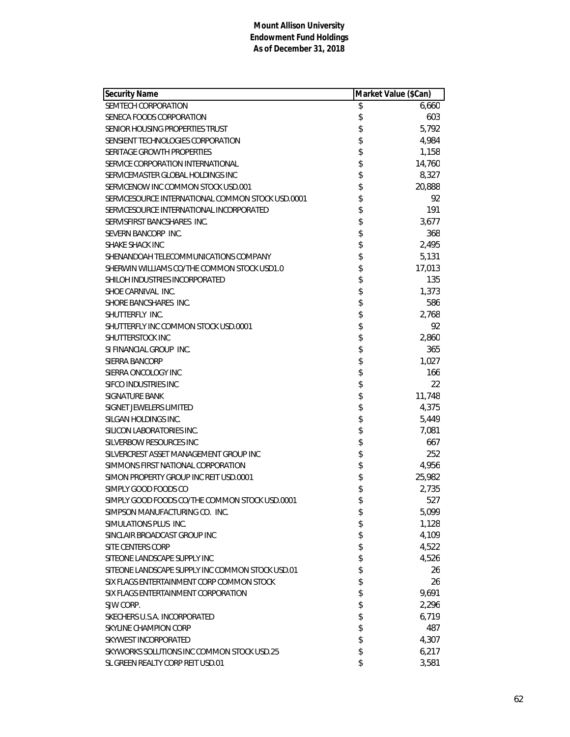| <b>Security Name</b>                              | Market Value (\$Can) |        |
|---------------------------------------------------|----------------------|--------|
| SEMTECH CORPORATION                               | \$                   | 6,660  |
| SENECA FOODS CORPORATION                          | \$                   | 603    |
| SENIOR HOUSING PROPERTIES TRUST                   | \$                   | 5,792  |
| SENSIENT TECHNOLOGIES CORPORATION                 | \$                   | 4,984  |
| SERITAGE GROWTH PROPERTIES                        | \$                   | 1,158  |
| SERVICE CORPORATION INTERNATIONAL                 | \$                   | 14,760 |
| SERVICEMASTER GLOBAL HOLDINGS INC                 | \$                   | 8,327  |
| SERVICENOW INC COMMON STOCK USD.001               | \$                   | 20,888 |
| SERVICESOURCE INTERNATIONAL COMMON STOCK USD.0001 | \$                   | 92     |
| SERVICESOURCE INTERNATIONAL INCORPORATED          | \$                   | 191    |
| SERVISFIRST BANCSHARES INC.                       | \$                   | 3,677  |
| SEVERN BANCORP INC.                               | \$                   | 368    |
| SHAKE SHACK INC                                   | \$                   | 2,495  |
| SHENANDOAH TELECOMMUNICATIONS COMPANY             | \$                   | 5,131  |
| SHERWIN WILLIAMS CO/THE COMMON STOCK USD1.0       | \$                   | 17,013 |
| SHILOH INDUSTRIES INCORPORATED                    | \$                   | 135    |
| SHOE CARNIVAL INC.                                | \$                   | 1,373  |
| SHORE BANCSHARES INC.                             | \$                   | 586    |
| SHUTTERFLY INC.                                   | \$                   | 2,768  |
| SHUTTERFLY INC COMMON STOCK USD.0001              | \$                   | 92     |
| SHUTTERSTOCK INC                                  | \$                   | 2,860  |
| SI FINANCIAL GROUP INC.                           | \$                   | 365    |
| SIERRA BANCORP                                    | \$                   | 1,027  |
| SIERRA ONCOLOGY INC                               | \$                   | 166    |
| SIFCO INDUSTRIES INC                              | \$                   | 22     |
| SIGNATURE BANK                                    | \$                   | 11,748 |
| SIGNET JEWELERS LIMITED                           | \$                   | 4,375  |
| SILGAN HOLDINGS INC.                              | \$                   | 5,449  |
| SILICON LABORATORIES INC.                         | \$                   | 7,081  |
| SILVERBOW RESOURCES INC                           | \$                   | 667    |
| SILVERCREST ASSET MANAGEMENT GROUP INC            | \$                   | 252    |
| SIMMONS FIRST NATIONAL CORPORATION                | \$                   | 4,956  |
| SIMON PROPERTY GROUP INC REIT USD.0001            | \$                   | 25,982 |
| SIMPLY GOOD FOODS CO                              | \$                   | 2,735  |
| SIMPLY GOOD FOODS CO/THE COMMON STOCK USD.0001    | \$                   | 527    |
| SIMPSON MANUFACTURING CO. INC.                    | \$                   | 5,099  |
| SIMULATIONS PLUS INC.                             | \$                   | 1,128  |
| SINCLAIR BROADCAST GROUP INC                      | \$                   | 4,109  |
| SITE CENTERS CORP                                 | \$                   | 4,522  |
| SITEONE LANDSCAPE SUPPLY INC                      | \$                   | 4,526  |
| SITEONE LANDSCAPE SUPPLY INC COMMON STOCK USD.01  | \$                   | 26     |
| SIX FLAGS ENTERTAINMENT CORP COMMON STOCK         | \$                   | 26     |
| SIX FLAGS ENTERTAINMENT CORPORATION               | \$                   | 9,691  |
| SJW CORP.                                         | \$                   | 2,296  |
| SKECHERS U.S.A. INCORPORATED                      | \$                   | 6,719  |
| SKYLINE CHAMPION CORP                             | \$                   | 487    |
| SKYWEST INCORPORATED                              | \$                   | 4,307  |
| SKYWORKS SOLUTIONS INC COMMON STOCK USD.25        | \$                   | 6,217  |
| SL GREEN REALTY CORP REIT USD.01                  | \$                   | 3,581  |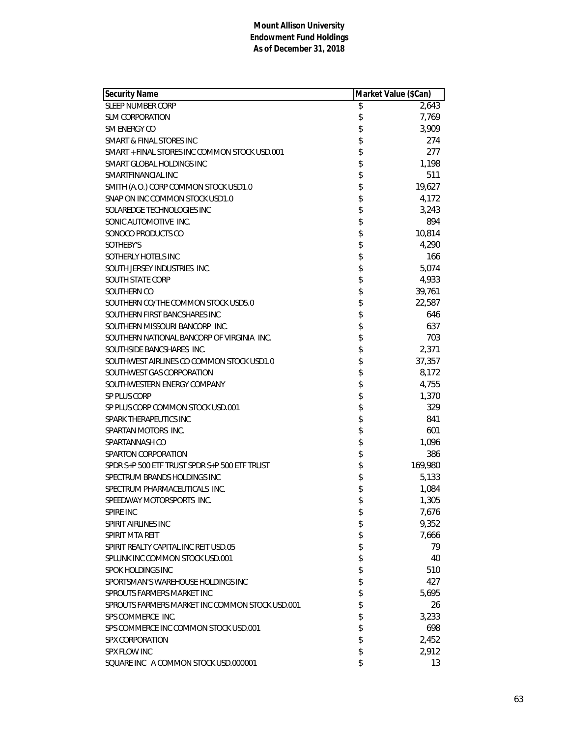| <b>Security Name</b>                            | Market Value (\$Can) |         |
|-------------------------------------------------|----------------------|---------|
| <b>SLEEP NUMBER CORP</b>                        | \$                   | 2,643   |
| <b>SLM CORPORATION</b>                          | \$                   | 7,769   |
| SM ENERGY CO                                    | \$                   | 3,909   |
| SMART & FINAL STORES INC                        | \$                   | 274     |
| SMART + FINAL STORES INC COMMON STOCK USD.001   | \$                   | 277     |
| SMART GLOBAL HOLDINGS INC                       | \$                   | 1,198   |
| SMARTFINANCIAL INC                              | \$                   | 511     |
| SMITH (A.O.) CORP COMMON STOCK USD1.0           | \$                   | 19,627  |
| SNAP ON INC COMMON STOCK USD1.0                 | \$                   | 4,172   |
| SOLAREDGE TECHNOLOGIES INC                      | \$                   | 3,243   |
| SONIC AUTOMOTIVE INC.                           | \$                   | 894     |
| SONOCO PRODUCTS CO                              | \$                   | 10,814  |
| SOTHEBY'S                                       | \$                   | 4,290   |
| SOTHERLY HOTELS INC                             | \$                   | 166     |
| SOUTH JERSEY INDUSTRIES INC.                    | \$                   | 5,074   |
| <b>SOUTH STATE CORP</b>                         | \$                   | 4,933   |
| SOUTHERN CO                                     | \$                   | 39,761  |
| SOUTHERN CO/THE COMMON STOCK USD5.0             | \$                   | 22,587  |
| SOUTHERN FIRST BANCSHARES INC                   | \$                   | 646     |
| SOUTHERN MISSOURI BANCORP INC.                  | \$                   | 637     |
| SOUTHERN NATIONAL BANCORP OF VIRGINIA INC.      | \$                   | 703     |
| SOUTHSIDE BANCSHARES INC.                       | \$                   | 2,371   |
| SOUTHWEST AIRLINES CO COMMON STOCK USD1.0       | \$                   | 37,357  |
| SOUTHWEST GAS CORPORATION                       | \$                   | 8,172   |
| SOUTHWESTERN ENERGY COMPANY                     | \$                   | 4,755   |
| SP PLUS CORP                                    | \$                   | 1,370   |
| SP PLUS CORP COMMON STOCK USD.001               | \$                   | 329     |
| SPARK THERAPEUTICS INC                          | \$                   | 841     |
| SPARTAN MOTORS INC.                             | \$                   | 601     |
| SPARTANNASH CO                                  | \$                   | 1,096   |
| SPARTON CORPORATION                             | \$                   | 386     |
| SPDR S+P 500 ETF TRUST SPDR S+P 500 ETF TRUST   | \$                   | 169,980 |
| SPECTRUM BRANDS HOLDINGS INC                    | \$                   | 5,133   |
| SPECTRUM PHARMACEUTICALS INC.                   | \$                   | 1,084   |
| SPEEDWAY MOTORSPORTS INC.                       | \$                   | 1,305   |
| <b>SPIRE INC</b>                                | \$                   | 7,676   |
| SPIRIT AIRLINES INC                             | \$                   | 9,352   |
| SPIRIT MTA REIT                                 | \$                   | 7,666   |
| SPIRIT REALTY CAPITAL INC REIT USD.05           | \$                   | 79      |
| SPLUNK INC COMMON STOCK USD.001                 | \$                   | 40      |
| SPOK HOLDINGS INC                               | \$                   | 510     |
| SPORTSMAN'S WAREHOUSE HOLDINGS INC              | \$                   | 427     |
| SPROUTS FARMERS MARKET INC                      | \$                   | 5,695   |
| SPROUTS FARMERS MARKET INC COMMON STOCK USD.001 | \$                   | 26      |
| SPS COMMERCE INC.                               | \$                   | 3,233   |
| SPS COMMERCE INC COMMON STOCK USD.001           | \$                   | 698     |
| <b>SPX CORPORATION</b>                          | \$                   | 2,452   |
| SPX FLOW INC                                    | \$                   | 2,912   |
| SQUARE INC A COMMON STOCK USD.000001            | \$                   | 13      |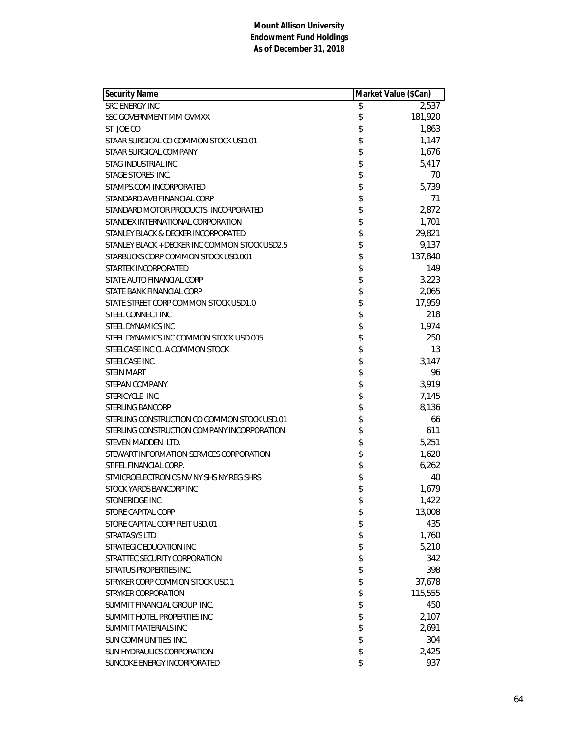| <b>Security Name</b>                           | Market Value (\$Can) |         |
|------------------------------------------------|----------------------|---------|
| <b>SRC ENERGY INC</b>                          | \$                   | 2,537   |
| SSC GOVERNMENT MM GVMXX                        | \$                   | 181,920 |
| ST. JOE CO                                     | \$                   | 1,863   |
| STAAR SURGICAL CO COMMON STOCK USD.01          | \$                   | 1,147   |
| STAAR SURGICAL COMPANY                         | \$                   | 1,676   |
| STAG INDUSTRIAL INC                            | \$                   | 5,417   |
| STAGE STORES INC.                              | \$                   | 70      |
| STAMPS.COM INCORPORATED                        | \$                   | 5,739   |
| STANDARD AVB FINANCIAL CORP                    | \$                   | 71      |
| STANDARD MOTOR PRODUCTS INCORPORATED           | \$                   | 2,872   |
| STANDEX INTERNATIONAL CORPORATION              | \$                   | 1,701   |
| STANLEY BLACK & DECKER INCORPORATED            | \$                   | 29,821  |
| STANLEY BLACK + DECKER INC COMMON STOCK USD2.5 | \$                   | 9,137   |
| STARBUCKS CORP COMMON STOCK USD.001            | \$                   | 137,840 |
| STARTEK INCORPORATED                           | \$                   | 149     |
| STATE AUTO FINANCIAL CORP                      | \$                   | 3,223   |
| STATE BANK FINANCIAL CORP                      | \$                   | 2,065   |
| STATE STREET CORP COMMON STOCK USD1.0          | \$                   | 17,959  |
| STEEL CONNECT INC                              | \$                   | 218     |
| STEEL DYNAMICS INC                             | \$                   | 1,974   |
| STEEL DYNAMICS INC COMMON STOCK USD.005        | \$                   | 250     |
| STEELCASE INC CL A COMMON STOCK                | \$                   | 13      |
| STEELCASE INC.                                 | \$                   | 3,147   |
| <b>STEIN MART</b>                              | \$                   | 96      |
| STEPAN COMPANY                                 | \$                   | 3,919   |
| STERICYCLE INC.                                | \$                   | 7,145   |
| <b>STERLING BANCORP</b>                        | \$                   | 8,136   |
| STERLING CONSTRUCTION CO COMMON STOCK USD.01   | \$                   | 66      |
| STERLING CONSTRUCTION COMPANY INCORPORATION    | \$                   | 611     |
| STEVEN MADDEN LTD.                             | \$                   | 5,251   |
| STEWART INFORMATION SERVICES CORPORATION       | \$                   | 1,620   |
| STIFEL FINANCIAL CORP.                         | \$                   | 6,262   |
| STMICROELECTRONICS NV NY SHS NY REG SHRS       | \$                   | 40      |
| STOCK YARDS BANCORP INC                        | \$                   | 1,679   |
| STONERIDGE INC                                 | \$                   | 1,422   |
| STORE CAPITAL CORP                             | \$                   | 13,008  |
| STORE CAPITAL CORP REIT USD.01                 | \$                   | 435     |
| <b>STRATASYS LTD</b>                           | \$                   | 1,760   |
| STRATEGIC EDUCATION INC                        | \$                   | 5,210   |
| STRATTEC SECURITY CORPORATION                  | \$                   | 342     |
| STRATUS PROPERTIES INC.                        | \$                   | 398     |
| STRYKER CORP COMMON STOCK USD.1                | \$                   | 37,678  |
| STRYKER CORPORATION                            | \$                   | 115,555 |
| SUMMIT FINANCIAL GROUP INC.                    | \$                   | 450     |
| SUMMIT HOTEL PROPERTIES INC                    | \$                   | 2,107   |
| SUMMIT MATERIALS INC                           | \$                   | 2,691   |
| SUN COMMUNITIES INC.                           | \$                   | 304     |
| SUN HYDRAULICS CORPORATION                     | \$                   | 2,425   |
| SUNCOKE ENERGY INCORPORATED                    | \$                   | 937     |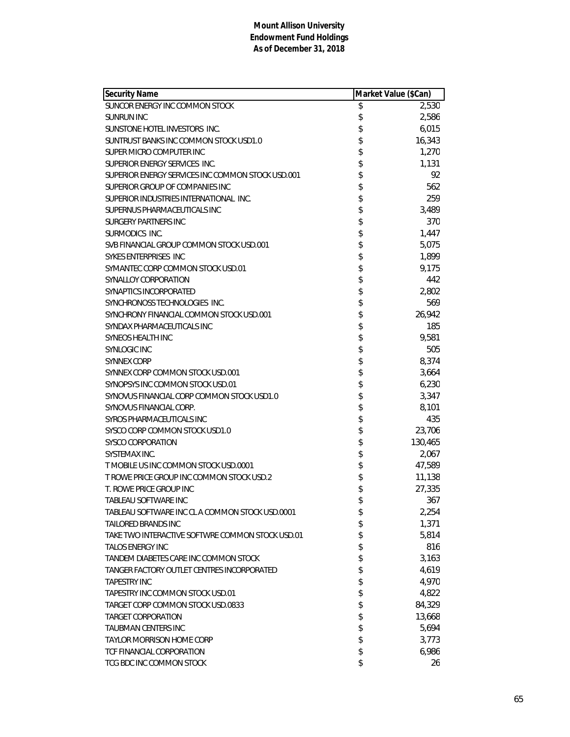| <b>Security Name</b>                              | Market Value (\$Can) |         |
|---------------------------------------------------|----------------------|---------|
| SUNCOR ENERGY INC COMMON STOCK                    | \$                   | 2,530   |
| <b>SUNRUN INC</b>                                 | \$                   | 2,586   |
| SUNSTONE HOTEL INVESTORS INC.                     | \$                   | 6,015   |
| SUNTRUST BANKS INC COMMON STOCK USD1.0            | \$                   | 16,343  |
| SUPER MICRO COMPUTER INC                          | \$                   | 1,270   |
| SUPERIOR ENERGY SERVICES INC.                     | \$                   | 1,131   |
| SUPERIOR ENERGY SERVICES INC COMMON STOCK USD.001 | \$                   | 92      |
| SUPERIOR GROUP OF COMPANIES INC                   | \$                   | 562     |
| SUPERIOR INDUSTRIES INTERNATIONAL INC.            | \$                   | 259     |
| SUPERNUS PHARMACEUTICALS INC                      | \$                   | 3,489   |
| <b>SURGERY PARTNERS INC</b>                       | \$                   | 370     |
| SURMODICS INC.                                    | \$                   | 1,447   |
| SVB FINANCIAL GROUP COMMON STOCK USD.001          | \$                   | 5,075   |
| SYKES ENTERPRISES INC                             | \$                   | 1,899   |
| SYMANTEC CORP COMMON STOCK USD.01                 | \$                   | 9,175   |
| SYNALLOY CORPORATION                              | \$                   | 442     |
| SYNAPTICS INCORPORATED                            | \$                   | 2,802   |
| SYNCHRONOSS TECHNOLOGIES INC.                     | \$                   | 569     |
| SYNCHRONY FINANCIAL COMMON STOCK USD.001          | \$                   | 26,942  |
| SYNDAX PHARMACEUTICALS INC                        | \$                   | 185     |
| SYNEOS HEALTH INC                                 | \$                   | 9,581   |
| <b>SYNLOGIC INC</b>                               | \$                   | 505     |
| <b>SYNNEX CORP</b>                                | \$                   | 8,374   |
| SYNNEX CORP COMMON STOCK USD.001                  | \$                   | 3,664   |
| SYNOPSYS INC COMMON STOCK USD.01                  | \$                   | 6,230   |
| SYNOVUS FINANCIAL CORP COMMON STOCK USD1.0        | \$                   | 3,347   |
| SYNOVUS FINANCIAL CORP.                           | \$                   | 8,101   |
| SYROS PHARMACEUTICALS INC                         | \$                   | 435     |
| SYSCO CORP COMMON STOCK USD1.0                    | \$                   | 23,706  |
| SYSCO CORPORATION                                 | \$                   | 130,465 |
| SYSTEMAX INC.                                     | \$                   | 2,067   |
| T MOBILE US INC COMMON STOCK USD.0001             | \$                   | 47,589  |
| T ROWE PRICE GROUP INC COMMON STOCK USD.2         | \$                   | 11,138  |
| T. ROWE PRICE GROUP INC                           | \$                   | 27,335  |
| TABLEAU SOFTWARE INC                              | \$                   | 367     |
| TABLEAU SOFTWARE INC CL A COMMON STOCK USD.0001   | \$                   | 2,254   |
| TAILORED BRANDS INC                               | \$                   | 1,371   |
| TAKE TWO INTERACTIVE SOFTWRE COMMON STOCK USD.01  | \$                   | 5,814   |
| <b>TALOS ENERGY INC</b>                           | \$                   | 816     |
| TANDEM DIABETES CARE INC COMMON STOCK             | \$                   | 3,163   |
| TANGER FACTORY OUTLET CENTRES INCORPORATED        | \$                   | 4,619   |
| <b>TAPESTRY INC</b>                               | \$                   | 4,970   |
| TAPESTRY INC COMMON STOCK USD.01                  | \$                   | 4,822   |
| TARGET CORP COMMON STOCK USD.0833                 | \$                   | 84,329  |
| <b>TARGET CORPORATION</b>                         | \$                   | 13,668  |
| TAUBMAN CENTERS INC                               | \$                   | 5,694   |
| <b>TAYLOR MORRISON HOME CORP</b>                  | \$                   | 3,773   |
| <b>TCF FINANCIAL CORPORATION</b>                  | \$                   | 6,986   |
| TCG BDC INC COMMON STOCK                          | \$                   | 26      |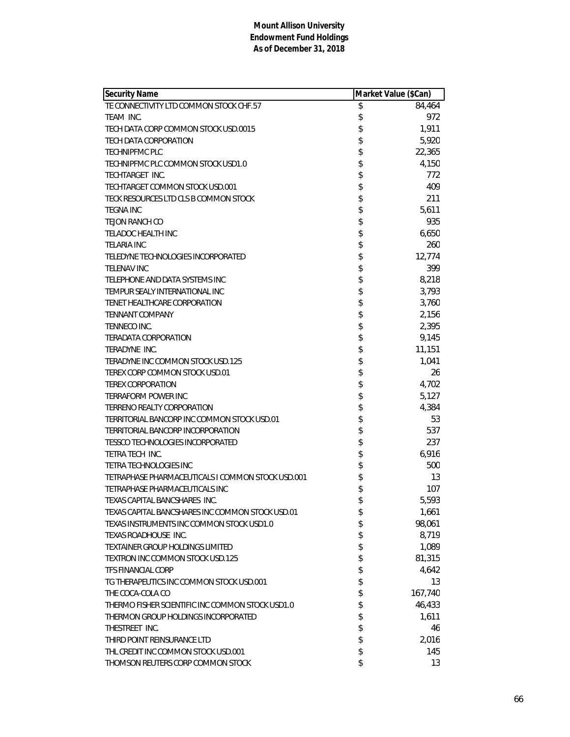| <b>Security Name</b>                              | Market Value (\$Can) |         |
|---------------------------------------------------|----------------------|---------|
| TE CONNECTIVITY LTD COMMON STOCK CHF.57           | \$                   | 84,464  |
| TFAM INC.                                         | \$                   | 972     |
| TECH DATA CORP COMMON STOCK USD.0015              | \$                   | 1,911   |
| TECH DATA CORPORATION                             | \$                   | 5,920   |
| <b>TECHNIPFMC PLC</b>                             | \$                   | 22,365  |
| TECHNIPFMC PLC COMMON STOCK USD1.0                | \$                   | 4,150   |
| TECHTARGET INC.                                   | \$                   | 772     |
| TECHTARGET COMMON STOCK USD.001                   | \$                   | 409     |
| TECK RESOURCES LTD CLS B COMMON STOCK             | \$                   | 211     |
| TEGNA INC                                         | \$                   | 5,611   |
| TEJON RANCH CO                                    | \$                   | 935     |
| <b>TELADOC HEALTH INC</b>                         | \$                   | 6,650   |
| <b>TELARIA INC</b>                                | \$                   | 260     |
| TELEDYNE TECHNOLOGIES INCORPORATED                | \$                   | 12,774  |
| <b>TELENAV INC</b>                                | \$                   | 399     |
| TELEPHONE AND DATA SYSTEMS INC                    | \$                   | 8,218   |
| TEMPUR SEALY INTERNATIONAL INC                    | \$                   | 3,793   |
| TENET HEALTHCARE CORPORATION                      | \$                   | 3,760   |
| <b>TENNANT COMPANY</b>                            | \$                   | 2,156   |
| <b>TENNECO INC.</b>                               | \$                   | 2,395   |
| TERADATA CORPORATION                              | \$                   | 9,145   |
| TERADYNE INC.                                     | \$                   | 11,151  |
| TERADYNE INC COMMON STOCK USD.125                 | \$                   | 1,041   |
| TEREX CORP COMMON STOCK USD.01                    | \$                   | 26      |
| <b>TEREX CORPORATION</b>                          | \$                   | 4,702   |
| <b>TERRAFORM POWER INC</b>                        | \$                   | 5,127   |
| TERRENO REALTY CORPORATION                        | \$                   | 4,384   |
| TERRITORIAL BANCORP INC COMMON STOCK USD.01       | \$                   | 53      |
| TERRITORIAL BANCORP INCORPORATION                 | \$                   | 537     |
| TESSCO TECHNOLOGIES INCORPORATED                  | \$                   | 237     |
| TETRA TECH INC.                                   | \$                   | 6,916   |
| TETRA TECHNOLOGIES INC                            | \$                   | 500     |
| TETRAPHASE PHARMACEUTICALS I COMMON STOCK USD.001 | \$                   | 13      |
| TETRAPHASE PHARMACEUTICALS INC                    | \$                   | 107     |
| TEXAS CAPITAL BANCSHARES INC.                     | \$                   | 5,593   |
| TEXAS CAPITAL BANCSHARES INC COMMON STOCK USD.01  | \$                   | 1,661   |
| TEXAS INSTRUMENTS INC COMMON STOCK USD1.0         | \$                   | 98,061  |
| TEXAS ROADHOUSE INC.                              | \$                   | 8,719   |
| TEXTAINER GROUP HOLDINGS LIMITED                  | \$                   | 1,089   |
| TEXTRON INC COMMON STOCK USD.125                  | \$                   | 81,315  |
| <b>TFS FINANCIAL CORP</b>                         | \$                   | 4,642   |
| TG THERAPEUTICS INC COMMON STOCK USD.001          | \$                   | 13      |
| THE COCA-COLA CO                                  | \$                   | 167,740 |
| THERMO FISHER SCIENTIFIC INC COMMON STOCK USD1.0  | \$                   | 46,433  |
| THERMON GROUP HOLDINGS INCORPORATED               | \$                   | 1,611   |
| THESTREET INC.                                    | \$                   | 46      |
| THIRD POINT REINSURANCE LTD                       | \$                   | 2,016   |
| THL CREDIT INC COMMON STOCK USD.001               | \$                   | 145     |
| THOMSON REUTERS CORP COMMON STOCK                 | \$                   | 13      |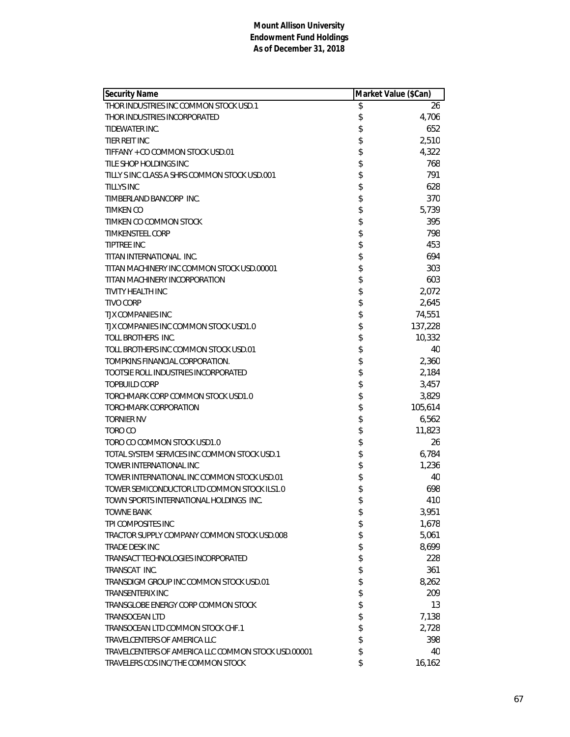| Security Name                                       | Market Value (\$Can) |         |
|-----------------------------------------------------|----------------------|---------|
| THOR INDUSTRIES INC COMMON STOCK USD.1              | \$                   | 26      |
| THOR INDUSTRIES INCORPORATED                        | \$                   | 4,706   |
| TIDEWATER INC.                                      | \$                   | 652     |
| TIER REIT INC                                       | \$                   | 2,510   |
| TIFFANY + CO COMMON STOCK USD.01                    | \$                   | 4,322   |
| TILE SHOP HOLDINGS INC                              | \$                   | 768     |
| TILLY S INC CLASS A SHRS COMMON STOCK USD.001       | \$                   | 791     |
| <b>TILLYS INC</b>                                   | \$                   | 628     |
| TIMBERLAND BANCORP INC.                             | \$                   | 370     |
| TIMKEN CO                                           | \$                   | 5,739   |
| TIMKEN CO COMMON STOCK                              | \$                   | 395     |
| <b>TIMKENSTEEL CORP</b>                             | \$                   | 798     |
| <b>TIPTREE INC</b>                                  | \$                   | 453     |
| TITAN INTERNATIONAL INC.                            | \$                   | 694     |
| TITAN MACHINERY INC COMMON STOCK USD.00001          | \$                   | 303     |
| TITAN MACHINERY INCORPORATION                       | \$                   | 603     |
| TIVITY HEALTH INC                                   | \$                   | 2,072   |
| <b>TIVO CORP</b>                                    | \$                   | 2,645   |
| TJX COMPANIES INC                                   | \$                   | 74,551  |
| TJX COMPANIES INC COMMON STOCK USD1.0               | \$                   | 137,228 |
| TOLL BROTHERS INC.                                  | \$                   | 10,332  |
| TOLL BROTHERS INC COMMON STOCK USD.01               | \$                   | 40      |
| TOMPKINS FINANCIAL CORPORATION.                     | \$                   | 2,360   |
| TOOTSIE ROLL INDUSTRIES INCORPORATED                | \$                   | 2,184   |
| <b>TOPBUILD CORP</b>                                | \$                   | 3,457   |
| TORCHMARK CORP COMMON STOCK USD1.0                  | \$                   | 3,829   |
| TORCHMARK CORPORATION                               | \$                   | 105,614 |
| <b>TORNIER NV</b>                                   | \$                   | 6,562   |
| TORO CO                                             | \$                   | 11,823  |
| TORO CO COMMON STOCK USD1.0                         | \$                   | 26      |
| TOTAL SYSTEM SERVICES INC COMMON STOCK USD.1        | \$                   | 6,784   |
| TOWER INTERNATIONAL INC                             | \$                   | 1,236   |
| TOWER INTERNATIONAL INC COMMON STOCK USD.01         | \$                   | 40      |
| TOWER SEMICONDUCTOR LTD COMMON STOCK ILS1.0         | \$                   | 698     |
| TOWN SPORTS INTERNATIONAL HOLDINGS INC.             | \$                   | 410     |
| <b>TOWNE BANK</b>                                   | \$                   | 3,951   |
| TPI COMPOSITES INC                                  | \$                   | 1,678   |
| TRACTOR SUPPLY COMPANY COMMON STOCK USD.008         | \$                   | 5,061   |
| TRADE DESK INC                                      | \$                   | 8,699   |
| TRANSACT TECHNOLOGIES INCORPORATED                  | \$                   | 228     |
| TRANSCAT INC.                                       | \$                   | 361     |
| TRANSDIGM GROUP INC COMMON STOCK USD.01             | \$                   | 8,262   |
| TRANSENTERIX INC                                    | \$                   | 209     |
| TRANSGLOBE ENERGY CORP COMMON STOCK                 | \$                   | 13      |
| <b>TRANSOCEAN LTD</b>                               | \$                   | 7,138   |
| TRANSOCEAN LTD COMMON STOCK CHF.1                   | \$                   | 2,728   |
| TRAVELCENTERS OF AMERICA LLC                        | \$                   | 398     |
| TRAVELCENTERS OF AMERICA LLC COMMON STOCK USD.00001 | \$                   | 40      |
| TRAVELERS COS INC/THE COMMON STOCK                  | \$                   | 16,162  |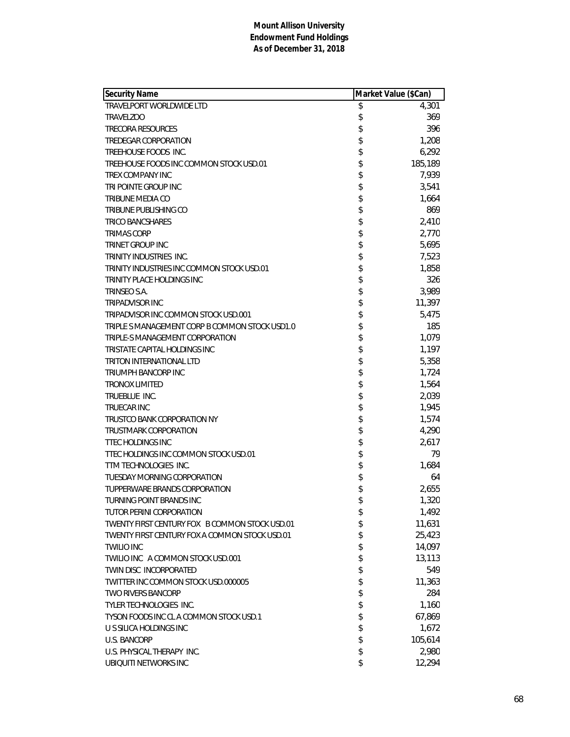| <b>Security Name</b>                           | Market Value (\$Can) |         |
|------------------------------------------------|----------------------|---------|
| TRAVELPORT WORLDWIDE LTD                       | \$                   | 4,301   |
| <b>TRAVELZOO</b>                               | \$                   | 369     |
| <b>TRECORA RESOURCES</b>                       | \$                   | 396     |
| TREDEGAR CORPORATION                           | \$                   | 1,208   |
| TREEHOUSE FOODS INC.                           | \$                   | 6,292   |
| TREEHOUSE FOODS INC COMMON STOCK USD.01        | \$                   | 185,189 |
| TREX COMPANY INC                               | \$                   | 7,939   |
| TRI POINTE GROUP INC                           | \$                   | 3,541   |
| TRIBUNE MEDIA CO                               | \$                   | 1,664   |
| TRIBUNE PUBLISHING CO                          | \$                   | 869     |
| <b>TRICO BANCSHARES</b>                        | \$                   | 2,410   |
| <b>TRIMAS CORP</b>                             | \$                   | 2,770   |
| <b>TRINET GROUP INC</b>                        | \$                   | 5,695   |
| TRINITY INDUSTRIES INC.                        | \$                   | 7,523   |
| TRINITY INDUSTRIES INC COMMON STOCK USD.01     | \$                   | 1,858   |
| TRINITY PLACE HOLDINGS INC                     | \$                   | 326     |
| TRINSEO S.A.                                   | \$                   | 3,989   |
| <b>TRIPADVISOR INC</b>                         | \$                   | 11,397  |
| TRIPADVISOR INC COMMON STOCK USD.001           | \$                   | 5,475   |
| TRIPLE S MANAGEMENT CORP B COMMON STOCK USD1.0 | \$                   | 185     |
| TRIPLE-S MANAGEMENT CORPORATION                | \$                   | 1,079   |
| TRISTATE CAPITAL HOLDINGS INC                  | \$                   | 1,197   |
| <b>TRITON INTERNATIONAL LTD</b>                | \$                   | 5,358   |
| <b>TRIUMPH BANCORP INC</b>                     | \$                   | 1,724   |
| <b>TRONOX LIMITED</b>                          | \$                   | 1,564   |
| TRUEBLUE INC.                                  | \$                   | 2,039   |
| <b>TRUECAR INC</b>                             | \$                   | 1,945   |
| TRUSTCO BANK CORPORATION NY                    | \$                   | 1,574   |
| TRUSTMARK CORPORATION                          | \$                   | 4,290   |
| <b>TTEC HOLDINGS INC</b>                       | \$                   | 2,617   |
| TTEC HOLDINGS INC COMMON STOCK USD.01          | \$                   | 79      |
| TTM TECHNOLOGIES INC.                          | \$                   | 1,684   |
| TUESDAY MORNING CORPORATION                    | \$                   | 64      |
| TUPPERWARE BRANDS CORPORATION                  | \$                   | 2,655   |
| TURNING POINT BRANDS INC                       | \$                   | 1,320   |
| TUTOR PERINI CORPORATION                       | \$                   | 1,492   |
| TWENTY FIRST CENTURY FOX B COMMON STOCK USD.01 | \$                   | 11,631  |
| TWENTY FIRST CENTURY FOX A COMMON STOCK USD.01 | \$                   | 25,423  |
| <b>TWILIO INC</b>                              | \$                   | 14,097  |
| TWILIO INC A COMMON STOCK USD.001              | \$                   | 13,113  |
| TWIN DISC INCORPORATED                         | \$                   | 549     |
| TWITTER INC COMMON STOCK USD.000005            | \$                   | 11,363  |
| <b>TWO RIVERS BANCORP</b>                      | \$                   | 284     |
| TYLER TECHNOLOGIES INC.                        | \$                   | 1,160   |
| TYSON FOODS INC CL A COMMON STOCK USD.1        | \$                   | 67,869  |
| U S SILICA HOLDINGS INC                        | \$                   | 1,672   |
| <b>U.S. BANCORP</b>                            | \$                   | 105,614 |
| U.S. PHYSICAL THERAPY INC.                     | \$                   | 2,980   |
| UBIQUITI NETWORKS INC                          | \$                   | 12,294  |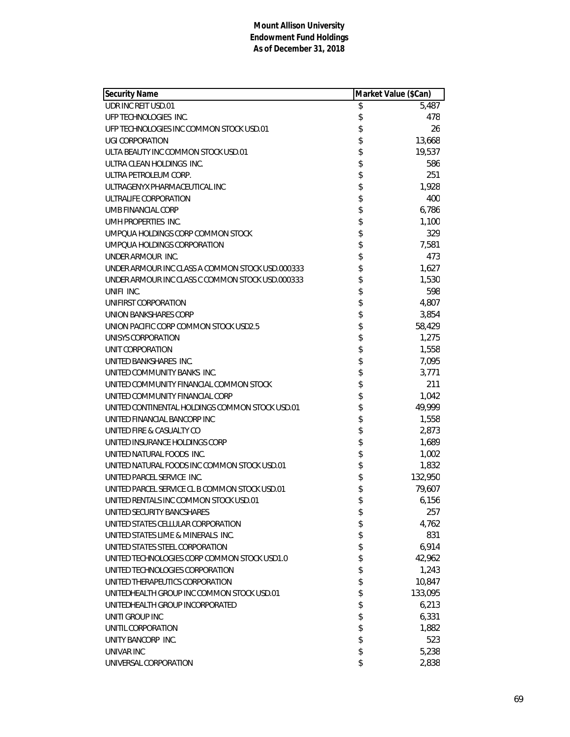| <b>Security Name</b>                             | Market Value (\$Can) |         |
|--------------------------------------------------|----------------------|---------|
| UDR INC REIT USD.01                              | \$                   | 5,487   |
| UFP TECHNOLOGIES INC.                            | \$                   | 478     |
| UFP TECHNOLOGIES INC COMMON STOCK USD.01         | \$                   | 26      |
| <b>UGI CORPORATION</b>                           | \$                   | 13,668  |
| ULTA BEAUTY INC COMMON STOCK USD.01              | \$                   | 19,537  |
| ULTRA CLEAN HOLDINGS INC.                        | \$                   | 586     |
| ULTRA PETROLEUM CORP.                            | \$                   | 251     |
| ULTRAGENYX PHARMACEUTICAL INC                    | \$                   | 1,928   |
| ULTRALIFE CORPORATION                            | \$                   | 400     |
| UMB FINANCIAL CORP                               | \$                   | 6,786   |
| UMH PROPERTIES INC.                              | \$                   | 1,100   |
| UMPOUA HOLDINGS CORP COMMON STOCK                | \$                   | 329     |
| UMPQUA HOLDINGS CORPORATION                      | \$                   | 7,581   |
| UNDER ARMOUR INC.                                | \$                   | 473     |
| UNDER ARMOUR INC CLASS A COMMON STOCK USD.000333 | \$                   | 1,627   |
| UNDER ARMOUR INC CLASS C COMMON STOCK USD.000333 | \$                   | 1,530   |
| UNIFI INC.                                       | \$                   | 598     |
| UNIFIRST CORPORATION                             | \$                   | 4,807   |
| UNION BANKSHARES CORP                            | \$                   | 3,854   |
| UNION PACIFIC CORP COMMON STOCK USD2.5           | \$                   | 58,429  |
| UNISYS CORPORATION                               | \$                   | 1,275   |
| UNIT CORPORATION                                 | \$                   | 1,558   |
| UNITED BANKSHARES INC.                           | \$                   | 7,095   |
| UNITED COMMUNITY BANKS INC.                      | \$                   | 3,771   |
| UNITED COMMUNITY FINANCIAL COMMON STOCK          | \$                   | 211     |
| UNITED COMMUNITY FINANCIAL CORP                  | \$                   | 1,042   |
| UNITED CONTINENTAL HOLDINGS COMMON STOCK USD.01  | \$                   | 49,999  |
| UNITED FINANCIAL BANCORP INC                     | \$                   | 1,558   |
| UNITED FIRE & CASUALTY CO                        | \$                   | 2,873   |
| UNITED INSURANCE HOLDINGS CORP                   | \$                   | 1,689   |
| UNITED NATURAL FOODS INC.                        | \$                   | 1,002   |
| UNITED NATURAL FOODS INC COMMON STOCK USD.01     | \$                   | 1,832   |
| UNITED PARCEL SERVICE INC.                       | \$                   | 132,950 |
| UNITED PARCEL SERVICE CL B COMMON STOCK USD.01   | \$                   | 79,607  |
| UNITED RENTALS INC COMMON STOCK USD.01           | \$                   | 6,156   |
| UNITED SECURITY BANCSHARES                       | \$                   | 257     |
| UNITED STATES CELLULAR CORPORATION               | \$                   | 4,762   |
| UNITED STATES LIME & MINERALS INC.               | \$                   | 831     |
| UNITED STATES STEEL CORPORATION                  | \$                   | 6,914   |
| UNITED TECHNOLOGIES CORP COMMON STOCK USD1.0     | \$                   | 42,962  |
| UNITED TECHNOLOGIES CORPORATION                  | \$                   | 1,243   |
| UNITED THERAPEUTICS CORPORATION                  | \$                   | 10,847  |
| UNITEDHEALTH GROUP INC COMMON STOCK USD.01       | \$                   | 133,095 |
| UNITEDHEALTH GROUP INCORPORATED                  | \$                   | 6,213   |
| UNITI GROUP INC                                  | \$                   | 6,331   |
| UNITIL CORPORATION                               | \$                   | 1,882   |
| UNITY BANCORP INC.                               | \$                   | 523     |
| UNIVAR INC                                       | \$                   | 5,238   |
| UNIVERSAL CORPORATION                            | \$                   | 2,838   |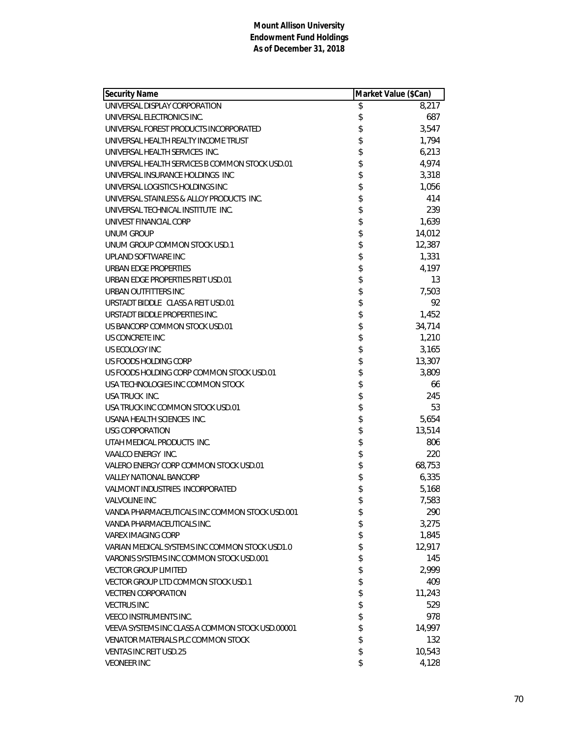| <b>Security Name</b>                             | Market Value (\$Can) |
|--------------------------------------------------|----------------------|
| UNIVERSAL DISPLAY CORPORATION                    | \$<br>8,217          |
| UNIVERSAL ELECTRONICS INC.                       | \$<br>687            |
| UNIVERSAL FOREST PRODUCTS INCORPORATED           | \$<br>3,547          |
| UNIVERSAL HEALTH REALTY INCOME TRUST             | \$<br>1,794          |
| UNIVERSAL HEALTH SERVICES INC.                   | \$<br>6,213          |
| UNIVERSAL HEALTH SERVICES B COMMON STOCK USD.01  | \$<br>4,974          |
| UNIVERSAL INSURANCE HOLDINGS INC                 | \$<br>3,318          |
| UNIVERSAL LOGISTICS HOLDINGS INC                 | \$<br>1,056          |
| UNIVERSAL STAINLESS & ALLOY PRODUCTS INC.        | \$<br>414            |
| UNIVERSAL TECHNICAL INSTITUTE INC.               | \$<br>239            |
| UNIVEST FINANCIAL CORP                           | \$<br>1,639          |
| <b>UNUM GROUP</b>                                | \$<br>14,012         |
| UNUM GROUP COMMON STOCK USD.1                    | \$<br>12,387         |
| UPLAND SOFTWARE INC                              | \$<br>1,331          |
| <b>URBAN EDGE PROPERTIES</b>                     | \$<br>4,197          |
| URBAN EDGE PROPERTIES REIT USD.01                | \$<br>13             |
| URBAN OUTFITTERS INC                             | \$<br>7,503          |
| URSTADT BIDDLE CLASS A REIT USD.01               | \$<br>92             |
| URSTADT BIDDLE PROPERTIES INC.                   | \$<br>1,452          |
| US BANCORP COMMON STOCK USD.01                   | \$<br>34,714         |
| US CONCRETE INC                                  | \$<br>1,210          |
| US ECOLOGY INC                                   | \$<br>3,165          |
| US FOODS HOLDING CORP                            | \$<br>13,307         |
| US FOODS HOLDING CORP COMMON STOCK USD.01        | \$<br>3,809          |
| USA TECHNOLOGIES INC COMMON STOCK                | \$<br>66             |
| USA TRUCK INC.                                   | \$<br>245            |
| USA TRUCK INC COMMON STOCK USD.01                | \$<br>53             |
| USANA HEALTH SCIENCES INC.                       | \$<br>5,654          |
| USG CORPORATION                                  | \$<br>13,514         |
| UTAH MEDICAL PRODUCTS INC.                       | \$<br>806            |
| VAALCO ENERGY INC.                               | \$<br>220            |
| VALERO ENERGY CORP COMMON STOCK USD.01           | \$<br>68,753         |
| <b>VALLEY NATIONAL BANCORP</b>                   | \$<br>6,335          |
| VALMONT INDUSTRIES INCORPORATED                  | \$<br>5,168          |
| VALVOLINE INC                                    | \$<br>7,583          |
| VANDA PHARMACEUTICALS INC COMMON STOCK USD.001   | \$<br>290            |
| VANDA PHARMACEUTICALS INC.                       | \$<br>3,275          |
| <b>VAREX IMAGING CORP</b>                        | \$<br>1,845          |
| VARIAN MEDICAL SYSTEMS INC COMMON STOCK USD1.0   | \$<br>12,917         |
| VARONIS SYSTEMS INC COMMON STOCK USD.001         | \$<br>145            |
| <b>VECTOR GROUP LIMITED</b>                      | \$<br>2,999          |
| VECTOR GROUP LTD COMMON STOCK USD.1              | \$<br>409            |
| <b>VECTREN CORPORATION</b>                       | \$<br>11,243         |
| <b>VECTRUS INC</b>                               | \$<br>529            |
| <b>VEECO INSTRUMENTS INC.</b>                    | \$<br>978            |
| VEEVA SYSTEMS INC CLASS A COMMON STOCK USD.00001 | \$<br>14,997         |
| VENATOR MATERIALS PLC COMMON STOCK               | \$<br>132            |
| <b>VENTAS INC REIT USD.25</b>                    | \$<br>10,543         |
| <b>VEONEER INC</b>                               | \$<br>4,128          |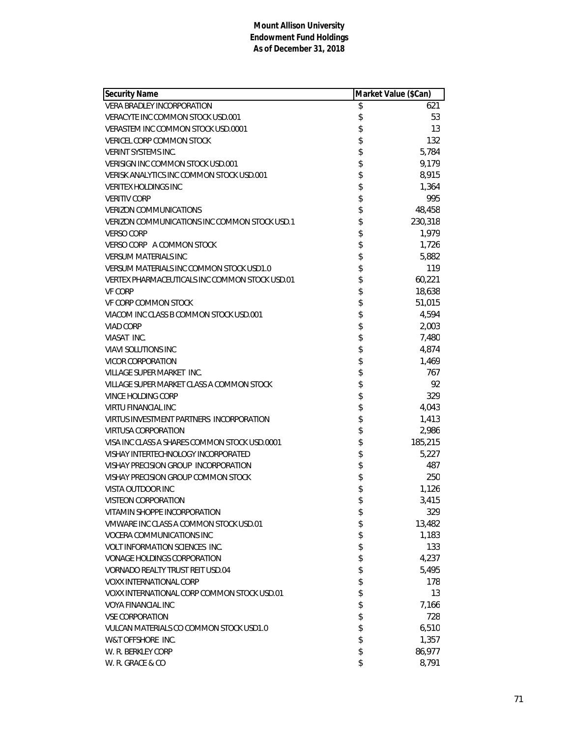| Security Name                                  | Market Value (\$Can) |         |
|------------------------------------------------|----------------------|---------|
| <b>VERA BRADLEY INCORPORATION</b>              | \$                   | 621     |
| VERACYTE INC COMMON STOCK USD.001              | \$                   | 53      |
| VERASTEM INC COMMON STOCK USD.0001             | \$                   | 13      |
| <b>VERICEL CORP COMMON STOCK</b>               | \$                   | 132     |
| <b>VERINT SYSTEMS INC.</b>                     | \$                   | 5,784   |
| VERISIGN INC COMMON STOCK USD.001              | \$                   | 9,179   |
| VERISK ANALYTICS INC COMMON STOCK USD.001      | \$                   | 8,915   |
| <b>VERITEX HOLDINGS INC</b>                    | \$                   | 1,364   |
| <b>VERITIV CORP</b>                            | \$                   | 995     |
| <b>VERIZON COMMUNICATIONS</b>                  | \$                   | 48,458  |
| VERIZON COMMUNICATIONS INC COMMON STOCK USD.1  | \$                   | 230,318 |
| <b>VERSO CORP</b>                              | \$                   | 1,979   |
| VERSO CORP A COMMON STOCK                      | \$                   | 1,726   |
| <b>VERSUM MATERIALS INC</b>                    | \$                   | 5,882   |
| VERSUM MATERIALS INC COMMON STOCK USD1.0       | \$                   | 119     |
| VERTEX PHARMACEUTICALS INC COMMON STOCK USD.01 | \$                   | 60,221  |
| <b>VF CORP</b>                                 | \$                   | 18,638  |
| VF CORP COMMON STOCK                           | \$                   | 51,015  |
| VIACOM INC CLASS B COMMON STOCK USD.001        | \$                   | 4,594   |
| <b>VIAD CORP</b>                               | \$                   | 2,003   |
| VIASAT INC.                                    | \$                   | 7,480   |
| <b>VIAVI SOLUTIONS INC</b>                     | \$                   | 4,874   |
| <b>VICOR CORPORATION</b>                       | \$                   | 1,469   |
| VILLAGE SUPER MARKET INC.                      | \$                   | 767     |
| VILLAGE SUPER MARKET CLASS A COMMON STOCK      | \$                   | 92      |
| <b>VINCE HOLDING CORP</b>                      | \$                   | 329     |
| <b>VIRTU FINANCIAL INC</b>                     | \$                   | 4,043   |
| VIRTUS INVESTMENT PARTNERS INCORPORATION       | \$                   | 1,413   |
| <b>VIRTUSA CORPORATION</b>                     | \$                   | 2,986   |
| VISA INC CLASS A SHARES COMMON STOCK USD.0001  | \$                   | 185,215 |
| VISHAY INTERTECHNOLOGY INCORPORATED            | \$                   | 5,227   |
| VISHAY PRECISION GROUP INCORPORATION           | \$                   | 487     |
| VISHAY PRECISION GROUP COMMON STOCK            | \$                   | 250     |
| VISTA OUTDOOR INC                              | \$                   | 1,126   |
| VISTEON CORPORATION                            | \$                   | 3,415   |
| VITAMIN SHOPPE INCORPORATION                   | \$                   | 329     |
| VMWARE INC CLASS A COMMON STOCK USD.01         | \$                   | 13,482  |
| VOCERA COMMUNICATIONS INC                      | \$                   | 1,183   |
| <b>VOLT INFORMATION SCIENCES INC.</b>          | \$                   | 133     |
| <b>VONAGE HOLDINGS CORPORATION</b>             | \$                   | 4,237   |
| VORNADO REALTY TRUST REIT USD.04               | \$                   | 5,495   |
| <b>VOXX INTERNATIONAL CORP</b>                 | \$                   | 178     |
| VOXX INTERNATIONAL CORP COMMON STOCK USD.01    | \$                   | 13      |
| <b>VOYA FINANCIAL INC</b>                      | \$                   | 7,166   |
| <b>VSE CORPORATION</b>                         | \$                   | 728     |
| VULCAN MATERIALS CO COMMON STOCK USD1.0        | \$                   | 6,510   |
| W&T OFFSHORE INC.                              | \$                   | 1,357   |
| W. R. BERKLEY CORP                             | \$                   | 86,977  |
| W. R. GRACE & CO                               | \$                   | 8,791   |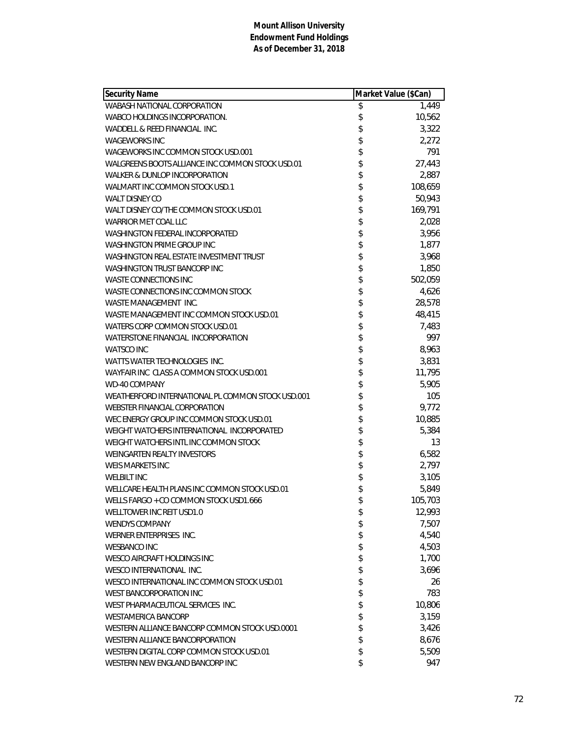| Security Name                                     | Market Value (\$Can) |         |
|---------------------------------------------------|----------------------|---------|
| WABASH NATIONAL CORPORATION                       | \$                   | 1,449   |
| WABCO HOLDINGS INCORPORATION.                     | \$                   | 10,562  |
| WADDELL & REED FINANCIAL INC.                     | \$                   | 3,322   |
| <b>WAGEWORKS INC</b>                              | \$                   | 2,272   |
| WAGEWORKS INC COMMON STOCK USD.001                | \$                   | 791     |
| WALGREENS BOOTS ALLIANCE INC COMMON STOCK USD.01  | \$                   | 27,443  |
| WALKER & DUNLOP INCORPORATION                     | \$                   | 2,887   |
| WALMART INC COMMON STOCK USD.1                    | \$                   | 108,659 |
| WALT DISNEY CO                                    | \$                   | 50,943  |
| WALT DISNEY CO/THE COMMON STOCK USD.01            | \$                   | 169,791 |
| <b>WARRIOR MET COAL LLC</b>                       | \$                   | 2,028   |
| <b>WASHINGTON FEDERAL INCORPORATED</b>            | \$                   | 3,956   |
| <b>WASHINGTON PRIME GROUP INC</b>                 | \$                   | 1,877   |
| WASHINGTON REAL ESTATE INVESTMENT TRUST           | \$                   | 3,968   |
| WASHINGTON TRUST BANCORP INC                      | \$                   | 1,850   |
| <b>WASTE CONNECTIONS INC</b>                      | \$                   | 502,059 |
| WASTE CONNECTIONS INC COMMON STOCK                | \$                   | 4,626   |
| WASTE MANAGEMENT INC.                             | \$                   | 28,578  |
| WASTE MANAGEMENT INC COMMON STOCK USD.01          | \$                   | 48,415  |
| WATERS CORP COMMON STOCK USD.01                   | \$                   | 7,483   |
| WATERSTONE FINANCIAL INCORPORATION                | \$                   | 997     |
| <b>WATSCO INC</b>                                 | \$                   | 8,963   |
| WATTS WATER TECHNOLOGIES INC.                     | \$<br>\$             | 3,831   |
| WAYFAIR INC CLASS A COMMON STOCK USD.001          |                      | 11,795  |
| <b>WD-40 COMPANY</b>                              |                      | 5,905   |
| WEATHERFORD INTERNATIONAL PL COMMON STOCK USD.001 | \$                   | 105     |
| <b>WEBSTER FINANCIAL CORPORATION</b>              | \$                   | 9,772   |
| WEC ENERGY GROUP INC COMMON STOCK USD.01          | \$                   | 10,885  |
| WEIGHT WATCHERS INTERNATIONAL INCORPORATED        |                      | 5,384   |
| WEIGHT WATCHERS INTL INC COMMON STOCK             | \$                   | 13      |
| WEINGARTEN REALTY INVESTORS                       | \$                   | 6,582   |
| <b>WEIS MARKETS INC</b>                           | \$                   | 2,797   |
| <b>WELBILT INC</b>                                | \$                   | 3,105   |
| WELLCARE HEALTH PLANS INC COMMON STOCK USD.01     | \$                   | 5,849   |
| WELLS FARGO + CO COMMON STOCK USD1.666            | \$                   | 105,703 |
| WELLTOWER INC REIT USD1.0                         | \$                   | 12,993  |
| <b>WENDYS COMPANY</b>                             | \$                   | 7,507   |
| WERNER ENTERPRISES INC.                           | \$                   | 4,540   |
| <b>WESBANCO INC</b>                               | \$                   | 4,503   |
| <b>WESCO AIRCRAFT HOLDINGS INC</b>                | \$                   | 1,700   |
| WESCO INTERNATIONAL INC.                          | \$                   | 3,696   |
| WESCO INTERNATIONAL INC COMMON STOCK USD.01       | \$                   | 26      |
| WEST BANCORPORATION INC                           | \$                   | 783     |
| WEST PHARMACEUTICAL SERVICES INC.                 | \$                   | 10,806  |
| <b>WESTAMERICA BANCORP</b>                        | \$                   | 3,159   |
| WESTERN ALLIANCE BANCORP COMMON STOCK USD.0001    | \$                   | 3,426   |
| WESTERN ALLIANCE BANCORPORATION                   | \$                   | 8,676   |
| WESTERN DIGITAL CORP COMMON STOCK USD.01          | \$                   | 5,509   |
| WESTERN NEW ENGLAND BANCORP INC                   | \$                   | 947     |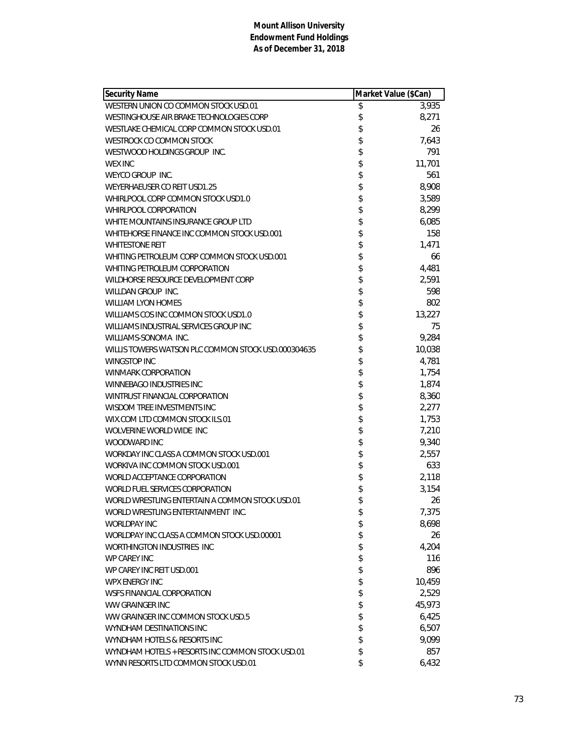| <b>Security Name</b>                                | Market Value (\$Can) |        |
|-----------------------------------------------------|----------------------|--------|
| WESTERN UNION CO COMMON STOCK USD.01                | \$                   | 3,935  |
| WESTINGHOUSE AIR BRAKE TECHNOLOGIES CORP            | \$                   | 8,271  |
| WESTLAKE CHEMICAL CORP COMMON STOCK USD.01          | \$                   | 26     |
| WESTROCK CO COMMON STOCK                            | \$                   | 7,643  |
| WESTWOOD HOLDINGS GROUP INC.                        | \$                   | 791    |
| <b>WEX INC</b>                                      | \$                   | 11,701 |
| WEYCO GROUP INC.                                    | \$                   | 561    |
| WEYERHAEUSER CO REIT USD1.25                        | \$                   | 8,908  |
| WHIRLPOOL CORP COMMON STOCK USD1.0                  | \$                   | 3,589  |
| WHIRLPOOL CORPORATION                               | \$                   | 8,299  |
| WHITE MOUNTAINS INSURANCE GROUP LTD                 | \$                   | 6,085  |
| WHITEHORSE FINANCE INC COMMON STOCK USD.001         | \$                   | 158    |
| <b>WHITESTONE REIT</b>                              | \$                   | 1,471  |
| WHITING PETROLEUM CORP COMMON STOCK USD.001         | \$                   | 66     |
| WHITING PETROLEUM CORPORATION                       | \$                   | 4,481  |
| WILDHORSE RESOURCE DEVELOPMENT CORP                 | \$                   | 2,591  |
| WILLDAN GROUP INC.                                  | \$                   | 598    |
| <b>WILLIAM LYON HOMES</b>                           | \$                   | 802    |
| WILLIAMS COS INC COMMON STOCK USD1.0                | \$                   | 13,227 |
| WILLIAMS INDUSTRIAL SERVICES GROUP INC              | \$                   | 75     |
| WILLIAMS-SONOMA INC.                                | \$                   | 9,284  |
| WILLIS TOWERS WATSON PLC COMMON STOCK USD.000304635 | \$                   | 10,038 |
| <b>WINGSTOP INC</b>                                 | \$                   | 4,781  |
| <b>WINMARK CORPORATION</b>                          | \$                   | 1,754  |
| WINNEBAGO INDUSTRIES INC                            | \$                   | 1,874  |
| WINTRUST FINANCIAL CORPORATION                      | \$                   | 8,360  |
| WISDOM TREE INVESTMENTS INC                         | \$                   | 2,277  |
| WIX.COM LTD COMMON STOCK ILS.01                     | \$                   | 1,753  |
| WOLVERINE WORLD WIDE INC                            | \$                   | 7,210  |
| WOODWARD INC                                        | \$                   | 9,340  |
| WORKDAY INC CLASS A COMMON STOCK USD.001            | \$                   | 2,557  |
| WORKIVA INC COMMON STOCK USD.001                    | \$                   | 633    |
| WORLD ACCEPTANCE CORPORATION                        | \$                   | 2,118  |
| WORLD FUEL SERVICES CORPORATION                     | \$                   | 3,154  |
| WORLD WRESTLING ENTERTAIN A COMMON STOCK USD.01     | \$                   | 26     |
| WORLD WRESTLING ENTERTAINMENT INC.                  | \$                   | 7,375  |
| <b>WORLDPAY INC</b>                                 | \$                   | 8,698  |
| WORLDPAY INC CLASS A COMMON STOCK USD.00001         | \$                   | 26     |
| WORTHINGTON INDUSTRIES INC                          | \$                   | 4,204  |
| <b>WP CAREY INC</b>                                 | \$                   | 116    |
| WP CAREY INC REIT USD.001                           | \$                   | 896    |
| WPX ENERGY INC                                      | \$                   | 10,459 |
| WSFS FINANCIAL CORPORATION                          | \$                   | 2,529  |
| WW GRAINGER INC                                     | \$                   | 45,973 |
| WW GRAINGER INC COMMON STOCK USD.5                  | \$                   | 6,425  |
| WYNDHAM DESTINATIONS INC                            | \$                   | 6,507  |
| WYNDHAM HOTELS & RESORTS INC                        | \$                   | 9,099  |
| WYNDHAM HOTELS + RESORTS INC COMMON STOCK USD.01    | \$                   | 857    |
| WYNN RESORTS LTD COMMON STOCK USD.01                | \$                   | 6,432  |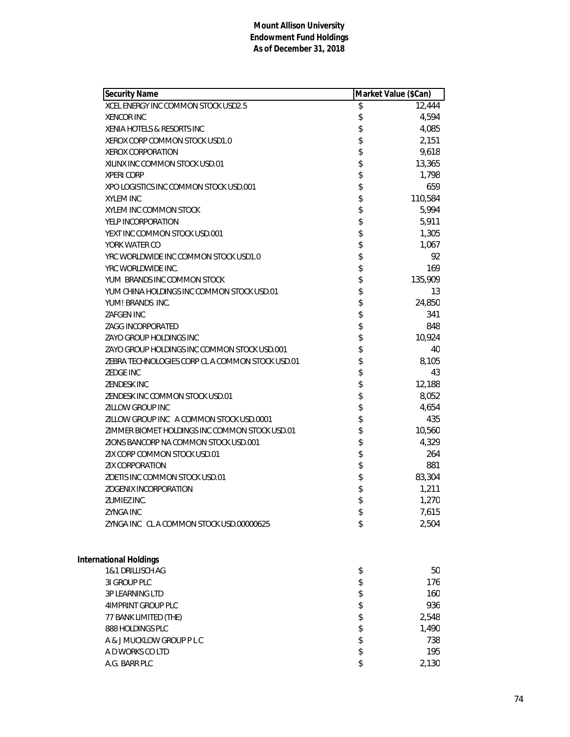| <b>Security Name</b>                             | Market Value (\$Can) |         |
|--------------------------------------------------|----------------------|---------|
| XCEL ENERGY INC COMMON STOCK USD2.5              | \$                   | 12,444  |
| <b>XENCOR INC</b>                                | \$                   | 4,594   |
| XENIA HOTELS & RESORTS INC                       | \$                   | 4,085   |
| XEROX CORP COMMON STOCK USD1.0                   | \$                   | 2,151   |
| <b>XEROX CORPORATION</b>                         | \$                   | 9,618   |
| XILINX INC COMMON STOCK USD.01                   | \$                   | 13,365  |
| <b>XPERI CORP</b>                                | \$                   | 1,798   |
| XPO LOGISTICS INC COMMON STOCK USD.001           | \$                   | 659     |
| <b>XYLEM INC</b>                                 | \$                   | 110,584 |
| XYLEM INC COMMON STOCK                           | \$                   | 5,994   |
| YELP INCORPORATION                               | \$                   | 5,911   |
| YEXT INC COMMON STOCK USD.001                    | \$                   | 1,305   |
| YORK WATER CO                                    | \$                   | 1,067   |
| YRC WORLDWIDE INC COMMON STOCK USD1.0            | \$                   | 92      |
| YRC WORLDWIDE INC.                               | \$                   | 169     |
| YUM BRANDS INC COMMON STOCK                      | \$                   | 135,909 |
| YUM CHINA HOLDINGS INC COMMON STOCK USD.01       | \$                   | 13      |
| YUM! BRANDS INC.                                 | \$                   | 24,850  |
| <b>ZAFGEN INC</b>                                | \$                   | 341     |
| ZAGG INCORPORATED                                | \$                   | 848     |
| ZAYO GROUP HOLDINGS INC                          | \$                   | 10,924  |
| ZAYO GROUP HOLDINGS INC COMMON STOCK USD.001     | \$                   | 40      |
| ZEBRA TECHNOLOGIES CORP CL A COMMON STOCK USD.01 | \$                   | 8,105   |
| <b>ZEDGE INC</b>                                 | \$                   | 43      |
| ZENDESK INC                                      | \$                   | 12,188  |
| ZENDESK INC COMMON STOCK USD.01                  | \$                   | 8,052   |
| ZILLOW GROUP INC                                 | \$                   | 4,654   |
| ZILLOW GROUP INC A COMMON STOCK USD.0001         | \$                   | 435     |
| ZIMMER BIOMET HOLDINGS INC COMMON STOCK USD.01   | \$                   | 10,560  |
| ZIONS BANCORP NA COMMON STOCK USD.001            | \$                   | 4,329   |
| ZIX CORP COMMON STOCK USD.01                     | \$                   | 264     |
| <b>ZIX CORPORATION</b>                           | \$                   | 881     |
| ZOETIS INC COMMON STOCK USD.01                   | \$                   | 83,304  |
| ZOGENIX INCORPORATION                            | \$                   | 1,211   |
| ZUMIEZ INC.                                      | \$                   | 1,270   |
| <b>ZYNGA INC</b>                                 | \$                   | 7,615   |
| ZYNGA INC CLA COMMON STOCK USD.00000625          | \$                   | 2,504   |
| International Holdings                           |                      |         |
| 1&1 DRILLISCH AG                                 | \$                   | 50      |
| 31 GROUP PLC                                     | \$                   | 176     |
| 3P LEARNING LTD                                  | \$                   | 160     |
| 4IMPRINT GROUP PLC                               | \$                   | 936     |
|                                                  | \$                   | 2,548   |
| 77 BANK LIMITED (THE)<br>888 HOLDINGS PLC        | \$                   | 1,490   |
| A & J MUCKLOW GROUP P L C                        | \$                   | 738     |
| A D WORKS CO LTD                                 | \$                   | 195     |
| A.G. BARR PLC                                    | \$                   | 2,130   |
|                                                  |                      |         |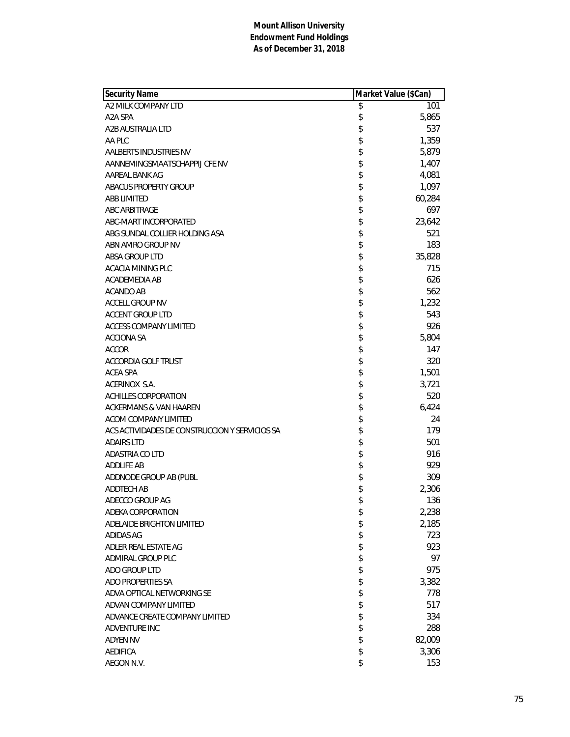| <b>Security Name</b>                           | Market Value (\$Can) |  |
|------------------------------------------------|----------------------|--|
| A2 MILK COMPANY LTD                            | \$<br>101            |  |
| A2A SPA                                        | \$<br>5,865          |  |
| A2B AUSTRALIA LTD                              | \$<br>537            |  |
| AA PLC                                         | \$<br>1,359          |  |
| AALBERTS INDUSTRIES NV                         | \$<br>5,879          |  |
| AANNEMINGSMAATSCHAPPIJ CFE NV                  | \$<br>1,407          |  |
| AAREAL BANK AG                                 | \$<br>4,081          |  |
| ABACUS PROPERTY GROUP                          | \$<br>1,097          |  |
| <b>ABB LIMITED</b>                             | \$<br>60,284         |  |
| <b>ABC ARBITRAGE</b>                           | \$<br>697            |  |
| ABC-MART INCORPORATED                          | \$<br>23,642         |  |
| ABG SUNDAL COLLIER HOLDING ASA                 | \$<br>521            |  |
| ABN AMRO GROUP NV                              | \$<br>183            |  |
| <b>ABSA GROUP LTD</b>                          | \$<br>35,828         |  |
| ACACIA MINING PLC                              | \$<br>715            |  |
| ACADEMEDIA AB                                  | \$<br>626            |  |
| ACANDO AB                                      | \$<br>562            |  |
| <b>ACCELL GROUP NV</b>                         | \$<br>1,232          |  |
| <b>ACCENT GROUP LTD</b>                        | \$<br>543            |  |
| ACCESS COMPANY LIMITED                         | \$<br>926            |  |
| <b>ACCIONA SA</b>                              | \$<br>5,804          |  |
| <b>ACCOR</b>                                   | \$<br>147            |  |
| <b>ACCORDIA GOLF TRUST</b>                     | \$<br>320            |  |
| ACEA SPA                                       | \$<br>1,501          |  |
| ACERINOX S.A.                                  | \$<br>3,721          |  |
| ACHILLES CORPORATION                           | \$<br>520            |  |
| ACKERMANS & VAN HAAREN                         | \$<br>6,424          |  |
| ACOM COMPANY LIMITED                           | \$<br>24             |  |
| ACS ACTIVIDADES DE CONSTRUCCION Y SERVICIOS SA | \$<br>179            |  |
| <b>ADAIRS LTD</b>                              | \$<br>501            |  |
| ADASTRIA CO LTD                                | \$<br>916            |  |
| <b>ADDLIFE AB</b>                              | \$<br>929            |  |
| ADDNODE GROUP AB (PUBL                         | \$<br>309            |  |
| ADDTECH AB                                     | \$<br>2,306          |  |
| ADECCO GROUP AG                                | \$<br>136            |  |
| ADEKA CORPORATION                              | \$<br>2,238          |  |
| ADELAIDE BRIGHTON LIMITED                      | \$<br>2,185          |  |
| <b>ADIDAS AG</b>                               | \$<br>723            |  |
| ADLER REAL ESTATE AG                           | \$<br>923            |  |
| ADMIRAL GROUP PLC                              | \$<br>97             |  |
| ADO GROUP LTD                                  | \$<br>975            |  |
| ADO PROPERTIES SA                              | \$<br>3,382          |  |
| ADVA OPTICAL NETWORKING SE                     | \$<br>778            |  |
| ADVAN COMPANY LIMITED                          | \$<br>517            |  |
| ADVANCE CREATE COMPANY LIMITED                 | \$<br>334            |  |
| ADVENTURE INC                                  | \$<br>288            |  |
| <b>ADYEN NV</b>                                | \$<br>82,009         |  |
| <b>AEDIFICA</b>                                | \$<br>3,306          |  |
| AEGON N.V.                                     | \$<br>153            |  |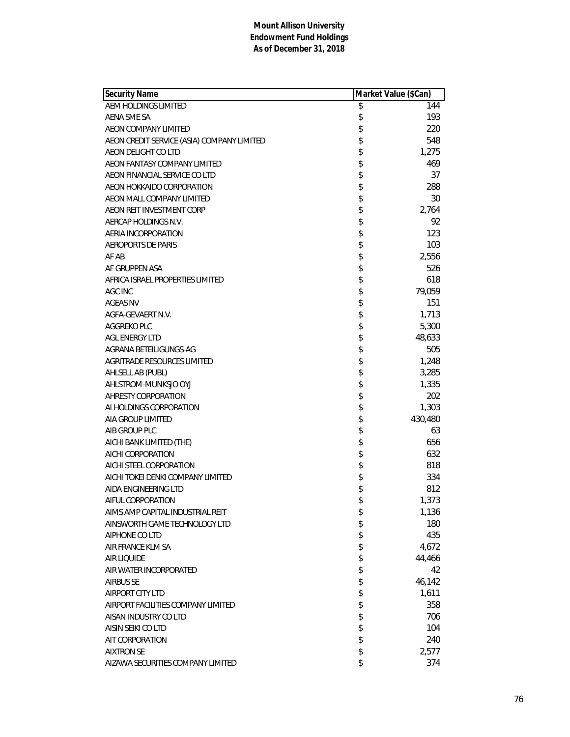| <b>Security Name</b>                       |          | Market Value (\$Can) |
|--------------------------------------------|----------|----------------------|
| AEM HOLDINGS LIMITED                       | \$       | 144                  |
| AENA SME SA                                | \$       | 193                  |
| AEON COMPANY LIMITED                       | \$       | 220                  |
| AEON CREDIT SERVICE (ASIA) COMPANY LIMITED | \$       | 548                  |
| AEON DELIGHT CO LTD                        | \$       | 1,275                |
| AEON FANTASY COMPANY LIMITED               | \$       | 469                  |
| AEON FINANCIAL SERVICE CO LTD              | \$       | 37                   |
| AEON HOKKAIDO CORPORATION                  | \$       | 288                  |
| AEON MALL COMPANY LIMITED                  | \$       | 30                   |
| AEON REIT INVESTMENT CORP                  | \$       | 2,764                |
| AERCAP HOLDINGS N.V.                       | \$       | 92                   |
| AERIA INCORPORATION                        | \$       | 123                  |
| <b>AEROPORTS DE PARIS</b>                  | \$       | 103                  |
| AF AB                                      | \$       | 2,556                |
| AF GRUPPEN ASA                             | \$       | 526                  |
| AFRICA ISRAEL PROPERTIES LIMITED           | \$       | 618                  |
| AGC INC                                    | \$       | 79,059               |
| <b>AGEAS NV</b>                            | \$       | 151                  |
| AGFA-GEVAERT N.V.                          | \$       | 1,713                |
| AGGREKO PLC                                | \$       | 5,300                |
| <b>AGL ENERGY LTD</b>                      | \$       | 48,633               |
| AGRANA BETEILIGUNGS-AG                     | \$       | 505                  |
| AGRITRADE RESOURCES LIMITED                | \$       | 1,248                |
| AHLSELL AB (PUBL)                          | \$       | 3,285                |
| AHLSTROM-MUNKSJO OYJ                       | \$       | 1,335                |
| AHRESTY CORPORATION                        | \$       | 202                  |
| AI HOLDINGS CORPORATION                    | \$       | 1,303                |
| AIA GROUP LIMITED                          | \$       | 430,480              |
| AIB GROUP PLC                              | \$       | 63                   |
| AICHI BANK LIMITED (THE)                   | \$       | 656                  |
| AICHI CORPORATION                          | \$       | 632                  |
| AICHI STEEL CORPORATION                    |          | 818                  |
|                                            | \$       |                      |
| AICHI TOKEI DENKI COMPANY LIMITED          | \$       | 334                  |
| AIDA ENGINEERING LTD                       | \$<br>\$ | 812                  |
| AIFUL CORPORATION                          |          | 1,373                |
| AIMS AMP CAPITAL INDUSTRIAL REIT           | \$       | 1,136                |
| AINSWORTH GAME TECHNOLOGY LTD              | \$       | 180                  |
| AIPHONE CO LTD                             | \$       | 435                  |
| AIR FRANCE KLM SA                          | \$       | 4,672                |
| AIR LIQUIDE                                | \$       | 44,466               |
| AIR WATER INCORPORATED                     | \$       | 42                   |
| <b>AIRBUS SE</b>                           | \$       | 46,142               |
| AIRPORT CITY LTD                           | \$       | 1,611                |
| AIRPORT FACILITIES COMPANY LIMITED         | \$       | 358                  |
| AISAN INDUSTRY CO LTD                      | \$       | 706                  |
| AISIN SEIKI CO LTD                         | \$       | 104                  |
| AIT CORPORATION                            | \$       | 240                  |
| <b>AIXTRON SE</b>                          | \$       | 2,577                |
| AIZAWA SECURITIES COMPANY LIMITED          | \$       | 374                  |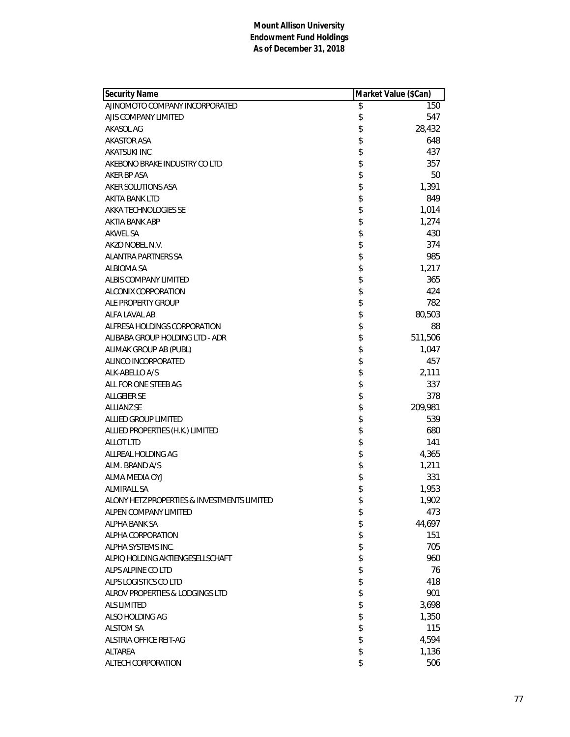| <b>Security Name</b>                        | Market Value (\$Can) |         |
|---------------------------------------------|----------------------|---------|
| AJINOMOTO COMPANY INCORPORATED              | \$                   | 150     |
| AJIS COMPANY LIMITED                        | \$                   | 547     |
| AKASOL AG                                   | \$                   | 28,432  |
| <b>AKASTOR ASA</b>                          | \$                   | 648     |
| <b>AKATSUKI INC</b>                         | \$                   | 437     |
| AKEBONO BRAKE INDUSTRY CO LTD               | \$                   | 357     |
| AKER BP ASA                                 | \$                   | 50      |
| AKER SOLUTIONS ASA                          | \$                   | 1,391   |
| AKITA BANK LTD                              | \$                   | 849     |
| AKKA TECHNOLOGIES SE                        | \$                   | 1,014   |
| AKTIA BANK ABP                              | \$                   | 1,274   |
| AKWEL SA                                    | \$                   | 430     |
| AKZO NOBEL N.V.                             | \$                   | 374     |
| <b>ALANTRA PARTNERS SA</b>                  | \$                   | 985     |
| <b>ALBIOMA SA</b>                           | \$                   | 1,217   |
| ALBIS COMPANY LIMITED                       | \$                   | 365     |
| ALCONIX CORPORATION                         | \$                   | 424     |
| ALE PROPERTY GROUP                          | \$                   | 782     |
| ALFA LAVAL AB                               | \$                   | 80,503  |
| ALFRESA HOLDINGS CORPORATION                | \$                   | 88      |
| ALIBABA GROUP HOLDING LTD - ADR             | \$                   | 511,506 |
| ALIMAK GROUP AB (PUBL)                      | \$                   | 1,047   |
| ALINCO INCORPORATED                         | \$                   | 457     |
| ALK-ABELLO A/S                              | \$                   | 2,111   |
| ALL FOR ONE STEEB AG                        | \$                   | 337     |
| <b>ALLGEIER SE</b>                          | \$                   | 378     |
| <b>ALLIANZ SE</b>                           | \$                   | 209,981 |
| ALLIED GROUP LIMITED                        | \$                   | 539     |
| ALLIED PROPERTIES (H.K.) LIMITED            | \$                   | 680     |
| <b>ALLOT LTD</b>                            | \$                   | 141     |
| ALLREAL HOLDING AG                          | \$                   | 4,365   |
| ALM. BRAND A/S                              | \$                   | 1,211   |
| ALMA MEDIA OYJ                              | \$                   | 331     |
| <b>ALMIRALL SA</b>                          | \$                   | 1,953   |
| ALONY HETZ PROPERTIES & INVESTMENTS LIMITED | \$                   | 1,902   |
| ALPEN COMPANY LIMITED                       | \$                   | 473     |
| ALPHA BANK SA                               | \$                   | 44,697  |
| ALPHA CORPORATION                           | \$                   | 151     |
| ALPHA SYSTEMS INC.                          | \$                   | 705     |
| ALPIQ HOLDING AKTIENGESELLSCHAFT            | \$                   | 960     |
| ALPS ALPINE CO LTD                          | \$                   | 76      |
| ALPS LOGISTICS CO LTD                       | \$                   | 418     |
| ALROV PROPERTIES & LODGINGS LTD             | \$                   | 901     |
| <b>ALS LIMITED</b>                          | \$                   | 3,698   |
| ALSO HOLDING AG                             | \$                   | 1,350   |
| <b>ALSTOM SA</b>                            | \$                   | 115     |
| ALSTRIA OFFICE REIT-AG                      | \$                   | 4,594   |
| ALTAREA                                     | \$                   | 1,136   |
| ALTECH CORPORATION                          | \$                   | 506     |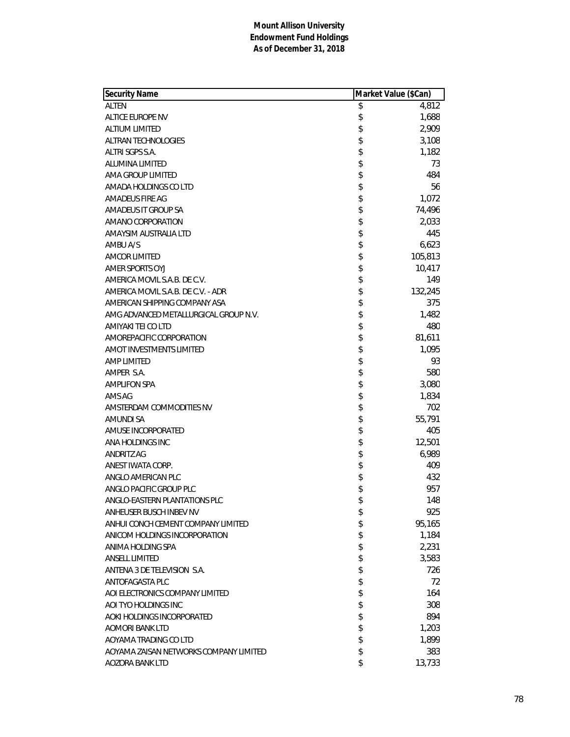| <b>Security Name</b>                   | Market Value (\$Can) |         |
|----------------------------------------|----------------------|---------|
| <b>ALTEN</b>                           | \$                   | 4,812   |
| ALTICE EUROPE NV                       | \$                   | 1,688   |
| <b>ALTIUM LIMITED</b>                  | \$                   | 2,909   |
| <b>ALTRAN TECHNOLOGIES</b>             | \$                   | 3,108   |
| ALTRI SGPS S.A.                        | \$                   | 1,182   |
| <b>ALUMINA LIMITED</b>                 | \$                   | 73      |
| AMA GROUP LIMITED                      | \$                   | 484     |
| AMADA HOLDINGS CO LTD                  | \$                   | 56      |
| AMADEUS FIRE AG                        | \$                   | 1,072   |
| AMADEUS IT GROUP SA                    | \$                   | 74,496  |
| AMANO CORPORATION                      | \$                   | 2,033   |
| AMAYSIM AUSTRALIA LTD                  | \$                   | 445     |
| AMBU A/S                               | \$                   | 6,623   |
| <b>AMCOR LIMITED</b>                   | \$                   | 105,813 |
| AMER SPORTS OYJ                        | \$                   | 10,417  |
| AMERICA MOVIL S.A.B. DE C.V.           | \$                   | 149     |
| AMERICA MOVIL S.A.B. DE C.V. - ADR     | \$                   | 132,245 |
| AMERICAN SHIPPING COMPANY ASA          | \$                   | 375     |
| AMG ADVANCED METALLURGICAL GROUP N.V.  | \$                   | 1,482   |
| AMIYAKI TEI CO LTD                     | \$                   | 480     |
| AMOREPACIFIC CORPORATION               | \$                   | 81,611  |
| <b>AMOT INVESTMENTS LIMITED</b>        | \$                   | 1,095   |
| AMP LIMITED                            | \$                   | 93      |
| AMPER S.A.                             | \$                   | 580     |
| <b>AMPLIFON SPA</b>                    | \$                   | 3,080   |
| AMS AG                                 | \$                   | 1,834   |
| AMSTERDAM COMMODITIES NV               | \$                   | 702     |
| AMUNDI SA                              | \$                   | 55,791  |
| AMUSE INCORPORATED                     | \$                   | 405     |
| ANA HOLDINGS INC                       | \$                   | 12,501  |
| ANDRITZ AG                             | \$                   | 6,989   |
| ANEST IWATA CORP.                      | \$                   | 409     |
| ANGLO AMERICAN PLC                     | \$                   | 432     |
| ANGLO PACIFIC GROUP PLC                | \$                   | 957     |
| ANGLO-EASTERN PLANTATIONS PLC          | \$                   | 148     |
| ANHEUSER BUSCH INBEV NV                | \$                   | 925     |
| ANHUI CONCH CEMENT COMPANY LIMITED     | \$                   | 95,165  |
| ANICOM HOLDINGS INCORPORATION          | \$                   | 1,184   |
| ANIMA HOLDING SPA                      | \$                   | 2,231   |
| <b>ANSELL LIMITED</b>                  | \$                   | 3,583   |
| ANTENA 3 DE TELEVISION S.A.            | \$                   | 726     |
| ANTOFAGASTA PLC                        | \$                   | 72      |
| AOI ELECTRONICS COMPANY LIMITED        | \$                   | 164     |
| AOI TYO HOLDINGS INC                   | \$                   | 308     |
| AOKI HOLDINGS INCORPORATED             | \$                   | 894     |
| AOMORI BANK LTD                        | \$                   | 1,203   |
| AOYAMA TRADING CO LTD                  | \$                   | 1,899   |
| AOYAMA ZAISAN NETWORKS COMPANY LIMITED | \$                   | 383     |
| AOZORA BANK LTD                        | \$                   | 13,733  |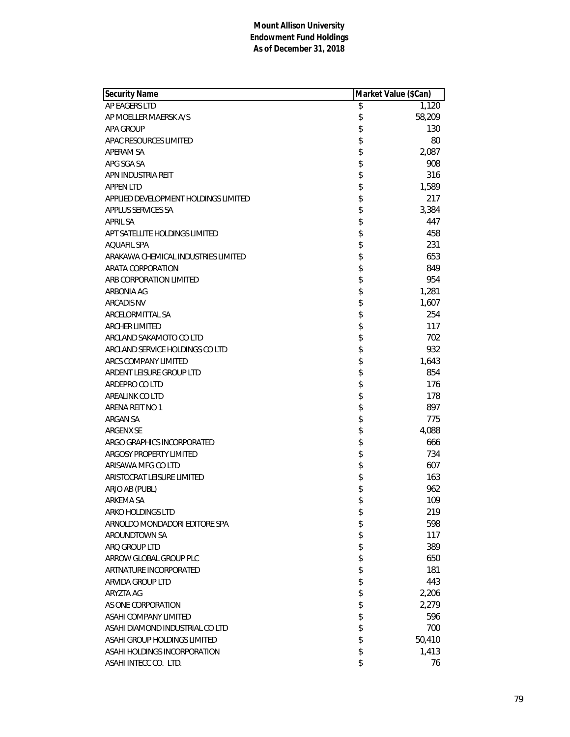| Security Name                        | Market Value (\$Can) |        |
|--------------------------------------|----------------------|--------|
| AP EAGERS LTD                        | \$                   | 1,120  |
| AP MOELLER MAERSK A/S                | \$                   | 58,209 |
| <b>APA GROUP</b>                     | \$                   | 130    |
| APAC RESOURCES LIMITED               | \$                   | 80     |
| APERAM SA                            | \$                   | 2,087  |
| APG SGA SA                           | \$                   | 908    |
| APN INDUSTRIA REIT                   | \$                   | 316    |
| <b>APPEN LTD</b>                     | \$                   | 1,589  |
| APPLIED DEVELOPMENT HOLDINGS LIMITED | \$                   | 217    |
| APPLUS SERVICES SA                   | \$                   | 3,384  |
| <b>APRIL SA</b>                      | \$                   | 447    |
| APT SATELLITE HOLDINGS LIMITED       | \$                   | 458    |
| <b>AQUAFIL SPA</b>                   | \$                   | 231    |
| ARAKAWA CHEMICAL INDUSTRIES LIMITED  | \$                   | 653    |
| ARATA CORPORATION                    | \$                   | 849    |
| ARB CORPORATION LIMITED              | \$                   | 954    |
| ARBONIA AG                           | \$                   | 1,281  |
| <b>ARCADIS NV</b>                    | \$                   | 1,607  |
| ARCELORMITTAL SA                     | \$                   | 254    |
| <b>ARCHER LIMITED</b>                | \$                   | 117    |
| ARCLAND SAKAMOTO CO LTD              | \$                   | 702    |
| ARCLAND SERVICE HOLDINGS CO LTD      | \$                   | 932    |
| ARCS COMPANY LIMITED                 | \$                   | 1,643  |
| ARDENT LEISURE GROUP LTD             | \$                   | 854    |
| ARDEPRO CO LTD                       | \$                   | 176    |
| AREALINK CO LTD                      | \$                   | 178    |
| ARENA REIT NO 1                      | \$                   | 897    |
| ARGAN SA                             | \$                   | 775    |
| ARGENX SE                            | \$                   | 4,088  |
| ARGO GRAPHICS INCORPORATED           | \$                   | 666    |
| ARGOSY PROPERTY LIMITED              | \$                   | 734    |
| ARISAWA MFG CO LTD                   | \$                   | 607    |
| ARISTOCRAT LEISURE LIMITED           | \$                   | 163    |
| ARJO AB (PUBL)                       | \$                   | 962    |
| ARKEMA SA                            | \$                   | 109    |
| ARKO HOLDINGS LTD                    | \$                   | 219    |
| ARNOLDO MONDADORI EDITORE SPA        | \$                   | 598    |
| AROUNDTOWN SA                        | \$                   | 117    |
| ARO GROUP LTD                        | \$                   | 389    |
| ARROW GLOBAL GROUP PLC               | \$                   | 650    |
| ARTNATURE INCORPORATED               | \$                   | 181    |
| ARVIDA GROUP LTD                     | \$                   | 443    |
| ARYZTA AG                            | \$                   | 2,206  |
| AS ONE CORPORATION                   | \$                   | 2,279  |
| ASAHI COMPANY LIMITED                | \$                   | 596    |
| ASAHI DIAMOND INDUSTRIAL CO LTD      | \$                   | 700    |
| ASAHI GROUP HOLDINGS LIMITED         | \$                   | 50,410 |
| ASAHI HOLDINGS INCORPORATION         | \$                   | 1,413  |
| ASAHI INTECC CO. LTD.                | \$                   | 76     |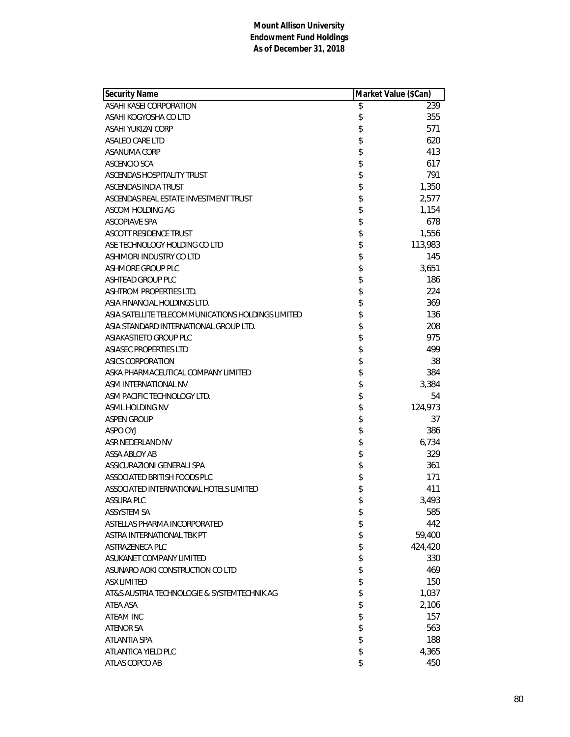| <b>Security Name</b>                               | Market Value (\$Can) |         |
|----------------------------------------------------|----------------------|---------|
| ASAHI KASEI CORPORATION                            | \$                   | 239     |
| ASAHI KOGYOSHA CO LTD                              | \$                   | 355     |
| ASAHI YUKIZAI CORP                                 | \$                   | 571     |
| ASALEO CARE LTD                                    | \$                   | 620     |
| ASANUMA CORP                                       | \$                   | 413     |
| ASCENCIO SCA                                       | \$                   | 617     |
| ASCENDAS HOSPITALITY TRUST                         | \$                   | 791     |
| ASCENDAS INDIA TRUST                               | \$                   | 1,350   |
| ASCENDAS REAL ESTATE INVESTMENT TRUST              | \$                   | 2,577   |
| ASCOM HOLDING AG                                   | \$                   | 1,154   |
| <b>ASCOPIAVE SPA</b>                               | \$                   | 678     |
| <b>ASCOTT RESIDENCE TRUST</b>                      | \$                   | 1,556   |
| ASE TECHNOLOGY HOLDING CO LTD                      | \$                   | 113,983 |
| ASHIMORI INDUSTRY CO LTD                           | \$                   | 145     |
| ASHMORE GROUP PLC                                  | \$                   | 3,651   |
| <b>ASHTEAD GROUP PLC</b>                           | \$                   | 186     |
| ASHTROM PROPERTIES LTD.                            | \$                   | 224     |
| ASIA FINANCIAL HOLDINGS LTD.                       | \$                   | 369     |
| ASIA SATELLITE TELECOMMUNICATIONS HOLDINGS LIMITED | \$                   | 136     |
| ASIA STANDARD INTERNATIONAL GROUP LTD.             | \$                   | 208     |
| ASIAKASTIETO GROUP PLC                             | \$                   | 975     |
| ASIASEC PROPERTIES LTD                             | \$                   | 499     |
| ASICS CORPORATION                                  | \$                   | 38      |
| ASKA PHARMACEUTICAL COMPANY LIMITED                | \$                   | 384     |
| ASM INTERNATIONAL NV                               | \$                   | 3,384   |
| ASM PACIFIC TECHNOLOGY LTD.                        | \$                   | 54      |
| ASML HOLDING NV                                    | \$                   | 124,973 |
| <b>ASPEN GROUP</b>                                 | \$                   | 37      |
| ASPO OYJ                                           | \$                   | 386     |
| ASR NEDERLAND NV                                   | \$                   | 6,734   |
| ASSA ABLOY AB                                      | \$                   | 329     |
| ASSICURAZIONI GENERALI SPA                         | \$                   | 361     |
| ASSOCIATED BRITISH FOODS PLC                       | \$                   | 171     |
| ASSOCIATED INTERNATIONAL HOTELS LIMITED            | \$                   | 411     |
| <b>ASSURA PLC</b>                                  | \$                   | 3,493   |
| <b>ASSYSTEM SA</b>                                 | \$                   | 585     |
| ASTELLAS PHARMA INCORPORATED                       | \$                   | 442     |
| ASTRA INTERNATIONAL TBK PT                         | \$                   | 59,400  |
| ASTRAZENECA PLC                                    | \$                   | 424,420 |
| ASUKANET COMPANY LIMITED                           | \$                   | 330     |
| ASUNARO AOKI CONSTRUCTION CO LTD                   | \$                   | 469     |
| <b>ASX LIMITED</b>                                 | \$                   | 150     |
| AT&S AUSTRIA TECHNOLOGIE & SYSTEMTECHNIK AG        | \$                   | 1,037   |
| ATEA ASA                                           | \$                   | 2,106   |
| ATEAM INC                                          | \$                   | 157     |
| <b>ATENOR SA</b>                                   | \$                   | 563     |
| ATLANTIA SPA                                       | \$                   | 188     |
| ATLANTICA YIELD PLC                                | \$                   | 4,365   |
| ATLAS COPCO AB                                     | \$                   | 450     |
|                                                    |                      |         |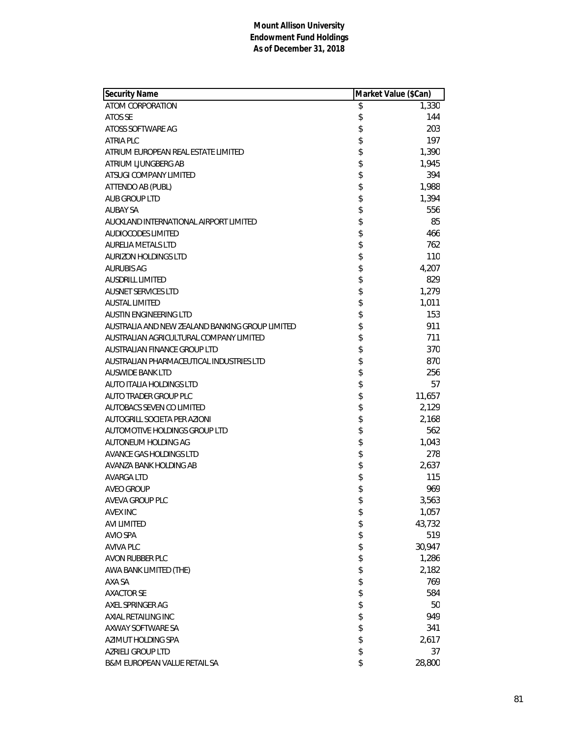| Security Name                                   | Market Value (\$Can) |        |
|-------------------------------------------------|----------------------|--------|
| ATOM CORPORATION                                | \$                   | 1,330  |
| ATOS SE                                         | \$                   | 144    |
| ATOSS SOFTWARE AG                               | \$                   | 203    |
| <b>ATRIA PLC</b>                                | \$                   | 197    |
| ATRIUM EUROPEAN REAL ESTATE LIMITED             | \$                   | 1,390  |
| ATRIUM LJUNGBERG AB                             | \$                   | 1,945  |
| ATSUGI COMPANY LIMITED                          | \$                   | 394    |
| ATTENDO AB (PUBL)                               | \$                   | 1,988  |
| AUB GROUP LTD                                   | \$                   | 1,394  |
| <b>AUBAY SA</b>                                 | \$                   | 556    |
| AUCKLAND INTERNATIONAL AIRPORT LIMITED          | \$                   | 85     |
| AUDIOCODES LIMITED                              | \$                   | 466    |
| <b>AURELIA METALS LTD</b>                       | \$                   | 762    |
| <b>AURIZON HOLDINGS LTD</b>                     | \$                   | 110    |
| <b>AURUBIS AG</b>                               | \$                   | 4,207  |
| <b>AUSDRILL LIMITED</b>                         | \$                   | 829    |
| <b>AUSNET SERVICES LTD</b>                      | \$                   | 1,279  |
| <b>AUSTAL LIMITED</b>                           | \$                   | 1,011  |
| AUSTIN ENGINEERING LTD                          | \$                   | 153    |
| AUSTRALIA AND NEW ZEALAND BANKING GROUP LIMITED | \$                   | 911    |
| AUSTRALIAN AGRICULTURAL COMPANY LIMITED         | \$                   | 711    |
| AUSTRALIAN FINANCE GROUP LTD                    | \$                   | 370    |
| AUSTRALIAN PHARMACEUTICAL INDUSTRIES LTD        | \$                   | 870    |
| <b>AUSWIDE BANK LTD</b>                         | \$                   | 256    |
| <b>AUTO ITALIA HOLDINGS LTD</b>                 | \$                   | 57     |
| AUTO TRADER GROUP PLC                           | \$                   | 11,657 |
| AUTOBACS SEVEN CO LIMITED                       | \$                   | 2,129  |
| AUTOGRILL SOCIETA PER AZIONI                    | \$                   | 2,168  |
| AUTOMOTIVE HOLDINGS GROUP LTD                   | \$                   | 562    |
| AUTONEUM HOLDING AG                             | \$                   | 1,043  |
| AVANCE GAS HOLDINGS LTD                         | \$                   | 278    |
| AVANZA BANK HOLDING AB                          | \$                   | 2,637  |
| AVARGA LTD                                      | \$                   | 115    |
| <b>AVEO GROUP</b>                               | \$                   | 969    |
| AVEVA GROUP PLC                                 | \$                   | 3,563  |
| <b>AVEX INC</b>                                 | \$                   | 1,057  |
| <b>AVI LIMITED</b>                              | \$                   | 43,732 |
| <b>AVIO SPA</b>                                 | \$                   | 519    |
| <b>AVIVA PLC</b>                                | \$                   | 30,947 |
| AVON RUBBER PLC                                 | \$                   | 1,286  |
| AWA BANK LIMITED (THE)                          | \$                   | 2,182  |
| AXA SA                                          |                      | 769    |
| <b>AXACTOR SE</b>                               | \$                   | 584    |
| AXEL SPRINGER AG                                | \$                   | 50     |
| AXIAL RETAILING INC                             | \$                   | 949    |
| AXWAY SOFTWARE SA                               | \$                   | 341    |
| AZIMUT HOLDING SPA                              | \$                   | 2,617  |
| AZRIELI GROUP LTD                               | \$                   | 37     |
| B&M EUROPEAN VALUE RETAIL SA                    | \$                   | 28,800 |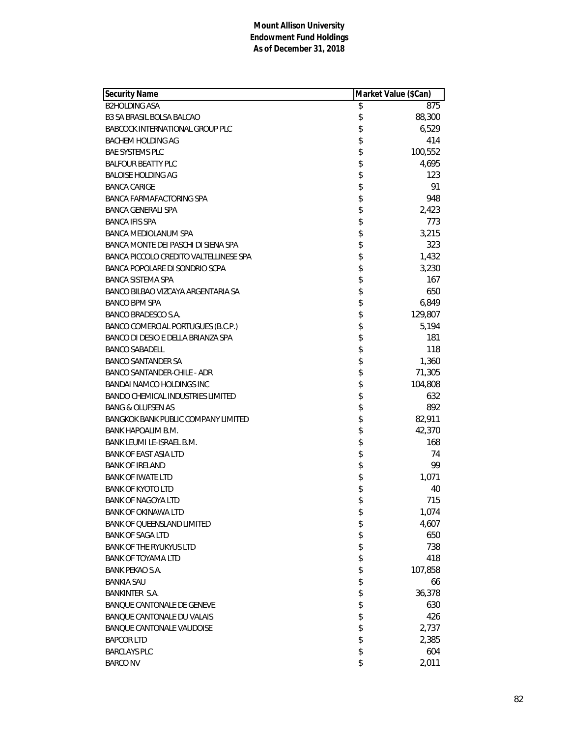| <b>Security Name</b>                       | Market Value (\$Can) |         |
|--------------------------------------------|----------------------|---------|
| <b>B2HOLDING ASA</b>                       | \$                   | 875     |
| <b>B3 SA BRASIL BOLSA BALCAO</b>           | \$                   | 88,300  |
| <b>BABCOCK INTERNATIONAL GROUP PLC</b>     | \$                   | 6,529   |
| BACHEM HOLDING AG                          | \$                   | 414     |
| <b>BAE SYSTEMS PLC</b>                     | \$                   | 100,552 |
| <b>BALFOUR BEATTY PLC</b>                  | \$                   | 4,695   |
| <b>BALOISE HOLDING AG</b>                  | \$                   | 123     |
| <b>BANCA CARIGE</b>                        | \$                   | 91      |
| BANCA FARMAFACTORING SPA                   | \$                   | 948     |
| <b>BANCA GENERALI SPA</b>                  | \$                   | 2,423   |
| <b>BANCA IFIS SPA</b>                      | \$                   | 773     |
| <b>BANCA MEDIOLANUM SPA</b>                | \$                   | 3,215   |
| BANCA MONTE DEI PASCHI DI SIENA SPA        | \$                   | 323     |
| BANCA PICCOLO CREDITO VALTELLINESE SPA     | \$                   | 1,432   |
| BANCA POPOLARE DI SONDRIO SCPA             | \$                   | 3,230   |
| <b>BANCA SISTEMA SPA</b>                   | \$                   | 167     |
| BANCO BILBAO VIZCAYA ARGENTARIA SA         | \$                   | 650     |
| <b>BANCO BPM SPA</b>                       | \$                   | 6,849   |
| BANCO BRADESCO S.A.                        | \$                   | 129,807 |
| BANCO COMERCIAL PORTUGUES (B.C.P.)         | \$                   | 5,194   |
| BANCO DI DESIO E DELLA BRIANZA SPA         | \$                   | 181     |
| <b>BANCO SABADELL</b>                      | \$                   | 118     |
| <b>BANCO SANTANDER SA</b>                  | \$                   | 1,360   |
| <b>BANCO SANTANDER-CHILE - ADR</b>         | \$                   | 71,305  |
| BANDAI NAMCO HOLDINGS INC                  | \$                   | 104,808 |
| <b>BANDO CHEMICAL INDUSTRIES LIMITED</b>   | \$                   | 632     |
| <b>BANG &amp; OLUFSEN AS</b>               | \$                   | 892     |
| <b>BANGKOK BANK PUBLIC COMPANY LIMITED</b> | \$                   | 82,911  |
| BANK HAPOALIM B.M.                         | \$                   | 42,370  |
| BANK LEUMI LE-ISRAEL B.M.                  | \$                   | 168     |
| <b>BANK OF EAST ASIA LTD</b>               | \$                   | 74      |
| <b>BANK OF IRELAND</b>                     | \$                   | 99      |
| <b>BANK OF IWATE LTD</b>                   | \$                   | 1,071   |
| <b>BANK OF KYOTO LTD</b>                   | \$                   | 40      |
| BANK OF NAGOYA LTD                         | \$                   | 715     |
| <b>BANK OF OKINAWA LTD</b>                 | \$                   | 1,074   |
| <b>BANK OF QUEENSLAND LIMITED</b>          | \$                   | 4,607   |
| <b>BANK OF SAGA LTD</b>                    | \$                   | 650     |
| <b>BANK OF THE RYUKYUS LTD</b>             | \$                   | 738     |
| <b>BANK OF TOYAMA LTD</b>                  | \$                   | 418     |
| <b>BANK PEKAO S.A.</b>                     | \$                   | 107,858 |
| <b>BANKIA SAU</b>                          | \$                   | 66      |
| <b>BANKINTER S.A.</b>                      | \$                   | 36,378  |
| BANQUE CANTONALE DE GENEVE                 | \$                   | 630     |
| <b>BANQUE CANTONALE DU VALAIS</b>          | \$                   | 426     |
| <b>BANQUE CANTONALE VAUDOISE</b>           | \$                   | 2,737   |
| <b>BAPCOR LTD</b>                          | \$                   | 2,385   |
| <b>BARCLAYS PLC</b>                        | \$                   | 604     |
| <b>BARCO NV</b>                            | \$                   | 2,011   |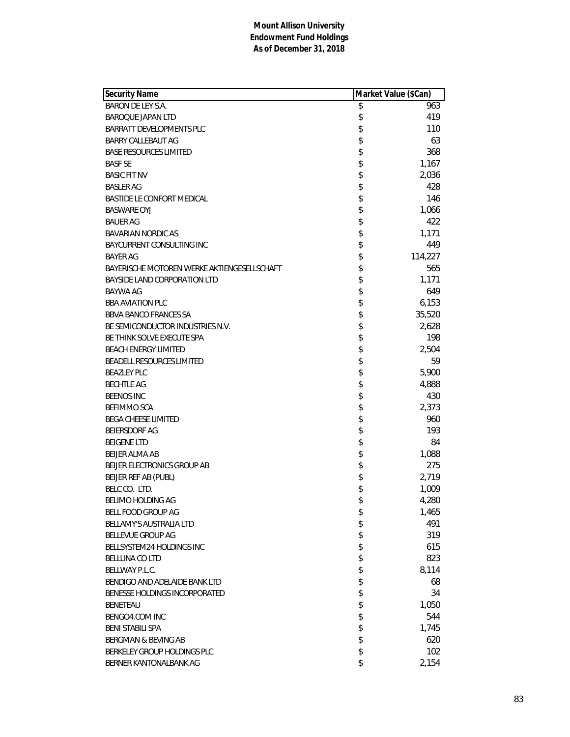| <b>Security Name</b>                        | Market Value (\$Can) |         |
|---------------------------------------------|----------------------|---------|
| <b>BARON DE LEY S.A.</b>                    | \$                   | 963     |
| <b>BAROQUE JAPAN LTD</b>                    | \$                   | 419     |
| BARRATT DEVELOPMENTS PLC                    | \$                   | 110     |
| BARRY CALLEBAUT AG                          | \$                   | 63      |
| <b>BASE RESOURCES LIMITED</b>               | \$                   | 368     |
| <b>BASF SE</b>                              | \$                   | 1,167   |
| <b>BASIC FIT NV</b>                         | \$                   | 2,036   |
| <b>BASLER AG</b>                            | \$                   | 428     |
| BASTIDE LE CONFORT MEDICAL                  | \$                   | 146     |
| <b>BASWARE OYJ</b>                          | \$                   | 1,066   |
| <b>BAUER AG</b>                             | \$                   | 422     |
| <b>BAVARIAN NORDIC AS</b>                   | \$                   | 1,171   |
| BAYCURRENT CONSULTING INC                   | \$                   | 449     |
| <b>BAYER AG</b>                             | \$                   | 114,227 |
| BAYERISCHE MOTOREN WERKE AKTIENGESELLSCHAFT | \$                   | 565     |
| BAYSIDE LAND CORPORATION LTD                | \$                   | 1,171   |
| <b>BAYWA AG</b>                             | \$                   | 649     |
| <b>BBA AVIATION PLC</b>                     | \$                   | 6,153   |
| <b>BBVA BANCO FRANCES SA</b>                | \$                   | 35,520  |
| BE SEMICONDUCTOR INDUSTRIES N.V.            | \$                   | 2,628   |
| BE THINK SOLVE EXECUTE SPA                  | \$                   | 198     |
| <b>BEACH ENERGY LIMITED</b>                 | \$                   | 2,504   |
| BEADELL RESOURCES LIMITED                   | \$                   | 59      |
| <b>BEAZLEY PLC</b>                          | \$                   | 5,900   |
| <b>BECHTLE AG</b>                           | \$                   | 4,888   |
| <b>BEENOS INC</b>                           | \$                   | 430     |
| <b>BEFIMMO SCA</b>                          | \$                   | 2,373   |
| <b>BEGA CHEESE LIMITED</b>                  | \$                   | 960     |
| <b>BEIERSDORF AG</b>                        | \$                   | 193     |
| <b>BEIGENE LTD</b>                          | \$                   | 84      |
| <b>BELIER ALMA AB</b>                       | \$                   | 1,088   |
| BEIJER ELECTRONICS GROUP AB                 | \$                   | 275     |
| BEIJER REF AB (PUBL)                        | \$                   | 2,719   |
| BELC CO. LTD.                               | \$                   | 1,009   |
| BELIMO HOLDING AG                           | \$                   | 4,280   |
| BELL FOOD GROUP AG                          | \$                   | 1,465   |
| <b>BELLAMY'S AUSTRALIA LTD</b>              | \$                   | 491     |
| BELLEVUE GROUP AG                           | \$                   | 319     |
| BELLSYSTEM24 HOLDINGS INC                   | \$                   | 615     |
| <b>BELLUNA CO LTD</b>                       | \$                   | 823     |
| BELLWAY P.L.C.                              | \$                   | 8,114   |
| BENDIGO AND ADELAIDE BANK LTD               | \$                   | 68      |
| BENESSE HOLDINGS INCORPORATED               | \$                   | 34      |
| <b>BENETEAU</b>                             | \$                   | 1,050   |
| BENGO4.COM INC                              | \$                   | 544     |
| <b>BENI STABILI SPA</b>                     | \$                   | 1,745   |
| BERGMAN & BEVING AB                         | \$                   | 620     |
| BERKELEY GROUP HOLDINGS PLC                 | \$                   | 102     |
| BERNER KANTONALBANK AG                      | \$                   | 2,154   |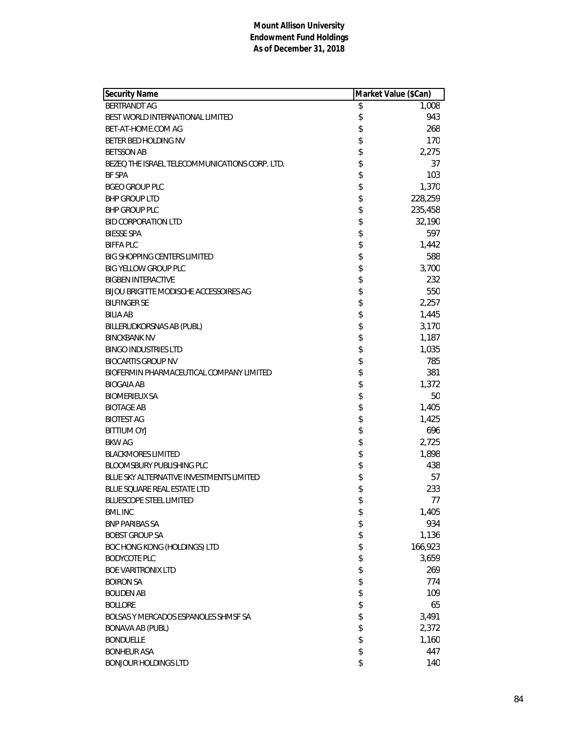| <b>Security Name</b>                           |        | Market Value (\$Can) |
|------------------------------------------------|--------|----------------------|
| BERTRANDT AG                                   | \$     | 1,008                |
| BEST WORLD INTERNATIONAL LIMITED               | \$     | 943                  |
| BET-AT-HOME.COM AG                             | \$     | 268                  |
| BETER BED HOLDING NV                           | \$     | 170                  |
| <b>BETSSON AB</b>                              | \$     | 2,275                |
| BEZEQ THE ISRAEL TELECOMMUNICATIONS CORP. LTD. | \$     | 37                   |
| <b>BF SPA</b>                                  | \$     | 103                  |
| <b>BGEO GROUP PLC</b>                          | \$     | 1,370                |
| <b>BHP GROUP LTD</b>                           | \$     | 228,259              |
| <b>BHP GROUP PLC</b>                           | \$     | 235,458              |
| <b>BID CORPORATION LTD</b>                     | \$     | 32,190               |
| <b>BIESSE SPA</b>                              | \$     | 597                  |
| <b>BIFFA PLC</b>                               | \$     | 1,442                |
| <b>BIG SHOPPING CENTERS LIMITED</b>            | \$     | 588                  |
| <b>BIG YELLOW GROUP PLC</b>                    | \$     | 3,700                |
| <b>BIGBEN INTERACTIVE</b>                      | \$     | 232                  |
| BIJOU BRIGITTE MODISCHE ACCESSOIRES AG         | \$     | 550                  |
| <b>BILFINGER SE</b>                            | \$     | 2,257                |
| <b>BILIA AB</b>                                | \$     | 1,445                |
| BILLERUDKORSNAS AB (PUBL)                      | \$     | 3,170                |
| <b>BINCKBANK NV</b>                            | \$     | 1,187                |
| <b>BINGO INDUSTRIES LTD</b>                    | \$     | 1,035                |
| <b>BIOCARTIS GROUP NV</b>                      | \$     | 785                  |
| BIOFERMIN PHARMACEUTICAL COMPANY LIMITED       | \$     | 381                  |
| <b>BIOGAIA AB</b>                              | \$     | 1,372                |
| <b>BIOMERIEUX SA</b>                           | \$     | 50                   |
| <b>BIOTAGE AB</b>                              | \$     | 1,405                |
| <b>BIOTEST AG</b>                              | \$     | 1,425                |
| <b>BITTIUM OYJ</b>                             | \$     | 696                  |
| <b>BKW AG</b>                                  | \$     | 2,725                |
| <b>BLACKMORES LIMITED</b>                      | \$     | 1,898                |
| <b>BLOOMSBURY PUBLISHING PLC</b>               | \$     | 438                  |
| BLUE SKY ALTERNATIVE INVESTMENTS LIMITED       | \$     | 57                   |
| BLUE SQUARE REAL ESTATE LTD                    | \$     | 233                  |
| <b>BLUESCOPE STEEL LIMITED</b>                 | \$     | 77                   |
| <b>BML INC</b>                                 | \$     | 1,405                |
| <b>BNP PARIBAS SA</b>                          | \$     | 934                  |
| <b>BOBST GROUP SA</b>                          | \$     | 1,136                |
| BOC HONG KONG (HOLDINGS) LTD                   | \$     | 166,923              |
| <b>BODYCOTE PLC</b>                            | \$     | 3,659                |
| <b>BOE VARITRONIX LTD</b>                      |        | 269                  |
| <b>BOIRON SA</b>                               | \$\$\$ | 774                  |
| <b>BOLIDEN AB</b>                              |        | 109                  |
| <b>BOLLORE</b>                                 | \$     | 65                   |
| BOLSAS Y MERCADOS ESPANOLES SHMSF SA           | \$     | 3,491                |
| <b>BONAVA AB (PUBL)</b>                        | \$     | 2,372                |
| <b>BONDUELLE</b>                               | \$     | 1,160                |
| <b>BONHEUR ASA</b>                             | \$     | 447                  |
| <b>BONJOUR HOLDINGS LTD</b>                    | \$     | 140                  |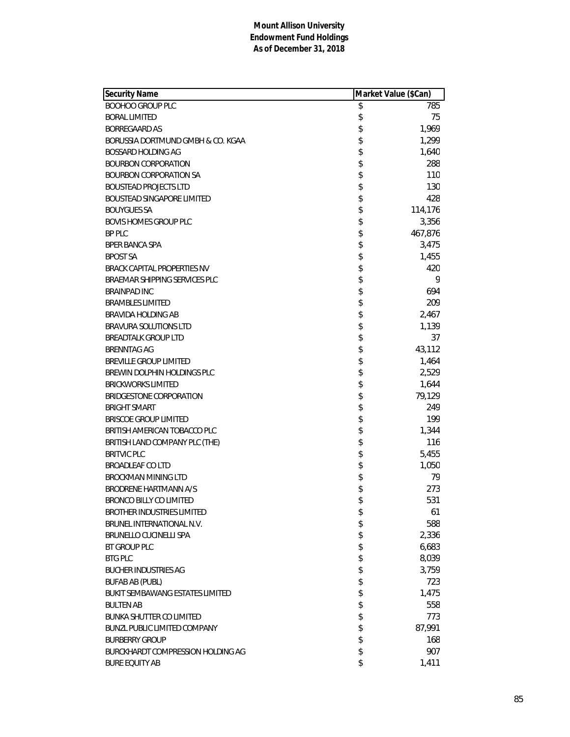| <b>Security Name</b>                   | Market Value (\$Can) |
|----------------------------------------|----------------------|
| <b>BOOHOO GROUP PLC</b>                | \$<br>785            |
| <b>BORAL LIMITED</b>                   | \$<br>75             |
| <b>BORREGAARD AS</b>                   | \$<br>1,969          |
| BORUSSIA DORTMUND GMBH & CO. KGAA      | \$<br>1,299          |
| BOSSARD HOLDING AG                     | \$<br>1,640          |
| <b>BOURBON CORPORATION</b>             | \$<br>288            |
| <b>BOURBON CORPORATION SA</b>          | \$<br>110            |
| <b>BOUSTEAD PROJECTS LTD</b>           | \$<br>130            |
| BOUSTEAD SINGAPORE LIMITED             | \$<br>428            |
| <b>BOUYGUES SA</b>                     | \$<br>114,176        |
| <b>BOVIS HOMES GROUP PLC</b>           | \$<br>3,356          |
| <b>BP PLC</b>                          | \$<br>467,876        |
| <b>BPER BANCA SPA</b>                  | \$<br>3,475          |
| <b>BPOST SA</b>                        | \$<br>1,455          |
| BRACK CAPITAL PROPERTIES NV            | \$<br>420            |
| BRAEMAR SHIPPING SERVICES PLC          | \$<br>9              |
| <b>BRAINPAD INC</b>                    | \$<br>694            |
| <b>BRAMBLES LIMITED</b>                | \$<br>209            |
| BRAVIDA HOLDING AB                     | \$<br>2,467          |
| <b>BRAVURA SOLUTIONS LTD</b>           | \$<br>1,139          |
| <b>BREADTALK GROUP LTD</b>             | \$<br>37             |
| <b>BRENNTAG AG</b>                     | \$<br>43,112         |
| <b>BREVILLE GROUP LIMITED</b>          | \$<br>1,464          |
| BREWIN DOLPHIN HOLDINGS PLC            | \$<br>2,529          |
| <b>BRICKWORKS LIMITED</b>              | \$<br>1,644          |
| BRIDGESTONE CORPORATION                | \$<br>79,129         |
| <b>BRIGHT SMART</b>                    | \$<br>249            |
| <b>BRISCOE GROUP LIMITED</b>           | \$<br>199            |
| BRITISH AMERICAN TOBACCO PLC           | \$<br>1,344          |
| BRITISH LAND COMPANY PLC (THE)         | \$<br>116            |
| <b>BRITVIC PLC</b>                     | \$<br>5,455          |
| <b>BROADLEAF COLTD</b>                 | \$<br>1,050          |
| <b>BROCKMAN MINING LTD</b>             | \$<br>79             |
| <b>BRODRENE HARTMANN A/S</b>           | \$<br>273            |
| BRONCO BILLY CO LIMITED                | \$<br>531            |
| <b>BROTHER INDUSTRIES LIMITED</b>      | \$<br>61             |
| BRUNEL INTERNATIONAL N.V.              | \$<br>588            |
| BRUNELLO CUCINELLI SPA                 | \$<br>2,336          |
| <b>BT GROUP PLC</b>                    | \$<br>6,683          |
| <b>BTG PLC</b>                         | \$<br>8,039          |
| <b>BUCHER INDUSTRIES AG</b>            | \$<br>3,759          |
| <b>BUFAB AB (PUBL)</b>                 | \$<br>723            |
| <b>BUKIT SEMBAWANG ESTATES LIMITED</b> | \$<br>1,475          |
| <b>BULTEN AB</b>                       | \$<br>558            |
| <b>BUNKA SHUTTER CO LIMITED</b>        | \$<br>773            |
| <b>BUNZL PUBLIC LIMITED COMPANY</b>    | \$<br>87,991         |
| <b>BURBERRY GROUP</b>                  | \$<br>168            |
| BURCKHARDT COMPRESSION HOLDING AG      | \$<br>907            |
| <b>BURE EQUITY AB</b>                  | \$<br>1,411          |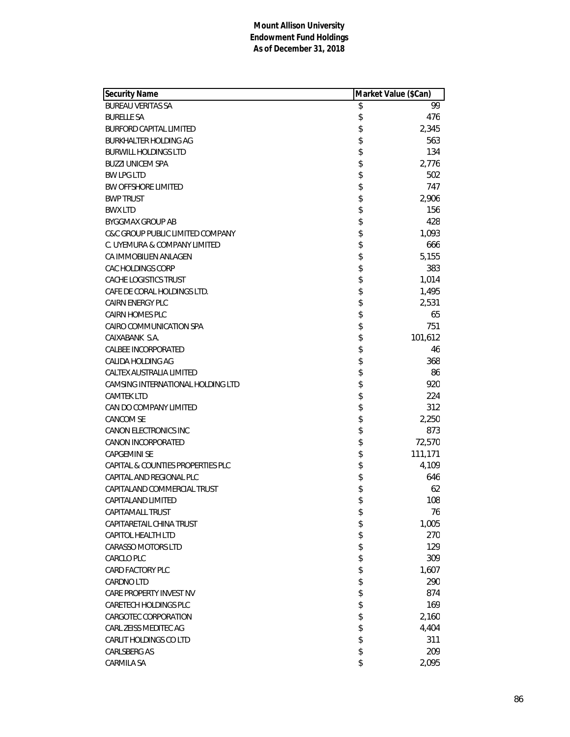| <b>Security Name</b>              | Market Value (\$Can) |         |
|-----------------------------------|----------------------|---------|
| <b>BUREAU VERITAS SA</b>          | \$                   | 99      |
| <b>BURELLE SA</b>                 | \$                   | 476     |
| <b>BURFORD CAPITAL LIMITED</b>    | \$                   | 2,345   |
| <b>BURKHALTER HOLDING AG</b>      | \$                   | 563     |
| <b>BURWILL HOLDINGS LTD</b>       | \$                   | 134     |
| <b>BUZZI UNICEM SPA</b>           | \$                   | 2,776   |
| <b>BW LPG LTD</b>                 | \$                   | 502     |
| <b>BW OFFSHORE LIMITED</b>        | \$                   | 747     |
| <b>BWP TRUST</b>                  | \$                   | 2,906   |
| <b>BWX LTD</b>                    | \$                   | 156     |
| <b>BYGGMAX GROUP AB</b>           | \$                   | 428     |
| C&C GROUP PUBLIC LIMITED COMPANY  | \$                   | 1,093   |
| C. UYEMURA & COMPANY LIMITED      | \$                   | 666     |
| CA IMMOBILIEN ANLAGEN             | \$                   | 5,155   |
| <b>CAC HOLDINGS CORP</b>          | \$                   | 383     |
| CACHE LOGISTICS TRUST             | \$                   | 1,014   |
| CAFE DE CORAL HOLDINGS LTD.       | \$                   | 1,495   |
| <b>CAIRN ENERGY PLC</b>           | \$                   | 2,531   |
| <b>CAIRN HOMES PLC</b>            | \$                   | 65      |
| CAIRO COMMUNICATION SPA           | \$                   | 751     |
| CAIXABANK S.A.                    | \$                   | 101,612 |
| <b>CALBEE INCORPORATED</b>        | \$                   | 46      |
| <b>CALIDA HOLDING AG</b>          | \$                   | 368     |
| CALTEX AUSTRALIA LIMITED          | \$                   | 86      |
| CAMSING INTERNATIONAL HOLDING LTD | \$                   | 920     |
| <b>CAMTEK LTD</b>                 | \$                   | 224     |
| CAN DO COMPANY LIMITED            | \$                   | 312     |
| <b>CANCOM SE</b>                  | \$                   | 2,250   |
| <b>CANON ELECTRONICS INC</b>      | \$                   | 873     |
| CANON INCORPORATED                | \$                   | 72,570  |
| <b>CAPGEMINI SE</b>               | \$                   | 111,171 |
| CAPITAL & COUNTIES PROPERTIES PLC | \$                   | 4,109   |
| CAPITAL AND REGIONAL PLC          | \$                   | 646     |
| CAPITALAND COMMERCIAL TRUST       | \$                   | 62      |
| CAPITALAND LIMITED                | \$                   | 108     |
| CAPITAMALL TRUST                  | \$                   | 76      |
| CAPITARETAIL CHINA TRUST          | \$                   | 1,005   |
| <b>CAPITOL HEALTH LTD</b>         | \$                   | 270     |
| <b>CARASSO MOTORS LTD</b>         | \$                   | 129     |
| <b>CARCLO PLC</b>                 | \$                   | 309     |
| <b>CARD FACTORY PLC</b>           | \$                   | 1,607   |
| <b>CARDNO LTD</b>                 |                      | 290     |
| CARE PROPERTY INVEST NV           | \$<br>\$             | 874     |
| CARETECH HOLDINGS PLC             | \$                   | 169     |
|                                   |                      |         |
| CARGOTEC CORPORATION              | \$                   | 2,160   |
| CARL ZEISS MEDITEC AG             | \$                   | 4,404   |
| <b>CARLIT HOLDINGS CO LTD</b>     | \$                   | 311     |
| <b>CARLSBERG AS</b>               | \$                   | 209     |
| CARMILA SA                        | \$                   | 2,095   |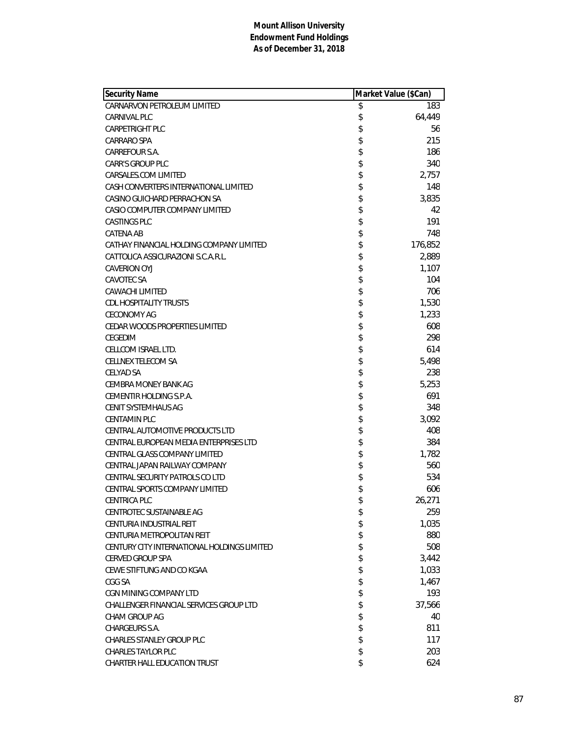| <b>Security Name</b>                        | Market Value (\$Can) |         |
|---------------------------------------------|----------------------|---------|
| CARNARVON PETROLEUM LIMITED                 | \$                   | 183     |
| <b>CARNIVAL PLC</b>                         | \$                   | 64,449  |
| <b>CARPETRIGHT PLC</b>                      | \$                   | 56      |
| <b>CARRARO SPA</b>                          | \$                   | 215     |
| CARREFOUR S.A.                              | \$                   | 186     |
| <b>CARR'S GROUP PLC</b>                     | \$                   | 340     |
| CARSALES.COM LIMITED                        | \$                   | 2,757   |
| CASH CONVERTERS INTERNATIONAL LIMITED       | \$                   | 148     |
| CASINO GUICHARD PERRACHON SA                | \$                   | 3,835   |
| CASIO COMPUTER COMPANY LIMITED              | \$                   | 42      |
| <b>CASTINGS PLC</b>                         | \$                   | 191     |
| CATENA AB                                   | \$                   | 748     |
| CATHAY FINANCIAL HOLDING COMPANY LIMITED    | \$                   | 176,852 |
| CATTOLICA ASSICURAZIONI S.C.A.R.L.          | \$                   | 2,889   |
| <b>CAVERION OYJ</b>                         | \$                   | 1,107   |
| <b>CAVOTEC SA</b>                           | \$                   | 104     |
| <b>CAWACHI LIMITED</b>                      | \$                   | 706     |
| <b>CDL HOSPITALITY TRUSTS</b>               | \$                   | 1,530   |
| <b>CECONOMY AG</b>                          | \$                   | 1,233   |
| CEDAR WOODS PROPERTIES LIMITED              | \$                   | 608     |
| CEGEDIM                                     | \$                   | 298     |
| CELLCOM ISRAEL LTD.                         | \$                   | 614     |
| <b>CELLNEX TELECOM SA</b>                   | \$                   | 5,498   |
| <b>CELYAD SA</b>                            | \$                   | 238     |
| CEMBRA MONEY BANK AG                        | \$                   | 5,253   |
| CEMENTIR HOLDING S.P.A.                     | \$                   | 691     |
| CENIT SYSTEMHAUS AG                         | \$                   | 348     |
| <b>CENTAMIN PLC</b>                         | \$                   | 3,092   |
| CENTRAL AUTOMOTIVE PRODUCTS LTD             | \$                   | 408     |
| CENTRAL EUROPEAN MEDIA ENTERPRISES LTD      | \$                   | 384     |
| CENTRAL GLASS COMPANY LIMITED               | \$                   | 1,782   |
| CENTRAL JAPAN RAILWAY COMPANY               | \$                   | 560     |
| CENTRAL SECURITY PATROLS CO LTD             | \$                   | 534     |
| CENTRAL SPORTS COMPANY LIMITED              | \$                   | 606     |
| <b>CENTRICA PLC</b>                         | \$                   | 26,271  |
| CENTROTEC SUSTAINABLE AG                    | \$                   | 259     |
| CENTURIA INDUSTRIAL REIT                    | \$                   | 1,035   |
| CENTURIA METROPOLITAN REIT                  | \$                   | 880     |
| CENTURY CITY INTERNATIONAL HOLDINGS LIMITED | \$                   | 508     |
| <b>CERVED GROUP SPA</b>                     | \$                   | 3,442   |
| CEWE STIFTUNG AND CO KGAA                   | \$                   | 1,033   |
| CGG SA                                      | \$                   | 1,467   |
| CGN MINING COMPANY LTD                      | \$                   | 193     |
| CHALLENGER FINANCIAL SERVICES GROUP LTD     | \$                   | 37,566  |
| CHAM GROUP AG                               | \$                   | 40      |
| CHARGEURS S.A.                              | \$                   | 811     |
| <b>CHARLES STANLEY GROUP PLC</b>            | \$                   | 117     |
| <b>CHARLES TAYLOR PLC</b>                   | \$                   | 203     |
| CHARTER HALL EDUCATION TRUST                | \$                   | 624     |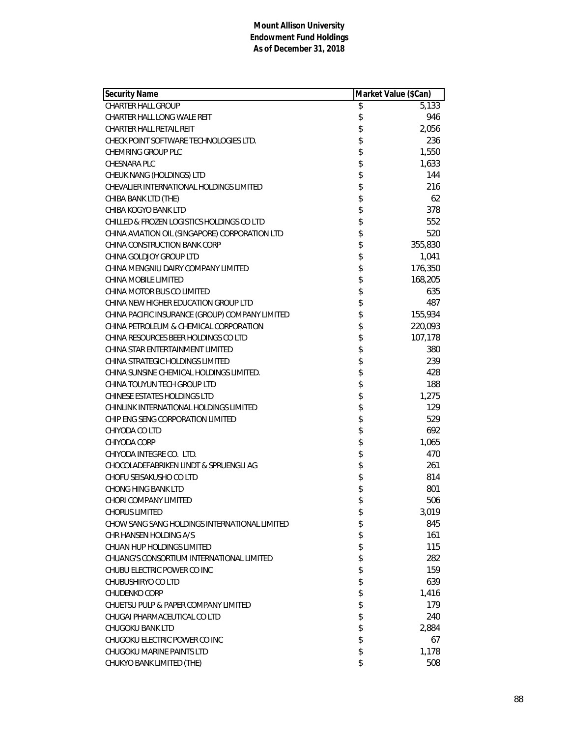| Security Name                                   | Market Value (\$Can) |         |
|-------------------------------------------------|----------------------|---------|
| <b>CHARTER HALL GROUP</b>                       | \$                   | 5,133   |
| CHARTER HALL LONG WALE REIT                     | \$                   | 946     |
| <b>CHARTER HALL RETAIL REIT</b>                 | \$                   | 2,056   |
| CHECK POINT SOFTWARE TECHNOLOGIES LTD.          | \$                   | 236     |
| CHEMRING GROUP PLC                              | \$                   | 1,550   |
| CHESNARA PLC                                    | \$                   | 1,633   |
| CHEUK NANG (HOLDINGS) LTD                       | \$                   | 144     |
| CHEVALIER INTERNATIONAL HOLDINGS LIMITED        | \$                   | 216     |
| CHIBA BANK LTD (THE)                            | \$                   | 62      |
| CHIBA KOGYO BANK LTD                            | \$                   | 378     |
| CHILLED & FROZEN LOGISTICS HOLDINGS CO LTD      | \$                   | 552     |
| CHINA AVIATION OIL (SINGAPORE) CORPORATION LTD  | \$                   | 520     |
| CHINA CONSTRUCTION BANK CORP                    | \$                   | 355,830 |
| CHINA GOLDJOY GROUP LTD                         | \$                   | 1,041   |
| CHINA MENGNIU DAIRY COMPANY LIMITED             | \$                   | 176,350 |
| CHINA MOBILE LIMITED                            | \$                   | 168,205 |
| CHINA MOTOR BUS CO LIMITED                      | \$                   | 635     |
| CHINA NEW HIGHER EDUCATION GROUP LTD            | \$                   | 487     |
| CHINA PACIFIC INSURANCE (GROUP) COMPANY LIMITED | \$                   | 155,934 |
| CHINA PETROLEUM & CHEMICAL CORPORATION          | \$                   | 220,093 |
| CHINA RESOURCES BEER HOLDINGS CO LTD            | \$                   | 107,178 |
| CHINA STAR ENTERTAINMENT LIMITED                | \$                   | 380     |
| CHINA STRATEGIC HOLDINGS LIMITED                | \$                   | 239     |
| CHINA SUNSINE CHEMICAL HOLDINGS LIMITED.        | \$                   | 428     |
| CHINA TOUYUN TECH GROUP LTD                     | \$                   | 188     |
| CHINESE ESTATES HOLDINGS LTD                    | \$                   | 1,275   |
| CHINLINK INTERNATIONAL HOLDINGS LIMITED         | \$                   | 129     |
| CHIP ENG SENG CORPORATION LIMITED               | \$                   | 529     |
| CHIYODA CO LTD                                  | \$                   | 692     |
| CHIYODA CORP                                    | \$                   | 1,065   |
| CHIYODA INTEGRE CO. LTD.                        | \$                   | 470     |
| CHOCOLADEFABRIKEN LINDT & SPRUENGLI AG          | \$                   | 261     |
| CHOFU SEISAKUSHO CO LTD                         | \$                   | 814     |
| <b>CHONG HING BANK LTD</b>                      | \$                   | 801     |
| CHORI COMPANY LIMITED                           | \$                   | 506     |
| <b>CHORUS LIMITED</b>                           | \$                   | 3,019   |
| CHOW SANG SANG HOLDINGS INTERNATIONAL LIMITED   | \$                   | 845     |
| CHR HANSEN HOLDING A/S                          | \$                   | 161     |
| CHUAN HUP HOLDINGS LIMITED                      | \$                   | 115     |
| CHUANG'S CONSORTIUM INTERNATIONAL LIMITED       | \$                   | 282     |
| CHUBU ELECTRIC POWER CO INC                     | \$                   | 159     |
| CHUBUSHIRYO CO LTD                              | \$                   | 639     |
| <b>CHUDENKO CORP</b>                            | \$                   | 1,416   |
| CHUETSU PULP & PAPER COMPANY LIMITED            | \$                   | 179     |
| CHUGAI PHARMACEUTICAL CO LTD                    | \$                   | 240     |
| CHUGOKU BANK LTD                                | \$                   | 2,884   |
| CHUGOKU ELECTRIC POWER CO INC                   | \$                   | 67      |
| <b>CHUGOKU MARINE PAINTS LTD</b>                | \$                   | 1,178   |
| CHUKYO BANK LIMITED (THE)                       | \$                   | 508     |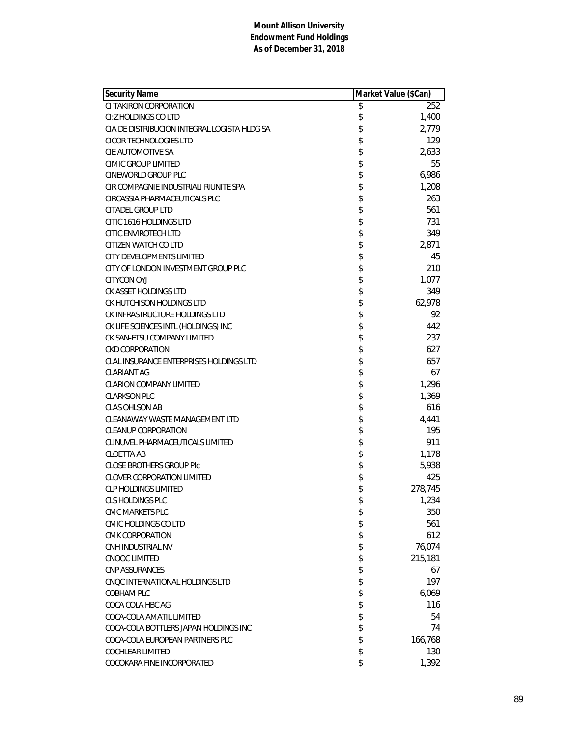| <b>Security Name</b>                         | Market Value (\$Can) |         |
|----------------------------------------------|----------------------|---------|
| CI TAKIRON CORPORATION                       | \$                   | 252     |
| CI: Z HOLDINGS CO LTD                        | \$                   | 1,400   |
| CIA DE DISTRIBUCION INTEGRAL LOGISTA HLDG SA | \$                   | 2,779   |
| CICOR TECHNOLOGIES LTD                       | \$                   | 129     |
| CIE AUTOMOTIVE SA                            | \$                   | 2,633   |
| <b>CIMIC GROUP LIMITED</b>                   | \$                   | 55      |
| CINEWORLD GROUP PLC                          | \$                   | 6,986   |
| CIR COMPAGNIE INDUSTRIALI RIUNITE SPA        | \$                   | 1,208   |
| CIRCASSIA PHARMACEUTICALS PLC                | \$                   | 263     |
| <b>CITADEL GROUP LTD</b>                     | \$                   | 561     |
| CITIC 1616 HOLDINGS LTD                      | \$                   | 731     |
| <b>CITIC ENVIROTECH LTD</b>                  | \$                   | 349     |
| CITIZEN WATCH CO LTD                         | \$                   | 2,871   |
| <b>CITY DEVELOPMENTS LIMITED</b>             | \$                   | 45      |
| CITY OF LONDON INVESTMENT GROUP PLC          | \$                   | 210     |
| <b>CITYCON OYJ</b>                           | \$                   | 1,077   |
| CK ASSET HOLDINGS LTD                        | \$                   | 349     |
| CK HUTCHISON HOLDINGS LTD                    | \$                   | 62,978  |
| CK INFRASTRUCTURE HOLDINGS LTD               | \$                   | 92      |
| CK LIFE SCIENCES INTL (HOLDINGS) INC         | \$                   | 442     |
| CK SAN-ETSU COMPANY LIMITED                  | \$                   | 237     |
| <b>CKD CORPORATION</b>                       | \$                   | 627     |
| CLAL INSURANCE ENTERPRISES HOLDINGS LTD      | \$                   | 657     |
| CLARIANT AG                                  | \$                   | 67      |
| <b>CLARION COMPANY LIMITED</b>               | \$                   | 1,296   |
| <b>CLARKSON PLC</b>                          | \$                   | 1,369   |
| <b>CLAS OHLSON AB</b>                        | \$                   | 616     |
| CLEANAWAY WASTE MANAGEMENT LTD               | \$                   | 4,441   |
| <b>CLEANUP CORPORATION</b>                   | \$                   | 195     |
| CLINUVEL PHARMACEUTICALS LIMITED             | \$                   | 911     |
| <b>CLOETTA AB</b>                            | \$                   | 1,178   |
| <b>CLOSE BROTHERS GROUP PIC</b>              | \$                   | 5,938   |
| <b>CLOVER CORPORATION LIMITED</b>            | \$                   | 425     |
| <b>CLP HOLDINGS LIMITED</b>                  | \$                   | 278,745 |
| CLS HOLDINGS PLC                             | \$                   | 1,234   |
| CMC MARKETS PLC                              | \$                   | 350     |
| <b>CMIC HOLDINGS CO LTD</b>                  | \$                   | 561     |
| <b>CMK CORPORATION</b>                       | \$                   | 612     |
| CNH INDUSTRIAL NV                            | \$                   | 76,074  |
| CNOOC LIMITED                                | \$                   | 215,181 |
| <b>CNP ASSURANCES</b>                        | \$                   | 67      |
| CNOC INTERNATIONAL HOLDINGS LTD              | \$                   | 197     |
| COBHAM PLC                                   | \$                   | 6,069   |
| COCA COLA HBC AG                             | \$                   | 116     |
| COCA-COLA AMATIL LIMITED                     | \$                   | 54      |
| COCA-COLA BOTTLERS JAPAN HOLDINGS INC        | \$                   | 74      |
| COCA-COLA EUROPEAN PARTNERS PLC              | \$                   | 166,768 |
| <b>COCHLEAR LIMITED</b>                      | \$                   | 130     |
| COCOKARA FINE INCORPORATED                   | \$                   | 1,392   |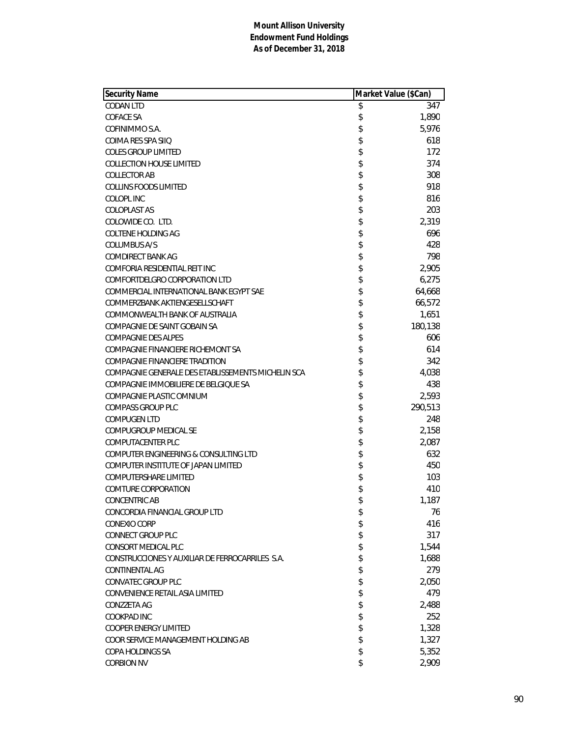| <b>Security Name</b>                               | Market Value (\$Can) |
|----------------------------------------------------|----------------------|
| <b>CODAN LTD</b>                                   | \$<br>347            |
| COFACE SA                                          | \$<br>1,890          |
| COFINIMMO S.A.                                     | \$<br>5,976          |
| COIMA RES SPA SIIO                                 | \$<br>618            |
| <b>COLES GROUP LIMITED</b>                         | \$<br>172            |
| <b>COLLECTION HOUSE LIMITED</b>                    | \$<br>374            |
| <b>COLLECTOR AB</b>                                | \$<br>308            |
| <b>COLLINS FOODS LIMITED</b>                       | \$<br>918            |
| COLOPL INC                                         | \$<br>816            |
| COLOPLAST AS                                       | \$<br>203            |
| COLOWIDE CO. LTD.                                  | \$<br>2,319          |
| COLTENE HOLDING AG                                 | \$<br>696            |
| COLUMBUS A/S                                       | \$<br>428            |
| <b>COMDIRECT BANK AG</b>                           | \$<br>798            |
| COMFORIA RESIDENTIAL REIT INC                      | \$<br>2,905          |
| COMFORTDELGRO CORPORATION LTD                      | \$<br>6,275          |
| COMMERCIAL INTERNATIONAL BANK EGYPT SAE            | \$<br>64,668         |
| COMMERZBANK AKTIENGESELLSCHAFT                     | \$<br>66,572         |
| COMMONWEALTH BANK OF AUSTRALIA                     | \$<br>1,651          |
| COMPAGNIE DE SAINT GOBAIN SA                       | \$<br>180,138        |
| <b>COMPAGNIE DES ALPES</b>                         | \$<br>606            |
| COMPAGNIE FINANCIERE RICHEMONT SA                  | \$<br>614            |
| COMPAGNIE FINANCIERE TRADITION                     | \$<br>342            |
| COMPAGNIE GENERALE DES ETABLISSEMENTS MICHELIN SCA | \$<br>4,038          |
| COMPAGNIE IMMOBILIERE DE BELGIQUE SA               | \$<br>438            |
| COMPAGNIE PLASTIC OMNIUM                           | \$<br>2,593          |
| <b>COMPASS GROUP PLC</b>                           | \$<br>290,513        |
| <b>COMPUGEN LTD</b>                                | \$<br>248            |
| COMPUGROUP MEDICAL SE                              | \$<br>2,158          |
| <b>COMPUTACENTER PLC</b>                           | \$<br>2,087          |
| COMPUTER ENGINEERING & CONSULTING LTD              | \$<br>632            |
| COMPUTER INSTITUTE OF JAPAN LIMITED                | \$<br>450            |
| COMPUTERSHARE LIMITED                              | \$<br>103            |
| <b>COMTURE CORPORATION</b>                         | \$<br>410            |
| <b>CONCENTRIC AB</b>                               | \$<br>1,187          |
| CONCORDIA FINANCIAL GROUP LTD                      | \$<br>76             |
| <b>CONEXIO CORP</b>                                | \$<br>416            |
| <b>CONNECT GROUP PLC</b>                           | \$<br>317            |
| <b>CONSORT MEDICAL PLC</b>                         | \$<br>1,544          |
| CONSTRUCCIONES Y AUXILIAR DE FERROCARRILES S.A.    | \$<br>1,688          |
| CONTINENTAL AG                                     | \$<br>279            |
| CONVATEC GROUP PLC                                 | \$<br>2,050          |
| CONVENIENCE RETAIL ASIA LIMITED                    | \$<br>479            |
| CONZZETA AG                                        | \$<br>2,488          |
| COOKPAD INC                                        | \$<br>252            |
| <b>COOPER ENERGY LIMITED</b>                       | \$<br>1,328          |
| COOR SERVICE MANAGEMENT HOLDING AB                 | \$<br>1,327          |
| COPA HOLDINGS SA                                   | \$<br>5,352          |
| <b>CORBION NV</b>                                  | \$<br>2,909          |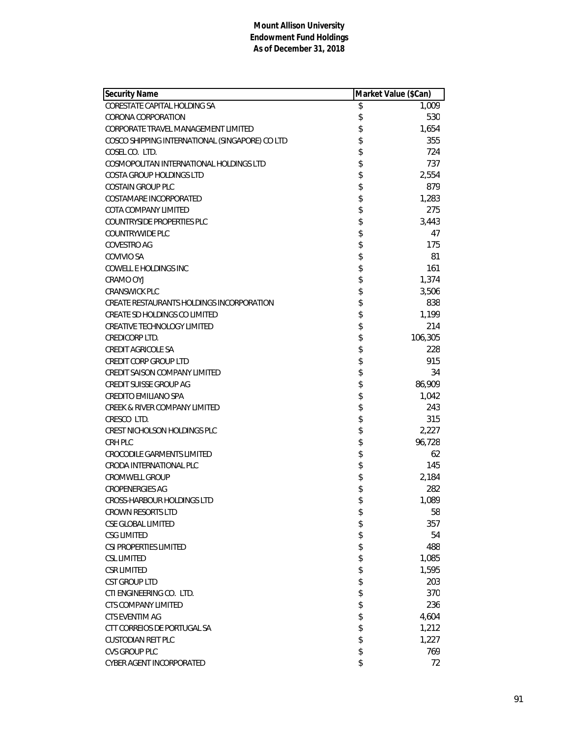| <b>Security Name</b>                            | Market Value (\$Can) |         |
|-------------------------------------------------|----------------------|---------|
| <b>CORESTATE CAPITAL HOLDING SA</b>             | \$                   | 1,009   |
| CORONA CORPORATION                              | \$                   | 530     |
| CORPORATE TRAVEL MANAGEMENT LIMITED             | \$                   | 1,654   |
| COSCO SHIPPING INTERNATIONAL (SINGAPORE) CO LTD | \$                   | 355     |
| COSEL CO. LTD.                                  | \$                   | 724     |
| COSMOPOLITAN INTERNATIONAL HOLDINGS LTD         | \$                   | 737     |
| COSTA GROUP HOLDINGS LTD                        | \$                   | 2,554   |
| <b>COSTAIN GROUP PLC</b>                        | \$                   | 879     |
| COSTAMARE INCORPORATED                          | \$                   | 1,283   |
| COTA COMPANY LIMITED                            | \$                   | 275     |
| <b>COUNTRYSIDE PROPERTIES PLC</b>               | \$                   | 3,443   |
| <b>COUNTRYWIDE PLC</b>                          | \$                   | 47      |
| <b>COVESTRO AG</b>                              | \$                   | 175     |
| COVIVIO SA                                      | \$                   | 81      |
| COWELL E HOLDINGS INC                           | \$                   | 161     |
| CRAMO OYJ                                       | \$                   | 1,374   |
| <b>CRANSWICK PLC</b>                            | \$                   | 3,506   |
| CREATE RESTAURANTS HOLDINGS INCORPORATION       | \$                   | 838     |
| CREATE SD HOLDINGS CO LIMITED                   | \$                   | 1,199   |
| CREATIVE TECHNOLOGY LIMITED                     | \$                   | 214     |
| CREDICORP LTD.                                  | \$                   | 106,305 |
| <b>CREDIT AGRICOLE SA</b>                       | \$                   | 228     |
| <b>CREDIT CORP GROUP LTD</b>                    | \$                   | 915     |
| CREDIT SAISON COMPANY LIMITED                   | \$                   | 34      |
| <b>CREDIT SUISSE GROUP AG</b>                   | \$                   | 86,909  |
| CREDITO EMILIANO SPA                            | \$                   | 1,042   |
| <b>CREEK &amp; RIVER COMPANY LIMITED</b>        | \$                   | 243     |
| CRESCO LTD.                                     | \$                   | 315     |
| CREST NICHOLSON HOLDINGS PLC                    | \$                   | 2,227   |
| CRH PLC                                         | \$                   | 96,728  |
| <b>CROCODILE GARMENTS LIMITED</b>               | \$                   | 62      |
| CRODA INTERNATIONAL PLC                         | \$                   | 145     |
| <b>CROMWELL GROUP</b>                           | \$                   | 2,184   |
| <b>CROPENERGIES AG</b>                          | \$                   | 282     |
| CROSS-HARBOUR HOLDINGS LTD                      | \$                   | 1,089   |
| <b>CROWN RESORTS LTD</b>                        | \$                   | 58      |
| CSE GLOBAL LIMITED                              | \$                   | 357     |
| <b>CSG LIMITED</b>                              | \$                   | 54      |
| CSI PROPERTIES LIMITED                          | \$                   | 488     |
| <b>CSL LIMITED</b>                              | \$                   | 1,085   |
| CSR LIMITED                                     | \$                   | 1,595   |
| <b>CST GROUP LTD</b>                            | \$                   | 203     |
| CTI ENGINEERING CO. LTD.                        | \$                   | 370     |
| CTS COMPANY LIMITED                             | \$                   | 236     |
| CTS EVENTIM AG                                  | \$                   | 4,604   |
| CTT CORREIOS DE PORTUGAL SA                     | \$                   | 1,212   |
| CUSTODIAN REIT PLC                              | \$                   | 1,227   |
| <b>CVS GROUP PLC</b>                            | \$                   | 769     |
| CYBER AGENT INCORPORATED                        | \$                   | 72      |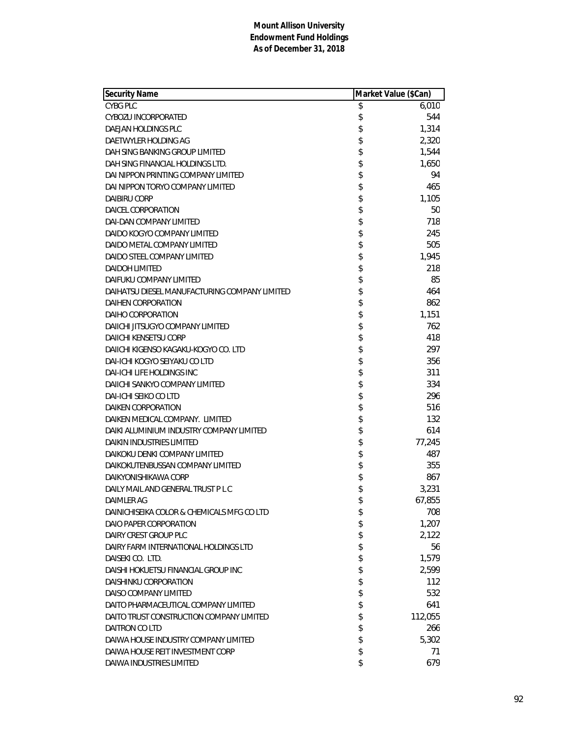| Security Name                                 | Market Value (\$Can) |         |
|-----------------------------------------------|----------------------|---------|
| <b>CYBG PLC</b>                               | \$                   | 6,010   |
| CYBOZU INCORPORATED                           | \$                   | 544     |
| DAEJAN HOLDINGS PLC                           | \$                   | 1,314   |
| DAETWYLER HOLDING AG                          | \$                   | 2,320   |
| DAH SING BANKING GROUP LIMITED                | \$                   | 1,544   |
| DAH SING FINANCIAL HOLDINGS LTD.              | \$                   | 1,650   |
| DAI NIPPON PRINTING COMPANY LIMITED           | \$                   | 94      |
| DAI NIPPON TORYO COMPANY LIMITED              | \$                   | 465     |
| DAIBIRU CORP                                  | \$                   | 1,105   |
| DAICEL CORPORATION                            | \$                   | 50      |
| <b>DAI-DAN COMPANY LIMITED</b>                | \$                   | 718     |
| DAIDO KOGYO COMPANY LIMITED                   | \$                   | 245     |
| DAIDO METAL COMPANY LIMITED                   | \$                   | 505     |
| DAIDO STEEL COMPANY LIMITED                   | \$                   | 1,945   |
| <b>DAIDOH LIMITED</b>                         | \$                   | 218     |
| DAIFUKU COMPANY LIMITED                       | \$                   | 85      |
| DAIHATSU DIESEL MANUFACTURING COMPANY LIMITED | \$                   | 464     |
| DAIHEN CORPORATION                            | \$                   | 862     |
| DAIHO CORPORATION                             | \$                   | 1,151   |
| DAIICHI JITSUGYO COMPANY LIMITED              | \$                   | 762     |
| DAIICHI KENSETSU CORP                         | \$                   | 418     |
| DAIICHI KIGENSO KAGAKU-KOGYO CO. LTD          | \$                   | 297     |
| DAI-ICHI KOGYO SEIYAKU CO LTD                 | \$                   | 356     |
| <b>DAI-ICHI LIFE HOLDINGS INC</b>             | \$                   | 311     |
| DAIICHI SANKYO COMPANY LIMITED                | \$                   | 334     |
| DAI-ICHI SEIKO CO LTD                         | \$                   | 296     |
| <b>DAIKEN CORPORATION</b>                     | \$                   | 516     |
| DAIKEN MEDICAL COMPANY. LIMITED               | \$                   | 132     |
| DAIKI ALUMINIUM INDUSTRY COMPANY LIMITED      | \$                   | 614     |
| <b>DAIKIN INDUSTRIES LIMITED</b>              | \$                   | 77,245  |
| DAIKOKU DENKI COMPANY LIMITED                 | \$                   | 487     |
| DAIKOKUTENBUSSAN COMPANY LIMITED              | \$                   | 355     |
| DAIKYONISHIKAWA CORP                          | \$                   | 867     |
| DAILY MAIL AND GENERAL TRUST P L C            | \$                   | 3,231   |
| DAIMLER AG                                    | \$                   | 67,855  |
| DAINICHISEIKA COLOR & CHEMICALS MFG CO LTD    | \$                   | 708     |
| DAIO PAPER CORPORATION                        | \$                   | 1,207   |
| DAIRY CREST GROUP PLC                         | \$                   | 2,122   |
| DAIRY FARM INTERNATIONAL HOLDINGS LTD         | \$                   | 56      |
| DAISEKI CO. LTD.                              | \$                   | 1,579   |
| DAISHI HOKUETSU FINANCIAL GROUP INC           | \$                   | 2,599   |
| DAISHINKU CORPORATION                         | \$                   | 112     |
| DAISO COMPANY LIMITED                         | \$                   | 532     |
| DAITO PHARMACEUTICAL COMPANY LIMITED          | \$                   | 641     |
| DAITO TRUST CONSTRUCTION COMPANY LIMITED      | \$                   | 112,055 |
| DAITRON CO LTD                                | \$                   | 266     |
| DAIWA HOUSE INDUSTRY COMPANY LIMITED          | \$                   | 5,302   |
| DAIWA HOUSE REIT INVESTMENT CORP              | \$                   | 71      |
| DAIWA INDUSTRIES LIMITED                      | \$                   | 679     |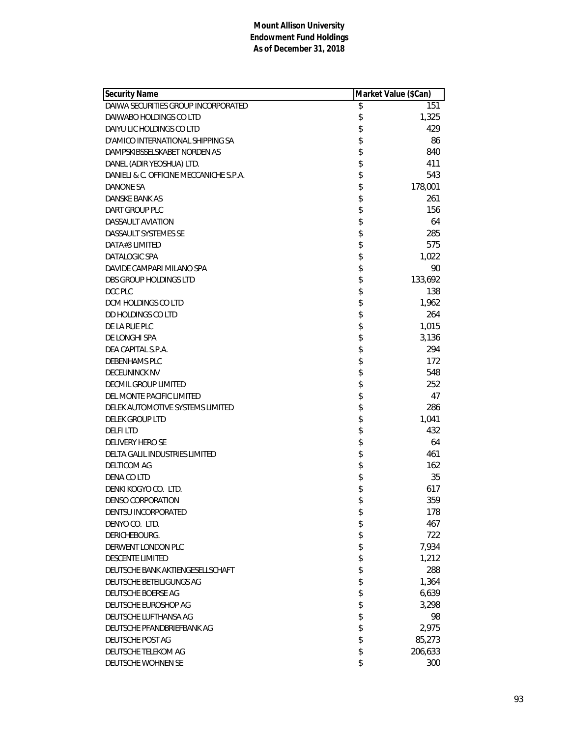| <b>Security Name</b>                    | Market Value (\$Can) |         |
|-----------------------------------------|----------------------|---------|
| DAIWA SECURITIES GROUP INCORPORATED     | \$                   | 151     |
| DAIWABO HOLDINGS CO LTD                 | \$                   | 1,325   |
| DAIYU LIC HOLDINGS CO LTD               | \$                   | 429     |
| D'AMICO INTERNATIONAL SHIPPING SA       | \$                   | 86      |
| DAMPSKIBSSELSKABET NORDEN AS            | \$                   | 840     |
| DANEL (ADIR YEOSHUA) LTD.               | \$                   | 411     |
| DANIELI & C. OFFICINE MECCANICHE S.P.A. | \$                   | 543     |
| DANONE SA                               | \$                   | 178,001 |
| DANSKE BANK AS                          | \$                   | 261     |
| DART GROUP PLC                          | \$                   | 156     |
| DASSAULT AVIATION                       | \$                   | 64      |
| DASSAULT SYSTEMES SE                    | \$                   | 285     |
| DATA#3 LIMITED                          | \$                   | 575     |
| DATALOGIC SPA                           | \$                   | 1,022   |
| DAVIDE CAMPARI MILANO SPA               | \$                   | 90      |
| DBS GROUP HOLDINGS LTD                  | \$                   | 133,692 |
| DCC PLC                                 | \$                   | 138     |
| DCM HOLDINGS CO LTD                     | \$                   | 1,962   |
| DD HOLDINGS CO LTD                      | \$                   | 264     |
| DE LA RUE PLC                           | \$                   | 1,015   |
| DE LONGHI SPA                           | \$                   | 3,136   |
| DEA CAPITAL S.P.A.                      | \$                   | 294     |
| DEBENHAMS PLC                           | \$                   | 172     |
| <b>DECEUNINCK NV</b>                    | \$                   | 548     |
| DECMIL GROUP LIMITED                    | \$                   | 252     |
| DEL MONTE PACIFIC LIMITED               | \$                   | 47      |
| DELEK AUTOMOTIVE SYSTEMS LIMITED        | \$                   | 286     |
| <b>DELEK GROUP LTD</b>                  | \$                   | 1,041   |
| <b>DELFILTD</b>                         | \$                   | 432     |
| DELIVERY HERO SE                        | \$                   | 64      |
| <b>DELTA GALIL INDUSTRIES LIMITED</b>   | \$                   | 461     |
| DELTICOM AG                             | \$                   | 162     |
| DENA CO LTD                             | \$                   | 35      |
| DENKI KOGYO CO. LTD.                    | \$                   | 617     |
| <b>DENSO CORPORATION</b>                | \$                   | 359     |
| DENTSU INCORPORATED                     | \$                   | 178     |
| DENYO CO. LTD.                          | \$                   | 467     |
| DERICHEBOURG.                           | \$                   | 722     |
| DERWENT LONDON PLC                      | \$                   | 7,934   |
| <b>DESCENTE LIMITED</b>                 | \$                   | 1,212   |
| DEUTSCHE BANK AKTIENGESELLSCHAFT        | \$                   | 288     |
| DEUTSCHE BETEILIGUNGS AG                | \$                   | 1,364   |
| DEUTSCHE BOERSE AG                      | \$                   | 6,639   |
| DEUTSCHE EUROSHOP AG                    | \$                   | 3,298   |
| DEUTSCHE LUFTHANSA AG                   | \$                   | 98      |
| DEUTSCHE PFANDBRIEFBANK AG              | \$                   | 2,975   |
| DEUTSCHE POST AG                        | \$                   | 85,273  |
| DEUTSCHE TELEKOM AG                     | \$                   | 206,633 |
| DEUTSCHE WOHNEN SE                      | \$                   | 300     |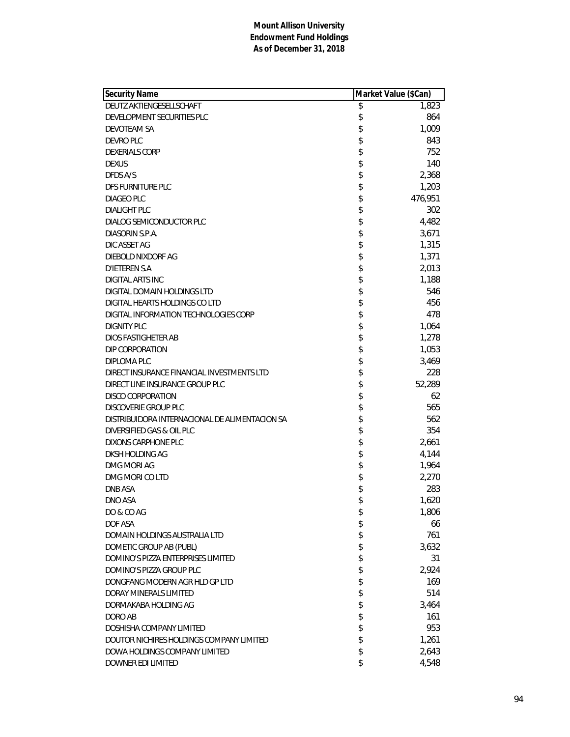| <b>Security Name</b>                           | Market Value (\$Can) |         |
|------------------------------------------------|----------------------|---------|
| DEUTZ AKTIENGESELLSCHAFT                       | \$                   | 1.823   |
| DEVELOPMENT SECURITIES PLC                     | \$                   | 864     |
| DEVOTEAM SA                                    | \$                   | 1,009   |
| DEVRO PLC                                      | \$                   | 843     |
| <b>DEXERIALS CORP</b>                          | \$                   | 752     |
| <b>DEXUS</b>                                   | \$                   | 140     |
| DFDS A/S                                       | \$                   | 2,368   |
| DFS FURNITURE PLC                              | \$                   | 1,203   |
| DIAGEO PLC                                     | \$                   | 476,951 |
| <b>DIALIGHT PLC</b>                            | \$                   | 302     |
| DIALOG SEMICONDUCTOR PLC                       | \$                   | 4,482   |
| DIASORIN S.P.A.                                | \$                   | 3,671   |
| DIC ASSET AG                                   | \$                   | 1,315   |
| DIEBOLD NIXDORF AG                             | \$                   | 1,371   |
| <b>D'IETEREN S.A</b>                           | \$                   | 2,013   |
| DIGITAL ARTS INC                               | \$                   | 1,188   |
| DIGITAL DOMAIN HOLDINGS LTD                    | \$                   | 546     |
| DIGITAL HEARTS HOLDINGS CO LTD                 | \$                   | 456     |
| DIGITAL INFORMATION TECHNOLOGIES CORP          | \$                   | 478     |
| <b>DIGNITY PLC</b>                             | \$                   | 1,064   |
| DIOS FASTIGHETER AB                            | \$                   | 1,278   |
| DIP CORPORATION                                | \$                   | 1,053   |
| DIPLOMA PLC                                    | \$                   | 3,469   |
| DIRECT INSURANCE FINANCIAL INVESTMENTS LTD     | \$                   | 228     |
| DIRECT LINE INSURANCE GROUP PLC                | \$                   | 52,289  |
| DISCO CORPORATION                              | \$                   | 62      |
| <b>DISCOVERIE GROUP PLC</b>                    | \$                   | 565     |
| DISTRIBUIDORA INTERNACIONAL DE ALIMENTACION SA | \$                   | 562     |
| DIVERSIFIED GAS & OIL PLC                      | \$                   | 354     |
| DIXONS CARPHONE PLC                            | \$                   | 2,661   |
| DKSH HOLDING AG                                | \$                   | 4,144   |
| DMG MORI AG                                    | \$                   | 1,964   |
| DMG MORI CO LTD                                | \$                   | 2,270   |
| <b>DNB ASA</b>                                 | \$                   | 283     |
| DNO ASA                                        | \$                   | 1,620   |
| DO & CO AG                                     | \$                   | 1,806   |
| DOF ASA                                        | \$                   | 66      |
| DOMAIN HOLDINGS AUSTRALIA LTD                  | \$                   | 761     |
| DOMETIC GROUP AB (PUBL)                        | \$                   | 3,632   |
| <b>DOMINO'S PIZZA ENTERPRISES LIMITED</b>      | \$                   | 31      |
| DOMINO'S PIZZA GROUP PLC                       | \$                   | 2,924   |
| DONGFANG MODERN AGR HLD GP LTD                 | \$                   | 169     |
| DORAY MINERALS LIMITED                         | \$                   | 514     |
| DORMAKABA HOLDING AG                           | \$                   | 3,464   |
| DORO AB                                        | \$                   | 161     |
| DOSHISHA COMPANY LIMITED                       | \$                   | 953     |
| DOUTOR NICHIRES HOLDINGS COMPANY LIMITED       | \$                   | 1,261   |
| DOWA HOLDINGS COMPANY LIMITED                  | \$                   | 2,643   |
| DOWNER EDI LIMITED                             | \$                   | 4,548   |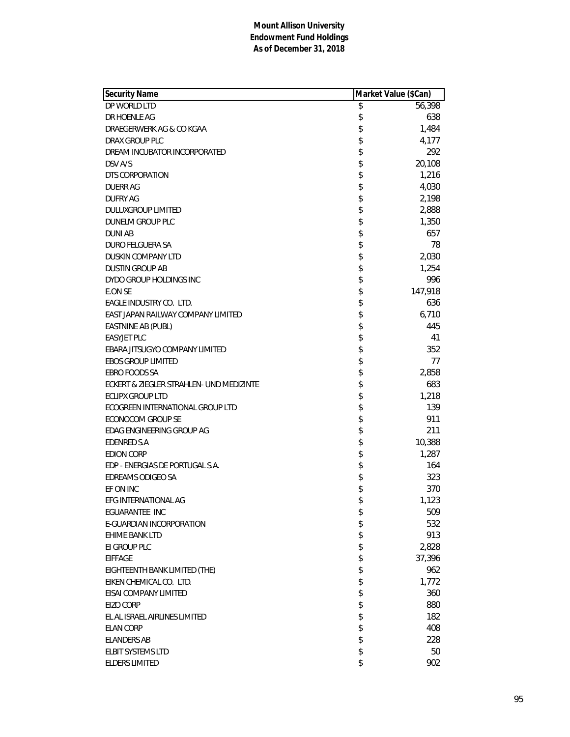| <b>Security Name</b>                     | Market Value (\$Can) |         |
|------------------------------------------|----------------------|---------|
| DP WORLD LTD                             | \$                   | 56,398  |
| DR HOENLE AG                             | \$                   | 638     |
| DRAEGERWERK AG & CO KGAA                 | \$                   | 1,484   |
| DRAX GROUP PLC                           | \$                   | 4,177   |
| DREAM INCUBATOR INCORPORATED             | \$                   | 292     |
| DSV A/S                                  | \$                   | 20,108  |
| DTS CORPORATION                          | \$                   | 1,216   |
| <b>DUERR AG</b>                          | \$                   | 4,030   |
| <b>DUFRY AG</b>                          | \$                   | 2,198   |
| <b>DULUXGROUP LIMITED</b>                | \$                   | 2,888   |
| <b>DUNELM GROUP PLC</b>                  | \$                   | 1,350   |
| <b>DUNIAB</b>                            | \$                   | 657     |
| <b>DURO FELGUERA SA</b>                  | \$                   | 78      |
| DUSKIN COMPANY LTD                       | \$                   | 2,030   |
| <b>DUSTIN GROUP AB</b>                   | \$                   | 1,254   |
| DYDO GROUP HOLDINGS INC                  | \$                   | 996     |
| <b>E.ON SE</b>                           | \$                   | 147,918 |
| EAGLE INDUSTRY CO. LTD.                  | \$                   | 636     |
| EAST JAPAN RAILWAY COMPANY LIMITED       | \$                   | 6,710   |
| EASTNINE AB (PUBL)                       | \$                   | 445     |
| <b>EASYJET PLC</b>                       | \$                   | 41      |
| EBARA JITSUGYO COMPANY LIMITED           | \$                   | 352     |
| <b>EBOS GROUP LIMITED</b>                | \$                   | 77      |
| EBRO FOODS SA                            | \$                   | 2,858   |
| ECKERT & ZIEGLER STRAHLEN- UND MEDIZINTE | \$                   | 683     |
| <b>ECLIPX GROUP LTD</b>                  | \$                   | 1,218   |
| ECOGREEN INTERNATIONAL GROUP LTD         | \$                   | 139     |
| <b>ECONOCOM GROUP SE</b>                 | \$                   | 911     |
| EDAG ENGINEERING GROUP AG                | \$                   | 211     |
| <b>EDENRED S.A</b>                       | \$                   | 10,388  |
| <b>EDION CORP</b>                        | \$                   | 1,287   |
| EDP - ENERGIAS DE PORTUGAL S.A.          | \$                   | 164     |
| EDREAMS ODIGEO SA                        | \$                   | 323     |
| EF ON INC                                | \$                   | 370     |
| EFG INTERNATIONAL AG                     | \$                   | 1,123   |
| <b>EGUARANTEE INC</b>                    | \$                   | 509     |
| E-GUARDIAN INCORPORATION                 | \$                   | 532     |
| <b>EHIME BANK LTD</b>                    | \$                   | 913     |
| EI GROUP PLC                             | \$                   | 2,828   |
| <b>EIFFAGE</b>                           | \$                   | 37,396  |
| EIGHTEENTH BANK LIMITED (THE)            | \$<br>\$             | 962     |
| EIKEN CHEMICAL CO. LTD.                  |                      | 1,772   |
| EISAI COMPANY LIMITED                    | \$                   | 360     |
| EIZO CORP                                | \$                   | 880     |
| EL AL ISRAEL AIRLINES LIMITED            | \$                   | 182     |
| <b>ELAN CORP</b>                         | \$                   | 408     |
| <b>ELANDERS AB</b>                       | \$                   | 228     |
| ELBIT SYSTEMS LTD                        | \$                   | 50      |
| <b>ELDERS LIMITED</b>                    | \$                   | 902     |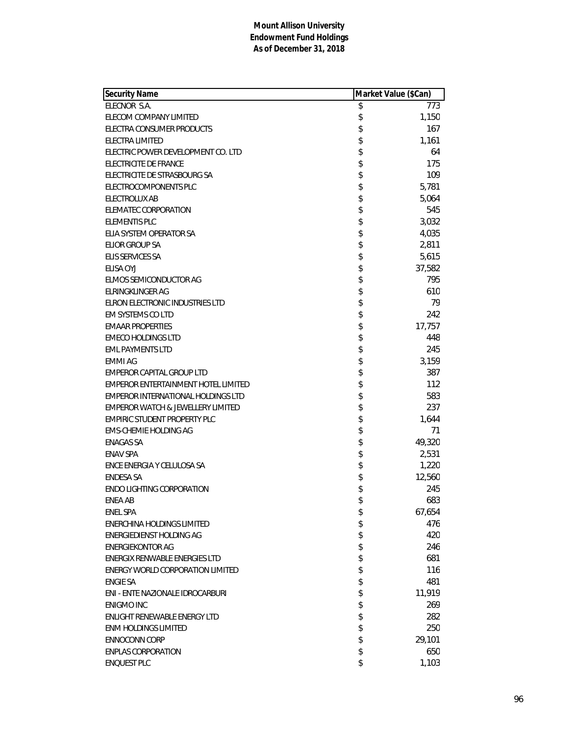| <b>Security Name</b>                         | Market Value (\$Can) |        |
|----------------------------------------------|----------------------|--------|
| ELECNOR S.A.                                 | \$                   | 773    |
| ELECOM COMPANY LIMITED                       | \$                   | 1,150  |
| ELECTRA CONSUMER PRODUCTS                    | \$                   | 167    |
| ELECTRA LIMITED                              | \$                   | 1,161  |
| ELECTRIC POWER DEVELOPMENT CO. LTD           | \$                   | 64     |
| ELECTRICITE DE FRANCE                        | \$                   | 175    |
| ELECTRICITE DE STRASBOURG SA                 | \$                   | 109    |
| ELECTROCOMPONENTS PLC                        | \$                   | 5,781  |
| <b>ELECTROLUX AB</b>                         | \$                   | 5,064  |
| <b>ELEMATEC CORPORATION</b>                  | \$                   | 545    |
| ELEMENTIS PLC                                | \$                   | 3,032  |
| ELIA SYSTEM OPERATOR SA                      | \$                   | 4,035  |
| <b>ELIOR GROUP SA</b>                        | \$                   | 2,811  |
| <b>ELIS SERVICES SA</b>                      | \$                   | 5,615  |
| ELISA OYJ                                    | \$                   | 37,582 |
| ELMOS SEMICONDUCTOR AG                       | \$                   | 795    |
| ELRINGKLINGER AG                             | \$                   | 610    |
| ELRON ELECTRONIC INDUSTRIES LTD              | \$                   | 79     |
| EM SYSTEMS CO LTD                            | \$                   | 242    |
| <b>EMAAR PROPERTIES</b>                      | \$                   | 17,757 |
| <b>EMECO HOLDINGS LTD</b>                    | \$                   | 448    |
| <b>EML PAYMENTS LTD</b>                      | \$                   | 245    |
| <b>EMMI AG</b>                               | \$                   | 3,159  |
| EMPEROR CAPITAL GROUP LTD                    | \$                   | 387    |
| <b>EMPEROR ENTERTAINMENT HOTEL LIMITED</b>   | \$                   | 112    |
| <b>EMPEROR INTERNATIONAL HOLDINGS LTD</b>    | \$                   | 583    |
| <b>EMPEROR WATCH &amp; JEWELLERY LIMITED</b> | \$                   | 237    |
| <b>EMPIRIC STUDENT PROPERTY PLC</b>          | \$                   | 1,644  |
| EMS-CHEMIE HOLDING AG                        | \$                   | 71     |
| <b>ENAGAS SA</b>                             | \$                   | 49,320 |
| <b>ENAV SPA</b>                              | \$                   | 2,531  |
| ENCE ENERGIA Y CELULOSA SA                   | \$                   | 1,220  |
| <b>ENDESA SA</b>                             | \$                   | 12,560 |
| <b>ENDO LIGHTING CORPORATION</b>             | \$                   | 245    |
| ENEA AB                                      | \$                   | 683    |
| <b>ENEL SPA</b>                              | \$                   | 67,654 |
| ENERCHINA HOLDINGS LIMITED                   | \$                   | 476    |
| <b>ENERGIEDIENST HOLDING AG</b>              | \$                   | 420    |
| <b>ENERGIEKONTOR AG</b>                      | \$                   | 246    |
| ENERGIX RENWABLE ENERGIES LTD                | \$                   | 681    |
| ENERGY WORLD CORPORATION LIMITED             | \$                   | 116    |
| <b>ENGIE SA</b>                              | \$                   | 481    |
| ENI - ENTE NAZIONALE IDROCARBURI             | \$                   | 11,919 |
| <b>ENIGMO INC</b>                            | \$                   | 269    |
| ENLIGHT RENEWABLE ENERGY LTD                 | \$                   | 282    |
| <b>ENM HOLDINGS LIMITED</b>                  | \$                   | 250    |
| <b>ENNOCONN CORP</b>                         | \$                   | 29,101 |
| <b>ENPLAS CORPORATION</b>                    | \$                   | 650    |
| <b>ENQUEST PLC</b>                           | \$                   | 1,103  |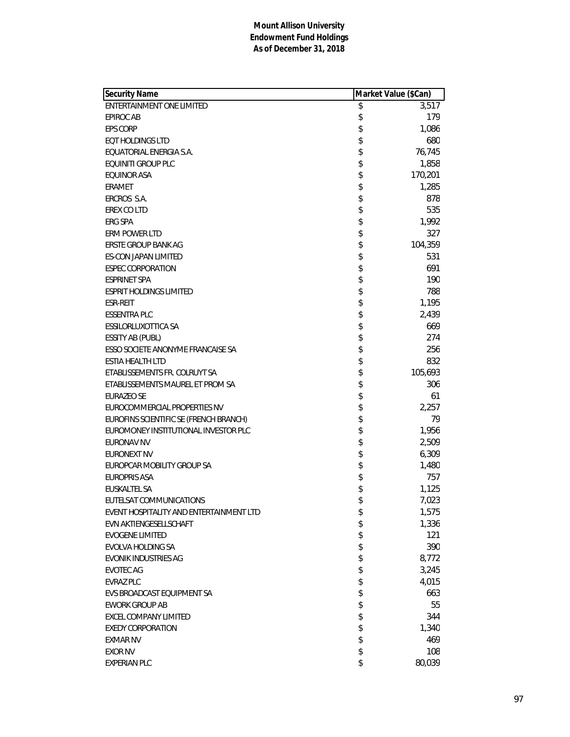| <b>Security Name</b>                    | Market Value (\$Can) |         |
|-----------------------------------------|----------------------|---------|
| ENTERTAINMENT ONE LIMITED               | \$                   | 3,517   |
| <b>EPIROC AB</b>                        | \$                   | 179     |
| <b>EPS CORP</b>                         | \$                   | 1,086   |
| <b>EQT HOLDINGS LTD</b>                 | \$                   | 680     |
| EQUATORIAL ENERGIA S.A.                 | \$                   | 76,745  |
| EQUINITI GROUP PLC                      | \$                   | 1,858   |
| EQUINOR ASA                             | \$                   | 170,201 |
| ERAMET                                  | \$                   | 1,285   |
| ERCROS S.A.                             | \$                   | 878     |
| EREX CO LTD                             | \$                   | 535     |
| ERG SPA                                 | \$                   | 1,992   |
| ERM POWER LTD                           | \$                   | 327     |
| <b>ERSTE GROUP BANK AG</b>              | \$                   | 104,359 |
| ES-CON JAPAN LIMITED                    | \$                   | 531     |
| <b>ESPEC CORPORATION</b>                | \$                   | 691     |
| <b>ESPRINET SPA</b>                     | \$                   | 190     |
| ESPRIT HOLDINGS LIMITED                 | \$                   | 788     |
| <b>ESR-REIT</b>                         | \$                   | 1,195   |
| <b>ESSENTRA PLC</b>                     | \$                   | 2,439   |
| ESSILORLUXOTTICA SA                     | \$                   | 669     |
| ESSITY AB (PUBL)                        | \$                   | 274     |
| ESSO SOCIETE ANONYME FRANCAISE SA       | \$                   | 256     |
| ESTIA HEALTH LTD                        | \$                   | 832     |
| ETABLISSEMENTS FR. COLRUYT SA           | \$                   | 105,693 |
| ETABLISSEMENTS MAUREL ET PROM SA        | \$                   | 306     |
| <b>EURAZEO SE</b>                       | \$                   | 61      |
| EUROCOMMERCIAL PROPERTIES NV            | \$                   | 2,257   |
| EUROFINS SCIENTIFIC SE (FRENCH BRANCH)  | \$                   | 79      |
| EUROMONEY INSTITUTIONAL INVESTOR PLC    | \$                   | 1,956   |
| <b>EURONAV NV</b>                       | \$                   | 2,509   |
| EURONEXT NV                             | \$                   | 6,309   |
| EUROPCAR MOBILITY GROUP SA              | \$                   | 1,480   |
| <b>EUROPRIS ASA</b>                     | \$                   | 757     |
| EUSKALTEL SA                            | \$                   | 1,125   |
| EUTELSAT COMMUNICATIONS                 | \$                   | 7,023   |
| EVENT HOSPITALITY AND ENTERTAINMENT LTD | \$                   | 1,575   |
| EVN AKTIENGESELLSCHAFT                  | \$                   | 1,336   |
| <b>EVOGENE LIMITED</b>                  | \$                   | 121     |
| <b>EVOLVA HOLDING SA</b>                | \$                   | 390     |
| <b>EVONIK INDUSTRIES AG</b>             | \$                   | 8,772   |
| <b>EVOTEC AG</b>                        | \$                   | 3,245   |
| <b>EVRAZ PLC</b>                        | \$                   | 4,015   |
| EVS BROADCAST EQUIPMENT SA              | \$                   | 663     |
| <b>EWORK GROUP AB</b>                   | \$                   | 55      |
| EXCEL COMPANY LIMITED                   | \$                   | 344     |
| <b>EXEDY CORPORATION</b>                | \$                   | 1,340   |
| <b>EXMAR NV</b>                         | \$                   | 469     |
| <b>EXOR NV</b>                          | \$                   | 108     |
| <b>EXPERIAN PLC</b>                     | \$                   | 80,039  |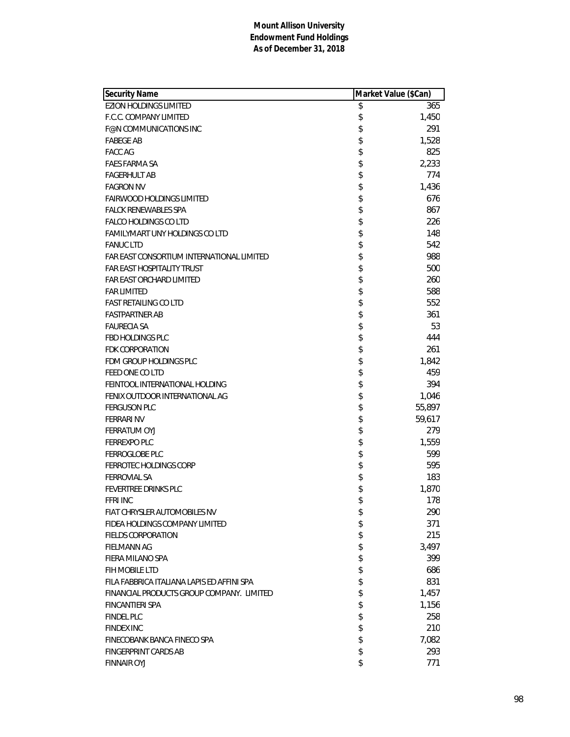| <b>Security Name</b>                       | Market Value (\$Can) |
|--------------------------------------------|----------------------|
| <b>EZION HOLDINGS LIMITED</b>              | \$<br>365            |
| F.C.C. COMPANY LIMITED                     | \$<br>1,450          |
| F@N COMMUNICATIONS INC                     | \$<br>291            |
| <b>FABEGE AB</b>                           | \$<br>1,528          |
| <b>FACC AG</b>                             | \$<br>825            |
| <b>FAES FARMA SA</b>                       | \$<br>2,233          |
| <b>FAGERHULT AB</b>                        | \$<br>774            |
| <b>FAGRON NV</b>                           | \$<br>1,436          |
| <b>FAIRWOOD HOLDINGS LIMITED</b>           | \$<br>676            |
| <b>FALCK RENEWABLES SPA</b>                | \$<br>867            |
| <b>FALCO HOLDINGS CO LTD</b>               | \$<br>226            |
| <b>FAMILYMART UNY HOLDINGS CO LTD</b>      | \$<br>148            |
| <b>FANUC LTD</b>                           | \$<br>542            |
| FAR EAST CONSORTIUM INTERNATIONAL LIMITED  | \$<br>988            |
| <b>FAR EAST HOSPITALITY TRUST</b>          | \$<br>500            |
| FAR EAST ORCHARD LIMITED                   | \$<br>260            |
| <b>FAR LIMITED</b>                         | \$<br>588            |
| <b>FAST RETAILING CO LTD</b>               | \$<br>552            |
| <b>FASTPARTNER AB</b>                      | \$<br>361            |
| <b>FAURECIA SA</b>                         | \$<br>53             |
| <b>FBD HOLDINGS PLC</b>                    | \$<br>444            |
| FDK CORPORATION                            | \$<br>261            |
| FDM GROUP HOLDINGS PLC                     | \$<br>1,842          |
| FEED ONE CO LTD                            | \$<br>459            |
| FEINTOOL INTERNATIONAL HOLDING             | \$<br>394            |
| FENIX OUTDOOR INTERNATIONAL AG             | \$<br>1,046          |
| <b>FERGUSON PLC</b>                        | \$<br>55,897         |
| <b>FERRARI NV</b>                          | \$<br>59,617         |
| <b>FERRATUM OYJ</b>                        | \$<br>279            |
| <b>FERREXPO PLC</b>                        | \$<br>1,559          |
| FERROGLOBE PLC                             | \$<br>599            |
| FERROTEC HOLDINGS CORP                     | \$<br>595            |
| <b>FERROVIAL SA</b>                        | \$<br>183            |
| FEVERTREE DRINKS PLC                       | \$<br>1,870          |
| <b>FFRI INC</b>                            | \$<br>178            |
| FIAT CHRYSLER AUTOMOBILES NV               | \$<br>290            |
| FIDEA HOLDINGS COMPANY LIMITED             | \$<br>371            |
| <b>FIELDS CORPORATION</b>                  | \$<br>215            |
| <b>FIELMANN AG</b>                         | \$<br>3,497          |
| FIERA MILANO SPA                           | \$<br>399            |
| FIH MOBILE LTD                             | \$<br>686            |
| FILA FABBRICA ITALIANA LAPIS ED AFFINI SPA | \$<br>831            |
| FINANCIAL PRODUCTS GROUP COMPANY. LIMITED  | \$<br>1,457          |
| FINCANTIERI SPA                            | \$<br>1,156          |
| <b>FINDEL PLC</b>                          | \$<br>258            |
| <b>FINDEX INC</b>                          | \$<br>210            |
| FINECOBANK BANCA FINECO SPA                | \$<br>7,082          |
| <b>FINGERPRINT CARDS AB</b>                | \$<br>293            |
| <b>FINNAIR OYJ</b>                         | \$<br>771            |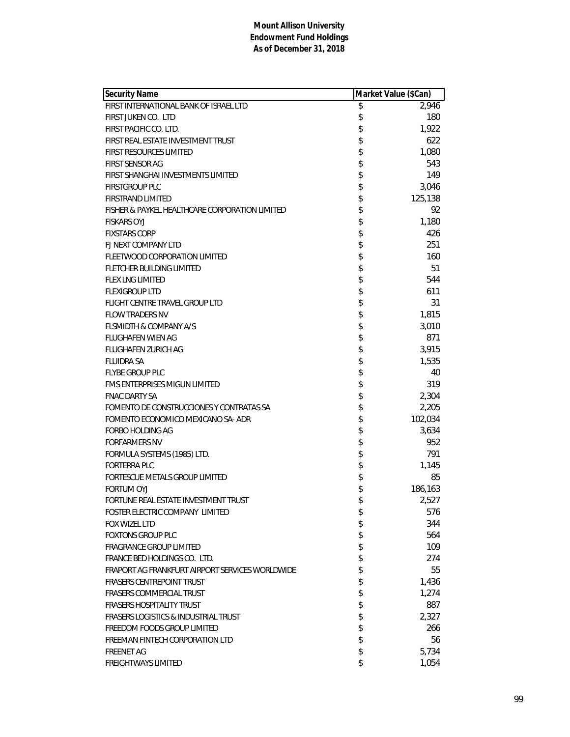| <b>Security Name</b>                            | Market Value (\$Can) |
|-------------------------------------------------|----------------------|
| FIRST INTERNATIONAL BANK OF ISRAEL LTD          | \$<br>2,946          |
| FIRST JUKEN CO. LTD                             | \$<br>180            |
| FIRST PACIFIC CO. LTD.                          | \$<br>1,922          |
| FIRST REAL ESTATE INVESTMENT TRUST              | \$<br>622            |
| <b>FIRST RESOURCES LIMITED</b>                  | \$<br>1,080          |
| <b>FIRST SENSOR AG</b>                          | \$<br>543            |
| FIRST SHANGHAI INVESTMENTS LIMITED              | \$<br>149            |
| <b>FIRSTGROUP PLC</b>                           | \$<br>3,046          |
| <b>FIRSTRAND LIMITED</b>                        | \$<br>125,138        |
| FISHER & PAYKEL HEALTHCARE CORPORATION LIMITED  | \$<br>92             |
| <b>FISKARS OYJ</b>                              | \$<br>1,180          |
| <b>FIXSTARS CORP</b>                            | \$<br>426            |
| FJ NEXT COMPANY LTD                             | \$<br>251            |
| FLEETWOOD CORPORATION LIMITED                   | \$<br>160            |
| FLETCHER BUILDING LIMITED                       | \$<br>51             |
| <b>FLEX LNG LIMITED</b>                         | \$<br>544            |
| <b>FLEXIGROUP LTD</b>                           | \$<br>611            |
| FLIGHT CENTRE TRAVEL GROUP LTD                  | \$<br>31             |
| <b>FLOW TRADERS NV</b>                          | \$<br>1,815          |
| <b>FLSMIDTH &amp; COMPANY A/S</b>               | \$<br>3,010          |
| <b>FLUGHAFEN WIEN AG</b>                        | \$<br>871            |
| <b>FLUGHAFEN ZURICH AG</b>                      | \$<br>3,915          |
| <b>FLUIDRA SA</b>                               | \$<br>1,535          |
| <b>FLYBE GROUP PLC</b>                          | \$<br>40             |
| FMS ENTERPRISES MIGUN LIMITED                   | \$<br>319            |
| <b>FNAC DARTY SA</b>                            | \$<br>2,304          |
| FOMENTO DE CONSTRUCCIONES Y CONTRATAS SA        | \$<br>2,205          |
| FOMENTO ECONOMICO MEXICANO SA-ADR               | \$<br>102,034        |
| FORBO HOLDING AG                                | \$<br>3,634          |
| <b>FORFARMERS NV</b>                            | \$<br>952            |
| FORMULA SYSTEMS (1985) LTD.                     | \$<br>791            |
| <b>FORTERRA PLC</b>                             | \$<br>1,145          |
| FORTESCUE METALS GROUP LIMITED                  | \$<br>85             |
| <b>FORTUM OYJ</b>                               | \$<br>186,163        |
| FORTUNE REAL ESTATE INVESTMENT TRUST            | \$<br>2,527          |
| FOSTER ELECTRIC COMPANY LIMITED                 | \$<br>576            |
| <b>FOX WIZEL LTD</b>                            | \$<br>344            |
| <b>FOXTONS GROUP PLC</b>                        | \$<br>564            |
| <b>FRAGRANCE GROUP LIMITED</b>                  | \$<br>109            |
| FRANCE BED HOLDINGS CO. LTD.                    | \$<br>274            |
| FRAPORT AG FRANKFURT AIRPORT SERVICES WORLDWIDE | \$<br>55             |
| <b>FRASERS CENTREPOINT TRUST</b>                | \$<br>1,436          |
| <b>FRASERS COMMERCIAL TRUST</b>                 | \$<br>1,274          |
| <b>FRASERS HOSPITALITY TRUST</b>                | \$<br>887            |
| <b>FRASERS LOGISTICS &amp; INDUSTRIAL TRUST</b> | \$<br>2,327          |
| FREEDOM FOODS GROUP LIMITED                     | \$<br>266            |
| FREEMAN FINTECH CORPORATION LTD                 | \$<br>56             |
| <b>FREENET AG</b>                               | \$<br>5,734          |
| <b>FREIGHTWAYS LIMITED</b>                      | \$<br>1,054          |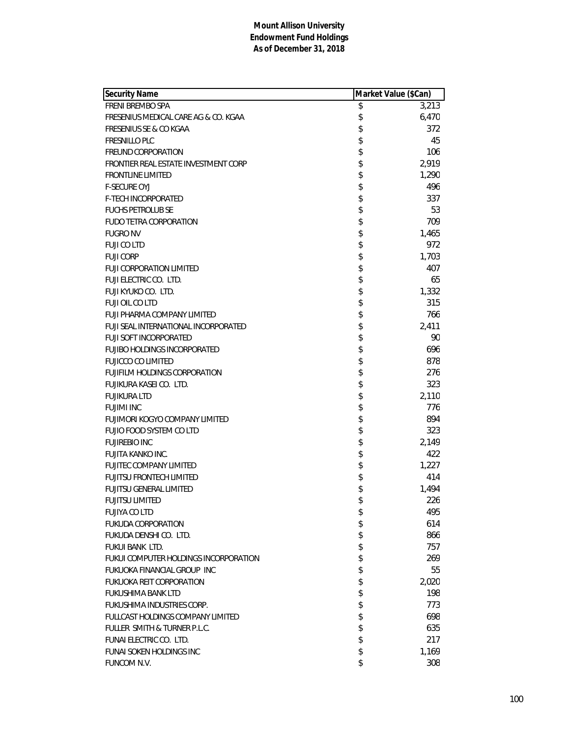| <b>Security Name</b>                  | Market Value (\$Can) |       |
|---------------------------------------|----------------------|-------|
| FRENI BREMBO SPA                      | \$                   | 3,213 |
| FRESENIUS MEDICAL CARE AG & CO. KGAA  | \$                   | 6,470 |
| <b>FRESENIUS SE &amp; CO KGAA</b>     | \$                   | 372   |
| <b>FRESNILLO PLC</b>                  | \$                   | 45    |
| <b>FREUND CORPORATION</b>             | \$                   | 106   |
| FRONTIER REAL ESTATE INVESTMENT CORP  | \$                   | 2,919 |
| <b>FRONTLINE LIMITED</b>              | \$                   | 1,290 |
| <b>F-SECURE OYJ</b>                   | \$                   | 496   |
| <b>F-TECH INCORPORATED</b>            | \$                   | 337   |
| <b>FUCHS PETROLUB SE</b>              | \$                   | 53    |
| <b>FUDO TETRA CORPORATION</b>         | \$                   | 709   |
| <b>FUGRO NV</b>                       | \$                   | 1,465 |
| <b>FUJI CO LTD</b>                    | \$                   | 972   |
| <b>FUJI CORP</b>                      | \$                   | 1,703 |
| <b>FUJI CORPORATION LIMITED</b>       | \$                   | 407   |
| FUJI ELECTRIC CO. LTD.                | \$                   | 65    |
| FUJI KYUKO CO. LTD.                   | \$                   | 1,332 |
| FUJI OIL CO LTD                       | \$                   | 315   |
| FUJI PHARMA COMPANY LIMITED           | \$                   | 766   |
| FUJI SEAL INTERNATIONAL INCORPORATED  | \$                   | 2,411 |
| <b>FUJI SOFT INCORPORATED</b>         | \$                   | 90    |
| FUJIBO HOLDINGS INCORPORATED          | \$                   | 696   |
| <b>FUJICCO CO LIMITED</b>             | \$                   | 878   |
| <b>FUJIFILM HOLDINGS CORPORATION</b>  | \$                   | 276   |
| FUJIKURA KASEI CO. LTD.               | \$                   | 323   |
| <b>FUJIKURA LTD</b>                   | \$                   | 2,110 |
| <b>FUJIMI INC</b>                     | \$                   | 776   |
| FUJIMORI KOGYO COMPANY LIMITED        | \$                   | 894   |
| FUJIO FOOD SYSTEM CO LTD              | \$                   | 323   |
| <b>FUJIREBIO INC</b>                  | \$                   | 2,149 |
| FUJITA KANKO INC.                     | \$                   | 422   |
| <b>FUJITEC COMPANY LIMITED</b>        | \$                   | 1,227 |
| <b>FUJITSU FRONTECH LIMITED</b>       | \$                   | 414   |
| <b>FUJITSU GENERAL LIMITED</b>        | \$                   | 1,494 |
| <b>FUJITSU LIMITED</b>                | \$                   | 226   |
| <b>FUJIYA CO LTD</b>                  | \$                   | 495   |
| <b>FUKUDA CORPORATION</b>             | \$                   | 614   |
| FUKUDA DENSHI CO. LTD.                | \$                   | 866   |
| FUKUI BANK LTD.                       | \$                   | 757   |
| FUKUI COMPUTER HOLDINGS INCORPORATION | \$                   | 269   |
| FUKUOKA FINANCIAL GROUP INC           | \$                   | 55    |
| <b>FUKUOKA REIT CORPORATION</b>       | \$                   | 2,020 |
| <b>FUKUSHIMA BANK LTD</b>             | \$                   | 198   |
| FUKUSHIMA INDUSTRIES CORP.            | \$                   | 773   |
| FULLCAST HOLDINGS COMPANY LIMITED     | \$                   | 698   |
| FULLER SMITH & TURNER P.L.C.          | \$                   | 635   |
| FUNAI ELECTRIC CO. LTD.               | \$                   | 217   |
| <b>FUNAI SOKEN HOLDINGS INC</b>       | \$                   | 1,169 |
| FUNCOM N.V.                           | \$                   | 308   |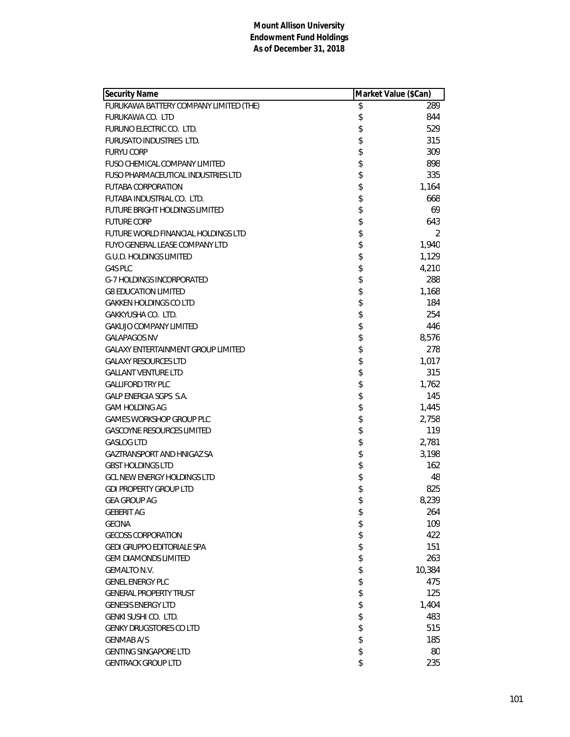| <b>Security Name</b>                      | Market Value (\$Can) |
|-------------------------------------------|----------------------|
| FURUKAWA BATTERY COMPANY LIMITED (THE)    | \$<br>289            |
| FURUKAWA CO. LTD                          | \$<br>844            |
| FURUNO ELECTRIC CO. LTD.                  | \$<br>529            |
| FURUSATO INDUSTRIES LTD.                  | \$<br>315            |
| <b>FURYU CORP</b>                         | \$<br>309            |
| FUSO CHEMICAL COMPANY LIMITED             | \$<br>898            |
| FUSO PHARMACEUTICAL INDUSTRIES LTD        | \$<br>335            |
| <b>FUTABA CORPORATION</b>                 | \$<br>1,164          |
| FUTABA INDUSTRIAL CO. LTD.                | \$<br>668            |
| <b>FUTURE BRIGHT HOLDINGS LIMITED</b>     | \$<br>69             |
| <b>FUTURE CORP</b>                        | \$<br>643            |
| FUTURE WORLD FINANCIAL HOLDINGS LTD       | \$<br>2              |
| <b>FUYO GENERAL LEASE COMPANY LTD</b>     | \$<br>1,940          |
| G.U.D. HOLDINGS LIMITED                   | \$<br>1,129          |
| G4S PLC                                   | \$<br>4,210          |
| <b>G-7 HOLDINGS INCORPORATED</b>          | \$<br>288            |
| <b>G8 EDUCATION LIMITED</b>               | \$<br>1,168          |
| <b>GAKKEN HOLDINGS CO LTD</b>             | \$<br>184            |
| GAKKYUSHA CO. LTD.                        | \$<br>254            |
| <b>GAKUJO COMPANY LIMITED</b>             | \$<br>446            |
| <b>GALAPAGOS NV</b>                       | \$<br>8,576          |
| <b>GALAXY ENTERTAINMENT GROUP LIMITED</b> | \$<br>278            |
| <b>GALAXY RESOURCES LTD</b>               | \$<br>1,017          |
| <b>GALLANT VENTURE LTD</b>                | \$<br>315            |
| <b>GALLIFORD TRY PLC</b>                  | \$<br>1,762          |
| GALP ENERGIA SGPS S.A.                    | \$<br>145            |
| GAM HOLDING AG                            | \$<br>1,445          |
| <b>GAMES WORKSHOP GROUP PLC</b>           | \$<br>2,758          |
| <b>GASCOYNE RESOURCES LIMITED</b>         | \$<br>119            |
| <b>GASLOG LTD</b>                         | \$<br>2,781          |
| GAZTRANSPORT AND HNIGAZ SA                | \$<br>3,198          |
| <b>GBST HOLDINGS LTD</b>                  | \$<br>162            |
| <b>GCL NEW ENERGY HOLDINGS LTD</b>        | \$<br>48             |
| <b>GDI PROPERTY GROUP LTD</b>             | \$<br>825            |
| <b>GEA GROUP AG</b>                       | \$<br>8,239          |
| <b>GEBERIT AG</b>                         | \$<br>264            |
| <b>GECINA</b>                             | \$<br>109            |
| <b>GECOSS CORPORATION</b>                 | \$<br>422            |
| GEDI GRUPPO EDITORIALE SPA                | \$<br>151            |
| <b>GEM DIAMONDS LIMITED</b>               | \$<br>263            |
| <b>GEMALTO N.V.</b>                       | \$<br>10,384         |
| <b>GENEL ENERGY PLC</b>                   | \$<br>475            |
| <b>GENERAL PROPERTY TRUST</b>             | \$<br>125            |
| <b>GENESIS ENERGY LTD</b>                 | \$<br>1,404          |
| GENKI SUSHI CO. LTD.                      | \$<br>483            |
| <b>GENKY DRUGSTORES CO LTD</b>            | \$<br>515            |
| <b>GENMAB A/S</b>                         | \$<br>185            |
| <b>GENTING SINGAPORE LTD</b>              | \$<br>80             |
| <b>GENTRACK GROUP LTD</b>                 | \$<br>235            |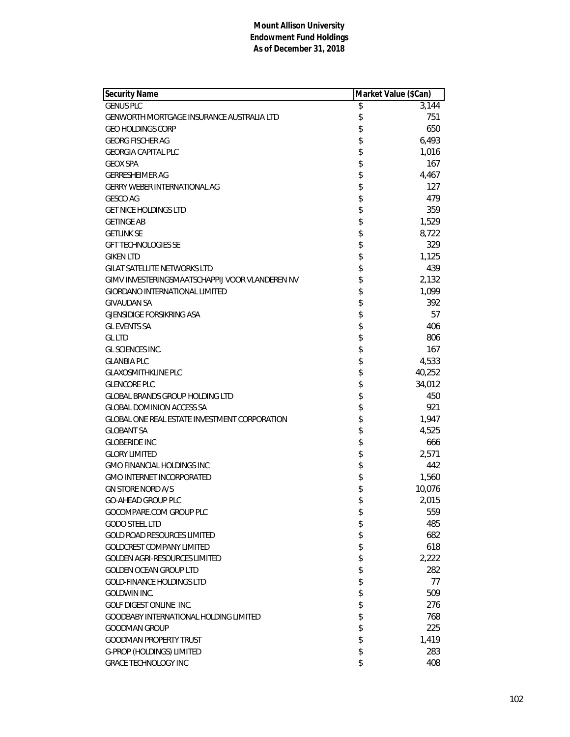| <b>Security Name</b>                                 | Market Value (\$Can) |        |
|------------------------------------------------------|----------------------|--------|
| <b>GENUS PLC</b>                                     | \$                   | 3,144  |
| <b>GENWORTH MORTGAGE INSURANCE AUSTRALIA LTD</b>     | \$                   | 751    |
| <b>GEO HOLDINGS CORP</b>                             | \$                   | 650    |
| <b>GEORG FISCHER AG</b>                              | \$                   | 6,493  |
| <b>GEORGIA CAPITAL PLC</b>                           | \$                   | 1,016  |
| <b>GEOX SPA</b>                                      | \$                   | 167    |
| <b>GERRESHEIMER AG</b>                               | \$                   | 4,467  |
| <b>GERRY WEBER INTERNATIONAL AG</b>                  | \$                   | 127    |
| <b>GESCO AG</b>                                      | \$                   | 479    |
| <b>GET NICE HOLDINGS LTD</b>                         | \$                   | 359    |
| <b>GETINGE AB</b>                                    | \$                   | 1,529  |
| <b>GETLINK SE</b>                                    | \$                   | 8,722  |
| <b>GFT TECHNOLOGIES SE</b>                           | \$                   | 329    |
| <b>GIKEN LTD</b>                                     | \$                   | 1,125  |
| <b>GILAT SATELLITE NETWORKS LTD</b>                  | \$                   | 439    |
| GIMV INVESTERINGSMAATSCHAPPLJ VOOR VLANDEREN NV      | \$                   | 2,132  |
| <b>GIORDANO INTERNATIONAL LIMITED</b>                | \$                   | 1,099  |
| <b>GIVAUDAN SA</b>                                   | \$                   | 392    |
| <b>GJENSIDIGE FORSIKRING ASA</b>                     | \$                   | 57     |
| <b>GL EVENTS SA</b>                                  | \$                   | 406    |
| <b>GL LTD</b>                                        | \$                   | 806    |
| GL SCIENCES INC.                                     | \$                   | 167    |
| <b>GLANBIA PLC</b>                                   | \$                   | 4,533  |
| <b>GLAXOSMITHKLINE PLC</b>                           | \$                   | 40,252 |
| <b>GLENCORE PLC</b>                                  | \$                   | 34,012 |
| GLOBAL BRANDS GROUP HOLDING LTD                      | \$                   | 450    |
| <b>GLOBAL DOMINION ACCESS SA</b>                     | \$                   | 921    |
| <b>GLOBAL ONE REAL ESTATE INVESTMENT CORPORATION</b> | \$                   | 1,947  |
| <b>GLOBANT SA</b>                                    | \$                   | 4,525  |
| <b>GLOBERIDE INC</b>                                 | \$                   | 666    |
| <b>GLORY LIMITED</b>                                 | \$                   | 2,571  |
| <b>GMO FINANCIAL HOLDINGS INC</b>                    | \$                   | 442    |
| <b>GMO INTERNET INCORPORATED</b>                     | \$                   | 1,560  |
| <b>GN STORE NORD A/S</b>                             | \$                   | 10,076 |
| GO-AHEAD GROUP PLC                                   | \$                   | 2,015  |
| GOCOMPARE.COM GROUP PLC                              | \$                   | 559    |
| <b>GODO STEEL LTD</b>                                | \$                   | 485    |
| <b>GOLD ROAD RESOURCES LIMITED</b>                   | \$                   | 682    |
| <b>GOLDCREST COMPANY LIMITED</b>                     | \$                   | 618    |
| <b>GOLDEN AGRI-RESOURCES LIMITED</b>                 | \$                   | 2,222  |
| <b>GOLDEN OCEAN GROUP LTD</b>                        | \$                   | 282    |
| <b>GOLD-FINANCE HOLDINGS LTD</b>                     | \$                   | 77     |
| GOLDWIN INC.                                         | \$                   | 509    |
| <b>GOLF DIGEST ONLINE INC.</b>                       | \$                   | 276    |
| GOODBABY INTERNATIONAL HOLDING LIMITED               | \$                   | 768    |
| <b>GOODMAN GROUP</b>                                 | \$                   | 225    |
| <b>GOODMAN PROPERTY TRUST</b>                        | \$                   | 1,419  |
| G-PROP (HOLDINGS) LIMITED                            | \$                   | 283    |
| <b>GRACE TECHNOLOGY INC</b>                          | \$                   | 408    |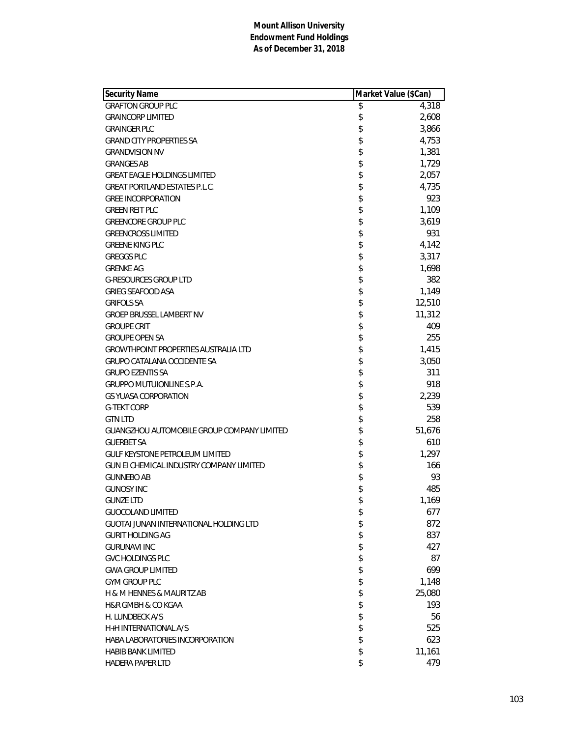| Security Name                                   | Market Value (\$Can) |        |
|-------------------------------------------------|----------------------|--------|
| <b>GRAFTON GROUP PLC</b>                        | \$                   | 4,318  |
| <b>GRAINCORP LIMITED</b>                        | \$                   | 2,608  |
| <b>GRAINGER PLC</b>                             | \$                   | 3,866  |
| <b>GRAND CITY PROPERTIES SA</b>                 | \$                   | 4,753  |
| <b>GRANDVISION NV</b>                           | \$                   | 1,381  |
| <b>GRANGES AB</b>                               | \$                   | 1,729  |
| <b>GREAT EAGLE HOLDINGS LIMITED</b>             | \$                   | 2,057  |
| <b>GREAT PORTLAND ESTATES P.L.C.</b>            | \$                   | 4,735  |
| <b>GREE INCORPORATION</b>                       | \$                   | 923    |
| <b>GREEN REIT PLC</b>                           | \$                   | 1,109  |
| <b>GREENCORE GROUP PLC</b>                      | \$                   | 3,619  |
| <b>GREENCROSS LIMITED</b>                       | \$                   | 931    |
| <b>GREENE KING PLC</b>                          | \$                   | 4,142  |
| <b>GREGGS PLC</b>                               | \$                   | 3,317  |
| <b>GRENKE AG</b>                                | \$                   | 1,698  |
| <b>G-RESOURCES GROUP LTD</b>                    | \$                   | 382    |
| <b>GRIEG SEAFOOD ASA</b>                        | \$                   | 1,149  |
| <b>GRIFOLS SA</b>                               | \$                   | 12,510 |
| <b>GROEP BRUSSEL LAMBERT NV</b>                 | \$                   | 11,312 |
| <b>GROUPE CRIT</b>                              | \$                   | 409    |
| <b>GROUPE OPEN SA</b>                           | \$                   | 255    |
| <b>GROWTHPOINT PROPERTIES AUSTRALIA LTD</b>     | \$                   | 1,415  |
| <b>GRUPO CATALANA OCCIDENTE SA</b>              | \$                   | 3,050  |
| <b>GRUPO EZENTIS SA</b>                         | \$                   | 311    |
| <b>GRUPPO MUTUIONLINE S.P.A.</b>                | \$                   | 918    |
| <b>GS YUASA CORPORATION</b>                     | \$                   | 2,239  |
| <b>G-TEKT CORP</b>                              | \$                   | 539    |
| <b>GTN LTD</b>                                  | \$                   | 258    |
| GUANGZHOU AUTOMOBILE GROUP COMPANY LIMITED      | \$                   | 51,676 |
| <b>GUERBET SA</b>                               | \$                   | 610    |
| <b>GULF KEYSTONE PETROLEUM LIMITED</b>          | \$                   | 1,297  |
| <b>GUN EI CHEMICAL INDUSTRY COMPANY LIMITED</b> | \$                   | 166    |
| <b>GUNNEBO AB</b>                               | \$                   | 93     |
| <b>GUNOSY INC</b>                               | \$                   | 485    |
| <b>GUNZE LTD</b>                                | \$                   | 1,169  |
| <b>GUOCOLAND LIMITED</b>                        | \$                   | 677    |
| <b>GUOTAL JUNAN INTERNATIONAL HOLDING LTD</b>   | \$                   | 872    |
| <b>GURIT HOLDING AG</b>                         | \$                   | 837    |
| <b>GURUNAVI INC</b>                             | \$                   | 427    |
| <b>GVC HOLDINGS PLC</b>                         | \$                   | 87     |
| <b>GWA GROUP LIMITED</b>                        | \$                   | 699    |
| <b>GYM GROUP PLC</b>                            | \$                   | 1,148  |
| H & M HENNES & MAURITZ AB                       | \$                   | 25,080 |
| <b>H&amp;R GMBH &amp; CO KGAA</b>               | \$                   | 193    |
| H. LUNDBECK A/S                                 | \$                   | 56     |
| H+H INTERNATIONAL A/S                           | \$                   | 525    |
| HABA LABORATORIES INCORPORATION                 | \$                   | 623    |
| <b>HABIB BANK LIMITED</b>                       | \$                   | 11,161 |
| HADERA PAPER LTD                                | \$                   | 479    |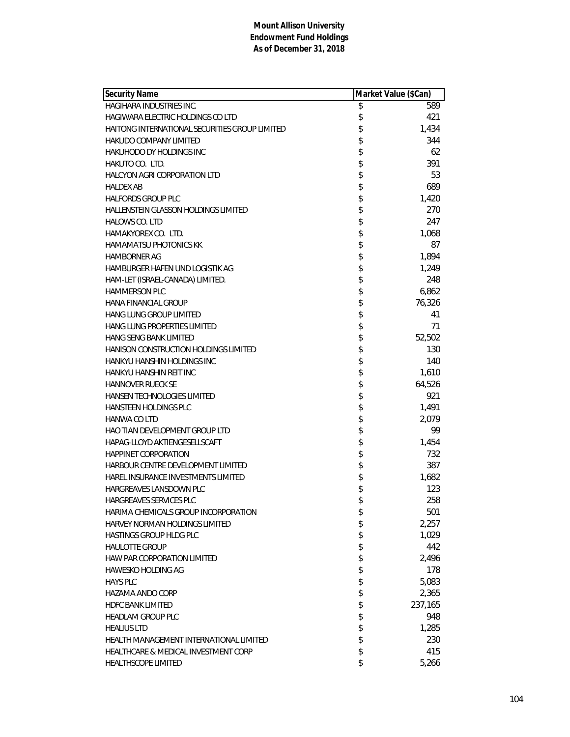| <b>Security Name</b>                           | Market Value (\$Can) |
|------------------------------------------------|----------------------|
| HAGIHARA INDUSTRIES INC.                       | \$<br>589            |
| HAGIWARA ELECTRIC HOLDINGS CO LTD              | \$<br>421            |
| HAITONG INTERNATIONAL SECURITIES GROUP LIMITED | \$<br>1,434          |
| <b>HAKUDO COMPANY LIMITED</b>                  | \$<br>344            |
| <b>HAKUHODO DY HOLDINGS INC</b>                | \$<br>62             |
| HAKUTO CO. LTD.                                | \$<br>391            |
| <b>HALCYON AGRI CORPORATION LTD</b>            | \$<br>53             |
| <b>HALDEX AB</b>                               | \$<br>689            |
| <b>HALFORDS GROUP PLC</b>                      | \$<br>1,420          |
| <b>HALLENSTEIN GLASSON HOLDINGS LIMITED</b>    | \$<br>270            |
| <b>HALOWS CO. LTD</b>                          | \$<br>247            |
| HAMAKYOREX CO. LTD.                            | \$<br>1,068          |
| <b>HAMAMATSU PHOTONICS KK</b>                  | \$<br>87             |
| <b>HAMBORNER AG</b>                            | \$<br>1,894          |
| HAMBURGER HAFEN UND LOGISTIK AG                | \$<br>1,249          |
| HAM-LET (ISRAEL-CANADA) LIMITED.               | \$<br>248            |
| HAMMERSON PLC                                  | \$<br>6,862          |
| <b>HANA FINANCIAL GROUP</b>                    | \$<br>76,326         |
| HANG LUNG GROUP LIMITED                        | \$<br>41             |
| HANG LUNG PROPERTIES LIMITED                   | \$<br>71             |
| <b>HANG SENG BANK LIMITED</b>                  | \$<br>52,502         |
| HANISON CONSTRUCTION HOLDINGS LIMITED          | \$<br>130            |
| HANKYU HANSHIN HOLDINGS INC                    | \$<br>140            |
| HANKYU HANSHIN REIT INC                        | \$<br>1,610          |
| <b>HANNOVER RUECK SE</b>                       | \$<br>64,526         |
| HANSEN TECHNOLOGIES LIMITED                    | \$<br>921            |
| HANSTEEN HOLDINGS PLC                          | \$<br>1,491          |
| <b>HANWA CO LTD</b>                            | \$<br>2,079          |
| <b>HAO TIAN DEVELOPMENT GROUP LTD</b>          | \$<br>99             |
| HAPAG-LLOYD AKTIENGESELLSCAFT                  | \$<br>1,454          |
| HAPPINET CORPORATION                           | \$<br>732            |
| HARBOUR CENTRE DEVELOPMENT LIMITED             | \$<br>387            |
| <b>HAREL INSURANCE INVESTMENTS LIMITED</b>     | \$<br>1,682          |
| HARGREAVES LANSDOWN PLC                        | \$<br>123            |
| HARGREAVES SERVICES PLC                        | \$<br>258            |
| HARIMA CHEMICALS GROUP INCORPORATION           | \$<br>501            |
| HARVEY NORMAN HOLDINGS LIMITED                 | \$<br>2,257          |
| HASTINGS GROUP HLDG PLC                        | \$<br>1,029          |
| <b>HAULOTTE GROUP</b>                          | \$<br>442            |
| <b>HAW PAR CORPORATION LIMITED</b>             | \$<br>2,496          |
| <b>HAWESKO HOLDING AG</b>                      | \$<br>178            |
| <b>HAYS PLC</b>                                | \$<br>5,083          |
| HAZAMA ANDO CORP                               | \$<br>2,365          |
| <b>HDFC BANK LIMITED</b>                       | \$<br>237,165        |
| <b>HEADLAM GROUP PLC</b>                       | \$<br>948            |
| <b>HEALIUS LTD</b>                             | \$<br>1,285          |
| HEALTH MANAGEMENT INTERNATIONAL LIMITED        | \$<br>230            |
| HEALTHCARE & MEDICAL INVESTMENT CORP           | \$<br>415            |
| HEALTHSCOPE LIMITED                            | \$<br>5,266          |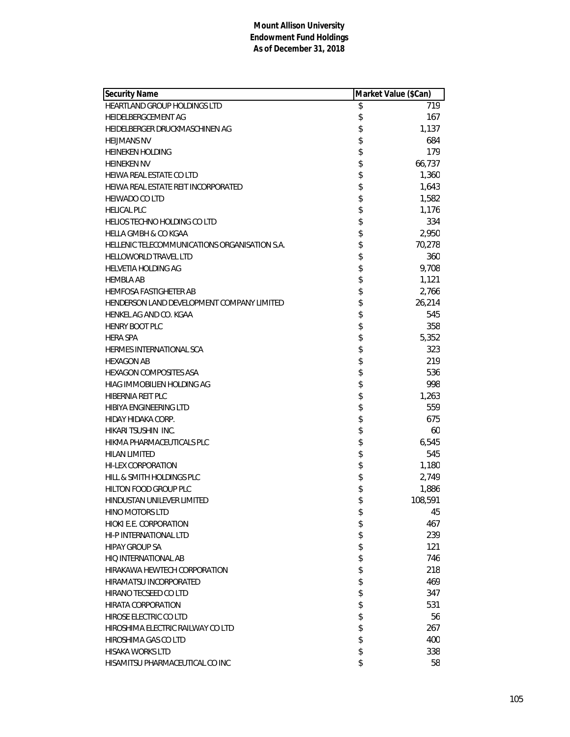| <b>Security Name</b>                          | Market Value (\$Can) |         |
|-----------------------------------------------|----------------------|---------|
| HEARTLAND GROUP HOLDINGS LTD                  | \$                   | 719     |
| HEIDELBERGCEMENT AG                           | \$                   | 167     |
| HEIDELBERGER DRUCKMASCHINEN AG                | \$                   | 1,137   |
| <b>HEIJMANS NV</b>                            | \$                   | 684     |
| <b>HEINEKEN HOLDING</b>                       | \$                   | 179     |
| <b>HEINEKEN NV</b>                            | \$                   | 66,737  |
| HEIWA REAL ESTATE CO LTD                      | \$                   | 1,360   |
| HEIWA REAL ESTATE REIT INCORPORATED           | \$                   | 1,643   |
| <b>HEIWADO CO LTD</b>                         | \$                   | 1,582   |
| <b>HELICAL PLC</b>                            | \$                   | 1,176   |
| <b>HELIOS TECHNO HOLDING CO LTD</b>           | \$                   | 334     |
| <b>HELLA GMBH &amp; CO KGAA</b>               | \$                   | 2,950   |
| HELLENIC TELECOMMUNICATIONS ORGANISATION S.A. | \$                   | 70,278  |
| <b>HELLOWORLD TRAVEL LTD</b>                  | \$                   | 360     |
| <b>HELVETIA HOLDING AG</b>                    | \$                   | 9,708   |
| <b>HEMBLA AB</b>                              | \$                   | 1,121   |
| <b>HEMFOSA FASTIGHETER AB</b>                 | \$                   | 2,766   |
| HENDERSON LAND DEVELOPMENT COMPANY LIMITED    | \$                   | 26,214  |
| HENKEL AG AND CO. KGAA                        | \$                   | 545     |
| <b>HENRY BOOT PLC</b>                         | \$                   | 358     |
| <b>HERA SPA</b>                               | \$                   | 5,352   |
| HERMES INTERNATIONAL SCA                      | \$                   | 323     |
| <b>HEXAGON AB</b>                             | \$                   | 219     |
| HEXAGON COMPOSITES ASA                        | \$                   | 536     |
| HIAG IMMOBILIEN HOLDING AG                    | \$                   | 998     |
| HIBERNIA REIT PLC                             | \$                   | 1,263   |
| HIBIYA ENGINEERING LTD                        | \$                   | 559     |
| HIDAY HIDAKA CORP.                            | \$                   | 675     |
| HIKARI TSUSHIN INC.                           | \$                   | 60      |
| HIKMA PHARMACEUTICALS PLC                     | \$                   | 6,545   |
| <b>HILAN LIMITED</b>                          | \$                   | 545     |
| <b>HI-LEX CORPORATION</b>                     | \$                   | 1,180   |
| HILL & SMITH HOLDINGS PLC                     | \$                   | 2,749   |
| HILTON FOOD GROUP PLC                         | \$                   | 1,886   |
| HINDUSTAN UNILEVER LIMITED                    | \$                   | 108,591 |
| <b>HINO MOTORS LTD</b>                        | \$                   | 45      |
| HIOKI E.E. CORPORATION                        | \$                   | 467     |
| HI-P INTERNATIONAL LTD                        | \$                   | 239     |
| <b>HIPAY GROUP SA</b>                         | \$                   | 121     |
| HIQ INTERNATIONAL AB                          | \$                   | 746     |
| HIRAKAWA HEWTECH CORPORATION                  | \$                   | 218     |
| HIRAMATSU INCORPORATED                        | \$                   | 469     |
| HIRANO TECSEED CO LTD                         | \$                   | 347     |
| HIRATA CORPORATION                            | \$                   | 531     |
| HIROSE ELECTRIC CO LTD                        | \$                   | 56      |
| HIROSHIMA ELECTRIC RAILWAY CO LTD             | \$                   | 267     |
| HIROSHIMA GAS CO LTD                          | \$                   | 400     |
| <b>HISAKA WORKS LTD</b>                       | \$                   | 338     |
| HISAMITSU PHARMACEUTICAL CO INC               | \$                   | 58      |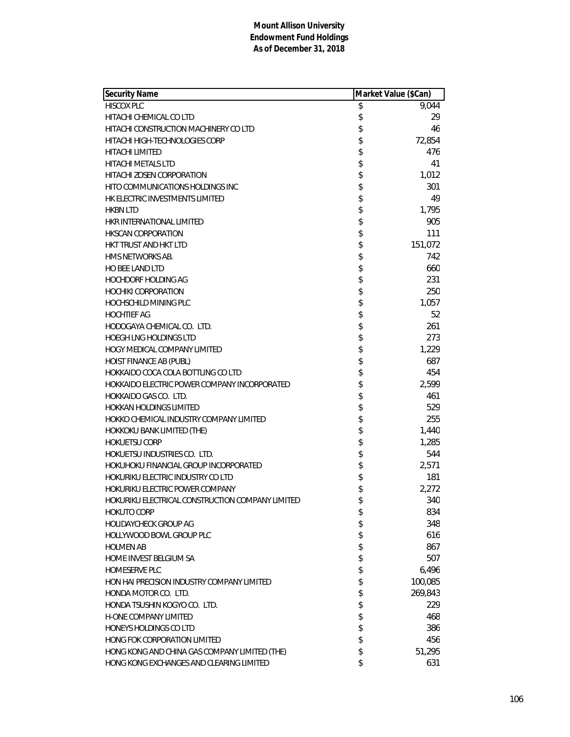| <b>Security Name</b>                             | Market Value (\$Can) |         |
|--------------------------------------------------|----------------------|---------|
| <b>HISCOX PLC</b>                                | \$                   | 9,044   |
| HITACHI CHEMICAL CO LTD                          | \$                   | 29      |
| HITACHI CONSTRUCTION MACHINERY CO LTD            | \$                   | 46      |
| HITACHI HIGH-TECHNOLOGIES CORP                   | \$                   | 72,854  |
| <b>HITACHI LIMITED</b>                           | \$                   | 476     |
| HITACHI METALS LTD                               | \$                   | 41      |
| HITACHI ZOSEN CORPORATION                        | \$                   | 1,012   |
| HITO COMMUNICATIONS HOLDINGS INC                 | \$                   | 301     |
| HK ELECTRIC INVESTMENTS LIMITED                  | \$                   | 49      |
| <b>HKBN LTD</b>                                  | \$                   | 1,795   |
| HKR INTERNATIONAL LIMITED                        | \$                   | 905     |
| <b>HKSCAN CORPORATION</b>                        | \$                   | 111     |
| HKT TRUST AND HKT LTD                            | \$                   | 151,072 |
| HMS NETWORKS AB.                                 | \$                   | 742     |
| <b>HO BEE LAND LTD</b>                           | \$                   | 660     |
| <b>HOCHDORF HOLDING AG</b>                       | \$                   | 231     |
| <b>HOCHIKI CORPORATION</b>                       | \$                   | 250     |
| HOCHSCHILD MINING PLC                            | \$                   | 1,057   |
| <b>HOCHTIEF AG</b>                               | \$                   | 52      |
| HODOGAYA CHEMICAL CO. LTD.                       | \$                   | 261     |
| <b>HOEGH LNG HOLDINGS LTD</b>                    | \$                   | 273     |
| HOGY MEDICAL COMPANY LIMITED                     | \$                   | 1,229   |
| HOIST FINANCE AB (PUBL)                          | \$                   | 687     |
| HOKKAIDO COCA COLA BOTTLING CO LTD               | \$                   | 454     |
| HOKKAIDO ELECTRIC POWER COMPANY INCORPORATED     | \$                   | 2,599   |
| HOKKAIDO GAS CO. LTD.                            | \$                   | 461     |
| <b>HOKKAN HOLDINGS LIMITED</b>                   | \$                   | 529     |
| HOKKO CHEMICAL INDUSTRY COMPANY LIMITED          | \$                   | 255     |
| HOKKOKU BANK LIMITED (THE)                       | \$                   | 1,440   |
| <b>HOKUETSU CORP</b>                             | \$                   | 1,285   |
| HOKUETSU INDUSTRIES CO. LTD.                     | \$                   | 544     |
| HOKUHOKU FINANCIAL GROUP INCORPORATED            | \$                   | 2,571   |
| HOKURIKU ELECTRIC INDUSTRY CO LTD                | \$                   | 181     |
| HOKURIKU ELECTRIC POWER COMPANY                  | \$                   | 2,272   |
| HOKURIKU ELECTRICAL CONSTRUCTION COMPANY LIMITED | \$                   | 340     |
| HOKUTO CORP                                      | \$                   | 834     |
| <b>HOLIDAYCHECK GROUP AG</b>                     | \$                   | 348     |
| HOLLYWOOD BOWL GROUP PLC                         | \$                   | 616     |
| <b>HOLMEN AB</b>                                 | \$                   | 867     |
| HOME INVEST BELGIUM SA                           | \$                   | 507     |
| <b>HOMESERVE PLC</b>                             | \$                   | 6,496   |
| HON HAI PRECISION INDUSTRY COMPANY LIMITED       | \$                   | 100,085 |
| HONDA MOTOR CO. LTD.                             | \$                   | 269,843 |
| HONDA TSUSHIN KOGYO CO. LTD.                     | \$                   | 229     |
| <b>H-ONE COMPANY LIMITED</b>                     | \$                   | 468     |
| HONEYS HOLDINGS CO LTD                           | \$                   | 386     |
| HONG FOK CORPORATION LIMITED                     | \$                   | 456     |
| HONG KONG AND CHINA GAS COMPANY LIMITED (THE)    | \$                   | 51,295  |
| HONG KONG EXCHANGES AND CLEARING LIMITED         | \$                   | 631     |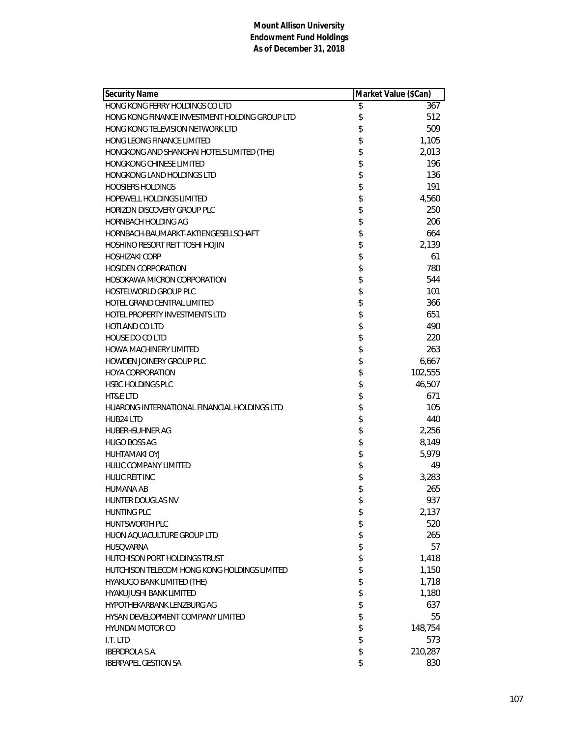| <b>Security Name</b>                           | Market Value (\$Can) |
|------------------------------------------------|----------------------|
| HONG KONG FERRY HOLDINGS CO LTD                | \$<br>367            |
| HONG KONG FINANCE INVESTMENT HOLDING GROUP LTD | \$<br>512            |
| HONG KONG TELEVISION NETWORK LTD               | \$<br>509            |
| HONG LEONG FINANCE LIMITED                     | \$<br>1,105          |
| HONGKONG AND SHANGHAI HOTELS LIMITED (THE)     | \$<br>2,013          |
| <b>HONGKONG CHINESE LIMITED</b>                | \$<br>196            |
| <b>HONGKONG LAND HOLDINGS LTD</b>              | \$<br>136            |
| <b>HOOSIERS HOLDINGS</b>                       | \$<br>191            |
| <b>HOPEWELL HOLDINGS LIMITED</b>               | \$<br>4,560          |
| HORIZON DISCOVERY GROUP PLC                    | \$<br>250            |
| HORNBACH HOLDING AG                            | \$<br>206            |
| HORNBACH-BAUMARKT-AKTIENGESELLSCHAFT           | \$<br>664            |
| HOSHINO RESORT REIT TOSHI HOJIN                | \$<br>2,139          |
| <b>HOSHIZAKI CORP</b>                          | \$<br>61             |
| <b>HOSIDEN CORPORATION</b>                     | \$<br>780            |
| HOSOKAWA MICRON CORPORATION                    | \$<br>544            |
| <b>HOSTELWORLD GROUP PLC</b>                   | \$<br>101            |
| <b>HOTEL GRAND CENTRAL LIMITED</b>             | \$<br>366            |
| HOTEL PROPERTY INVESTMENTS LTD                 | \$<br>651            |
| <b>HOTLAND COLTD</b>                           | \$<br>490            |
| HOUSE DO CO LTD                                | \$<br>220            |
| <b>HOWA MACHINERY LIMITED</b>                  | \$<br>263            |
| HOWDEN JOINERY GROUP PLC                       | \$<br>6,667          |
| <b>HOYA CORPORATION</b>                        | \$<br>102,555        |
| <b>HSBC HOLDINGS PLC</b>                       | \$<br>46,507         |
| <b>HT&amp;E LTD</b>                            | \$<br>671            |
| HUARONG INTERNATIONAL FINANCIAL HOLDINGS LTD   | \$<br>105            |
| HUB24 LTD                                      | \$<br>440            |
| <b>HUBER+SUHNER AG</b>                         | \$<br>2,256          |
| <b>HUGO BOSS AG</b>                            | \$<br>8,149          |
| <b>HUHTAMAKI OYJ</b>                           | \$<br>5,979          |
| <b>HULIC COMPANY LIMITED</b>                   | \$<br>49             |
| HULIC REIT INC                                 | \$<br>3,283          |
| <b>HUMANA AB</b>                               | \$<br>265            |
| HUNTER DOUGLAS NV                              | \$<br>937            |
| <b>HUNTING PLC</b>                             | \$<br>2,137          |
| <b>HUNTSWORTH PLC</b>                          | \$<br>520            |
| HUON AQUACULTURE GROUP LTD                     | \$<br>265            |
| <b>HUSOVARNA</b>                               | \$<br>57             |
| HUTCHISON PORT HOLDINGS TRUST                  | \$<br>1,418          |
| HUTCHISON TELECOM HONG KONG HOLDINGS LIMITED   | \$<br>1,150          |
| HYAKUGO BANK LIMITED (THE)                     | \$<br>1,718          |
| <b>HYAKUJUSHI BANK LIMITED</b>                 | \$<br>1,180          |
| HYPOTHEKARBANK LENZBURG AG                     | \$<br>637            |
| HYSAN DEVELOPMENT COMPANY LIMITED              | \$<br>55             |
| <b>HYUNDAI MOTOR CO</b>                        | \$<br>148,754        |
| I.T. LTD                                       | \$<br>573            |
| <b>IBERDROLA S.A.</b>                          | \$<br>210,287        |
| <b>IBERPAPEL GESTION SA</b>                    | \$<br>830            |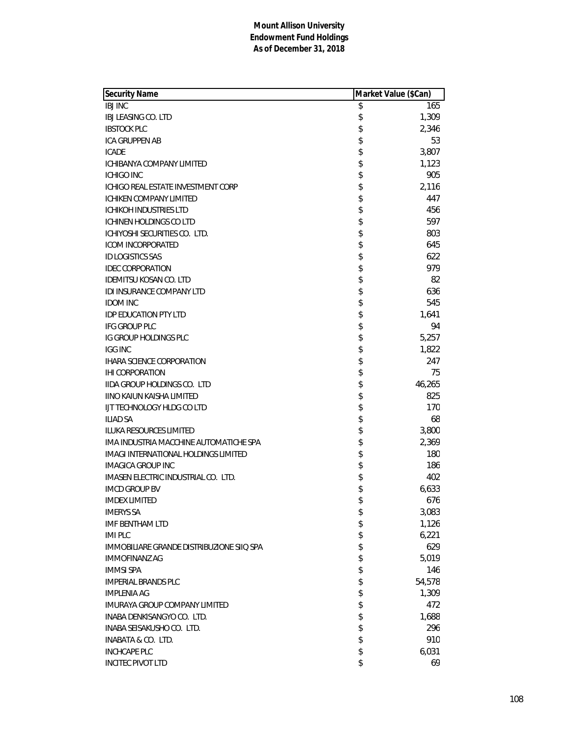| <b>Security Name</b>                        | Market Value (\$Can) |
|---------------------------------------------|----------------------|
| <b>IBJ INC</b>                              | \$<br>165            |
| IBJ LEASING CO. LTD                         | \$<br>1,309          |
| <b>IBSTOCK PLC</b>                          | \$<br>2,346          |
| ICA GRUPPEN AB                              | \$<br>53             |
| <b>ICADE</b>                                | \$<br>3,807          |
| <b>ICHIBANYA COMPANY LIMITED</b>            | \$<br>1,123          |
| <b>ICHIGO INC</b>                           | \$<br>905            |
| ICHIGO REAL ESTATE INVESTMENT CORP          | \$<br>2,116          |
| <b>ICHIKEN COMPANY LIMITED</b>              | \$<br>447            |
| <b>ICHIKOH INDUSTRIES LTD</b>               | \$<br>456            |
| <b>ICHINEN HOLDINGS CO LTD</b>              | \$<br>597            |
| ICHIYOSHI SECURITIES CO. LTD.               | \$<br>803            |
| <b>ICOM INCORPORATED</b>                    | \$<br>645            |
| <b>ID LOGISTICS SAS</b>                     | \$<br>622            |
| <b>IDEC CORPORATION</b>                     | \$<br>979            |
| IDEMITSU KOSAN CO. LTD                      | \$<br>82             |
| <b>IDI INSURANCE COMPANY LTD</b>            | \$<br>636            |
| <b>IDOM INC</b>                             | \$<br>545            |
| <b>IDP EDUCATION PTY LTD</b>                | \$<br>1,641          |
| <b>IFG GROUP PLC</b>                        | \$<br>94             |
| IG GROUP HOLDINGS PLC                       | \$<br>5,257          |
| <b>IGG INC</b>                              | \$<br>1,822          |
| <b>IHARA SCIENCE CORPORATION</b>            | \$<br>247            |
| <b>IHI CORPORATION</b>                      | \$<br>75             |
| <b>IIDA GROUP HOLDINGS CO. LTD</b>          | \$<br>46,265         |
| <b>IINO KAIUN KAISHA LIMITED</b>            | \$<br>825            |
| IJT TECHNOLOGY HLDG CO LTD                  | \$<br>170            |
| <b>ILIAD SA</b>                             | \$<br>68             |
| <b>ILUKA RESOURCES LIMITED</b>              | \$<br>3,800          |
| IMA INDUSTRIA MACCHINE AUTOMATICHE SPA      | \$<br>2,369          |
| <b>IMAGI INTERNATIONAL HOLDINGS LIMITED</b> | \$<br>180            |
| <b>IMAGICA GROUP INC</b>                    | \$<br>186            |
| IMASEN ELECTRIC INDUSTRIAL CO. LTD.         | \$<br>402            |
| <b>IMCD GROUP BV</b>                        | \$<br>6,633          |
| <b>IMDEX LIMITED</b>                        | \$<br>676            |
| <b>IMERYS SA</b>                            | \$<br>3,083          |
| <b>IMF BENTHAM LTD</b>                      | \$<br>1,126          |
| <b>IMI PLC</b>                              | \$<br>6,221          |
| IMMOBILIARE GRANDE DISTRIBUZIONE SIIQ SPA   | \$<br>629            |
| <b>IMMOFINANZ AG</b>                        | \$<br>5,019          |
| <b>IMMSI SPA</b>                            | \$<br>146            |
| <b>IMPERIAL BRANDS PLC</b>                  | \$<br>54,578         |
| <b>IMPLENIA AG</b>                          | \$<br>1,309          |
| <b>IMURAYA GROUP COMPANY LIMITED</b>        | \$<br>472            |
| INABA DENKISANGYO CO. LTD.                  | \$<br>1,688          |
| INABA SEISAKUSHO CO. LTD.                   | \$<br>296            |
| INABATA & CO. LTD.                          | \$<br>910            |
| <b>INCHCAPE PLC</b>                         | \$<br>6,031          |
| <b>INCITEC PIVOT LTD</b>                    | \$<br>69             |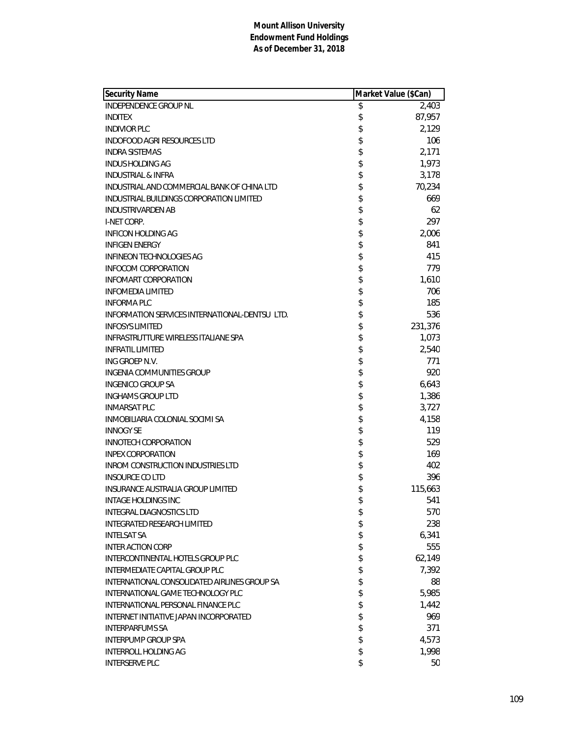| <b>Security Name</b>                          | Market Value (\$Can) |
|-----------------------------------------------|----------------------|
| INDEPENDENCE GROUP NL                         | \$<br>2,403          |
| <b>INDITEX</b>                                | \$<br>87,957         |
| <b>INDIVIOR PLC</b>                           | \$<br>2,129          |
| INDOFOOD AGRI RESOURCES LTD                   | \$<br>106            |
| <b>INDRA SISTEMAS</b>                         | \$<br>2,171          |
| INDUS HOLDING AG                              | \$<br>1,973          |
| <b>INDUSTRIAL &amp; INFRA</b>                 | \$<br>3,178          |
| INDUSTRIAL AND COMMERCIAL BANK OF CHINA LTD   | \$<br>70,234         |
| INDUSTRIAL BUILDINGS CORPORATION LIMITED      | \$<br>669            |
| <b>INDUSTRIVARDEN AB</b>                      | \$<br>62             |
| I-NET CORP.                                   | \$<br>297            |
| INFICON HOLDING AG                            | \$<br>2,006          |
| <b>INFIGEN ENERGY</b>                         | \$<br>841            |
| <b>INFINEON TECHNOLOGIES AG</b>               | \$<br>415            |
| <b>INFOCOM CORPORATION</b>                    | \$<br>779            |
| <b>INFOMART CORPORATION</b>                   | \$<br>1,610          |
| <b>INFOMEDIA LIMITED</b>                      | \$<br>706            |
| <b>INFORMA PLC</b>                            | \$<br>185            |
| INFORMATION SERVICES INTERNATIONAL-DENTSULTD. | \$<br>536            |
| <b>INFOSYS LIMITED</b>                        | \$<br>231,376        |
| INFRASTRUTTURE WIRELESS ITALIANE SPA          | \$<br>1,073          |
| <b>INFRATIL LIMITED</b>                       | \$<br>2,540          |
| ING GROEP N.V.                                | \$<br>771            |
| INGENIA COMMUNITIES GROUP                     | \$<br>920            |
| <b>INGENICO GROUP SA</b>                      | \$<br>6,643          |
| <b>INGHAMS GROUP LTD</b>                      | \$<br>1,386          |
| <b>INMARSAT PLC</b>                           | \$<br>3,727          |
| INMOBILIARIA COLONIAL SOCIMI SA               | \$<br>4,158          |
| <b>INNOGY SE</b>                              | \$<br>119            |
| INNOTECH CORPORATION                          | \$<br>529            |
| <b>INPEX CORPORATION</b>                      | \$<br>169            |
| <b>INROM CONSTRUCTION INDUSTRIES LTD</b>      | \$<br>402            |
| <b>INSOURCE COLTD</b>                         | \$<br>396            |
| INSURANCE AUSTRALIA GROUP LIMITED             | \$<br>115,663        |
| INTAGE HOLDINGS INC                           | \$<br>541            |
| <b>INTEGRAL DIAGNOSTICS LTD</b>               | \$<br>570            |
| <b>INTEGRATED RESEARCH LIMITED</b>            | \$<br>238            |
| <b>INTELSAT SA</b>                            | \$<br>6,341          |
| <b>INTER ACTION CORP</b>                      | \$<br>555            |
| INTERCONTINENTAL HOTELS GROUP PLC             | \$<br>62,149         |
| INTERMEDIATE CAPITAL GROUP PLC                | \$<br>7,392          |
| INTERNATIONAL CONSOLIDATED AIRLINES GROUP SA  | \$<br>88             |
| INTERNATIONAL GAME TECHNOLOGY PLC             | \$<br>5,985          |
| INTERNATIONAL PERSONAL FINANCE PLC            | \$<br>1,442          |
| INTERNET INITIATIVE JAPAN INCORPORATED        | \$<br>969            |
| <b>INTERPARFUMS SA</b>                        | \$<br>371            |
| <b>INTERPUMP GROUP SPA</b>                    | \$<br>4,573          |
| <b>INTERROLL HOLDING AG</b>                   | \$<br>1,998          |
| <b>INTERSERVE PLC</b>                         | \$<br>50             |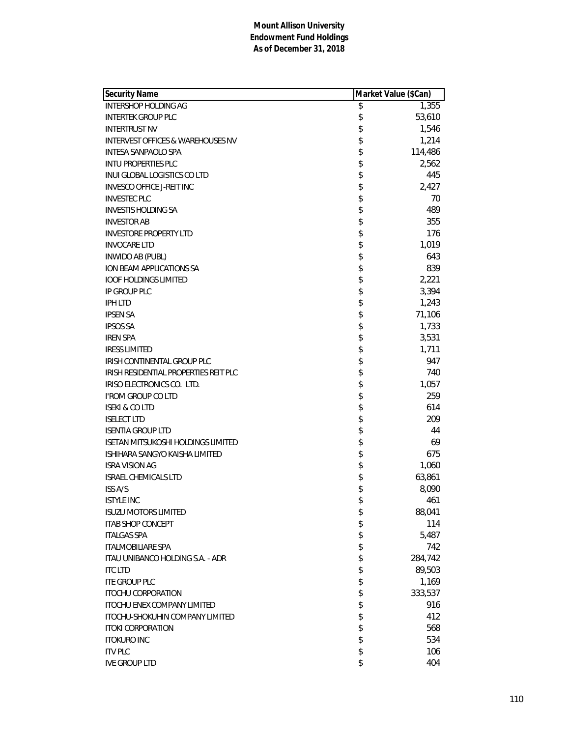| <b>Security Name</b>                         | Market Value (\$Can) |         |
|----------------------------------------------|----------------------|---------|
| <b>INTERSHOP HOLDING AG</b>                  | \$                   | 1,355   |
| <b>INTERTEK GROUP PLC</b>                    | \$                   | 53,610  |
| <b>INTERTRUST NV</b>                         | \$                   | 1,546   |
| <b>INTERVEST OFFICES &amp; WAREHOUSES NV</b> | \$                   | 1,214   |
| INTESA SANPAOLO SPA                          | \$                   | 114,486 |
| <b>INTU PROPERTIES PLC</b>                   | \$                   | 2,562   |
| INUI GLOBAL LOGISTICS CO LTD                 | \$                   | 445     |
| <b>INVESCO OFFICE J-REIT INC</b>             | \$                   | 2,427   |
| <b>INVESTEC PLC</b>                          | \$                   | 70      |
| <b>INVESTIS HOLDING SA</b>                   | \$                   | 489     |
| <b>INVESTOR AB</b>                           | \$                   | 355     |
| <b>INVESTORE PROPERTY LTD</b>                | \$                   | 176     |
| <b>INVOCARE LTD</b>                          | \$                   | 1,019   |
| <b>INWIDO AB (PUBL)</b>                      | \$                   | 643     |
| ION BEAM APPLICATIONS SA                     | \$                   | 839     |
| <b>IOOF HOLDINGS LIMITED</b>                 | \$                   | 2,221   |
| IP GROUP PLC                                 | \$                   | 3,394   |
| <b>IPH LTD</b>                               | \$                   | 1,243   |
| <b>IPSEN SA</b>                              | \$                   | 71,106  |
| <b>IPSOS SA</b>                              | \$                   | 1,733   |
| <b>IREN SPA</b>                              | \$                   | 3,531   |
| <b>IRESS LIMITED</b>                         | \$                   | 1,711   |
| IRISH CONTINENTAL GROUP PLC                  | \$                   | 947     |
| IRISH RESIDENTIAL PROPERTIES REIT PLC        | \$                   | 740     |
| IRISO ELECTRONICS CO. LTD.                   | \$                   | 1,057   |
| <b>I'ROM GROUP CO LTD</b>                    | \$                   | 259     |
| <b>ISEKI &amp; CO LTD</b>                    | \$                   | 614     |
| <b>ISELECT LTD</b>                           | \$                   | 209     |
| <b>ISENTIA GROUP LTD</b>                     | \$                   | 44      |
| <b>ISETAN MITSUKOSHI HOLDINGS LIMITED</b>    | \$                   | 69      |
| ISHIHARA SANGYO KAISHA LIMITED               | \$                   | 675     |
| <b>ISRA VISION AG</b>                        | \$                   | 1,060   |
| <b>ISRAEL CHEMICALS LTD</b>                  | \$                   | 63,861  |
| ISS A/S                                      | \$                   | 8,090   |
| <b>ISTYLE INC</b>                            | \$                   | 461     |
| <b>ISUZU MOTORS LIMITED</b>                  | \$                   | 88,041  |
| <b>ITAB SHOP CONCEPT</b>                     | \$                   | 114     |
| <b>ITALGAS SPA</b>                           | \$                   | 5,487   |
| <b>ITALMOBILIARE SPA</b>                     | \$                   | 742     |
| ITAU UNIBANCO HOLDING S.A. - ADR             | \$                   | 284,742 |
| <b>ITC LTD</b>                               | \$                   | 89,503  |
| <b>ITE GROUP PLC</b>                         | \$                   | 1,169   |
| <b>ITOCHU CORPORATION</b>                    | \$                   | 333,537 |
| <b>ITOCHU ENEX COMPANY LIMITED</b>           | \$                   | 916     |
| ITOCHU-SHOKUHIN COMPANY LIMITED              | \$                   | 412     |
| <b>ITOKI CORPORATION</b>                     | \$                   | 568     |
| <b>ITOKURO INC</b>                           | \$                   | 534     |
| <b>ITV PLC</b>                               | \$                   | 106     |
| <b>IVE GROUP LTD</b>                         | \$                   | 404     |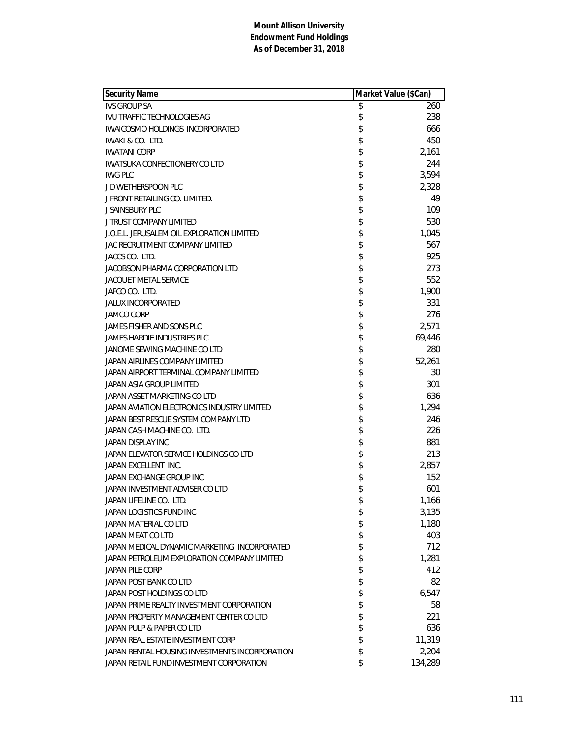| <b>Security Name</b>                           | Market Value (\$Can) |
|------------------------------------------------|----------------------|
| <b>IVS GROUP SA</b>                            | \$<br>260            |
| <b>IVU TRAFFIC TECHNOLOGIES AG</b>             | \$<br>238            |
| IWAICOSMO HOLDINGS INCORPORATED                | \$<br>666            |
| IWAKI & CO. LTD.                               | \$<br>450            |
| <b>IWATANI CORP</b>                            | \$<br>2,161          |
| <b>IWATSUKA CONFECTIONERY CO LTD</b>           | \$<br>244            |
| <b>IWG PLC</b>                                 | \$<br>3,594          |
| J D WETHERSPOON PLC                            | \$<br>2,328          |
| J FRONT RETAILING CO. LIMITED.                 | \$<br>49             |
| <b>J SAINSBURY PLC</b>                         | \$<br>109            |
| <b>J TRUST COMPANY LIMITED</b>                 | \$<br>530            |
| J.O.E.L. JERUSALEM OIL EXPLORATION LIMITED     | \$<br>1,045          |
| JAC RECRUITMENT COMPANY LIMITED                | \$<br>567            |
| JACCS CO. LTD.                                 | \$<br>925            |
| <b>JACOBSON PHARMA CORPORATION LTD</b>         | \$<br>273            |
| <b>JACQUET METAL SERVICE</b>                   | \$<br>552            |
| JAFCO CO. LTD.                                 | \$<br>1,900          |
| JALUX INCORPORATED                             | \$<br>331            |
| <b>JAMCO CORP</b>                              | \$<br>276            |
| JAMES FISHER AND SONS PLC                      | \$<br>2,571          |
| <b>JAMES HARDIE INDUSTRIES PLC</b>             | \$<br>69,446         |
| JANOME SEWING MACHINE CO LTD                   | \$<br>280            |
| JAPAN AIRLINES COMPANY LIMITED                 | \$<br>52,261         |
| JAPAN AIRPORT TERMINAL COMPANY LIMITED         | \$<br>30             |
| JAPAN ASIA GROUP LIMITED                       | \$<br>301            |
| JAPAN ASSET MARKETING CO LTD                   | \$<br>636            |
| JAPAN AVIATION ELECTRONICS INDUSTRY LIMITED    | \$<br>1,294          |
| JAPAN BEST RESCUE SYSTEM COMPANY LTD           | \$<br>246            |
| JAPAN CASH MACHINE CO. LTD.                    | \$<br>226            |
| JAPAN DISPLAY INC                              | \$<br>881            |
| JAPAN ELEVATOR SERVICE HOLDINGS CO LTD         | \$<br>213            |
| JAPAN EXCELLENT INC.                           | \$<br>2,857          |
| JAPAN EXCHANGE GROUP INC                       | \$<br>152            |
| JAPAN INVESTMENT ADVISER CO LTD                | \$<br>601            |
| JAPAN LIFELINE CO. LTD.                        | \$<br>1,166          |
| JAPAN LOGISTICS FUND INC                       | \$<br>3,135          |
| JAPAN MATERIAL CO LTD                          | \$<br>1,180          |
| JAPAN MEAT CO LTD                              | \$<br>403            |
| JAPAN MEDICAL DYNAMIC MARKETING INCORPORATED   | \$<br>712            |
| JAPAN PETROLEUM EXPLORATION COMPANY LIMITED    | \$<br>1,281          |
| <b>JAPAN PILE CORP</b>                         | \$<br>412            |
| JAPAN POST BANK CO LTD                         | \$<br>82             |
| JAPAN POST HOLDINGS CO LTD                     | \$<br>6,547          |
| JAPAN PRIME REALTY INVESTMENT CORPORATION      | \$<br>58             |
| JAPAN PROPERTY MANAGEMENT CENTER CO LTD        | \$<br>221            |
| JAPAN PULP & PAPER CO LTD                      | \$<br>636            |
| JAPAN REAL ESTATE INVESTMENT CORP              | \$<br>11,319         |
| JAPAN RENTAL HOUSING INVESTMENTS INCORPORATION | \$<br>2,204          |
| JAPAN RETAIL FUND INVESTMENT CORPORATION       | \$<br>134,289        |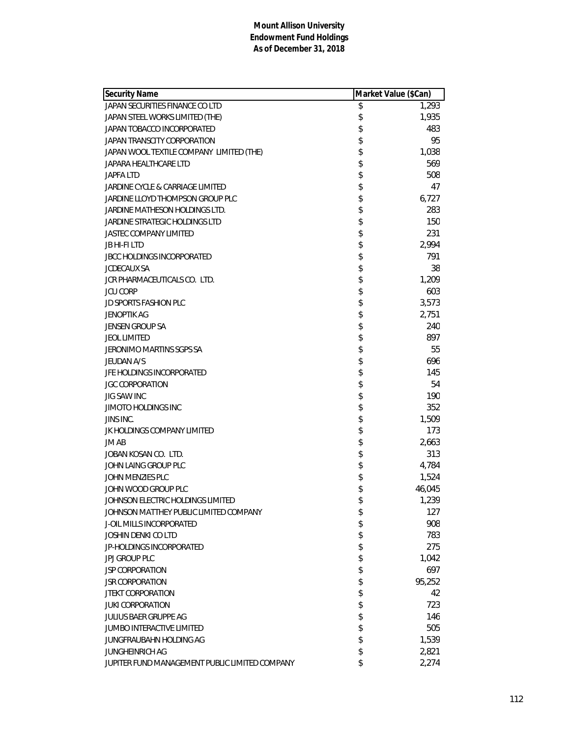| <b>Security Name</b>                           |          | Market Value (\$Can) |
|------------------------------------------------|----------|----------------------|
| JAPAN SECURITIES FINANCE CO LTD                | \$       | 1,293                |
| JAPAN STEEL WORKS LIMITED (THE)                | \$       | 1,935                |
| JAPAN TOBACCO INCORPORATED                     | \$       | 483                  |
| JAPAN TRANSCITY CORPORATION                    | \$       | 95                   |
| JAPAN WOOL TEXTILE COMPANY LIMITED (THE)       | \$       | 1,038                |
| JAPARA HEALTHCARE LTD                          | \$       | 569                  |
| <b>JAPFA LTD</b>                               | \$       | 508                  |
| JARDINE CYCLE & CARRIAGE LIMITED               | \$       | 47                   |
| JARDINE LLOYD THOMPSON GROUP PLC               | \$       | 6,727                |
| JARDINE MATHESON HOLDINGS LTD.                 | \$       | 283                  |
| JARDINE STRATEGIC HOLDINGS LTD                 | \$       | 150                  |
| <b>JASTEC COMPANY LIMITED</b>                  | \$       | 231                  |
| JB HI-FI LTD                                   | \$       | 2,994                |
| <b>JBCC HOLDINGS INCORPORATED</b>              | \$       | 791                  |
| <b>JCDECAUX SA</b>                             | \$       | 38                   |
| JCR PHARMACEUTICALS CO. LTD.                   | \$       | 1,209                |
| <b>JCU CORP</b>                                | \$       | 603                  |
| <b>JD SPORTS FASHION PLC</b>                   | \$       | 3,573                |
| JENOPTIK AG                                    | \$       | 2,751                |
| JENSEN GROUP SA                                | \$       | 240                  |
| <b>JEOL LIMITED</b>                            | \$       | 897                  |
| <b>JERONIMO MARTINS SGPS SA</b>                | \$       | 55                   |
| <b>JEUDAN A/S</b>                              | \$       | 696                  |
| JFE HOLDINGS INCORPORATED                      | \$       | 145                  |
| <b>JGC CORPORATION</b>                         | \$       | 54                   |
| JIG SAW INC                                    | \$       | 190                  |
| <b>JIMOTO HOLDINGS INC</b>                     | \$       | 352                  |
| JINS INC.                                      | \$       | 1,509                |
| JK HOLDINGS COMPANY LIMITED                    | \$       | 173                  |
| JM AB                                          | \$       | 2,663                |
| JOBAN KOSAN CO. LTD.                           | \$       | 313                  |
| JOHN LAING GROUP PLC                           | \$       | 4,784                |
| JOHN MENZIES PLC                               | \$       | 1,524                |
| JOHN WOOD GROUP PLC                            | \$       | 46,045               |
| JOHNSON ELECTRIC HOLDINGS LIMITED              | \$       | 1,239                |
| JOHNSON MATTHEY PUBLIC LIMITED COMPANY         |          | 127                  |
| J-OIL MILLS INCORPORATED                       | \$<br>\$ | 908                  |
| <b>JOSHIN DENKI CO LTD</b>                     |          |                      |
| JP-HOLDINGS INCORPORATED                       | \$       | 783<br>275           |
|                                                | \$       |                      |
| <b>JPJ GROUP PLC</b>                           | \$       | 1,042                |
| <b>JSP CORPORATION</b>                         | \$       | 697                  |
| <b>JSR CORPORATION</b>                         | \$       | 95,252               |
| <b>JTEKT CORPORATION</b>                       | \$       | 42                   |
| <b>JUKI CORPORATION</b>                        | \$       | 723                  |
| JULIUS BAER GRUPPE AG                          | \$       | 146                  |
| JUMBO INTERACTIVE LIMITED                      | \$       | 505                  |
| JUNGFRAUBAHN HOLDING AG                        | \$       | 1,539                |
| JUNGHEINRICH AG                                | \$       | 2,821                |
| JUPITER FUND MANAGEMENT PUBLIC LIMITED COMPANY | \$       | 2,274                |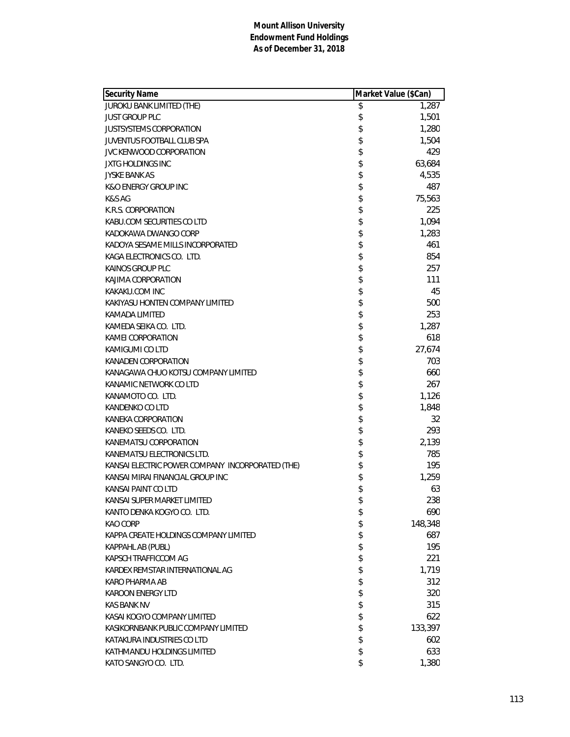| <b>Security Name</b>                             | Market Value (\$Can) |
|--------------------------------------------------|----------------------|
| JUROKU BANK LIMITED (THE)                        | \$<br>1,287          |
| <b>JUST GROUP PLC</b>                            | \$<br>1,501          |
| <b>JUSTSYSTEMS CORPORATION</b>                   | \$<br>1,280          |
| JUVENTUS FOOTBALL CLUB SPA                       | \$<br>1,504          |
| JVC KENWOOD CORPORATION                          | \$<br>429            |
| <b>JXTG HOLDINGS INC</b>                         | \$<br>63,684         |
| <b>JYSKE BANK AS</b>                             | \$<br>4,535          |
| <b>K&amp;O ENERGY GROUP INC</b>                  | \$<br>487            |
| K&S AG                                           | \$<br>75,563         |
| K.R.S. CORPORATION                               | \$<br>225            |
| KABU.COM SECURITIES CO LTD                       | \$<br>1,094          |
| KADOKAWA DWANGO CORP                             | \$<br>1,283          |
| KADOYA SESAME MILLS INCORPORATED                 | \$<br>461            |
| KAGA ELECTRONICS CO. LTD.                        | \$<br>854            |
| KAINOS GROUP PLC                                 | \$<br>257            |
| KAJIMA CORPORATION                               | \$<br>111            |
| KAKAKU.COM INC                                   | \$<br>45             |
| KAKIYASU HONTEN COMPANY LIMITED                  | \$<br>500            |
| KAMADA LIMITED                                   | \$<br>253            |
| KAMEDA SEIKA CO. LTD.                            | \$<br>1,287          |
| KAMEI CORPORATION                                | \$<br>618            |
| KAMIGUMI CO LTD                                  | \$<br>27,674         |
| KANADEN CORPORATION                              | \$<br>703            |
| KANAGAWA CHUO KOTSU COMPANY LIMITED              | \$<br>660            |
| KANAMIC NETWORK CO LTD                           | \$<br>267            |
| KANAMOTO CO. LTD.                                | \$<br>1,126          |
| KANDENKO CO LTD                                  | \$<br>1,848          |
| KANEKA CORPORATION                               | \$<br>32             |
| KANEKO SEEDS CO. LTD.                            | \$<br>293            |
| KANEMATSU CORPORATION                            | \$<br>2,139          |
| KANEMATSU ELECTRONICS LTD.                       | \$<br>785            |
| KANSAI ELECTRIC POWER COMPANY INCORPORATED (THE) | \$<br>195            |
| KANSAI MIRAI FINANCIAL GROUP INC                 | \$<br>1,259          |
| KANSAI PAINT CO LTD                              | \$<br>63             |
| KANSAI SUPER MARKET LIMITED                      | \$<br>238            |
| KANTO DENKA KOGYO CO. LTD.                       | \$<br>690            |
| KAO CORP                                         | \$<br>148,348        |
| KAPPA CREATE HOLDINGS COMPANY LIMITED            | \$<br>687            |
| KAPPAHL AB (PUBL)                                | \$<br>195            |
| KAPSCH TRAFFICCOM AG                             | \$<br>221            |
| KARDEX REMSTAR INTERNATIONAL AG                  | \$<br>1,719          |
| KARO PHARMA AB                                   | \$<br>312            |
| KAROON ENERGY LTD                                | \$<br>320            |
| <b>KAS BANK NV</b>                               | \$<br>315            |
| KASAI KOGYO COMPANY LIMITED                      | \$<br>622            |
| KASIKORNBANK PUBLIC COMPANY LIMITED              | \$<br>133,397        |
| KATAKURA INDUSTRIES CO LTD                       | \$<br>602            |
| KATHMANDU HOLDINGS LIMITED                       | \$<br>633            |
| KATO SANGYO CO. LTD.                             | \$<br>1,380          |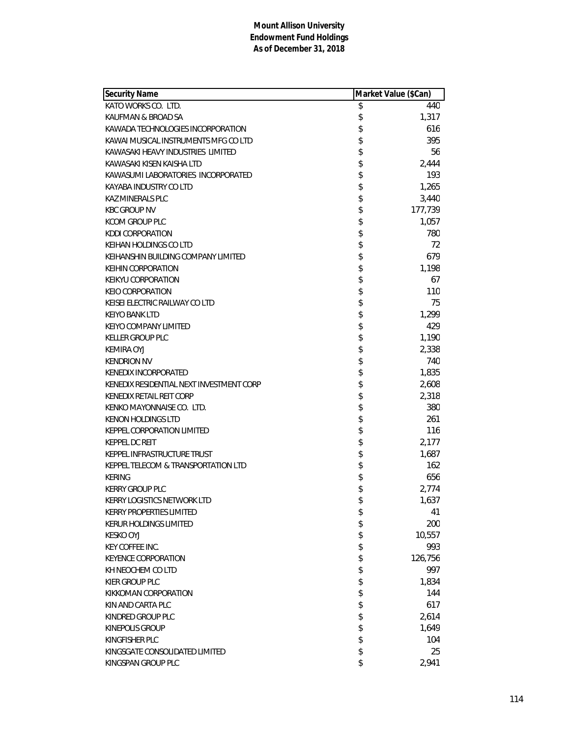| <b>Security Name</b>                     | Market Value (\$Can) |         |
|------------------------------------------|----------------------|---------|
| KATO WORKS CO. LTD.                      | \$                   | 440     |
| KAUFMAN & BROAD SA                       | \$                   | 1,317   |
| KAWADA TECHNOLOGIES INCORPORATION        | \$                   | 616     |
| KAWAI MUSICAL INSTRUMENTS MFG CO LTD     | \$                   | 395     |
| KAWASAKI HEAVY INDUSTRIES LIMITED        | \$                   | 56      |
| KAWASAKI KISEN KAISHA LTD                | \$                   | 2,444   |
| KAWASUMI LABORATORIES INCORPORATED       | \$                   | 193     |
| KAYABA INDUSTRY CO LTD                   | \$                   | 1,265   |
| <b>KAZ MINERALS PLC</b>                  | \$                   | 3,440   |
| <b>KBC GROUP NV</b>                      | \$                   | 177,739 |
| KCOM GROUP PLC                           | \$                   | 1,057   |
| <b>KDDI CORPORATION</b>                  | \$                   | 780     |
| KEIHAN HOLDINGS CO LTD                   | \$                   | 72      |
| KEIHANSHIN BUILDING COMPANY LIMITED      | \$                   | 679     |
| <b>KEIHIN CORPORATION</b>                | \$                   | 1,198   |
| KEIKYU CORPORATION                       | \$                   | 67      |
| <b>KEIO CORPORATION</b>                  | \$                   | 110     |
| KEISEI ELECTRIC RAILWAY CO LTD           | \$                   | 75      |
| <b>KEIYO BANK LTD</b>                    | \$                   | 1,299   |
| KEIYO COMPANY LIMITED                    | \$                   | 429     |
| <b>KELLER GROUP PLC</b>                  | \$                   | 1,190   |
| <b>KEMIRA OYJ</b>                        | \$                   | 2,338   |
| <b>KENDRION NV</b>                       | \$                   | 740     |
| KENEDIX INCORPORATED                     | \$                   | 1,835   |
| KENEDIX RESIDENTIAL NEXT INVESTMENT CORP | \$                   | 2,608   |
| KENEDIX RETAIL REIT CORP                 | \$                   | 2,318   |
| KENKO MAYONNAISE CO. LTD.                | \$                   | 380     |
| <b>KENON HOLDINGS LTD</b>                | \$                   | 261     |
| KEPPEL CORPORATION LIMITED               | \$                   | 116     |
| <b>KEPPEL DC REIT</b>                    | \$                   | 2,177   |
| KEPPEL INFRASTRUCTURE TRUST              | \$                   | 1,687   |
| KEPPEL TELECOM & TRANSPORTATION LTD      | \$                   | 162     |
| <b>KERING</b>                            | \$                   | 656     |
| <b>KERRY GROUP PLC</b>                   | \$                   | 2,774   |
| KERRY LOGISTICS NETWORK LTD              | \$                   | 1,637   |
| <b>KERRY PROPERTIES LIMITED</b>          | \$                   | 41      |
| KERUR HOLDINGS LIMITED                   | \$                   | 200     |
| <b>KESKO OYJ</b>                         | \$                   | 10,557  |
| <b>KEY COFFEE INC.</b>                   | \$                   | 993     |
| <b>KEYENCE CORPORATION</b>               | \$                   | 126,756 |
| KH NEOCHEM CO LTD                        | \$                   | 997     |
| KIER GROUP PLC                           |                      | 1,834   |
| KIKKOMAN CORPORATION                     | \$\$                 | 144     |
| KIN AND CARTA PLC                        |                      | 617     |
| KINDRED GROUP PLC                        | \$                   | 2,614   |
| <b>KINEPOLIS GROUP</b>                   | \$                   | 1,649   |
| KINGFISHER PLC                           | \$                   | 104     |
| KINGSGATE CONSOLIDATED LIMITED           | \$                   | 25      |
| KINGSPAN GROUP PLC                       | \$                   | 2,941   |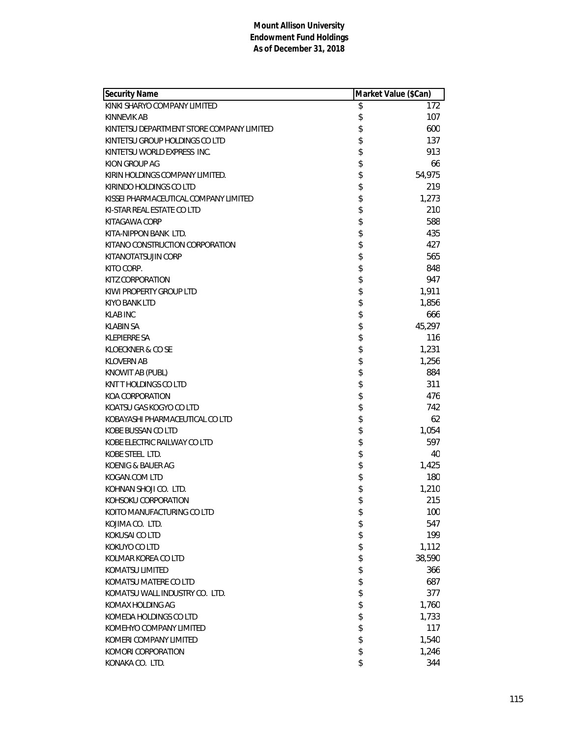| KINKI SHARYO COMPANY LIMITED<br>\$<br>172<br>\$<br>107<br>KINNEVIK AB<br>\$<br>600<br>KINTETSU DEPARTMENT STORE COMPANY LIMITED<br>\$<br>137<br>KINTETSU GROUP HOLDINGS CO LTD<br>\$<br>913<br>KINTETSU WORLD EXPRESS INC.<br>\$<br>KION GROUP AG<br>66<br>\$<br>54,975<br>KIRIN HOLDINGS COMPANY LIMITED.<br>\$<br>219<br>KIRINDO HOLDINGS CO LTD<br>\$<br>1,273<br>KISSEI PHARMACEUTICAL COMPANY LIMITED<br>\$<br>210<br>KI-STAR REAL ESTATE CO LTD<br>\$<br>588<br>KITAGAWA CORP<br>\$<br>435<br>KITA-NIPPON BANK LTD.<br>\$<br>KITANO CONSTRUCTION CORPORATION<br>427<br>\$<br>565<br>KITANOTATSUJIN CORP<br>\$<br>848<br>KITO CORP.<br>\$<br>KITZ CORPORATION<br>947<br>\$<br>1,911<br>KIWI PROPERTY GROUP LTD<br>\$<br>1,856<br>KIYO BANK LTD<br>\$<br>666<br><b>KLAB INC</b><br>\$<br>45,297<br><b>KLABIN SA</b><br>\$<br>116<br><b>KLEPIERRE SA</b><br>\$<br>1,231<br>KLOECKNER & CO SE<br>\$<br>1,256<br><b>KLOVERN AB</b><br>\$<br>884<br>KNOWIT AB (PUBL)<br>\$<br>311<br>KNT T HOLDINGS CO LTD<br>\$<br>476<br>KOA CORPORATION<br>\$<br>742<br>KOATSU GAS KOGYO CO LTD<br>\$<br>62<br>KOBAYASHI PHARMACEUTICAL CO LTD<br>\$<br>1,054<br>KOBE BUSSAN CO LTD<br>\$<br>597<br>KOBE ELECTRIC RAILWAY CO LTD<br>\$<br>KOBE STEEL LTD.<br>40<br>\$<br>1,425<br>KOENIG & BAUER AG<br>\$<br>180<br>KOGAN.COM LTD<br>\$<br>KOHNAN SHOJI CO. LTD.<br>1,210<br>\$<br>215<br>KOHSOKU CORPORATION<br>100<br>KOITO MANUFACTURING CO LTD<br>\$<br>\$<br>547<br>KOJIMA CO. LTD.<br>\$<br>KOKUSAI CO LTD<br>199<br>\$<br>KOKUYO CO LTD<br>1,112<br>\$<br>38,590<br>KOLMAR KOREA CO LTD<br>\$<br><b>KOMATSU LIMITED</b><br>366<br>\$<br>687<br>KOMATSU MATERE CO LTD<br>\$<br>377<br>KOMATSU WALL INDUSTRY CO. LTD.<br>\$<br>1,760<br>KOMAX HOLDING AG<br>\$<br>1,733<br>KOMEDA HOLDINGS CO LTD<br>\$<br>117<br>KOMEHYO COMPANY LIMITED<br>\$<br>KOMERI COMPANY LIMITED<br>1,540<br>\$<br>KOMORI CORPORATION<br>1,246 | <b>Security Name</b> | Market Value (\$Can) |
|-----------------------------------------------------------------------------------------------------------------------------------------------------------------------------------------------------------------------------------------------------------------------------------------------------------------------------------------------------------------------------------------------------------------------------------------------------------------------------------------------------------------------------------------------------------------------------------------------------------------------------------------------------------------------------------------------------------------------------------------------------------------------------------------------------------------------------------------------------------------------------------------------------------------------------------------------------------------------------------------------------------------------------------------------------------------------------------------------------------------------------------------------------------------------------------------------------------------------------------------------------------------------------------------------------------------------------------------------------------------------------------------------------------------------------------------------------------------------------------------------------------------------------------------------------------------------------------------------------------------------------------------------------------------------------------------------------------------------------------------------------------------------------------------------------------------------------------------------------------------------------------------------------------------|----------------------|----------------------|
|                                                                                                                                                                                                                                                                                                                                                                                                                                                                                                                                                                                                                                                                                                                                                                                                                                                                                                                                                                                                                                                                                                                                                                                                                                                                                                                                                                                                                                                                                                                                                                                                                                                                                                                                                                                                                                                                                                                 |                      |                      |
|                                                                                                                                                                                                                                                                                                                                                                                                                                                                                                                                                                                                                                                                                                                                                                                                                                                                                                                                                                                                                                                                                                                                                                                                                                                                                                                                                                                                                                                                                                                                                                                                                                                                                                                                                                                                                                                                                                                 |                      |                      |
|                                                                                                                                                                                                                                                                                                                                                                                                                                                                                                                                                                                                                                                                                                                                                                                                                                                                                                                                                                                                                                                                                                                                                                                                                                                                                                                                                                                                                                                                                                                                                                                                                                                                                                                                                                                                                                                                                                                 |                      |                      |
|                                                                                                                                                                                                                                                                                                                                                                                                                                                                                                                                                                                                                                                                                                                                                                                                                                                                                                                                                                                                                                                                                                                                                                                                                                                                                                                                                                                                                                                                                                                                                                                                                                                                                                                                                                                                                                                                                                                 |                      |                      |
|                                                                                                                                                                                                                                                                                                                                                                                                                                                                                                                                                                                                                                                                                                                                                                                                                                                                                                                                                                                                                                                                                                                                                                                                                                                                                                                                                                                                                                                                                                                                                                                                                                                                                                                                                                                                                                                                                                                 |                      |                      |
|                                                                                                                                                                                                                                                                                                                                                                                                                                                                                                                                                                                                                                                                                                                                                                                                                                                                                                                                                                                                                                                                                                                                                                                                                                                                                                                                                                                                                                                                                                                                                                                                                                                                                                                                                                                                                                                                                                                 |                      |                      |
|                                                                                                                                                                                                                                                                                                                                                                                                                                                                                                                                                                                                                                                                                                                                                                                                                                                                                                                                                                                                                                                                                                                                                                                                                                                                                                                                                                                                                                                                                                                                                                                                                                                                                                                                                                                                                                                                                                                 |                      |                      |
|                                                                                                                                                                                                                                                                                                                                                                                                                                                                                                                                                                                                                                                                                                                                                                                                                                                                                                                                                                                                                                                                                                                                                                                                                                                                                                                                                                                                                                                                                                                                                                                                                                                                                                                                                                                                                                                                                                                 |                      |                      |
|                                                                                                                                                                                                                                                                                                                                                                                                                                                                                                                                                                                                                                                                                                                                                                                                                                                                                                                                                                                                                                                                                                                                                                                                                                                                                                                                                                                                                                                                                                                                                                                                                                                                                                                                                                                                                                                                                                                 |                      |                      |
|                                                                                                                                                                                                                                                                                                                                                                                                                                                                                                                                                                                                                                                                                                                                                                                                                                                                                                                                                                                                                                                                                                                                                                                                                                                                                                                                                                                                                                                                                                                                                                                                                                                                                                                                                                                                                                                                                                                 |                      |                      |
|                                                                                                                                                                                                                                                                                                                                                                                                                                                                                                                                                                                                                                                                                                                                                                                                                                                                                                                                                                                                                                                                                                                                                                                                                                                                                                                                                                                                                                                                                                                                                                                                                                                                                                                                                                                                                                                                                                                 |                      |                      |
|                                                                                                                                                                                                                                                                                                                                                                                                                                                                                                                                                                                                                                                                                                                                                                                                                                                                                                                                                                                                                                                                                                                                                                                                                                                                                                                                                                                                                                                                                                                                                                                                                                                                                                                                                                                                                                                                                                                 |                      |                      |
|                                                                                                                                                                                                                                                                                                                                                                                                                                                                                                                                                                                                                                                                                                                                                                                                                                                                                                                                                                                                                                                                                                                                                                                                                                                                                                                                                                                                                                                                                                                                                                                                                                                                                                                                                                                                                                                                                                                 |                      |                      |
|                                                                                                                                                                                                                                                                                                                                                                                                                                                                                                                                                                                                                                                                                                                                                                                                                                                                                                                                                                                                                                                                                                                                                                                                                                                                                                                                                                                                                                                                                                                                                                                                                                                                                                                                                                                                                                                                                                                 |                      |                      |
|                                                                                                                                                                                                                                                                                                                                                                                                                                                                                                                                                                                                                                                                                                                                                                                                                                                                                                                                                                                                                                                                                                                                                                                                                                                                                                                                                                                                                                                                                                                                                                                                                                                                                                                                                                                                                                                                                                                 |                      |                      |
|                                                                                                                                                                                                                                                                                                                                                                                                                                                                                                                                                                                                                                                                                                                                                                                                                                                                                                                                                                                                                                                                                                                                                                                                                                                                                                                                                                                                                                                                                                                                                                                                                                                                                                                                                                                                                                                                                                                 |                      |                      |
|                                                                                                                                                                                                                                                                                                                                                                                                                                                                                                                                                                                                                                                                                                                                                                                                                                                                                                                                                                                                                                                                                                                                                                                                                                                                                                                                                                                                                                                                                                                                                                                                                                                                                                                                                                                                                                                                                                                 |                      |                      |
|                                                                                                                                                                                                                                                                                                                                                                                                                                                                                                                                                                                                                                                                                                                                                                                                                                                                                                                                                                                                                                                                                                                                                                                                                                                                                                                                                                                                                                                                                                                                                                                                                                                                                                                                                                                                                                                                                                                 |                      |                      |
|                                                                                                                                                                                                                                                                                                                                                                                                                                                                                                                                                                                                                                                                                                                                                                                                                                                                                                                                                                                                                                                                                                                                                                                                                                                                                                                                                                                                                                                                                                                                                                                                                                                                                                                                                                                                                                                                                                                 |                      |                      |
|                                                                                                                                                                                                                                                                                                                                                                                                                                                                                                                                                                                                                                                                                                                                                                                                                                                                                                                                                                                                                                                                                                                                                                                                                                                                                                                                                                                                                                                                                                                                                                                                                                                                                                                                                                                                                                                                                                                 |                      |                      |
|                                                                                                                                                                                                                                                                                                                                                                                                                                                                                                                                                                                                                                                                                                                                                                                                                                                                                                                                                                                                                                                                                                                                                                                                                                                                                                                                                                                                                                                                                                                                                                                                                                                                                                                                                                                                                                                                                                                 |                      |                      |
|                                                                                                                                                                                                                                                                                                                                                                                                                                                                                                                                                                                                                                                                                                                                                                                                                                                                                                                                                                                                                                                                                                                                                                                                                                                                                                                                                                                                                                                                                                                                                                                                                                                                                                                                                                                                                                                                                                                 |                      |                      |
|                                                                                                                                                                                                                                                                                                                                                                                                                                                                                                                                                                                                                                                                                                                                                                                                                                                                                                                                                                                                                                                                                                                                                                                                                                                                                                                                                                                                                                                                                                                                                                                                                                                                                                                                                                                                                                                                                                                 |                      |                      |
|                                                                                                                                                                                                                                                                                                                                                                                                                                                                                                                                                                                                                                                                                                                                                                                                                                                                                                                                                                                                                                                                                                                                                                                                                                                                                                                                                                                                                                                                                                                                                                                                                                                                                                                                                                                                                                                                                                                 |                      |                      |
|                                                                                                                                                                                                                                                                                                                                                                                                                                                                                                                                                                                                                                                                                                                                                                                                                                                                                                                                                                                                                                                                                                                                                                                                                                                                                                                                                                                                                                                                                                                                                                                                                                                                                                                                                                                                                                                                                                                 |                      |                      |
|                                                                                                                                                                                                                                                                                                                                                                                                                                                                                                                                                                                                                                                                                                                                                                                                                                                                                                                                                                                                                                                                                                                                                                                                                                                                                                                                                                                                                                                                                                                                                                                                                                                                                                                                                                                                                                                                                                                 |                      |                      |
|                                                                                                                                                                                                                                                                                                                                                                                                                                                                                                                                                                                                                                                                                                                                                                                                                                                                                                                                                                                                                                                                                                                                                                                                                                                                                                                                                                                                                                                                                                                                                                                                                                                                                                                                                                                                                                                                                                                 |                      |                      |
|                                                                                                                                                                                                                                                                                                                                                                                                                                                                                                                                                                                                                                                                                                                                                                                                                                                                                                                                                                                                                                                                                                                                                                                                                                                                                                                                                                                                                                                                                                                                                                                                                                                                                                                                                                                                                                                                                                                 |                      |                      |
|                                                                                                                                                                                                                                                                                                                                                                                                                                                                                                                                                                                                                                                                                                                                                                                                                                                                                                                                                                                                                                                                                                                                                                                                                                                                                                                                                                                                                                                                                                                                                                                                                                                                                                                                                                                                                                                                                                                 |                      |                      |
|                                                                                                                                                                                                                                                                                                                                                                                                                                                                                                                                                                                                                                                                                                                                                                                                                                                                                                                                                                                                                                                                                                                                                                                                                                                                                                                                                                                                                                                                                                                                                                                                                                                                                                                                                                                                                                                                                                                 |                      |                      |
|                                                                                                                                                                                                                                                                                                                                                                                                                                                                                                                                                                                                                                                                                                                                                                                                                                                                                                                                                                                                                                                                                                                                                                                                                                                                                                                                                                                                                                                                                                                                                                                                                                                                                                                                                                                                                                                                                                                 |                      |                      |
|                                                                                                                                                                                                                                                                                                                                                                                                                                                                                                                                                                                                                                                                                                                                                                                                                                                                                                                                                                                                                                                                                                                                                                                                                                                                                                                                                                                                                                                                                                                                                                                                                                                                                                                                                                                                                                                                                                                 |                      |                      |
|                                                                                                                                                                                                                                                                                                                                                                                                                                                                                                                                                                                                                                                                                                                                                                                                                                                                                                                                                                                                                                                                                                                                                                                                                                                                                                                                                                                                                                                                                                                                                                                                                                                                                                                                                                                                                                                                                                                 |                      |                      |
|                                                                                                                                                                                                                                                                                                                                                                                                                                                                                                                                                                                                                                                                                                                                                                                                                                                                                                                                                                                                                                                                                                                                                                                                                                                                                                                                                                                                                                                                                                                                                                                                                                                                                                                                                                                                                                                                                                                 |                      |                      |
|                                                                                                                                                                                                                                                                                                                                                                                                                                                                                                                                                                                                                                                                                                                                                                                                                                                                                                                                                                                                                                                                                                                                                                                                                                                                                                                                                                                                                                                                                                                                                                                                                                                                                                                                                                                                                                                                                                                 |                      |                      |
|                                                                                                                                                                                                                                                                                                                                                                                                                                                                                                                                                                                                                                                                                                                                                                                                                                                                                                                                                                                                                                                                                                                                                                                                                                                                                                                                                                                                                                                                                                                                                                                                                                                                                                                                                                                                                                                                                                                 |                      |                      |
|                                                                                                                                                                                                                                                                                                                                                                                                                                                                                                                                                                                                                                                                                                                                                                                                                                                                                                                                                                                                                                                                                                                                                                                                                                                                                                                                                                                                                                                                                                                                                                                                                                                                                                                                                                                                                                                                                                                 |                      |                      |
|                                                                                                                                                                                                                                                                                                                                                                                                                                                                                                                                                                                                                                                                                                                                                                                                                                                                                                                                                                                                                                                                                                                                                                                                                                                                                                                                                                                                                                                                                                                                                                                                                                                                                                                                                                                                                                                                                                                 |                      |                      |
|                                                                                                                                                                                                                                                                                                                                                                                                                                                                                                                                                                                                                                                                                                                                                                                                                                                                                                                                                                                                                                                                                                                                                                                                                                                                                                                                                                                                                                                                                                                                                                                                                                                                                                                                                                                                                                                                                                                 |                      |                      |
|                                                                                                                                                                                                                                                                                                                                                                                                                                                                                                                                                                                                                                                                                                                                                                                                                                                                                                                                                                                                                                                                                                                                                                                                                                                                                                                                                                                                                                                                                                                                                                                                                                                                                                                                                                                                                                                                                                                 |                      |                      |
|                                                                                                                                                                                                                                                                                                                                                                                                                                                                                                                                                                                                                                                                                                                                                                                                                                                                                                                                                                                                                                                                                                                                                                                                                                                                                                                                                                                                                                                                                                                                                                                                                                                                                                                                                                                                                                                                                                                 |                      |                      |
|                                                                                                                                                                                                                                                                                                                                                                                                                                                                                                                                                                                                                                                                                                                                                                                                                                                                                                                                                                                                                                                                                                                                                                                                                                                                                                                                                                                                                                                                                                                                                                                                                                                                                                                                                                                                                                                                                                                 |                      |                      |
|                                                                                                                                                                                                                                                                                                                                                                                                                                                                                                                                                                                                                                                                                                                                                                                                                                                                                                                                                                                                                                                                                                                                                                                                                                                                                                                                                                                                                                                                                                                                                                                                                                                                                                                                                                                                                                                                                                                 |                      |                      |
|                                                                                                                                                                                                                                                                                                                                                                                                                                                                                                                                                                                                                                                                                                                                                                                                                                                                                                                                                                                                                                                                                                                                                                                                                                                                                                                                                                                                                                                                                                                                                                                                                                                                                                                                                                                                                                                                                                                 |                      |                      |
|                                                                                                                                                                                                                                                                                                                                                                                                                                                                                                                                                                                                                                                                                                                                                                                                                                                                                                                                                                                                                                                                                                                                                                                                                                                                                                                                                                                                                                                                                                                                                                                                                                                                                                                                                                                                                                                                                                                 |                      |                      |
|                                                                                                                                                                                                                                                                                                                                                                                                                                                                                                                                                                                                                                                                                                                                                                                                                                                                                                                                                                                                                                                                                                                                                                                                                                                                                                                                                                                                                                                                                                                                                                                                                                                                                                                                                                                                                                                                                                                 |                      |                      |
|                                                                                                                                                                                                                                                                                                                                                                                                                                                                                                                                                                                                                                                                                                                                                                                                                                                                                                                                                                                                                                                                                                                                                                                                                                                                                                                                                                                                                                                                                                                                                                                                                                                                                                                                                                                                                                                                                                                 |                      |                      |
|                                                                                                                                                                                                                                                                                                                                                                                                                                                                                                                                                                                                                                                                                                                                                                                                                                                                                                                                                                                                                                                                                                                                                                                                                                                                                                                                                                                                                                                                                                                                                                                                                                                                                                                                                                                                                                                                                                                 |                      |                      |
|                                                                                                                                                                                                                                                                                                                                                                                                                                                                                                                                                                                                                                                                                                                                                                                                                                                                                                                                                                                                                                                                                                                                                                                                                                                                                                                                                                                                                                                                                                                                                                                                                                                                                                                                                                                                                                                                                                                 | KONAKA CO. LTD.      | \$<br>344            |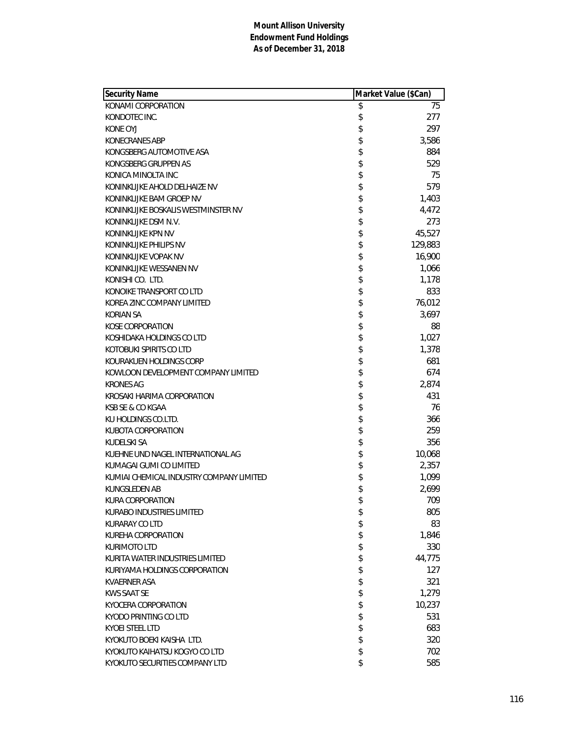| <b>Security Name</b>                     | Market Value (\$Can) |
|------------------------------------------|----------------------|
| KONAMI CORPORATION                       | \$<br>75             |
| KONDOTEC INC.                            | \$<br>277            |
| KONE OYJ                                 | \$<br>297            |
| KONECRANES ABP                           | \$<br>3,586          |
| KONGSBERG AUTOMOTIVE ASA                 | \$<br>884            |
| KONGSBERG GRUPPEN AS                     | \$<br>529            |
| KONICA MINOLTA INC                       | \$<br>75             |
| KONINKLIJKE AHOLD DELHAIZE NV            | \$<br>579            |
| KONINKLIJKE BAM GROEP NV                 | \$<br>1,403          |
| KONINKLIJKE BOSKALIS WESTMINSTER NV      | \$<br>4,472          |
| KONINKLIJKE DSM N.V.                     | \$<br>273            |
| KONINKLIJKE KPN NV                       | \$<br>45,527         |
| KONINKLIJKE PHILIPS NV                   | \$<br>129,883        |
| KONINKLIJKE VOPAK NV                     | \$<br>16,900         |
| KONINKLIJKE WESSANEN NV                  | \$<br>1,066          |
| KONISHI CO. LTD.                         | \$<br>1,178          |
| KONOIKE TRANSPORT CO LTD                 | \$<br>833            |
| KOREA ZINC COMPANY LIMITED               | \$<br>76,012         |
| <b>KORIAN SA</b>                         | \$<br>3,697          |
| <b>KOSE CORPORATION</b>                  | \$<br>88             |
| KOSHIDAKA HOLDINGS CO LTD                | \$<br>1,027          |
| KOTOBUKI SPIRITS CO LTD                  | \$<br>1,378          |
| KOURAKUEN HOLDINGS CORP                  | \$<br>681            |
| KOWLOON DEVELOPMENT COMPANY LIMITED      | \$<br>674            |
| <b>KRONES AG</b>                         | \$<br>2,874          |
| KROSAKI HARIMA CORPORATION               | \$<br>431            |
| KSB SE & CO KGAA                         | \$<br>76             |
| KU HOLDINGS CO.LTD.                      | \$<br>366            |
| KUBOTA CORPORATION                       | \$<br>259            |
| KUDELSKI SA                              | \$<br>356            |
| KUEHNE UND NAGEL INTERNATIONAL AG        | \$<br>10,068         |
| KUMAGAI GUMI CO LIMITED                  | \$<br>2,357          |
| KUMIAI CHEMICAL INDUSTRY COMPANY LIMITED | \$<br>1,099          |
| <b>KUNGSLEDEN AB</b>                     | \$<br>2,699          |
| <b>KURA CORPORATION</b>                  | \$<br>709            |
| KURABO INDUSTRIES LIMITED                | \$<br>805            |
| KURARAY CO LTD                           | \$<br>83             |
| KUREHA CORPORATION                       | \$<br>1,846          |
| <b>KURIMOTO LTD</b>                      | \$<br>330            |
| KURITA WATER INDUSTRIES LIMITED          | \$<br>44,775         |
| KURIYAMA HOLDINGS CORPORATION            | \$<br>127            |
| KVAERNER ASA                             | \$<br>321            |
| KWS SAAT SE                              | \$<br>1,279          |
| KYOCERA CORPORATION                      | \$<br>10,237         |
| KYODO PRINTING CO LTD                    | \$<br>531            |
| KYOEI STEEL LTD                          | \$<br>683            |
| KYOKUTO BOEKI KAISHA LTD.                | \$<br>320            |
| KYOKUTO KAIHATSU KOGYO CO LTD            | \$<br>702            |
| KYOKUTO SECURITIES COMPANY LTD           | \$<br>585            |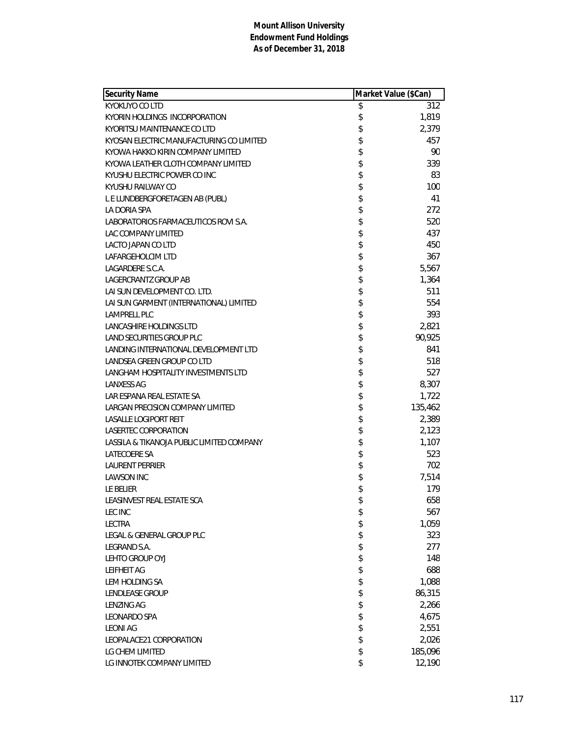| Security Name                             | Market Value (\$Can) |         |
|-------------------------------------------|----------------------|---------|
| <b>KYOKUYO CO LTD</b>                     | \$                   | 312     |
| KYORIN HOLDINGS INCORPORATION             | \$                   | 1,819   |
| KYORITSU MAINTENANCE CO LTD               | \$                   | 2,379   |
| KYOSAN ELECTRIC MANUFACTURING CO LIMITED  | \$                   | 457     |
| KYOWA HAKKO KIRIN COMPANY LIMITED         | \$                   | 90      |
| KYOWA LEATHER CLOTH COMPANY LIMITED       | \$                   | 339     |
| KYUSHU ELECTRIC POWER CO INC              | \$                   | 83      |
| KYUSHU RAILWAY CO                         | \$                   | 100     |
| L E LUNDBERGFORETAGEN AB (PUBL)           | \$                   | 41      |
| LA DORIA SPA                              | \$                   | 272     |
| LABORATORIOS FARMACEUTICOS ROVI S.A.      | \$                   | 520     |
| LAC COMPANY LIMITED                       | \$                   | 437     |
| <b>LACTO JAPAN CO LTD</b>                 | \$                   | 450     |
| LAFARGEHOLCIM LTD                         | \$                   | 367     |
| LAGARDERE S.C.A.                          | \$                   | 5,567   |
| <b>LAGERCRANTZ GROUP AB</b>               | \$                   | 1,364   |
| LAI SUN DEVELOPMENT CO. LTD.              | \$                   | 511     |
| LAI SUN GARMENT (INTERNATIONAL) LIMITED   | \$                   | 554     |
| <b>LAMPRELL PLC</b>                       | \$                   | 393     |
| LANCASHIRE HOLDINGS LTD                   | \$                   | 2,821   |
| LAND SECURITIES GROUP PLC                 | \$                   | 90,925  |
| LANDING INTERNATIONAL DEVELOPMENT LTD     | \$                   | 841     |
| LANDSEA GREEN GROUP CO LTD                | \$                   | 518     |
| LANGHAM HOSPITALITY INVESTMENTS LTD       | \$                   | 527     |
| <b>LANXESS AG</b>                         | \$                   | 8,307   |
| LAR ESPANA REAL ESTATE SA                 | \$                   | 1,722   |
| LARGAN PRECISION COMPANY LIMITED          | \$                   | 135,462 |
| <b>LASALLE LOGIPORT REIT</b>              | \$                   | 2,389   |
| LASERTEC CORPORATION                      | \$                   | 2,123   |
| LASSILA & TIKANOJA PUBLIC LIMITED COMPANY | \$                   | 1,107   |
| LATECOERE SA                              | \$                   | 523     |
| <b>LAURENT PERRIER</b>                    | \$                   | 702     |
| <b>LAWSON INC</b>                         | \$                   | 7,514   |
| LE BELIER                                 | \$                   | 179     |
| LEASINVEST REAL ESTATE SCA                | \$                   | 658     |
| LEC INC                                   | \$                   | 567     |
| <b>LECTRA</b>                             | \$                   | 1,059   |
| LEGAL & GENERAL GROUP PLC                 | \$                   | 323     |
| LEGRAND S.A.                              | \$                   | 277     |
| LEHTO GROUP OYJ                           | \$                   | 148     |
| <b>LEIFHEIT AG</b>                        | \$                   | 688     |
| LEM HOLDING SA                            | \$                   | 1,088   |
| LENDLEASE GROUP                           | \$                   | 86,315  |
| <b>LENZING AG</b>                         | \$                   | 2,266   |
| <b>LEONARDO SPA</b>                       | \$                   | 4,675   |
| <b>LEONI AG</b>                           | \$                   | 2,551   |
| LEOPALACE21 CORPORATION                   | \$                   | 2,026   |
| LG CHEM LIMITED                           | \$                   | 185,096 |
| LG INNOTEK COMPANY LIMITED                | \$                   | 12,190  |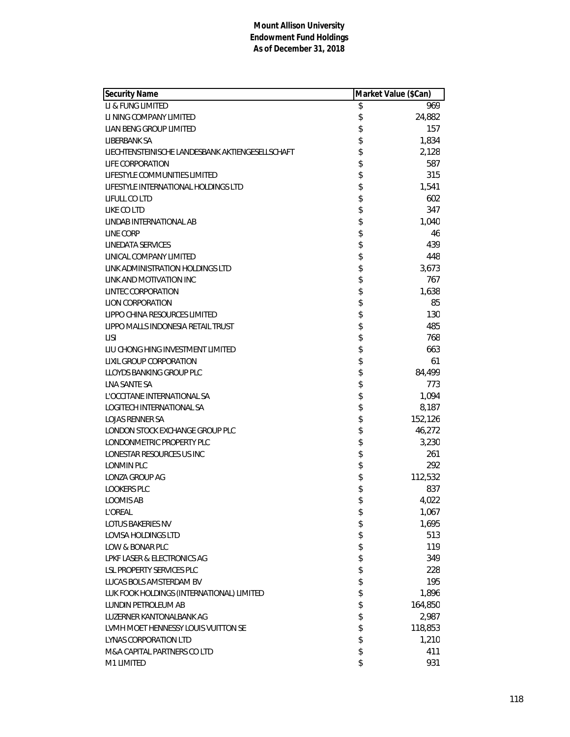|                                                        | Market Value (\$Can) |  |
|--------------------------------------------------------|----------------------|--|
| \$<br>LI & FUNG LIMITED                                | 969                  |  |
| \$<br>LI NING COMPANY LIMITED                          | 24,882               |  |
| \$<br>LIAN BENG GROUP LIMITED                          | 157                  |  |
| \$<br>LIBERBANK SA                                     | 1,834                |  |
| \$<br>LIECHTENSTEINISCHE LANDESBANK AKTIENGESELLSCHAFT | 2,128                |  |
| \$<br>LIFE CORPORATION                                 | 587                  |  |
| \$<br>LIFESTYLE COMMUNITIES LIMITED                    | 315                  |  |
| \$<br>LIFESTYLE INTERNATIONAL HOLDINGS LTD             | 1,541                |  |
| \$<br>LIFULL CO LTD                                    | 602                  |  |
| \$<br>LIKE CO LTD                                      | 347                  |  |
| \$<br>LINDAB INTERNATIONAL AB                          | 1,040                |  |
| \$<br>LINE CORP                                        | 46                   |  |
| \$<br><b>LINEDATA SERVICES</b>                         | 439                  |  |
| \$<br>LINICAL COMPANY LIMITED                          | 448                  |  |
| \$<br>LINK ADMINISTRATION HOLDINGS LTD                 | 3,673                |  |
| \$<br>LINK AND MOTIVATION INC                          | 767                  |  |
| \$<br><b>LINTEC CORPORATION</b>                        | 1,638                |  |
| \$<br><b>LION CORPORATION</b>                          | 85                   |  |
| \$<br>LIPPO CHINA RESOURCES LIMITED                    | 130                  |  |
| \$<br>LIPPO MALLS INDONESIA RETAIL TRUST               | 485                  |  |
| \$<br>LISI                                             | 768                  |  |
| \$<br>LIU CHONG HING INVESTMENT LIMITED                | 663                  |  |
| \$<br><b>LIXIL GROUP CORPORATION</b>                   | 61                   |  |
| \$<br>LLOYDS BANKING GROUP PLC                         | 84,499               |  |
| \$<br>LNA SANTE SA                                     | 773                  |  |
| \$<br>L'OCCITANE INTERNATIONAL SA                      | 1,094                |  |
| \$<br><b>LOGITECH INTERNATIONAL SA</b>                 | 8,187                |  |
| \$<br><b>LOJAS RENNER SA</b>                           | 152,126              |  |
| \$<br>LONDON STOCK EXCHANGE GROUP PLC                  | 46,272               |  |
| \$<br>LONDONMETRIC PROPERTY PLC                        | 3,230                |  |
| \$<br>LONESTAR RESOURCES US INC                        | 261                  |  |
| \$<br>LONMIN PLC                                       | 292                  |  |
| \$<br>LONZA GROUP AG                                   | 112,532              |  |
| \$<br><b>LOOKERS PLC</b>                               | 837                  |  |
| \$<br>LOOMIS AB                                        | 4,022                |  |
| L'OREAL<br>\$                                          | 1,067                |  |
| \$<br>LOTUS BAKERIES NV                                | 1,695                |  |
| \$<br>LOVISA HOLDINGS LTD                              | 513                  |  |
| \$<br>LOW & BONAR PLC                                  | 119                  |  |
| \$<br>LPKF LASER & ELECTRONICS AG                      | 349                  |  |
| \$<br>LSL PROPERTY SERVICES PLC                        | 228                  |  |
| \$<br>LUCAS BOLS AMSTERDAM BV                          | 195                  |  |
| \$<br>LUK FOOK HOLDINGS (INTERNATIONAL) LIMITED        | 1,896                |  |
| \$<br>LUNDIN PETROLEUM AB                              | 164,850              |  |
| \$<br>LUZERNER KANTONALBANK AG                         | 2,987                |  |
| \$<br>LVMH MOET HENNESSY LOUIS VUITTON SE              | 118,853              |  |
| \$<br>LYNAS CORPORATION LTD                            | 1,210                |  |
| \$<br>M&A CAPITAL PARTNERS CO LTD                      | 411                  |  |
| \$<br>M1 LIMITED                                       | 931                  |  |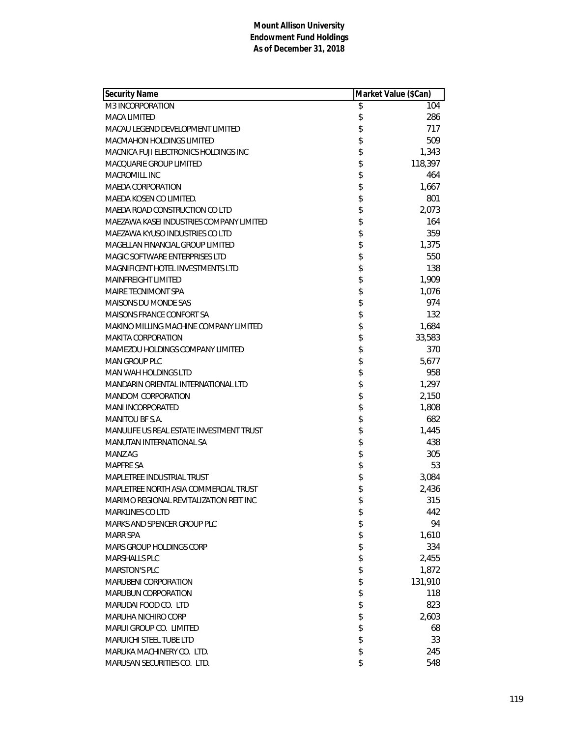| <b>Security Name</b>                     | Market Value (\$Can) |         |
|------------------------------------------|----------------------|---------|
| M3 INCORPORATION                         | \$                   | 104     |
| <b>MACA LIMITED</b>                      | \$                   | 286     |
| MACAU LEGEND DEVELOPMENT LIMITED         | \$                   | 717     |
| <b>MACMAHON HOLDINGS LIMITED</b>         | \$                   | 509     |
| MACNICA FUJI ELECTRONICS HOLDINGS INC    | \$                   | 1,343   |
| MACQUARIE GROUP LIMITED                  | \$                   | 118,397 |
| <b>MACROMILL INC</b>                     | \$                   | 464     |
| MAEDA CORPORATION                        | \$                   | 1,667   |
| MAEDA KOSEN CO LIMITED.                  | \$                   | 801     |
| MAEDA ROAD CONSTRUCTION CO LTD           | \$                   | 2,073   |
| MAEZAWA KASELINDUSTRIES COMPANY LIMITED  | \$                   | 164     |
| MAEZAWA KYUSO INDUSTRIES CO LTD          | \$                   | 359     |
| MAGELLAN FINANCIAL GROUP LIMITED         | \$                   | 1,375   |
| MAGIC SOFTWARE ENTERPRISES LTD           | \$                   | 550     |
| MAGNIFICENT HOTEL INVESTMENTS LTD        | \$                   | 138     |
| <b>MAINFREIGHT LIMITED</b>               | \$                   | 1,909   |
| <b>MAIRE TECNIMONT SPA</b>               | \$                   | 1,076   |
| <b>MAISONS DU MONDE SAS</b>              | \$                   | 974     |
| MAISONS FRANCE CONFORT SA                | \$                   | 132     |
| MAKINO MILLING MACHINE COMPANY LIMITED   | \$                   | 1,684   |
| <b>MAKITA CORPORATION</b>                | \$                   | 33,583  |
| MAMEZOU HOLDINGS COMPANY LIMITED         | \$                   | 370     |
| MAN GROUP PLC                            | \$                   | 5,677   |
| <b>MAN WAH HOLDINGS LTD</b>              | \$                   | 958     |
| MANDARIN ORIENTAL INTERNATIONAL LTD      | \$                   | 1,297   |
| <b>MANDOM CORPORATION</b>                | \$                   | 2,150   |
| <b>MANI INCORPORATED</b>                 | \$                   | 1,808   |
| MANITOU BF S.A.                          | \$                   | 682     |
| MANULIFE US REAL ESTATE INVESTMENT TRUST | \$                   | 1,445   |
| MANUTAN INTERNATIONAL SA                 | \$                   | 438     |
| MANZ AG                                  | \$                   | 305     |
| <b>MAPFRE SA</b>                         | \$                   | 53      |
| MAPLETREE INDUSTRIAL TRUST               | \$                   | 3,084   |
| MAPLETREE NORTH ASIA COMMERCIAL TRUST    | \$                   | 2,436   |
| MARIMO REGIONAL REVITALIZATION REIT INC  | \$                   | 315     |
| <b>MARKLINES CO LTD</b>                  | \$                   | 442     |
| MARKS AND SPENCER GROUP PLC              | \$                   | 94      |
| <b>MARR SPA</b>                          | \$                   | 1,610   |
| MARS GROUP HOLDINGS CORP                 | \$                   | 334     |
| <b>MARSHALLS PLC</b>                     | \$                   | 2,455   |
| <b>MARSTON'S PLC</b>                     | \$                   | 1,872   |
| <b>MARUBENI CORPORATION</b>              | \$                   | 131,910 |
| <b>MARUBUN CORPORATION</b>               | \$                   | 118     |
| MARUDAI FOOD CO. LTD                     | \$                   | 823     |
| <b>MARUHA NICHIRO CORP</b>               | \$                   | 2,603   |
| MARUI GROUP CO. LIMITED                  | \$                   | 68      |
| <b>MARUICHI STEEL TUBE LTD</b>           | \$                   | 33      |
| MARUKA MACHINERY CO. LTD.                | \$                   | 245     |
| MARUSAN SECURITIES CO. LTD.              | \$                   | 548     |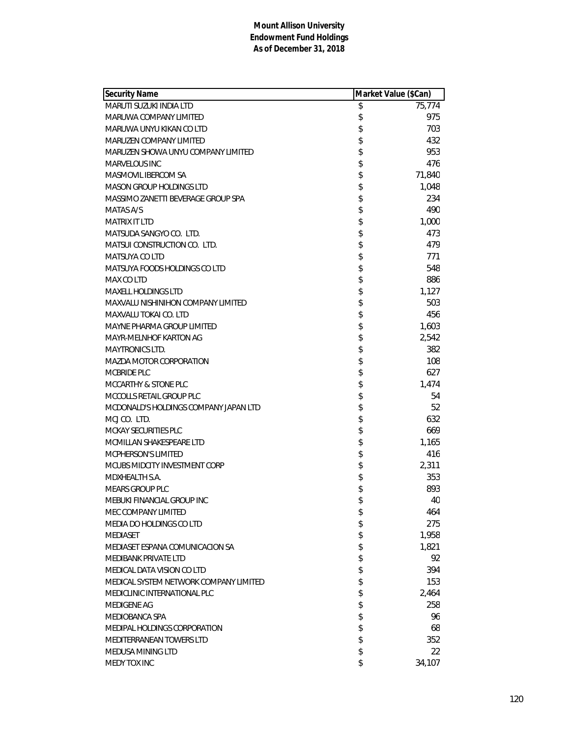| <b>Security Name</b>                      | Market Value (\$Can) |        |
|-------------------------------------------|----------------------|--------|
| MARUTI SUZUKI INDIA LTD                   | \$                   | 75,774 |
| MARUWA COMPANY LIMITED                    | \$                   | 975    |
| MARUWA UNYU KIKAN CO LTD                  | \$                   | 703    |
| MARUZEN COMPANY LIMITED                   | \$                   | 432    |
| MARUZEN SHOWA UNYU COMPANY LIMITED        | \$                   | 953    |
| <b>MARVELOUS INC</b>                      | \$                   | 476    |
| MASMOVIL IBERCOM SA                       | \$                   | 71,840 |
| <b>MASON GROUP HOLDINGS LTD</b>           | \$                   | 1,048  |
| MASSIMO ZANETTI BEVERAGE GROUP SPA        | \$                   | 234    |
| MATAS A/S                                 | \$                   | 490    |
| MATRIX IT LTD                             | \$                   | 1,000  |
| MATSUDA SANGYO CO. LTD.                   | \$                   | 473    |
| MATSUI CONSTRUCTION CO. LTD.              | \$                   | 479    |
| <b>MATSUYA CO LTD</b>                     | \$                   | 771    |
| MATSUYA FOODS HOLDINGS CO LTD             | \$                   | 548    |
| MAX CO LTD                                | \$                   | 886    |
| <b>MAXELL HOLDINGS LTD</b>                | \$                   | 1,127  |
| <b>MAXVALU NISHINIHON COMPANY LIMITED</b> | \$                   | 503    |
| MAXVALU TOKAI CO. LTD                     | \$                   | 456    |
| <b>MAYNE PHARMA GROUP LIMITED</b>         | \$                   | 1,603  |
| MAYR-MELNHOF KARTON AG                    | \$                   | 2,542  |
| <b>MAYTRONICS LTD.</b>                    | \$                   | 382    |
| MAZDA MOTOR CORPORATION                   | \$                   | 108    |
| MCBRIDE PLC                               | \$                   | 627    |
| MCCARTHY & STONE PLC                      | \$                   | 1,474  |
| MCCOLLS RETAIL GROUP PLC                  | \$                   | 54     |
| MCDONALD'S HOLDINGS COMPANY JAPAN LTD     | \$                   | 52     |
| MCJ CO. LTD.                              | \$                   | 632    |
| MCKAY SECURITIES PLC                      | \$                   | 669    |
| MCMILLAN SHAKESPEARE LTD                  | \$                   | 1,165  |
| MCPHERSON'S LIMITED                       | \$                   | 416    |
| MCUBS MIDCITY INVESTMENT CORP             | \$                   | 2,311  |
| MDXHEALTH S.A.                            | \$                   | 353    |
| <b>MEARS GROUP PLC</b>                    | \$                   | 893    |
| MEBUKI FINANCIAL GROUP INC                | \$                   | 40     |
| MEC COMPANY LIMITED                       | \$                   | 464    |
| MEDIA DO HOLDINGS CO LTD                  | \$                   | 275    |
| <b>MEDIASET</b>                           | \$                   | 1,958  |
| MEDIASET ESPANA COMUNICACION SA           | \$                   | 1,821  |
| <b>MEDIBANK PRIVATE LTD</b>               | \$                   | 92     |
| MEDICAL DATA VISION CO LTD                | \$                   | 394    |
| MEDICAL SYSTEM NETWORK COMPANY LIMITED    | \$                   | 153    |
| MEDICLINIC INTERNATIONAL PLC              | \$                   | 2,464  |
| <b>MEDIGENE AG</b>                        | \$                   | 258    |
| MEDIOBANCA SPA                            | \$                   | 96     |
| MEDIPAL HOLDINGS CORPORATION              | \$                   | 68     |
| MEDITERRANEAN TOWERS LTD                  | \$                   | 352    |
| MEDUSA MINING LTD                         | \$                   | 22     |
| <b>MEDY TOX INC</b>                       | \$                   | 34,107 |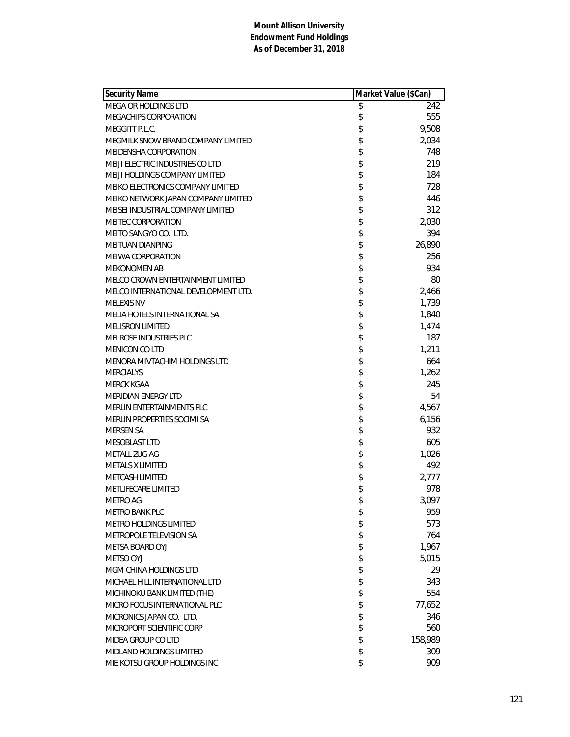| <b>Security Name</b>                 | Market Value (\$Can) |         |
|--------------------------------------|----------------------|---------|
| MEGA OR HOLDINGS LTD                 | \$                   | 242     |
| MEGACHIPS CORPORATION                | \$                   | 555     |
| MEGGITT P.L.C.                       | \$                   | 9,508   |
| MEGMILK SNOW BRAND COMPANY LIMITED   | \$                   | 2,034   |
| MEIDENSHA CORPORATION                | \$                   | 748     |
| MEIJI ELECTRIC INDUSTRIES CO LTD     | \$                   | 219     |
| MEIJI HOLDINGS COMPANY LIMITED       | \$                   | 184     |
| MEIKO ELECTRONICS COMPANY LIMITED    | \$                   | 728     |
| MEIKO NETWORK JAPAN COMPANY LIMITED  | \$                   | 446     |
| MEISEI INDUSTRIAL COMPANY LIMITED    | \$                   | 312     |
| <b>MEITEC CORPORATION</b>            | \$                   | 2,030   |
| MEITO SANGYO CO. LTD.                | \$                   | 394     |
| <b>MEITUAN DIANPING</b>              | \$                   | 26,890  |
| <b>MEIWA CORPORATION</b>             | \$                   | 256     |
| <b>MEKONOMEN AB</b>                  | \$                   | 934     |
| MELCO CROWN ENTERTAINMENT LIMITED    | \$                   | 80      |
| MELCO INTERNATIONAL DEVELOPMENT LTD. | \$                   | 2,466   |
| <b>MELEXIS NV</b>                    | \$                   | 1,739   |
| MELIA HOTELS INTERNATIONAL SA        | \$                   | 1,840   |
| <b>MELISRON LIMITED</b>              | \$                   | 1,474   |
| MELROSE INDUSTRIES PLC               | \$                   | 187     |
| <b>MENICON CO LTD</b>                | \$                   | 1,211   |
| MENORA MIVTACHIM HOLDINGS LTD        | \$                   | 664     |
| <b>MERCIALYS</b>                     | \$                   | 1,262   |
| MERCK KGAA                           | \$                   | 245     |
| <b>MERIDIAN ENERGY LTD</b>           | \$                   | 54      |
| MERLIN ENTERTAINMENTS PLC            | \$                   | 4,567   |
| MERLIN PROPERTIES SOCIMI SA          | \$                   | 6,156   |
| <b>MERSEN SA</b>                     | \$                   | 932     |
| <b>MESOBLAST LTD</b>                 | \$                   | 605     |
| METALL ZUG AG                        | \$                   | 1,026   |
| <b>METALS X LIMITED</b>              | \$                   | 492     |
| <b>METCASH LIMITED</b>               | \$                   | 2,777   |
| METLIFECARE LIMITED                  | \$                   | 978     |
| <b>METRO AG</b>                      | \$                   | 3,097   |
| <b>METRO BANK PLC</b>                | \$                   | 959     |
| METRO HOLDINGS LIMITED               | \$                   | 573     |
| METROPOLE TELEVISION SA              | \$                   | 764     |
| METSA BOARD OYJ                      | \$                   | 1,967   |
| METSO OYJ                            | \$                   | 5,015   |
| MGM CHINA HOLDINGS LTD               | \$                   | 29      |
| MICHAEL HILL INTERNATIONAL LTD       | \$                   | 343     |
| MICHINOKU BANK LIMITED (THE)         | \$                   | 554     |
| MICRO FOCUS INTERNATIONAL PLC        | \$                   | 77,652  |
| MICRONICS JAPAN CO. LTD.             | \$                   | 346     |
| MICROPORT SCIENTIFIC CORP            | \$                   | 560     |
| MIDEA GROUP CO LTD                   | \$                   | 158,989 |
| MIDLAND HOLDINGS LIMITED             | \$                   | 309     |
| MIE KOTSU GROUP HOLDINGS INC         | \$                   | 909     |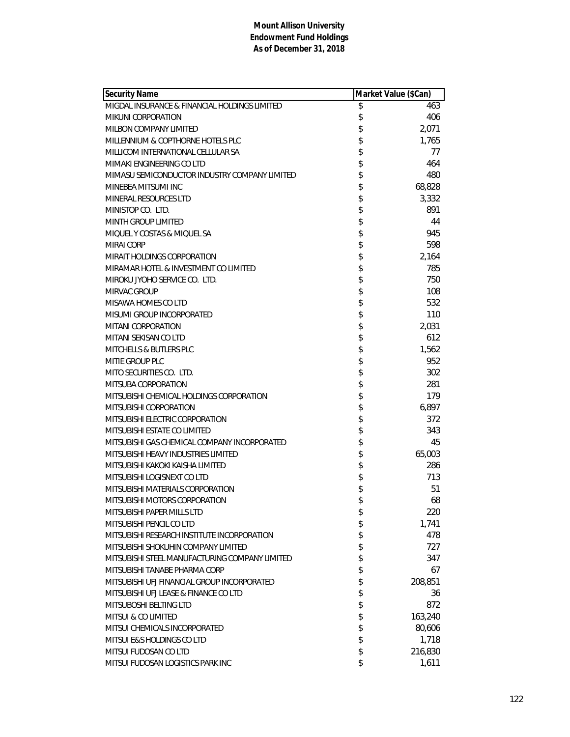| <b>Security Name</b>                           | Market Value (\$Can) |         |
|------------------------------------------------|----------------------|---------|
| MIGDAL INSURANCE & FINANCIAL HOLDINGS LIMITED  | \$                   | 463     |
| <b>MIKUNI CORPORATION</b>                      | \$                   | 406     |
| MILBON COMPANY LIMITED                         | \$                   | 2,071   |
| MILLENNIUM & COPTHORNE HOTELS PLC              | \$                   | 1,765   |
| MILLICOM INTERNATIONAL CELLULAR SA             | \$                   | 77      |
| MIMAKI ENGINEERING CO LTD                      | \$                   | 464     |
| MIMASU SEMICONDUCTOR INDUSTRY COMPANY LIMITED  | \$                   | 480     |
| MINEBEA MITSUMI INC                            | \$                   | 68,828  |
| MINERAL RESOURCES LTD                          | \$                   | 3,332   |
| MINISTOP CO. LTD.                              | \$                   | 891     |
| MINTH GROUP LIMITED                            | \$                   | 44      |
| MIQUEL Y COSTAS & MIQUEL SA                    | \$                   | 945     |
| <b>MIRAI CORP</b>                              | \$                   | 598     |
| MIRAIT HOLDINGS CORPORATION                    | \$                   | 2,164   |
| MIRAMAR HOTEL & INVESTMENT CO LIMITED          | \$                   | 785     |
| MIROKU JYOHO SERVICE CO. LTD.                  | \$                   | 750     |
| MIRVAC GROUP                                   | \$                   | 108     |
| MISAWA HOMES CO LTD                            | \$                   | 532     |
| MISUMI GROUP INCORPORATED                      | \$                   | 110     |
| MITANI CORPORATION                             | \$                   | 2,031   |
| MITANI SEKISAN CO LTD                          | \$                   | 612     |
| MITCHELLS & BUTLERS PLC                        | \$                   | 1,562   |
| MITIE GROUP PLC                                | \$                   | 952     |
| MITO SECURITIES CO. LTD.                       | \$                   | 302     |
| MITSUBA CORPORATION                            | \$                   | 281     |
| MITSUBISHI CHEMICAL HOLDINGS CORPORATION       | \$                   | 179     |
| MITSUBISHI CORPORATION                         | \$                   | 6,897   |
| MITSUBISHI ELECTRIC CORPORATION                | \$                   | 372     |
| MITSUBISHI ESTATE CO LIMITED                   | \$                   | 343     |
| MITSUBISHI GAS CHEMICAL COMPANY INCORPORATED   | \$                   | 45      |
| MITSUBISHI HEAVY INDUSTRIES LIMITED            | \$                   | 65,003  |
| MITSUBISHI KAKOKI KAISHA LIMITED               | \$                   | 286     |
| MITSUBISHI LOGISNEXT CO LTD                    | \$                   | 713     |
| MITSUBISHI MATERIALS CORPORATION               | \$                   | 51      |
| MITSUBISHI MOTORS CORPORATION                  | \$                   | 68      |
| MITSUBISHI PAPER MILLS LTD                     | \$                   | 220     |
| MITSUBISHI PENCIL CO LTD                       | \$                   | 1,741   |
| MITSUBISHI RESEARCH INSTITUTE INCORPORATION    | \$                   | 478     |
| MITSUBISHI SHOKUHIN COMPANY LIMITED            | \$                   | 727     |
| MITSUBISHI STEEL MANUFACTURING COMPANY LIMITED | \$                   | 347     |
| MITSUBISHI TANABE PHARMA CORP                  | \$                   | 67      |
| MITSUBISHI UFJ FINANCIAL GROUP INCORPORATED    | \$                   | 208,851 |
| MITSUBISHI UFJ LEASE & FINANCE CO LTD          | \$                   | 36      |
| MITSUBOSHI BELTING LTD                         | \$                   | 872     |
| MITSUI & CO LIMITED                            | \$                   | 163,240 |
| MITSUI CHEMICALS INCORPORATED                  | \$                   | 80,606  |
| MITSUI E&S HOLDINGS CO LTD                     | \$                   | 1,718   |
| MITSUI FUDOSAN CO LTD                          | \$                   | 216,830 |
| MITSUI FUDOSAN LOGISTICS PARK INC              | \$                   | 1,611   |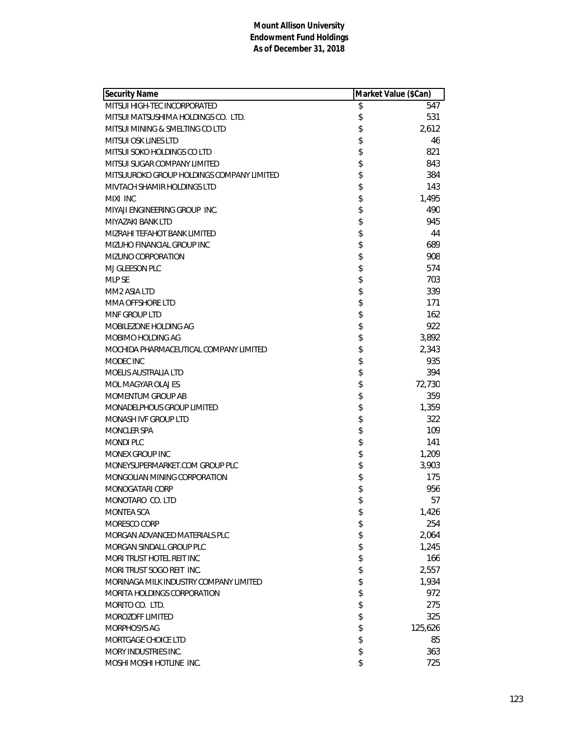| <b>Security Name</b>                      | Market Value (\$Can) |         |
|-------------------------------------------|----------------------|---------|
| MITSUI HIGH-TEC INCORPORATED              | \$                   | 547     |
| MITSUI MATSUSHIMA HOLDINGS CO. LTD.       | \$                   | 531     |
| MITSUI MINING & SMELTING CO LTD           | \$                   | 2,612   |
| MITSUI OSK LINES LTD                      | \$                   | 46      |
| MITSUI SOKO HOLDINGS CO LTD               | \$                   | 821     |
| MITSUI SUGAR COMPANY LIMITED              | \$                   | 843     |
| MITSUUROKO GROUP HOLDINGS COMPANY LIMITED | \$                   | 384     |
| MIVTACH SHAMIR HOLDINGS LTD               | \$                   | 143     |
| MIXI INC                                  | \$                   | 1,495   |
| MIYAJI ENGINEERING GROUP INC.             | \$                   | 490     |
| MIYAZAKI BANK LTD                         | \$                   | 945     |
| MIZRAHI TEFAHOT BANK LIMITED              | \$                   | 44      |
| MIZUHO FINANCIAL GROUP INC                | \$                   | 689     |
| MIZUNO CORPORATION                        | \$                   | 908     |
| MJ GLEESON PLC                            | \$                   | 574     |
| <b>MLP SE</b>                             | \$                   | 703     |
| MM2 ASIA LTD                              | \$                   | 339     |
| MMA OFFSHORE LTD                          | \$                   | 171     |
| MNF GROUP LTD                             | \$                   | 162     |
| MOBILEZONE HOLDING AG                     | \$                   | 922     |
| MOBIMO HOLDING AG                         | \$                   | 3,892   |
| MOCHIDA PHARMACEUTICAL COMPANY LIMITED    | \$                   | 2,343   |
| MODEC INC                                 | \$                   | 935     |
| MOELIS AUSTRALIA LTD                      | \$                   | 394     |
| MOL MAGYAR OLAJ ES                        | \$                   | 72,730  |
| MOMENTUM GROUP AB                         | \$                   | 359     |
| MONADELPHOUS GROUP LIMITED                | \$                   | 1,359   |
| MONASH IVF GROUP LTD                      | \$                   | 322     |
| <b>MONCLER SPA</b>                        | \$                   | 109     |
| <b>MONDI PLC</b>                          | \$                   | 141     |
| MONEX GROUP INC                           | \$                   | 1,209   |
| MONEYSUPERMARKET.COM GROUP PLC            | \$                   | 3,903   |
| MONGOLIAN MINING CORPORATION              | \$                   | 175     |
| MONOGATARI CORP                           | \$                   | 956     |
| MONOTARO CO. LTD                          | \$                   | 57      |
| <b>MONTEA SCA</b>                         | \$                   | 1,426   |
| MORESCO CORP                              | \$                   | 254     |
| MORGAN ADVANCED MATERIALS PLC             | \$                   | 2,064   |
| MORGAN SINDALL GROUP PLC                  | \$                   | 1,245   |
| MORI TRUST HOTEL REIT INC                 | \$                   | 166     |
| MORI TRUST SOGO REIT INC.                 | \$                   | 2,557   |
| MORINAGA MILK INDUSTRY COMPANY LIMITED    | \$                   | 1,934   |
| MORITA HOLDINGS CORPORATION               | \$                   | 972     |
| MORITO CO. LTD.                           | \$                   | 275     |
| MOROZOFF LIMITED                          | \$                   | 325     |
| MORPHOSYS AG                              | \$                   | 125,626 |
| MORTGAGE CHOICE LTD                       | \$                   | 85      |
| <b>MORY INDUSTRIES INC.</b>               | \$                   | 363     |
| MOSHI MOSHI HOTLINE INC.                  | \$                   | 725     |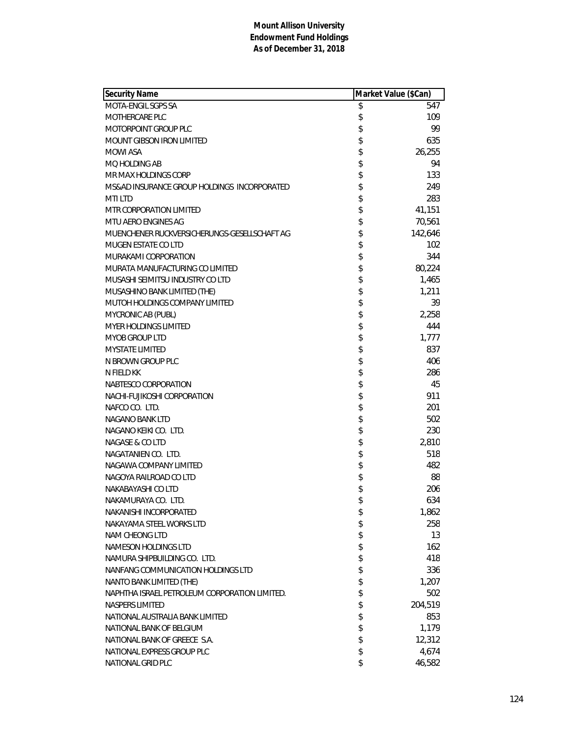| <b>Security Name</b>                          | Market Value (\$Can) |         |
|-----------------------------------------------|----------------------|---------|
| MOTA-ENGIL SGPS SA                            | \$                   | 547     |
| <b>MOTHERCARE PLC</b>                         | \$                   | 109     |
| MOTORPOINT GROUP PLC                          | \$                   | 99      |
| MOUNT GIBSON IRON LIMITED                     | \$                   | 635     |
| <b>MOWI ASA</b>                               | \$                   | 26,255  |
| MO HOLDING AB                                 | \$                   | 94      |
| MR MAX HOLDINGS CORP                          | \$                   | 133     |
| MS&AD INSURANCE GROUP HOLDINGS INCORPORATED   | \$                   | 249     |
| <b>MTILTD</b>                                 | \$                   | 283     |
| MTR CORPORATION LIMITED                       | \$                   | 41,151  |
| MTU AERO ENGINES AG                           | \$                   | 70,561  |
| MUENCHENER RUCKVERSICHERUNGS-GESELLSCHAFT AG  | \$                   | 142,646 |
| <b>MUGEN ESTATE CO LTD</b>                    | \$                   | 102     |
| MURAKAMI CORPORATION                          | \$                   | 344     |
| MURATA MANUFACTURING CO LIMITED               | \$                   | 80,224  |
| MUSASHI SEIMITSU INDUSTRY CO LTD              | \$                   | 1,465   |
| MUSASHINO BANK LIMITED (THE)                  | \$                   | 1,211   |
| MUTOH HOLDINGS COMPANY LIMITED                | \$                   | 39      |
| MYCRONIC AB (PUBL)                            | \$                   | 2,258   |
| MYER HOLDINGS LIMITED                         | \$                   | 444     |
| <b>MYOB GROUP LTD</b>                         | \$                   | 1,777   |
| <b>MYSTATE LIMITED</b>                        | \$                   | 837     |
| N BROWN GROUP PLC                             | \$                   | 406     |
| N FIELD KK                                    | \$                   | 286     |
| NABTESCO CORPORATION                          | \$                   | 45      |
| NACHI-FUJIKOSHI CORPORATION                   | \$                   | 911     |
| NAFCO CO. LTD.                                | \$                   | 201     |
| NAGANO BANK LTD                               | \$                   | 502     |
| NAGANO KEIKI CO. LTD.                         | \$                   | 230     |
| NAGASE & CO LTD                               | \$                   | 2,810   |
| NAGATANIEN CO. LTD.                           | \$                   | 518     |
| NAGAWA COMPANY LIMITED                        | \$                   | 482     |
| NAGOYA RAILROAD CO LTD                        | \$                   | 88      |
| NAKABAYASHI CO LTD                            | \$                   | 206     |
| NAKAMURAYA CO. LTD.                           | \$                   | 634     |
| NAKANISHI INCORPORATED                        | \$                   | 1,862   |
| NAKAYAMA STEEL WORKS LTD                      | \$                   | 258     |
| <b>NAM CHEONG LTD</b>                         | \$                   | 13      |
| NAMESON HOLDINGS LTD                          | \$                   | 162     |
| NAMURA SHIPBUILDING CO. LTD.                  | \$                   | 418     |
| NANFANG COMMUNICATION HOLDINGS LTD            | \$                   | 336     |
| NANTO BANK LIMITED (THE)                      | \$                   | 1,207   |
| NAPHTHA ISRAEL PETROLEUM CORPORATION LIMITED. | \$                   | 502     |
| NASPERS LIMITED                               | \$                   | 204,519 |
| NATIONAL AUSTRALIA BANK LIMITED               | \$                   | 853     |
| NATIONAL BANK OF BELGIUM                      | \$                   | 1,179   |
| NATIONAL BANK OF GREECE S.A.                  | \$                   | 12,312  |
| NATIONAL EXPRESS GROUP PLC                    | \$                   | 4,674   |
| NATIONAL GRID PLC                             | \$                   | 46,582  |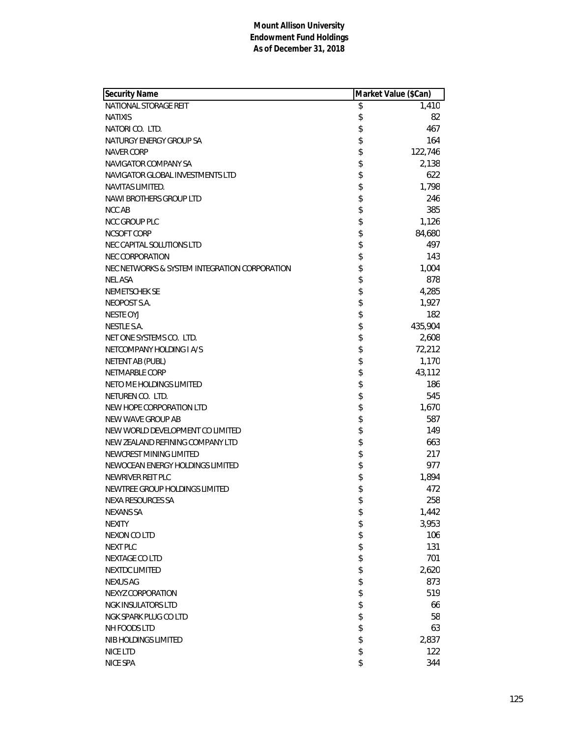| Security Name                                 | Market Value (\$Can) |         |
|-----------------------------------------------|----------------------|---------|
| NATIONAL STORAGE REIT                         | \$                   | 1,410   |
| <b>NATIXIS</b>                                | \$                   | 82      |
| NATORI CO. LTD.                               | \$                   | 467     |
| NATURGY ENERGY GROUP SA                       | \$                   | 164     |
| <b>NAVER CORP</b>                             | \$                   | 122,746 |
| NAVIGATOR COMPANY SA                          | \$                   | 2,138   |
| NAVIGATOR GLOBAL INVESTMENTS LTD              | \$                   | 622     |
| NAVITAS LIMITED.                              | \$                   | 1,798   |
| NAWI BROTHERS GROUP LTD                       | \$                   | 246     |
| NCC AB                                        | \$                   | 385     |
| <b>NCC GROUP PLC</b>                          | \$                   | 1,126   |
| NCSOFT CORP                                   | \$                   | 84,680  |
| NEC CAPITAL SOLUTIONS LTD                     | \$                   | 497     |
| <b>NEC CORPORATION</b>                        | \$                   | 143     |
| NEC NETWORKS & SYSTEM INTEGRATION CORPORATION | \$                   | 1,004   |
| <b>NEL ASA</b>                                | \$                   | 878     |
| <b>NEMETSCHEK SE</b>                          | \$                   | 4,285   |
| NEOPOST S.A.                                  | \$                   | 1,927   |
| <b>NESTE OYJ</b>                              | \$                   | 182     |
| <b>NESTLE S.A.</b>                            | \$                   | 435,904 |
| NET ONE SYSTEMS CO. LTD.                      | \$                   | 2,608   |
| NETCOMPANY HOLDING I A/S                      | \$                   | 72,212  |
| <b>NETENT AB (PUBL)</b>                       | \$                   | 1,170   |
| <b>NETMARBLE CORP</b>                         | \$                   | 43,112  |
| NETO ME HOLDINGS LIMITED                      | \$                   | 186     |
| NETUREN CO. LTD.                              | \$                   | 545     |
| NEW HOPE CORPORATION LTD                      | \$                   | 1,670   |
| NEW WAVE GROUP AB                             | \$                   | 587     |
| NEW WORLD DEVELOPMENT CO LIMITED              | \$                   | 149     |
| NEW ZEALAND REFINING COMPANY LTD              | \$                   | 663     |
| NEWCREST MINING LIMITED                       | \$                   | 217     |
| NEWOCEAN ENERGY HOLDINGS LIMITED              | \$                   | 977     |
| NEWRIVER REIT PLC                             | \$                   | 1,894   |
| NEWTREE GROUP HOLDINGS LIMITED                | \$                   | 472     |
| <b>NEXA RESOURCES SA</b>                      | \$                   | 258     |
| <b>NEXANS SA</b>                              | \$                   | 1,442   |
| <b>NEXITY</b>                                 |                      | 3,953   |
| <b>NEXON CO LTD</b>                           |                      | 106     |
| <b>NEXT PLC</b>                               |                      | 131     |
| NEXTAGE CO LTD                                |                      | 701     |
| <b>NEXTDC LIMITED</b>                         |                      | 2,620   |
| <b>NEXUS AG</b>                               |                      | 873     |
| NEXYZ CORPORATION                             |                      | 519     |
| <b>NGK INSULATORS LTD</b>                     |                      | 66      |
| NGK SPARK PLUG CO LTD                         |                      | 58      |
| NH FOODS LTD                                  | まままままままま             | 63      |
| NIB HOLDINGS LIMITED                          | \$                   | 2,837   |
| NICE LTD                                      | \$                   | 122     |
| NICE SPA                                      | \$                   | 344     |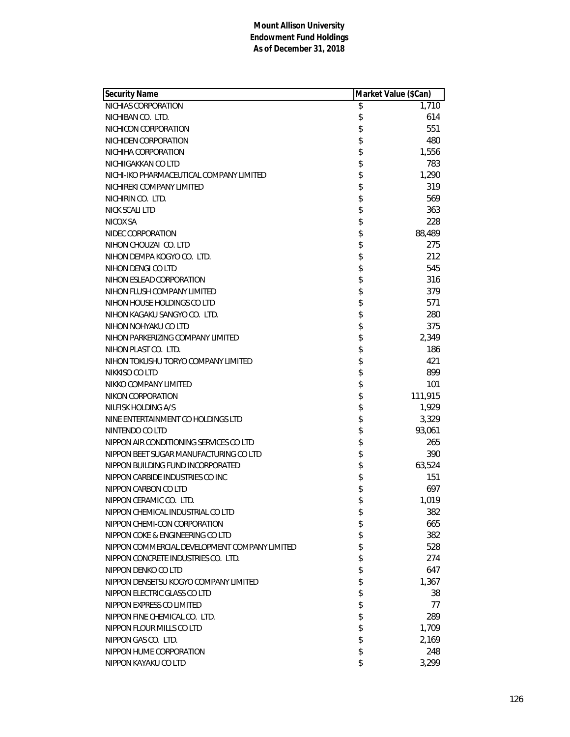| Security Name                                 | Market Value (\$Can) |         |
|-----------------------------------------------|----------------------|---------|
| NICHIAS CORPORATION                           | \$                   | 1,710   |
| NICHIBAN CO. LTD.                             | \$                   | 614     |
| NICHICON CORPORATION                          | \$                   | 551     |
| NICHIDEN CORPORATION                          | \$                   | 480     |
| NICHIHA CORPORATION                           | \$                   | 1,556   |
| NICHIIGAKKAN CO LTD                           | \$                   | 783     |
| NICHI-IKO PHARMACEUTICAL COMPANY LIMITED      | \$                   | 1,290   |
| NICHIREKI COMPANY LIMITED                     | \$                   | 319     |
| NICHIRIN CO. LTD.                             | \$                   | 569     |
| <b>NICK SCALI LTD</b>                         | \$                   | 363     |
| NICOX SA                                      | \$                   | 228     |
| NIDEC CORPORATION                             | \$                   | 88,489  |
| NIHON CHOUZAI CO. LTD                         | \$                   | 275     |
| NIHON DEMPA KOGYO CO. LTD.                    | \$                   | 212     |
| NIHON DENGI CO LTD                            | \$                   | 545     |
| NIHON ESLEAD CORPORATION                      | \$                   | 316     |
| NIHON FLUSH COMPANY LIMITED                   | \$                   | 379     |
| NIHON HOUSE HOLDINGS CO LTD                   | \$                   | 571     |
| NIHON KAGAKU SANGYO CO. LTD.                  | \$                   | 280     |
| NIHON NOHYAKU CO LTD                          | \$                   | 375     |
| NIHON PARKERIZING COMPANY LIMITED             | \$                   | 2,349   |
| NIHON PLAST CO. LTD.                          | \$                   | 186     |
| NIHON TOKUSHU TORYO COMPANY LIMITED           | \$                   | 421     |
| NIKKISO CO LTD                                | \$                   | 899     |
| NIKKO COMPANY LIMITED                         | \$                   | 101     |
| NIKON CORPORATION                             | \$                   | 111,915 |
| NILFISK HOLDING A/S                           | \$                   | 1,929   |
| NINE ENTERTAINMENT CO HOLDINGS LTD            | \$                   | 3,329   |
| NINTENDO CO LTD                               | \$                   | 93,061  |
| NIPPON AIR CONDITIONING SERVICES CO LTD       | \$                   | 265     |
| NIPPON BEET SUGAR MANUFACTURING CO LTD        | \$                   | 390     |
| NIPPON BUILDING FUND INCORPORATED             | \$                   | 63,524  |
| NIPPON CARBIDE INDUSTRIES CO INC              | \$                   | 151     |
| NIPPON CARBON CO LTD                          | \$                   | 697     |
| NIPPON CERAMIC CO. LTD.                       | \$                   | 1,019   |
| NIPPON CHEMICAL INDUSTRIAL CO LTD             | \$                   | 382     |
| NIPPON CHEMI-CON CORPORATION                  | \$                   | 665     |
| NIPPON COKE & ENGINEERING CO LTD              | \$                   | 382     |
| NIPPON COMMERCIAL DEVELOPMENT COMPANY LIMITED | \$                   | 528     |
| NIPPON CONCRETE INDUSTRIES CO. LTD.           | \$                   | 274     |
| NIPPON DENKO CO LTD                           | \$                   | 647     |
| NIPPON DENSETSU KOGYO COMPANY LIMITED         | \$                   | 1,367   |
| NIPPON ELECTRIC GLASS CO LTD                  | \$                   | 38      |
| NIPPON EXPRESS CO LIMITED                     | \$                   | 77      |
| NIPPON FINE CHEMICAL CO. LTD.                 | \$                   | 289     |
| NIPPON FLOUR MILLS CO LTD                     | \$                   | 1,709   |
| NIPPON GAS CO. LTD.                           | \$                   | 2,169   |
| NIPPON HUME CORPORATION                       | \$                   | 248     |
| NIPPON KAYAKU CO LTD                          | \$                   | 3,299   |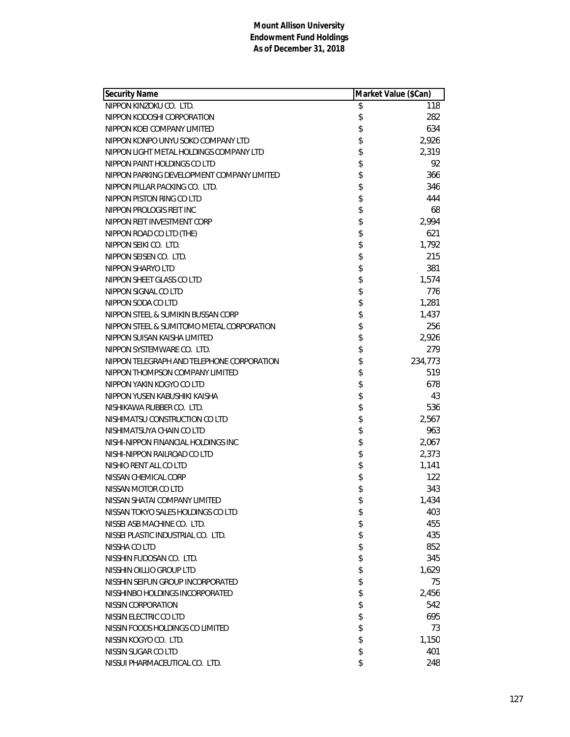| <b>Security Name</b>                       | Market Value (\$Can) |         |
|--------------------------------------------|----------------------|---------|
| NIPPON KINZOKU CO. LTD.                    | \$                   | 118     |
| NIPPON KODOSHI CORPORATION                 | \$                   | 282     |
| NIPPON KOEI COMPANY LIMITED                | \$                   | 634     |
| NIPPON KONPO UNYU SOKO COMPANY LTD         | \$                   | 2,926   |
| NIPPON LIGHT METAL HOLDINGS COMPANY LTD    | \$                   | 2,319   |
| NIPPON PAINT HOLDINGS CO LTD               | \$                   | 92      |
| NIPPON PARKING DEVELOPMENT COMPANY LIMITED |                      | 366     |
| NIPPON PILLAR PACKING CO. LTD.             | \$                   | 346     |
| NIPPON PISTON RING CO LTD                  | \$                   | 444     |
| NIPPON PROLOGIS REIT INC                   | \$                   | 68      |
| NIPPON REIT INVESTMENT CORP                | \$                   | 2,994   |
| NIPPON ROAD CO LTD (THE)                   | \$                   | 621     |
| NIPPON SEIKI CO. LTD.                      | \$                   | 1,792   |
| NIPPON SEISEN CO. LTD.                     | \$                   | 215     |
| NIPPON SHARYO LTD                          | \$                   | 381     |
| NIPPON SHEET GLASS CO LTD                  | \$                   | 1,574   |
| NIPPON SIGNAL CO LTD                       | \$                   | 776     |
| NIPPON SODA CO LTD                         | \$                   | 1,281   |
| NIPPON STEEL & SUMIKIN BUSSAN CORP         | \$                   | 1,437   |
| NIPPON STEEL & SUMITOMO METAL CORPORATION  | \$                   | 256     |
| NIPPON SUISAN KAISHA LIMITED               | \$                   | 2,926   |
| NIPPON SYSTEMWARE CO. LTD.                 | \$                   | 279     |
| NIPPON TELEGRAPH AND TELEPHONE CORPORATION | \$                   | 234,773 |
| NIPPON THOMPSON COMPANY LIMITED            | \$                   | 519     |
| NIPPON YAKIN KOGYO CO LTD                  | \$                   | 678     |
| NIPPON YUSEN KABUSHIKI KAISHA              | \$                   | 43      |
| NISHIKAWA RUBBER CO. LTD.                  | \$                   | 536     |
| NISHIMATSU CONSTRUCTION CO LTD             | \$                   | 2,567   |
| NISHIMATSUYA CHAIN CO LTD                  | \$                   | 963     |
| NISHI-NIPPON FINANCIAL HOLDINGS INC        | \$                   | 2,067   |
| NISHI-NIPPON RAILROAD CO LTD               | \$                   | 2,373   |
| NISHIO RENT ALL CO LTD                     | \$                   | 1,141   |
| NISSAN CHEMICAL CORP                       | \$                   | 122     |
| NISSAN MOTOR CO LTD                        | \$                   | 343     |
| NISSAN SHATAI COMPANY LIMITED              | \$                   | 1,434   |
| NISSAN TOKYO SALES HOLDINGS CO LTD         | \$                   | 403     |
| NISSEI ASB MACHINE CO. LTD.                | \$                   | 455     |
| NISSEI PLASTIC INDUSTRIAL CO. LTD.         | \$                   | 435     |
| NISSHA CO LTD                              | \$                   | 852     |
| NISSHIN FUDOSAN CO. LTD.                   | \$                   | 345     |
| NISSHIN OILLIO GROUP LTD                   | \$                   | 1,629   |
| NISSHIN SEIFUN GROUP INCORPORATED          | \$                   | 75      |
| NISSHINBO HOLDINGS INCORPORATED            | \$                   | 2,456   |
| NISSIN CORPORATION                         | \$                   | 542     |
| NISSIN ELECTRIC CO LTD                     | \$                   | 695     |
| NISSIN FOODS HOLDINGS CO LIMITED           | \$                   | 73      |
| NISSIN KOGYO CO. LTD.                      | \$                   | 1,150   |
| NISSIN SUGAR CO LTD                        | \$                   | 401     |
| NISSUI PHARMACEUTICAL CO. LTD.             | \$                   | 248     |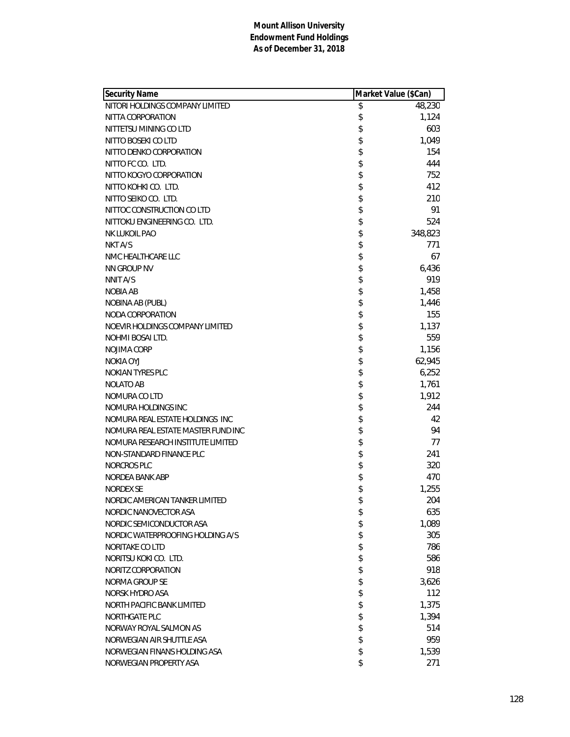| <b>Security Name</b>               | Market Value (\$Can) |         |
|------------------------------------|----------------------|---------|
| NITORI HOLDINGS COMPANY LIMITED    | \$                   | 48,230  |
| NITTA CORPORATION                  | \$                   | 1,124   |
| NITTETSU MINING CO LTD             | \$                   | 603     |
| NITTO BOSEKI CO LTD                | \$                   | 1,049   |
| NITTO DENKO CORPORATION            | \$                   | 154     |
| NITTO FC CO. LTD.                  | \$                   | 444     |
| NITTO KOGYO CORPORATION            | \$                   | 752     |
| NITTO KOHKI CO. LTD.               | \$                   | 412     |
| NITTO SEIKO CO. LTD.               | \$                   | 210     |
| NITTOC CONSTRUCTION CO LTD         | \$                   | 91      |
| NITTOKU ENGINEERING CO. LTD.       | \$                   | 524     |
| NK LUKOIL PAO                      | \$                   | 348,823 |
| NKT A/S                            | \$                   | 771     |
| NMC HEALTHCARE LLC                 | \$                   | 67      |
| NN GROUP NV                        | \$                   | 6,436   |
| NNIT A/S                           | \$                   | 919     |
| <b>NOBIA AB</b>                    | \$                   | 1,458   |
| NOBINA AB (PUBL)                   | \$                   | 1,446   |
| NODA CORPORATION                   | \$                   | 155     |
| NOEVIR HOLDINGS COMPANY LIMITED    | \$                   | 1,137   |
| NOHMI BOSAI LTD.                   | \$                   | 559     |
| NOJIMA CORP                        | \$                   | 1,156   |
| NOKIA OYJ                          | \$                   | 62,945  |
| NOKIAN TYRES PLC                   | \$                   | 6,252   |
| <b>NOLATO AB</b>                   | \$                   | 1,761   |
| NOMURA CO LTD                      | \$                   | 1,912   |
| NOMURA HOLDINGS INC                | \$                   | 244     |
| NOMURA REAL ESTATE HOLDINGS INC    | \$                   | 42      |
| NOMURA REAL ESTATE MASTER FUND INC | \$                   | 94      |
| NOMURA RESEARCH INSTITUTE LIMITED  | \$                   | 77      |
| NON-STANDARD FINANCE PLC           | \$                   | 241     |
| <b>NORCROS PLC</b>                 | \$                   | 320     |
| NORDEA BANK ABP                    | \$                   | 470     |
| <b>NORDEX SE</b>                   | \$                   | 1,255   |
| NORDIC AMERICAN TANKER LIMITED     | \$                   | 204     |
| NORDIC NANOVECTOR ASA              | \$                   | 635     |
| NORDIC SEMICONDUCTOR ASA           | \$                   | 1,089   |
| NORDIC WATERPROOFING HOLDING A/S   | \$                   | 305     |
| NORITAKE CO LTD                    | \$                   | 786     |
| NORITSU KOKI CO. LTD.              | \$                   | 586     |
| NORITZ CORPORATION                 | \$                   | 918     |
| NORMA GROUP SE                     | \$                   | 3,626   |
| NORSK HYDRO ASA                    | \$                   | 112     |
| NORTH PACIFIC BANK LIMITED         | \$                   | 1,375   |
| <b>NORTHGATE PLC</b>               | \$                   | 1,394   |
| NORWAY ROYAL SALMON AS             | \$                   | 514     |
| NORWEGIAN AIR SHUTTLE ASA          | \$                   | 959     |
| NORWEGIAN FINANS HOLDING ASA       | \$                   | 1,539   |
| NORWEGIAN PROPERTY ASA             | \$                   | 271     |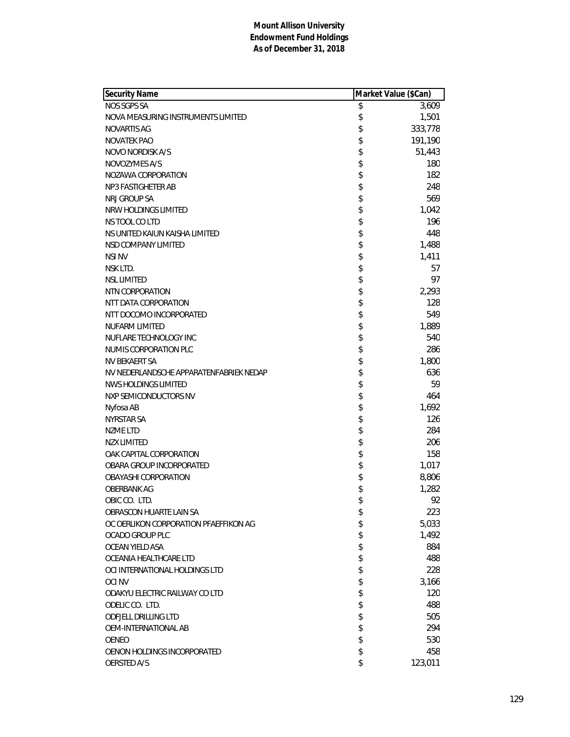| Security Name                           | Market Value (\$Can) |         |
|-----------------------------------------|----------------------|---------|
| NOS SGPS SA                             | \$                   | 3,609   |
| NOVA MEASURING INSTRUMENTS LIMITED      | \$                   | 1,501   |
| NOVARTIS AG                             | \$                   | 333,778 |
| <b>NOVATEK PAO</b>                      | \$                   | 191,190 |
| NOVO NORDISK A/S                        | \$                   | 51,443  |
| NOVOZYMES A/S                           | \$                   | 180     |
| NOZAWA CORPORATION                      | \$                   | 182     |
| NP3 FASTIGHETER AB                      | \$                   | 248     |
| NRJ GROUP SA                            | \$                   | 569     |
| NRW HOLDINGS LIMITED                    | \$                   | 1,042   |
| NS TOOL CO LTD                          | \$                   | 196     |
| NS UNITED KAIUN KAISHA LIMITED          | \$                   | 448     |
| NSD COMPANY LIMITED                     | \$                   | 1,488   |
| <b>NSI NV</b>                           | \$                   | 1,411   |
| NSK LTD.                                | \$                   | 57      |
| <b>NSL LIMITED</b>                      | \$                   | 97      |
| NTN CORPORATION                         | \$                   | 2,293   |
| NTT DATA CORPORATION                    | \$                   | 128     |
| NTT DOCOMO INCORPORATED                 | \$                   | 549     |
| <b>NUFARM LIMITED</b>                   | \$                   | 1,889   |
| NUFLARE TECHNOLOGY INC                  | \$                   | 540     |
| NUMIS CORPORATION PLC                   | \$                   | 286     |
| NV BEKAERT SA                           | \$                   | 1,800   |
| NV NEDERLANDSCHE APPARATENFABRIEK NEDAP | \$                   | 636     |
| NWS HOLDINGS LIMITED                    | \$                   | 59      |
| NXP SEMICONDUCTORS NV                   | \$                   | 464     |
| Nyfosa AB                               | \$                   | 1,692   |
| NYRSTAR SA                              | \$                   | 126     |
| <b>NZME LTD</b>                         | \$                   | 284     |
| <b>NZX LIMITED</b>                      | \$                   | 206     |
| OAK CAPITAL CORPORATION                 | \$                   | 158     |
| OBARA GROUP INCORPORATED                | \$                   | 1,017   |
| OBAYASHI CORPORATION                    | \$                   | 8,806   |
| <b>OBERBANK AG</b>                      | \$                   | 1,282   |
| OBIC CO. LTD.                           | \$                   | 92      |
| OBRASCON HUARTE LAIN SA                 | \$                   | 223     |
| OC OERLIKON CORPORATION PFAEFFIKON AG   | \$                   | 5,033   |
| <b>OCADO GROUP PLC</b>                  | \$                   | 1,492   |
| OCEAN YIELD ASA                         | \$                   | 884     |
| OCEANIA HEALTHCARE LTD                  | \$                   | 488     |
| OCI INTERNATIONAL HOLDINGS LTD          | \$                   | 228     |
| <b>OCINV</b>                            | \$                   | 3,166   |
| ODAKYU ELECTRIC RAILWAY CO LTD          | \$                   | 120     |
| ODELIC CO. LTD.                         | \$                   | 488     |
| <b>ODFJELL DRILLING LTD</b>             | \$                   | 505     |
| OEM-INTERNATIONAL AB                    | \$                   | 294     |
| <b>OENEO</b>                            | \$                   | 530     |
| OENON HOLDINGS INCORPORATED             | \$                   | 458     |
| <b>OERSTED A/S</b>                      | \$                   | 123,011 |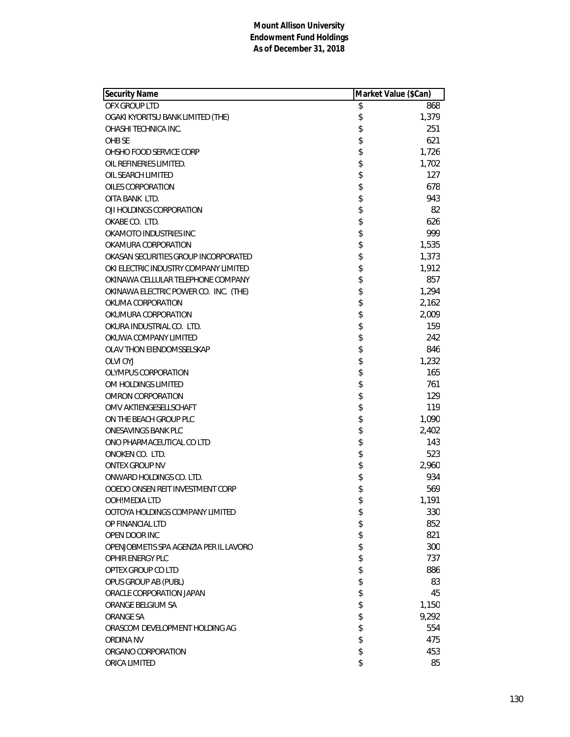| <b>Security Name</b>                   | Market Value (\$Can) |       |
|----------------------------------------|----------------------|-------|
| OFX GROUP LTD                          | \$                   | 868   |
| OGAKI KYORITSU BANK LIMITED (THE)      | \$                   | 1,379 |
| OHASHI TECHNICA INC.                   | \$                   | 251   |
| OHB SE                                 | \$                   | 621   |
| OHSHO FOOD SERVICE CORP                | \$                   | 1,726 |
| OIL REFINERIES LIMITED.                | \$                   | 1,702 |
| OIL SEARCH LIMITED                     | \$                   | 127   |
| OILES CORPORATION                      | \$                   | 678   |
| OITA BANK LTD.                         | \$                   | 943   |
| OJI HOLDINGS CORPORATION               | \$                   | 82    |
| OKABE CO. LTD.                         | \$                   | 626   |
| OKAMOTO INDUSTRIES INC                 | \$                   | 999   |
| OKAMURA CORPORATION                    | \$                   | 1,535 |
| OKASAN SECURITIES GROUP INCORPORATED   | \$                   | 1,373 |
| OKI ELECTRIC INDUSTRY COMPANY LIMITED  | \$                   | 1,912 |
| OKINAWA CELLULAR TELEPHONE COMPANY     | \$                   | 857   |
| OKINAWA ELECTRIC POWER CO. INC. (THE)  | \$                   | 1,294 |
| OKUMA CORPORATION                      | \$                   | 2,162 |
| OKUMURA CORPORATION                    | \$                   | 2,009 |
| OKURA INDUSTRIAL CO. LTD.              | \$                   | 159   |
| OKUWA COMPANY LIMITED                  | \$                   | 242   |
| OLAV THON EIENDOMSSELSKAP              | \$                   | 846   |
| OLVI OYJ                               | \$                   | 1,232 |
| OLYMPUS CORPORATION                    | \$                   | 165   |
| OM HOLDINGS LIMITED                    | \$                   | 761   |
| <b>OMRON CORPORATION</b>               | \$                   | 129   |
| OMV AKTIENGESELLSCHAFT                 | \$                   | 119   |
| ON THE BEACH GROUP PLC                 | \$                   | 1,090 |
| ONESAVINGS BANK PLC                    | \$                   | 2,402 |
| ONO PHARMACEUTICAL CO LTD              | \$                   | 143   |
| ONOKEN CO. LTD.                        | \$                   | 523   |
| <b>ONTEX GROUP NV</b>                  | \$                   | 2,960 |
| ONWARD HOLDINGS CO. LTD.               | \$                   | 934   |
| OOEDO ONSEN REIT INVESTMENT CORP       | \$                   | 569   |
| OOH!MEDIA LTD                          | \$                   | 1,191 |
| OOTOYA HOLDINGS COMPANY LIMITED        | \$                   | 330   |
| OP FINANCIAL LTD                       | \$                   | 852   |
| OPEN DOOR INC                          | \$                   | 821   |
| OPENJOBMETIS SPA AGENZIA PER IL LAVORO | \$                   | 300   |
| OPHIR ENERGY PLC                       | \$                   | 737   |
| OPTEX GROUP CO LTD                     | \$                   | 886   |
| OPUS GROUP AB (PUBL)                   | \$                   | 83    |
| ORACLE CORPORATION JAPAN               | \$                   | 45    |
| ORANGE BELGIUM SA                      | \$                   | 1,150 |
| ORANGE SA                              | \$                   | 9,292 |
| ORASCOM DEVELOPMENT HOLDING AG         | \$                   | 554   |
| ORDINA NV                              | \$                   | 475   |
| ORGANO CORPORATION                     | \$                   | 453   |
| ORICA LIMITED                          | \$                   | 85    |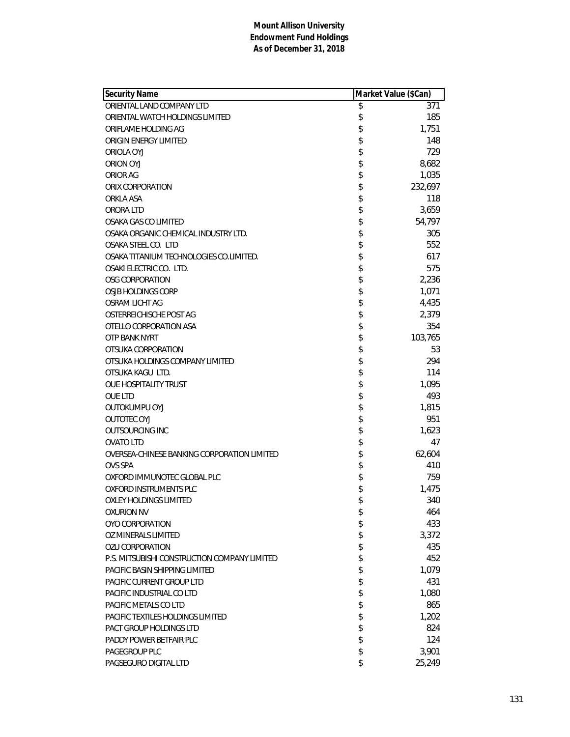| <b>Security Name</b>                         | Market Value (\$Can) |         |
|----------------------------------------------|----------------------|---------|
| ORIENTAL LAND COMPANY LTD                    | \$                   | 371     |
| ORIENTAL WATCH HOLDINGS LIMITED              | \$                   | 185     |
| ORIFLAME HOLDING AG                          | \$                   | 1,751   |
| ORIGIN ENERGY LIMITED                        | \$                   | 148     |
| ORIOLA OYJ                                   | \$                   | 729     |
| ORION OYJ                                    | \$                   | 8,682   |
| ORIOR AG                                     | \$                   | 1,035   |
| ORIX CORPORATION                             | \$                   | 232,697 |
| ORKLA ASA                                    | \$                   | 118     |
| ORORA LTD                                    | \$                   | 3,659   |
| OSAKA GAS CO LIMITED                         | \$                   | 54,797  |
| OSAKA ORGANIC CHEMICAL INDUSTRY LTD.         | \$                   | 305     |
| OSAKA STEEL CO. LTD                          | \$                   | 552     |
| OSAKA TITANIUM TECHNOLOGIES CO.LIMITED.      | \$                   | 617     |
| OSAKI ELECTRIC CO. LTD.                      | \$                   | 575     |
| <b>OSG CORPORATION</b>                       | \$                   | 2,236   |
| OSJB HOLDINGS CORP                           | \$                   | 1,071   |
| OSRAM LICHT AG                               | \$                   | 4,435   |
| OSTERREICHISCHE POST AG                      | \$                   | 2,379   |
| OTELLO CORPORATION ASA                       | \$                   | 354     |
| OTP BANK NYRT                                | \$                   | 103,765 |
| OTSUKA CORPORATION                           | \$                   | 53      |
| OTSUKA HOLDINGS COMPANY LIMITED              | \$                   | 294     |
| OTSUKA KAGU LTD.                             | \$                   | 114     |
| OUE HOSPITALITY TRUST                        | \$                   | 1,095   |
| <b>OUE LTD</b>                               | \$                   | 493     |
| OUTOKUMPU OYJ                                | \$                   | 1,815   |
| <b>OUTOTEC OYJ</b>                           | \$                   | 951     |
| <b>OUTSOURCING INC</b>                       | \$                   | 1,623   |
| <b>OVATO LTD</b>                             | \$                   | 47      |
| OVERSEA-CHINESE BANKING CORPORATION LIMITED  | \$                   | 62,604  |
| <b>OVS SPA</b>                               | \$                   | 410     |
| OXFORD IMMUNOTEC GLOBAL PLC                  | \$                   | 759     |
| OXFORD INSTRUMENTS PLC                       | \$                   | 1,475   |
| OXLEY HOLDINGS LIMITED                       | \$                   | 340     |
| <b>OXURION NV</b>                            | \$                   | 464     |
| OYO CORPORATION                              | \$                   | 433     |
| OZ MINERALS LIMITED                          | \$                   | 3,372   |
| <b>OZU CORPORATION</b>                       | \$                   | 435     |
| P.S. MITSUBISHI CONSTRUCTION COMPANY LIMITED | \$                   | 452     |
| PACIFIC BASIN SHIPPING LIMITED               | \$                   | 1,079   |
| PACIFIC CURRENT GROUP LTD                    | \$                   | 431     |
| PACIFIC INDUSTRIAL CO LTD                    | \$                   | 1,080   |
| PACIFIC METALS CO LTD                        | \$                   | 865     |
| <b>PACIFIC TEXTILES HOLDINGS LIMITED</b>     | \$                   | 1,202   |
| <b>PACT GROUP HOLDINGS LTD</b>               | \$                   | 824     |
| PADDY POWER BETFAIR PLC                      | \$                   | 124     |
| PAGEGROUP PLC                                | \$                   | 3,901   |
| PAGSEGURO DIGITAL LTD                        | \$                   | 25,249  |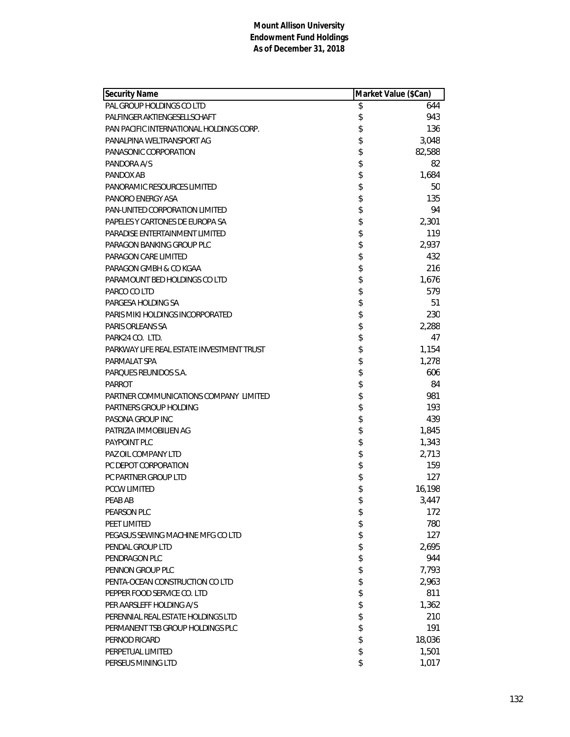| <b>Security Name</b>                      | Market Value (\$Can) |        |
|-------------------------------------------|----------------------|--------|
| PAL GROUP HOLDINGS CO LTD                 | \$                   | 644    |
| PALFINGER AKTIENGESELLSCHAFT              | \$                   | 943    |
| PAN PACIFIC INTERNATIONAL HOLDINGS CORP.  | \$                   | 136    |
| PANALPINA WELTRANSPORT AG                 | \$                   | 3,048  |
| PANASONIC CORPORATION                     | \$                   | 82,588 |
| PANDORA A/S                               | \$                   | 82     |
| PANDOX AB                                 | \$                   | 1,684  |
| PANORAMIC RESOURCES LIMITED               | \$                   | 50     |
| PANORO ENERGY ASA                         | \$                   | 135    |
| <b>PAN-UNITED CORPORATION LIMITED</b>     | \$                   | 94     |
| PAPELES Y CARTONES DE EUROPA SA           | \$                   | 2,301  |
| PARADISE ENTERTAINMENT LIMITED            | \$                   | 119    |
| PARAGON BANKING GROUP PLC                 | \$                   | 2,937  |
| PARAGON CARE LIMITED                      | \$                   | 432    |
| PARAGON GMBH & CO KGAA                    | \$                   | 216    |
| PARAMOUNT BED HOLDINGS CO LTD             | \$                   | 1,676  |
| PARCO CO LTD                              | \$                   | 579    |
| PARGESA HOLDING SA                        | \$                   | 51     |
| PARIS MIKI HOLDINGS INCORPORATED          | \$                   | 230    |
| PARIS ORLEANS SA                          | \$                   | 2,288  |
| PARK24 CO. LTD.                           | \$                   | 47     |
| PARKWAY LIFE REAL ESTATE INVESTMENT TRUST | \$                   | 1,154  |
| PARMALAT SPA                              | \$                   | 1,278  |
| PARQUES REUNIDOS S.A.                     | \$                   | 606    |
| <b>PARROT</b>                             | \$                   | 84     |
| PARTNER COMMUNICATIONS COMPANY LIMITED    | \$                   | 981    |
| PARTNERS GROUP HOLDING                    | \$                   | 193    |
| PASONA GROUP INC                          | \$                   | 439    |
| PATRIZIA IMMOBILIEN AG                    | \$                   | 1,845  |
| PAYPOINT PLC                              | \$                   | 1,343  |
| PAZ OIL COMPANY LTD                       | \$                   | 2,713  |
| PC DEPOT CORPORATION                      | \$                   | 159    |
| PC PARTNER GROUP LTD                      | \$                   | 127    |
| <b>PCCW LIMITED</b>                       | \$                   | 16,198 |
| PEAB AB                                   | \$                   | 3,447  |
| PEARSON PLC                               | \$                   | 172    |
| PEET LIMITED                              | \$                   | 780    |
| PEGASUS SEWING MACHINE MFG CO LTD         | \$                   | 127    |
| PENDAL GROUP LTD                          | \$                   | 2,695  |
| PENDRAGON PLC                             | \$                   | 944    |
| PENNON GROUP PLC                          | \$                   | 7,793  |
| PENTA-OCEAN CONSTRUCTION CO LTD           | \$                   | 2,963  |
| PEPPER FOOD SERVICE CO. LTD               | \$                   | 811    |
| PER AARSLEFF HOLDING A/S                  | \$                   | 1,362  |
| PERENNIAL REAL ESTATE HOLDINGS LTD        | \$                   | 210    |
| PERMANENT TSB GROUP HOLDINGS PLC          | \$                   | 191    |
| PERNOD RICARD                             | \$                   | 18,036 |
| PERPETUAL LIMITED                         | \$                   | 1,501  |
| PERSEUS MINING LTD                        | \$                   | 1,017  |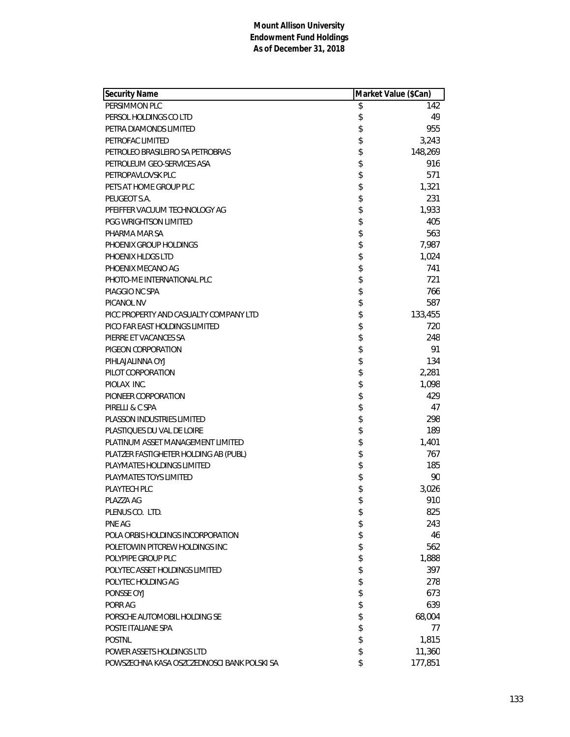| <b>Security Name</b>                        | Market Value (\$Can) |
|---------------------------------------------|----------------------|
| PERSIMMON PLC                               | \$<br>142            |
| PERSOL HOLDINGS CO LTD                      | \$<br>49             |
| PETRA DIAMONDS LIMITED                      | \$<br>955            |
| PETROFAC LIMITED                            | \$<br>3,243          |
| PETROLEO BRASILEIRO SA PETROBRAS            | \$<br>148,269        |
| PETROLEUM GEO-SERVICES ASA                  | \$<br>916            |
| PETROPAVLOVSK PLC                           | \$<br>571            |
| PETS AT HOME GROUP PLC                      | \$<br>1,321          |
| PEUGEOT S.A.                                | \$<br>231            |
| PFEIFFER VACUUM TECHNOLOGY AG               | \$<br>1,933          |
| <b>PGG WRIGHTSON LIMITED</b>                | \$<br>405            |
| PHARMA MAR SA                               | \$<br>563            |
| PHOENIX GROUP HOLDINGS                      | \$<br>7,987          |
| PHOENIX HLDGS LTD                           | \$<br>1,024          |
| PHOENIX MECANO AG                           | \$<br>741            |
| PHOTO-ME INTERNATIONAL PLC                  | \$<br>721            |
| PIAGGIO NC SPA                              | \$<br>766            |
| <b>PICANOL NV</b>                           | \$<br>587            |
| PICC PROPERTY AND CASUALTY COMPANY LTD      | \$<br>133,455        |
| PICO FAR EAST HOLDINGS LIMITED              | \$<br>720            |
| PIERRE ET VACANCES SA                       | \$<br>248            |
| PIGEON CORPORATION                          | \$<br>91             |
| PIHLAJALINNA OYJ                            | \$<br>134            |
| PILOT CORPORATION                           | \$<br>2,281          |
| PIOLAX INC.                                 | \$<br>1,098          |
| PIONEER CORPORATION                         | \$<br>429            |
| PIRELLI & C SPA                             | \$<br>47             |
| PLASSON INDUSTRIES LIMITED                  | \$<br>298            |
| PLASTIQUES DU VAL DE LOIRE                  | \$<br>189            |
| PLATINUM ASSET MANAGEMENT LIMITED           | \$<br>1,401          |
| PLATZER FASTIGHETER HOLDING AB (PUBL)       | \$<br>767            |
| PLAYMATES HOLDINGS LIMITED                  | \$<br>185            |
| PLAYMATES TOYS LIMITED                      | \$<br>90             |
| PLAYTECH PLC                                | \$<br>3,026          |
| PLAZZA AG                                   | \$<br>910            |
| PLENUS CO. LTD.                             | \$<br>825            |
| PNE AG                                      | \$<br>243            |
| POLA ORBIS HOLDINGS INCORPORATION           | \$<br>46             |
| POLETOWIN PITCREW HOLDINGS INC              | \$<br>562            |
| POLYPIPE GROUP PLC                          | \$<br>1,888          |
| POLYTEC ASSET HOLDINGS LIMITED              | \$<br>397            |
| POLYTEC HOLDING AG                          | \$<br>278            |
| PONSSE OYJ                                  | \$<br>673            |
| PORR AG                                     | \$<br>639            |
| PORSCHE AUTOMOBIL HOLDING SE                | \$<br>68,004         |
| POSTE ITALIANE SPA                          | \$<br>77             |
| <b>POSTNL</b>                               | \$<br>1,815          |
| POWER ASSETS HOLDINGS LTD                   | \$<br>11,360         |
| POWSZECHNA KASA OSZCZEDNOSCI BANK POLSKI SA | \$<br>177,851        |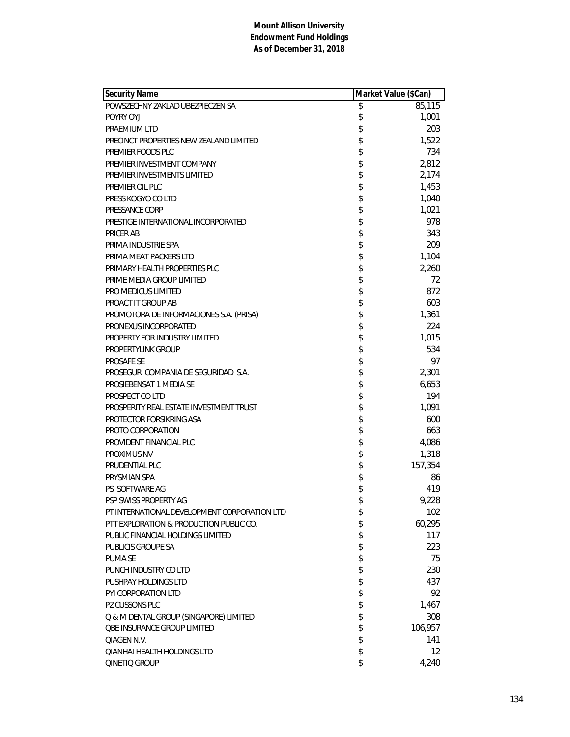| Security Name                                | Market Value (\$Can)    |
|----------------------------------------------|-------------------------|
| POWSZECHNY ZAKLAD UBEZPIECZEN SA             | \$<br>85,115            |
| POYRY OYJ                                    | \$<br>1,001             |
| PRAEMIUM LTD                                 | \$<br>203               |
| PRECINCT PROPERTIES NEW ZEALAND LIMITED      | \$<br>1,522             |
| PREMIER FOODS PLC                            | \$<br>734               |
| PREMIER INVESTMENT COMPANY                   | \$<br>2,812             |
| PREMIER INVESTMENTS LIMITED                  | \$<br>2,174             |
| PREMIER OIL PLC                              | \$<br>1,453             |
| PRESS KOGYO CO LTD                           | \$<br>1,040             |
| PRESSANCE CORP                               | \$<br>1,021             |
| PRESTIGE INTERNATIONAL INCORPORATED          | \$<br>978               |
| PRICER AB                                    | \$<br>343               |
| PRIMA INDUSTRIE SPA                          | \$<br>209               |
| PRIMA MEAT PACKERS LTD                       | \$<br>1,104             |
| PRIMARY HEALTH PROPERTIES PLC                | \$<br>2,260             |
| PRIME MEDIA GROUP LIMITED                    | \$<br>72                |
| PRO MEDICUS LIMITED                          | \$<br>872               |
| PROACT IT GROUP AB                           | \$<br>603               |
| PROMOTORA DE INFORMACIONES S.A. (PRISA)      | \$<br>1,361             |
| PRONEXUS INCORPORATED                        | \$<br>224               |
| PROPERTY FOR INDUSTRY LIMITED                | \$<br>1,015             |
| PROPERTYLINK GROUP                           | \$<br>534               |
| <b>PROSAFE SE</b>                            | \$<br>97                |
| PROSEGUR COMPANIA DE SEGURIDAD S.A.          | \$<br>2,301             |
| PROSIEBENSAT 1 MEDIA SE                      | \$<br>6,653             |
| PROSPECT CO LTD                              | \$<br>194               |
| PROSPERITY REAL ESTATE INVESTMENT TRUST      | \$<br>1,091             |
| PROTECTOR FORSIKRING ASA                     | \$<br>600               |
| PROTO CORPORATION                            | \$<br>663               |
| PROVIDENT FINANCIAL PLC                      | \$<br>4,086             |
| <b>PROXIMUS NV</b>                           | \$<br>1,318             |
| PRUDENTIAL PLC                               | \$<br>157,354           |
| PRYSMIAN SPA                                 | \$<br>86                |
| PSI SOFTWARE AG                              | \$<br>419               |
| PSP SWISS PROPERTY AG                        | \$<br>9,228             |
| PT INTERNATIONAL DEVELOPMENT CORPORATION LTD | \$<br>102               |
| PTT EXPLORATION & PRODUCTION PUBLIC CO.      | \$<br>60,295            |
| PUBLIC FINANCIAL HOLDINGS LIMITED            | \$<br>117               |
| PUBLICIS GROUPE SA                           | \$<br>223               |
| <b>PUMA SE</b>                               | \$<br>75                |
| PUNCH INDUSTRY CO LTD                        | \$<br>230               |
| PUSHPAY HOLDINGS LTD                         | \$<br>437               |
| PYI CORPORATION LTD                          | \$<br>92                |
| PZ CUSSONS PLC                               | \$<br>1,467             |
| Q & M DENTAL GROUP (SINGAPORE) LIMITED       | \$<br>308               |
| <b>QBE INSURANCE GROUP LIMITED</b>           | \$<br>106,957           |
| <b>QIAGEN N.V.</b>                           | \$<br>141               |
| <b>QIANHAI HEALTH HOLDINGS LTD</b>           | \$<br>$12 \overline{ }$ |
| QINETIQ GROUP                                | \$<br>4,240             |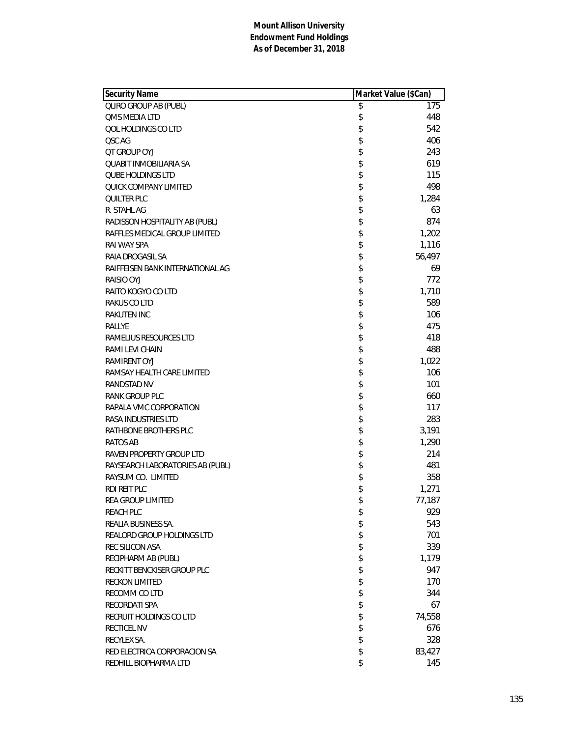| <b>QLIRO GROUP AB (PUBL)</b><br>175<br>\$<br>\$<br>448<br><b>QMS MEDIA LTD</b><br>\$<br>QOL HOLDINGS CO LTD<br>542<br>\$<br>406<br>QSC AG<br>\$<br>243<br><b>QT GROUP OYJ</b><br>\$<br>QUABIT INMOBILIARIA SA<br>619<br>\$<br>115<br><b>QUBE HOLDINGS LTD</b><br>\$<br>498<br>QUICK COMPANY LIMITED<br>\$<br>1,284<br><b>QUILTER PLC</b><br>\$<br>63<br>R. STAHL AG<br>\$<br>874<br>RADISSON HOSPITALITY AB (PUBL)<br>\$<br>1,202<br>RAFFLES MEDICAL GROUP LIMITED<br>\$<br>1,116<br>RAI WAY SPA<br>\$<br>56,497<br>RAIA DROGASIL SA<br>\$<br>RAIFFEISEN BANK INTERNATIONAL AG<br>69<br>\$<br>RAISIO OYJ<br>772<br>\$<br>1,710<br>RAITO KOGYO CO LTD<br>\$<br>589<br>RAKUS CO LTD<br>\$<br><b>RAKUTEN INC</b><br>106<br>\$<br>475<br>RALLYE<br>\$<br>418<br>RAMELIUS RESOURCES LTD<br>\$<br>488<br>RAMI LEVI CHAIN<br>\$<br>1,022<br><b>RAMIRENT OYJ</b><br>\$<br>106<br>RAMSAY HEALTH CARE LIMITED<br>\$<br>101<br>RANDSTAD NV<br>\$<br>660<br>RANK GROUP PLC<br>\$<br>117<br>RAPALA VMC CORPORATION<br>\$<br><b>RASA INDUSTRIES LTD</b><br>283<br>\$<br>RATHBONE BROTHERS PLC<br>3,191<br>\$<br>1,290<br><b>RATOS AB</b><br>\$<br>214<br>RAVEN PROPERTY GROUP LTD<br>\$<br>481<br>RAYSEARCH LABORATORIES AB (PUBL)<br>\$<br>358<br>RAYSUM CO. LIMITED<br>\$<br><b>RDI REIT PLC</b><br>1,271<br>\$<br>77,187<br>REA GROUP LIMITED<br>\$<br><b>REACH PLC</b><br>929<br>\$<br>543<br>REALIA BUSINESS SA.<br>\$<br>701<br><b>REALORD GROUP HOLDINGS LTD</b><br>\$<br>339<br>REC SILICON ASA<br>\$<br>RECIPHARM AB (PUBL)<br>1,179<br>\$<br>RECKITT BENCKISER GROUP PLC<br>947<br>\$<br>170<br><b>RECKON LIMITED</b><br>\$<br>RECOMM CO LTD<br>344<br>\$<br>RECORDATI SPA<br>67<br>\$<br>RECRUIT HOLDINGS CO LTD<br>74,558 | Security Name | Market Value (\$Can) |
|-------------------------------------------------------------------------------------------------------------------------------------------------------------------------------------------------------------------------------------------------------------------------------------------------------------------------------------------------------------------------------------------------------------------------------------------------------------------------------------------------------------------------------------------------------------------------------------------------------------------------------------------------------------------------------------------------------------------------------------------------------------------------------------------------------------------------------------------------------------------------------------------------------------------------------------------------------------------------------------------------------------------------------------------------------------------------------------------------------------------------------------------------------------------------------------------------------------------------------------------------------------------------------------------------------------------------------------------------------------------------------------------------------------------------------------------------------------------------------------------------------------------------------------------------------------------------------------------------------------------------------------------------------------------------------------------------------------------------|---------------|----------------------|
|                                                                                                                                                                                                                                                                                                                                                                                                                                                                                                                                                                                                                                                                                                                                                                                                                                                                                                                                                                                                                                                                                                                                                                                                                                                                                                                                                                                                                                                                                                                                                                                                                                                                                                                         |               |                      |
|                                                                                                                                                                                                                                                                                                                                                                                                                                                                                                                                                                                                                                                                                                                                                                                                                                                                                                                                                                                                                                                                                                                                                                                                                                                                                                                                                                                                                                                                                                                                                                                                                                                                                                                         |               |                      |
|                                                                                                                                                                                                                                                                                                                                                                                                                                                                                                                                                                                                                                                                                                                                                                                                                                                                                                                                                                                                                                                                                                                                                                                                                                                                                                                                                                                                                                                                                                                                                                                                                                                                                                                         |               |                      |
|                                                                                                                                                                                                                                                                                                                                                                                                                                                                                                                                                                                                                                                                                                                                                                                                                                                                                                                                                                                                                                                                                                                                                                                                                                                                                                                                                                                                                                                                                                                                                                                                                                                                                                                         |               |                      |
|                                                                                                                                                                                                                                                                                                                                                                                                                                                                                                                                                                                                                                                                                                                                                                                                                                                                                                                                                                                                                                                                                                                                                                                                                                                                                                                                                                                                                                                                                                                                                                                                                                                                                                                         |               |                      |
|                                                                                                                                                                                                                                                                                                                                                                                                                                                                                                                                                                                                                                                                                                                                                                                                                                                                                                                                                                                                                                                                                                                                                                                                                                                                                                                                                                                                                                                                                                                                                                                                                                                                                                                         |               |                      |
|                                                                                                                                                                                                                                                                                                                                                                                                                                                                                                                                                                                                                                                                                                                                                                                                                                                                                                                                                                                                                                                                                                                                                                                                                                                                                                                                                                                                                                                                                                                                                                                                                                                                                                                         |               |                      |
|                                                                                                                                                                                                                                                                                                                                                                                                                                                                                                                                                                                                                                                                                                                                                                                                                                                                                                                                                                                                                                                                                                                                                                                                                                                                                                                                                                                                                                                                                                                                                                                                                                                                                                                         |               |                      |
|                                                                                                                                                                                                                                                                                                                                                                                                                                                                                                                                                                                                                                                                                                                                                                                                                                                                                                                                                                                                                                                                                                                                                                                                                                                                                                                                                                                                                                                                                                                                                                                                                                                                                                                         |               |                      |
|                                                                                                                                                                                                                                                                                                                                                                                                                                                                                                                                                                                                                                                                                                                                                                                                                                                                                                                                                                                                                                                                                                                                                                                                                                                                                                                                                                                                                                                                                                                                                                                                                                                                                                                         |               |                      |
|                                                                                                                                                                                                                                                                                                                                                                                                                                                                                                                                                                                                                                                                                                                                                                                                                                                                                                                                                                                                                                                                                                                                                                                                                                                                                                                                                                                                                                                                                                                                                                                                                                                                                                                         |               |                      |
|                                                                                                                                                                                                                                                                                                                                                                                                                                                                                                                                                                                                                                                                                                                                                                                                                                                                                                                                                                                                                                                                                                                                                                                                                                                                                                                                                                                                                                                                                                                                                                                                                                                                                                                         |               |                      |
|                                                                                                                                                                                                                                                                                                                                                                                                                                                                                                                                                                                                                                                                                                                                                                                                                                                                                                                                                                                                                                                                                                                                                                                                                                                                                                                                                                                                                                                                                                                                                                                                                                                                                                                         |               |                      |
|                                                                                                                                                                                                                                                                                                                                                                                                                                                                                                                                                                                                                                                                                                                                                                                                                                                                                                                                                                                                                                                                                                                                                                                                                                                                                                                                                                                                                                                                                                                                                                                                                                                                                                                         |               |                      |
|                                                                                                                                                                                                                                                                                                                                                                                                                                                                                                                                                                                                                                                                                                                                                                                                                                                                                                                                                                                                                                                                                                                                                                                                                                                                                                                                                                                                                                                                                                                                                                                                                                                                                                                         |               |                      |
|                                                                                                                                                                                                                                                                                                                                                                                                                                                                                                                                                                                                                                                                                                                                                                                                                                                                                                                                                                                                                                                                                                                                                                                                                                                                                                                                                                                                                                                                                                                                                                                                                                                                                                                         |               |                      |
|                                                                                                                                                                                                                                                                                                                                                                                                                                                                                                                                                                                                                                                                                                                                                                                                                                                                                                                                                                                                                                                                                                                                                                                                                                                                                                                                                                                                                                                                                                                                                                                                                                                                                                                         |               |                      |
|                                                                                                                                                                                                                                                                                                                                                                                                                                                                                                                                                                                                                                                                                                                                                                                                                                                                                                                                                                                                                                                                                                                                                                                                                                                                                                                                                                                                                                                                                                                                                                                                                                                                                                                         |               |                      |
|                                                                                                                                                                                                                                                                                                                                                                                                                                                                                                                                                                                                                                                                                                                                                                                                                                                                                                                                                                                                                                                                                                                                                                                                                                                                                                                                                                                                                                                                                                                                                                                                                                                                                                                         |               |                      |
|                                                                                                                                                                                                                                                                                                                                                                                                                                                                                                                                                                                                                                                                                                                                                                                                                                                                                                                                                                                                                                                                                                                                                                                                                                                                                                                                                                                                                                                                                                                                                                                                                                                                                                                         |               |                      |
|                                                                                                                                                                                                                                                                                                                                                                                                                                                                                                                                                                                                                                                                                                                                                                                                                                                                                                                                                                                                                                                                                                                                                                                                                                                                                                                                                                                                                                                                                                                                                                                                                                                                                                                         |               |                      |
|                                                                                                                                                                                                                                                                                                                                                                                                                                                                                                                                                                                                                                                                                                                                                                                                                                                                                                                                                                                                                                                                                                                                                                                                                                                                                                                                                                                                                                                                                                                                                                                                                                                                                                                         |               |                      |
|                                                                                                                                                                                                                                                                                                                                                                                                                                                                                                                                                                                                                                                                                                                                                                                                                                                                                                                                                                                                                                                                                                                                                                                                                                                                                                                                                                                                                                                                                                                                                                                                                                                                                                                         |               |                      |
|                                                                                                                                                                                                                                                                                                                                                                                                                                                                                                                                                                                                                                                                                                                                                                                                                                                                                                                                                                                                                                                                                                                                                                                                                                                                                                                                                                                                                                                                                                                                                                                                                                                                                                                         |               |                      |
|                                                                                                                                                                                                                                                                                                                                                                                                                                                                                                                                                                                                                                                                                                                                                                                                                                                                                                                                                                                                                                                                                                                                                                                                                                                                                                                                                                                                                                                                                                                                                                                                                                                                                                                         |               |                      |
|                                                                                                                                                                                                                                                                                                                                                                                                                                                                                                                                                                                                                                                                                                                                                                                                                                                                                                                                                                                                                                                                                                                                                                                                                                                                                                                                                                                                                                                                                                                                                                                                                                                                                                                         |               |                      |
|                                                                                                                                                                                                                                                                                                                                                                                                                                                                                                                                                                                                                                                                                                                                                                                                                                                                                                                                                                                                                                                                                                                                                                                                                                                                                                                                                                                                                                                                                                                                                                                                                                                                                                                         |               |                      |
|                                                                                                                                                                                                                                                                                                                                                                                                                                                                                                                                                                                                                                                                                                                                                                                                                                                                                                                                                                                                                                                                                                                                                                                                                                                                                                                                                                                                                                                                                                                                                                                                                                                                                                                         |               |                      |
|                                                                                                                                                                                                                                                                                                                                                                                                                                                                                                                                                                                                                                                                                                                                                                                                                                                                                                                                                                                                                                                                                                                                                                                                                                                                                                                                                                                                                                                                                                                                                                                                                                                                                                                         |               |                      |
|                                                                                                                                                                                                                                                                                                                                                                                                                                                                                                                                                                                                                                                                                                                                                                                                                                                                                                                                                                                                                                                                                                                                                                                                                                                                                                                                                                                                                                                                                                                                                                                                                                                                                                                         |               |                      |
|                                                                                                                                                                                                                                                                                                                                                                                                                                                                                                                                                                                                                                                                                                                                                                                                                                                                                                                                                                                                                                                                                                                                                                                                                                                                                                                                                                                                                                                                                                                                                                                                                                                                                                                         |               |                      |
|                                                                                                                                                                                                                                                                                                                                                                                                                                                                                                                                                                                                                                                                                                                                                                                                                                                                                                                                                                                                                                                                                                                                                                                                                                                                                                                                                                                                                                                                                                                                                                                                                                                                                                                         |               |                      |
|                                                                                                                                                                                                                                                                                                                                                                                                                                                                                                                                                                                                                                                                                                                                                                                                                                                                                                                                                                                                                                                                                                                                                                                                                                                                                                                                                                                                                                                                                                                                                                                                                                                                                                                         |               |                      |
|                                                                                                                                                                                                                                                                                                                                                                                                                                                                                                                                                                                                                                                                                                                                                                                                                                                                                                                                                                                                                                                                                                                                                                                                                                                                                                                                                                                                                                                                                                                                                                                                                                                                                                                         |               |                      |
|                                                                                                                                                                                                                                                                                                                                                                                                                                                                                                                                                                                                                                                                                                                                                                                                                                                                                                                                                                                                                                                                                                                                                                                                                                                                                                                                                                                                                                                                                                                                                                                                                                                                                                                         |               |                      |
|                                                                                                                                                                                                                                                                                                                                                                                                                                                                                                                                                                                                                                                                                                                                                                                                                                                                                                                                                                                                                                                                                                                                                                                                                                                                                                                                                                                                                                                                                                                                                                                                                                                                                                                         |               |                      |
|                                                                                                                                                                                                                                                                                                                                                                                                                                                                                                                                                                                                                                                                                                                                                                                                                                                                                                                                                                                                                                                                                                                                                                                                                                                                                                                                                                                                                                                                                                                                                                                                                                                                                                                         |               |                      |
|                                                                                                                                                                                                                                                                                                                                                                                                                                                                                                                                                                                                                                                                                                                                                                                                                                                                                                                                                                                                                                                                                                                                                                                                                                                                                                                                                                                                                                                                                                                                                                                                                                                                                                                         |               |                      |
|                                                                                                                                                                                                                                                                                                                                                                                                                                                                                                                                                                                                                                                                                                                                                                                                                                                                                                                                                                                                                                                                                                                                                                                                                                                                                                                                                                                                                                                                                                                                                                                                                                                                                                                         |               |                      |
|                                                                                                                                                                                                                                                                                                                                                                                                                                                                                                                                                                                                                                                                                                                                                                                                                                                                                                                                                                                                                                                                                                                                                                                                                                                                                                                                                                                                                                                                                                                                                                                                                                                                                                                         |               |                      |
|                                                                                                                                                                                                                                                                                                                                                                                                                                                                                                                                                                                                                                                                                                                                                                                                                                                                                                                                                                                                                                                                                                                                                                                                                                                                                                                                                                                                                                                                                                                                                                                                                                                                                                                         |               |                      |
|                                                                                                                                                                                                                                                                                                                                                                                                                                                                                                                                                                                                                                                                                                                                                                                                                                                                                                                                                                                                                                                                                                                                                                                                                                                                                                                                                                                                                                                                                                                                                                                                                                                                                                                         |               |                      |
|                                                                                                                                                                                                                                                                                                                                                                                                                                                                                                                                                                                                                                                                                                                                                                                                                                                                                                                                                                                                                                                                                                                                                                                                                                                                                                                                                                                                                                                                                                                                                                                                                                                                                                                         |               |                      |
|                                                                                                                                                                                                                                                                                                                                                                                                                                                                                                                                                                                                                                                                                                                                                                                                                                                                                                                                                                                                                                                                                                                                                                                                                                                                                                                                                                                                                                                                                                                                                                                                                                                                                                                         |               |                      |
|                                                                                                                                                                                                                                                                                                                                                                                                                                                                                                                                                                                                                                                                                                                                                                                                                                                                                                                                                                                                                                                                                                                                                                                                                                                                                                                                                                                                                                                                                                                                                                                                                                                                                                                         |               |                      |
| \$<br><b>RECTICEL NV</b><br>676                                                                                                                                                                                                                                                                                                                                                                                                                                                                                                                                                                                                                                                                                                                                                                                                                                                                                                                                                                                                                                                                                                                                                                                                                                                                                                                                                                                                                                                                                                                                                                                                                                                                                         |               |                      |
| \$<br>328<br>RECYLEX SA.                                                                                                                                                                                                                                                                                                                                                                                                                                                                                                                                                                                                                                                                                                                                                                                                                                                                                                                                                                                                                                                                                                                                                                                                                                                                                                                                                                                                                                                                                                                                                                                                                                                                                                |               |                      |
| \$<br>83,427<br>RED ELECTRICA CORPORACION SA                                                                                                                                                                                                                                                                                                                                                                                                                                                                                                                                                                                                                                                                                                                                                                                                                                                                                                                                                                                                                                                                                                                                                                                                                                                                                                                                                                                                                                                                                                                                                                                                                                                                            |               |                      |
| \$<br>REDHILL BIOPHARMA LTD<br>145                                                                                                                                                                                                                                                                                                                                                                                                                                                                                                                                                                                                                                                                                                                                                                                                                                                                                                                                                                                                                                                                                                                                                                                                                                                                                                                                                                                                                                                                                                                                                                                                                                                                                      |               |                      |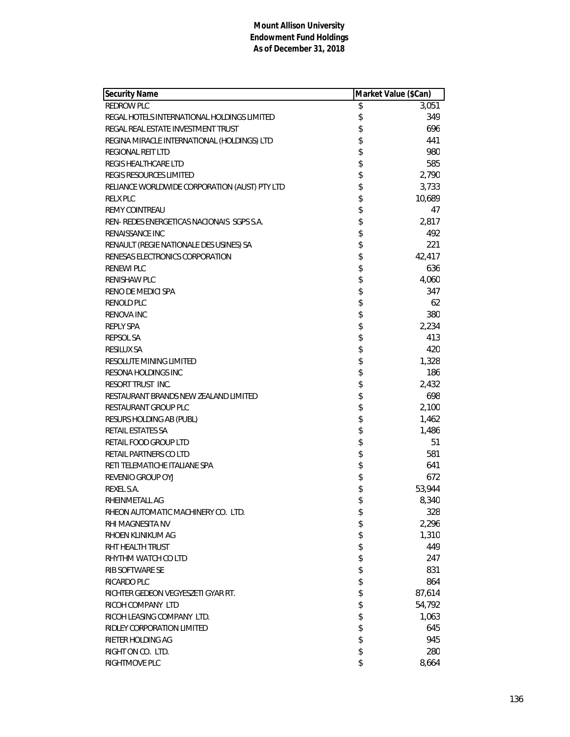| <b>Security Name</b>                          | Market Value (\$Can) |
|-----------------------------------------------|----------------------|
| REDROW PLC                                    | \$<br>3,051          |
| REGAL HOTELS INTERNATIONAL HOLDINGS LIMITED   | \$<br>349            |
| REGAL REAL ESTATE INVESTMENT TRUST            | \$<br>696            |
| REGINA MIRACLE INTERNATIONAL (HOLDINGS) LTD   | \$<br>441            |
| <b>REGIONAL REIT LTD</b>                      | \$<br>980            |
| <b>REGIS HEALTHCARE LTD</b>                   | \$<br>585            |
| REGIS RESOURCES LIMITED                       | \$<br>2,790          |
| RELIANCE WORLDWIDE CORPORATION (AUST) PTY LTD | \$<br>3,733          |
| <b>RELX PLC</b>                               | \$<br>10,689         |
| <b>REMY COINTREAU</b>                         | \$<br>47             |
| REN-REDES ENERGETICAS NACIONAIS SGPS S.A.     | \$<br>2,817          |
| RENAISSANCE INC                               | \$<br>492            |
| RENAULT (REGIE NATIONALE DES USINES) SA       | \$<br>221            |
| RENESAS ELECTRONICS CORPORATION               | \$<br>42,417         |
| <b>RENEWI PLC</b>                             | \$<br>636            |
| <b>RENISHAW PLC</b>                           | \$<br>4,060          |
| RENO DE MEDICI SPA                            | \$<br>347            |
| RENOLD PLC                                    | \$<br>62             |
| <b>RENOVA INC</b>                             | \$<br>380            |
| <b>REPLY SPA</b>                              | \$<br>2,234          |
| <b>REPSOL SA</b>                              | \$<br>413            |
| <b>RESILUX SA</b>                             | \$<br>420            |
| RESOLUTE MINING LIMITED                       | \$<br>1,328          |
| RESONA HOLDINGS INC                           | \$<br>186            |
| RESORT TRUST INC.                             | \$<br>2,432          |
| RESTAURANT BRANDS NEW ZEALAND LIMITED         | \$<br>698            |
| <b>RESTAURANT GROUP PLC</b>                   | \$<br>2,100          |
| RESURS HOLDING AB (PUBL)                      | \$<br>1,462          |
| RETAIL ESTATES SA                             | \$<br>1,486          |
| RETAIL FOOD GROUP LTD                         | \$<br>51             |
| RETAIL PARTNERS CO LTD                        | \$<br>581            |
| RETI TELEMATICHE ITALIANE SPA                 | \$<br>641            |
| REVENIO GROUP OYJ                             | \$<br>672            |
| REXEL S.A.                                    | \$<br>53,944         |
| RHEINMETALL AG                                | \$<br>8,340          |
| RHEON AUTOMATIC MACHINERY CO. LTD.            | \$<br>328            |
| RHI MAGNESITA NV                              | \$<br>2,296          |
| RHOEN KLINIKUM AG                             | \$<br>1,310          |
| RHT HEALTH TRUST                              | \$<br>449            |
| RHYTHM WATCH CO LTD                           | \$<br>247            |
| RIB SOFTWARE SE                               | \$<br>831            |
| RICARDO PLC                                   | \$<br>864            |
| RICHTER GEDEON VEGYESZETI GYAR RT.            | \$<br>87,614         |
| RICOH COMPANY LTD                             | \$<br>54,792         |
| RICOH LEASING COMPANY LTD.                    | \$<br>1,063          |
| RIDLEY CORPORATION LIMITED                    | \$<br>645            |
| RIETER HOLDING AG                             | \$<br>945            |
| RIGHT ON CO. LTD.                             | \$<br>280            |
| RIGHTMOVE PLC                                 | \$<br>8,664          |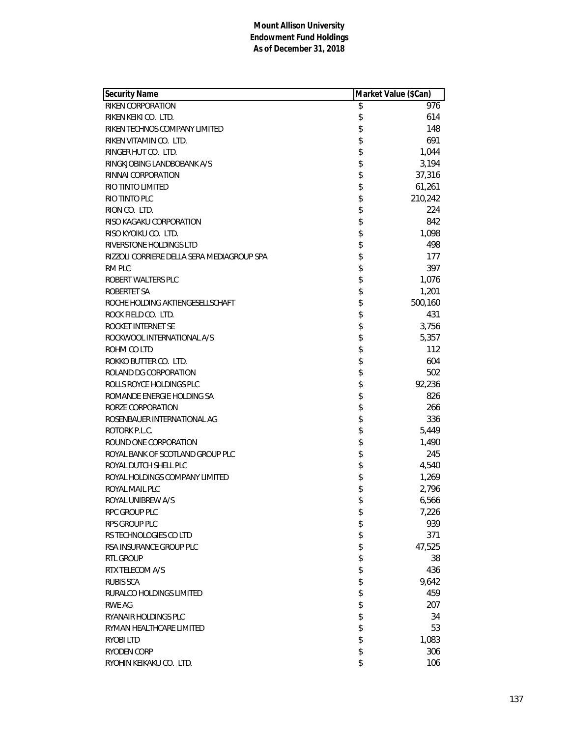| Security Name                              | Market Value (\$Can) |
|--------------------------------------------|----------------------|
| RIKEN CORPORATION                          | \$<br>976            |
| RIKEN KEIKI CO. LTD.                       | \$<br>614            |
| RIKEN TECHNOS COMPANY LIMITED              | \$<br>148            |
| RIKEN VITAMIN CO. LTD.                     | \$<br>691            |
| RINGER HUT CO. LTD.                        | \$<br>1,044          |
| RINGKJOBING LANDBOBANK A/S                 | \$<br>3,194          |
| RINNAI CORPORATION                         | \$<br>37,316         |
| RIO TINTO LIMITED                          | \$<br>61,261         |
| RIO TINTO PLC                              | \$<br>210,242        |
| RION CO. LTD.                              | \$<br>224            |
| RISO KAGAKU CORPORATION                    | \$<br>842            |
| RISO KYOIKU CO. LTD.                       | \$<br>1,098          |
| RIVERSTONE HOLDINGS LTD                    | \$<br>498            |
| RIZZOLI CORRIERE DELLA SERA MEDIAGROUP SPA | \$<br>177            |
| RM PLC                                     | \$<br>397            |
| ROBERT WALTERS PLC                         | \$<br>1,076          |
| ROBERTET SA                                | \$<br>1,201          |
| ROCHE HOLDING AKTIENGESELLSCHAFT           | \$<br>500,160        |
| ROCK FIELD CO. LTD.                        | \$<br>431            |
| ROCKET INTERNET SE                         | \$<br>3,756          |
| ROCKWOOL INTERNATIONAL A/S                 | \$<br>5,357          |
| ROHM CO LTD                                | \$<br>112            |
| ROKKO BUTTER CO. LTD.                      | \$<br>604            |
| ROLAND DG CORPORATION                      | \$<br>502            |
| ROLLS ROYCE HOLDINGS PLC                   | \$<br>92,236         |
| ROMANDE ENERGIE HOLDING SA                 | \$<br>826            |
| RORZE CORPORATION                          | \$<br>266            |
| ROSENBAUER INTERNATIONAL AG                | \$<br>336            |
| ROTORK P.L.C.                              | \$<br>5,449          |
| ROUND ONE CORPORATION                      | \$<br>1,490          |
| ROYAL BANK OF SCOTLAND GROUP PLC           | \$<br>245            |
| ROYAL DUTCH SHELL PLC                      | \$<br>4,540          |
| ROYAL HOLDINGS COMPANY LIMITED             | \$<br>1,269          |
| ROYAL MAIL PLC                             | \$<br>2,796          |
| ROYAL UNIBREW A/S                          | \$<br>6,566          |
| RPC GROUP PLC                              | \$<br>7,226          |
| RPS GROUP PLC                              | \$<br>939            |
| RS TECHNOLOGIES CO LTD                     | \$<br>371            |
| RSA INSURANCE GROUP PLC                    | \$<br>47,525         |
| <b>RTL GROUP</b>                           | \$<br>38             |
| RTX TELECOM A/S                            | \$<br>436            |
| <b>RUBIS SCA</b>                           | \$<br>9,642          |
| RURALCO HOLDINGS LIMITED                   | \$<br>459            |
| <b>RWE AG</b>                              | \$<br>207            |
| RYANAIR HOLDINGS PLC                       | \$<br>34             |
| RYMAN HEALTHCARE LIMITED                   | \$<br>53             |
| <b>RYOBILTD</b>                            | \$<br>1,083          |
| RYODEN CORP                                | \$<br>306            |
| RYOHIN KEIKAKU CO. LTD.                    | \$<br>106            |
|                                            |                      |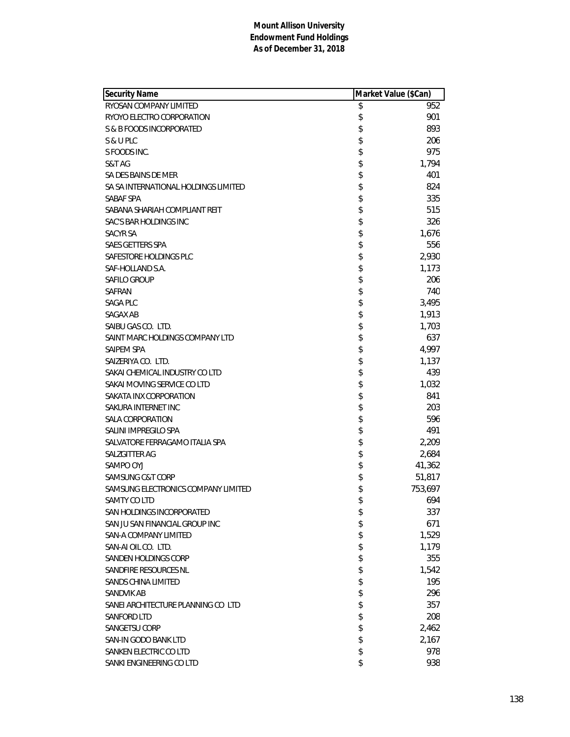| <b>Security Name</b>                 | Market Value (\$Can) |
|--------------------------------------|----------------------|
| RYOSAN COMPANY LIMITED               | \$<br>952            |
| RYOYO ELECTRO CORPORATION            | \$<br>901            |
| S & B FOODS INCORPORATED             | \$<br>893            |
| S & U PLC                            | \$<br>206            |
| S FOODS INC.                         | \$<br>975            |
| S&T AG                               | \$<br>1,794          |
| SA DES BAINS DE MER                  | \$<br>401            |
| SA SA INTERNATIONAL HOLDINGS LIMITED | \$<br>824            |
| SABAF SPA                            | \$<br>335            |
| SABANA SHARIAH COMPLIANT REIT        | \$<br>515            |
| SAC'S BAR HOLDINGS INC               | \$<br>326            |
| SACYR SA                             | \$<br>1,676          |
| SAES GETTERS SPA                     | \$<br>556            |
| SAFESTORE HOLDINGS PLC               | \$<br>2,930          |
| SAF-HOLLAND S.A.                     | \$<br>1,173          |
| <b>SAFILO GROUP</b>                  | \$<br>206            |
| SAFRAN                               | \$<br>740            |
| SAGA PLC                             | \$<br>3,495          |
| SAGAX AB                             | \$<br>1,913          |
| SAIBU GAS CO. LTD.                   | \$<br>1,703          |
| SAINT MARC HOLDINGS COMPANY LTD      | \$<br>637            |
| SAIPEM SPA                           | \$<br>4,997          |
| SAIZERIYA CO. LTD.                   | \$<br>1,137          |
| SAKAI CHEMICAL INDUSTRY CO LTD       | \$<br>439            |
| SAKAI MOVING SERVICE CO LTD          | \$<br>1,032          |
| SAKATA INX CORPORATION               | \$<br>841            |
| SAKURA INTERNET INC                  | \$<br>203            |
| <b>SALA CORPORATION</b>              | \$<br>596            |
| SALINI IMPREGILO SPA                 | \$<br>491            |
| SALVATORE FERRAGAMO ITALIA SPA       | \$<br>2,209          |
| SALZGITTER AG                        | \$<br>2,684          |
| SAMPO OYJ                            | \$<br>41,362         |
| SAMSUNG C&T CORP                     | \$<br>51,817         |
| SAMSUNG ELECTRONICS COMPANY LIMITED  | \$<br>753,697        |
| SAMTY CO LTD                         | \$<br>694            |
| SAN HOLDINGS INCORPORATED            | \$<br>337            |
| SAN JU SAN FINANCIAL GROUP INC       | \$<br>671            |
| SAN-A COMPANY LIMITED                | \$<br>1,529          |
| SAN-AI OIL CO. LTD.                  | \$<br>1,179          |
| SANDEN HOLDINGS CORP                 | \$<br>355            |
| SANDFIRE RESOURCES NL                | \$<br>1,542          |
| SANDS CHINA LIMITED                  | \$<br>195            |
| <b>SANDVIK AB</b>                    | \$<br>296            |
| SANEI ARCHITECTURE PLANNING CO LTD   | \$<br>357            |
| SANFORD LTD                          | \$<br>208            |
| SANGETSU CORP                        | \$<br>2,462          |
| SAN-IN GODO BANK LTD                 | \$<br>2,167          |
| SANKEN ELECTRIC CO LTD               | \$<br>978            |
| SANKI ENGINEERING CO LTD             | \$<br>938            |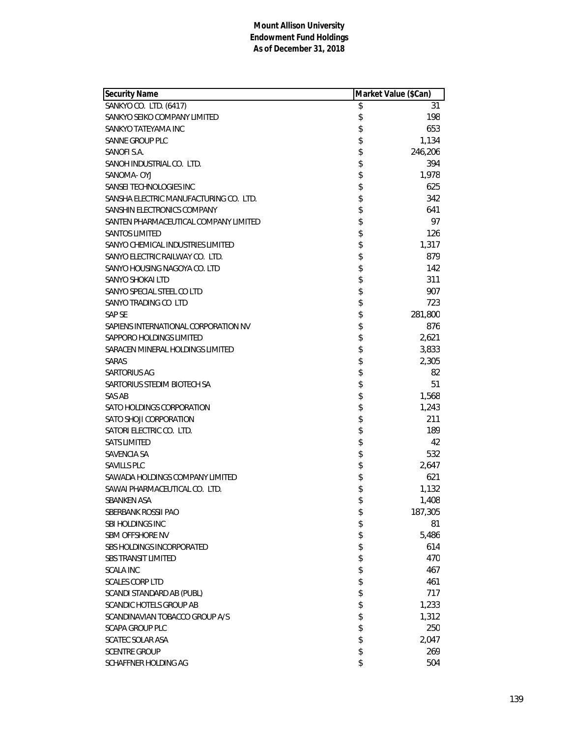| <b>Security Name</b>                   | Market Value (\$Can) |
|----------------------------------------|----------------------|
| SANKYO CO. LTD. (6417)                 | \$<br>31             |
| SANKYO SEIKO COMPANY LIMITED           | \$<br>198            |
| SANKYO TATEYAMA INC                    | \$<br>653            |
| SANNE GROUP PLC                        | \$<br>1,134          |
| SANOFI S.A.                            | \$<br>246,206        |
| SANOH INDUSTRIAL CO. LTD.              | \$<br>394            |
| SANOMA- OYJ                            | \$<br>1,978          |
| SANSEI TECHNOLOGIES INC                | \$<br>625            |
| SANSHA ELECTRIC MANUFACTURING CO. LTD. | \$<br>342            |
| SANSHIN ELECTRONICS COMPANY            | \$<br>641            |
| SANTEN PHARMACEUTICAL COMPANY LIMITED  | \$<br>97             |
| <b>SANTOS LIMITED</b>                  | \$<br>126            |
| SANYO CHEMICAL INDUSTRIES LIMITED      | \$<br>1,317          |
| SANYO ELECTRIC RAILWAY CO. LTD.        | \$<br>879            |
| SANYO HOUSING NAGOYA CO. LTD           | \$<br>142            |
| <b>SANYO SHOKAI LTD</b>                | \$<br>311            |
| SANYO SPECIAL STEEL CO LTD             | \$<br>907            |
| SANYO TRADING CO LTD                   | \$<br>723            |
| <b>SAP SE</b>                          | \$<br>281,800        |
| SAPIENS INTERNATIONAL CORPORATION NV   | \$<br>876            |
| SAPPORO HOLDINGS LIMITED               | \$<br>2,621          |
| SARACEN MINERAL HOLDINGS LIMITED       | \$<br>3,833          |
| SARAS                                  | \$<br>2,305          |
| SARTORIUS AG                           | \$<br>82             |
| SARTORIUS STEDIM BIOTECH SA            | \$<br>51             |
| SAS AB                                 | \$<br>1,568          |
| SATO HOLDINGS CORPORATION              | \$<br>1,243          |
| SATO SHOJI CORPORATION                 | \$<br>211            |
| SATORI ELECTRIC CO. LTD.               | \$<br>189            |
| <b>SATS LIMITED</b>                    | \$<br>42             |
| SAVENCIA SA                            | \$<br>532            |
| SAVILLS PLC                            | \$<br>2,647          |
| SAWADA HOLDINGS COMPANY LIMITED        | \$<br>621            |
| SAWAI PHARMACEUTICAL CO. LTD.          | \$<br>1,132          |
| SBANKEN ASA                            | \$<br>1,408          |
| SBERBANK ROSSII PAO                    | \$<br>187,305        |
| SBI HOLDINGS INC                       | \$<br>81             |
| <b>SBM OFFSHORE NV</b>                 | \$<br>5,486          |
| <b>SBS HOLDINGS INCORPORATED</b>       | \$<br>614            |
| SBS TRANSIT LIMITED                    | \$<br>470            |
| <b>SCALA INC</b>                       | \$<br>467            |
| <b>SCALES CORP LTD</b>                 | \$<br>461            |
| SCANDI STANDARD AB (PUBL)              | \$<br>717            |
| SCANDIC HOTELS GROUP AB                | \$<br>1,233          |
| SCANDINAVIAN TOBACCO GROUP A/S         | \$<br>1,312          |
| SCAPA GROUP PLC                        | \$<br>250            |
| <b>SCATEC SOLAR ASA</b>                | \$<br>2,047          |
| <b>SCENTRE GROUP</b>                   | \$<br>269            |
| SCHAFFNER HOLDING AG                   | \$<br>504            |
|                                        |                      |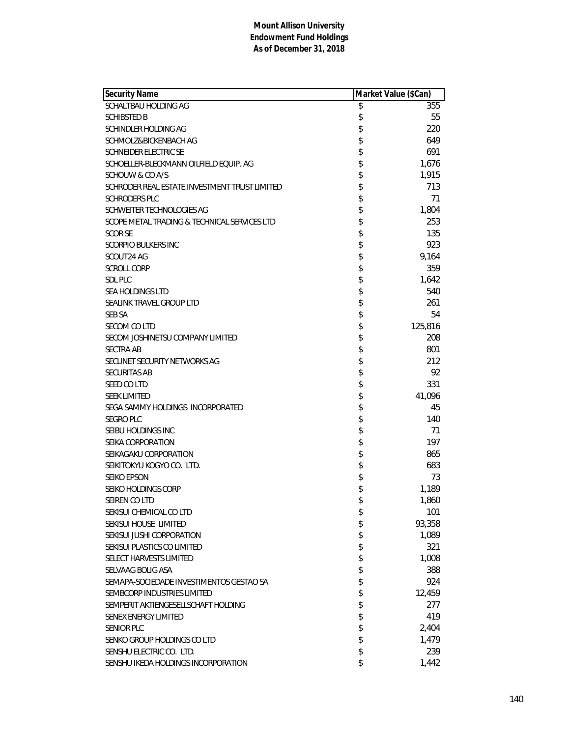| <b>Security Name</b>                          | Market Value (\$Can) |
|-----------------------------------------------|----------------------|
| SCHALTBAU HOLDING AG                          | \$<br>355            |
| <b>SCHIBSTED B</b>                            | \$<br>55             |
| SCHINDLER HOLDING AG                          | \$<br>220            |
| SCHMOLZ&BICKENBACH AG                         | \$<br>649            |
| <b>SCHNEIDER ELECTRIC SE</b>                  | \$<br>691            |
| SCHOELLER-BLECKMANN OILFIELD EQUIP. AG        | \$<br>1,676          |
| SCHOUW & CO A/S                               | \$<br>1,915          |
| SCHRODER REAL ESTATE INVESTMENT TRUST LIMITED | \$<br>713            |
| <b>SCHRODERS PLC</b>                          | \$<br>71             |
| SCHWEITER TECHNOLOGIES AG                     | \$<br>1,804          |
| SCOPE METAL TRADING & TECHNICAL SERVICES LTD  | \$<br>253            |
| <b>SCOR SE</b>                                | \$<br>135            |
| <b>SCORPIO BULKERS INC</b>                    | \$<br>923            |
| SCOUT24 AG                                    | \$<br>9,164          |
| <b>SCROLL CORP</b>                            | \$<br>359            |
| SDL PLC                                       | \$<br>1,642          |
| SEA HOLDINGS LTD                              | \$<br>540            |
| SEALINK TRAVEL GROUP LTD                      | \$<br>261            |
| <b>SEB SA</b>                                 | \$<br>54             |
| SECOM CO LTD                                  | \$<br>125,816        |
| SECOM JOSHINETSU COMPANY LIMITED              | \$<br>208            |
| <b>SECTRA AB</b>                              | \$<br>801            |
| SECUNET SECURITY NETWORKS AG                  | \$<br>212            |
| <b>SECURITAS AB</b>                           | \$<br>92             |
| SEED CO LTD                                   | \$<br>331            |
| <b>SEEK LIMITED</b>                           | \$<br>41,096         |
| SEGA SAMMY HOLDINGS INCORPORATED              | \$<br>45             |
| <b>SEGRO PLC</b>                              | \$<br>140            |
| SEIBU HOLDINGS INC                            | \$<br>71             |
| SEIKA CORPORATION                             | \$<br>197            |
| SEIKAGAKU CORPORATION                         | \$<br>865            |
| SEIKITOKYU KOGYO CO. LTD.                     | \$<br>683            |
| <b>SEIKO EPSON</b>                            | \$<br>73             |
| SEIKO HOLDINGS CORP                           | \$<br>1,189          |
| SEIREN CO LTD                                 | \$<br>1,860          |
| SEKISUI CHEMICAL CO LTD                       | \$<br>101            |
| SEKISUI HOUSE LIMITED                         | \$<br>93,358         |
| SEKISUI JUSHI CORPORATION                     | \$<br>1,089          |
| SEKISUI PLASTICS CO LIMITED                   | \$<br>321            |
| <b>SELECT HARVESTS LIMITED</b>                | \$<br>1,008          |
| SELVAAG BOLIG ASA                             | \$<br>388            |
| SEMAPA-SOCIEDADE INVESTIMENTOS GESTAO SA      | \$<br>924            |
| SEMBCORP INDUSTRIES LIMITED                   | \$<br>12,459         |
| SEMPERIT AKTIENGESELLSCHAFT HOLDING           | \$<br>277            |
| <b>SENEX ENERGY LIMITED</b>                   | \$<br>419            |
| <b>SENIOR PLC</b>                             | \$<br>2,404          |
| SENKO GROUP HOLDINGS CO LTD                   | \$<br>1,479          |
| SENSHU ELECTRIC CO. LTD.                      | \$<br>239            |
| SENSHU IKEDA HOLDINGS INCORPORATION           | \$<br>1,442          |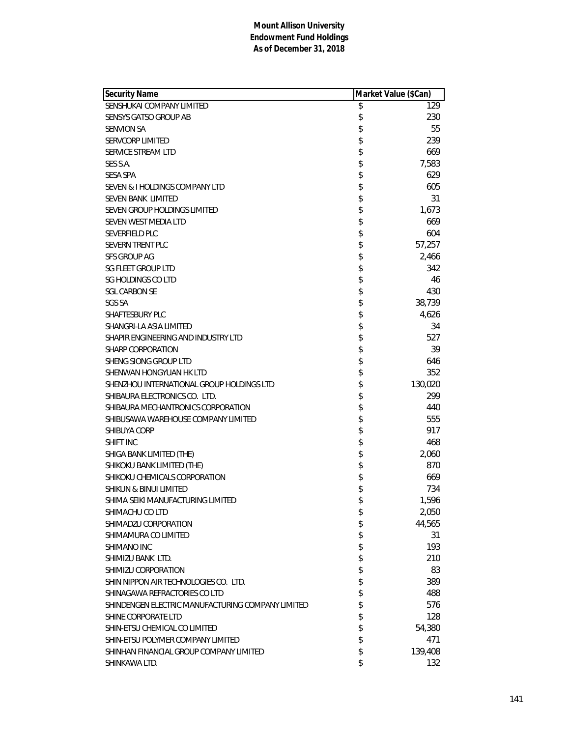| <b>Security Name</b>                              | Market Value (\$Can) |         |
|---------------------------------------------------|----------------------|---------|
| SENSHUKAI COMPANY LIMITED                         | \$                   | 129     |
| <b>SENSYS GATSO GROUP AB</b>                      | \$                   | 230     |
| <b>SENVION SA</b>                                 | \$                   | 55      |
| <b>SERVCORP LIMITED</b>                           | \$                   | 239     |
| SERVICE STREAM LTD                                | \$                   | 669     |
| SES S.A.                                          | \$                   | 7,583   |
| <b>SESA SPA</b>                                   | \$                   | 629     |
| SEVEN & I HOLDINGS COMPANY LTD                    | \$                   | 605     |
| SEVEN BANK LIMITED                                | \$                   | 31      |
| SEVEN GROUP HOLDINGS LIMITED                      | \$                   | 1,673   |
| SEVEN WEST MEDIA LTD                              | \$                   | 669     |
| SEVERFIELD PLC                                    |                      | 604     |
| <b>SEVERN TRENT PLC</b>                           | \$                   | 57,257  |
| <b>SFS GROUP AG</b>                               | \$                   | 2,466   |
| <b>SG FLEET GROUP LTD</b>                         | \$                   | 342     |
| <b>SG HOLDINGS CO LTD</b>                         | \$                   | 46      |
| <b>SGL CARBON SE</b>                              | \$                   | 430     |
| <b>SGS SA</b>                                     |                      | 38,739  |
| SHAFTESBURY PLC                                   | \$                   | 4,626   |
| SHANGRI-LA ASIA LIMITED                           | \$                   | 34      |
| SHAPIR ENGINEERING AND INDUSTRY LTD               | \$                   | 527     |
| <b>SHARP CORPORATION</b>                          | \$                   | 39      |
| SHENG SIONG GROUP LTD                             |                      | 646     |
| SHENWAN HONGYUAN HK LTD                           | \$\$\$               | 352     |
| SHENZHOU INTERNATIONAL GROUP HOLDINGS LTD         |                      | 130,020 |
| SHIBAURA ELECTRONICS CO. LTD.                     | \$                   | 299     |
| SHIBAURA MECHANTRONICS CORPORATION                | \$                   | 440     |
| SHIBUSAWA WAREHOUSE COMPANY LIMITED               | \$                   | 555     |
| <b>SHIBUYA CORP</b>                               |                      | 917     |
| <b>SHIFT INC</b>                                  | \$                   | 468     |
| SHIGA BANK LIMITED (THE)                          | \$<br>\$             | 2,060   |
| SHIKOKU BANK LIMITED (THE)                        |                      | 870     |
| SHIKOKU CHEMICALS CORPORATION                     | \$                   | 669     |
| <b>SHIKUN &amp; BINUI LIMITED</b>                 | \$                   | 734     |
| SHIMA SEIKI MANUFACTURING LIMITED                 | \$                   | 1,596   |
| SHIMACHU CO LTD                                   | \$                   | 2,050   |
| SHIMADZU CORPORATION                              | \$                   | 44,565  |
| SHIMAMURA CO LIMITED                              | \$                   | 31      |
| SHIMANO INC                                       | \$                   | 193     |
| SHIMIZU BANK LTD.                                 | \$                   | 210     |
| SHIMIZU CORPORATION                               | \$\$                 | 83      |
| SHIN NIPPON AIR TECHNOLOGIES CO. LTD.             |                      | 389     |
| SHINAGAWA REFRACTORIES CO LTD                     |                      | 488     |
| SHINDENGEN ELECTRIC MANUFACTURING COMPANY LIMITED | \$                   | 576     |
| SHINE CORPORATE LTD                               | \$                   | 128     |
| SHIN-ETSU CHEMICAL CO LIMITED                     | \$                   | 54,380  |
| SHIN-ETSU POLYMER COMPANY LIMITED                 | \$                   | 471     |
| SHINHAN FINANCIAL GROUP COMPANY LIMITED           | \$                   | 139,408 |
| SHINKAWA LTD.                                     | \$                   | 132     |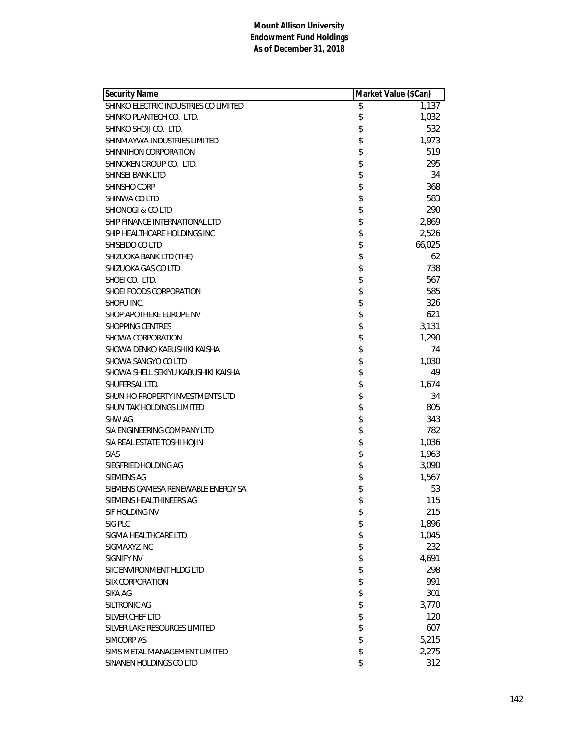| <b>Security Name</b>                  | Market Value (\$Can) |
|---------------------------------------|----------------------|
| SHINKO ELECTRIC INDUSTRIES CO LIMITED | \$<br>1,137          |
| SHINKO PLANTECH CO. LTD.              | \$<br>1,032          |
| SHINKO SHOJI CO. LTD.                 | \$<br>532            |
| SHINMAYWA INDUSTRIES LIMITED          | \$<br>1,973          |
| SHINNIHON CORPORATION                 | \$<br>519            |
| SHINOKEN GROUP CO. LTD.               | \$<br>295            |
| <b>SHINSEI BANK LTD</b>               | \$<br>34             |
| <b>SHINSHO CORP</b>                   | \$<br>368            |
| SHINWA CO LTD                         | \$<br>583            |
| SHIONOGI & COLTD                      | \$<br>290            |
| SHIP FINANCE INTERNATIONAL LTD        | \$<br>2,869          |
| SHIP HEALTHCARE HOLDINGS INC          | \$<br>2,526          |
| SHISEIDO CO LTD                       | \$<br>66,025         |
| SHIZUOKA BANK LTD (THE)               | \$<br>62             |
| SHIZUOKA GAS CO LTD                   | \$<br>738            |
| SHOEI CO. LTD.                        | \$<br>567            |
| SHOEI FOODS CORPORATION               | \$<br>585            |
| SHOFU INC.                            | \$<br>326            |
| SHOP APOTHEKE EUROPE NV               | \$<br>621            |
| <b>SHOPPING CENTRES</b>               | \$<br>3,131          |
| SHOWA CORPORATION                     | \$<br>1,290          |
| SHOWA DENKO KABUSHIKI KAISHA          | \$<br>74             |
| SHOWA SANGYO CO LTD                   | \$<br>1,030          |
| SHOWA SHELL SEKIYU KABUSHIKI KAISHA   | \$<br>49             |
| SHUFERSAL LTD.                        | \$<br>1,674          |
| SHUN HO PROPERTY INVESTMENTS LTD      | \$<br>34             |
| SHUN TAK HOLDINGS LIMITED             | \$<br>805            |
| <b>SHW AG</b>                         | \$<br>343            |
| SIA ENGINEERING COMPANY LTD           | \$<br>782            |
| SIA REAL ESTATE TOSHI HOJIN           | \$<br>1,036          |
| <b>SIAS</b>                           | \$<br>1,963          |
| SIEGFRIED HOLDING AG                  | \$<br>3,090          |
| <b>SIEMENS AG</b>                     | \$<br>1,567          |
| SIEMENS GAMESA RENEWABLE ENERGY SA    | \$<br>53             |
| SIEMENS HEALTHINEERS AG               | \$<br>115            |
| SIF HOLDING NV                        | \$<br>215            |
| SIG PLC                               | \$<br>1,896          |
| SIGMA HEALTHCARE LTD                  | \$<br>1,045          |
| SIGMAXYZ INC                          | \$<br>232            |
| <b>SIGNIFY NV</b>                     | \$<br>4,691          |
| SIIC ENVIRONMENT HLDG LTD             | \$<br>298            |
| <b>SIIX CORPORATION</b>               | \$<br>991            |
| SIKA AG                               | \$<br>301            |
| SILTRONIC AG                          | \$<br>3,770          |
| SILVER CHEF LTD                       | \$<br>120            |
| SILVER LAKE RESOURCES LIMITED         | \$<br>607            |
| SIMCORP AS                            | \$<br>5,215          |
| SIMS METAL MANAGEMENT LIMITED         | \$<br>2,275          |
| SINANEN HOLDINGS CO LTD               | \$<br>312            |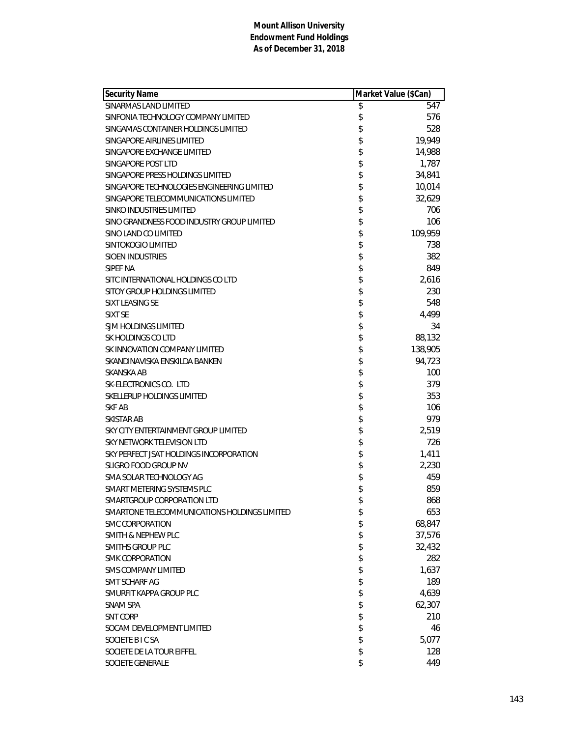| <b>Security Name</b>                         | Market Value (\$Can) |
|----------------------------------------------|----------------------|
| SINARMAS LAND LIMITED                        | \$<br>547            |
| SINFONIA TECHNOLOGY COMPANY LIMITED          | \$<br>576            |
| SINGAMAS CONTAINER HOLDINGS LIMITED          | \$<br>528            |
| SINGAPORE AIRLINES LIMITED                   | \$<br>19,949         |
| SINGAPORE EXCHANGE LIMITED                   | \$<br>14,988         |
| SINGAPORE POST LTD                           | \$<br>1,787          |
| SINGAPORE PRESS HOLDINGS LIMITED             | \$<br>34,841         |
| SINGAPORE TECHNOLOGIES ENGINEERING LIMITED   | \$<br>10,014         |
| SINGAPORE TELECOMMUNICATIONS LIMITED         | \$<br>32,629         |
| SINKO INDUSTRIES LIMITED                     | \$<br>706            |
| SINO GRANDNESS FOOD INDUSTRY GROUP LIMITED   | \$<br>106            |
| SINO LAND CO LIMITED                         | \$<br>109,959        |
| SINTOKOGIO LIMITED                           | \$<br>738            |
| <b>SIOEN INDUSTRIES</b>                      | \$<br>382            |
| SIPEF NA                                     | \$<br>849            |
| SITC INTERNATIONAL HOLDINGS CO LTD           | \$<br>2,616          |
| SITOY GROUP HOLDINGS LIMITED                 | \$<br>230            |
| SIXT LEASING SE                              | \$<br>548            |
| <b>SIXT SE</b>                               | \$<br>4,499          |
| SJM HOLDINGS LIMITED                         | \$<br>34             |
| SK HOLDINGS CO LTD                           | \$<br>88,132         |
| SK INNOVATION COMPANY LIMITED                | \$<br>138,905        |
| SKANDINAVISKA ENSKILDA BANKEN                | \$<br>94,723         |
| SKANSKA AB                                   | \$<br>100            |
| SK-ELECTRONICS CO. LTD                       | \$<br>379            |
| SKELLERUP HOLDINGS LIMITED                   | \$<br>353            |
| <b>SKF AB</b>                                | \$<br>106            |
| SKISTAR AB                                   | \$<br>979            |
| SKY CITY ENTERTAINMENT GROUP LIMITED         | \$<br>2,519          |
| SKY NETWORK TELEVISION LTD                   | \$<br>726            |
| SKY PERFECT JSAT HOLDINGS INCORPORATION      | \$<br>1,411          |
| SLIGRO FOOD GROUP NV                         | \$<br>2,230          |
| SMA SOLAR TECHNOLOGY AG                      | \$<br>459            |
| SMART METERING SYSTEMS PLC                   | \$<br>859            |
| SMARTGROUP CORPORATION LTD                   | \$<br>868            |
| SMARTONE TELECOMMUNICATIONS HOLDINGS LIMITED | \$<br>653            |
| <b>SMC CORPORATION</b>                       | \$<br>68,847         |
| SMITH & NEPHEW PLC                           | \$<br>37,576         |
| <b>SMITHS GROUP PLC</b>                      | \$<br>32,432         |
| <b>SMK CORPORATION</b>                       | \$<br>282            |
| <b>SMS COMPANY LIMITED</b>                   | \$<br>1,637          |
| SMT SCHARF AG                                | \$<br>189            |
| SMURFIT KAPPA GROUP PLC                      | \$<br>4,639          |
| SNAM SPA                                     | \$<br>62,307         |
| <b>SNT CORP</b>                              | \$<br>210            |
| SOCAM DEVELOPMENT LIMITED                    | \$<br>46             |
| SOCIETE BICSA                                | \$<br>5,077          |
| SOCIETE DE LA TOUR EIFFEL                    | \$<br>128            |
| SOCIETE GENERALE                             | \$<br>449            |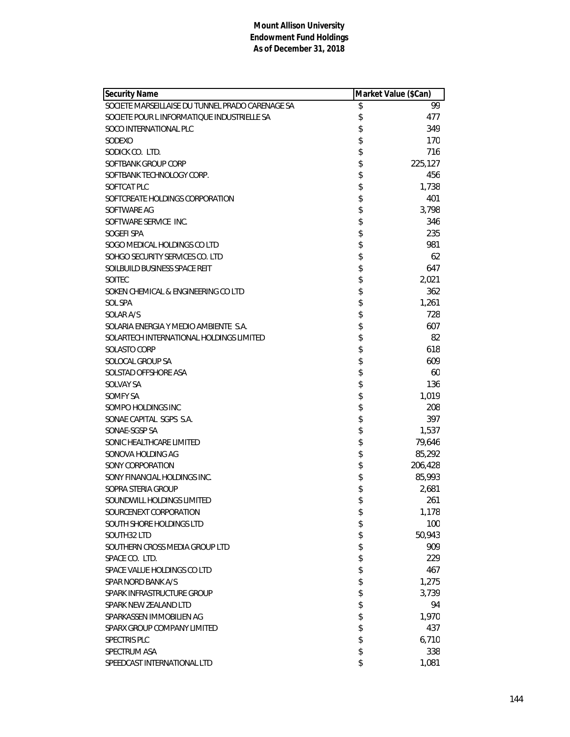| Security Name                                    | Market Value (\$Can) |
|--------------------------------------------------|----------------------|
| SOCIETE MARSEILLAISE DU TUNNEL PRADO CARENAGE SA | \$<br>99             |
| SOCIETE POUR L INFORMATIOUE INDUSTRIELLE SA      | \$<br>477            |
| SOCO INTERNATIONAL PLC                           | \$<br>349            |
| SODEXO                                           | \$<br>170            |
| SODICK CO. LTD.                                  | \$<br>716            |
| SOFTBANK GROUP CORP                              | \$<br>225,127        |
| SOFTBANK TECHNOLOGY CORP.                        | \$<br>456            |
| SOFTCAT PLC                                      | \$<br>1,738          |
| SOFTCREATE HOLDINGS CORPORATION                  | \$<br>401            |
| SOFTWARE AG                                      | \$<br>3,798          |
| SOFTWARE SERVICE INC.                            | \$<br>346            |
| SOGEFI SPA                                       | \$<br>235            |
| SOGO MEDICAL HOLDINGS CO LTD                     | \$<br>981            |
| SOHGO SECURITY SERVICES CO. LTD                  | \$<br>62             |
| SOILBUILD BUSINESS SPACE REIT                    | \$<br>647            |
| <b>SOITEC</b>                                    | \$<br>2,021          |
| SOKEN CHEMICAL & ENGINEERING CO LTD              | \$<br>362            |
| SOL SPA                                          | \$<br>1,261          |
| SOLAR A/S                                        | \$<br>728            |
| SOLARIA ENERGIA Y MEDIO AMBIENTE S.A.            | \$<br>607            |
| SOLARTECH INTERNATIONAL HOLDINGS LIMITED         | \$<br>82             |
| SOLASTO CORP                                     | \$<br>618            |
| SOLOCAL GROUP SA                                 | \$<br>609            |
| SOLSTAD OFFSHORE ASA                             | \$<br>60             |
| SOLVAY SA                                        | \$<br>136            |
| SOMFY SA                                         | \$<br>1,019          |
| SOMPO HOLDINGS INC                               | \$<br>208            |
| SONAE CAPITAL SGPS S.A.                          | \$<br>397            |
| SONAE-SGSP SA                                    | \$<br>1,537          |
| SONIC HEALTHCARE LIMITED                         | \$<br>79,646         |
| SONOVA HOLDING AG                                | \$<br>85,292         |
| SONY CORPORATION                                 | \$<br>206,428        |
| SONY FINANCIAL HOLDINGS INC.                     | \$<br>85,993         |
| SOPRA STERIA GROUP                               | \$<br>2,681          |
| SOUNDWILL HOLDINGS LIMITED                       | \$<br>261            |
| SOURCENEXT CORPORATION                           | \$<br>1,178          |
| SOUTH SHORE HOLDINGS LTD                         | \$<br>100            |
| SOUTH32 LTD                                      | \$<br>50,943         |
| SOUTHERN CROSS MEDIA GROUP LTD                   | \$<br>909            |
| SPACE CO. LTD.                                   | \$<br>229            |
| SPACE VALUE HOLDINGS CO LTD                      | \$<br>467            |
| SPAR NORD BANK A/S                               | \$<br>1,275          |
| SPARK INFRASTRUCTURE GROUP                       | \$<br>3,739          |
| SPARK NEW ZEALAND LTD                            | \$<br>94             |
| SPARKASSEN IMMOBILIEN AG                         | \$<br>1,970          |
| SPARX GROUP COMPANY LIMITED                      | \$<br>437            |
| SPECTRIS PLC                                     | \$<br>6,710          |
| SPECTRUM ASA                                     | \$<br>338            |
| SPEEDCAST INTERNATIONAL LTD                      | \$<br>1,081          |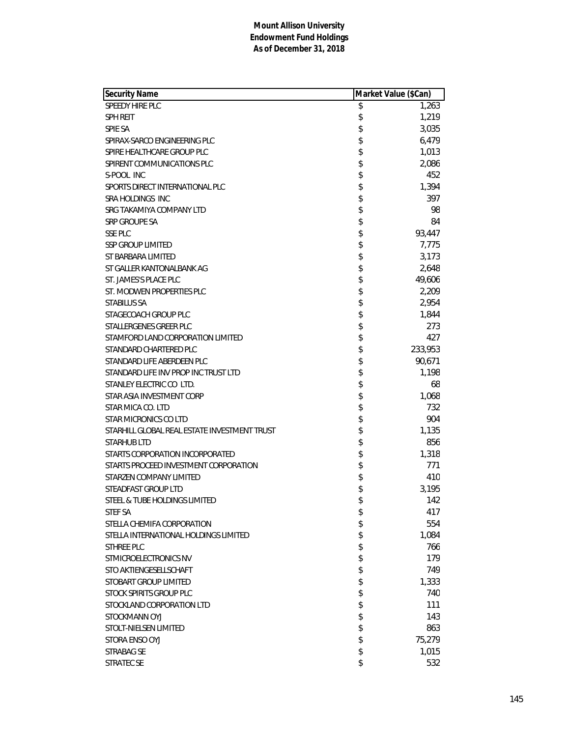| <b>Security Name</b>                         | Market Value (\$Can) |         |
|----------------------------------------------|----------------------|---------|
| SPEEDY HIRE PLC                              | \$                   | 1,263   |
| <b>SPH REIT</b>                              | \$                   | 1,219   |
| <b>SPIE SA</b>                               | \$                   | 3,035   |
| SPIRAX-SARCO ENGINEERING PLC                 | \$                   | 6,479   |
| SPIRE HEALTHCARE GROUP PLC                   | \$                   | 1,013   |
| SPIRENT COMMUNICATIONS PLC                   | \$                   | 2,086   |
| S-POOL INC                                   | \$                   | 452     |
| SPORTS DIRECT INTERNATIONAL PLC              | \$                   | 1,394   |
| SRA HOLDINGS INC                             | \$                   | 397     |
| SRG TAKAMIYA COMPANY LTD                     | \$                   | 98      |
| SRP GROUPE SA                                | \$                   | 84      |
| <b>SSE PLC</b>                               | \$                   | 93,447  |
| <b>SSP GROUP LIMITED</b>                     | \$                   | 7,775   |
| ST BARBARA LIMITED                           | \$                   | 3,173   |
| ST GALLER KANTONALBANK AG                    | \$                   | 2,648   |
| ST. JAMES'S PLACE PLC                        | \$                   | 49,606  |
| ST. MODWEN PROPERTIES PLC                    | \$                   | 2,209   |
| <b>STABILUS SA</b>                           | \$                   | 2,954   |
| STAGECOACH GROUP PLC                         | \$                   | 1,844   |
| STALLERGENES GREER PLC                       | \$                   | 273     |
| STAMFORD LAND CORPORATION LIMITED            | \$                   | 427     |
| STANDARD CHARTERED PLC                       | \$                   | 233,953 |
| STANDARD LIFE ABERDEEN PLC                   | \$                   | 90,671  |
| STANDARD LIFE INV PROP INC TRUST LTD         | \$                   | 1,198   |
| STANLEY ELECTRIC CO LTD.                     | \$                   | 68      |
| STAR ASIA INVESTMENT CORP                    | \$                   | 1,068   |
| STAR MICA CO. LTD                            | \$                   | 732     |
| STAR MICRONICS CO LTD                        | \$                   | 904     |
| STARHILL GLOBAL REAL ESTATE INVESTMENT TRUST | \$                   | 1,135   |
| <b>STARHUB LTD</b>                           | \$                   | 856     |
| STARTS CORPORATION INCORPORATED              | \$                   | 1,318   |
| STARTS PROCEED INVESTMENT CORPORATION        | \$                   | 771     |
| STARZEN COMPANY LIMITED                      | \$                   | 410     |
| STEADFAST GROUP LTD                          | \$                   | 3,195   |
| STEEL & TUBE HOLDINGS LIMITED                | \$                   | 142     |
| <b>STEF SA</b>                               | \$                   | 417     |
| STELLA CHEMIFA CORPORATION                   | \$                   | 554     |
| STELLA INTERNATIONAL HOLDINGS LIMITED        | \$                   | 1,084   |
| <b>STHREE PLC</b>                            | \$                   | 766     |
| STMICROELECTRONICS NV                        | \$                   | 179     |
| STO AKTIENGESELLSCHAFT                       | \$                   | 749     |
| STOBART GROUP LIMITED                        | \$                   | 1,333   |
| STOCK SPIRITS GROUP PLC                      | \$                   | 740     |
| STOCKLAND CORPORATION LTD                    | \$                   | 111     |
| STOCKMANN OYJ                                | \$                   | 143     |
| STOLT-NIELSEN LIMITED                        | \$                   | 863     |
| STORA ENSO OYJ                               | \$                   | 75,279  |
| <b>STRABAG SE</b>                            | \$                   | 1,015   |
| STRATEC SE                                   | \$                   | 532     |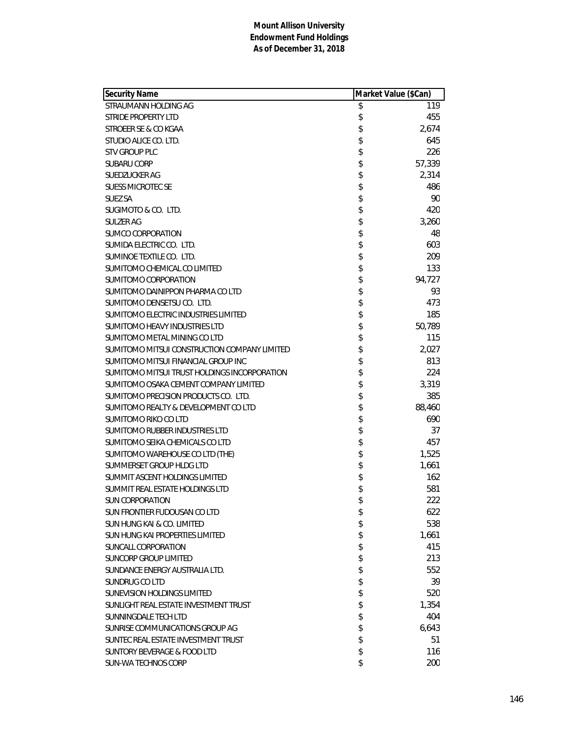| <b>Security Name</b>                         | Market Value (\$Can) |        |
|----------------------------------------------|----------------------|--------|
| STRAUMANN HOLDING AG                         | \$                   | 119    |
| <b>STRIDE PROPERTY LTD</b>                   | \$                   | 455    |
| STROEER SE & CO KGAA                         | \$                   | 2,674  |
| STUDIO ALICE CO. LTD.                        | \$                   | 645    |
| <b>STV GROUP PLC</b>                         | \$                   | 226    |
| <b>SUBARU CORP</b>                           | \$                   | 57,339 |
| <b>SUEDZUCKER AG</b>                         | \$                   | 2,314  |
| <b>SUESS MICROTEC SE</b>                     | \$                   | 486    |
| <b>SUEZ SA</b>                               | \$                   | 90     |
| SUGIMOTO & CO. LTD.                          | \$                   | 420    |
| SULZER AG                                    | \$                   | 3,260  |
| SUMCO CORPORATION                            | \$                   | 48     |
| SUMIDA ELECTRIC CO. LTD.                     | \$                   | 603    |
| SUMINOE TEXTILE CO. LTD.                     | \$                   | 209    |
| SUMITOMO CHEMICAL CO LIMITED                 | \$                   | 133    |
| SUMITOMO CORPORATION                         | \$                   | 94,727 |
| SUMITOMO DAINIPPON PHARMA CO LTD             | \$                   | 93     |
| SUMITOMO DENSETSU CO. LTD.                   | \$                   | 473    |
| SUMITOMO ELECTRIC INDUSTRIES LIMITED         | \$                   | 185    |
| SUMITOMO HEAVY INDUSTRIES LTD                | \$                   | 50,789 |
| SUMITOMO METAL MINING CO LTD                 | \$                   | 115    |
| SUMITOMO MITSUI CONSTRUCTION COMPANY LIMITED | \$                   | 2,027  |
| SUMITOMO MITSUI FINANCIAL GROUP INC          | \$                   | 813    |
| SUMITOMO MITSUI TRUST HOLDINGS INCORPORATION | \$                   | 224    |
| SUMITOMO OSAKA CEMENT COMPANY LIMITED        | \$                   | 3,319  |
| SUMITOMO PRECISION PRODUCTS CO. LTD.         | \$                   | 385    |
| SUMITOMO REALTY & DEVELOPMENT CO LTD         | \$                   | 88,460 |
| SUMITOMO RIKO CO LTD                         | \$                   | 690    |
| SUMITOMO RUBBER INDUSTRIES LTD               | \$                   | 37     |
| SUMITOMO SEIKA CHEMICALS CO LTD              | \$                   | 457    |
| SUMITOMO WAREHOUSE CO LTD (THE)              | \$                   | 1,525  |
| SUMMERSET GROUP HLDG LTD                     | \$                   | 1,661  |
| SUMMIT ASCENT HOLDINGS LIMITED               | \$                   | 162    |
| SUMMIT REAL ESTATE HOLDINGS LTD              | \$                   | 581    |
| <b>SUN CORPORATION</b>                       | \$                   | 222    |
| SUN FRONTIER FUDOUSAN CO LTD                 | \$                   | 622    |
| SUN HUNG KAI & CO. LIMITED                   | \$                   | 538    |
| SUN HUNG KAI PROPERTIES LIMITED              | \$                   | 1,661  |
| SUNCALL CORPORATION                          | \$                   | 415    |
| <b>SUNCORP GROUP LIMITED</b>                 | \$                   | 213    |
| SUNDANCE ENERGY AUSTRALIA LTD.               | \$                   | 552    |
| SUNDRUG CO LTD                               | \$                   | 39     |
| SUNEVISION HOLDINGS LIMITED                  | \$                   | 520    |
| SUNLIGHT REAL ESTATE INVESTMENT TRUST        | \$                   | 1,354  |
| SUNNINGDALE TECH LTD                         | \$                   | 404    |
| SUNRISE COMMUNICATIONS GROUP AG              | \$                   | 6,643  |
| SUNTEC REAL ESTATE INVESTMENT TRUST          | \$                   | 51     |
| <b>SUNTORY BEVERAGE &amp; FOOD LTD</b>       | \$                   | 116    |
| SUN-WA TECHNOS CORP                          | \$                   | 200    |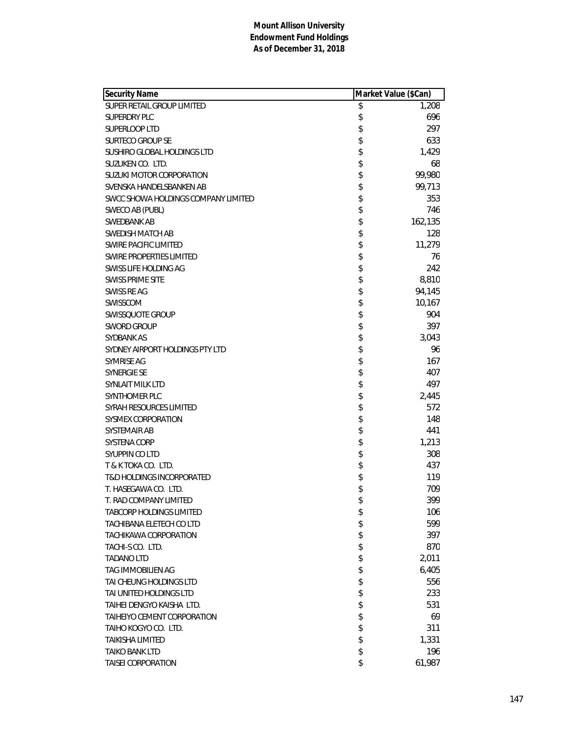| Security Name                        | Market Value (\$Can) |         |
|--------------------------------------|----------------------|---------|
| SUPER RETAIL GROUP LIMITED           | \$                   | 1,208   |
| <b>SUPERDRY PLC</b>                  | \$                   | 696     |
| SUPERLOOP LTD                        | \$                   | 297     |
| SURTECO GROUP SE                     | \$                   | 633     |
| SUSHIRO GLOBAL HOLDINGS LTD          | \$                   | 1,429   |
| SUZUKEN CO. LTD.                     | \$                   | 68      |
| SUZUKI MOTOR CORPORATION             | \$                   | 99,980  |
| SVENSKA HANDELSBANKEN AB             | \$                   | 99,713  |
| SWCC SHOWA HOLDINGS COMPANY LIMITED  | \$                   | 353     |
| SWECO AB (PUBL)                      | \$                   | 746     |
| SWEDBANK AB                          | \$                   | 162,135 |
| SWEDISH MATCH AB                     | \$                   | 128     |
| <b>SWIRE PACIFIC LIMITED</b>         | \$                   | 11,279  |
| <b>SWIRE PROPERTIES LIMITED</b>      | \$                   | 76      |
| SWISS LIFE HOLDING AG                | \$                   | 242     |
| <b>SWISS PRIME SITE</b>              | \$                   | 8,810   |
| SWISS RE AG                          | \$                   | 94,145  |
| SWISSCOM                             | \$                   | 10,167  |
| <b>SWISSQUOTE GROUP</b>              | \$                   | 904     |
| <b>SWORD GROUP</b>                   | \$                   | 397     |
| SYDBANK AS                           | \$                   | 3,043   |
| SYDNEY AIRPORT HOLDINGS PTY LTD      | \$                   | 96      |
| SYMRISE AG                           | \$                   | 167     |
| <b>SYNERGIE SE</b>                   | \$                   | 407     |
| SYNLAIT MILK LTD                     | \$                   | 497     |
| SYNTHOMER PLC                        | \$                   | 2,445   |
| SYRAH RESOURCES LIMITED              | \$                   | 572     |
| <b>SYSMEX CORPORATION</b>            | \$                   | 148     |
| SYSTEMAIR AB                         | \$                   | 441     |
| <b>SYSTENA CORP</b>                  | \$                   | 1,213   |
| SYUPPIN CO LTD                       | \$                   | 308     |
| T & K TOKA CO. LTD.                  | \$                   | 437     |
| <b>T&amp;D HOLDINGS INCORPORATED</b> | \$                   | 119     |
| T. HASEGAWA CO. LTD.                 | \$                   | 709     |
| T. RAD COMPANY LIMITED               | \$                   | 399     |
| <b>TABCORP HOLDINGS LIMITED</b>      | \$                   | 106     |
| TACHIBANA ELETECH CO LTD             | \$                   | 599     |
| TACHIKAWA CORPORATION                | \$                   | 397     |
| TACHI-S CO. LTD.                     | \$                   | 870     |
| <b>TADANO LTD</b>                    | \$                   | 2,011   |
| <b>TAG IMMOBILIEN AG</b>             | \$                   | 6,405   |
| TAI CHEUNG HOLDINGS LTD              | \$                   | 556     |
| TAI UNITED HOLDINGS LTD              | \$                   | 233     |
| TAIHEI DENGYO KAISHA LTD.            | \$                   | 531     |
| TAIHEIYO CEMENT CORPORATION          | \$                   | 69      |
| TAIHO KOGYO CO. LTD.                 | \$                   | 311     |
| TAIKISHA LIMITED                     | \$                   | 1,331   |
| <b>TAIKO BANK LTD</b>                | \$                   | 196     |
| TAISEI CORPORATION                   | \$                   | 61,987  |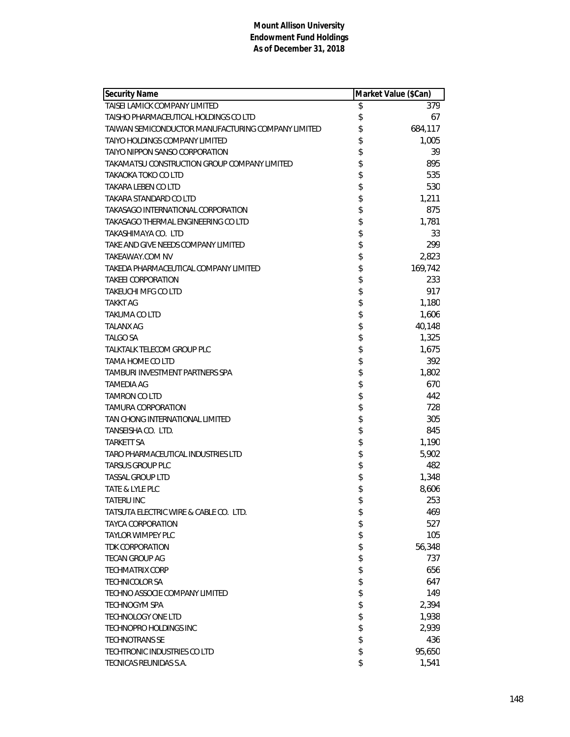| <b>Security Name</b>                               | Market Value (\$Can) |         |
|----------------------------------------------------|----------------------|---------|
| TAISEI LAMICK COMPANY LIMITED                      | \$                   | 379     |
| TAISHO PHARMACEUTICAL HOLDINGS CO LTD              | \$                   | 67      |
| TAIWAN SEMICONDUCTOR MANUFACTURING COMPANY LIMITED | \$                   | 684,117 |
| TAIYO HOLDINGS COMPANY LIMITED                     | \$                   | 1,005   |
| TAIYO NIPPON SANSO CORPORATION                     | \$                   | 39      |
| TAKAMATSU CONSTRUCTION GROUP COMPANY LIMITED       | \$                   | 895     |
| TAKAOKA TOKO CO LTD                                | \$                   | 535     |
| TAKARA LEBEN CO LTD                                | \$                   | 530     |
| TAKARA STANDARD CO LTD                             | \$                   | 1,211   |
| TAKASAGO INTERNATIONAL CORPORATION                 | \$                   | 875     |
| TAKASAGO THERMAL ENGINEERING CO LTD                | \$                   | 1,781   |
| TAKASHIMAYA CO. LTD                                | \$                   | 33      |
| TAKE AND GIVE NEEDS COMPANY LIMITED                | \$                   | 299     |
| TAKEAWAY.COM NV                                    | \$                   | 2,823   |
| TAKEDA PHARMACEUTICAL COMPANY LIMITED              | \$                   | 169,742 |
| <b>TAKEEI CORPORATION</b>                          | \$                   | 233     |
| TAKEUCHI MFG CO LTD                                | \$                   | 917     |
| <b>TAKKT AG</b>                                    | \$                   | 1,180   |
| TAKUMA CO LTD                                      | \$                   | 1,606   |
| <b>TALANX AG</b>                                   | \$                   | 40,148  |
| <b>TALGO SA</b>                                    | \$                   | 1,325   |
| <b>TALKTALK TELECOM GROUP PLC</b>                  | \$                   | 1,675   |
| TAMA HOME CO LTD                                   | \$                   | 392     |
| TAMBURI INVESTMENT PARTNERS SPA                    | \$                   | 1,802   |
| TAMEDIA AG                                         | \$                   | 670     |
| TAMRON CO LTD                                      | \$                   | 442     |
| <b>TAMURA CORPORATION</b>                          | \$                   | 728     |
| TAN CHONG INTERNATIONAL LIMITED                    | \$                   | 305     |
| TANSEISHA CO. LTD.                                 | \$                   | 845     |
| TARKETT SA                                         | \$                   | 1,190   |
| TARO PHARMACEUTICAL INDUSTRIES LTD                 | \$                   | 5,902   |
| <b>TARSUS GROUP PLC</b>                            | \$                   | 482     |
| <b>TASSAL GROUP LTD</b>                            | \$                   | 1,348   |
| TATE & LYLE PLC                                    | \$                   | 8,606   |
| TATERU INC                                         | \$                   | 253     |
| TATSUTA ELECTRIC WIRE & CABLE CO. LTD.             | \$                   | 469     |
| TAYCA CORPORATION                                  | \$                   | 527     |
| <b>TAYLOR WIMPEY PLC</b>                           | \$                   | 105     |
| <b>TDK CORPORATION</b>                             | \$                   | 56,348  |
| TECAN GROUP AG                                     | \$                   | 737     |
| <b>TECHMATRIX CORP</b>                             | \$                   | 656     |
| <b>TECHNICOLOR SA</b>                              | \$                   | 647     |
| TECHNO ASSOCIE COMPANY LIMITED                     | \$                   | 149     |
| TECHNOGYM SPA                                      | \$                   | 2,394   |
| <b>TECHNOLOGY ONE LTD</b>                          | \$                   | 1,938   |
| TECHNOPRO HOLDINGS INC                             | \$                   | 2,939   |
| <b>TECHNOTRANS SE</b>                              | \$                   | 436     |
| TECHTRONIC INDUSTRIES CO LTD                       | \$                   | 95,650  |
| TECNICAS REUNIDAS S.A.                             | \$                   | 1,541   |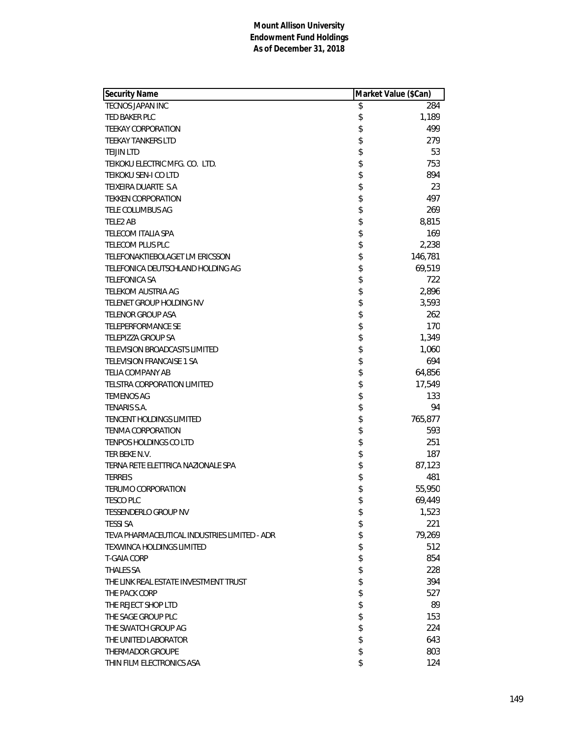| <b>Security Name</b>                         | Market Value (\$Can) |         |
|----------------------------------------------|----------------------|---------|
| <b>TECNOS JAPAN INC</b>                      | \$                   | 284     |
| TED BAKER PLC                                | \$                   | 1,189   |
| <b>TEEKAY CORPORATION</b>                    | \$                   | 499     |
| <b>TEEKAY TANKERS LTD</b>                    | \$                   | 279     |
| <b>TEIJIN LTD</b>                            | \$                   | 53      |
| TEIKOKU ELECTRIC MFG. CO. LTD.               | \$                   | 753     |
| TEIKOKU SEN-I CO LTD                         | \$                   | 894     |
| TEIXEIRA DUARTE S.A                          | \$                   | 23      |
| <b>TEKKEN CORPORATION</b>                    | \$                   | 497     |
| TELE COLUMBUS AG                             | \$                   | 269     |
| TELE2 AB                                     | \$                   | 8,815   |
| <b>TELECOM ITALIA SPA</b>                    | \$                   | 169     |
| <b>TELECOM PLUS PLC</b>                      | \$                   | 2,238   |
| TELEFONAKTIEBOLAGET LM ERICSSON              | \$                   | 146,781 |
| TELEFONICA DEUTSCHLAND HOLDING AG            | \$                   | 69,519  |
| <b>TELEFONICA SA</b>                         | \$                   | 722     |
| <b>TELEKOM AUSTRIA AG</b>                    | \$                   | 2,896   |
| TELENET GROUP HOLDING NV                     | \$                   | 3,593   |
| TELENOR GROUP ASA                            | \$                   | 262     |
| <b>TELEPERFORMANCE SE</b>                    | \$                   | 170     |
| <b>TELEPIZZA GROUP SA</b>                    | \$                   | 1,349   |
| TELEVISION BROADCASTS LIMITED                | \$                   | 1,060   |
| TELEVISION FRANCAISE 1 SA                    | \$                   | 694     |
| <b>TELIA COMPANY AB</b>                      | \$                   | 64,856  |
| TELSTRA CORPORATION LIMITED                  | \$                   | 17,549  |
| <b>TEMENOS AG</b>                            | \$                   | 133     |
| TENARIS S.A.                                 | \$                   | 94      |
| <b>TENCENT HOLDINGS LIMITED</b>              | \$                   | 765,877 |
| <b>TENMA CORPORATION</b>                     | \$                   | 593     |
| <b>TENPOS HOLDINGS CO LTD</b>                | \$                   | 251     |
| TER BEKE N.V.                                | \$                   | 187     |
| TERNA RETE ELETTRICA NAZIONALE SPA           | \$                   | 87,123  |
| <b>TERREIS</b>                               | \$                   | 481     |
| <b>TERUMO CORPORATION</b>                    | \$                   | 55,950  |
| <b>TESCO PLC</b>                             | \$                   | 69,449  |
| <b>TESSENDERLO GROUP NV</b>                  | \$                   | 1,523   |
| <b>TESSI SA</b>                              | \$                   | 221     |
| TEVA PHARMACEUTICAL INDUSTRIES LIMITED - ADR | \$                   | 79,269  |
| TEXWINCA HOLDINGS LIMITED                    | \$                   | 512     |
| <b>T-GAIA CORP</b>                           | \$                   | 854     |
| <b>THALES SA</b>                             | \$                   | 228     |
| THE LINK REAL ESTATE INVESTMENT TRUST        | \$                   | 394     |
| THE PACK CORP                                | \$                   | 527     |
| THE REJECT SHOP LTD                          | \$                   | 89      |
| THE SAGE GROUP PLC                           | \$                   | 153     |
| THE SWATCH GROUP AG                          | \$                   | 224     |
| THE UNITED LABORATOR                         | \$                   | 643     |
| THERMADOR GROUPE                             | \$                   | 803     |
| THIN FILM ELECTRONICS ASA                    | \$                   | 124     |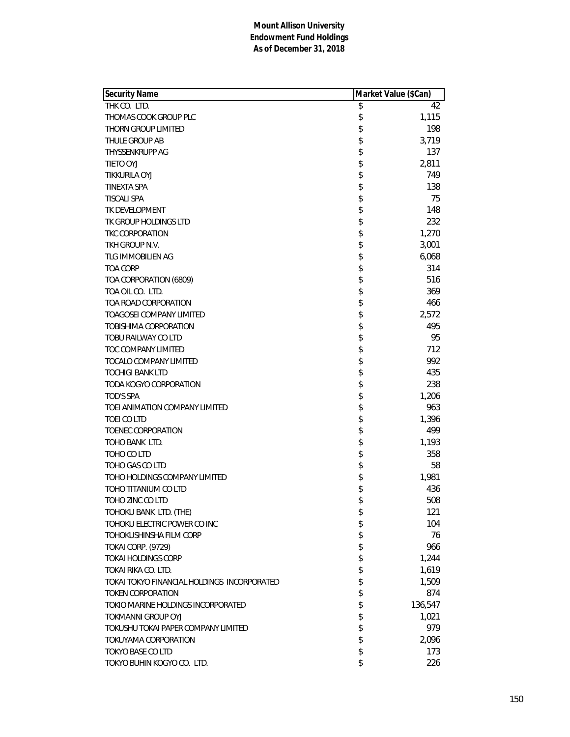| <b>Security Name</b>                        | Market Value (\$Can) |
|---------------------------------------------|----------------------|
| THK CO. LTD.                                | \$<br>42             |
| THOMAS COOK GROUP PLC                       | \$<br>1,115          |
| THORN GROUP LIMITED                         | \$<br>198            |
| THULE GROUP AB                              | \$<br>3,719          |
| THYSSENKRUPP AG                             | \$<br>137            |
| TIETO OYJ                                   | \$<br>2,811          |
| TIKKURILA OYJ                               | \$<br>749            |
| <b>TINEXTA SPA</b>                          | \$<br>138            |
| <b>TISCALI SPA</b>                          | \$<br>75             |
| TK DEVELOPMENT                              | \$<br>148            |
| TK GROUP HOLDINGS LTD                       | \$<br>232            |
| <b>TKC CORPORATION</b>                      | \$<br>1,270          |
| TKH GROUP N.V.                              | \$<br>3,001          |
| TLG IMMOBILIEN AG                           | \$<br>6,068          |
| <b>TOA CORP</b>                             | \$<br>314            |
| TOA CORPORATION (6809)                      | \$<br>516            |
| TOA OIL CO. LTD.                            | \$<br>369            |
| TOA ROAD CORPORATION                        | \$<br>466            |
| <b>TOAGOSEI COMPANY LIMITED</b>             | \$<br>2,572          |
| TOBISHIMA CORPORATION                       | \$<br>495            |
| TOBU RAILWAY CO LTD                         | \$<br>95             |
| TOC COMPANY LIMITED                         | \$<br>712            |
| TOCALO COMPANY LIMITED                      | \$<br>992            |
| <b>TOCHIGI BANK LTD</b>                     | \$<br>435            |
| TODA KOGYO CORPORATION                      | \$<br>238            |
| TOD'S SPA                                   | \$<br>1,206          |
| TOEI ANIMATION COMPANY LIMITED              | \$<br>963            |
| <b>TOEI CO LTD</b>                          | \$<br>1,396          |
| TOENEC CORPORATION                          | \$<br>499            |
| TOHO BANK LTD.                              | \$<br>1,193          |
| TOHO CO LTD                                 | \$<br>358            |
| TOHO GAS CO LTD                             | \$<br>58             |
| TOHO HOLDINGS COMPANY LIMITED               | \$<br>1,981          |
| TOHO TITANIUM CO LTD                        | \$<br>436            |
| TOHO ZINC CO LTD                            | \$<br>508            |
| TOHOKU BANK LTD. (THE)                      | \$<br>121            |
| TOHOKU ELECTRIC POWER CO INC                | \$<br>104            |
| TOHOKUSHINSHA FILM CORP                     | \$<br>76             |
| TOKAI CORP. (9729)                          | \$<br>966            |
| <b>TOKAI HOLDINGS CORP</b>                  | \$<br>1,244          |
| TOKAI RIKA CO. LTD.                         | \$<br>1,619          |
| TOKAI TOKYO FINANCIAL HOLDINGS INCORPORATED | \$<br>1,509          |
| <b>TOKEN CORPORATION</b>                    | \$<br>874            |
| TOKIO MARINE HOLDINGS INCORPORATED          | \$<br>136,547        |
| TOKMANNI GROUP OYJ                          | \$<br>1,021          |
| TOKUSHU TOKAI PAPER COMPANY LIMITED         | \$<br>979            |
| TOKUYAMA CORPORATION                        | \$<br>2,096          |
| <b>TOKYO BASE CO LTD</b>                    | \$<br>173            |
| TOKYO BUHIN KOGYO CO. LTD.                  | \$<br>226            |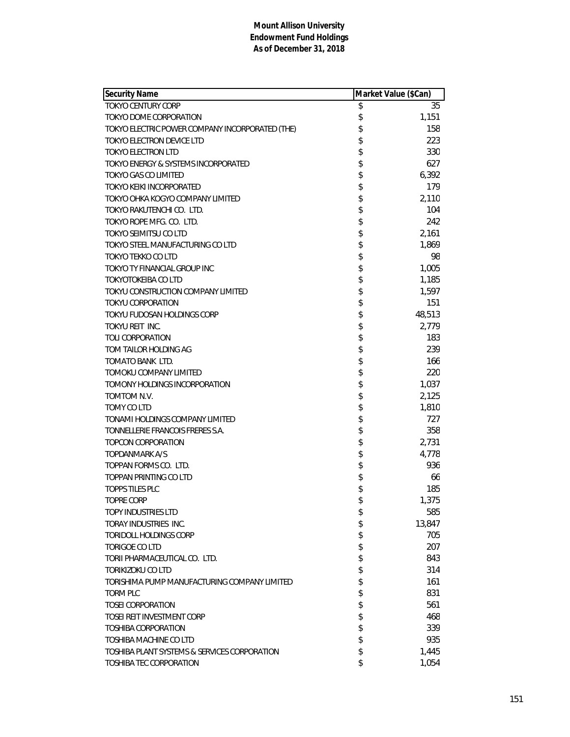| <b>Security Name</b>                            | Market Value (\$Can) |        |
|-------------------------------------------------|----------------------|--------|
| <b>TOKYO CENTURY CORP</b>                       | \$                   | 35     |
| TOKYO DOME CORPORATION                          | \$                   | 1,151  |
| TOKYO ELECTRIC POWER COMPANY INCORPORATED (THE) | \$                   | 158    |
| TOKYO ELECTRON DEVICE LTD                       | \$                   | 223    |
| TOKYO ELECTRON LTD                              | \$                   | 330    |
| TOKYO ENERGY & SYSTEMS INCORPORATED             | \$                   | 627    |
| TOKYO GAS CO LIMITED                            | \$                   | 6,392  |
| TOKYO KEIKI INCORPORATED                        | \$                   | 179    |
| TOKYO OHKA KOGYO COMPANY LIMITED                | \$                   | 2,110  |
| TOKYO RAKUTENCHI CO. LTD.                       | \$                   | 104    |
| TOKYO ROPE MFG. CO. LTD.                        | \$                   | 242    |
| <b>TOKYO SEIMITSU CO LTD</b>                    | \$                   | 2,161  |
| TOKYO STEEL MANUFACTURING CO LTD                | \$                   | 1,869  |
| <b>TOKYO TEKKO CO LTD</b>                       | \$                   | 98     |
| TOKYO TY FINANCIAL GROUP INC                    | \$                   | 1,005  |
| <b>TOKYOTOKEIBA CO LTD</b>                      | \$                   | 1,185  |
| TOKYU CONSTRUCTION COMPANY LIMITED              | \$                   | 1,597  |
| <b>TOKYU CORPORATION</b>                        | \$                   | 151    |
| TOKYU FUDOSAN HOLDINGS CORP                     | \$                   | 48,513 |
| TOKYU REIT INC.                                 | \$                   | 2,779  |
| TOLI CORPORATION                                | \$                   | 183    |
| TOM TAILOR HOLDING AG                           | \$                   | 239    |
| TOMATO BANK LTD.                                | \$                   | 166    |
| TOMOKU COMPANY LIMITED                          | \$                   | 220    |
| TOMONY HOLDINGS INCORPORATION                   | \$                   | 1,037  |
| TOMTOM N.V.                                     | \$                   | 2,125  |
| TOMY CO LTD                                     | \$                   | 1,810  |
| TONAMI HOLDINGS COMPANY LIMITED                 | \$                   | 727    |
| TONNELLERIE FRANCOIS FRERES S.A.                | \$                   | 358    |
| TOPCON CORPORATION                              | \$                   | 2,731  |
| TOPDANMARK A/S                                  | \$                   | 4,778  |
| TOPPAN FORMS CO. LTD.                           | \$                   | 936    |
| TOPPAN PRINTING CO LTD                          | \$                   | 66     |
| TOPPS TILES PLC                                 | \$                   | 185    |
| <b>TOPRE CORP</b>                               | \$                   | 1,375  |
| <b>TOPY INDUSTRIES LTD</b>                      | \$                   | 585    |
| TORAY INDUSTRIES INC.                           | \$                   | 13,847 |
| TORIDOLL HOLDINGS CORP                          | \$                   | 705    |
| TORIGOE CO LTD                                  | \$                   | 207    |
| TORII PHARMACEUTICAL CO. LTD.                   | \$                   | 843    |
| TORIKIZOKU CO LTD                               | \$                   | 314    |
| TORISHIMA PUMP MANUFACTURING COMPANY LIMITED    | \$                   | 161    |
| <b>TORM PLC</b>                                 | \$                   | 831    |
| <b>TOSEL CORPORATION</b>                        | \$                   | 561    |
| TOSEI REIT INVESTMENT CORP                      | \$                   | 468    |
| TOSHIBA CORPORATION                             | \$                   | 339    |
| TOSHIBA MACHINE CO LTD                          | \$                   | 935    |
| TOSHIBA PLANT SYSTEMS & SERVICES CORPORATION    | \$                   | 1,445  |
| <b>TOSHIBA TEC CORPORATION</b>                  | \$                   | 1,054  |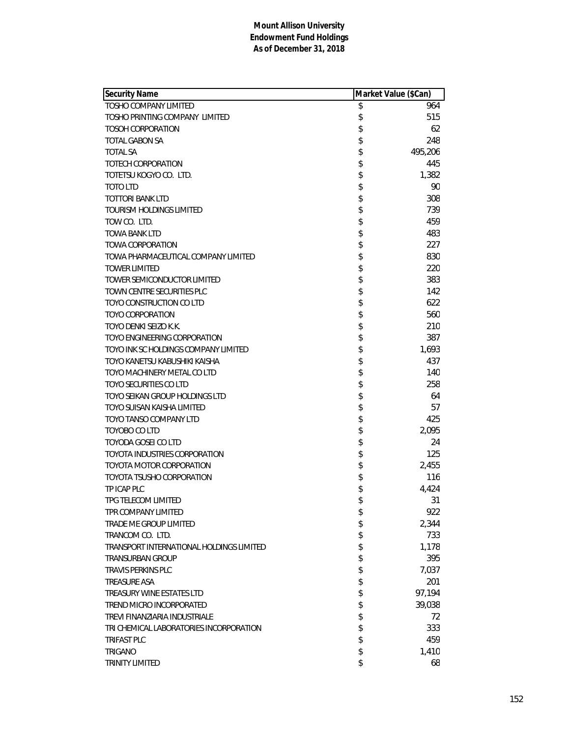| <b>Security Name</b>                     | Market Value (\$Can) |         |
|------------------------------------------|----------------------|---------|
| <b>TOSHO COMPANY LIMITED</b>             | \$                   | 964     |
| TOSHO PRINTING COMPANY LIMITED           | \$                   | 515     |
| <b>TOSOH CORPORATION</b>                 | \$                   | 62      |
| <b>TOTAL GABON SA</b>                    | \$                   | 248     |
| <b>TOTAL SA</b>                          | \$                   | 495,206 |
| TOTECH CORPORATION                       | \$                   | 445     |
| TOTETSU KOGYO CO. LTD.                   | \$                   | 1,382   |
| <b>TOTO LTD</b>                          | \$                   | 90      |
| TOTTORI BANK LTD                         | \$                   | 308     |
| <b>TOURISM HOLDINGS LIMITED</b>          | \$                   | 739     |
| TOW CO. LTD.                             | \$                   | 459     |
| TOWA BANK LTD                            | \$                   | 483     |
| <b>TOWA CORPORATION</b>                  | \$                   | 227     |
| TOWA PHARMACEUTICAL COMPANY LIMITED      | \$                   | 830     |
| <b>TOWER LIMITED</b>                     | \$                   | 220     |
| TOWER SEMICONDUCTOR LIMITED              | \$                   | 383     |
| TOWN CENTRE SECURITIES PLC               | \$                   | 142     |
| TOYO CONSTRUCTION CO LTD                 | \$                   | 622     |
| TOYO CORPORATION                         | \$                   | 560     |
| TOYO DENKI SEIZO K.K.                    | \$                   | 210     |
| TOYO ENGINEERING CORPORATION             | \$                   | 387     |
| TOYO INK SC HOLDINGS COMPANY LIMITED     | \$                   | 1,693   |
| TOYO KANETSU KABUSHIKI KAISHA            | \$                   | 437     |
| TOYO MACHINERY METAL CO LTD              | \$                   | 140     |
| <b>TOYO SECURITIES CO LTD</b>            | \$                   | 258     |
| TOYO SEIKAN GROUP HOLDINGS LTD           | \$                   | 64      |
| TOYO SUISAN KAISHA LIMITED               | \$                   | 57      |
| TOYO TANSO COMPANY LTD                   | \$                   | 425     |
| TOYOBO CO LTD                            | \$                   | 2,095   |
| TOYODA GOSEI CO LTD                      | \$                   | 24      |
| TOYOTA INDUSTRIES CORPORATION            | \$                   | 125     |
| TOYOTA MOTOR CORPORATION                 | \$                   | 2,455   |
| TOYOTA TSUSHO CORPORATION                | \$                   | 116     |
| TP ICAP PLC                              | \$                   | 4,424   |
| TPG TELECOM LIMITED                      | \$                   | 31      |
| TPR COMPANY LIMITED                      | \$                   | 922     |
| TRADE ME GROUP LIMITED                   | \$                   | 2,344   |
| TRANCOM CO. LTD.                         | \$                   | 733     |
| TRANSPORT INTERNATIONAL HOLDINGS LIMITED | \$                   | 1,178   |
| TRANSURBAN GROUP                         | \$                   | 395     |
| <b>TRAVIS PERKINS PLC</b>                | \$                   | 7,037   |
| <b>TREASURE ASA</b>                      | \$                   | 201     |
| TREASURY WINE ESTATES LTD                | \$                   | 97,194  |
| TREND MICRO INCORPORATED                 | \$                   | 39,038  |
| TREVI FINANZIARIA INDUSTRIALE            | \$                   | 72      |
| TRI CHEMICAL LABORATORIES INCORPORATION  | \$                   | 333     |
| <b>TRIFAST PLC</b>                       | \$                   | 459     |
| TRIGANO                                  | \$                   | 1,410   |
| <b>TRINITY LIMITED</b>                   | \$                   | 68      |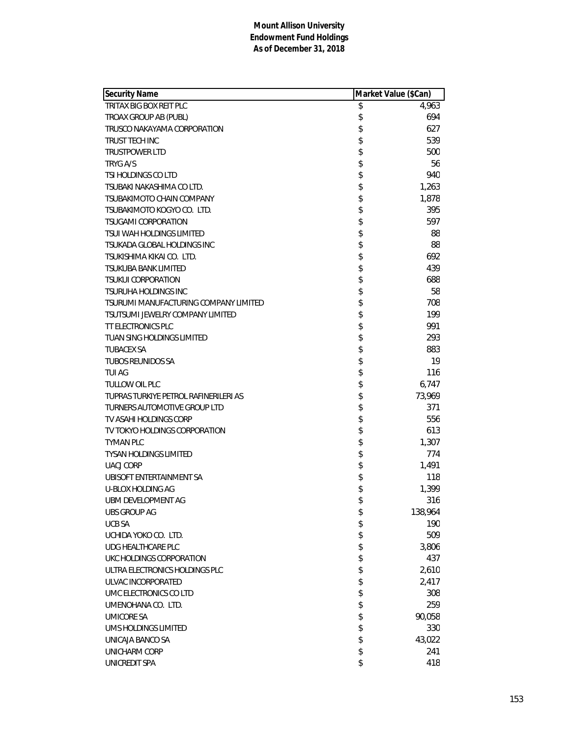| Security Name                         | Market Value (\$Can) |         |
|---------------------------------------|----------------------|---------|
| TRITAX BIG BOX REIT PLC               | \$                   | 4,963   |
| TROAX GROUP AB (PUBL)                 | \$                   | 694     |
| TRUSCO NAKAYAMA CORPORATION           | \$                   | 627     |
| TRUST TECH INC                        | \$                   | 539     |
| <b>TRUSTPOWER LTD</b>                 | \$                   | 500     |
| <b>TRYG A/S</b>                       | \$                   | 56      |
| TSI HOLDINGS CO LTD                   | \$                   | 940     |
| TSUBAKI NAKASHIMA CO LTD.             | \$                   | 1,263   |
| TSUBAKIMOTO CHAIN COMPANY             | \$                   | 1,878   |
| TSUBAKIMOTO KOGYO CO. LTD.            | \$                   | 395     |
| <b>TSUGAMI CORPORATION</b>            | \$                   | 597     |
| TSUI WAH HOLDINGS LIMITED             | \$                   | 88      |
| TSUKADA GLOBAL HOLDINGS INC           | \$                   | 88      |
| TSUKISHIMA KIKAI CO. LTD.             | \$                   | 692     |
| <b>TSUKUBA BANK LIMITED</b>           | \$                   | 439     |
| <b>TSUKUI CORPORATION</b>             | \$                   | 688     |
| <b>TSURUHA HOLDINGS INC</b>           | \$                   | 58      |
| TSURUMI MANUFACTURING COMPANY LIMITED | \$                   | 708     |
| TSUTSUMI JEWELRY COMPANY LIMITED      | \$                   | 199     |
| TT ELECTRONICS PLC                    | \$                   | 991     |
| <b>TUAN SING HOLDINGS LIMITED</b>     | \$                   | 293     |
| <b>TUBACEX SA</b>                     | \$                   | 883     |
| TUBOS REUNIDOS SA                     | \$                   | 19      |
| TUI AG                                | \$                   | 116     |
| <b>TULLOW OIL PLC</b>                 | \$                   | 6,747   |
| TUPRAS TURKIYE PETROL RAFINERILERI AS | \$                   | 73,969  |
| <b>TURNERS AUTOMOTIVE GROUP LTD</b>   | \$                   | 371     |
| TV ASAHI HOLDINGS CORP                | \$                   | 556     |
| TV TOKYO HOLDINGS CORPORATION         | \$                   | 613     |
| <b>TYMAN PLC</b>                      | \$                   | 1,307   |
| <b>TYSAN HOLDINGS LIMITED</b>         | \$                   | 774     |
| <b>UACJ CORP</b>                      | \$                   | 1,491   |
| UBISOFT ENTERTAINMENT SA              | \$                   | 118     |
| <b>U-BLOX HOLDING AG</b>              | \$                   | 1,399   |
| UBM DEVELOPMENT AG                    | \$                   | 316     |
| <b>UBS GROUP AG</b>                   | \$                   | 138,964 |
| <b>UCB SA</b>                         | \$                   | 190     |
| UCHIDA YOKO CO. LTD.                  | \$                   | 509     |
| <b>UDG HEALTHCARE PLC</b>             | \$                   | 3,806   |
| UKC HOLDINGS CORPORATION              | \$                   | 437     |
| ULTRA ELECTRONICS HOLDINGS PLC        | \$                   | 2,610   |
| ULVAC INCORPORATED                    | \$                   | 2,417   |
| UMC ELECTRONICS CO LTD                | \$                   | 308     |
| UMENOHANA CO. LTD.                    | \$                   | 259     |
| <b>UMICORE SA</b>                     | \$                   | 90,058  |
| UMS HOLDINGS LIMITED                  | \$                   | 330     |
| UNICAJA BANCO SA                      | \$                   | 43,022  |
| UNICHARM CORP                         | \$                   | 241     |
| UNICREDIT SPA                         | \$                   | 418     |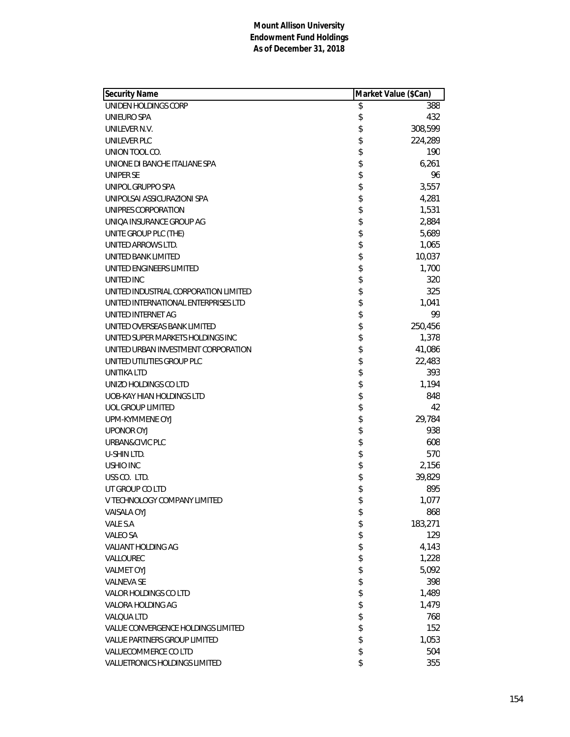| <b>Security Name</b>                  | Market Value (\$Can) |         |
|---------------------------------------|----------------------|---------|
| UNIDEN HOLDINGS CORP                  | \$                   | 388     |
| UNIEURO SPA                           | \$                   | 432     |
| UNILEVER N.V.                         | \$                   | 308,599 |
| UNILEVER PLC                          | \$                   | 224,289 |
| UNION TOOL CO.                        | \$                   | 190     |
| UNIONE DI BANCHE ITALIANE SPA         | \$                   | 6,261   |
| UNIPER SE                             | \$                   | 96      |
| UNIPOL GRUPPO SPA                     | \$                   | 3,557   |
| UNIPOLSAI ASSICURAZIONI SPA           | \$                   | 4,281   |
| UNIPRES CORPORATION                   | \$                   | 1,531   |
| UNIQA INSURANCE GROUP AG              | \$                   | 2,884   |
| UNITE GROUP PLC (THE)                 | \$                   | 5,689   |
| UNITED ARROWS LTD.                    | \$                   | 1,065   |
| UNITED BANK LIMITED                   | \$                   | 10,037  |
| UNITED ENGINEERS LIMITED              | \$                   | 1,700   |
| UNITED INC                            | \$                   | 320     |
| UNITED INDUSTRIAL CORPORATION LIMITED | \$                   | 325     |
| UNITED INTERNATIONAL ENTERPRISES LTD  | \$                   | 1,041   |
| UNITED INTERNET AG                    | \$                   | 99      |
| UNITED OVERSEAS BANK LIMITED          | \$                   | 250,456 |
| UNITED SUPER MARKETS HOLDINGS INC     | \$                   | 1,378   |
| UNITED URBAN INVESTMENT CORPORATION   | \$                   | 41,086  |
| UNITED UTILITIES GROUP PLC            | \$                   | 22,483  |
| UNITIKA LTD                           | \$                   | 393     |
| UNIZO HOLDINGS CO LTD                 | \$                   | 1,194   |
| UOB-KAY HIAN HOLDINGS LTD             | \$                   | 848     |
| <b>UOL GROUP LIMITED</b>              | \$                   | 42      |
| UPM-KYMMENE OYJ                       | \$                   | 29,784  |
| <b>UPONOR OYJ</b>                     | \$                   | 938     |
| URBAN&CIVIC PLC                       | \$                   | 608     |
| U-SHIN LTD.                           | \$                   | 570     |
| <b>USHIO INC</b>                      | \$                   | 2,156   |
| USS CO. LTD.                          | \$                   | 39,829  |
| UT GROUP CO LTD                       | \$                   | 895     |
| V TECHNOLOGY COMPANY LIMITED          | \$                   | 1,077   |
| <b>VAISALA OYJ</b>                    | \$                   | 868     |
| VALE S.A                              | \$                   | 183,271 |
| <b>VALEO SA</b>                       | \$                   | 129     |
| VALIANT HOLDING AG                    | \$                   | 4,143   |
| VALLOUREC                             | \$                   | 1,228   |
| <b>VALMET OYJ</b>                     | \$                   | 5,092   |
| <b>VALNEVA SE</b>                     | \$                   | 398     |
| VALOR HOLDINGS CO LTD                 | \$                   | 1,489   |
| VALORA HOLDING AG                     | \$                   | 1,479   |
| <b>VALQUA LTD</b>                     | \$                   | 768     |
| VALUE CONVERGENCE HOLDINGS LIMITED    | \$                   | 152     |
| <b>VALUE PARTNERS GROUP LIMITED</b>   | \$                   | 1,053   |
| VALUECOMMERCE CO LTD                  | \$                   | 504     |
| VALUETRONICS HOLDINGS LIMITED         | \$                   | 355     |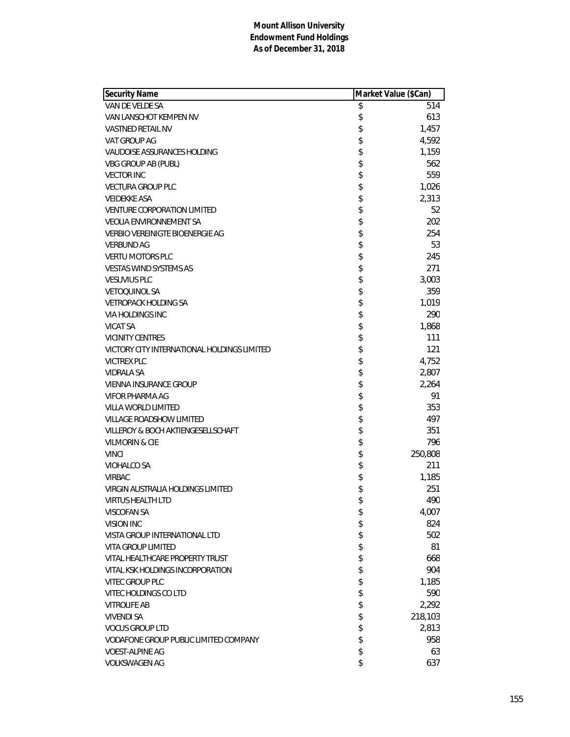| <b>Security Name</b>                        | Market Value (\$Can) |         |
|---------------------------------------------|----------------------|---------|
| VAN DE VELDE SA                             | \$                   | 514     |
| VAN LANSCHOT KEMPEN NV                      | \$                   | 613     |
| <b>VASTNED RETAIL NV</b>                    | \$                   | 1,457   |
| VAT GROUP AG                                | \$                   | 4,592   |
| VAUDOISE ASSURANCES HOLDING                 | \$                   | 1,159   |
| <b>VBG GROUP AB (PUBL)</b>                  | \$                   | 562     |
| <b>VECTOR INC</b>                           | \$                   | 559     |
| <b>VECTURA GROUP PLC</b>                    | \$                   | 1,026   |
| <b>VEIDEKKE ASA</b>                         | \$                   | 2,313   |
| <b>VENTURE CORPORATION LIMITED</b>          | \$                   | 52      |
| <b>VEOLIA ENVIRONNEMENT SA</b>              | \$                   | 202     |
| <b>VERBIO VEREINIGTE BIOENERGIE AG</b>      | \$                   | 254     |
| <b>VERBUND AG</b>                           | \$                   | 53      |
| <b>VERTU MOTORS PLC</b>                     | \$                   | 245     |
| <b>VESTAS WIND SYSTEMS AS</b>               | \$                   | 271     |
| <b>VESUVIUS PLC</b>                         | \$                   | 3,003   |
| <b>VETOOUINOL SA</b>                        | \$                   | 359     |
| <b>VETROPACK HOLDING SA</b>                 | \$                   | 1,019   |
| VIA HOLDINGS INC                            | \$                   | 290     |
| <b>VICAT SA</b>                             | \$                   | 1,868   |
| <b>VICINITY CENTRES</b>                     | \$                   | 111     |
| VICTORY CITY INTERNATIONAL HOLDINGS LIMITED | \$                   | 121     |
| <b>VICTREX PLC</b>                          | \$                   | 4,752   |
| <b>VIDRALA SA</b>                           | \$                   | 2,807   |
| <b>VIENNA INSURANCE GROUP</b>               | \$                   | 2,264   |
| VIFOR PHARMA AG                             | \$                   | 91      |
| VILLA WORLD LIMITED                         | \$                   | 353     |
| <b>VILLAGE ROADSHOW LIMITED</b>             | \$                   | 497     |
| VILLEROY & BOCH AKTIENGESELLSCHAFT          | \$                   | 351     |
| <b>VILMORIN &amp; CIE</b>                   | \$                   | 796     |
| <b>VINCI</b>                                | \$                   | 250,808 |
| VIOHALCO SA                                 | \$                   | 211     |
| <b>VIRBAC</b>                               | \$                   | 1,185   |
| <b>VIRGIN AUSTRALIA HOLDINGS LIMITED</b>    | \$                   | 251     |
| <b>VIRTUS HEALTH LTD</b>                    | \$                   | 490     |
| <b>VISCOFAN SA</b>                          | \$                   | 4,007   |
| VISION INC                                  | \$                   | 824     |
| VISTA GROUP INTERNATIONAL LTD               | \$                   | 502     |
| <b>VITA GROUP LIMITED</b>                   | \$                   | 81      |
| VITAL HEALTHCARE PROPERTY TRUST             | \$                   | 668     |
| VITAL KSK HOLDINGS INCORPORATION            | \$                   | 904     |
| <b>VITEC GROUP PLC</b>                      | \$                   | 1,185   |
| VITEC HOLDINGS CO LTD                       | \$                   | 590     |
| <b>VITROLIFE AB</b>                         | \$                   | 2,292   |
| <b>VIVENDI SA</b>                           | \$                   | 218,103 |
| <b>VOCUS GROUP LTD</b>                      | \$                   | 2,813   |
| VODAFONE GROUP PUBLIC LIMITED COMPANY       | \$                   | 958     |
| <b>VOEST-ALPINE AG</b>                      | \$                   | 63      |
| <b>VOLKSWAGEN AG</b>                        | \$                   | 637     |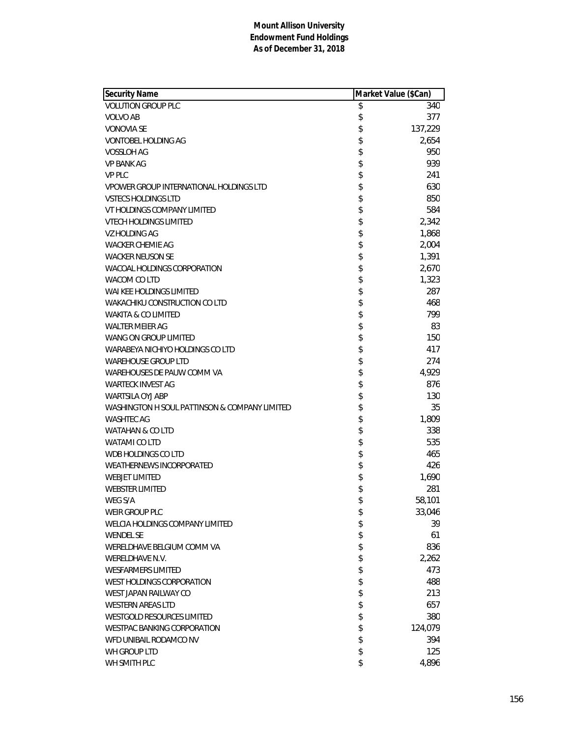| <b>Security Name</b>                          | Market Value (\$Can) |         |
|-----------------------------------------------|----------------------|---------|
| <b>VOLUTION GROUP PLC</b>                     | \$                   | 340     |
| <b>VOLVO AB</b>                               | \$                   | 377     |
| <b>VONOVIA SE</b>                             | \$                   | 137,229 |
| <b>VONTOBEL HOLDING AG</b>                    | \$                   | 2,654   |
| VOSSLOH AG                                    | \$                   | 950     |
| <b>VP BANK AG</b>                             | \$                   | 939     |
| <b>VP PLC</b>                                 | \$                   | 241     |
| VPOWER GROUP INTERNATIONAL HOLDINGS LTD       | \$                   | 630     |
| <b>VSTECS HOLDINGS LTD</b>                    | \$                   | 850     |
| VT HOLDINGS COMPANY LIMITED                   | \$                   | 584     |
| <b>VTECH HOLDINGS LIMITED</b>                 | \$                   | 2,342   |
| VZ HOLDING AG                                 | \$                   | 1,868   |
| <b>WACKER CHEMIE AG</b>                       | \$                   | 2,004   |
| <b>WACKER NEUSON SE</b>                       | \$                   | 1,391   |
| WACOAL HOLDINGS CORPORATION                   | \$                   | 2,670   |
| WACOM CO LTD                                  | \$                   | 1,323   |
| WAI KEE HOLDINGS LIMITED                      | \$                   | 287     |
| WAKACHIKU CONSTRUCTION CO LTD                 | \$                   | 468     |
| WAKITA & CO LIMITED                           | \$                   | 799     |
| <b>WALTER MEIER AG</b>                        | \$                   | 83      |
| WANG ON GROUP LIMITED                         | \$                   | 150     |
| WARABEYA NICHIYO HOLDINGS CO LTD              | \$                   | 417     |
| <b>WAREHOUSE GROUP LTD</b>                    | \$                   | 274     |
| WAREHOUSES DE PAUW COMM VA                    | \$                   | 4,929   |
| <b>WARTECK INVEST AG</b>                      | \$                   | 876     |
| WARTSILA OYJ ABP                              | \$                   | 130     |
| WASHINGTON H SOUL PATTINSON & COMPANY LIMITED | \$                   | 35      |
| <b>WASHTEC AG</b>                             | \$                   | 1,809   |
| WATAHAN & CO LTD                              | \$                   | 338     |
| WATAMI CO LTD                                 | \$                   | 535     |
| WDB HOLDINGS CO LTD                           | \$                   | 465     |
| <b>WEATHERNEWS INCORPORATED</b>               | \$                   | 426     |
| <b>WEBJET LIMITED</b>                         | \$                   | 1,690   |
| <b>WEBSTER LIMITED</b>                        | \$                   | 281     |
| WEG S/A                                       | \$                   | 58,101  |
| WEIR GROUP PLC                                | \$                   | 33,046  |
| WELCIA HOLDINGS COMPANY LIMITED               | \$                   | 39      |
| <b>WENDEL SE</b>                              | \$                   | 61      |
| WERELDHAVE BELGIUM COMM VA                    | \$                   | 836     |
| WERELDHAVE N.V.                               | \$                   | 2,262   |
| <b>WESFARMERS LIMITED</b>                     | \$                   | 473     |
| WEST HOLDINGS CORPORATION                     | \$                   | 488     |
| WEST JAPAN RAILWAY CO                         | \$                   | 213     |
| <b>WESTERN AREAS LTD</b>                      | \$                   | 657     |
| <b>WESTGOLD RESOURCES LIMITED</b>             | \$                   | 380     |
| <b>WESTPAC BANKING CORPORATION</b>            | \$                   | 124,079 |
| WFD UNIBAIL RODAMCO NV                        | \$                   | 394     |
| WH GROUP LTD                                  | \$                   | 125     |
| WH SMITH PLC                                  | \$                   | 4,896   |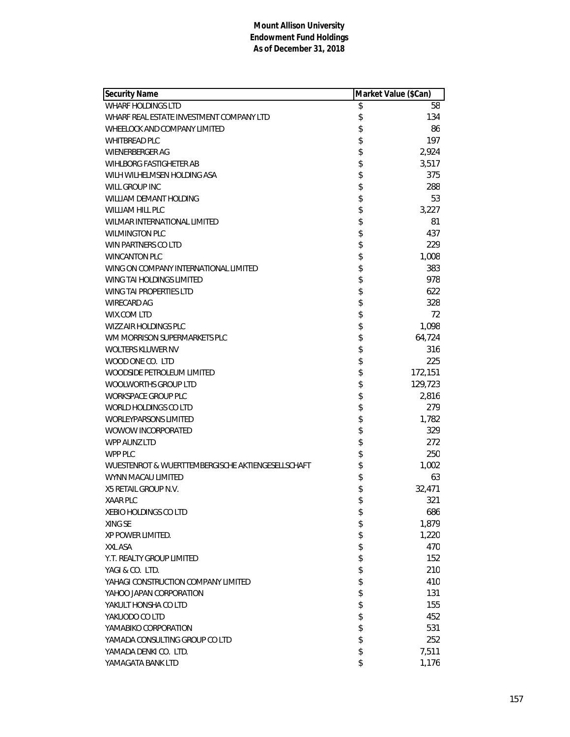| <b>Security Name</b>                              | Market Value (\$Can) |         |
|---------------------------------------------------|----------------------|---------|
| <b>WHARF HOLDINGS LTD</b>                         | \$                   | 58      |
| WHARF REAL ESTATE INVESTMENT COMPANY LTD          | \$                   | 134     |
| WHEELOCK AND COMPANY LIMITED                      | \$                   | 86      |
| <b>WHITBREAD PLC</b>                              | \$                   | 197     |
| <b>WIENERBERGER AG</b>                            | \$                   | 2,924   |
| <b>WIHLBORG FASTIGHETER AB</b>                    | \$                   | 3,517   |
| WILH WILHELMSEN HOLDING ASA                       | \$                   | 375     |
| WILL GROUP INC                                    | \$                   | 288     |
| WILLIAM DEMANT HOLDING                            | \$                   | 53      |
| WILLIAM HILL PLC                                  | \$                   | 3,227   |
| WILMAR INTERNATIONAL LIMITED                      | \$                   | 81      |
| <b>WILMINGTON PLC</b>                             | \$                   | 437     |
| WIN PARTNERS CO LTD                               | \$                   | 229     |
| <b>WINCANTON PLC</b>                              | \$                   | 1,008   |
| WING ON COMPANY INTERNATIONAL LIMITED             | \$                   | 383     |
| <b>WING TAI HOLDINGS LIMITED</b>                  | \$                   | 978     |
| WING TAI PROPERTIES LTD                           | \$                   | 622     |
| <b>WIRECARD AG</b>                                | \$                   | 328     |
| WIX.COM LTD                                       | \$                   | 72      |
| WIZZ AIR HOLDINGS PLC                             | \$                   | 1,098   |
| WM MORRISON SUPERMARKETS PLC                      | \$                   | 64,724  |
| <b>WOLTERS KLUWER NV</b>                          | \$                   | 316     |
| WOOD ONE CO. LTD                                  | \$                   | 225     |
| <b>WOODSIDE PETROLEUM LIMITED</b>                 | \$                   | 172,151 |
| <b>WOOLWORTHS GROUP LTD</b>                       | \$                   | 129,723 |
| <b>WORKSPACE GROUP PLC</b>                        | \$                   | 2,816   |
| WORLD HOLDINGS CO LTD                             | \$                   | 279     |
| <b>WORLEYPARSONS LIMITED</b>                      | \$                   | 1,782   |
| WOWOW INCORPORATED                                | \$                   | 329     |
| <b>WPP AUNZ LTD</b>                               | \$                   | 272     |
| WPP PLC                                           | \$                   | 250     |
| WUESTENROT & WUERTTEMBERGISCHE AKTIENGESELLSCHAFT | \$                   | 1,002   |
| WYNN MACAU LIMITED                                | \$                   | 63      |
| X5 RETAIL GROUP N.V.                              | \$                   | 32,471  |
| <b>XAAR PLC</b>                                   | \$                   | 321     |
| <b>XEBIO HOLDINGS CO LTD</b>                      | \$                   | 686     |
| XING SE                                           | \$                   | 1,879   |
| XP POWER LIMITED.                                 | \$                   | 1,220   |
| XXL ASA                                           | \$                   | 470     |
| Y.T. REALTY GROUP LIMITED                         | \$                   | 152     |
| YAGI & CO. LTD.                                   | \$                   | 210     |
| YAHAGI CONSTRUCTION COMPANY LIMITED               | \$                   | 410     |
| YAHOO JAPAN CORPORATION                           | \$                   | 131     |
| YAKULT HONSHA CO LTD                              | \$                   | 155     |
| YAKUODO CO LTD                                    | \$                   | 452     |
| YAMABIKO CORPORATION                              | \$                   | 531     |
| YAMADA CONSULTING GROUP CO LTD                    | \$                   | 252     |
| YAMADA DENKI CO. LTD.                             | \$                   | 7,511   |
| YAMAGATA BANK LTD                                 | \$                   | 1,176   |
|                                                   |                      |         |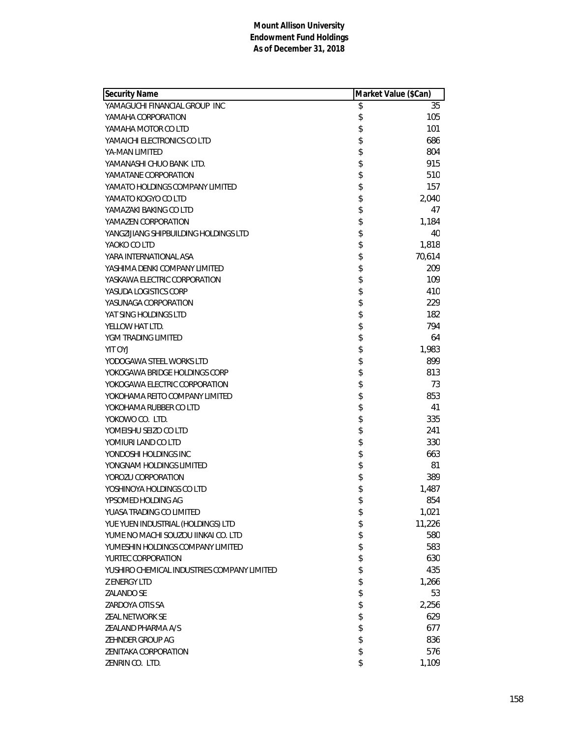| <b>Security Name</b>                        | Market Value (\$Can) |        |
|---------------------------------------------|----------------------|--------|
| YAMAGUCHI FINANCIAL GROUP INC               | \$                   | 35     |
| YAMAHA CORPORATION                          | \$                   | 105    |
| YAMAHA MOTOR CO LTD                         | \$                   | 101    |
| YAMAICHI ELECTRONICS CO LTD                 | \$                   | 686    |
| YA-MAN LIMITED                              | \$                   | 804    |
| YAMANASHI CHUO BANK LTD.                    | \$                   | 915    |
| YAMATANE CORPORATION                        | \$                   | 510    |
| YAMATO HOLDINGS COMPANY LIMITED             | \$                   | 157    |
| YAMATO KOGYO CO LTD                         | \$                   | 2,040  |
| YAMAZAKI BAKING CO LTD                      | \$                   | 47     |
| YAMAZEN CORPORATION                         | \$                   | 1,184  |
| YANGZIJIANG SHIPBUILDING HOLDINGS LTD       | \$                   | 40     |
| YAOKO CO LTD                                | \$                   | 1,818  |
| YARA INTERNATIONAL ASA                      | \$                   | 70,614 |
| YASHIMA DENKI COMPANY LIMITED               | \$                   | 209    |
| YASKAWA ELECTRIC CORPORATION                | \$                   | 109    |
| YASUDA LOGISTICS CORP                       | \$                   | 410    |
| YASUNAGA CORPORATION                        | \$                   | 229    |
| YAT SING HOLDINGS LTD                       | \$                   | 182    |
| YELLOW HAT LTD.                             | \$                   | 794    |
| YGM TRADING LIMITED                         | \$                   | 64     |
| <b>YIT OYJ</b>                              | \$                   | 1,983  |
| YODOGAWA STEEL WORKS LTD                    | \$                   | 899    |
| YOKOGAWA BRIDGE HOLDINGS CORP               | \$                   | 813    |
| YOKOGAWA ELECTRIC CORPORATION               | \$                   | 73     |
| YOKOHAMA REITO COMPANY LIMITED              | \$                   | 853    |
| YOKOHAMA RUBBER CO LTD                      | \$                   | 41     |
| YOKOWO CO. LTD.                             | \$                   | 335    |
| YOMEISHU SEIZO CO LTD                       | \$                   | 241    |
| YOMIURI LAND CO LTD                         | \$                   | 330    |
| YONDOSHI HOLDINGS INC                       | \$                   | 663    |
| YONGNAM HOLDINGS LIMITED                    | \$                   | 81     |
| YOROZU CORPORATION                          | \$                   | 389    |
| YOSHINOYA HOLDINGS CO LTD                   | \$                   | 1,487  |
| YPSOMED HOLDING AG                          | \$                   | 854    |
| YUASA TRADING CO LIMITED                    | \$                   | 1,021  |
| YUE YUEN INDUSTRIAL (HOLDINGS) LTD          | \$                   | 11,226 |
| YUME NO MACHI SOUZOU IINKAI CO. LTD         | \$                   | 580    |
| YUMESHIN HOLDINGS COMPANY LIMITED           | \$                   | 583    |
| YURTEC CORPORATION                          | \$                   | 630    |
| YUSHIRO CHEMICAL INDUSTRIES COMPANY LIMITED |                      | 435    |
| <b>Z ENERGY LTD</b>                         | \$                   | 1,266  |
| <b>ZALANDO SE</b>                           | \$                   | 53     |
| ZARDOYA OTIS SA                             | \$                   | 2,256  |
| <b>ZEAL NETWORK SE</b>                      | \$                   | 629    |
| ZEALAND PHARMA A/S                          | \$                   | 677    |
| ZEHNDER GROUP AG                            | \$                   | 836    |
| <b>ZENITAKA CORPORATION</b>                 | \$                   | 576    |
| ZENRIN CO. LTD.                             | \$                   | 1,109  |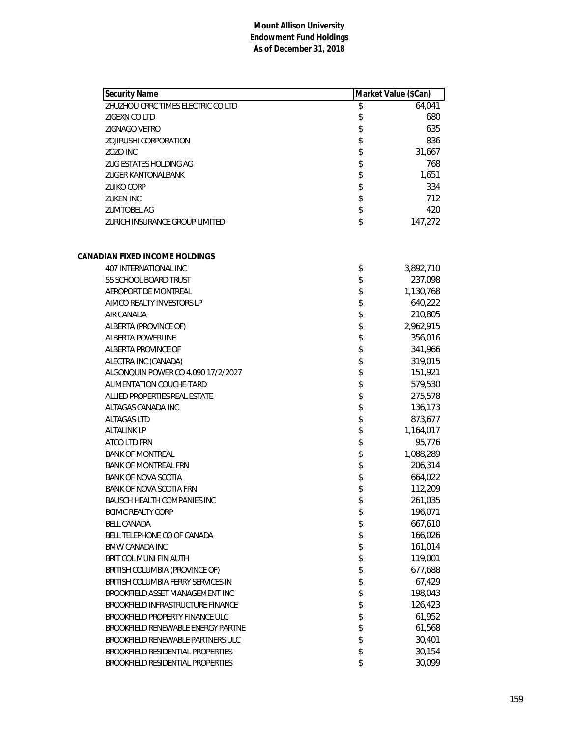| <b>Security Name</b>               | Market Value (\$Can) |
|------------------------------------|----------------------|
| ZHUZHOU CRRC TIMES ELECTRIC CO LTD | \$<br>64,041         |
| ZIGEXN CO LTD                      | \$<br>680            |
| ZIGNAGO VETRO                      | \$<br>635            |
| ZOJIRUSHI CORPORATION              | \$<br>836            |
| ZOZO INC                           | \$<br>31,667         |
| ZUG ESTATES HOLDING AG             | \$<br>768            |
| <b>ZUGER KANTONALBANK</b>          | \$<br>1,651          |
| <b>ZUIKO CORP</b>                  | \$<br>334            |
| <b>ZUKEN INC</b>                   | \$<br>712            |
| <b>ZUMTOBEL AG</b>                 | \$<br>420            |
| ZURICH INSURANCE GROUP LIMITED     | \$<br>147,272        |
| CANADIAN FIXED INCOME HOLDINGS     |                      |
| 407 INTERNATIONAL INC              | \$<br>3,892,710      |
| 55 SCHOOL BOARD TRUST              | \$<br>237,098        |
| AEROPORT DE MONTREAL               | \$<br>1,130,768      |
| AIMCO REALTY INVESTORS LP          | \$<br>640,222        |
| AIR CANADA                         | \$<br>210,805        |
| ALBERTA (PROVINCE OF)              | \$<br>2,962,915      |
| ALBERTA POWERLINE                  | \$<br>356,016        |
| ALBERTA PROVINCE OF                | \$<br>341,966        |
| ALECTRA INC (CANADA)               | \$<br>319,015        |
| ALGONQUIN POWER CO 4.090 17/2/2027 | \$<br>151,921        |
| ALIMENTATION COUCHE-TARD           | \$<br>579,530        |
| ALLIED PROPERTIES REAL ESTATE      | \$<br>275,578        |
| ALTAGAS CANADA INC                 | \$<br>136,173        |
| <b>ALTAGAS LTD</b>                 | \$<br>873,677        |
| <b>ALTALINK LP</b>                 | \$<br>1,164,017      |
| ATCO LTD FRN                       | \$<br>95,776         |
| <b>BANK OF MONTREAL</b>            | \$<br>1,088,289      |
| <b>BANK OF MONTREAL FRN</b>        | \$<br>206,314        |
| <b>BANK OF NOVA SCOTIA</b>         | \$<br>664,022        |
| BANK OF NOVA SCOTIA FRN            | \$<br>112,209        |
| <b>BAUSCH HEALTH COMPANIES INC</b> | \$<br>261,035        |
| <b>BCIMC REALTY CORP</b>           | \$<br>196,071        |
| <b>BELL CANADA</b>                 | \$<br>667,610        |
| BELL TELEPHONE CO OF CANADA        | \$<br>166,026        |
| <b>BMW CANADA INC</b>              | \$<br>161,014        |
| BRIT COL MUNI FIN AUTH             | \$<br>119,001        |
| BRITISH COLUMBIA (PROVINCE OF)     | \$<br>677,688        |
| BRITISH COLUMBIA FERRY SERVICES IN | \$<br>67,429         |
| BROOKFIELD ASSET MANAGEMENT INC    | \$<br>198,043        |
| BROOKFIELD INFRASTRUCTURE FINANCE  | \$<br>126,423        |
| BROOKFIELD PROPERTY FINANCE ULC    | \$<br>61,952         |
| BROOKFIELD RENEWABLE ENERGY PARTNE | \$<br>61,568         |
| BROOKFIELD RENEWABLE PARTNERS ULC  | \$<br>30,401         |
| BROOKFIELD RESIDENTIAL PROPERTIES  | \$<br>30,154         |
| BROOKFIELD RESIDENTIAL PROPERTIES  | \$<br>30,099         |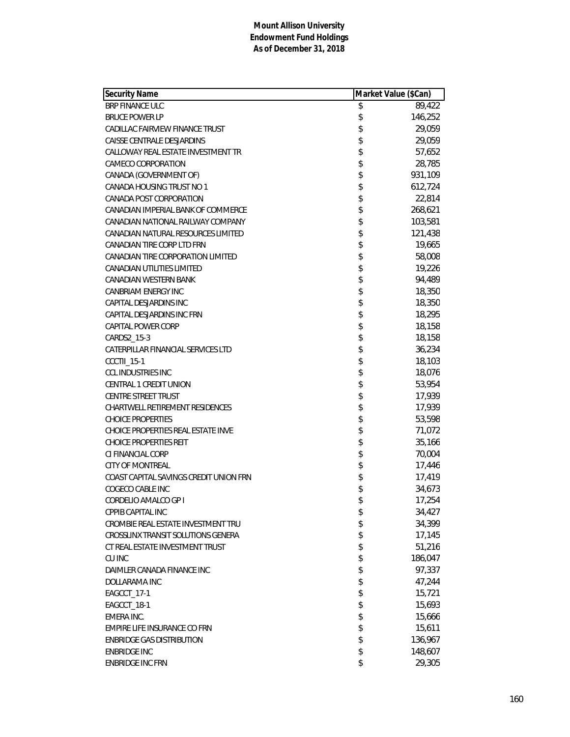| <b>Security Name</b>                   | Market Value (\$Can) |         |
|----------------------------------------|----------------------|---------|
| <b>BRP FINANCE ULC</b>                 | \$                   | 89,422  |
| <b>BRUCE POWER LP</b>                  | \$                   | 146,252 |
| CADILLAC FAIRVIEW FINANCE TRUST        | \$                   | 29,059  |
| CAISSE CENTRALE DESJARDINS             | \$                   | 29,059  |
| CALLOWAY REAL ESTATE INVESTMENT TR     | \$                   | 57,652  |
| CAMECO CORPORATION                     | \$                   | 28,785  |
| CANADA (GOVERNMENT OF)                 | \$                   | 931,109 |
| CANADA HOUSING TRUST NO 1              | \$                   | 612,724 |
| CANADA POST CORPORATION                | \$                   | 22,814  |
| CANADIAN IMPERIAL BANK OF COMMERCE     |                      | 268,621 |
| CANADIAN NATIONAL RAILWAY COMPANY      | \$<br>\$             | 103,581 |
| CANADIAN NATURAL RESOURCES LIMITED     |                      | 121,438 |
| CANADIAN TIRE CORP LTD FRN             | \$                   | 19,665  |
| CANADIAN TIRE CORPORATION LIMITED      | \$                   | 58,008  |
| <b>CANADIAN UTILITIES LIMITED</b>      | \$                   | 19,226  |
| CANADIAN WESTERN BANK                  |                      | 94,489  |
| <b>CANBRIAM ENERGY INC</b>             | \$<br>\$             | 18,350  |
| CAPITAL DESJARDINS INC                 |                      | 18,350  |
| CAPITAL DESJARDINS INC FRN             | \$                   | 18,295  |
| CAPITAL POWER CORP                     | \$                   | 18,158  |
| CARDS2_15-3                            | \$                   | 18,158  |
| CATERPILLAR FINANCIAL SERVICES LTD     | \$                   | 36,234  |
| CCCTII_15-1                            | \$                   | 18,103  |
| <b>CCL INDUSTRIES INC</b>              | \$                   | 18,076  |
| CENTRAL 1 CREDIT UNION                 | \$                   | 53,954  |
| <b>CENTRE STREET TRUST</b>             | \$                   | 17,939  |
| CHARTWELL RETIREMENT RESIDENCES        | \$                   | 17,939  |
| <b>CHOICE PROPERTIES</b>               | \$                   | 53,598  |
| CHOICE PROPERTIES REAL ESTATE INVE     | \$                   | 71,072  |
| <b>CHOICE PROPERTIES REIT</b>          | \$                   | 35,166  |
| CI FINANCIAL CORP                      | \$                   | 70,004  |
| <b>CITY OF MONTREAL</b>                | \$                   | 17,446  |
| COAST CAPITAL SAVINGS CREDIT UNION FRN | \$                   | 17,419  |
| COGECO CABLE INC                       | \$                   | 34,673  |
| CORDELIO AMALCO GP I                   | \$                   | 17,254  |
| CPPIB CAPITAL INC                      | \$                   | 34,427  |
| CROMBIE REAL ESTATE INVESTMENT TRU     | \$                   | 34,399  |
| CROSSLINX TRANSIT SOLUTIONS GENERA     | \$                   | 17,145  |
| CT REAL ESTATE INVESTMENT TRUST        | \$                   | 51,216  |
| <b>CU INC</b>                          | \$                   | 186,047 |
| DAIMLER CANADA FINANCE INC             |                      | 97,337  |
| DOLLARAMA INC                          | \$\$                 | 47,244  |
| EAGCCT_17-1                            |                      | 15,721  |
| EAGCCT_18-1                            | \$                   | 15,693  |
| EMERA INC.                             | \$                   | 15,666  |
| EMPIRE LIFE INSURANCE CO FRN           | \$                   | 15,611  |
| <b>ENBRIDGE GAS DISTRIBUTION</b>       | \$                   | 136,967 |
| <b>ENBRIDGE INC</b>                    | \$                   | 148,607 |
| <b>ENBRIDGE INC FRN</b>                | \$                   | 29,305  |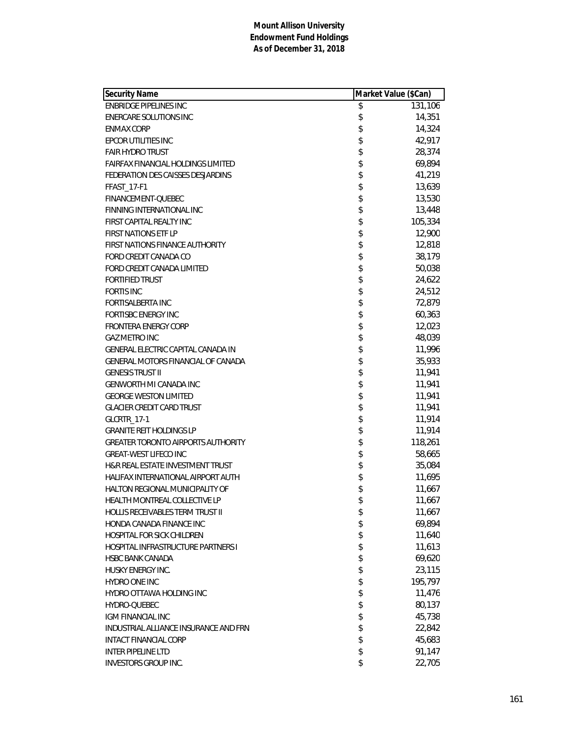| <b>Security Name</b>                      | Market Value (\$Can) |  |
|-------------------------------------------|----------------------|--|
| <b>ENBRIDGE PIPELINES INC</b>             | \$<br>131,106        |  |
| <b>ENERCARE SOLUTIONS INC</b>             | \$<br>14,351         |  |
| <b>ENMAX CORP</b>                         | \$<br>14,324         |  |
| EPCOR UTILITIES INC                       | \$<br>42,917         |  |
| <b>FAIR HYDRO TRUST</b>                   | \$<br>28,374         |  |
| FAIRFAX FINANCIAL HOLDINGS LIMITED        | \$<br>69,894         |  |
| FEDERATION DES CAISSES DESJARDINS         | \$<br>41,219         |  |
| <b>FFAST_17-F1</b>                        | \$<br>13,639         |  |
| FINANCEMENT-QUEBEC                        | \$<br>13,530         |  |
| FINNING INTERNATIONAL INC                 | \$<br>13,448         |  |
| FIRST CAPITAL REALTY INC                  | \$<br>105,334        |  |
| <b>FIRST NATIONS ETF LP</b>               | \$<br>12,900         |  |
| FIRST NATIONS FINANCE AUTHORITY           | \$<br>12,818         |  |
| FORD CREDIT CANADA CO                     | \$<br>38,179         |  |
| FORD CREDIT CANADA LIMITED                | \$<br>50,038         |  |
| <b>FORTIFIED TRUST</b>                    | \$<br>24,622         |  |
| <b>FORTIS INC</b>                         | \$<br>24,512         |  |
| <b>FORTISALBERTA INC</b>                  | \$<br>72,879         |  |
| <b>FORTISBC ENERGY INC</b>                | \$<br>60,363         |  |
| <b>FRONTERA ENERGY CORP</b>               | \$<br>12,023         |  |
| <b>GAZ METRO INC</b>                      | \$<br>48,039         |  |
| GENERAL ELECTRIC CAPITAL CANADA IN        | \$<br>11,996         |  |
| GENERAL MOTORS FINANCIAL OF CANADA        | \$<br>35,933         |  |
| <b>GENESIS TRUST II</b>                   | \$<br>11,941         |  |
| GENWORTH MI CANADA INC                    | \$<br>11,941         |  |
| <b>GEORGE WESTON LIMITED</b>              | \$<br>11,941         |  |
| <b>GLACIER CREDIT CARD TRUST</b>          | \$<br>11,941         |  |
| GLCRTR_17-1                               | \$<br>11,914         |  |
| <b>GRANITE REIT HOLDINGS LP</b>           | \$<br>11,914         |  |
| <b>GREATER TORONTO AIRPORTS AUTHORITY</b> | \$<br>118,261        |  |
| <b>GREAT-WEST LIFECO INC</b>              | \$<br>58,665         |  |
| H&R REAL ESTATE INVESTMENT TRUST          | \$<br>35,084         |  |
| HALIFAX INTERNATIONAL AIRPORT AUTH        | \$<br>11,695         |  |
| HALTON REGIONAL MUNICIPALITY OF           | \$<br>11,667         |  |
| HEALTH MONTREAL COLLECTIVE LP             | \$<br>11,667         |  |
| HOLLIS RECEIVABLES TERM TRUST II          | \$<br>11,667         |  |
| HONDA CANADA FINANCE INC                  | \$<br>69,894         |  |
| <b>HOSPITAL FOR SICK CHILDREN</b>         | \$<br>11,640         |  |
| HOSPITAL INFRASTRUCTURE PARTNERS I        | \$<br>11,613         |  |
| <b>HSBC BANK CANADA</b>                   | \$<br>69,620         |  |
| HUSKY ENERGY INC.                         | \$<br>23,115         |  |
| HYDRO ONE INC                             | \$<br>195,797        |  |
| HYDRO OTTAWA HOLDING INC                  | \$<br>11,476         |  |
| HYDRO-QUEBEC                              | \$<br>80,137         |  |
| <b>IGM FINANCIAL INC</b>                  | \$<br>45,738         |  |
| INDUSTRIAL ALLIANCE INSURANCE AND FRN     | \$<br>22,842         |  |
| <b>INTACT FINANCIAL CORP</b>              | \$<br>45,683         |  |
| <b>INTER PIPELINE LTD</b>                 | \$<br>91,147         |  |
| INVESTORS GROUP INC.                      | \$<br>22,705         |  |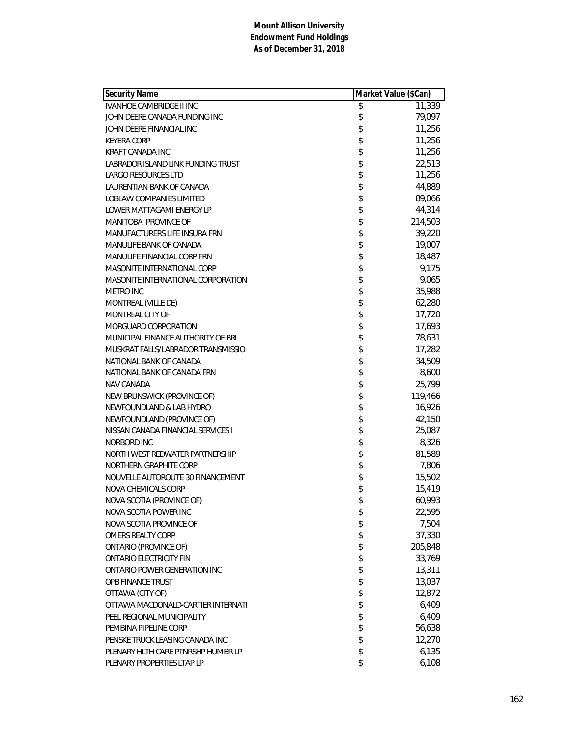| <b>Security Name</b>               |          | Market Value (\$Can) |  |
|------------------------------------|----------|----------------------|--|
| <b>IVANHOE CAMBRIDGE II INC</b>    | \$       | 11,339               |  |
| JOHN DEERE CANADA FUNDING INC      | \$       | 79,097               |  |
| JOHN DEERE FINANCIAL INC           | \$       | 11,256               |  |
| <b>KEYERA CORP</b>                 | \$       | 11,256               |  |
| <b>KRAFT CANADA INC</b>            | \$       | 11,256               |  |
| LABRADOR ISLAND LINK FUNDING TRUST | \$       | 22,513               |  |
| <b>LARGO RESOURCES LTD</b>         | \$       | 11,256               |  |
| LAURENTIAN BANK OF CANADA          | \$       | 44,889               |  |
| LOBLAW COMPANIES LIMITED           | \$       | 89,066               |  |
| LOWER MATTAGAMI ENERGY LP          |          | 44,314               |  |
| MANITOBA PROVINCE OF               |          | 214,503              |  |
| MANUFACTURERS LIFE INSURA FRN      | \$\$\$\$ | 39,220               |  |
| MANULIFE BANK OF CANADA            |          | 19,007               |  |
| MANULIFE FINANCIAL CORP FRN        | \$       | 18,487               |  |
| MASONITE INTERNATIONAL CORP        | \$       | 9,175                |  |
| MASONITE INTERNATIONAL CORPORATION | \$       | 9,065                |  |
| <b>METRO INC</b>                   | \$       | 35,988               |  |
| MONTREAL (VILLE DE)                | \$<br>\$ | 62,280               |  |
| MONTREAL CITY OF                   |          | 17,720               |  |
| MORGUARD CORPORATION               | \$       | 17,693               |  |
| MUNICIPAL FINANCE AUTHORITY OF BRI | \$       | 78,631               |  |
| MUSKRAT FALLS/LABRADOR TRANSMISSIO | \$       | 17,282               |  |
| NATIONAL BANK OF CANADA            | \$       | 34,509               |  |
| NATIONAL BANK OF CANADA FRN        | \$<br>\$ | 8,600                |  |
| NAV CANADA                         |          | 25,799               |  |
| NEW BRUNSWICK (PROVINCE OF)        | \$       | 119,466              |  |
| NEWFOUNDLAND & LAB HYDRO           | \$       | 16,926               |  |
| NEWFOUNDLAND (PROVINCE OF)         | \$       | 42,150               |  |
| NISSAN CANADA FINANCIAL SERVICES I | \$       | 25,087               |  |
| NORBORD INC                        | \$       | 8,326                |  |
| NORTH WEST REDWATER PARTNERSHIP    | \$       | 81,589               |  |
| NORTHERN GRAPHITE CORP             | \$       | 7,806                |  |
| NOUVELLE AUTOROUTE 30 FINANCEMENT  | \$       | 15,502               |  |
| NOVA CHEMICALS CORP                | \$       | 15,419               |  |
| NOVA SCOTIA (PROVINCE OF)          | \$       | 60,993               |  |
| NOVA SCOTIA POWER INC              | \$       | 22,595               |  |
| NOVA SCOTIA PROVINCE OF            | \$       | 7,504                |  |
| OMERS REALTY CORP                  | \$       | 37,330               |  |
| <b>ONTARIO (PROVINCE OF)</b>       | \$       | 205,848              |  |
| <b>ONTARIO ELECTRICITY FIN</b>     | \$       | 33,769               |  |
| ONTARIO POWER GENERATION INC       | \$       | 13,311               |  |
| OPB FINANCE TRUST                  | \$       | 13,037               |  |
| OTTAWA (CITY OF)                   | \$<br>\$ | 12,872               |  |
| OTTAWA MACDONALD-CARTIER INTERNATI |          | 6,409                |  |
| PEEL REGIONAL MUNICIPALITY         | \$       | 6,409                |  |
| PEMBINA PIPELINE CORP              | \$       | 56,638               |  |
| PENSKE TRUCK LEASING CANADA INC    | \$       | 12,270               |  |
| PLENARY HLTH CARE PTNRSHP HUMBR LP | \$       | 6,135                |  |
| PLENARY PROPERTIES LTAP LP         | \$       | 6,108                |  |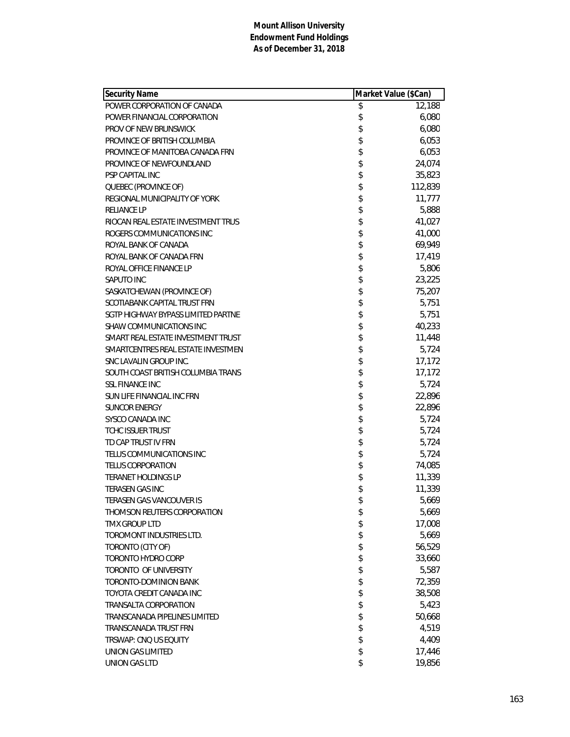| <b>Security Name</b>               |      | Market Value (\$Can) |  |
|------------------------------------|------|----------------------|--|
| POWER CORPORATION OF CANADA        | \$   | 12,188               |  |
| POWER FINANCIAL CORPORATION        | \$   | 6,080                |  |
| PROV OF NEW BRUNSWICK              | \$   | 6,080                |  |
| PROVINCE OF BRITISH COLUMBIA       | \$   | 6,053                |  |
| PROVINCE OF MANITOBA CANADA FRN    | \$   | 6,053                |  |
| PROVINCE OF NEWFOUNDLAND           | \$   | 24,074               |  |
| <b>PSP CAPITAL INC</b>             | \$   | 35,823               |  |
| QUEBEC (PROVINCE OF)               | \$   | 112,839              |  |
| REGIONAL MUNICIPALITY OF YORK      | \$   | 11,777               |  |
| <b>RELIANCE LP</b>                 | \$   | 5,888                |  |
| RIOCAN REAL ESTATE INVESTMENT TRUS |      | 41,027               |  |
| ROGERS COMMUNICATIONS INC          |      | 41,000               |  |
| ROYAL BANK OF CANADA               | \$\$ | 69,949               |  |
| ROYAL BANK OF CANADA FRN           | \$   | 17,419               |  |
| ROYAL OFFICE FINANCE LP            | \$   | 5,806                |  |
| SAPUTO INC                         | \$   | 23,225               |  |
| SASKATCHEWAN (PROVINCE OF)         | \$   | 75,207               |  |
| SCOTIABANK CAPITAL TRUST FRN       | \$   | 5,751                |  |
| SGTP HIGHWAY BYPASS LIMITED PARTNE | \$   | 5,751                |  |
| SHAW COMMUNICATIONS INC            | \$   | 40,233               |  |
| SMART REAL ESTATE INVESTMENT TRUST | \$   | 11,448               |  |
| SMARTCENTRES REAL ESTATE INVESTMEN | \$   | 5,724                |  |
| SNC LAVALIN GROUP INC.             | \$   | 17,172               |  |
| SOUTH COAST BRITISH COLUMBIA TRANS |      | 17,172               |  |
| <b>SSL FINANCE INC</b>             | \$   | 5,724                |  |
| SUN LIFE FINANCIAL INC FRN         | \$   | 22,896               |  |
| <b>SUNCOR ENERGY</b>               | \$   | 22,896               |  |
| SYSCO CANADA INC                   | \$   | 5,724                |  |
| TCHC ISSUER TRUST                  | \$   | 5,724                |  |
| TD CAP TRUST IV FRN                | \$   | 5,724                |  |
| TELUS COMMUNICATIONS INC           | \$   | 5,724                |  |
| <b>TELUS CORPORATION</b>           | \$   | 74,085               |  |
| <b>TERANET HOLDINGS LP</b>         | \$   | 11,339               |  |
| TERASEN GAS INC                    | \$   | 11,339               |  |
| TERASEN GAS VANCOUVER IS           | \$   | 5,669                |  |
| THOMSON REUTERS CORPORATION        | \$   | 5,669                |  |
| <b>TMX GROUP LTD</b>               | \$   | 17,008               |  |
| TOROMONT INDUSTRIES LTD.           | \$   | 5,669                |  |
| TORONTO (CITY OF)                  | \$   | 56,529               |  |
| TORONTO HYDRO CORP                 | \$   | 33,660               |  |
| TORONTO OF UNIVERSITY              | \$   | 5,587                |  |
| TORONTO-DOMINION BANK              | \$   | 72,359               |  |
| TOYOTA CREDIT CANADA INC           | \$   | 38,508               |  |
| TRANSALTA CORPORATION              | \$   | 5,423                |  |
| TRANSCANADA PIPELINES LIMITED      | \$   | 50,668               |  |
| TRANSCANADA TRUST FRN              | \$   | 4,519                |  |
| TRSWAP: CNQ US EQUITY              | \$   | 4,409                |  |
| UNION GAS LIMITED                  | \$   | 17,446               |  |
| UNION GAS LTD                      | \$   | 19,856               |  |
|                                    |      |                      |  |